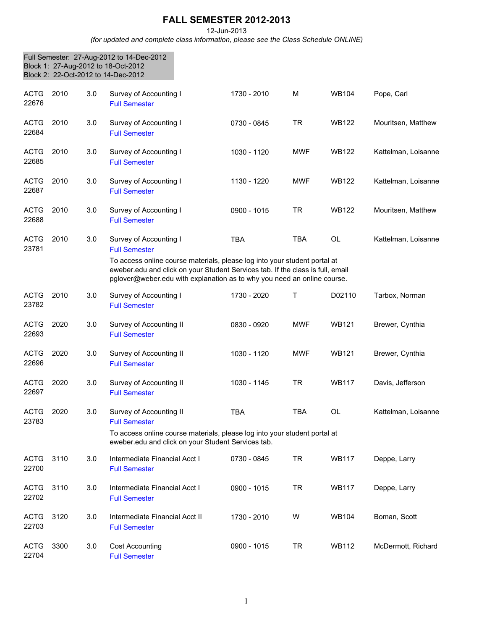## **FALL SEMESTER 2012-2013**

12-Jun-2013

*(for updated and complete class information, please see the Class Schedule ONLINE)*

|                      |      |     | Full Semester: 27-Aug-2012 to 14-Dec-2012<br>Block 1: 27-Aug-2012 to 18-Oct-2012<br>Block 2: 22-Oct-2012 to 14-Dec-2012                                                                                                                |             |            |              |                     |
|----------------------|------|-----|----------------------------------------------------------------------------------------------------------------------------------------------------------------------------------------------------------------------------------------|-------------|------------|--------------|---------------------|
| <b>ACTG</b><br>22676 | 2010 | 3.0 | Survey of Accounting I<br><b>Full Semester</b>                                                                                                                                                                                         | 1730 - 2010 | M          | <b>WB104</b> | Pope, Carl          |
| <b>ACTG</b><br>22684 | 2010 | 3.0 | Survey of Accounting I<br><b>Full Semester</b>                                                                                                                                                                                         | 0730 - 0845 | <b>TR</b>  | <b>WB122</b> | Mouritsen, Matthew  |
| <b>ACTG</b><br>22685 | 2010 | 3.0 | Survey of Accounting I<br><b>Full Semester</b>                                                                                                                                                                                         | 1030 - 1120 | <b>MWF</b> | <b>WB122</b> | Kattelman, Loisanne |
| <b>ACTG</b><br>22687 | 2010 | 3.0 | Survey of Accounting I<br><b>Full Semester</b>                                                                                                                                                                                         | 1130 - 1220 | <b>MWF</b> | <b>WB122</b> | Kattelman, Loisanne |
| <b>ACTG</b><br>22688 | 2010 | 3.0 | Survey of Accounting I<br><b>Full Semester</b>                                                                                                                                                                                         | 0900 - 1015 | <b>TR</b>  | <b>WB122</b> | Mouritsen, Matthew  |
| <b>ACTG</b><br>23781 | 2010 | 3.0 | Survey of Accounting I<br><b>Full Semester</b>                                                                                                                                                                                         | <b>TBA</b>  | <b>TBA</b> | OL           | Kattelman, Loisanne |
|                      |      |     | To access online course materials, please log into your student portal at<br>eweber.edu and click on your Student Services tab. If the class is full, email<br>pglover@weber.edu with explanation as to why you need an online course. |             |            |              |                     |
| <b>ACTG</b><br>23782 | 2010 | 3.0 | Survey of Accounting I<br><b>Full Semester</b>                                                                                                                                                                                         | 1730 - 2020 | Т          | D02110       | Tarbox, Norman      |
| <b>ACTG</b><br>22693 | 2020 | 3.0 | Survey of Accounting II<br><b>Full Semester</b>                                                                                                                                                                                        | 0830 - 0920 | <b>MWF</b> | <b>WB121</b> | Brewer, Cynthia     |
| <b>ACTG</b><br>22696 | 2020 | 3.0 | Survey of Accounting II<br><b>Full Semester</b>                                                                                                                                                                                        | 1030 - 1120 | <b>MWF</b> | <b>WB121</b> | Brewer, Cynthia     |
| <b>ACTG</b><br>22697 | 2020 | 3.0 | Survey of Accounting II<br><b>Full Semester</b>                                                                                                                                                                                        | 1030 - 1145 | <b>TR</b>  | <b>WB117</b> | Davis, Jefferson    |
| ACTG 2020<br>23783   |      | 3.0 | Survey of Accounting II<br><b>Full Semester</b>                                                                                                                                                                                        | <b>TBA</b>  | <b>TBA</b> | OL           | Kattelman, Loisanne |
|                      |      |     | To access online course materials, please log into your student portal at<br>eweber.edu and click on your Student Services tab.                                                                                                        |             |            |              |                     |
| <b>ACTG</b><br>22700 | 3110 | 3.0 | Intermediate Financial Acct I<br><b>Full Semester</b>                                                                                                                                                                                  | 0730 - 0845 | <b>TR</b>  | <b>WB117</b> | Deppe, Larry        |
| <b>ACTG</b><br>22702 | 3110 | 3.0 | Intermediate Financial Acct I<br><b>Full Semester</b>                                                                                                                                                                                  | 0900 - 1015 | TR         | <b>WB117</b> | Deppe, Larry        |
| <b>ACTG</b><br>22703 | 3120 | 3.0 | Intermediate Financial Acct II<br><b>Full Semester</b>                                                                                                                                                                                 | 1730 - 2010 | W          | <b>WB104</b> | Boman, Scott        |
| <b>ACTG</b><br>22704 | 3300 | 3.0 | <b>Cost Accounting</b><br><b>Full Semester</b>                                                                                                                                                                                         | 0900 - 1015 | TR         | <b>WB112</b> | McDermott, Richard  |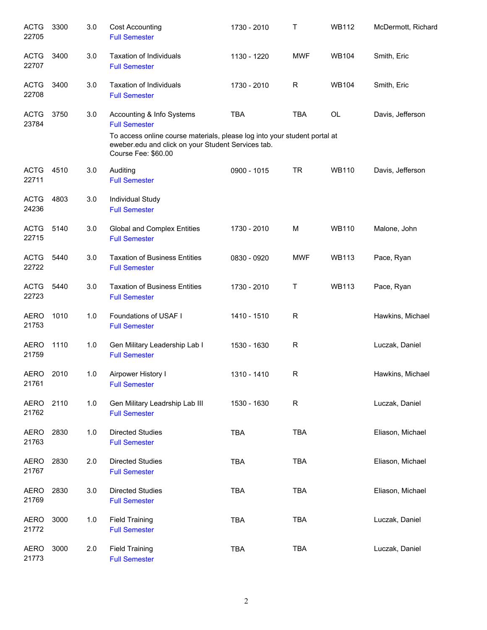| <b>ACTG</b><br>22705 | 3300 | 3.0 | <b>Cost Accounting</b><br><b>Full Semester</b>                                                                                                         | 1730 - 2010 | T          | <b>WB112</b> | McDermott, Richard |
|----------------------|------|-----|--------------------------------------------------------------------------------------------------------------------------------------------------------|-------------|------------|--------------|--------------------|
| <b>ACTG</b><br>22707 | 3400 | 3.0 | <b>Taxation of Individuals</b><br><b>Full Semester</b>                                                                                                 | 1130 - 1220 | <b>MWF</b> | <b>WB104</b> | Smith, Eric        |
| <b>ACTG</b><br>22708 | 3400 | 3.0 | <b>Taxation of Individuals</b><br><b>Full Semester</b>                                                                                                 | 1730 - 2010 | R          | <b>WB104</b> | Smith, Eric        |
| <b>ACTG</b><br>23784 | 3750 | 3.0 | Accounting & Info Systems<br><b>Full Semester</b>                                                                                                      | <b>TBA</b>  | <b>TBA</b> | OL           | Davis, Jefferson   |
|                      |      |     | To access online course materials, please log into your student portal at<br>eweber.edu and click on your Student Services tab.<br>Course Fee: \$60.00 |             |            |              |                    |
| <b>ACTG</b><br>22711 | 4510 | 3.0 | Auditing<br><b>Full Semester</b>                                                                                                                       | 0900 - 1015 | <b>TR</b>  | <b>WB110</b> | Davis, Jefferson   |
| <b>ACTG</b><br>24236 | 4803 | 3.0 | Individual Study<br><b>Full Semester</b>                                                                                                               |             |            |              |                    |
| <b>ACTG</b><br>22715 | 5140 | 3.0 | Global and Complex Entities<br><b>Full Semester</b>                                                                                                    | 1730 - 2010 | M          | <b>WB110</b> | Malone, John       |
| <b>ACTG</b><br>22722 | 5440 | 3.0 | <b>Taxation of Business Entities</b><br><b>Full Semester</b>                                                                                           | 0830 - 0920 | <b>MWF</b> | <b>WB113</b> | Pace, Ryan         |
| <b>ACTG</b><br>22723 | 5440 | 3.0 | <b>Taxation of Business Entities</b><br><b>Full Semester</b>                                                                                           | 1730 - 2010 | Τ          | <b>WB113</b> | Pace, Ryan         |
| AERO<br>21753        | 1010 | 1.0 | Foundations of USAF I<br><b>Full Semester</b>                                                                                                          | 1410 - 1510 | R          |              | Hawkins, Michael   |
| <b>AERO</b><br>21759 | 1110 | 1.0 | Gen Military Leadership Lab I<br><b>Full Semester</b>                                                                                                  | 1530 - 1630 | R          |              | Luczak, Daniel     |
| <b>AERO</b><br>21761 | 2010 | 1.0 | Airpower History I<br><b>Full Semester</b>                                                                                                             | 1310 - 1410 | R          |              | Hawkins, Michael   |
| <b>AERO</b><br>21762 | 2110 | 1.0 | Gen Military Leadrship Lab III<br><b>Full Semester</b>                                                                                                 | 1530 - 1630 | R          |              | Luczak, Daniel     |
| AERO<br>21763        | 2830 | 1.0 | <b>Directed Studies</b><br><b>Full Semester</b>                                                                                                        | <b>TBA</b>  | TBA        |              | Eliason, Michael   |
| <b>AERO</b><br>21767 | 2830 | 2.0 | <b>Directed Studies</b><br><b>Full Semester</b>                                                                                                        | <b>TBA</b>  | <b>TBA</b> |              | Eliason, Michael   |
| <b>AERO</b><br>21769 | 2830 | 3.0 | <b>Directed Studies</b><br><b>Full Semester</b>                                                                                                        | <b>TBA</b>  | <b>TBA</b> |              | Eliason, Michael   |
| <b>AERO</b><br>21772 | 3000 | 1.0 | <b>Field Training</b><br><b>Full Semester</b>                                                                                                          | <b>TBA</b>  | <b>TBA</b> |              | Luczak, Daniel     |
| <b>AERO</b><br>21773 | 3000 | 2.0 | <b>Field Training</b><br><b>Full Semester</b>                                                                                                          | <b>TBA</b>  | <b>TBA</b> |              | Luczak, Daniel     |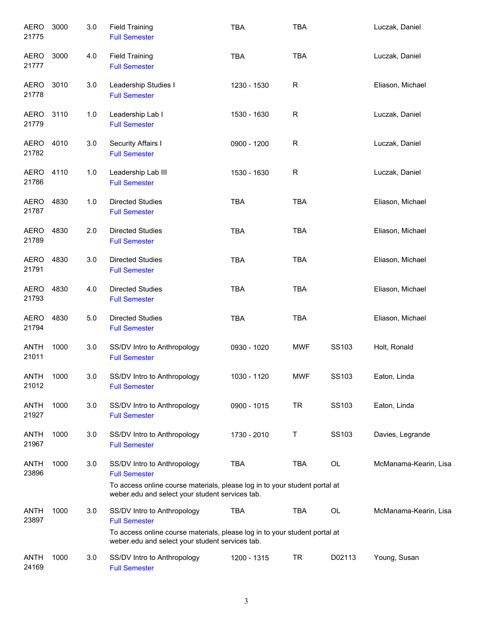| <b>AERO</b><br>21775 | 3000 | 3.0   | <b>Field Training</b><br><b>Full Semester</b>                                                                                                                                        | <b>TBA</b>  | <b>TBA</b>  |        | Luczak, Daniel        |
|----------------------|------|-------|--------------------------------------------------------------------------------------------------------------------------------------------------------------------------------------|-------------|-------------|--------|-----------------------|
| <b>AERO</b><br>21777 | 3000 | 4.0   | <b>Field Training</b><br><b>Full Semester</b>                                                                                                                                        | <b>TBA</b>  | <b>TBA</b>  |        | Luczak, Daniel        |
| <b>AERO</b><br>21778 | 3010 | 3.0   | Leadership Studies I<br><b>Full Semester</b>                                                                                                                                         | 1230 - 1530 | R           |        | Eliason, Michael      |
| AERO<br>21779        | 3110 | 1.0   | Leadership Lab I<br><b>Full Semester</b>                                                                                                                                             | 1530 - 1630 | $\mathsf R$ |        | Luczak, Daniel        |
| AERO<br>21782        | 4010 | 3.0   | Security Affairs I<br><b>Full Semester</b>                                                                                                                                           | 0900 - 1200 | $\mathsf R$ |        | Luczak, Daniel        |
| <b>AERO</b><br>21786 | 4110 | 1.0   | Leadership Lab III<br><b>Full Semester</b>                                                                                                                                           | 1530 - 1630 | $\mathsf R$ |        | Luczak, Daniel        |
| <b>AERO</b><br>21787 | 4830 | 1.0   | <b>Directed Studies</b><br><b>Full Semester</b>                                                                                                                                      | <b>TBA</b>  | TBA         |        | Eliason, Michael      |
| <b>AERO</b><br>21789 | 4830 | 2.0   | <b>Directed Studies</b><br><b>Full Semester</b>                                                                                                                                      | <b>TBA</b>  | <b>TBA</b>  |        | Eliason, Michael      |
| <b>AERO</b><br>21791 | 4830 | 3.0   | <b>Directed Studies</b><br><b>Full Semester</b>                                                                                                                                      | <b>TBA</b>  | <b>TBA</b>  |        | Eliason, Michael      |
| <b>AERO</b><br>21793 | 4830 | 4.0   | <b>Directed Studies</b><br><b>Full Semester</b>                                                                                                                                      | <b>TBA</b>  | <b>TBA</b>  |        | Eliason, Michael      |
| <b>AERO</b><br>21794 | 4830 | $5.0$ | <b>Directed Studies</b><br><b>Full Semester</b>                                                                                                                                      | <b>TBA</b>  | <b>TBA</b>  |        | Eliason, Michael      |
| <b>ANTH</b><br>21011 | 1000 | 3.0   | SS/DV Intro to Anthropology<br><b>Full Semester</b>                                                                                                                                  | 0930 - 1020 | <b>MWF</b>  | SS103  | Holt, Ronald          |
| <b>ANTH</b><br>21012 | 1000 | 3.0   | SS/DV Intro to Anthropology<br><b>Full Semester</b>                                                                                                                                  | 1030 - 1120 | MWF         | SS103  | Eaton, Linda          |
| ANTH<br>21927        | 1000 | 3.0   | SS/DV Intro to Anthropology<br><b>Full Semester</b>                                                                                                                                  | 0900 - 1015 | <b>TR</b>   | SS103  | Eaton, Linda          |
| ANTH<br>21967        | 1000 | 3.0   | SS/DV Intro to Anthropology<br><b>Full Semester</b>                                                                                                                                  | 1730 - 2010 | Т           | SS103  | Davies, Legrande      |
| <b>ANTH</b><br>23896 | 1000 | 3.0   | SS/DV Intro to Anthropology<br><b>Full Semester</b><br>To access online course materials, please log in to your student portal at<br>weber.edu and select your student services tab. | <b>TBA</b>  | <b>TBA</b>  | OL     | McManama-Kearin, Lisa |
| <b>ANTH</b><br>23897 | 1000 | 3.0   | SS/DV Intro to Anthropology<br><b>Full Semester</b><br>To access online course materials, please log in to your student portal at<br>weber.edu and select your student services tab. | <b>TBA</b>  | TBA         | OL     | McManama-Kearin, Lisa |
| <b>ANTH</b><br>24169 | 1000 | 3.0   | SS/DV Intro to Anthropology<br><b>Full Semester</b>                                                                                                                                  | 1200 - 1315 | <b>TR</b>   | D02113 | Young, Susan          |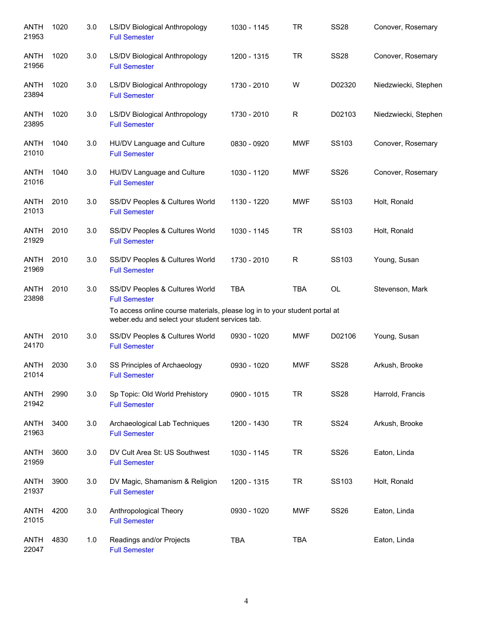| <b>ANTH</b><br>21953 | 1020 | 3.0 | LS/DV Biological Anthropology<br><b>Full Semester</b>                                                                         | 1030 - 1145 | <b>TR</b>   | <b>SS28</b> | Conover, Rosemary    |
|----------------------|------|-----|-------------------------------------------------------------------------------------------------------------------------------|-------------|-------------|-------------|----------------------|
| ANTH<br>21956        | 1020 | 3.0 | LS/DV Biological Anthropology<br><b>Full Semester</b>                                                                         | 1200 - 1315 | <b>TR</b>   | <b>SS28</b> | Conover, Rosemary    |
| <b>ANTH</b><br>23894 | 1020 | 3.0 | LS/DV Biological Anthropology<br><b>Full Semester</b>                                                                         | 1730 - 2010 | W           | D02320      | Niedzwiecki, Stephen |
| <b>ANTH</b><br>23895 | 1020 | 3.0 | LS/DV Biological Anthropology<br><b>Full Semester</b>                                                                         | 1730 - 2010 | R           | D02103      | Niedzwiecki, Stephen |
| <b>ANTH</b><br>21010 | 1040 | 3.0 | HU/DV Language and Culture<br><b>Full Semester</b>                                                                            | 0830 - 0920 | <b>MWF</b>  | SS103       | Conover, Rosemary    |
| <b>ANTH</b><br>21016 | 1040 | 3.0 | HU/DV Language and Culture<br><b>Full Semester</b>                                                                            | 1030 - 1120 | MWF         | <b>SS26</b> | Conover, Rosemary    |
| <b>ANTH</b><br>21013 | 2010 | 3.0 | SS/DV Peoples & Cultures World<br><b>Full Semester</b>                                                                        | 1130 - 1220 | <b>MWF</b>  | SS103       | Holt, Ronald         |
| <b>ANTH</b><br>21929 | 2010 | 3.0 | SS/DV Peoples & Cultures World<br><b>Full Semester</b>                                                                        | 1030 - 1145 | TR.         | SS103       | Holt, Ronald         |
| <b>ANTH</b><br>21969 | 2010 | 3.0 | SS/DV Peoples & Cultures World<br><b>Full Semester</b>                                                                        | 1730 - 2010 | $\mathsf R$ | SS103       | Young, Susan         |
| <b>ANTH</b><br>23898 | 2010 | 3.0 | SS/DV Peoples & Cultures World<br><b>Full Semester</b>                                                                        | <b>TBA</b>  | <b>TBA</b>  | OL          | Stevenson, Mark      |
|                      |      |     | To access online course materials, please log in to your student portal at<br>weber.edu and select your student services tab. |             |             |             |                      |
| <b>ANTH</b><br>24170 | 2010 | 3.0 | SS/DV Peoples & Cultures World<br><b>Full Semester</b>                                                                        | 0930 - 1020 | MWF         | D02106      | Young, Susan         |
| <b>ANTH</b><br>21014 | 2030 | 3.0 | SS Principles of Archaeology<br><b>Full Semester</b>                                                                          | 0930 - 1020 | <b>MWF</b>  | <b>SS28</b> | Arkush, Brooke       |
| <b>ANTH</b><br>21942 | 2990 | 3.0 | Sp Topic: Old World Prehistory<br><b>Full Semester</b>                                                                        | 0900 - 1015 | <b>TR</b>   | <b>SS28</b> | Harrold, Francis     |
| <b>ANTH</b><br>21963 | 3400 | 3.0 | Archaeological Lab Techniques<br><b>Full Semester</b>                                                                         | 1200 - 1430 | <b>TR</b>   | <b>SS24</b> | Arkush, Brooke       |
| <b>ANTH</b><br>21959 | 3600 | 3.0 | DV Cult Area St: US Southwest<br><b>Full Semester</b>                                                                         | 1030 - 1145 | <b>TR</b>   | <b>SS26</b> | Eaton, Linda         |
| ANTH<br>21937        | 3900 | 3.0 | DV Magic, Shamanism & Religion<br><b>Full Semester</b>                                                                        | 1200 - 1315 | <b>TR</b>   | SS103       | Holt, Ronald         |
| ANTH<br>21015        | 4200 | 3.0 | Anthropological Theory<br><b>Full Semester</b>                                                                                | 0930 - 1020 | <b>MWF</b>  | <b>SS26</b> | Eaton, Linda         |
| ANTH<br>22047        | 4830 | 1.0 | Readings and/or Projects<br><b>Full Semester</b>                                                                              | TBA         | <b>TBA</b>  |             | Eaton, Linda         |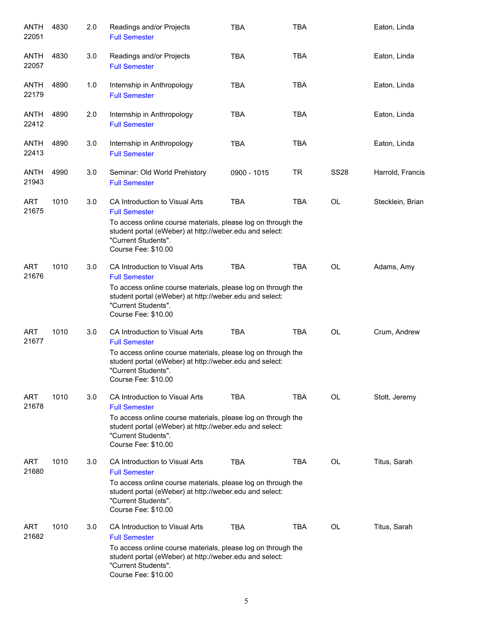| <b>ANTH</b><br>22051 | 4830 | 2.0 | Readings and/or Projects<br><b>Full Semester</b>                                                                                                                      | <b>TBA</b>  | <b>TBA</b> |             | Eaton, Linda     |
|----------------------|------|-----|-----------------------------------------------------------------------------------------------------------------------------------------------------------------------|-------------|------------|-------------|------------------|
| <b>ANTH</b><br>22057 | 4830 | 3.0 | Readings and/or Projects<br><b>Full Semester</b>                                                                                                                      | <b>TBA</b>  | <b>TBA</b> |             | Eaton, Linda     |
| <b>ANTH</b><br>22179 | 4890 | 1.0 | Internship in Anthropology<br><b>Full Semester</b>                                                                                                                    | <b>TBA</b>  | <b>TBA</b> |             | Eaton, Linda     |
| ANTH<br>22412        | 4890 | 2.0 | Internship in Anthropology<br><b>Full Semester</b>                                                                                                                    | <b>TBA</b>  | <b>TBA</b> |             | Eaton, Linda     |
| ANTH<br>22413        | 4890 | 3.0 | Internship in Anthropology<br><b>Full Semester</b>                                                                                                                    | <b>TBA</b>  | <b>TBA</b> |             | Eaton, Linda     |
| ANTH<br>21943        | 4990 | 3.0 | Seminar: Old World Prehistory<br><b>Full Semester</b>                                                                                                                 | 0900 - 1015 | TR         | <b>SS28</b> | Harrold, Francis |
| ART<br>21675         | 1010 | 3.0 | CA Introduction to Visual Arts<br><b>Full Semester</b>                                                                                                                | <b>TBA</b>  | <b>TBA</b> | OL          | Stecklein, Brian |
|                      |      |     | To access online course materials, please log on through the<br>student portal (eWeber) at http://weber.edu and select:<br>"Current Students".<br>Course Fee: \$10.00 |             |            |             |                  |
| <b>ART</b><br>21676  | 1010 | 3.0 | CA Introduction to Visual Arts<br><b>Full Semester</b>                                                                                                                | <b>TBA</b>  | <b>TBA</b> | OL          | Adams, Amy       |
|                      |      |     | To access online course materials, please log on through the<br>student portal (eWeber) at http://weber.edu and select:<br>"Current Students".<br>Course Fee: \$10.00 |             |            |             |                  |
| <b>ART</b><br>21677  | 1010 | 3.0 | CA Introduction to Visual Arts<br><b>Full Semester</b>                                                                                                                | <b>TBA</b>  | <b>TBA</b> | OL          | Crum, Andrew     |
|                      |      |     | To access online course materials, please log on through the<br>student portal (eWeber) at http://weber.edu and select:<br>"Current Students".<br>Course Fee: \$10.00 |             |            |             |                  |
| <b>ART</b><br>21678  | 1010 | 3.0 | CA Introduction to Visual Arts<br><b>Full Semester</b>                                                                                                                | <b>TBA</b>  | <b>TBA</b> | OL.         | Stott, Jeremy    |
|                      |      |     | To access online course materials, please log on through the<br>student portal (eWeber) at http://weber.edu and select:<br>"Current Students".<br>Course Fee: \$10.00 |             |            |             |                  |
| <b>ART</b><br>21680  | 1010 | 3.0 | CA Introduction to Visual Arts<br><b>Full Semester</b>                                                                                                                | <b>TBA</b>  | <b>TBA</b> | OL          | Titus, Sarah     |
|                      |      |     | To access online course materials, please log on through the<br>student portal (eWeber) at http://weber.edu and select:<br>"Current Students".<br>Course Fee: \$10.00 |             |            |             |                  |
| ART<br>21682         | 1010 | 3.0 | CA Introduction to Visual Arts<br><b>Full Semester</b>                                                                                                                | <b>TBA</b>  | <b>TBA</b> | <b>OL</b>   | Titus, Sarah     |
|                      |      |     | To access online course materials, please log on through the<br>student portal (eWeber) at http://weber.edu and select:<br>"Current Students".<br>Course Fee: \$10.00 |             |            |             |                  |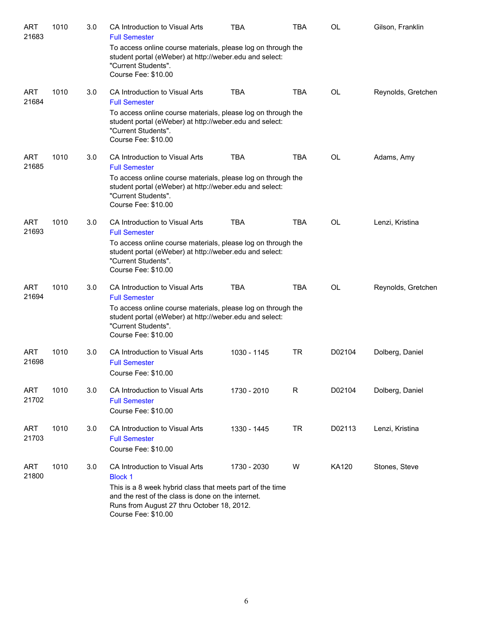| <b>ART</b><br>21683 | 1010 | 3.0 | CA Introduction to Visual Arts<br><b>Full Semester</b>                                                                                                                                                                                   | <b>TBA</b>  | TBA        | OL        | Gilson, Franklin   |
|---------------------|------|-----|------------------------------------------------------------------------------------------------------------------------------------------------------------------------------------------------------------------------------------------|-------------|------------|-----------|--------------------|
|                     |      |     | To access online course materials, please log on through the<br>student portal (eWeber) at http://weber.edu and select:<br>"Current Students".<br>Course Fee: \$10.00                                                                    |             |            |           |                    |
| <b>ART</b><br>21684 | 1010 | 3.0 | CA Introduction to Visual Arts<br><b>Full Semester</b>                                                                                                                                                                                   | <b>TBA</b>  | <b>TBA</b> | <b>OL</b> | Reynolds, Gretchen |
|                     |      |     | To access online course materials, please log on through the<br>student portal (eWeber) at http://weber.edu and select:<br>"Current Students".<br>Course Fee: \$10.00                                                                    |             |            |           |                    |
| ART<br>21685        | 1010 | 3.0 | CA Introduction to Visual Arts                                                                                                                                                                                                           | <b>TBA</b>  | <b>TBA</b> | OL        | Adams, Amy         |
|                     |      |     | <b>Full Semester</b><br>To access online course materials, please log on through the<br>student portal (eWeber) at http://weber.edu and select:<br>"Current Students".<br>Course Fee: \$10.00                                            |             |            |           |                    |
| <b>ART</b><br>21693 | 1010 | 3.0 | CA Introduction to Visual Arts<br><b>Full Semester</b>                                                                                                                                                                                   | <b>TBA</b>  | <b>TBA</b> | <b>OL</b> | Lenzi, Kristina    |
|                     |      |     | To access online course materials, please log on through the<br>student portal (eWeber) at http://weber.edu and select:<br>"Current Students".<br>Course Fee: \$10.00                                                                    |             |            |           |                    |
| <b>ART</b><br>21694 | 1010 | 3.0 | CA Introduction to Visual Arts<br><b>Full Semester</b><br>To access online course materials, please log on through the                                                                                                                   | <b>TBA</b>  | <b>TBA</b> | OL        | Reynolds, Gretchen |
|                     |      |     | student portal (eWeber) at http://weber.edu and select:<br>"Current Students".<br>Course Fee: \$10.00                                                                                                                                    |             |            |           |                    |
| <b>ART</b><br>21698 | 1010 | 3.0 | CA Introduction to Visual Arts<br><b>Full Semester</b><br>Course Fee: \$10.00                                                                                                                                                            | 1030 - 1145 | TR         | D02104    | Dolberg, Daniel    |
| <b>ART</b><br>21702 | 1010 | 3.0 | CA Introduction to Visual Arts<br><b>Full Semester</b><br>Course Fee: \$10.00                                                                                                                                                            | 1730 - 2010 | R          | D02104    | Dolberg, Daniel    |
| ART<br>21703        | 1010 | 3.0 | CA Introduction to Visual Arts<br><b>Full Semester</b><br>Course Fee: \$10.00                                                                                                                                                            | 1330 - 1445 | <b>TR</b>  | D02113    | Lenzi, Kristina    |
| ART<br>21800        | 1010 | 3.0 | CA Introduction to Visual Arts<br><b>Block 1</b><br>This is a 8 week hybrid class that meets part of the time<br>and the rest of the class is done on the internet.<br>Runs from August 27 thru October 18, 2012.<br>Course Fee: \$10.00 | 1730 - 2030 | W          | KA120     | Stones, Steve      |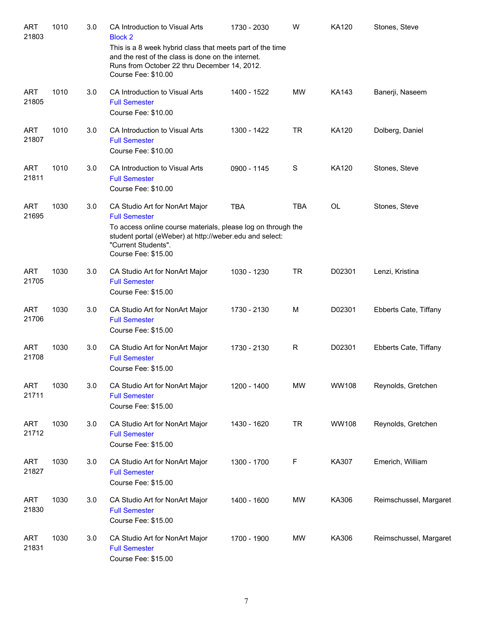| <b>ART</b><br>21803 | 1010 | 3.0 | CA Introduction to Visual Arts<br><b>Block 2</b><br>This is a 8 week hybrid class that meets part of the time<br>and the rest of the class is done on the internet.<br>Runs from October 22 thru December 14, 2012.<br>Course Fee: \$10.00 | 1730 - 2030 | W            | <b>KA120</b> | Stones, Steve          |
|---------------------|------|-----|--------------------------------------------------------------------------------------------------------------------------------------------------------------------------------------------------------------------------------------------|-------------|--------------|--------------|------------------------|
| <b>ART</b><br>21805 | 1010 | 3.0 | CA Introduction to Visual Arts<br><b>Full Semester</b><br>Course Fee: \$10.00                                                                                                                                                              | 1400 - 1522 | <b>MW</b>    | <b>KA143</b> | Banerji, Naseem        |
| <b>ART</b><br>21807 | 1010 | 3.0 | CA Introduction to Visual Arts<br><b>Full Semester</b><br>Course Fee: \$10.00                                                                                                                                                              | 1300 - 1422 | <b>TR</b>    | <b>KA120</b> | Dolberg, Daniel        |
| <b>ART</b><br>21811 | 1010 | 3.0 | CA Introduction to Visual Arts<br><b>Full Semester</b><br>Course Fee: \$10.00                                                                                                                                                              | 0900 - 1145 | $\mathbf S$  | <b>KA120</b> | Stones, Steve          |
| <b>ART</b><br>21695 | 1030 | 3.0 | CA Studio Art for NonArt Major<br><b>Full Semester</b><br>To access online course materials, please log on through the<br>student portal (eWeber) at http://weber.edu and select:<br>"Current Students".<br>Course Fee: \$15.00            | <b>TBA</b>  | <b>TBA</b>   | <b>OL</b>    | Stones, Steve          |
| <b>ART</b><br>21705 | 1030 | 3.0 | CA Studio Art for NonArt Major<br><b>Full Semester</b><br>Course Fee: \$15.00                                                                                                                                                              | 1030 - 1230 | <b>TR</b>    | D02301       | Lenzi, Kristina        |
| <b>ART</b><br>21706 | 1030 | 3.0 | CA Studio Art for NonArt Major<br><b>Full Semester</b><br>Course Fee: \$15.00                                                                                                                                                              | 1730 - 2130 | M            | D02301       | Ebberts Cate, Tiffany  |
| <b>ART</b><br>21708 | 1030 | 3.0 | CA Studio Art for NonArt Major<br><b>Full Semester</b><br>Course Fee: \$15.00                                                                                                                                                              | 1730 - 2130 | $\mathsf{R}$ | D02301       | Ebberts Cate, Tiffany  |
| <b>ART</b><br>21711 | 1030 | 3.0 | CA Studio Art for NonArt Major<br><b>Full Semester</b><br>Course Fee: \$15.00                                                                                                                                                              | 1200 - 1400 | <b>MW</b>    | <b>WW108</b> | Reynolds, Gretchen     |
| <b>ART</b><br>21712 | 1030 | 3.0 | CA Studio Art for NonArt Major<br><b>Full Semester</b><br>Course Fee: \$15.00                                                                                                                                                              | 1430 - 1620 | <b>TR</b>    | WW108        | Reynolds, Gretchen     |
| <b>ART</b><br>21827 | 1030 | 3.0 | CA Studio Art for NonArt Major<br><b>Full Semester</b><br>Course Fee: \$15.00                                                                                                                                                              | 1300 - 1700 | $\mathsf F$  | KA307        | Emerich, William       |
| <b>ART</b><br>21830 | 1030 | 3.0 | CA Studio Art for NonArt Major<br><b>Full Semester</b><br>Course Fee: \$15.00                                                                                                                                                              | 1400 - 1600 | MW           | KA306        | Reimschussel, Margaret |
| <b>ART</b><br>21831 | 1030 | 3.0 | CA Studio Art for NonArt Major<br><b>Full Semester</b><br>Course Fee: \$15.00                                                                                                                                                              | 1700 - 1900 | MW           | KA306        | Reimschussel, Margaret |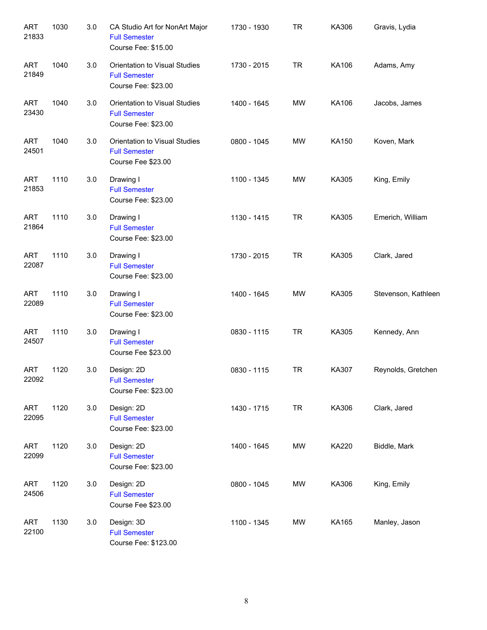| <b>ART</b><br>21833 | 1030 | 3.0 | CA Studio Art for NonArt Major<br><b>Full Semester</b><br>Course Fee: \$15.00 | 1730 - 1930 | <b>TR</b> | KA306        | Gravis, Lydia       |
|---------------------|------|-----|-------------------------------------------------------------------------------|-------------|-----------|--------------|---------------------|
| <b>ART</b><br>21849 | 1040 | 3.0 | Orientation to Visual Studies<br><b>Full Semester</b><br>Course Fee: \$23.00  | 1730 - 2015 | <b>TR</b> | KA106        | Adams, Amy          |
| <b>ART</b><br>23430 | 1040 | 3.0 | Orientation to Visual Studies<br><b>Full Semester</b><br>Course Fee: \$23.00  | 1400 - 1645 | <b>MW</b> | KA106        | Jacobs, James       |
| <b>ART</b><br>24501 | 1040 | 3.0 | Orientation to Visual Studies<br><b>Full Semester</b><br>Course Fee \$23.00   | 0800 - 1045 | <b>MW</b> | KA150        | Koven, Mark         |
| <b>ART</b><br>21853 | 1110 | 3.0 | Drawing I<br><b>Full Semester</b><br>Course Fee: \$23.00                      | 1100 - 1345 | <b>MW</b> | KA305        | King, Emily         |
| <b>ART</b><br>21864 | 1110 | 3.0 | Drawing I<br><b>Full Semester</b><br>Course Fee: \$23.00                      | 1130 - 1415 | <b>TR</b> | KA305        | Emerich, William    |
| <b>ART</b><br>22087 | 1110 | 3.0 | Drawing I<br><b>Full Semester</b><br>Course Fee: \$23.00                      | 1730 - 2015 | <b>TR</b> | KA305        | Clark, Jared        |
| <b>ART</b><br>22089 | 1110 | 3.0 | Drawing I<br><b>Full Semester</b><br>Course Fee: \$23.00                      | 1400 - 1645 | <b>MW</b> | KA305        | Stevenson, Kathleen |
| <b>ART</b><br>24507 | 1110 | 3.0 | Drawing I<br><b>Full Semester</b><br>Course Fee \$23.00                       | 0830 - 1115 | <b>TR</b> | KA305        | Kennedy, Ann        |
| ART<br>22092        | 1120 | 3.0 | Design: 2D<br><b>Full Semester</b><br>Course Fee: \$23.00                     | 0830 - 1115 | <b>TR</b> | KA307        | Reynolds, Gretchen  |
| <b>ART</b><br>22095 | 1120 | 3.0 | Design: 2D<br><b>Full Semester</b><br>Course Fee: \$23.00                     | 1430 - 1715 | TR        | KA306        | Clark, Jared        |
| <b>ART</b><br>22099 | 1120 | 3.0 | Design: 2D<br><b>Full Semester</b><br>Course Fee: \$23.00                     | 1400 - 1645 | MW        | <b>KA220</b> | Biddle, Mark        |
| <b>ART</b><br>24506 | 1120 | 3.0 | Design: 2D<br><b>Full Semester</b><br>Course Fee \$23.00                      | 0800 - 1045 | MW        | KA306        | King, Emily         |
| <b>ART</b><br>22100 | 1130 | 3.0 | Design: 3D<br><b>Full Semester</b><br>Course Fee: \$123.00                    | 1100 - 1345 | MW        | KA165        | Manley, Jason       |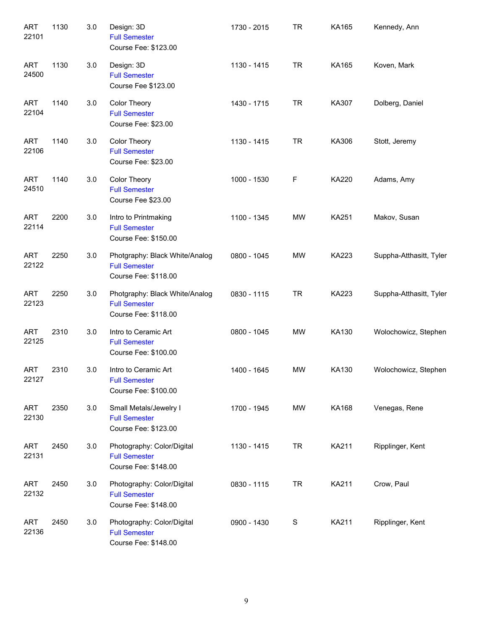| <b>ART</b><br>22101 | 1130 | 3.0 | Design: 3D<br><b>Full Semester</b><br>Course Fee: \$123.00                     | 1730 - 2015 | <b>TR</b> | KA165        | Kennedy, Ann            |
|---------------------|------|-----|--------------------------------------------------------------------------------|-------------|-----------|--------------|-------------------------|
| <b>ART</b><br>24500 | 1130 | 3.0 | Design: 3D<br><b>Full Semester</b><br>Course Fee \$123.00                      | 1130 - 1415 | <b>TR</b> | KA165        | Koven, Mark             |
| <b>ART</b><br>22104 | 1140 | 3.0 | Color Theory<br><b>Full Semester</b><br>Course Fee: \$23.00                    | 1430 - 1715 | <b>TR</b> | KA307        | Dolberg, Daniel         |
| <b>ART</b><br>22106 | 1140 | 3.0 | Color Theory<br><b>Full Semester</b><br>Course Fee: \$23.00                    | 1130 - 1415 | <b>TR</b> | KA306        | Stott, Jeremy           |
| <b>ART</b><br>24510 | 1140 | 3.0 | Color Theory<br><b>Full Semester</b><br>Course Fee \$23.00                     | 1000 - 1530 | F         | KA220        | Adams, Amy              |
| <b>ART</b><br>22114 | 2200 | 3.0 | Intro to Printmaking<br><b>Full Semester</b><br>Course Fee: \$150.00           | 1100 - 1345 | <b>MW</b> | <b>KA251</b> | Makov, Susan            |
| <b>ART</b><br>22122 | 2250 | 3.0 | Photgraphy: Black White/Analog<br><b>Full Semester</b><br>Course Fee: \$118.00 | 0800 - 1045 | <b>MW</b> | KA223        | Suppha-Atthasitt, Tyler |
| <b>ART</b><br>22123 | 2250 | 3.0 | Photgraphy: Black White/Analog<br><b>Full Semester</b><br>Course Fee: \$118.00 | 0830 - 1115 | <b>TR</b> | KA223        | Suppha-Atthasitt, Tyler |
| <b>ART</b><br>22125 | 2310 | 3.0 | Intro to Ceramic Art<br><b>Full Semester</b><br>Course Fee: \$100.00           | 0800 - 1045 | MW        | KA130        | Wolochowicz, Stephen    |
| ART<br>22127        | 2310 | 3.0 | Intro to Ceramic Art<br><b>Full Semester</b><br>Course Fee: \$100.00           | 1400 - 1645 | MW        | KA130        | Wolochowicz, Stephen    |
| <b>ART</b><br>22130 | 2350 | 3.0 | Small Metals/Jewelry I<br><b>Full Semester</b><br>Course Fee: \$123.00         | 1700 - 1945 | MW        | KA168        | Venegas, Rene           |
| <b>ART</b><br>22131 | 2450 | 3.0 | Photography: Color/Digital<br><b>Full Semester</b><br>Course Fee: \$148.00     | 1130 - 1415 | <b>TR</b> | KA211        | Ripplinger, Kent        |
| ART<br>22132        | 2450 | 3.0 | Photography: Color/Digital<br><b>Full Semester</b><br>Course Fee: \$148.00     | 0830 - 1115 | <b>TR</b> | KA211        | Crow, Paul              |
| ART<br>22136        | 2450 | 3.0 | Photography: Color/Digital<br><b>Full Semester</b><br>Course Fee: \$148.00     | 0900 - 1430 | S         | KA211        | Ripplinger, Kent        |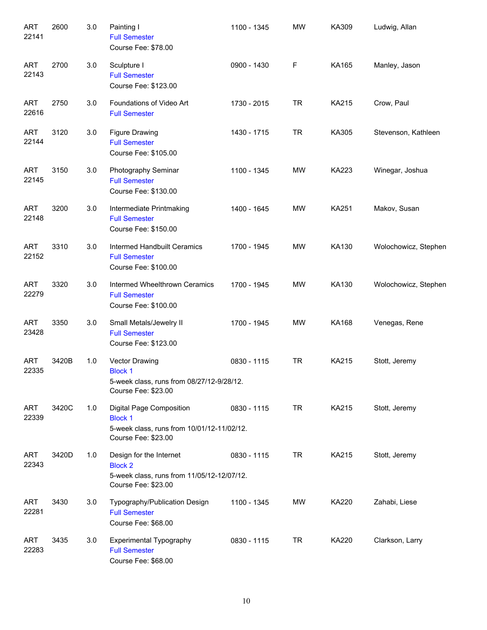| <b>ART</b><br>22141 | 2600  | 3.0 | Painting I<br><b>Full Semester</b><br>Course Fee: \$78.00                                                       | 1100 - 1345 | <b>MW</b> | KA309        | Ludwig, Allan        |
|---------------------|-------|-----|-----------------------------------------------------------------------------------------------------------------|-------------|-----------|--------------|----------------------|
| <b>ART</b><br>22143 | 2700  | 3.0 | Sculpture I<br><b>Full Semester</b><br>Course Fee: \$123.00                                                     | 0900 - 1430 | F         | KA165        | Manley, Jason        |
| <b>ART</b><br>22616 | 2750  | 3.0 | Foundations of Video Art<br><b>Full Semester</b>                                                                | 1730 - 2015 | <b>TR</b> | KA215        | Crow, Paul           |
| <b>ART</b><br>22144 | 3120  | 3.0 | <b>Figure Drawing</b><br><b>Full Semester</b><br>Course Fee: \$105.00                                           | 1430 - 1715 | <b>TR</b> | KA305        | Stevenson, Kathleen  |
| <b>ART</b><br>22145 | 3150  | 3.0 | Photography Seminar<br><b>Full Semester</b><br>Course Fee: \$130.00                                             | 1100 - 1345 | MW        | KA223        | Winegar, Joshua      |
| <b>ART</b><br>22148 | 3200  | 3.0 | Intermediate Printmaking<br><b>Full Semester</b><br>Course Fee: \$150.00                                        | 1400 - 1645 | MW        | <b>KA251</b> | Makov, Susan         |
| <b>ART</b><br>22152 | 3310  | 3.0 | Intermed Handbuilt Ceramics<br><b>Full Semester</b><br>Course Fee: \$100.00                                     | 1700 - 1945 | <b>MW</b> | KA130        | Wolochowicz, Stephen |
| <b>ART</b><br>22279 | 3320  | 3.0 | Intermed Wheelthrown Ceramics<br><b>Full Semester</b><br>Course Fee: \$100.00                                   | 1700 - 1945 | <b>MW</b> | KA130        | Wolochowicz, Stephen |
| <b>ART</b><br>23428 | 3350  | 3.0 | Small Metals/Jewelry II<br><b>Full Semester</b><br>Course Fee: \$123.00                                         | 1700 - 1945 | MW        | KA168        | Venegas, Rene        |
| <b>ART</b><br>22335 | 3420B | 1.0 | Vector Drawing<br><b>Block 1</b><br>5-week class, runs from 08/27/12-9/28/12.<br>Course Fee: \$23.00            | 0830 - 1115 | <b>TR</b> | KA215        | Stott, Jeremy        |
| <b>ART</b><br>22339 | 3420C | 1.0 | Digital Page Composition<br><b>Block 1</b><br>5-week class, runs from 10/01/12-11/02/12.<br>Course Fee: \$23.00 | 0830 - 1115 | <b>TR</b> | KA215        | Stott, Jeremy        |
| <b>ART</b><br>22343 | 3420D | 1.0 | Design for the Internet<br><b>Block 2</b><br>5-week class, runs from 11/05/12-12/07/12.<br>Course Fee: \$23.00  | 0830 - 1115 | TR        | KA215        | Stott, Jeremy        |
| <b>ART</b><br>22281 | 3430  | 3.0 | Typography/Publication Design<br><b>Full Semester</b><br>Course Fee: \$68.00                                    | 1100 - 1345 | MW        | KA220        | Zahabi, Liese        |
| <b>ART</b><br>22283 | 3435  | 3.0 | <b>Experimental Typography</b><br><b>Full Semester</b><br>Course Fee: \$68.00                                   | 0830 - 1115 | <b>TR</b> | KA220        | Clarkson, Larry      |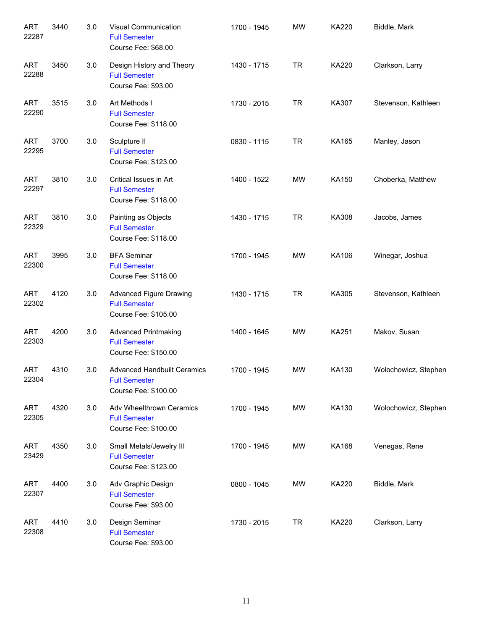| <b>ART</b><br>22287 | 3440 | 3.0 | Visual Communication<br><b>Full Semester</b><br>Course Fee: \$68.00                | 1700 - 1945 | <b>MW</b> | KA220        | Biddle, Mark         |
|---------------------|------|-----|------------------------------------------------------------------------------------|-------------|-----------|--------------|----------------------|
| <b>ART</b><br>22288 | 3450 | 3.0 | Design History and Theory<br><b>Full Semester</b><br>Course Fee: \$93.00           | 1430 - 1715 | <b>TR</b> | KA220        | Clarkson, Larry      |
| <b>ART</b><br>22290 | 3515 | 3.0 | Art Methods I<br><b>Full Semester</b><br>Course Fee: \$118.00                      | 1730 - 2015 | <b>TR</b> | KA307        | Stevenson, Kathleen  |
| <b>ART</b><br>22295 | 3700 | 3.0 | Sculpture II<br><b>Full Semester</b><br>Course Fee: \$123.00                       | 0830 - 1115 | <b>TR</b> | KA165        | Manley, Jason        |
| <b>ART</b><br>22297 | 3810 | 3.0 | Critical Issues in Art<br><b>Full Semester</b><br>Course Fee: \$118.00             | 1400 - 1522 | MW        | KA150        | Choberka, Matthew    |
| <b>ART</b><br>22329 | 3810 | 3.0 | Painting as Objects<br><b>Full Semester</b><br>Course Fee: \$118.00                | 1430 - 1715 | <b>TR</b> | KA308        | Jacobs, James        |
| <b>ART</b><br>22300 | 3995 | 3.0 | <b>BFA Seminar</b><br><b>Full Semester</b><br>Course Fee: \$118.00                 | 1700 - 1945 | MW        | KA106        | Winegar, Joshua      |
| <b>ART</b><br>22302 | 4120 | 3.0 | <b>Advanced Figure Drawing</b><br><b>Full Semester</b><br>Course Fee: \$105.00     | 1430 - 1715 | <b>TR</b> | KA305        | Stevenson, Kathleen  |
| <b>ART</b><br>22303 | 4200 | 3.0 | <b>Advanced Printmaking</b><br><b>Full Semester</b><br>Course Fee: \$150.00        | 1400 - 1645 | MW        | <b>KA251</b> | Makov, Susan         |
| <b>ART</b><br>22304 | 4310 | 3.0 | <b>Advanced Handbuilt Ceramics</b><br><b>Full Semester</b><br>Course Fee: \$100.00 | 1700 - 1945 | <b>MW</b> | KA130        | Wolochowicz, Stephen |
| ART<br>22305        | 4320 | 3.0 | Adv Wheelthrown Ceramics<br><b>Full Semester</b><br>Course Fee: \$100.00           | 1700 - 1945 | MW        | KA130        | Wolochowicz, Stephen |
| ART<br>23429        | 4350 | 3.0 | Small Metals/Jewelry III<br><b>Full Semester</b><br>Course Fee: \$123.00           | 1700 - 1945 | MW        | KA168        | Venegas, Rene        |
| ART<br>22307        | 4400 | 3.0 | Adv Graphic Design<br><b>Full Semester</b><br>Course Fee: \$93.00                  | 0800 - 1045 | MW        | KA220        | Biddle, Mark         |
| ART<br>22308        | 4410 | 3.0 | Design Seminar<br><b>Full Semester</b><br>Course Fee: \$93.00                      | 1730 - 2015 | <b>TR</b> | KA220        | Clarkson, Larry      |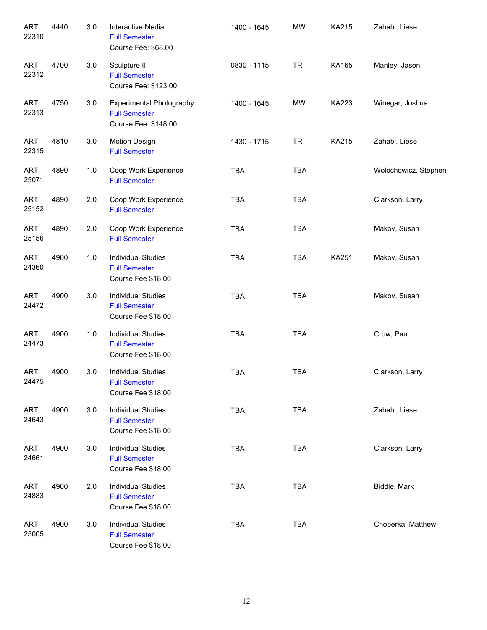| <b>ART</b><br>22310 | 4440 | 3.0 | Interactive Media<br><b>Full Semester</b><br>Course Fee: \$68.00                | 1400 - 1645 | <b>MW</b>  | KA215        | Zahabi, Liese        |
|---------------------|------|-----|---------------------------------------------------------------------------------|-------------|------------|--------------|----------------------|
| <b>ART</b><br>22312 | 4700 | 3.0 | Sculpture III<br><b>Full Semester</b><br>Course Fee: \$123.00                   | 0830 - 1115 | <b>TR</b>  | KA165        | Manley, Jason        |
| <b>ART</b><br>22313 | 4750 | 3.0 | <b>Experimental Photography</b><br><b>Full Semester</b><br>Course Fee: \$148.00 | 1400 - 1645 | <b>MW</b>  | <b>KA223</b> | Winegar, Joshua      |
| <b>ART</b><br>22315 | 4810 | 3.0 | <b>Motion Design</b><br><b>Full Semester</b>                                    | 1430 - 1715 | <b>TR</b>  | KA215        | Zahabi, Liese        |
| <b>ART</b><br>25071 | 4890 | 1.0 | Coop Work Experience<br><b>Full Semester</b>                                    | <b>TBA</b>  | <b>TBA</b> |              | Wolochowicz, Stephen |
| <b>ART</b><br>25152 | 4890 | 2.0 | Coop Work Experience<br><b>Full Semester</b>                                    | <b>TBA</b>  | <b>TBA</b> |              | Clarkson, Larry      |
| <b>ART</b><br>25156 | 4890 | 2.0 | Coop Work Experience<br><b>Full Semester</b>                                    | <b>TBA</b>  | <b>TBA</b> |              | Makov, Susan         |
| <b>ART</b><br>24360 | 4900 | 1.0 | <b>Individual Studies</b><br><b>Full Semester</b><br>Course Fee \$18.00         | <b>TBA</b>  | <b>TBA</b> | <b>KA251</b> | Makov, Susan         |
| <b>ART</b><br>24472 | 4900 | 3.0 | <b>Individual Studies</b><br><b>Full Semester</b><br>Course Fee \$18.00         | <b>TBA</b>  | <b>TBA</b> |              | Makov, Susan         |
| <b>ART</b><br>24473 | 4900 | 1.0 | <b>Individual Studies</b><br><b>Full Semester</b><br>Course Fee \$18.00         | <b>TBA</b>  | <b>TBA</b> |              | Crow, Paul           |
| <b>ART</b><br>24475 | 4900 | 3.0 | <b>Individual Studies</b><br><b>Full Semester</b><br>Course Fee \$18.00         | <b>TBA</b>  | <b>TBA</b> |              | Clarkson, Larry      |
| <b>ART</b><br>24643 | 4900 | 3.0 | <b>Individual Studies</b><br><b>Full Semester</b><br>Course Fee \$18.00         | <b>TBA</b>  | <b>TBA</b> |              | Zahabi, Liese        |
| <b>ART</b><br>24661 | 4900 | 3.0 | <b>Individual Studies</b><br><b>Full Semester</b><br>Course Fee \$18.00         | <b>TBA</b>  | <b>TBA</b> |              | Clarkson, Larry      |
| <b>ART</b><br>24883 | 4900 | 2.0 | <b>Individual Studies</b><br><b>Full Semester</b><br>Course Fee \$18.00         | <b>TBA</b>  | <b>TBA</b> |              | Biddle, Mark         |
| <b>ART</b><br>25005 | 4900 | 3.0 | <b>Individual Studies</b><br><b>Full Semester</b><br>Course Fee \$18.00         | <b>TBA</b>  | <b>TBA</b> |              | Choberka, Matthew    |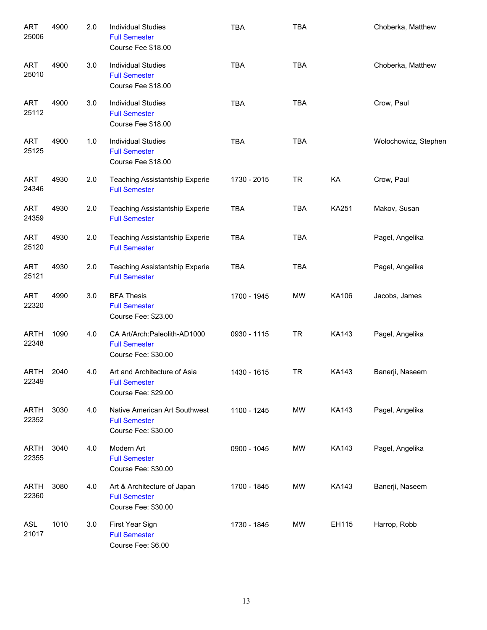| <b>ART</b><br>25006  | 4900 | 2.0 | <b>Individual Studies</b><br><b>Full Semester</b><br>Course Fee \$18.00      | <b>TBA</b>  | <b>TBA</b> |              | Choberka, Matthew    |
|----------------------|------|-----|------------------------------------------------------------------------------|-------------|------------|--------------|----------------------|
| <b>ART</b><br>25010  | 4900 | 3.0 | <b>Individual Studies</b><br><b>Full Semester</b><br>Course Fee \$18.00      | <b>TBA</b>  | <b>TBA</b> |              | Choberka, Matthew    |
| <b>ART</b><br>25112  | 4900 | 3.0 | <b>Individual Studies</b><br><b>Full Semester</b><br>Course Fee \$18.00      | <b>TBA</b>  | <b>TBA</b> |              | Crow, Paul           |
| <b>ART</b><br>25125  | 4900 | 1.0 | <b>Individual Studies</b><br><b>Full Semester</b><br>Course Fee \$18.00      | <b>TBA</b>  | <b>TBA</b> |              | Wolochowicz, Stephen |
| <b>ART</b><br>24346  | 4930 | 2.0 | <b>Teaching Assistantship Experie</b><br><b>Full Semester</b>                | 1730 - 2015 | <b>TR</b>  | KA           | Crow, Paul           |
| <b>ART</b><br>24359  | 4930 | 2.0 | Teaching Assistantship Experie<br><b>Full Semester</b>                       | <b>TBA</b>  | <b>TBA</b> | KA251        | Makov, Susan         |
| <b>ART</b><br>25120  | 4930 | 2.0 | Teaching Assistantship Experie<br><b>Full Semester</b>                       | <b>TBA</b>  | <b>TBA</b> |              | Pagel, Angelika      |
| <b>ART</b><br>25121  | 4930 | 2.0 | Teaching Assistantship Experie<br><b>Full Semester</b>                       | <b>TBA</b>  | <b>TBA</b> |              | Pagel, Angelika      |
| <b>ART</b><br>22320  | 4990 | 3.0 | <b>BFA Thesis</b><br><b>Full Semester</b><br>Course Fee: \$23.00             | 1700 - 1945 | <b>MW</b>  | KA106        | Jacobs, James        |
| <b>ARTH</b><br>22348 | 1090 | 4.0 | CA Art/Arch: Paleolith-AD1000<br><b>Full Semester</b><br>Course Fee: \$30.00 | 0930 - 1115 | <b>TR</b>  | <b>KA143</b> | Pagel, Angelika      |
| <b>ARTH</b><br>22349 | 2040 | 4.0 | Art and Architecture of Asia<br><b>Full Semester</b><br>Course Fee: \$29.00  | 1430 - 1615 | <b>TR</b>  | <b>KA143</b> | Banerji, Naseem      |
| <b>ARTH</b><br>22352 | 3030 | 4.0 | Native American Art Southwest<br><b>Full Semester</b><br>Course Fee: \$30.00 | 1100 - 1245 | MW         | <b>KA143</b> | Pagel, Angelika      |
| <b>ARTH</b><br>22355 | 3040 | 4.0 | Modern Art<br><b>Full Semester</b><br>Course Fee: \$30.00                    | 0900 - 1045 | MW         | <b>KA143</b> | Pagel, Angelika      |
| <b>ARTH</b><br>22360 | 3080 | 4.0 | Art & Architecture of Japan<br><b>Full Semester</b><br>Course Fee: \$30.00   | 1700 - 1845 | MW         | <b>KA143</b> | Banerji, Naseem      |
| ASL<br>21017         | 1010 | 3.0 | First Year Sign<br><b>Full Semester</b><br>Course Fee: \$6.00                | 1730 - 1845 | MW         | EH115        | Harrop, Robb         |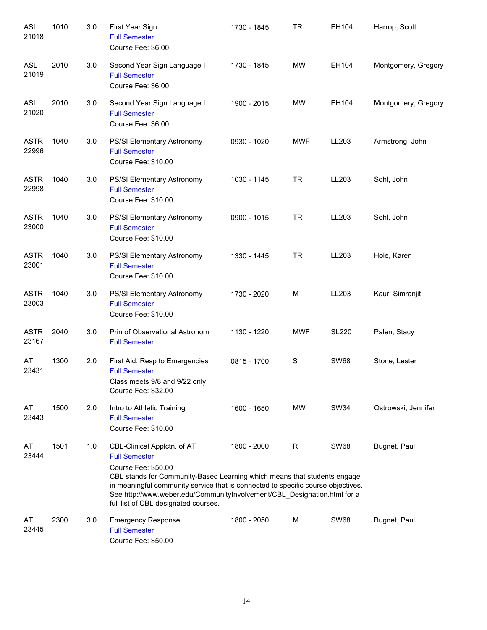| <b>ASL</b><br>21018  | 1010 | 3.0 | First Year Sign<br><b>Full Semester</b><br>Course Fee: \$6.00                                                                                                                                                                                                                                                                                                    | 1730 - 1845 | <b>TR</b>  | EH104        | Harrop, Scott       |
|----------------------|------|-----|------------------------------------------------------------------------------------------------------------------------------------------------------------------------------------------------------------------------------------------------------------------------------------------------------------------------------------------------------------------|-------------|------------|--------------|---------------------|
| <b>ASL</b><br>21019  | 2010 | 3.0 | Second Year Sign Language I<br><b>Full Semester</b><br>Course Fee: \$6.00                                                                                                                                                                                                                                                                                        | 1730 - 1845 | <b>MW</b>  | EH104        | Montgomery, Gregory |
| <b>ASL</b><br>21020  | 2010 | 3.0 | Second Year Sign Language I<br><b>Full Semester</b><br>Course Fee: \$6.00                                                                                                                                                                                                                                                                                        | 1900 - 2015 | <b>MW</b>  | EH104        | Montgomery, Gregory |
| <b>ASTR</b><br>22996 | 1040 | 3.0 | PS/SI Elementary Astronomy<br><b>Full Semester</b><br>Course Fee: \$10.00                                                                                                                                                                                                                                                                                        | 0930 - 1020 | <b>MWF</b> | LL203        | Armstrong, John     |
| <b>ASTR</b><br>22998 | 1040 | 3.0 | PS/SI Elementary Astronomy<br><b>Full Semester</b><br>Course Fee: \$10.00                                                                                                                                                                                                                                                                                        | 1030 - 1145 | <b>TR</b>  | LL203        | Sohl, John          |
| <b>ASTR</b><br>23000 | 1040 | 3.0 | PS/SI Elementary Astronomy<br><b>Full Semester</b><br>Course Fee: \$10.00                                                                                                                                                                                                                                                                                        | 0900 - 1015 | <b>TR</b>  | LL203        | Sohl, John          |
| <b>ASTR</b><br>23001 | 1040 | 3.0 | PS/SI Elementary Astronomy<br><b>Full Semester</b><br>Course Fee: \$10.00                                                                                                                                                                                                                                                                                        | 1330 - 1445 | <b>TR</b>  | LL203        | Hole, Karen         |
| <b>ASTR</b><br>23003 | 1040 | 3.0 | PS/SI Elementary Astronomy<br><b>Full Semester</b><br>Course Fee: \$10.00                                                                                                                                                                                                                                                                                        | 1730 - 2020 | M          | LL203        | Kaur, Simranjit     |
| <b>ASTR</b><br>23167 | 2040 | 3.0 | Prin of Observational Astronom<br><b>Full Semester</b>                                                                                                                                                                                                                                                                                                           | 1130 - 1220 | <b>MWF</b> | <b>SL220</b> | Palen, Stacy        |
| AT<br>23431          | 1300 | 2.0 | First Aid: Resp to Emergencies<br><b>Full Semester</b><br>Class meets 9/8 and 9/22 only<br>Course Fee: \$32.00                                                                                                                                                                                                                                                   | 0815 - 1700 | S          | <b>SW68</b>  | Stone, Lester       |
| AT<br>23443          | 1500 | 2.0 | Intro to Athletic Training<br><b>Full Semester</b><br>Course Fee: \$10.00                                                                                                                                                                                                                                                                                        | 1600 - 1650 | MW         | <b>SW34</b>  | Ostrowski, Jennifer |
| AT<br>23444          | 1501 | 1.0 | CBL-Clinical Applctn. of AT I<br><b>Full Semester</b><br>Course Fee: \$50.00<br>CBL stands for Community-Based Learning which means that students engage<br>in meaningful community service that is connected to specific course objectives.<br>See http://www.weber.edu/CommunityInvolvement/CBL_Designation.html for a<br>full list of CBL designated courses. | 1800 - 2000 | R          | <b>SW68</b>  | Bugnet, Paul        |
| AT<br>23445          | 2300 | 3.0 | <b>Emergency Response</b><br><b>Full Semester</b><br>Course Fee: \$50.00                                                                                                                                                                                                                                                                                         | 1800 - 2050 | M          | <b>SW68</b>  | Bugnet, Paul        |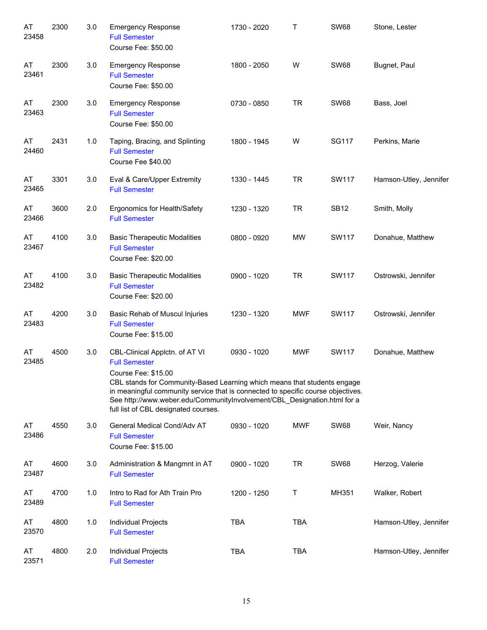| AT<br>23458 | 2300 | 3.0 | <b>Emergency Response</b><br><b>Full Semester</b><br>Course Fee: \$50.00                                                                                                                                                                                                                                                                                          | 1730 - 2020 | Т          | <b>SW68</b>  | Stone, Lester          |
|-------------|------|-----|-------------------------------------------------------------------------------------------------------------------------------------------------------------------------------------------------------------------------------------------------------------------------------------------------------------------------------------------------------------------|-------------|------------|--------------|------------------------|
| AT<br>23461 | 2300 | 3.0 | <b>Emergency Response</b><br><b>Full Semester</b><br>Course Fee: \$50.00                                                                                                                                                                                                                                                                                          | 1800 - 2050 | W          | <b>SW68</b>  | Bugnet, Paul           |
| AT<br>23463 | 2300 | 3.0 | <b>Emergency Response</b><br><b>Full Semester</b><br>Course Fee: \$50.00                                                                                                                                                                                                                                                                                          | 0730 - 0850 | <b>TR</b>  | <b>SW68</b>  | Bass, Joel             |
| AT<br>24460 | 2431 | 1.0 | Taping, Bracing, and Splinting<br><b>Full Semester</b><br>Course Fee \$40.00                                                                                                                                                                                                                                                                                      | 1800 - 1945 | W          | <b>SG117</b> | Perkins, Marie         |
| AT<br>23465 | 3301 | 3.0 | Eval & Care/Upper Extremity<br><b>Full Semester</b>                                                                                                                                                                                                                                                                                                               | 1330 - 1445 | <b>TR</b>  | <b>SW117</b> | Hamson-Utley, Jennifer |
| AT<br>23466 | 3600 | 2.0 | Ergonomics for Health/Safety<br><b>Full Semester</b>                                                                                                                                                                                                                                                                                                              | 1230 - 1320 | <b>TR</b>  | <b>SB12</b>  | Smith, Molly           |
| AT<br>23467 | 4100 | 3.0 | <b>Basic Therapeutic Modalities</b><br><b>Full Semester</b><br>Course Fee: \$20.00                                                                                                                                                                                                                                                                                | 0800 - 0920 | <b>MW</b>  | <b>SW117</b> | Donahue, Matthew       |
| AT<br>23482 | 4100 | 3.0 | <b>Basic Therapeutic Modalities</b><br><b>Full Semester</b><br>Course Fee: \$20.00                                                                                                                                                                                                                                                                                | 0900 - 1020 | <b>TR</b>  | <b>SW117</b> | Ostrowski, Jennifer    |
| AT<br>23483 | 4200 | 3.0 | Basic Rehab of Muscul Injuries<br><b>Full Semester</b><br>Course Fee: \$15.00                                                                                                                                                                                                                                                                                     | 1230 - 1320 | <b>MWF</b> | <b>SW117</b> | Ostrowski, Jennifer    |
| AT<br>23485 | 4500 | 3.0 | CBL-Clinical Applctn. of AT VI<br><b>Full Semester</b><br>Course Fee: \$15.00<br>CBL stands for Community-Based Learning which means that students engage<br>in meaningful community service that is connected to specific course objectives.<br>See http://www.weber.edu/CommunityInvolvement/CBL_Designation.html for a<br>full list of CBL designated courses. | 0930 - 1020 | <b>MWF</b> | SW117        | Donahue, Matthew       |
| AT<br>23486 | 4550 | 3.0 | General Medical Cond/Adv AT<br><b>Full Semester</b><br>Course Fee: \$15.00                                                                                                                                                                                                                                                                                        | 0930 - 1020 | <b>MWF</b> | <b>SW68</b>  | Weir, Nancy            |
| AT<br>23487 | 4600 | 3.0 | Administration & Mangmnt in AT<br><b>Full Semester</b>                                                                                                                                                                                                                                                                                                            | 0900 - 1020 | <b>TR</b>  | <b>SW68</b>  | Herzog, Valerie        |
| AT<br>23489 | 4700 | 1.0 | Intro to Rad for Ath Train Pro<br><b>Full Semester</b>                                                                                                                                                                                                                                                                                                            | 1200 - 1250 | Т          | MH351        | Walker, Robert         |
| AT<br>23570 | 4800 | 1.0 | Individual Projects<br><b>Full Semester</b>                                                                                                                                                                                                                                                                                                                       | <b>TBA</b>  | <b>TBA</b> |              | Hamson-Utley, Jennifer |
| AT<br>23571 | 4800 | 2.0 | Individual Projects<br><b>Full Semester</b>                                                                                                                                                                                                                                                                                                                       | <b>TBA</b>  | <b>TBA</b> |              | Hamson-Utley, Jennifer |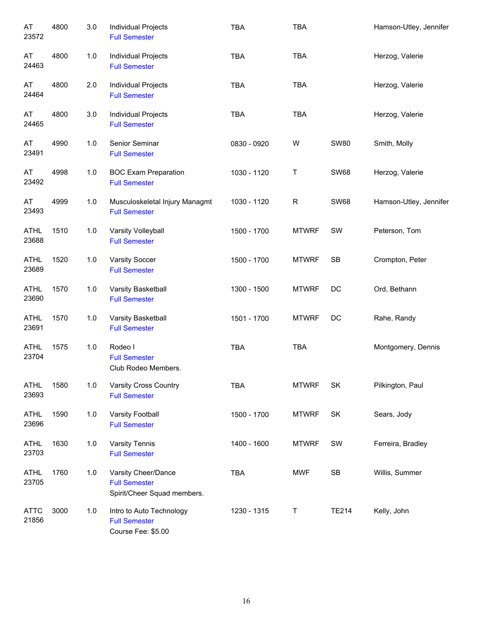| AT<br>23572          | 4800 | 3.0   | Individual Projects<br><b>Full Semester</b>                                | <b>TBA</b>  | <b>TBA</b>   |              | Hamson-Utley, Jennifer |
|----------------------|------|-------|----------------------------------------------------------------------------|-------------|--------------|--------------|------------------------|
| AT<br>24463          | 4800 | $1.0$ | Individual Projects<br><b>Full Semester</b>                                | <b>TBA</b>  | <b>TBA</b>   |              | Herzog, Valerie        |
| AT<br>24464          | 4800 | 2.0   | Individual Projects<br><b>Full Semester</b>                                | <b>TBA</b>  | <b>TBA</b>   |              | Herzog, Valerie        |
| AT<br>24465          | 4800 | 3.0   | Individual Projects<br><b>Full Semester</b>                                | <b>TBA</b>  | <b>TBA</b>   |              | Herzog, Valerie        |
| AT<br>23491          | 4990 | 1.0   | Senior Seminar<br><b>Full Semester</b>                                     | 0830 - 0920 | W            | <b>SW80</b>  | Smith, Molly           |
| AT<br>23492          | 4998 | $1.0$ | <b>BOC Exam Preparation</b><br><b>Full Semester</b>                        | 1030 - 1120 | $\sf T$      | <b>SW68</b>  | Herzog, Valerie        |
| AT<br>23493          | 4999 | 1.0   | Musculoskeletal Injury Managmt<br><b>Full Semester</b>                     | 1030 - 1120 | R            | <b>SW68</b>  | Hamson-Utley, Jennifer |
| <b>ATHL</b><br>23688 | 1510 | 1.0   | Varsity Volleyball<br><b>Full Semester</b>                                 | 1500 - 1700 | <b>MTWRF</b> | SW           | Peterson, Tom          |
| <b>ATHL</b><br>23689 | 1520 | 1.0   | <b>Varsity Soccer</b><br><b>Full Semester</b>                              | 1500 - 1700 | <b>MTWRF</b> | SB           | Crompton, Peter        |
| <b>ATHL</b><br>23690 | 1570 | 1.0   | Varsity Basketball<br><b>Full Semester</b>                                 | 1300 - 1500 | <b>MTWRF</b> | DC           | Ord, Bethann           |
| <b>ATHL</b><br>23691 | 1570 | $1.0$ | Varsity Basketball<br><b>Full Semester</b>                                 | 1501 - 1700 | <b>MTWRF</b> | DC           | Rahe, Randy            |
| <b>ATHL</b><br>23704 | 1575 | $1.0$ | Rodeo I<br><b>Full Semester</b><br>Club Rodeo Members.                     | <b>TBA</b>  | <b>TBA</b>   |              | Montgomery, Dennis     |
| <b>ATHL</b><br>23693 | 1580 | 1.0   | <b>Varsity Cross Country</b><br><b>Full Semester</b>                       | <b>TBA</b>  | <b>MTWRF</b> | SK           | Pilkington, Paul       |
| <b>ATHL</b><br>23696 | 1590 | $1.0$ | Varsity Football<br><b>Full Semester</b>                                   | 1500 - 1700 | <b>MTWRF</b> | SK           | Sears, Jody            |
| ATHL<br>23703        | 1630 | 1.0   | Varsity Tennis<br><b>Full Semester</b>                                     | 1400 - 1600 | <b>MTWRF</b> | SW           | Ferreira, Bradley      |
| <b>ATHL</b><br>23705 | 1760 | 1.0   | Varsity Cheer/Dance<br><b>Full Semester</b><br>Spirit/Cheer Squad members. | <b>TBA</b>  | <b>MWF</b>   | SB           | Willis, Summer         |
| <b>ATTC</b><br>21856 | 3000 | 1.0   | Intro to Auto Technology<br><b>Full Semester</b><br>Course Fee: \$5.00     | 1230 - 1315 | Τ            | <b>TE214</b> | Kelly, John            |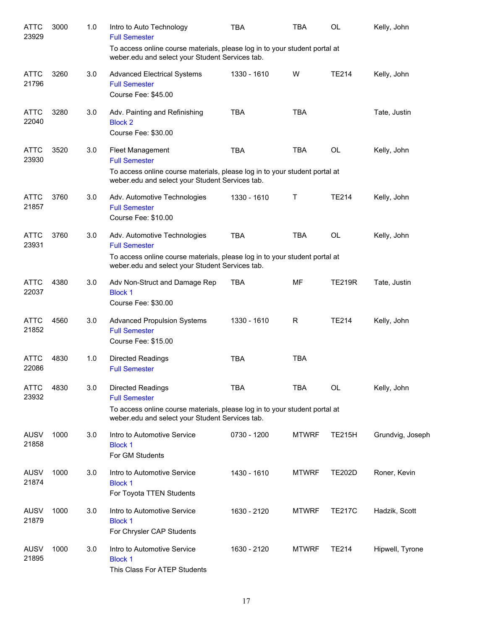| <b>ATTC</b><br>23929 | 3000 | 1.0 | Intro to Auto Technology<br><b>Full Semester</b>                                                                                                                                      | TBA         | <b>TBA</b>   | <b>OL</b>     | Kelly, John      |
|----------------------|------|-----|---------------------------------------------------------------------------------------------------------------------------------------------------------------------------------------|-------------|--------------|---------------|------------------|
|                      |      |     | To access online course materials, please log in to your student portal at<br>weber.edu and select your Student Services tab.                                                         |             |              |               |                  |
| <b>ATTC</b><br>21796 | 3260 | 3.0 | <b>Advanced Electrical Systems</b><br><b>Full Semester</b><br>Course Fee: \$45.00                                                                                                     | 1330 - 1610 | W            | <b>TE214</b>  | Kelly, John      |
| <b>ATTC</b><br>22040 | 3280 | 3.0 | Adv. Painting and Refinishing<br><b>Block 2</b><br>Course Fee: \$30.00                                                                                                                | <b>TBA</b>  | <b>TBA</b>   |               | Tate, Justin     |
| <b>ATTC</b><br>23930 | 3520 | 3.0 | Fleet Management<br><b>Full Semester</b><br>To access online course materials, please log in to your student portal at<br>weber.edu and select your Student Services tab.             | <b>TBA</b>  | <b>TBA</b>   | <b>OL</b>     | Kelly, John      |
| <b>ATTC</b><br>21857 | 3760 | 3.0 | Adv. Automotive Technologies<br><b>Full Semester</b><br>Course Fee: \$10.00                                                                                                           | 1330 - 1610 | Т            | <b>TE214</b>  | Kelly, John      |
| <b>ATTC</b><br>23931 | 3760 | 3.0 | Adv. Automotive Technologies<br><b>Full Semester</b><br>To access online course materials, please log in to your student portal at<br>weber.edu and select your Student Services tab. | <b>TBA</b>  | <b>TBA</b>   | <b>OL</b>     | Kelly, John      |
| <b>ATTC</b><br>22037 | 4380 | 3.0 | Adv Non-Struct and Damage Rep<br><b>Block 1</b><br>Course Fee: \$30.00                                                                                                                | <b>TBA</b>  | MF           | <b>TE219R</b> | Tate, Justin     |
| <b>ATTC</b><br>21852 | 4560 | 3.0 | <b>Advanced Propulsion Systems</b><br><b>Full Semester</b><br>Course Fee: \$15.00                                                                                                     | 1330 - 1610 | R            | <b>TE214</b>  | Kelly, John      |
| <b>ATTC</b><br>22086 | 4830 | 1.0 | <b>Directed Readings</b><br><b>Full Semester</b>                                                                                                                                      | <b>TBA</b>  | <b>TBA</b>   |               |                  |
| <b>ATTC</b><br>23932 | 4830 | 3.0 | Directed Readings<br><b>Full Semester</b><br>To access online course materials, please log in to your student portal at<br>weber.edu and select your Student Services tab.            | <b>TBA</b>  | TBA          | <b>OL</b>     | Kelly, John      |
| <b>AUSV</b><br>21858 | 1000 | 3.0 | Intro to Automotive Service<br><b>Block 1</b><br>For GM Students                                                                                                                      | 0730 - 1200 | <b>MTWRF</b> | <b>TE215H</b> | Grundvig, Joseph |
| <b>AUSV</b><br>21874 | 1000 | 3.0 | Intro to Automotive Service<br><b>Block 1</b><br>For Toyota TTEN Students                                                                                                             | 1430 - 1610 | <b>MTWRF</b> | <b>TE202D</b> | Roner, Kevin     |
| <b>AUSV</b><br>21879 | 1000 | 3.0 | Intro to Automotive Service<br><b>Block 1</b><br>For Chrysler CAP Students                                                                                                            | 1630 - 2120 | <b>MTWRF</b> | <b>TE217C</b> | Hadzik, Scott    |
| <b>AUSV</b><br>21895 | 1000 | 3.0 | Intro to Automotive Service<br><b>Block 1</b><br>This Class For ATEP Students                                                                                                         | 1630 - 2120 | <b>MTWRF</b> | <b>TE214</b>  | Hipwell, Tyrone  |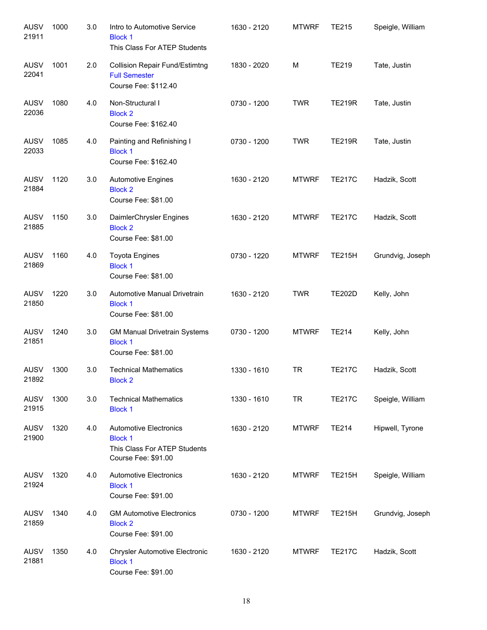| <b>AUSV</b><br>21911 | 1000 | 3.0 | Intro to Automotive Service<br><b>Block 1</b><br>This Class For ATEP Students                          | 1630 - 2120 | <b>MTWRF</b> | <b>TE215</b>  | Speigle, William |
|----------------------|------|-----|--------------------------------------------------------------------------------------------------------|-------------|--------------|---------------|------------------|
| <b>AUSV</b><br>22041 | 1001 | 2.0 | <b>Collision Repair Fund/Estimtng</b><br><b>Full Semester</b><br>Course Fee: \$112.40                  | 1830 - 2020 | M            | <b>TE219</b>  | Tate, Justin     |
| <b>AUSV</b><br>22036 | 1080 | 4.0 | Non-Structural I<br><b>Block 2</b><br>Course Fee: \$162.40                                             | 0730 - 1200 | <b>TWR</b>   | <b>TE219R</b> | Tate, Justin     |
| AUSV<br>22033        | 1085 | 4.0 | Painting and Refinishing I<br><b>Block 1</b><br>Course Fee: \$162.40                                   | 0730 - 1200 | <b>TWR</b>   | <b>TE219R</b> | Tate, Justin     |
| AUSV<br>21884        | 1120 | 3.0 | <b>Automotive Engines</b><br><b>Block 2</b><br>Course Fee: \$81.00                                     | 1630 - 2120 | <b>MTWRF</b> | <b>TE217C</b> | Hadzik, Scott    |
| AUSV<br>21885        | 1150 | 3.0 | DaimlerChrysler Engines<br><b>Block 2</b><br>Course Fee: \$81.00                                       | 1630 - 2120 | <b>MTWRF</b> | <b>TE217C</b> | Hadzik, Scott    |
| AUSV<br>21869        | 1160 | 4.0 | <b>Toyota Engines</b><br><b>Block 1</b><br>Course Fee: \$81.00                                         | 0730 - 1220 | <b>MTWRF</b> | <b>TE215H</b> | Grundvig, Joseph |
| AUSV<br>21850        | 1220 | 3.0 | Automotive Manual Drivetrain<br><b>Block 1</b><br>Course Fee: \$81.00                                  | 1630 - 2120 | <b>TWR</b>   | <b>TE202D</b> | Kelly, John      |
| AUSV<br>21851        | 1240 | 3.0 | <b>GM Manual Drivetrain Systems</b><br><b>Block 1</b><br>Course Fee: \$81.00                           | 0730 - 1200 | <b>MTWRF</b> | <b>TE214</b>  | Kelly, John      |
| <b>AUSV</b><br>21892 | 1300 | 3.0 | <b>Technical Mathematics</b><br><b>Block 2</b>                                                         | 1330 - 1610 | TR           | <b>TE217C</b> | Hadzik, Scott    |
| AUSV<br>21915        | 1300 | 3.0 | <b>Technical Mathematics</b><br><b>Block 1</b>                                                         | 1330 - 1610 | <b>TR</b>    | <b>TE217C</b> | Speigle, William |
| <b>AUSV</b><br>21900 | 1320 | 4.0 | <b>Automotive Electronics</b><br><b>Block 1</b><br>This Class For ATEP Students<br>Course Fee: \$91.00 | 1630 - 2120 | <b>MTWRF</b> | <b>TE214</b>  | Hipwell, Tyrone  |
| <b>AUSV</b><br>21924 | 1320 | 4.0 | <b>Automotive Electronics</b><br><b>Block 1</b><br>Course Fee: \$91.00                                 | 1630 - 2120 | <b>MTWRF</b> | <b>TE215H</b> | Speigle, William |
| <b>AUSV</b><br>21859 | 1340 | 4.0 | <b>GM Automotive Electronics</b><br><b>Block 2</b><br>Course Fee: \$91.00                              | 0730 - 1200 | <b>MTWRF</b> | <b>TE215H</b> | Grundvig, Joseph |
| <b>AUSV</b><br>21881 | 1350 | 4.0 | <b>Chrysler Automotive Electronic</b><br><b>Block 1</b><br>Course Fee: \$91.00                         | 1630 - 2120 | <b>MTWRF</b> | <b>TE217C</b> | Hadzik, Scott    |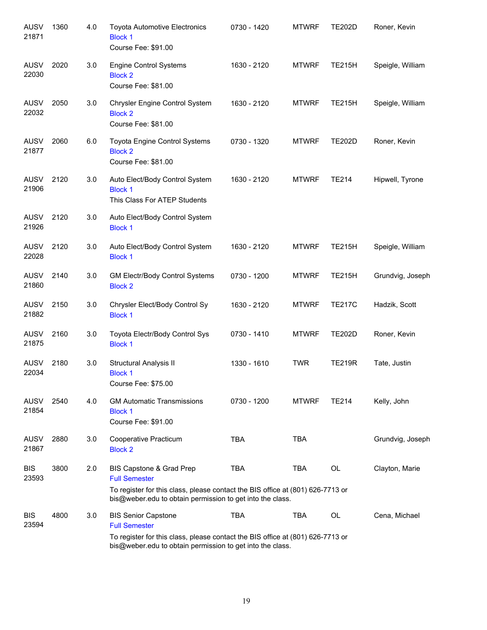| <b>AUSV</b><br>21871 | 1360 | 4.0 | <b>Toyota Automotive Electronics</b><br><b>Block 1</b><br>Course Fee: \$91.00                                                                                                                     | 0730 - 1420 | <b>MTWRF</b> | <b>TE202D</b> | Roner, Kevin     |
|----------------------|------|-----|---------------------------------------------------------------------------------------------------------------------------------------------------------------------------------------------------|-------------|--------------|---------------|------------------|
| <b>AUSV</b><br>22030 | 2020 | 3.0 | <b>Engine Control Systems</b><br><b>Block 2</b><br>Course Fee: \$81.00                                                                                                                            | 1630 - 2120 | <b>MTWRF</b> | <b>TE215H</b> | Speigle, William |
| <b>AUSV</b><br>22032 | 2050 | 3.0 | Chrysler Engine Control System<br><b>Block 2</b><br>Course Fee: \$81.00                                                                                                                           | 1630 - 2120 | <b>MTWRF</b> | <b>TE215H</b> | Speigle, William |
| <b>AUSV</b><br>21877 | 2060 | 6.0 | Toyota Engine Control Systems<br><b>Block 2</b><br>Course Fee: \$81.00                                                                                                                            | 0730 - 1320 | <b>MTWRF</b> | <b>TE202D</b> | Roner, Kevin     |
| <b>AUSV</b><br>21906 | 2120 | 3.0 | Auto Elect/Body Control System<br><b>Block 1</b><br>This Class For ATEP Students                                                                                                                  | 1630 - 2120 | <b>MTWRF</b> | <b>TE214</b>  | Hipwell, Tyrone  |
| <b>AUSV</b><br>21926 | 2120 | 3.0 | Auto Elect/Body Control System<br><b>Block 1</b>                                                                                                                                                  |             |              |               |                  |
| <b>AUSV</b><br>22028 | 2120 | 3.0 | Auto Elect/Body Control System<br><b>Block 1</b>                                                                                                                                                  | 1630 - 2120 | <b>MTWRF</b> | <b>TE215H</b> | Speigle, William |
| <b>AUSV</b><br>21860 | 2140 | 3.0 | <b>GM Electr/Body Control Systems</b><br><b>Block 2</b>                                                                                                                                           | 0730 - 1200 | <b>MTWRF</b> | <b>TE215H</b> | Grundvig, Joseph |
| <b>AUSV</b><br>21882 | 2150 | 3.0 | Chrysler Elect/Body Control Sy<br><b>Block 1</b>                                                                                                                                                  | 1630 - 2120 | <b>MTWRF</b> | <b>TE217C</b> | Hadzik, Scott    |
| <b>AUSV</b><br>21875 | 2160 | 3.0 | Toyota Electr/Body Control Sys<br><b>Block 1</b>                                                                                                                                                  | 0730 - 1410 | <b>MTWRF</b> | <b>TE202D</b> | Roner, Kevin     |
| <b>AUSV</b><br>22034 | 2180 | 3.0 | Structural Analysis II<br><b>Block 1</b><br>Course Fee: \$75.00                                                                                                                                   | 1330 - 1610 | <b>TWR</b>   | <b>TE219R</b> | Tate, Justin     |
| <b>AUSV</b><br>21854 | 2540 | 4.0 | <b>GM Automatic Transmissions</b><br><b>Block 1</b><br>Course Fee: \$91.00                                                                                                                        | 0730 - 1200 | <b>MTWRF</b> | <b>TE214</b>  | Kelly, John      |
| <b>AUSV</b><br>21867 | 2880 | 3.0 | Cooperative Practicum<br><b>Block 2</b>                                                                                                                                                           | <b>TBA</b>  | <b>TBA</b>   |               | Grundvig, Joseph |
| <b>BIS</b><br>23593  | 3800 | 2.0 | BIS Capstone & Grad Prep<br><b>Full Semester</b><br>To register for this class, please contact the BIS office at (801) 626-7713 or<br>bis@weber.edu to obtain permission to get into the class.   | <b>TBA</b>  | TBA          | <b>OL</b>     | Clayton, Marie   |
| <b>BIS</b><br>23594  | 4800 | 3.0 | <b>BIS Senior Capstone</b><br><b>Full Semester</b><br>To register for this class, please contact the BIS office at (801) 626-7713 or<br>bis@weber.edu to obtain permission to get into the class. | <b>TBA</b>  | <b>TBA</b>   | OL            | Cena, Michael    |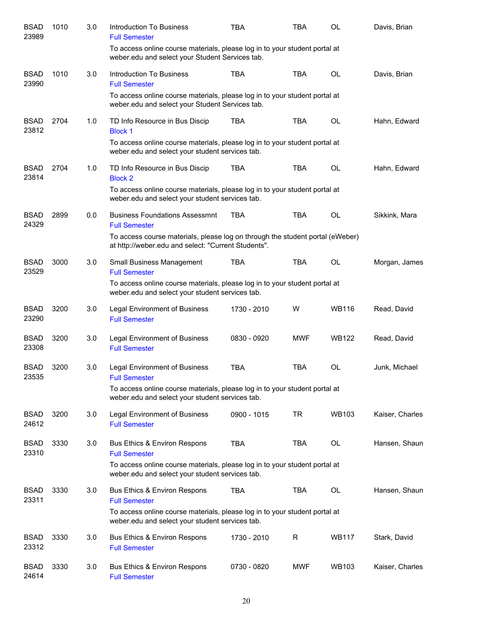| <b>BSAD</b><br>23989 | 1010 | 3.0 | Introduction To Business<br><b>Full Semester</b>                                                                                     | TBA         | <b>TBA</b> | OL           | Davis, Brian    |
|----------------------|------|-----|--------------------------------------------------------------------------------------------------------------------------------------|-------------|------------|--------------|-----------------|
|                      |      |     | To access online course materials, please log in to your student portal at<br>weber.edu and select your Student Services tab.        |             |            |              |                 |
| <b>BSAD</b><br>23990 | 1010 | 3.0 | <b>Introduction To Business</b><br><b>Full Semester</b>                                                                              | <b>TBA</b>  | <b>TBA</b> | <b>OL</b>    | Davis, Brian    |
|                      |      |     | To access online course materials, please log in to your student portal at<br>weber.edu and select your Student Services tab.        |             |            |              |                 |
| <b>BSAD</b><br>23812 | 2704 | 1.0 | TD Info Resource in Bus Discip<br><b>Block 1</b>                                                                                     | <b>TBA</b>  | <b>TBA</b> | <b>OL</b>    | Hahn, Edward    |
|                      |      |     | To access online course materials, please log in to your student portal at<br>weber.edu and select your student services tab.        |             |            |              |                 |
| <b>BSAD</b><br>23814 | 2704 | 1.0 | TD Info Resource in Bus Discip<br><b>Block 2</b>                                                                                     | <b>TBA</b>  | <b>TBA</b> | OL           | Hahn, Edward    |
|                      |      |     | To access online course materials, please log in to your student portal at<br>weber.edu and select your student services tab.        |             |            |              |                 |
| <b>BSAD</b><br>24329 | 2899 | 0.0 | <b>Business Foundations Assessmnt</b><br><b>Full Semester</b>                                                                        | <b>TBA</b>  | <b>TBA</b> | OL           | Sikkink, Mara   |
|                      |      |     | To access course materials, please log on through the student portal (eWeber)<br>at http://weber.edu and select: "Current Students". |             |            |              |                 |
| <b>BSAD</b><br>23529 | 3000 | 3.0 | Small Business Management<br><b>Full Semester</b>                                                                                    | <b>TBA</b>  | <b>TBA</b> | OL           | Morgan, James   |
|                      |      |     | To access online course materials, please log in to your student portal at<br>weber.edu and select your student services tab.        |             |            |              |                 |
| <b>BSAD</b><br>23290 | 3200 | 3.0 | <b>Legal Environment of Business</b><br><b>Full Semester</b>                                                                         | 1730 - 2010 | W          | <b>WB116</b> | Read, David     |
| <b>BSAD</b><br>23308 | 3200 | 3.0 | <b>Legal Environment of Business</b><br><b>Full Semester</b>                                                                         | 0830 - 0920 | <b>MWF</b> | <b>WB122</b> | Read, David     |
| <b>BSAD</b><br>23535 | 3200 | 3.0 | <b>Legal Environment of Business</b><br><b>Full Semester</b>                                                                         | <b>TBA</b>  | <b>TBA</b> | OL           | Junk, Michael   |
|                      |      |     | To access online course materials, please log in to your student portal at<br>weber.edu and select your student services tab.        |             |            |              |                 |
| <b>BSAD</b><br>24612 | 3200 | 3.0 | <b>Legal Environment of Business</b><br><b>Full Semester</b>                                                                         | 0900 - 1015 | TR         | <b>WB103</b> | Kaiser, Charles |
| <b>BSAD</b><br>23310 | 3330 | 3.0 | <b>Bus Ethics &amp; Environ Respons</b><br><b>Full Semester</b>                                                                      | <b>TBA</b>  | <b>TBA</b> | <b>OL</b>    | Hansen, Shaun   |
|                      |      |     | To access online course materials, please log in to your student portal at<br>weber.edu and select your student services tab.        |             |            |              |                 |
| <b>BSAD</b><br>23311 | 3330 | 3.0 | <b>Bus Ethics &amp; Environ Respons</b><br><b>Full Semester</b>                                                                      | <b>TBA</b>  | <b>TBA</b> | <b>OL</b>    | Hansen, Shaun   |
|                      |      |     | To access online course materials, please log in to your student portal at<br>weber.edu and select your student services tab.        |             |            |              |                 |
| <b>BSAD</b><br>23312 | 3330 | 3.0 | <b>Bus Ethics &amp; Environ Respons</b><br><b>Full Semester</b>                                                                      | 1730 - 2010 | R          | <b>WB117</b> | Stark, David    |
| <b>BSAD</b><br>24614 | 3330 | 3.0 | <b>Bus Ethics &amp; Environ Respons</b><br><b>Full Semester</b>                                                                      | 0730 - 0820 | <b>MWF</b> | <b>WB103</b> | Kaiser, Charles |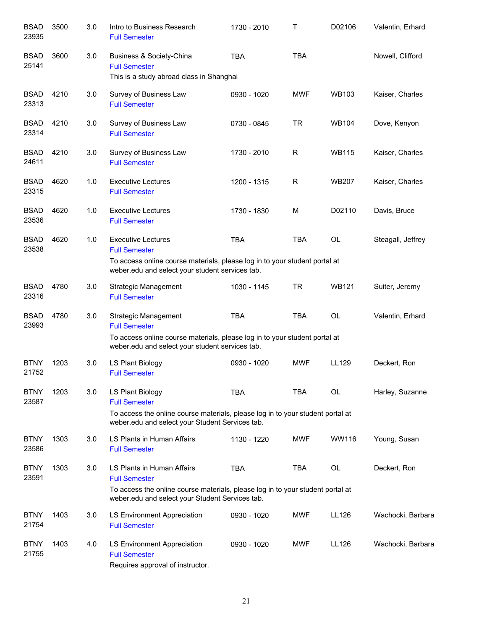| <b>BSAD</b><br>23935 | 3500 | 3.0 | Intro to Business Research<br><b>Full Semester</b>                                                                                                                                      | 1730 - 2010 | Т          | D02106       | Valentin, Erhard  |
|----------------------|------|-----|-----------------------------------------------------------------------------------------------------------------------------------------------------------------------------------------|-------------|------------|--------------|-------------------|
| <b>BSAD</b><br>25141 | 3600 | 3.0 | Business & Society-China<br><b>Full Semester</b><br>This is a study abroad class in Shanghai                                                                                            | <b>TBA</b>  | <b>TBA</b> |              | Nowell, Clifford  |
| <b>BSAD</b><br>23313 | 4210 | 3.0 | Survey of Business Law<br><b>Full Semester</b>                                                                                                                                          | 0930 - 1020 | <b>MWF</b> | <b>WB103</b> | Kaiser, Charles   |
| <b>BSAD</b><br>23314 | 4210 | 3.0 | Survey of Business Law<br><b>Full Semester</b>                                                                                                                                          | 0730 - 0845 | <b>TR</b>  | <b>WB104</b> | Dove, Kenyon      |
| <b>BSAD</b><br>24611 | 4210 | 3.0 | Survey of Business Law<br><b>Full Semester</b>                                                                                                                                          | 1730 - 2010 | R          | <b>WB115</b> | Kaiser, Charles   |
| <b>BSAD</b><br>23315 | 4620 | 1.0 | <b>Executive Lectures</b><br><b>Full Semester</b>                                                                                                                                       | 1200 - 1315 | R          | <b>WB207</b> | Kaiser, Charles   |
| <b>BSAD</b><br>23536 | 4620 | 1.0 | <b>Executive Lectures</b><br><b>Full Semester</b>                                                                                                                                       | 1730 - 1830 | M          | D02110       | Davis, Bruce      |
| <b>BSAD</b><br>23538 | 4620 | 1.0 | <b>Executive Lectures</b><br><b>Full Semester</b><br>To access online course materials, please log in to your student portal at<br>weber.edu and select your student services tab.      | <b>TBA</b>  | <b>TBA</b> | OL           | Steagall, Jeffrey |
| <b>BSAD</b><br>23316 | 4780 | 3.0 | Strategic Management<br><b>Full Semester</b>                                                                                                                                            | 1030 - 1145 | <b>TR</b>  | <b>WB121</b> | Suiter, Jeremy    |
| <b>BSAD</b><br>23993 | 4780 | 3.0 | <b>Strategic Management</b><br><b>Full Semester</b><br>To access online course materials, please log in to your student portal at<br>weber.edu and select your student services tab.    | <b>TBA</b>  | <b>TBA</b> | <b>OL</b>    | Valentin, Erhard  |
| <b>BTNY</b><br>21752 | 1203 | 3.0 | LS Plant Biology<br><b>Full Semester</b>                                                                                                                                                | 0930 - 1020 | <b>MWF</b> | LL129        | Deckert, Ron      |
| <b>BTNY</b><br>23587 | 1203 | 3.0 | LS Plant Biology<br><b>Full Semester</b><br>To access the online course materials, please log in to your student portal at<br>weber.edu and select your Student Services tab.           | <b>TBA</b>  | <b>TBA</b> | OL           | Harley, Suzanne   |
| <b>BTNY</b><br>23586 | 1303 | 3.0 | LS Plants in Human Affairs<br><b>Full Semester</b>                                                                                                                                      | 1130 - 1220 | <b>MWF</b> | WW116        | Young, Susan      |
| <b>BTNY</b><br>23591 | 1303 | 3.0 | LS Plants in Human Affairs<br><b>Full Semester</b><br>To access the online course materials, please log in to your student portal at<br>weber.edu and select your Student Services tab. | <b>TBA</b>  | <b>TBA</b> | OL           | Deckert, Ron      |
| <b>BTNY</b><br>21754 | 1403 | 3.0 | LS Environment Appreciation<br><b>Full Semester</b>                                                                                                                                     | 0930 - 1020 | <b>MWF</b> | LL126        | Wachocki, Barbara |
| <b>BTNY</b><br>21755 | 1403 | 4.0 | LS Environment Appreciation<br><b>Full Semester</b><br>Requires approval of instructor.                                                                                                 | 0930 - 1020 | <b>MWF</b> | LL126        | Wachocki, Barbara |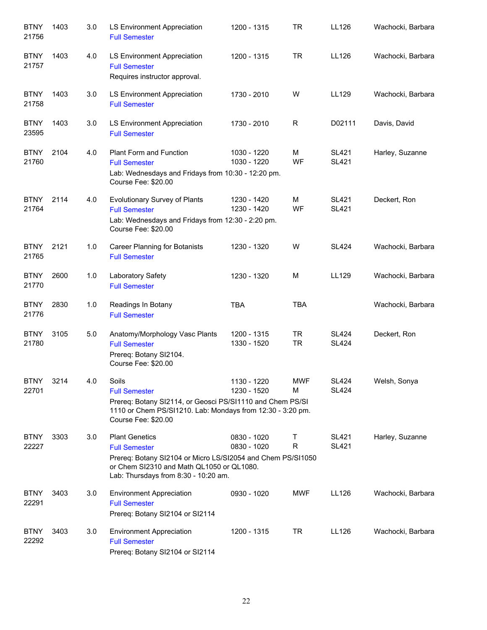| <b>BTNY</b><br>21756 | 1403 | 3.0 | LS Environment Appreciation<br><b>Full Semester</b>                                                                                                                                               | 1200 - 1315                | <b>TR</b>              | LL126                        | Wachocki, Barbara |
|----------------------|------|-----|---------------------------------------------------------------------------------------------------------------------------------------------------------------------------------------------------|----------------------------|------------------------|------------------------------|-------------------|
| <b>BTNY</b><br>21757 | 1403 | 4.0 | LS Environment Appreciation<br><b>Full Semester</b><br>Requires instructor approval.                                                                                                              | 1200 - 1315                | <b>TR</b>              | LL126                        | Wachocki, Barbara |
| <b>BTNY</b><br>21758 | 1403 | 3.0 | LS Environment Appreciation<br><b>Full Semester</b>                                                                                                                                               | 1730 - 2010                | W                      | LL129                        | Wachocki, Barbara |
| <b>BTNY</b><br>23595 | 1403 | 3.0 | LS Environment Appreciation<br><b>Full Semester</b>                                                                                                                                               | 1730 - 2010                | R                      | D02111                       | Davis, David      |
| <b>BTNY</b><br>21760 | 2104 | 4.0 | Plant Form and Function<br><b>Full Semester</b><br>Lab: Wednesdays and Fridays from 10:30 - 12:20 pm.<br>Course Fee: \$20.00                                                                      | 1030 - 1220<br>1030 - 1220 | М<br>WF                | <b>SL421</b><br><b>SL421</b> | Harley, Suzanne   |
| <b>BTNY</b><br>21764 | 2114 | 4.0 | Evolutionary Survey of Plants<br><b>Full Semester</b><br>Lab: Wednesdays and Fridays from 12:30 - 2:20 pm.<br>Course Fee: \$20.00                                                                 | 1230 - 1420<br>1230 - 1420 | M<br>WF                | <b>SL421</b><br><b>SL421</b> | Deckert, Ron      |
| <b>BTNY</b><br>21765 | 2121 | 1.0 | <b>Career Planning for Botanists</b><br><b>Full Semester</b>                                                                                                                                      | 1230 - 1320                | W                      | <b>SL424</b>                 | Wachocki, Barbara |
| <b>BTNY</b><br>21770 | 2600 | 1.0 | Laboratory Safety<br><b>Full Semester</b>                                                                                                                                                         | 1230 - 1320                | M                      | LL129                        | Wachocki, Barbara |
| <b>BTNY</b><br>21776 | 2830 | 1.0 | Readings In Botany<br><b>Full Semester</b>                                                                                                                                                        | <b>TBA</b>                 | <b>TBA</b>             |                              | Wachocki, Barbara |
| <b>BTNY</b><br>21780 | 3105 | 5.0 | Anatomy/Morphology Vasc Plants<br><b>Full Semester</b><br>Prereq: Botany SI2104.<br>Course Fee: \$20.00                                                                                           | 1200 - 1315<br>1330 - 1520 | <b>TR</b><br><b>TR</b> | <b>SL424</b><br><b>SL424</b> | Deckert, Ron      |
| <b>BTNY</b><br>22701 | 3214 | 4.0 | Soils<br><b>Full Semester</b><br>Prereq: Botany SI2114, or Geosci PS/SI1110 and Chem PS/SI<br>1110 or Chem PS/SI1210. Lab: Mondays from 12:30 - 3:20 pm.<br>Course Fee: \$20.00                   | 1130 - 1220<br>1230 - 1520 | <b>MWF</b><br>M        | <b>SL424</b><br><b>SL424</b> | Welsh, Sonya      |
| <b>BTNY</b><br>22227 | 3303 | 3.0 | <b>Plant Genetics</b><br><b>Full Semester</b><br>Prereq: Botany SI2104 or Micro LS/SI2054 and Chem PS/SI1050<br>or Chem SI2310 and Math QL1050 or QL1080.<br>Lab: Thursdays from 8:30 - 10:20 am. | 0830 - 1020<br>0830 - 1020 | Τ<br>R                 | <b>SL421</b><br><b>SL421</b> | Harley, Suzanne   |
| <b>BTNY</b><br>22291 | 3403 | 3.0 | <b>Environment Appreciation</b><br><b>Full Semester</b><br>Prereq: Botany SI2104 or SI2114                                                                                                        | 0930 - 1020                | <b>MWF</b>             | LL126                        | Wachocki, Barbara |
| <b>BTNY</b><br>22292 | 3403 | 3.0 | <b>Environment Appreciation</b><br><b>Full Semester</b><br>Prereq: Botany SI2104 or SI2114                                                                                                        | 1200 - 1315                | TR                     | LL126                        | Wachocki, Barbara |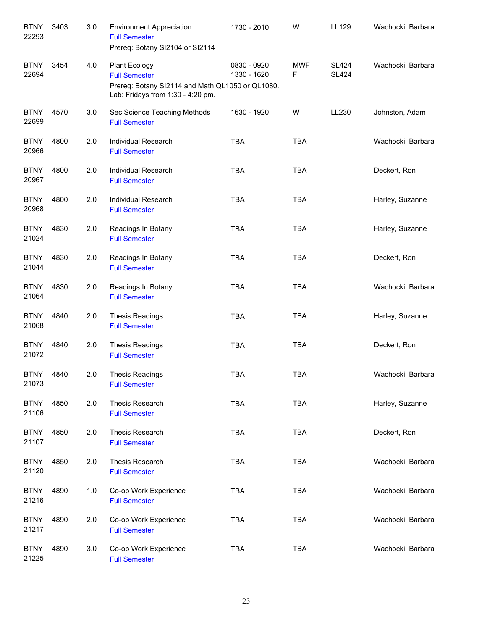| <b>BTNY</b><br>22293 | 3403 | 3.0 | <b>Environment Appreciation</b><br><b>Full Semester</b><br>Prereq: Botany SI2104 or SI2114                                            | 1730 - 2010                | W               | LL129                        | Wachocki, Barbara |
|----------------------|------|-----|---------------------------------------------------------------------------------------------------------------------------------------|----------------------------|-----------------|------------------------------|-------------------|
| <b>BTNY</b><br>22694 | 3454 | 4.0 | <b>Plant Ecology</b><br><b>Full Semester</b><br>Prereq: Botany SI2114 and Math QL1050 or QL1080.<br>Lab: Fridays from 1:30 - 4:20 pm. | 0830 - 0920<br>1330 - 1620 | <b>MWF</b><br>F | <b>SL424</b><br><b>SL424</b> | Wachocki, Barbara |
| <b>BTNY</b><br>22699 | 4570 | 3.0 | Sec Science Teaching Methods<br><b>Full Semester</b>                                                                                  | 1630 - 1920                | W               | LL230                        | Johnston, Adam    |
| <b>BTNY</b><br>20966 | 4800 | 2.0 | Individual Research<br><b>Full Semester</b>                                                                                           | <b>TBA</b>                 | <b>TBA</b>      |                              | Wachocki, Barbara |
| <b>BTNY</b><br>20967 | 4800 | 2.0 | Individual Research<br><b>Full Semester</b>                                                                                           | <b>TBA</b>                 | <b>TBA</b>      |                              | Deckert, Ron      |
| <b>BTNY</b><br>20968 | 4800 | 2.0 | Individual Research<br><b>Full Semester</b>                                                                                           | <b>TBA</b>                 | <b>TBA</b>      |                              | Harley, Suzanne   |
| <b>BTNY</b><br>21024 | 4830 | 2.0 | Readings In Botany<br><b>Full Semester</b>                                                                                            | <b>TBA</b>                 | <b>TBA</b>      |                              | Harley, Suzanne   |
| <b>BTNY</b><br>21044 | 4830 | 2.0 | Readings In Botany<br><b>Full Semester</b>                                                                                            | <b>TBA</b>                 | <b>TBA</b>      |                              | Deckert, Ron      |
| <b>BTNY</b><br>21064 | 4830 | 2.0 | Readings In Botany<br><b>Full Semester</b>                                                                                            | <b>TBA</b>                 | <b>TBA</b>      |                              | Wachocki, Barbara |
| <b>BTNY</b><br>21068 | 4840 | 2.0 | <b>Thesis Readings</b><br><b>Full Semester</b>                                                                                        | <b>TBA</b>                 | <b>TBA</b>      |                              | Harley, Suzanne   |
| <b>BTNY</b><br>21072 | 4840 | 2.0 | <b>Thesis Readings</b><br><b>Full Semester</b>                                                                                        | <b>TBA</b>                 | <b>TBA</b>      |                              | Deckert, Ron      |
| <b>BTNY</b><br>21073 | 4840 | 2.0 | <b>Thesis Readings</b><br><b>Full Semester</b>                                                                                        | <b>TBA</b>                 | <b>TBA</b>      |                              | Wachocki, Barbara |
| <b>BTNY</b><br>21106 | 4850 | 2.0 | Thesis Research<br><b>Full Semester</b>                                                                                               | <b>TBA</b>                 | <b>TBA</b>      |                              | Harley, Suzanne   |
| <b>BTNY</b><br>21107 | 4850 | 2.0 | Thesis Research<br><b>Full Semester</b>                                                                                               | <b>TBA</b>                 | <b>TBA</b>      |                              | Deckert, Ron      |
| <b>BTNY</b><br>21120 | 4850 | 2.0 | Thesis Research<br><b>Full Semester</b>                                                                                               | <b>TBA</b>                 | <b>TBA</b>      |                              | Wachocki, Barbara |
| <b>BTNY</b><br>21216 | 4890 | 1.0 | Co-op Work Experience<br><b>Full Semester</b>                                                                                         | <b>TBA</b>                 | <b>TBA</b>      |                              | Wachocki, Barbara |
| <b>BTNY</b><br>21217 | 4890 | 2.0 | Co-op Work Experience<br><b>Full Semester</b>                                                                                         | <b>TBA</b>                 | <b>TBA</b>      |                              | Wachocki, Barbara |
| <b>BTNY</b><br>21225 | 4890 | 3.0 | Co-op Work Experience<br><b>Full Semester</b>                                                                                         | <b>TBA</b>                 | TBA             |                              | Wachocki, Barbara |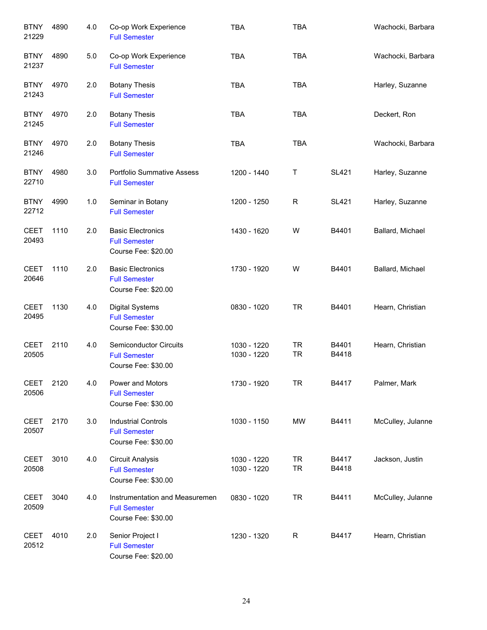| <b>BTNY</b><br>21229 | 4890 | 4.0   | Co-op Work Experience<br><b>Full Semester</b>                                 | <b>TBA</b>                 | <b>TBA</b>             |                | Wachocki, Barbara |
|----------------------|------|-------|-------------------------------------------------------------------------------|----------------------------|------------------------|----------------|-------------------|
| <b>BTNY</b><br>21237 | 4890 | 5.0   | Co-op Work Experience<br><b>Full Semester</b>                                 | <b>TBA</b>                 | <b>TBA</b>             |                | Wachocki, Barbara |
| <b>BTNY</b><br>21243 | 4970 | 2.0   | <b>Botany Thesis</b><br><b>Full Semester</b>                                  | <b>TBA</b>                 | <b>TBA</b>             |                | Harley, Suzanne   |
| <b>BTNY</b><br>21245 | 4970 | 2.0   | <b>Botany Thesis</b><br><b>Full Semester</b>                                  | <b>TBA</b>                 | <b>TBA</b>             |                | Deckert, Ron      |
| <b>BTNY</b><br>21246 | 4970 | 2.0   | <b>Botany Thesis</b><br><b>Full Semester</b>                                  | <b>TBA</b>                 | <b>TBA</b>             |                | Wachocki, Barbara |
| <b>BTNY</b><br>22710 | 4980 | 3.0   | <b>Portfolio Summative Assess</b><br><b>Full Semester</b>                     | 1200 - 1440                | Τ                      | <b>SL421</b>   | Harley, Suzanne   |
| <b>BTNY</b><br>22712 | 4990 | $1.0$ | Seminar in Botany<br><b>Full Semester</b>                                     | 1200 - 1250                | R                      | <b>SL421</b>   | Harley, Suzanne   |
| <b>CEET</b><br>20493 | 1110 | 2.0   | <b>Basic Electronics</b><br><b>Full Semester</b><br>Course Fee: \$20.00       | 1430 - 1620                | W                      | B4401          | Ballard, Michael  |
| <b>CEET</b><br>20646 | 1110 | 2.0   | <b>Basic Electronics</b><br><b>Full Semester</b><br>Course Fee: \$20.00       | 1730 - 1920                | W                      | B4401          | Ballard, Michael  |
| <b>CEET</b><br>20495 | 1130 | 4.0   | <b>Digital Systems</b><br><b>Full Semester</b><br>Course Fee: \$30.00         | 0830 - 1020                | <b>TR</b>              | B4401          | Hearn, Christian  |
| <b>CEET</b><br>20505 | 2110 | 4.0   | <b>Semiconductor Circuits</b><br><b>Full Semester</b><br>Course Fee: \$30.00  | 1030 - 1220<br>1030 - 1220 | <b>TR</b><br><b>TR</b> | B4401<br>B4418 | Hearn, Christian  |
| <b>CEET</b><br>20506 | 2120 | 4.0   | Power and Motors<br><b>Full Semester</b><br>Course Fee: \$30.00               | 1730 - 1920                | <b>TR</b>              | B4417          | Palmer, Mark      |
| <b>CEET</b><br>20507 | 2170 | 3.0   | <b>Industrial Controls</b><br><b>Full Semester</b><br>Course Fee: \$30.00     | 1030 - 1150                | <b>MW</b>              | B4411          | McCulley, Julanne |
| <b>CEET</b><br>20508 | 3010 | 4.0   | <b>Circuit Analysis</b><br><b>Full Semester</b><br>Course Fee: \$30.00        | 1030 - 1220<br>1030 - 1220 | <b>TR</b><br><b>TR</b> | B4417<br>B4418 | Jackson, Justin   |
| <b>CEET</b><br>20509 | 3040 | 4.0   | Instrumentation and Measuremen<br><b>Full Semester</b><br>Course Fee: \$30.00 | 0830 - 1020                | <b>TR</b>              | B4411          | McCulley, Julanne |
| <b>CEET</b><br>20512 | 4010 | 2.0   | Senior Project I<br><b>Full Semester</b><br>Course Fee: \$20.00               | 1230 - 1320                | R                      | B4417          | Hearn, Christian  |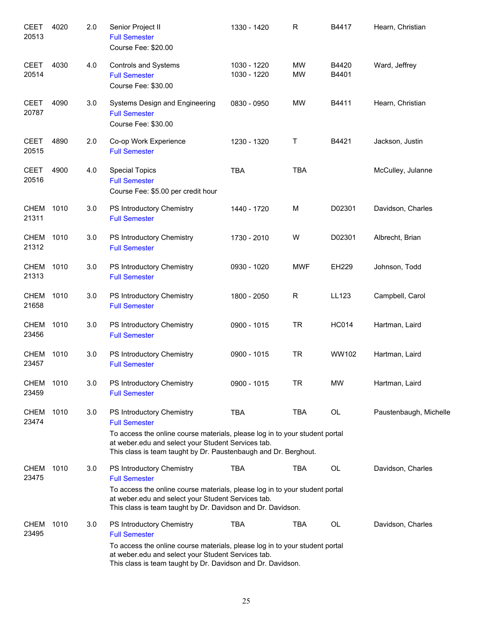| <b>CEET</b><br>20513 | 4020 | 2.0 | Senior Project II<br><b>Full Semester</b><br>Course Fee: \$20.00                                                                                                                                     | 1330 - 1420                | $\mathsf{R}$    | B4417          | Hearn, Christian       |
|----------------------|------|-----|------------------------------------------------------------------------------------------------------------------------------------------------------------------------------------------------------|----------------------------|-----------------|----------------|------------------------|
| <b>CEET</b><br>20514 | 4030 | 4.0 | Controls and Systems<br><b>Full Semester</b><br>Course Fee: \$30.00                                                                                                                                  | 1030 - 1220<br>1030 - 1220 | MW<br><b>MW</b> | B4420<br>B4401 | Ward, Jeffrey          |
| <b>CEET</b><br>20787 | 4090 | 3.0 | Systems Design and Engineering<br><b>Full Semester</b><br>Course Fee: \$30.00                                                                                                                        | 0830 - 0950                | MW              | B4411          | Hearn, Christian       |
| <b>CEET</b><br>20515 | 4890 | 2.0 | Co-op Work Experience<br><b>Full Semester</b>                                                                                                                                                        | 1230 - 1320                | Τ               | B4421          | Jackson, Justin        |
| <b>CEET</b><br>20516 | 4900 | 4.0 | <b>Special Topics</b><br><b>Full Semester</b><br>Course Fee: \$5.00 per credit hour                                                                                                                  | <b>TBA</b>                 | <b>TBA</b>      |                | McCulley, Julanne      |
| <b>CHEM</b><br>21311 | 1010 | 3.0 | PS Introductory Chemistry<br><b>Full Semester</b>                                                                                                                                                    | 1440 - 1720                | M               | D02301         | Davidson, Charles      |
| <b>CHEM</b><br>21312 | 1010 | 3.0 | PS Introductory Chemistry<br><b>Full Semester</b>                                                                                                                                                    | 1730 - 2010                | W               | D02301         | Albrecht, Brian        |
| <b>CHEM</b><br>21313 | 1010 | 3.0 | PS Introductory Chemistry<br><b>Full Semester</b>                                                                                                                                                    | 0930 - 1020                | <b>MWF</b>      | EH229          | Johnson, Todd          |
| <b>CHEM</b><br>21658 | 1010 | 3.0 | PS Introductory Chemistry<br><b>Full Semester</b>                                                                                                                                                    | 1800 - 2050                | $\mathsf{R}$    | LL123          | Campbell, Carol        |
| <b>CHEM</b><br>23456 | 1010 | 3.0 | PS Introductory Chemistry<br><b>Full Semester</b>                                                                                                                                                    | 0900 - 1015                | <b>TR</b>       | <b>HC014</b>   | Hartman, Laird         |
| <b>CHEM</b><br>23457 | 1010 | 3.0 | PS Introductory Chemistry<br><b>Full Semester</b>                                                                                                                                                    | 0900 - 1015                | <b>TR</b>       | WW102          | Hartman, Laird         |
| <b>CHEM</b><br>23459 | 1010 | 3.0 | PS Introductory Chemistry<br><b>Full Semester</b>                                                                                                                                                    | 0900 - 1015                | TR              | <b>MW</b>      | Hartman, Laird         |
| <b>CHEM</b><br>23474 | 1010 | 3.0 | PS Introductory Chemistry<br><b>Full Semester</b>                                                                                                                                                    | <b>TBA</b>                 | <b>TBA</b>      | OL             | Paustenbaugh, Michelle |
|                      |      |     | To access the online course materials, please log in to your student portal<br>at weber.edu and select your Student Services tab.<br>This class is team taught by Dr. Paustenbaugh and Dr. Berghout. |                            |                 |                |                        |
| CHEM<br>23475        | 1010 | 3.0 | PS Introductory Chemistry<br><b>Full Semester</b>                                                                                                                                                    | <b>TBA</b>                 | TBA             | OL             | Davidson, Charles      |
|                      |      |     | To access the online course materials, please log in to your student portal<br>at weber.edu and select your Student Services tab.<br>This class is team taught by Dr. Davidson and Dr. Davidson.     |                            |                 |                |                        |
| <b>CHEM</b><br>23495 | 1010 | 3.0 | PS Introductory Chemistry<br><b>Full Semester</b>                                                                                                                                                    | <b>TBA</b>                 | TBA             | OL             | Davidson, Charles      |
|                      |      |     | To access the online course materials, please log in to your student portal<br>at weber.edu and select your Student Services tab.<br>This class is team taught by Dr. Davidson and Dr. Davidson.     |                            |                 |                |                        |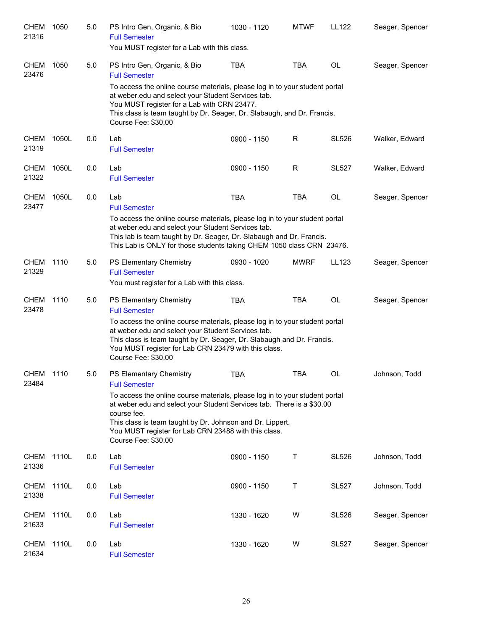| <b>CHEM</b><br>21316 | 1050  | 5.0 | PS Intro Gen, Organic, & Bio<br><b>Full Semester</b><br>You MUST register for a Lab with this class.                                                                                                                                                                                                            | 1030 - 1120 | <b>MTWF</b> | LL122        | Seager, Spencer |
|----------------------|-------|-----|-----------------------------------------------------------------------------------------------------------------------------------------------------------------------------------------------------------------------------------------------------------------------------------------------------------------|-------------|-------------|--------------|-----------------|
| <b>CHEM</b><br>23476 | 1050  | 5.0 | PS Intro Gen, Organic, & Bio<br><b>Full Semester</b>                                                                                                                                                                                                                                                            | <b>TBA</b>  | <b>TBA</b>  | <b>OL</b>    | Seager, Spencer |
|                      |       |     | To access the online course materials, please log in to your student portal<br>at weber.edu and select your Student Services tab.<br>You MUST register for a Lab with CRN 23477.<br>This class is team taught by Dr. Seager, Dr. Slabaugh, and Dr. Francis.<br>Course Fee: \$30.00                              |             |             |              |                 |
| <b>CHEM</b><br>21319 | 1050L | 0.0 | Lab<br><b>Full Semester</b>                                                                                                                                                                                                                                                                                     | 0900 - 1150 | R           | <b>SL526</b> | Walker, Edward  |
| CHEM<br>21322        | 1050L | 0.0 | Lab<br><b>Full Semester</b>                                                                                                                                                                                                                                                                                     | 0900 - 1150 | R           | <b>SL527</b> | Walker, Edward  |
| CHEM<br>23477        | 1050L | 0.0 | Lab<br><b>Full Semester</b>                                                                                                                                                                                                                                                                                     | <b>TBA</b>  | <b>TBA</b>  | OL           | Seager, Spencer |
|                      |       |     | To access the online course materials, please log in to your student portal<br>at weber.edu and select your Student Services tab.<br>This lab is team taught by Dr. Seager, Dr. Slabaugh and Dr. Francis.<br>This Lab is ONLY for those students taking CHEM 1050 class CRN 23476.                              |             |             |              |                 |
| CHEM<br>21329        | 1110  | 5.0 | PS Elementary Chemistry<br><b>Full Semester</b><br>You must register for a Lab with this class.                                                                                                                                                                                                                 | 0930 - 1020 | <b>MWRF</b> | LL123        | Seager, Spencer |
| <b>CHEM</b><br>23478 | 1110  | 5.0 | PS Elementary Chemistry<br><b>Full Semester</b>                                                                                                                                                                                                                                                                 | <b>TBA</b>  | <b>TBA</b>  | <b>OL</b>    | Seager, Spencer |
|                      |       |     | To access the online course materials, please log in to your student portal<br>at weber.edu and select your Student Services tab.<br>This class is team taught by Dr. Seager, Dr. Slabaugh and Dr. Francis.<br>You MUST register for Lab CRN 23479 with this class.<br>Course Fee: \$30.00                      |             |             |              |                 |
| <b>CHEM</b><br>23484 | 1110  | 5.0 | PS Elementary Chemistry<br><b>Full Semester</b>                                                                                                                                                                                                                                                                 | <b>TBA</b>  | <b>TBA</b>  | <b>OL</b>    | Johnson, Todd   |
|                      |       |     | To access the online course materials, please log in to your student portal<br>at weber.edu and select your Student Services tab. There is a \$30.00<br>course fee.<br>This class is team taught by Dr. Johnson and Dr. Lippert.<br>You MUST register for Lab CRN 23488 with this class.<br>Course Fee: \$30.00 |             |             |              |                 |
| CHEM<br>21336        | 1110L | 0.0 | Lab<br><b>Full Semester</b>                                                                                                                                                                                                                                                                                     | 0900 - 1150 | Τ           | <b>SL526</b> | Johnson, Todd   |
| CHEM<br>21338        | 1110L | 0.0 | Lab<br><b>Full Semester</b>                                                                                                                                                                                                                                                                                     | 0900 - 1150 | Τ           | <b>SL527</b> | Johnson, Todd   |
| <b>CHEM</b><br>21633 | 1110L | 0.0 | Lab<br><b>Full Semester</b>                                                                                                                                                                                                                                                                                     | 1330 - 1620 | W           | <b>SL526</b> | Seager, Spencer |
| <b>CHEM</b><br>21634 | 1110L | 0.0 | Lab<br><b>Full Semester</b>                                                                                                                                                                                                                                                                                     | 1330 - 1620 | W           | <b>SL527</b> | Seager, Spencer |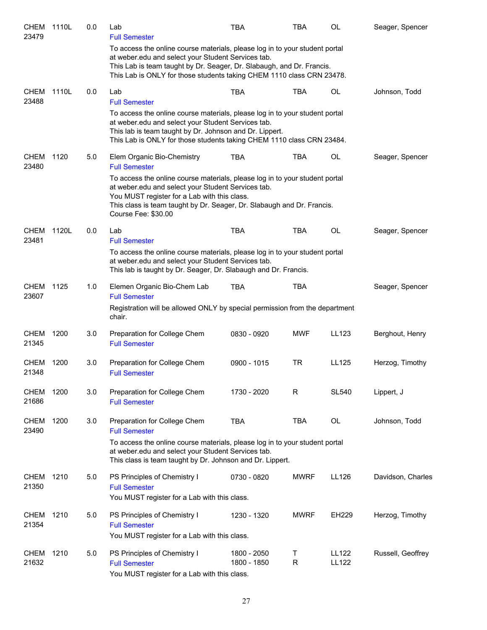| <b>CHEM</b><br>23479 | 1110L | 0.0 | Lab<br><b>Full Semester</b>                                                                                                                                                                                                                                                         | <b>TBA</b>                 | <b>TBA</b>        | <b>OL</b>                    | Seager, Spencer   |
|----------------------|-------|-----|-------------------------------------------------------------------------------------------------------------------------------------------------------------------------------------------------------------------------------------------------------------------------------------|----------------------------|-------------------|------------------------------|-------------------|
|                      |       |     | To access the online course materials, please log in to your student portal<br>at weber.edu and select your Student Services tab.<br>This Lab is team taught by Dr. Seager, Dr. Slabaugh, and Dr. Francis.<br>This Lab is ONLY for those students taking CHEM 1110 class CRN 23478. |                            |                   |                              |                   |
| CHEM<br>23488        | 1110L | 0.0 | Lab<br><b>Full Semester</b>                                                                                                                                                                                                                                                         | <b>TBA</b>                 | <b>TBA</b>        | OL                           | Johnson, Todd     |
|                      |       |     | To access the online course materials, please log in to your student portal<br>at weber.edu and select your Student Services tab.<br>This lab is team taught by Dr. Johnson and Dr. Lippert.<br>This Lab is ONLY for those students taking CHEM 1110 class CRN 23484.               |                            |                   |                              |                   |
| <b>CHEM</b><br>23480 | 1120  | 5.0 | Elem Organic Bio-Chemistry<br><b>Full Semester</b>                                                                                                                                                                                                                                  | TBA                        | <b>TBA</b>        | OL                           | Seager, Spencer   |
|                      |       |     | To access the online course materials, please log in to your student portal<br>at weber.edu and select your Student Services tab.<br>You MUST register for a Lab with this class.<br>This class is team taught by Dr. Seager, Dr. Slabaugh and Dr. Francis.<br>Course Fee: \$30.00  |                            |                   |                              |                   |
| CHEM<br>23481        | 1120L | 0.0 | Lab<br><b>Full Semester</b>                                                                                                                                                                                                                                                         | <b>TBA</b>                 | <b>TBA</b>        | <b>OL</b>                    | Seager, Spencer   |
|                      |       |     | To access the online course materials, please log in to your student portal<br>at weber.edu and select your Student Services tab.<br>This lab is taught by Dr. Seager, Dr. Slabaugh and Dr. Francis.                                                                                |                            |                   |                              |                   |
| <b>CHEM</b><br>23607 | 1125  | 1.0 | Elemen Organic Bio-Chem Lab<br><b>Full Semester</b><br>Registration will be allowed ONLY by special permission from the department<br>chair.                                                                                                                                        | <b>TBA</b>                 | <b>TBA</b>        |                              | Seager, Spencer   |
| <b>CHEM</b><br>21345 | 1200  | 3.0 | Preparation for College Chem<br><b>Full Semester</b>                                                                                                                                                                                                                                | 0830 - 0920                | <b>MWF</b>        | LL123                        | Berghout, Henry   |
| CHEM<br>21348        | 1200  | 3.0 | Preparation for College Chem<br><b>Full Semester</b>                                                                                                                                                                                                                                | 0900 - 1015                | TR                | LL125                        | Herzog, Timothy   |
| <b>CHEM</b><br>21686 | 1200  | 3.0 | Preparation for College Chem<br><b>Full Semester</b>                                                                                                                                                                                                                                | 1730 - 2020                | R                 | <b>SL540</b>                 | Lippert, J        |
| <b>CHEM</b><br>23490 | 1200  | 3.0 | Preparation for College Chem<br><b>Full Semester</b>                                                                                                                                                                                                                                | <b>TBA</b>                 | <b>TBA</b>        | OL                           | Johnson, Todd     |
|                      |       |     | To access the online course materials, please log in to your student portal<br>at weber.edu and select your Student Services tab.<br>This class is team taught by Dr. Johnson and Dr. Lippert.                                                                                      |                            |                   |                              |                   |
| <b>CHEM</b><br>21350 | 1210  | 5.0 | PS Principles of Chemistry I<br><b>Full Semester</b><br>You MUST register for a Lab with this class.                                                                                                                                                                                | 0730 - 0820                | <b>MWRF</b>       | LL126                        | Davidson, Charles |
| CHEM<br>21354        | 1210  | 5.0 | PS Principles of Chemistry I<br><b>Full Semester</b><br>You MUST register for a Lab with this class.                                                                                                                                                                                | 1230 - 1320                | <b>MWRF</b>       | EH229                        | Herzog, Timothy   |
| CHEM<br>21632        | 1210  | 5.0 | PS Principles of Chemistry I<br><b>Full Semester</b><br>You MUST register for a Lab with this class.                                                                                                                                                                                | 1800 - 2050<br>1800 - 1850 | Т<br>$\mathsf{R}$ | <b>LL122</b><br><b>LL122</b> | Russell, Geoffrey |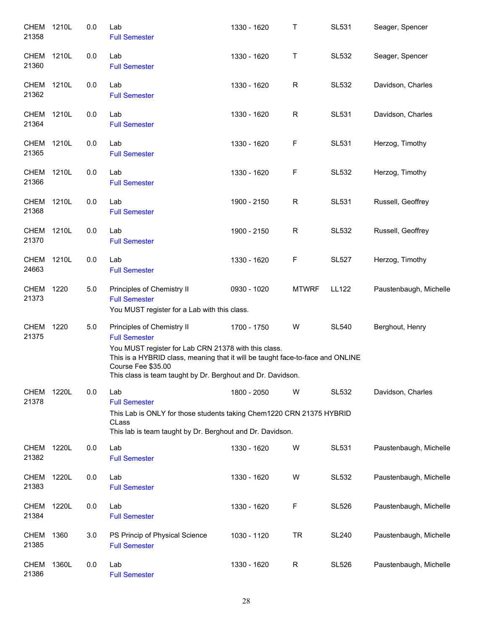| <b>CHEM</b><br>21358 | 1210L | 0.0 | Lab<br><b>Full Semester</b>                                                                                                                                                                                                                                                       | 1330 - 1620 | $\mathsf T$  | <b>SL531</b> | Seager, Spencer        |
|----------------------|-------|-----|-----------------------------------------------------------------------------------------------------------------------------------------------------------------------------------------------------------------------------------------------------------------------------------|-------------|--------------|--------------|------------------------|
| <b>CHEM</b><br>21360 | 1210L | 0.0 | Lab<br><b>Full Semester</b>                                                                                                                                                                                                                                                       | 1330 - 1620 | Τ            | <b>SL532</b> | Seager, Spencer        |
| CHEM<br>21362        | 1210L | 0.0 | Lab<br><b>Full Semester</b>                                                                                                                                                                                                                                                       | 1330 - 1620 | $\mathsf{R}$ | <b>SL532</b> | Davidson, Charles      |
| CHEM<br>21364        | 1210L | 0.0 | Lab<br><b>Full Semester</b>                                                                                                                                                                                                                                                       | 1330 - 1620 | $\mathsf{R}$ | <b>SL531</b> | Davidson, Charles      |
| CHEM<br>21365        | 1210L | 0.0 | Lab<br><b>Full Semester</b>                                                                                                                                                                                                                                                       | 1330 - 1620 | $\mathsf F$  | <b>SL531</b> | Herzog, Timothy        |
| <b>CHEM</b><br>21366 | 1210L | 0.0 | Lab<br><b>Full Semester</b>                                                                                                                                                                                                                                                       | 1330 - 1620 | $\mathsf F$  | <b>SL532</b> | Herzog, Timothy        |
| <b>CHEM</b><br>21368 | 1210L | 0.0 | Lab<br><b>Full Semester</b>                                                                                                                                                                                                                                                       | 1900 - 2150 | $\mathsf{R}$ | <b>SL531</b> | Russell, Geoffrey      |
| <b>CHEM</b><br>21370 | 1210L | 0.0 | Lab<br><b>Full Semester</b>                                                                                                                                                                                                                                                       | 1900 - 2150 | R            | <b>SL532</b> | Russell, Geoffrey      |
| <b>CHEM</b><br>24663 | 1210L | 0.0 | Lab<br><b>Full Semester</b>                                                                                                                                                                                                                                                       | 1330 - 1620 | $\mathsf F$  | <b>SL527</b> | Herzog, Timothy        |
| <b>CHEM</b><br>21373 | 1220  | 5.0 | Principles of Chemistry II<br><b>Full Semester</b><br>You MUST register for a Lab with this class.                                                                                                                                                                                | 0930 - 1020 | <b>MTWRF</b> | <b>LL122</b> | Paustenbaugh, Michelle |
| <b>CHEM</b><br>21375 | 1220  | 5.0 | Principles of Chemistry II<br><b>Full Semester</b><br>You MUST register for Lab CRN 21378 with this class.<br>This is a HYBRID class, meaning that it will be taught face-to-face and ONLINE<br>Course Fee \$35.00<br>This class is team taught by Dr. Berghout and Dr. Davidson. | 1700 - 1750 | W            | <b>SL540</b> | Berghout, Henry        |
| <b>CHEM</b><br>21378 | 1220L | 0.0 | Lab<br><b>Full Semester</b><br>This Lab is ONLY for those students taking Chem1220 CRN 21375 HYBRID<br>CLass<br>This lab is team taught by Dr. Berghout and Dr. Davidson.                                                                                                         | 1800 - 2050 | W            | <b>SL532</b> | Davidson, Charles      |
| <b>CHEM</b><br>21382 | 1220L | 0.0 | Lab<br><b>Full Semester</b>                                                                                                                                                                                                                                                       | 1330 - 1620 | W            | <b>SL531</b> | Paustenbaugh, Michelle |
| <b>CHEM</b><br>21383 | 1220L | 0.0 | Lab<br><b>Full Semester</b>                                                                                                                                                                                                                                                       | 1330 - 1620 | W            | <b>SL532</b> | Paustenbaugh, Michelle |
| <b>CHEM</b><br>21384 | 1220L | 0.0 | Lab<br><b>Full Semester</b>                                                                                                                                                                                                                                                       | 1330 - 1620 | F            | <b>SL526</b> | Paustenbaugh, Michelle |
| <b>CHEM</b><br>21385 | 1360  | 3.0 | PS Princip of Physical Science<br><b>Full Semester</b>                                                                                                                                                                                                                            | 1030 - 1120 | <b>TR</b>    | <b>SL240</b> | Paustenbaugh, Michelle |
| <b>CHEM</b><br>21386 | 1360L | 0.0 | Lab<br><b>Full Semester</b>                                                                                                                                                                                                                                                       | 1330 - 1620 | $\mathsf R$  | <b>SL526</b> | Paustenbaugh, Michelle |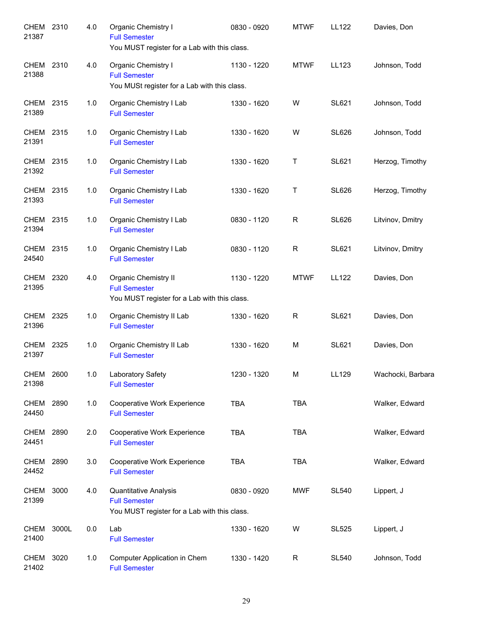| CHEM 2310<br>21387   |       | 4.0 | Organic Chemistry I<br><b>Full Semester</b><br>You MUST register for a Lab with this class.         | 0830 - 0920 | <b>MTWF</b> | <b>LL122</b> | Davies, Don       |
|----------------------|-------|-----|-----------------------------------------------------------------------------------------------------|-------------|-------------|--------------|-------------------|
| CHEM 2310<br>21388   |       | 4.0 | Organic Chemistry I<br><b>Full Semester</b><br>You MUSt register for a Lab with this class.         | 1130 - 1220 | <b>MTWF</b> | LL123        | Johnson, Todd     |
| CHEM 2315<br>21389   |       | 1.0 | Organic Chemistry I Lab<br><b>Full Semester</b>                                                     | 1330 - 1620 | W           | <b>SL621</b> | Johnson, Todd     |
| CHEM 2315<br>21391   |       | 1.0 | Organic Chemistry I Lab<br><b>Full Semester</b>                                                     | 1330 - 1620 | W           | <b>SL626</b> | Johnson, Todd     |
| CHEM 2315<br>21392   |       | 1.0 | Organic Chemistry I Lab<br><b>Full Semester</b>                                                     | 1330 - 1620 | Τ           | <b>SL621</b> | Herzog, Timothy   |
| CHEM 2315<br>21393   |       | 1.0 | Organic Chemistry I Lab<br><b>Full Semester</b>                                                     | 1330 - 1620 | Τ           | <b>SL626</b> | Herzog, Timothy   |
| CHEM 2315<br>21394   |       | 1.0 | Organic Chemistry I Lab<br><b>Full Semester</b>                                                     | 0830 - 1120 | $\mathsf R$ | <b>SL626</b> | Litvinov, Dmitry  |
| CHEM 2315<br>24540   |       | 1.0 | Organic Chemistry I Lab<br><b>Full Semester</b>                                                     | 0830 - 1120 | R           | <b>SL621</b> | Litvinov, Dmitry  |
| CHEM 2320<br>21395   |       | 4.0 | <b>Organic Chemistry II</b><br><b>Full Semester</b><br>You MUST register for a Lab with this class. | 1130 - 1220 | <b>MTWF</b> | LL122        | Davies, Don       |
| CHEM 2325<br>21396   |       | 1.0 | Organic Chemistry II Lab<br><b>Full Semester</b>                                                    | 1330 - 1620 | R           | SL621        | Davies, Don       |
| <b>CHEM</b><br>21397 | 2325  | 1.0 | Organic Chemistry II Lab<br><b>Full Semester</b>                                                    | 1330 - 1620 | M           | SL621        | Davies, Don       |
| CHEM<br>21398        | 2600  | 1.0 | Laboratory Safety<br><b>Full Semester</b>                                                           | 1230 - 1320 | M           | LL129        | Wachocki, Barbara |
| CHEM<br>24450        | 2890  | 1.0 | Cooperative Work Experience<br><b>Full Semester</b>                                                 | <b>TBA</b>  | <b>TBA</b>  |              | Walker, Edward    |
| CHEM<br>24451        | 2890  | 2.0 | Cooperative Work Experience<br><b>Full Semester</b>                                                 | <b>TBA</b>  | <b>TBA</b>  |              | Walker, Edward    |
| CHEM<br>24452        | 2890  | 3.0 | Cooperative Work Experience<br><b>Full Semester</b>                                                 | <b>TBA</b>  | <b>TBA</b>  |              | Walker, Edward    |
| <b>CHEM</b><br>21399 | 3000  | 4.0 | Quantitative Analysis<br><b>Full Semester</b><br>You MUST register for a Lab with this class.       | 0830 - 0920 | <b>MWF</b>  | <b>SL540</b> | Lippert, J        |
| <b>CHEM</b><br>21400 | 3000L | 0.0 | Lab<br><b>Full Semester</b>                                                                         | 1330 - 1620 | W           | <b>SL525</b> | Lippert, J        |
| <b>CHEM</b><br>21402 | 3020  | 1.0 | Computer Application in Chem<br><b>Full Semester</b>                                                | 1330 - 1420 | R           | <b>SL540</b> | Johnson, Todd     |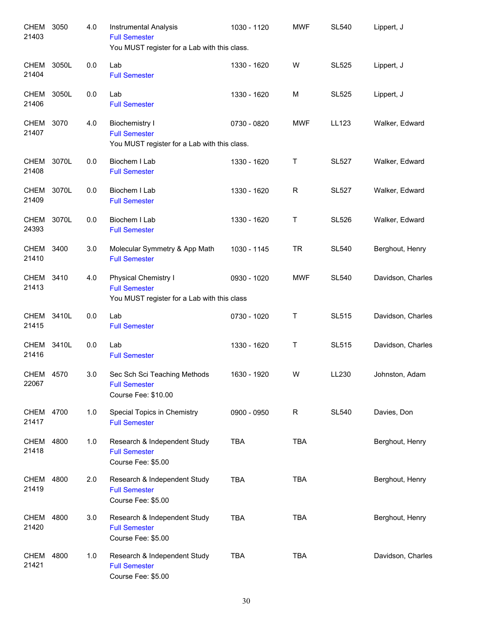| CHEM<br>21403        | 3050  | 4.0 | Instrumental Analysis<br><b>Full Semester</b><br>You MUST register for a Lab with this class. | 1030 - 1120 | <b>MWF</b> | <b>SL540</b> | Lippert, J        |
|----------------------|-------|-----|-----------------------------------------------------------------------------------------------|-------------|------------|--------------|-------------------|
| CHEM<br>21404        | 3050L | 0.0 | Lab<br><b>Full Semester</b>                                                                   | 1330 - 1620 | W          | <b>SL525</b> | Lippert, J        |
| <b>CHEM</b><br>21406 | 3050L | 0.0 | Lab<br><b>Full Semester</b>                                                                   | 1330 - 1620 | M          | <b>SL525</b> | Lippert, J        |
| CHEM<br>21407        | 3070  | 4.0 | <b>Biochemistry I</b><br><b>Full Semester</b><br>You MUST register for a Lab with this class. | 0730 - 0820 | <b>MWF</b> | LL123        | Walker, Edward    |
| CHEM<br>21408        | 3070L | 0.0 | Biochem I Lab<br><b>Full Semester</b>                                                         | 1330 - 1620 | Т          | <b>SL527</b> | Walker, Edward    |
| <b>CHEM</b><br>21409 | 3070L | 0.0 | Biochem I Lab<br><b>Full Semester</b>                                                         | 1330 - 1620 | R          | <b>SL527</b> | Walker, Edward    |
| CHEM<br>24393        | 3070L | 0.0 | Biochem I Lab<br><b>Full Semester</b>                                                         | 1330 - 1620 | Τ          | <b>SL526</b> | Walker, Edward    |
| CHEM 3400<br>21410   |       | 3.0 | Molecular Symmetry & App Math<br><b>Full Semester</b>                                         | 1030 - 1145 | <b>TR</b>  | <b>SL540</b> | Berghout, Henry   |
| <b>CHEM</b><br>21413 | 3410  | 4.0 | Physical Chemistry I<br><b>Full Semester</b><br>You MUST register for a Lab with this class   | 0930 - 1020 | <b>MWF</b> | <b>SL540</b> | Davidson, Charles |
| <b>CHEM</b><br>21415 | 3410L | 0.0 | Lab<br><b>Full Semester</b>                                                                   | 0730 - 1020 | Τ          | <b>SL515</b> | Davidson, Charles |
| <b>CHEM</b><br>21416 | 3410L | 0.0 | Lab<br><b>Full Semester</b>                                                                   | 1330 - 1620 | Τ          | <b>SL515</b> | Davidson, Charles |
| <b>CHEM</b><br>22067 | 4570  | 3.0 | Sec Sch Sci Teaching Methods<br><b>Full Semester</b><br>Course Fee: \$10.00                   | 1630 - 1920 | W          | LL230        | Johnston, Adam    |
| <b>CHEM</b><br>21417 | 4700  | 1.0 | Special Topics in Chemistry<br><b>Full Semester</b>                                           | 0900 - 0950 | R          | <b>SL540</b> | Davies, Don       |
| CHEM<br>21418        | 4800  | 1.0 | Research & Independent Study<br><b>Full Semester</b><br>Course Fee: \$5.00                    | <b>TBA</b>  | <b>TBA</b> |              | Berghout, Henry   |
| CHEM<br>21419        | 4800  | 2.0 | Research & Independent Study<br><b>Full Semester</b><br>Course Fee: \$5.00                    | <b>TBA</b>  | <b>TBA</b> |              | Berghout, Henry   |
| CHEM<br>21420        | 4800  | 3.0 | Research & Independent Study<br><b>Full Semester</b><br>Course Fee: \$5.00                    | <b>TBA</b>  | <b>TBA</b> |              | Berghout, Henry   |
| CHEM<br>21421        | 4800  | 1.0 | Research & Independent Study<br><b>Full Semester</b><br>Course Fee: \$5.00                    | <b>TBA</b>  | <b>TBA</b> |              | Davidson, Charles |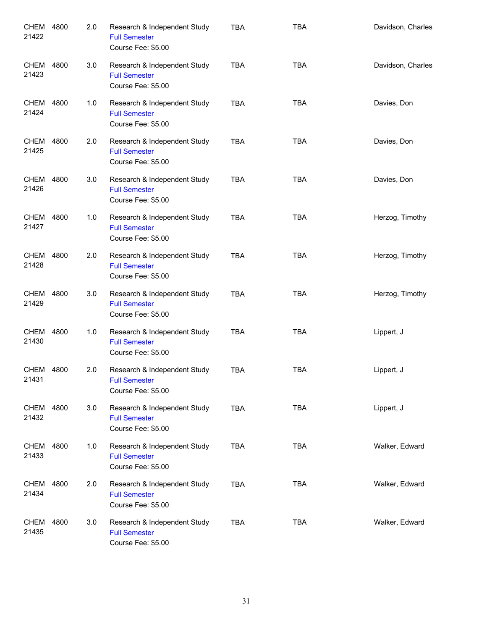| <b>CHEM</b><br>21422 | 4800 | 2.0 | Research & Independent Study<br><b>Full Semester</b><br>Course Fee: \$5.00 | <b>TBA</b> | <b>TBA</b> | Davidson, Charles |
|----------------------|------|-----|----------------------------------------------------------------------------|------------|------------|-------------------|
| CHEM<br>21423        | 4800 | 3.0 | Research & Independent Study<br><b>Full Semester</b><br>Course Fee: \$5.00 | <b>TBA</b> | <b>TBA</b> | Davidson, Charles |
| CHEM<br>21424        | 4800 | 1.0 | Research & Independent Study<br><b>Full Semester</b><br>Course Fee: \$5.00 | <b>TBA</b> | <b>TBA</b> | Davies, Don       |
| CHEM<br>21425        | 4800 | 2.0 | Research & Independent Study<br><b>Full Semester</b><br>Course Fee: \$5.00 | <b>TBA</b> | <b>TBA</b> | Davies, Don       |
| CHEM<br>21426        | 4800 | 3.0 | Research & Independent Study<br><b>Full Semester</b><br>Course Fee: \$5.00 | <b>TBA</b> | <b>TBA</b> | Davies, Don       |
| <b>CHEM</b><br>21427 | 4800 | 1.0 | Research & Independent Study<br><b>Full Semester</b><br>Course Fee: \$5.00 | <b>TBA</b> | <b>TBA</b> | Herzog, Timothy   |
| CHEM<br>21428        | 4800 | 2.0 | Research & Independent Study<br><b>Full Semester</b><br>Course Fee: \$5.00 | <b>TBA</b> | <b>TBA</b> | Herzog, Timothy   |
| CHEM<br>21429        | 4800 | 3.0 | Research & Independent Study<br><b>Full Semester</b><br>Course Fee: \$5.00 | <b>TBA</b> | <b>TBA</b> | Herzog, Timothy   |
| CHEM<br>21430        | 4800 | 1.0 | Research & Independent Study<br><b>Full Semester</b><br>Course Fee: \$5.00 | <b>TBA</b> | <b>TBA</b> | Lippert, J        |
| CHEM 4800<br>21431   |      | 2.0 | Research & Independent Study<br><b>Full Semester</b><br>Course Fee: \$5.00 | <b>TBA</b> | <b>TBA</b> | Lippert, J        |
| CHEM 4800<br>21432   |      | 3.0 | Research & Independent Study<br><b>Full Semester</b><br>Course Fee: \$5.00 | TBA        | <b>TBA</b> | Lippert, J        |
| CHEM<br>21433        | 4800 | 1.0 | Research & Independent Study<br><b>Full Semester</b><br>Course Fee: \$5.00 | <b>TBA</b> | <b>TBA</b> | Walker, Edward    |
| CHEM<br>21434        | 4800 | 2.0 | Research & Independent Study<br><b>Full Semester</b><br>Course Fee: \$5.00 | <b>TBA</b> | <b>TBA</b> | Walker, Edward    |
| CHEM<br>21435        | 4800 | 3.0 | Research & Independent Study<br><b>Full Semester</b><br>Course Fee: \$5.00 | <b>TBA</b> | <b>TBA</b> | Walker, Edward    |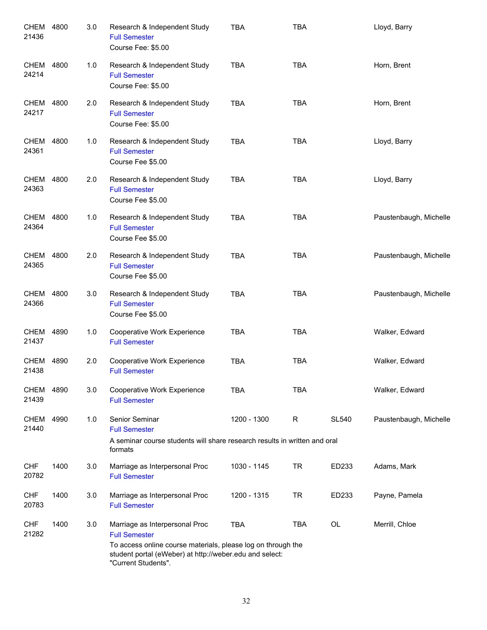| <b>CHEM</b><br>21436 | 4800 | 3.0 | Research & Independent Study<br><b>Full Semester</b><br>Course Fee: \$5.00                                                                                                                               | <b>TBA</b>  | <b>TBA</b>   |              | Lloyd, Barry           |
|----------------------|------|-----|----------------------------------------------------------------------------------------------------------------------------------------------------------------------------------------------------------|-------------|--------------|--------------|------------------------|
| <b>CHEM</b><br>24214 | 4800 | 1.0 | Research & Independent Study<br><b>Full Semester</b><br>Course Fee: \$5.00                                                                                                                               | <b>TBA</b>  | <b>TBA</b>   |              | Horn, Brent            |
| <b>CHEM</b><br>24217 | 4800 | 2.0 | Research & Independent Study<br><b>Full Semester</b><br>Course Fee: \$5.00                                                                                                                               | <b>TBA</b>  | <b>TBA</b>   |              | Horn, Brent            |
| <b>CHEM</b><br>24361 | 4800 | 1.0 | Research & Independent Study<br><b>Full Semester</b><br>Course Fee \$5.00                                                                                                                                | <b>TBA</b>  | <b>TBA</b>   |              | Lloyd, Barry           |
| <b>CHEM</b><br>24363 | 4800 | 2.0 | Research & Independent Study<br><b>Full Semester</b><br>Course Fee \$5.00                                                                                                                                | <b>TBA</b>  | <b>TBA</b>   |              | Lloyd, Barry           |
| <b>CHEM</b><br>24364 | 4800 | 1.0 | Research & Independent Study<br><b>Full Semester</b><br>Course Fee \$5.00                                                                                                                                | <b>TBA</b>  | <b>TBA</b>   |              | Paustenbaugh, Michelle |
| CHEM<br>24365        | 4800 | 2.0 | Research & Independent Study<br><b>Full Semester</b><br>Course Fee \$5.00                                                                                                                                | <b>TBA</b>  | <b>TBA</b>   |              | Paustenbaugh, Michelle |
| CHEM<br>24366        | 4800 | 3.0 | Research & Independent Study<br><b>Full Semester</b><br>Course Fee \$5.00                                                                                                                                | <b>TBA</b>  | <b>TBA</b>   |              | Paustenbaugh, Michelle |
| CHEM<br>21437        | 4890 | 1.0 | Cooperative Work Experience<br><b>Full Semester</b>                                                                                                                                                      | <b>TBA</b>  | <b>TBA</b>   |              | Walker, Edward         |
| <b>CHEM</b><br>21438 | 4890 | 2.0 | Cooperative Work Experience<br><b>Full Semester</b>                                                                                                                                                      | <b>TBA</b>  | <b>TBA</b>   |              | Walker, Edward         |
| <b>CHEM</b><br>21439 | 4890 | 3.0 | Cooperative Work Experience<br><b>Full Semester</b>                                                                                                                                                      | <b>TBA</b>  | <b>TBA</b>   |              | Walker, Edward         |
| <b>CHEM</b><br>21440 | 4990 | 1.0 | Senior Seminar<br><b>Full Semester</b><br>A seminar course students will share research results in written and oral<br>formats                                                                           | 1200 - 1300 | $\mathsf{R}$ | <b>SL540</b> | Paustenbaugh, Michelle |
| <b>CHF</b><br>20782  | 1400 | 3.0 | Marriage as Interpersonal Proc<br><b>Full Semester</b>                                                                                                                                                   | 1030 - 1145 | <b>TR</b>    | ED233        | Adams, Mark            |
| CHF<br>20783         | 1400 | 3.0 | Marriage as Interpersonal Proc<br><b>Full Semester</b>                                                                                                                                                   | 1200 - 1315 | <b>TR</b>    | ED233        | Payne, Pamela          |
| <b>CHF</b><br>21282  | 1400 | 3.0 | Marriage as Interpersonal Proc<br><b>Full Semester</b><br>To access online course materials, please log on through the<br>student portal (eWeber) at http://weber.edu and select:<br>"Current Students". | <b>TBA</b>  | <b>TBA</b>   | OL           | Merrill, Chloe         |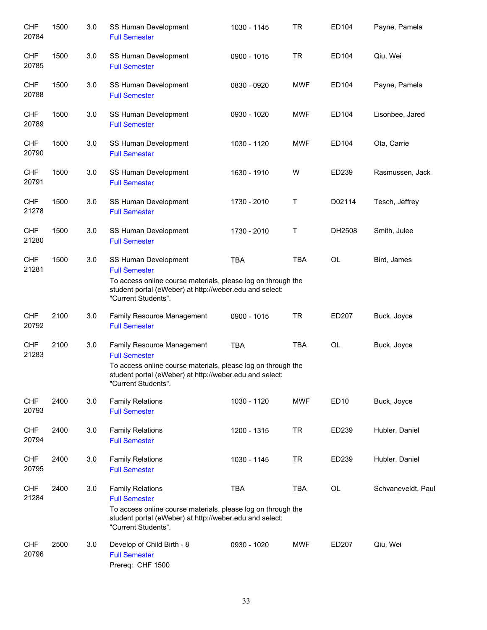| <b>CHF</b><br>20784 | 1500 | 3.0 | SS Human Development<br><b>Full Semester</b>                                                                                                                                                         | 1030 - 1145 | <b>TR</b>  | ED104  | Payne, Pamela      |
|---------------------|------|-----|------------------------------------------------------------------------------------------------------------------------------------------------------------------------------------------------------|-------------|------------|--------|--------------------|
| <b>CHF</b><br>20785 | 1500 | 3.0 | SS Human Development<br><b>Full Semester</b>                                                                                                                                                         | 0900 - 1015 | <b>TR</b>  | ED104  | Qiu, Wei           |
| <b>CHF</b><br>20788 | 1500 | 3.0 | SS Human Development<br><b>Full Semester</b>                                                                                                                                                         | 0830 - 0920 | <b>MWF</b> | ED104  | Payne, Pamela      |
| <b>CHF</b><br>20789 | 1500 | 3.0 | SS Human Development<br><b>Full Semester</b>                                                                                                                                                         | 0930 - 1020 | <b>MWF</b> | ED104  | Lisonbee, Jared    |
| <b>CHF</b><br>20790 | 1500 | 3.0 | SS Human Development<br><b>Full Semester</b>                                                                                                                                                         | 1030 - 1120 | <b>MWF</b> | ED104  | Ota, Carrie        |
| <b>CHF</b><br>20791 | 1500 | 3.0 | SS Human Development<br><b>Full Semester</b>                                                                                                                                                         | 1630 - 1910 | W          | ED239  | Rasmussen, Jack    |
| <b>CHF</b><br>21278 | 1500 | 3.0 | SS Human Development<br><b>Full Semester</b>                                                                                                                                                         | 1730 - 2010 | T          | D02114 | Tesch, Jeffrey     |
| <b>CHF</b><br>21280 | 1500 | 3.0 | SS Human Development<br><b>Full Semester</b>                                                                                                                                                         | 1730 - 2010 | $\top$     | DH2508 | Smith, Julee       |
| <b>CHF</b><br>21281 | 1500 | 3.0 | SS Human Development<br><b>Full Semester</b><br>To access online course materials, please log on through the<br>student portal (eWeber) at http://weber.edu and select:<br>"Current Students".       | <b>TBA</b>  | <b>TBA</b> | OL     | Bird, James        |
| <b>CHF</b><br>20792 | 2100 | 3.0 | Family Resource Management<br><b>Full Semester</b>                                                                                                                                                   | 0900 - 1015 | <b>TR</b>  | ED207  | Buck, Joyce        |
| <b>CHF</b><br>21283 | 2100 | 3.0 | Family Resource Management<br><b>Full Semester</b><br>To access online course materials, please log on through the<br>student portal (eWeber) at http://weber.edu and select:<br>"Current Students". | <b>TBA</b>  | <b>TBA</b> | OL     | Buck, Joyce        |
| <b>CHF</b><br>20793 | 2400 | 3.0 | <b>Family Relations</b><br><b>Full Semester</b>                                                                                                                                                      | 1030 - 1120 | <b>MWF</b> | ED10   | Buck, Joyce        |
| <b>CHF</b><br>20794 | 2400 | 3.0 | <b>Family Relations</b><br><b>Full Semester</b>                                                                                                                                                      | 1200 - 1315 | <b>TR</b>  | ED239  | Hubler, Daniel     |
| <b>CHF</b><br>20795 | 2400 | 3.0 | <b>Family Relations</b><br><b>Full Semester</b>                                                                                                                                                      | 1030 - 1145 | <b>TR</b>  | ED239  | Hubler, Daniel     |
| <b>CHF</b><br>21284 | 2400 | 3.0 | <b>Family Relations</b><br><b>Full Semester</b><br>To access online course materials, please log on through the<br>student portal (eWeber) at http://weber.edu and select:<br>"Current Students".    | <b>TBA</b>  | <b>TBA</b> | OL     | Schvaneveldt, Paul |
| <b>CHF</b><br>20796 | 2500 | 3.0 | Develop of Child Birth - 8<br><b>Full Semester</b><br>Prereq: CHF 1500                                                                                                                               | 0930 - 1020 | <b>MWF</b> | ED207  | Qiu, Wei           |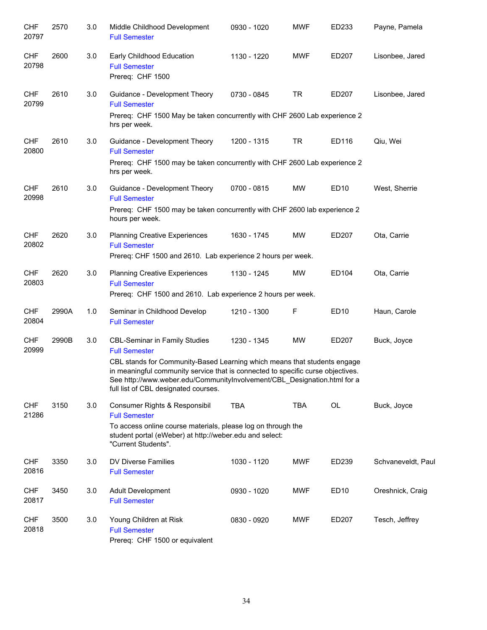| <b>CHF</b><br>20797 | 2570  | 3.0 | Middle Childhood Development<br><b>Full Semester</b>                                                                                                                                                                                                                                                                                            | 0930 - 1020 | <b>MWF</b> | ED233            | Payne, Pamela      |
|---------------------|-------|-----|-------------------------------------------------------------------------------------------------------------------------------------------------------------------------------------------------------------------------------------------------------------------------------------------------------------------------------------------------|-------------|------------|------------------|--------------------|
| <b>CHF</b><br>20798 | 2600  | 3.0 | Early Childhood Education<br><b>Full Semester</b><br>Prereg: CHF 1500                                                                                                                                                                                                                                                                           | 1130 - 1220 | <b>MWF</b> | ED207            | Lisonbee, Jared    |
| <b>CHF</b><br>20799 | 2610  | 3.0 | Guidance - Development Theory<br><b>Full Semester</b><br>Prereq: CHF 1500 May be taken concurrently with CHF 2600 Lab experience 2<br>hrs per week.                                                                                                                                                                                             | 0730 - 0845 | <b>TR</b>  | ED207            | Lisonbee, Jared    |
| <b>CHF</b><br>20800 | 2610  | 3.0 | Guidance - Development Theory<br><b>Full Semester</b><br>Prereq: CHF 1500 may be taken concurrently with CHF 2600 Lab experience 2<br>hrs per week.                                                                                                                                                                                             | 1200 - 1315 | <b>TR</b>  | ED116            | Qiu, Wei           |
| <b>CHF</b><br>20998 | 2610  | 3.0 | Guidance - Development Theory<br><b>Full Semester</b><br>Prereq: CHF 1500 may be taken concurrently with CHF 2600 lab experience 2<br>hours per week.                                                                                                                                                                                           | 0700 - 0815 | MW         | ED <sub>10</sub> | West, Sherrie      |
| <b>CHF</b><br>20802 | 2620  | 3.0 | <b>Planning Creative Experiences</b><br><b>Full Semester</b><br>Prereq: CHF 1500 and 2610. Lab experience 2 hours per week.                                                                                                                                                                                                                     | 1630 - 1745 | <b>MW</b>  | ED207            | Ota, Carrie        |
| <b>CHF</b><br>20803 | 2620  | 3.0 | <b>Planning Creative Experiences</b><br><b>Full Semester</b><br>Prereq: CHF 1500 and 2610. Lab experience 2 hours per week.                                                                                                                                                                                                                     | 1130 - 1245 | <b>MW</b>  | ED104            | Ota, Carrie        |
| <b>CHF</b><br>20804 | 2990A | 1.0 | Seminar in Childhood Develop<br><b>Full Semester</b>                                                                                                                                                                                                                                                                                            | 1210 - 1300 | F          | ED10             | Haun, Carole       |
| <b>CHF</b><br>20999 | 2990B | 3.0 | <b>CBL-Seminar in Family Studies</b><br><b>Full Semester</b><br>CBL stands for Community-Based Learning which means that students engage<br>in meaningful community service that is connected to specific curse objectives.<br>See http://www.weber.edu/CommunityInvolvement/CBL_Designation.html for a<br>full list of CBL designated courses. | 1230 - 1345 | <b>MW</b>  | ED207            | Buck, Joyce        |
| <b>CHF</b><br>21286 | 3150  | 3.0 | Consumer Rights & Responsibil<br><b>Full Semester</b><br>To access online course materials, please log on through the<br>student portal (eWeber) at http://weber.edu and select:<br>"Current Students".                                                                                                                                         | <b>TBA</b>  | <b>TBA</b> | <b>OL</b>        | Buck, Joyce        |
| <b>CHF</b><br>20816 | 3350  | 3.0 | DV Diverse Families<br><b>Full Semester</b>                                                                                                                                                                                                                                                                                                     | 1030 - 1120 | <b>MWF</b> | ED239            | Schvaneveldt, Paul |
| <b>CHF</b><br>20817 | 3450  | 3.0 | <b>Adult Development</b><br><b>Full Semester</b>                                                                                                                                                                                                                                                                                                | 0930 - 1020 | <b>MWF</b> | ED <sub>10</sub> | Oreshnick, Craig   |
| <b>CHF</b><br>20818 | 3500  | 3.0 | Young Children at Risk<br><b>Full Semester</b><br>Prereq: CHF 1500 or equivalent                                                                                                                                                                                                                                                                | 0830 - 0920 | <b>MWF</b> | ED207            | Tesch, Jeffrey     |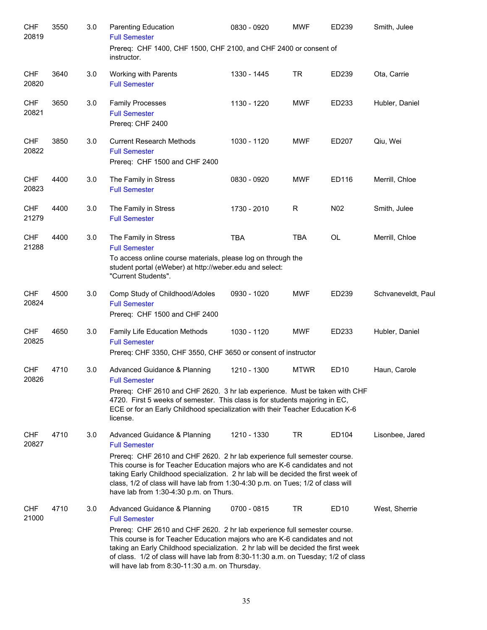| <b>CHF</b><br>20819 | 3550 | 3.0 | <b>Parenting Education</b><br><b>Full Semester</b>                                                                                                                                                                                                                                                                                                                                   | 0830 - 0920 | <b>MWF</b>  | ED239            | Smith, Julee       |
|---------------------|------|-----|--------------------------------------------------------------------------------------------------------------------------------------------------------------------------------------------------------------------------------------------------------------------------------------------------------------------------------------------------------------------------------------|-------------|-------------|------------------|--------------------|
|                     |      |     | Prereq: CHF 1400, CHF 1500, CHF 2100, and CHF 2400 or consent of<br>instructor.                                                                                                                                                                                                                                                                                                      |             |             |                  |                    |
| <b>CHF</b><br>20820 | 3640 | 3.0 | Working with Parents<br><b>Full Semester</b>                                                                                                                                                                                                                                                                                                                                         | 1330 - 1445 | <b>TR</b>   | ED239            | Ota, Carrie        |
| <b>CHF</b><br>20821 | 3650 | 3.0 | <b>Family Processes</b><br><b>Full Semester</b><br>Prereq: CHF 2400                                                                                                                                                                                                                                                                                                                  | 1130 - 1220 | <b>MWF</b>  | ED233            | Hubler, Daniel     |
| <b>CHF</b><br>20822 | 3850 | 3.0 | <b>Current Research Methods</b><br><b>Full Semester</b><br>Prereq: CHF 1500 and CHF 2400                                                                                                                                                                                                                                                                                             | 1030 - 1120 | <b>MWF</b>  | ED207            | Qiu, Wei           |
| <b>CHF</b><br>20823 | 4400 | 3.0 | The Family in Stress<br><b>Full Semester</b>                                                                                                                                                                                                                                                                                                                                         | 0830 - 0920 | <b>MWF</b>  | ED116            | Merrill, Chloe     |
| <b>CHF</b><br>21279 | 4400 | 3.0 | The Family in Stress<br><b>Full Semester</b>                                                                                                                                                                                                                                                                                                                                         | 1730 - 2010 | R           | N <sub>02</sub>  | Smith, Julee       |
| <b>CHF</b><br>21288 | 4400 | 3.0 | The Family in Stress<br><b>Full Semester</b>                                                                                                                                                                                                                                                                                                                                         | <b>TBA</b>  | <b>TBA</b>  | <b>OL</b>        | Merrill, Chloe     |
|                     |      |     | To access online course materials, please log on through the<br>student portal (eWeber) at http://weber.edu and select:<br>"Current Students".                                                                                                                                                                                                                                       |             |             |                  |                    |
| <b>CHF</b><br>20824 | 4500 | 3.0 | Comp Study of Childhood/Adoles<br><b>Full Semester</b><br>Prereq: CHF 1500 and CHF 2400                                                                                                                                                                                                                                                                                              | 0930 - 1020 | <b>MWF</b>  | ED239            | Schvaneveldt, Paul |
| <b>CHF</b><br>20825 | 4650 | 3.0 | Family Life Education Methods<br><b>Full Semester</b><br>Prereq: CHF 3350, CHF 3550, CHF 3650 or consent of instructor                                                                                                                                                                                                                                                               | 1030 - 1120 | <b>MWF</b>  | ED233            | Hubler, Daniel     |
| <b>CHF</b><br>20826 | 4710 | 3.0 | Advanced Guidance & Planning<br><b>Full Semester</b><br>Prereq: CHF 2610 and CHF 2620. 3 hr lab experience. Must be taken with CHF                                                                                                                                                                                                                                                   | 1210 - 1300 | <b>MTWR</b> | ED10             | Haun, Carole       |
|                     |      |     | 4720. First 5 weeks of semester. This class is for students majoring in EC,<br>ECE or for an Early Childhood specialization with their Teacher Education K-6<br>license.                                                                                                                                                                                                             |             |             |                  |                    |
| <b>CHF</b><br>20827 | 4710 | 3.0 | Advanced Guidance & Planning<br><b>Full Semester</b>                                                                                                                                                                                                                                                                                                                                 | 1210 - 1330 | TR          | ED104            | Lisonbee, Jared    |
|                     |      |     | Prereq: CHF 2610 and CHF 2620. 2 hr lab experience full semester course.<br>This course is for Teacher Education majors who are K-6 candidates and not<br>taking Early Childhood specialization. 2 hr lab will be decided the first week of<br>class, 1/2 of class will have lab from 1:30-4:30 p.m. on Tues; 1/2 of class will<br>have lab from 1:30-4:30 p.m. on Thurs.            |             |             |                  |                    |
| <b>CHF</b><br>21000 | 4710 | 3.0 | Advanced Guidance & Planning<br><b>Full Semester</b>                                                                                                                                                                                                                                                                                                                                 | 0700 - 0815 | TR          | ED <sub>10</sub> | West, Sherrie      |
|                     |      |     | Prereq: CHF 2610 and CHF 2620. 2 hr lab experience full semester course.<br>This course is for Teacher Education majors who are K-6 candidates and not<br>taking an Early Childhood specialization. 2 hr lab will be decided the first week<br>of class. 1/2 of class will have lab from 8:30-11:30 a.m. on Tuesday; 1/2 of class<br>will have lab from 8:30-11:30 a.m. on Thursday. |             |             |                  |                    |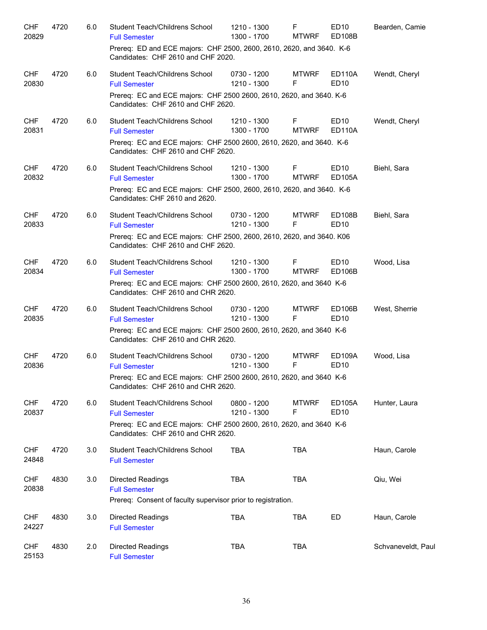| <b>CHF</b><br>20829 | 4720 | 6.0 | Student Teach/Childrens School<br><b>Full Semester</b><br>Prereq: ED and ECE majors: CHF 2500, 2600, 2610, 2620, and 3640. K-6<br>Candidates: CHF 2610 and CHF 2020. | 1210 - 1300<br>1300 - 1700 | F<br><b>MTWRF</b> | ED10<br>ED <sub>108</sub> B             | Bearden, Camie     |
|---------------------|------|-----|----------------------------------------------------------------------------------------------------------------------------------------------------------------------|----------------------------|-------------------|-----------------------------------------|--------------------|
| <b>CHF</b><br>20830 | 4720 | 6.0 | Student Teach/Childrens School<br><b>Full Semester</b><br>Prereq: EC and ECE majors: CHF 2500 2600, 2610, 2620, and 3640. K-6<br>Candidates: CHF 2610 and CHF 2620.  | 0730 - 1200<br>1210 - 1300 | <b>MTWRF</b><br>F | <b>ED110A</b><br><b>ED10</b>            | Wendt, Cheryl      |
| <b>CHF</b><br>20831 | 4720 | 6.0 | Student Teach/Childrens School<br><b>Full Semester</b><br>Prereq: EC and ECE majors: CHF 2500 2600, 2610, 2620, and 3640. K-6<br>Candidates: CHF 2610 and CHF 2620.  | 1210 - 1300<br>1300 - 1700 | F<br><b>MTWRF</b> | ED <sub>10</sub><br><b>ED110A</b>       | Wendt, Cheryl      |
| <b>CHF</b><br>20832 | 4720 | 6.0 | Student Teach/Childrens School<br><b>Full Semester</b><br>Prereq: EC and ECE majors: CHF 2500, 2600, 2610, 2620, and 3640. K-6<br>Candidates: CHF 2610 and 2620.     | 1210 - 1300<br>1300 - 1700 | F<br><b>MTWRF</b> | ED <sub>10</sub><br>ED105A              | Biehl, Sara        |
| <b>CHF</b><br>20833 | 4720 | 6.0 | Student Teach/Childrens School<br><b>Full Semester</b><br>Prereq: EC and ECE majors: CHF 2500, 2600, 2610, 2620, and 3640. K06<br>Candidates: CHF 2610 and CHF 2620. | 0730 - 1200<br>1210 - 1300 | <b>MTWRF</b><br>F | ED108B<br>ED <sub>10</sub>              | Biehl, Sara        |
| <b>CHF</b><br>20834 | 4720 | 6.0 | Student Teach/Childrens School<br><b>Full Semester</b><br>Prereq: EC and ECE majors: CHF 2500 2600, 2610, 2620, and 3640 K-6<br>Candidates: CHF 2610 and CHR 2620.   | 1210 - 1300<br>1300 - 1700 | F<br><b>MTWRF</b> | ED <sub>10</sub><br>ED <sub>106</sub> B | Wood, Lisa         |
| <b>CHF</b><br>20835 | 4720 | 6.0 | Student Teach/Childrens School<br><b>Full Semester</b><br>Prereq: EC and ECE majors: CHF 2500 2600, 2610, 2620, and 3640 K-6<br>Candidates: CHF 2610 and CHR 2620.   | 0730 - 1200<br>1210 - 1300 | <b>MTWRF</b><br>F | ED106B<br>ED <sub>10</sub>              | West, Sherrie      |
| <b>CHF</b><br>20836 | 4720 | 6.0 | Student Teach/Childrens School<br><b>Full Semester</b><br>Prereq: EC and ECE majors: CHF 2500 2600, 2610, 2620, and 3640 K-6<br>Candidates: CHF 2610 and CHR 2620.   | 0730 - 1200<br>1210 - 1300 | <b>MTWRF</b><br>F | ED109A<br>ED <sub>10</sub>              | Wood, Lisa         |
| <b>CHF</b><br>20837 | 4720 | 6.0 | Student Teach/Childrens School<br><b>Full Semester</b><br>Prereq: EC and ECE majors: CHF 2500 2600, 2610, 2620, and 3640 K-6<br>Candidates: CHF 2610 and CHR 2620.   | 0800 - 1200<br>1210 - 1300 | <b>MTWRF</b><br>F | <b>ED105A</b><br>ED10                   | Hunter, Laura      |
| <b>CHF</b><br>24848 | 4720 | 3.0 | Student Teach/Childrens School<br><b>Full Semester</b>                                                                                                               | <b>TBA</b>                 | <b>TBA</b>        |                                         | Haun, Carole       |
| <b>CHF</b><br>20838 | 4830 | 3.0 | Directed Readings<br><b>Full Semester</b><br>Prereq: Consent of faculty supervisor prior to registration.                                                            | <b>TBA</b>                 | <b>TBA</b>        |                                         | Qiu, Wei           |
| <b>CHF</b><br>24227 | 4830 | 3.0 | Directed Readings<br><b>Full Semester</b>                                                                                                                            | <b>TBA</b>                 | <b>TBA</b>        | ED                                      | Haun, Carole       |
| <b>CHF</b><br>25153 | 4830 | 2.0 | Directed Readings<br><b>Full Semester</b>                                                                                                                            | <b>TBA</b>                 | <b>TBA</b>        |                                         | Schvaneveldt, Paul |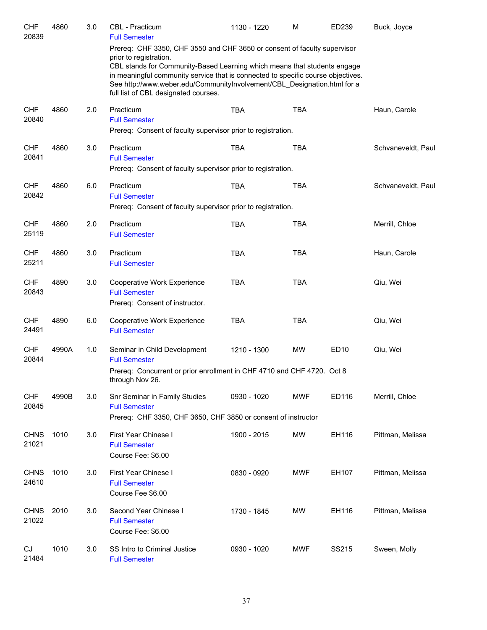| <b>CHF</b><br>20839  | 4860  | 3.0 | <b>CBL</b> - Practicum<br><b>Full Semester</b>                                                                                                                                                                                                                                                                                                                                         | 1130 - 1220 | M          | ED239 | Buck, Joyce        |
|----------------------|-------|-----|----------------------------------------------------------------------------------------------------------------------------------------------------------------------------------------------------------------------------------------------------------------------------------------------------------------------------------------------------------------------------------------|-------------|------------|-------|--------------------|
|                      |       |     | Prereq: CHF 3350, CHF 3550 and CHF 3650 or consent of faculty supervisor<br>prior to registration.<br>CBL stands for Community-Based Learning which means that students engage<br>in meaningful community service that is connected to specific course objectives.<br>See http://www.weber.edu/CommunityInvolvement/CBL_Designation.html for a<br>full list of CBL designated courses. |             |            |       |                    |
| <b>CHF</b><br>20840  | 4860  | 2.0 | Practicum<br><b>Full Semester</b><br>Prereq: Consent of faculty supervisor prior to registration.                                                                                                                                                                                                                                                                                      | <b>TBA</b>  | <b>TBA</b> |       | Haun, Carole       |
| <b>CHF</b><br>20841  | 4860  | 3.0 | Practicum<br><b>Full Semester</b><br>Prereq: Consent of faculty supervisor prior to registration.                                                                                                                                                                                                                                                                                      | <b>TBA</b>  | <b>TBA</b> |       | Schvaneveldt, Paul |
| <b>CHF</b><br>20842  | 4860  | 6.0 | Practicum<br><b>Full Semester</b><br>Prereq: Consent of faculty supervisor prior to registration.                                                                                                                                                                                                                                                                                      | <b>TBA</b>  | <b>TBA</b> |       | Schvaneveldt, Paul |
| <b>CHF</b><br>25119  | 4860  | 2.0 | Practicum<br><b>Full Semester</b>                                                                                                                                                                                                                                                                                                                                                      | <b>TBA</b>  | <b>TBA</b> |       | Merrill, Chloe     |
| <b>CHF</b><br>25211  | 4860  | 3.0 | Practicum<br><b>Full Semester</b>                                                                                                                                                                                                                                                                                                                                                      | <b>TBA</b>  | <b>TBA</b> |       | Haun, Carole       |
| <b>CHF</b><br>20843  | 4890  | 3.0 | Cooperative Work Experience<br><b>Full Semester</b><br>Prereq: Consent of instructor.                                                                                                                                                                                                                                                                                                  | <b>TBA</b>  | <b>TBA</b> |       | Qiu, Wei           |
| <b>CHF</b><br>24491  | 4890  | 6.0 | Cooperative Work Experience<br><b>Full Semester</b>                                                                                                                                                                                                                                                                                                                                    | <b>TBA</b>  | <b>TBA</b> |       | Qiu, Wei           |
| <b>CHF</b><br>20844  | 4990A | 1.0 | Seminar in Child Development<br><b>Full Semester</b><br>Prereq: Concurrent or prior enrollment in CHF 4710 and CHF 4720. Oct 8<br>through Nov 26.                                                                                                                                                                                                                                      | 1210 - 1300 | <b>MW</b>  | ED10  | Qiu, Wei           |
| <b>CHF</b><br>20845  | 4990B | 3.0 | Snr Seminar in Family Studies<br><b>Full Semester</b><br>Prereq: CHF 3350, CHF 3650, CHF 3850 or consent of instructor                                                                                                                                                                                                                                                                 | 0930 - 1020 | <b>MWF</b> | ED116 | Merrill, Chloe     |
| <b>CHNS</b><br>21021 | 1010  | 3.0 | First Year Chinese I<br><b>Full Semester</b><br>Course Fee: \$6.00                                                                                                                                                                                                                                                                                                                     | 1900 - 2015 | <b>MW</b>  | EH116 | Pittman, Melissa   |
| <b>CHNS</b><br>24610 | 1010  | 3.0 | First Year Chinese I<br><b>Full Semester</b><br>Course Fee \$6.00                                                                                                                                                                                                                                                                                                                      | 0830 - 0920 | <b>MWF</b> | EH107 | Pittman, Melissa   |
| <b>CHNS</b><br>21022 | 2010  | 3.0 | Second Year Chinese I<br><b>Full Semester</b><br>Course Fee: \$6.00                                                                                                                                                                                                                                                                                                                    | 1730 - 1845 | MW         | EH116 | Pittman, Melissa   |
| CJ<br>21484          | 1010  | 3.0 | SS Intro to Criminal Justice<br><b>Full Semester</b>                                                                                                                                                                                                                                                                                                                                   | 0930 - 1020 | <b>MWF</b> | SS215 | Sween, Molly       |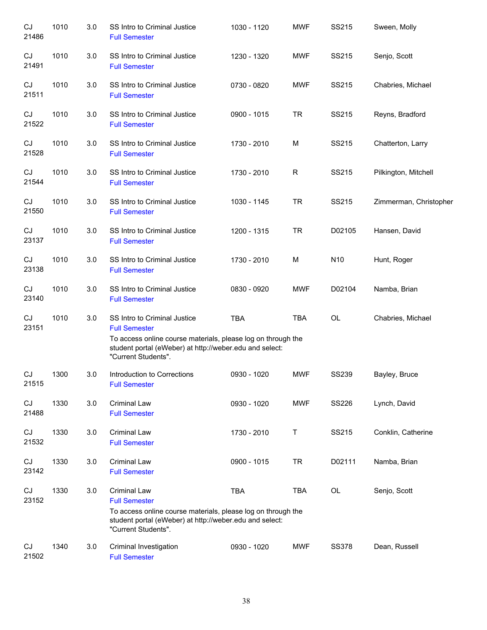| CJ<br>21486 | 1010 | 3.0 | SS Intro to Criminal Justice<br><b>Full Semester</b>                                                                                                                                                   | 1030 - 1120 | <b>MWF</b> | SS215           | Sween, Molly           |
|-------------|------|-----|--------------------------------------------------------------------------------------------------------------------------------------------------------------------------------------------------------|-------------|------------|-----------------|------------------------|
| CJ<br>21491 | 1010 | 3.0 | SS Intro to Criminal Justice<br><b>Full Semester</b>                                                                                                                                                   | 1230 - 1320 | <b>MWF</b> | SS215           | Senjo, Scott           |
| CJ<br>21511 | 1010 | 3.0 | SS Intro to Criminal Justice<br><b>Full Semester</b>                                                                                                                                                   | 0730 - 0820 | <b>MWF</b> | SS215           | Chabries, Michael      |
| CJ<br>21522 | 1010 | 3.0 | SS Intro to Criminal Justice<br><b>Full Semester</b>                                                                                                                                                   | 0900 - 1015 | <b>TR</b>  | SS215           | Reyns, Bradford        |
| CJ<br>21528 | 1010 | 3.0 | SS Intro to Criminal Justice<br><b>Full Semester</b>                                                                                                                                                   | 1730 - 2010 | М          | SS215           | Chatterton, Larry      |
| CJ<br>21544 | 1010 | 3.0 | SS Intro to Criminal Justice<br><b>Full Semester</b>                                                                                                                                                   | 1730 - 2010 | R          | SS215           | Pilkington, Mitchell   |
| CJ<br>21550 | 1010 | 3.0 | SS Intro to Criminal Justice<br><b>Full Semester</b>                                                                                                                                                   | 1030 - 1145 | <b>TR</b>  | SS215           | Zimmerman, Christopher |
| CJ<br>23137 | 1010 | 3.0 | SS Intro to Criminal Justice<br><b>Full Semester</b>                                                                                                                                                   | 1200 - 1315 | <b>TR</b>  | D02105          | Hansen, David          |
| CJ<br>23138 | 1010 | 3.0 | SS Intro to Criminal Justice<br><b>Full Semester</b>                                                                                                                                                   | 1730 - 2010 | M          | N <sub>10</sub> | Hunt, Roger            |
| CJ<br>23140 | 1010 | 3.0 | SS Intro to Criminal Justice<br><b>Full Semester</b>                                                                                                                                                   | 0830 - 0920 | <b>MWF</b> | D02104          | Namba, Brian           |
| CJ<br>23151 | 1010 | 3.0 | SS Intro to Criminal Justice<br><b>Full Semester</b><br>To access online course materials, please log on through the<br>student portal (eWeber) at http://weber.edu and select:<br>"Current Students". | <b>TBA</b>  | <b>TBA</b> | OL              | Chabries, Michael      |
| CJ<br>21515 | 1300 | 3.0 | Introduction to Corrections<br><b>Full Semester</b>                                                                                                                                                    | 0930 - 1020 | <b>MWF</b> | <b>SS239</b>    | Bayley, Bruce          |
| CJ<br>21488 | 1330 | 3.0 | <b>Criminal Law</b><br><b>Full Semester</b>                                                                                                                                                            | 0930 - 1020 | <b>MWF</b> | <b>SS226</b>    | Lynch, David           |
| CJ<br>21532 | 1330 | 3.0 | <b>Criminal Law</b><br><b>Full Semester</b>                                                                                                                                                            | 1730 - 2010 | Τ          | SS215           | Conklin, Catherine     |
| CJ<br>23142 | 1330 | 3.0 | <b>Criminal Law</b><br><b>Full Semester</b>                                                                                                                                                            | 0900 - 1015 | <b>TR</b>  | D02111          | Namba, Brian           |
| CJ<br>23152 | 1330 | 3.0 | <b>Criminal Law</b><br><b>Full Semester</b><br>To access online course materials, please log on through the<br>student portal (eWeber) at http://weber.edu and select:<br>"Current Students".          | TBA         | <b>TBA</b> | OL              | Senjo, Scott           |
| CJ<br>21502 | 1340 | 3.0 | Criminal Investigation<br><b>Full Semester</b>                                                                                                                                                         | 0930 - 1020 | <b>MWF</b> | <b>SS378</b>    | Dean, Russell          |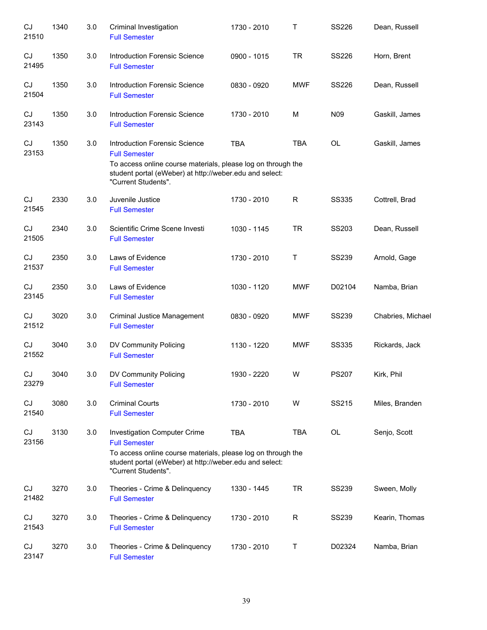| CJ<br>21510 | 1340 | 3.0 | Criminal Investigation<br><b>Full Semester</b>                                                                                                                                                          | 1730 - 2010 | Τ            | <b>SS226</b>    | Dean, Russell     |
|-------------|------|-----|---------------------------------------------------------------------------------------------------------------------------------------------------------------------------------------------------------|-------------|--------------|-----------------|-------------------|
| CJ<br>21495 | 1350 | 3.0 | Introduction Forensic Science<br><b>Full Semester</b>                                                                                                                                                   | 0900 - 1015 | <b>TR</b>    | <b>SS226</b>    | Horn, Brent       |
| CJ<br>21504 | 1350 | 3.0 | Introduction Forensic Science<br><b>Full Semester</b>                                                                                                                                                   | 0830 - 0920 | <b>MWF</b>   | <b>SS226</b>    | Dean, Russell     |
| CJ<br>23143 | 1350 | 3.0 | Introduction Forensic Science<br><b>Full Semester</b>                                                                                                                                                   | 1730 - 2010 | М            | N <sub>09</sub> | Gaskill, James    |
| CJ<br>23153 | 1350 | 3.0 | Introduction Forensic Science<br><b>Full Semester</b><br>To access online course materials, please log on through the<br>student portal (eWeber) at http://weber.edu and select:<br>"Current Students". | <b>TBA</b>  | <b>TBA</b>   | OL              | Gaskill, James    |
| CJ<br>21545 | 2330 | 3.0 | Juvenile Justice<br><b>Full Semester</b>                                                                                                                                                                | 1730 - 2010 | $\mathsf{R}$ | <b>SS335</b>    | Cottrell, Brad    |
| CJ<br>21505 | 2340 | 3.0 | Scientific Crime Scene Investi<br><b>Full Semester</b>                                                                                                                                                  | 1030 - 1145 | <b>TR</b>    | SS203           | Dean, Russell     |
| CJ<br>21537 | 2350 | 3.0 | Laws of Evidence<br><b>Full Semester</b>                                                                                                                                                                | 1730 - 2010 | $\mathsf T$  | <b>SS239</b>    | Arnold, Gage      |
| CJ<br>23145 | 2350 | 3.0 | Laws of Evidence<br><b>Full Semester</b>                                                                                                                                                                | 1030 - 1120 | <b>MWF</b>   | D02104          | Namba, Brian      |
| CJ<br>21512 | 3020 | 3.0 | Criminal Justice Management<br><b>Full Semester</b>                                                                                                                                                     | 0830 - 0920 | <b>MWF</b>   | <b>SS239</b>    | Chabries, Michael |
| CJ<br>21552 | 3040 | 3.0 | DV Community Policing<br><b>Full Semester</b>                                                                                                                                                           | 1130 - 1220 | <b>MWF</b>   | <b>SS335</b>    | Rickards, Jack    |
| CJ<br>23279 | 3040 | 3.0 | DV Community Policing<br><b>Full Semester</b>                                                                                                                                                           | 1930 - 2220 | W            | <b>PS207</b>    | Kirk, Phil        |
| CJ<br>21540 | 3080 | 3.0 | <b>Criminal Courts</b><br><b>Full Semester</b>                                                                                                                                                          | 1730 - 2010 | W            | SS215           | Miles, Branden    |
| CJ<br>23156 | 3130 | 3.0 | Investigation Computer Crime<br><b>Full Semester</b><br>To access online course materials, please log on through the<br>student portal (eWeber) at http://weber.edu and select:<br>"Current Students".  | <b>TBA</b>  | <b>TBA</b>   | OL              | Senjo, Scott      |
| CJ<br>21482 | 3270 | 3.0 | Theories - Crime & Delinquency<br><b>Full Semester</b>                                                                                                                                                  | 1330 - 1445 | TR           | <b>SS239</b>    | Sween, Molly      |
| CJ<br>21543 | 3270 | 3.0 | Theories - Crime & Delinquency<br><b>Full Semester</b>                                                                                                                                                  | 1730 - 2010 | R            | <b>SS239</b>    | Kearin, Thomas    |
| CJ<br>23147 | 3270 | 3.0 | Theories - Crime & Delinquency<br><b>Full Semester</b>                                                                                                                                                  | 1730 - 2010 | Τ            | D02324          | Namba, Brian      |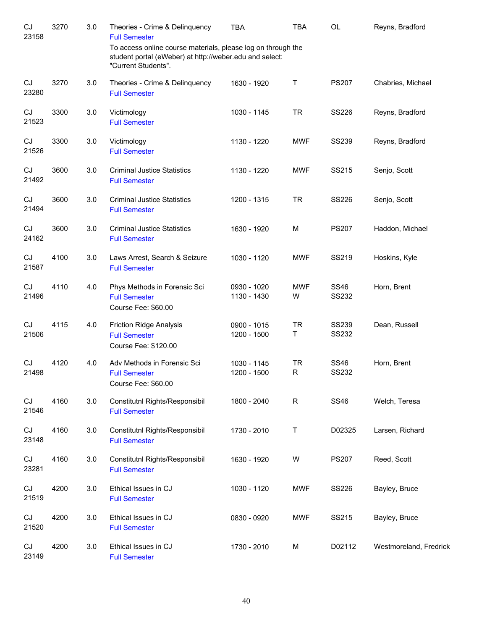| CJ<br>23158 | 3270 | 3.0 | Theories - Crime & Delinquency<br><b>Full Semester</b>                                                                                         | <b>TBA</b>                 | <b>TBA</b>      | OL                           | Reyns, Bradford        |
|-------------|------|-----|------------------------------------------------------------------------------------------------------------------------------------------------|----------------------------|-----------------|------------------------------|------------------------|
|             |      |     | To access online course materials, please log on through the<br>student portal (eWeber) at http://weber.edu and select:<br>"Current Students". |                            |                 |                              |                        |
| CJ<br>23280 | 3270 | 3.0 | Theories - Crime & Delinquency<br><b>Full Semester</b>                                                                                         | 1630 - 1920                | Т               | <b>PS207</b>                 | Chabries, Michael      |
| CJ<br>21523 | 3300 | 3.0 | Victimology<br><b>Full Semester</b>                                                                                                            | 1030 - 1145                | <b>TR</b>       | <b>SS226</b>                 | Reyns, Bradford        |
| CJ<br>21526 | 3300 | 3.0 | Victimology<br><b>Full Semester</b>                                                                                                            | 1130 - 1220                | <b>MWF</b>      | <b>SS239</b>                 | Reyns, Bradford        |
| CJ<br>21492 | 3600 | 3.0 | <b>Criminal Justice Statistics</b><br><b>Full Semester</b>                                                                                     | 1130 - 1220                | <b>MWF</b>      | SS215                        | Senjo, Scott           |
| CJ<br>21494 | 3600 | 3.0 | <b>Criminal Justice Statistics</b><br><b>Full Semester</b>                                                                                     | 1200 - 1315                | <b>TR</b>       | <b>SS226</b>                 | Senjo, Scott           |
| CJ<br>24162 | 3600 | 3.0 | <b>Criminal Justice Statistics</b><br><b>Full Semester</b>                                                                                     | 1630 - 1920                | M               | <b>PS207</b>                 | Haddon, Michael        |
| CJ<br>21587 | 4100 | 3.0 | Laws Arrest, Search & Seizure<br><b>Full Semester</b>                                                                                          | 1030 - 1120                | <b>MWF</b>      | SS219                        | Hoskins, Kyle          |
| CJ<br>21496 | 4110 | 4.0 | Phys Methods in Forensic Sci<br><b>Full Semester</b><br>Course Fee: \$60.00                                                                    | 0930 - 1020<br>1130 - 1430 | <b>MWF</b><br>W | <b>SS46</b><br><b>SS232</b>  | Horn, Brent            |
| CJ<br>21506 | 4115 | 4.0 | <b>Friction Ridge Analysis</b><br><b>Full Semester</b><br>Course Fee: \$120.00                                                                 | 0900 - 1015<br>1200 - 1500 | <b>TR</b><br>T  | <b>SS239</b><br><b>SS232</b> | Dean, Russell          |
| CJ<br>21498 | 4120 | 4.0 | Adv Methods in Forensic Sci<br><b>Full Semester</b><br>Course Fee: \$60.00                                                                     | 1030 - 1145<br>1200 - 1500 | <b>TR</b><br>R  | <b>SS46</b><br><b>SS232</b>  | Horn, Brent            |
| CJ<br>21546 | 4160 | 3.0 | Constitutnl Rights/Responsibil<br><b>Full Semester</b>                                                                                         | 1800 - 2040                | $\mathsf R$     | <b>SS46</b>                  | Welch, Teresa          |
| CJ<br>23148 | 4160 | 3.0 | Constitutnl Rights/Responsibil<br><b>Full Semester</b>                                                                                         | 1730 - 2010                | Τ               | D02325                       | Larsen, Richard        |
| CJ<br>23281 | 4160 | 3.0 | Constitutnl Rights/Responsibil<br><b>Full Semester</b>                                                                                         | 1630 - 1920                | W               | <b>PS207</b>                 | Reed, Scott            |
| CJ<br>21519 | 4200 | 3.0 | Ethical Issues in CJ<br><b>Full Semester</b>                                                                                                   | 1030 - 1120                | <b>MWF</b>      | SS226                        | Bayley, Bruce          |
| CJ<br>21520 | 4200 | 3.0 | Ethical Issues in CJ<br><b>Full Semester</b>                                                                                                   | 0830 - 0920                | <b>MWF</b>      | SS215                        | Bayley, Bruce          |
| CJ<br>23149 | 4200 | 3.0 | Ethical Issues in CJ<br><b>Full Semester</b>                                                                                                   | 1730 - 2010                | М               | D02112                       | Westmoreland, Fredrick |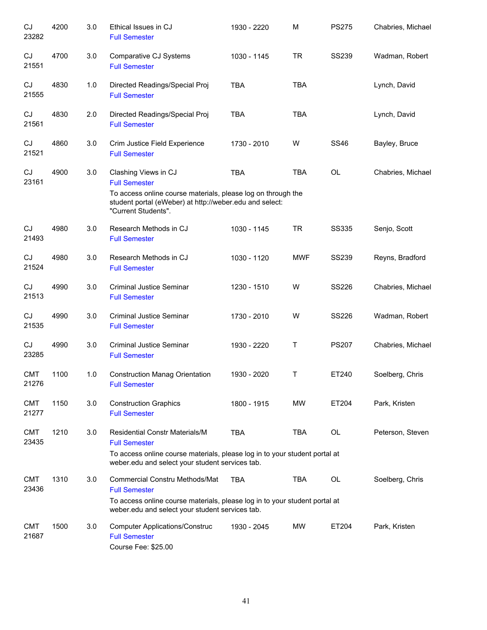| CJ<br>23282         | 4200 | 3.0 | Ethical Issues in CJ<br><b>Full Semester</b>                                                                                                                                                   | 1930 - 2220 | M          | <b>PS275</b> | Chabries, Michael |
|---------------------|------|-----|------------------------------------------------------------------------------------------------------------------------------------------------------------------------------------------------|-------------|------------|--------------|-------------------|
| CJ<br>21551         | 4700 | 3.0 | Comparative CJ Systems<br><b>Full Semester</b>                                                                                                                                                 | 1030 - 1145 | <b>TR</b>  | <b>SS239</b> | Wadman, Robert    |
| CJ<br>21555         | 4830 | 1.0 | Directed Readings/Special Proj<br><b>Full Semester</b>                                                                                                                                         | <b>TBA</b>  | <b>TBA</b> |              | Lynch, David      |
| CJ<br>21561         | 4830 | 2.0 | Directed Readings/Special Proj<br><b>Full Semester</b>                                                                                                                                         | <b>TBA</b>  | <b>TBA</b> |              | Lynch, David      |
| CJ<br>21521         | 4860 | 3.0 | Crim Justice Field Experience<br><b>Full Semester</b>                                                                                                                                          | 1730 - 2010 | W          | <b>SS46</b>  | Bayley, Bruce     |
| CJ<br>23161         | 4900 | 3.0 | Clashing Views in CJ<br><b>Full Semester</b><br>To access online course materials, please log on through the<br>student portal (eWeber) at http://weber.edu and select:<br>"Current Students". | <b>TBA</b>  | <b>TBA</b> | OL           | Chabries, Michael |
| CJ<br>21493         | 4980 | 3.0 | Research Methods in CJ<br><b>Full Semester</b>                                                                                                                                                 | 1030 - 1145 | <b>TR</b>  | <b>SS335</b> | Senjo, Scott      |
| CJ<br>21524         | 4980 | 3.0 | Research Methods in CJ<br><b>Full Semester</b>                                                                                                                                                 | 1030 - 1120 | <b>MWF</b> | <b>SS239</b> | Reyns, Bradford   |
| CJ<br>21513         | 4990 | 3.0 | <b>Criminal Justice Seminar</b><br><b>Full Semester</b>                                                                                                                                        | 1230 - 1510 | W          | <b>SS226</b> | Chabries, Michael |
| CJ<br>21535         | 4990 | 3.0 | <b>Criminal Justice Seminar</b><br><b>Full Semester</b>                                                                                                                                        | 1730 - 2010 | W          | <b>SS226</b> | Wadman, Robert    |
| CJ<br>23285         | 4990 | 3.0 | <b>Criminal Justice Seminar</b><br><b>Full Semester</b>                                                                                                                                        | 1930 - 2220 | Т          | <b>PS207</b> | Chabries, Michael |
| <b>CMT</b><br>21276 | 1100 | 1.0 | <b>Construction Manag Orientation</b><br><b>Full Semester</b>                                                                                                                                  | 1930 - 2020 | Τ          | ET240        | Soelberg, Chris   |
| <b>CMT</b><br>21277 | 1150 | 3.0 | <b>Construction Graphics</b><br><b>Full Semester</b>                                                                                                                                           | 1800 - 1915 | <b>MW</b>  | ET204        | Park, Kristen     |
| <b>CMT</b><br>23435 | 1210 | 3.0 | <b>Residential Constr Materials/M</b><br><b>Full Semester</b><br>To access online course materials, please log in to your student portal at<br>weber.edu and select your student services tab. | <b>TBA</b>  | <b>TBA</b> | OL           | Peterson, Steven  |
| <b>CMT</b><br>23436 | 1310 | 3.0 | <b>Commercial Constru Methods/Mat</b><br><b>Full Semester</b><br>To access online course materials, please log in to your student portal at<br>weber.edu and select your student services tab. | <b>TBA</b>  | <b>TBA</b> | OL           | Soelberg, Chris   |
| <b>CMT</b><br>21687 | 1500 | 3.0 | <b>Computer Applications/Construc</b><br><b>Full Semester</b><br>Course Fee: \$25.00                                                                                                           | 1930 - 2045 | <b>MW</b>  | ET204        | Park, Kristen     |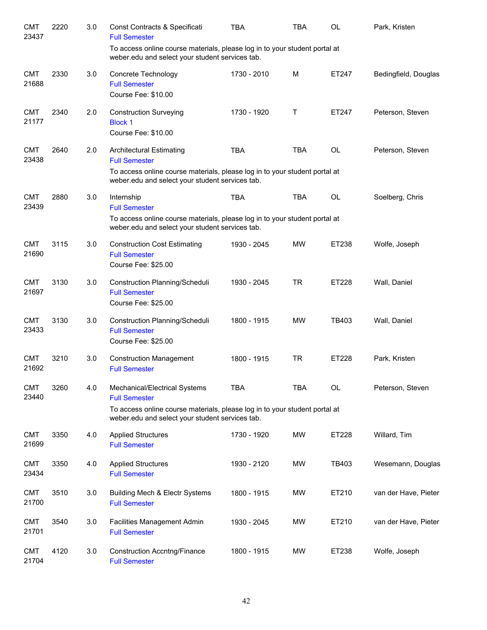| <b>CMT</b><br>23437 | 2220 | 3.0 | Const Contracts & Specificati<br><b>Full Semester</b>                                                                                                                                    | <b>TBA</b>  | TBA        | OL        | Park, Kristen        |
|---------------------|------|-----|------------------------------------------------------------------------------------------------------------------------------------------------------------------------------------------|-------------|------------|-----------|----------------------|
|                     |      |     | To access online course materials, please log in to your student portal at<br>weber.edu and select your student services tab.                                                            |             |            |           |                      |
| <b>CMT</b><br>21688 | 2330 | 3.0 | Concrete Technology<br><b>Full Semester</b><br>Course Fee: \$10.00                                                                                                                       | 1730 - 2010 | M          | ET247     | Bedingfield, Douglas |
| <b>CMT</b><br>21177 | 2340 | 2.0 | <b>Construction Surveying</b><br><b>Block 1</b><br>Course Fee: \$10.00                                                                                                                   | 1730 - 1920 | Τ          | ET247     | Peterson, Steven     |
| <b>CMT</b><br>23438 | 2640 | 2.0 | <b>Architectural Estimating</b><br><b>Full Semester</b><br>To access online course materials, please log in to your student portal at<br>weber.edu and select your student services tab. | <b>TBA</b>  | <b>TBA</b> | OL        | Peterson, Steven     |
| <b>CMT</b><br>23439 | 2880 | 3.0 | Internship<br><b>Full Semester</b><br>To access online course materials, please log in to your student portal at<br>weber.edu and select your student services tab.                      | <b>TBA</b>  | <b>TBA</b> | <b>OL</b> | Soelberg, Chris      |
| <b>CMT</b><br>21690 | 3115 | 3.0 | <b>Construction Cost Estimating</b><br><b>Full Semester</b><br>Course Fee: \$25.00                                                                                                       | 1930 - 2045 | <b>MW</b>  | ET238     | Wolfe, Joseph        |
| <b>CMT</b><br>21697 | 3130 | 3.0 | Construction Planning/Scheduli<br><b>Full Semester</b><br>Course Fee: \$25.00                                                                                                            | 1930 - 2045 | <b>TR</b>  | ET228     | Wall, Daniel         |
| <b>CMT</b><br>23433 | 3130 | 3.0 | Construction Planning/Scheduli<br><b>Full Semester</b><br>Course Fee: \$25.00                                                                                                            | 1800 - 1915 | <b>MW</b>  | TB403     | Wall, Daniel         |
| <b>CMT</b><br>21692 | 3210 | 3.0 | <b>Construction Management</b><br><b>Full Semester</b>                                                                                                                                   | 1800 - 1915 | <b>TR</b>  | ET228     | Park, Kristen        |
| <b>CMT</b><br>23440 | 3260 | 4.0 | Mechanical/Electrical Systems<br><b>Full Semester</b><br>To access online course materials, please log in to your student portal at<br>weber.edu and select your student services tab.   | <b>TBA</b>  | <b>TBA</b> | OL        | Peterson, Steven     |
| <b>CMT</b><br>21699 | 3350 | 4.0 | <b>Applied Structures</b><br><b>Full Semester</b>                                                                                                                                        | 1730 - 1920 | <b>MW</b>  | ET228     | Willard, Tim         |
| <b>CMT</b><br>23434 | 3350 | 4.0 | <b>Applied Structures</b><br><b>Full Semester</b>                                                                                                                                        | 1930 - 2120 | <b>MW</b>  | TB403     | Wesemann, Douglas    |
| <b>CMT</b><br>21700 | 3510 | 3.0 | Building Mech & Electr Systems<br><b>Full Semester</b>                                                                                                                                   | 1800 - 1915 | <b>MW</b>  | ET210     | van der Have, Pieter |
| <b>CMT</b><br>21701 | 3540 | 3.0 | <b>Facilities Management Admin</b><br><b>Full Semester</b>                                                                                                                               | 1930 - 2045 | <b>MW</b>  | ET210     | van der Have, Pieter |
| <b>CMT</b><br>21704 | 4120 | 3.0 | <b>Construction Accntng/Finance</b><br><b>Full Semester</b>                                                                                                                              | 1800 - 1915 | <b>MW</b>  | ET238     | Wolfe, Joseph        |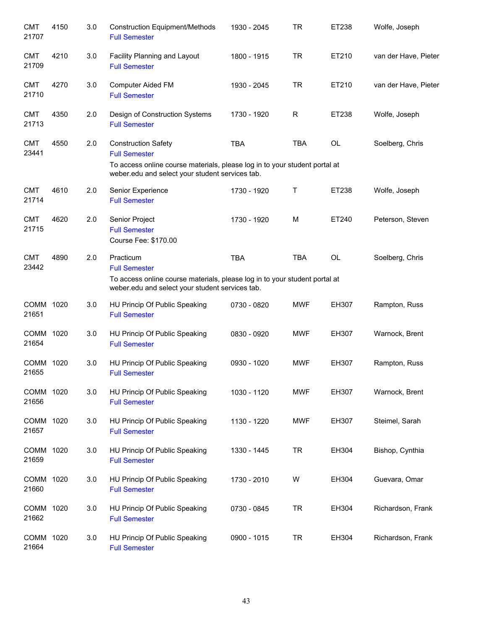| <b>CMT</b><br>21707 | 4150 | 3.0 | <b>Construction Equipment/Methods</b><br><b>Full Semester</b>                                                                                                                       | 1930 - 2045 | <b>TR</b>  | ET238 | Wolfe, Joseph        |
|---------------------|------|-----|-------------------------------------------------------------------------------------------------------------------------------------------------------------------------------------|-------------|------------|-------|----------------------|
| <b>CMT</b><br>21709 | 4210 | 3.0 | Facility Planning and Layout<br><b>Full Semester</b>                                                                                                                                | 1800 - 1915 | <b>TR</b>  | ET210 | van der Have, Pieter |
| <b>CMT</b><br>21710 | 4270 | 3.0 | Computer Aided FM<br><b>Full Semester</b>                                                                                                                                           | 1930 - 2045 | <b>TR</b>  | ET210 | van der Have, Pieter |
| <b>CMT</b><br>21713 | 4350 | 2.0 | Design of Construction Systems<br><b>Full Semester</b>                                                                                                                              | 1730 - 1920 | R          | ET238 | Wolfe, Joseph        |
| <b>CMT</b><br>23441 | 4550 | 2.0 | <b>Construction Safety</b><br><b>Full Semester</b><br>To access online course materials, please log in to your student portal at<br>weber.edu and select your student services tab. | <b>TBA</b>  | <b>TBA</b> | OL    | Soelberg, Chris      |
| <b>CMT</b><br>21714 | 4610 | 2.0 | Senior Experience<br><b>Full Semester</b>                                                                                                                                           | 1730 - 1920 | Τ          | ET238 | Wolfe, Joseph        |
| <b>CMT</b><br>21715 | 4620 | 2.0 | Senior Project<br><b>Full Semester</b><br>Course Fee: \$170.00                                                                                                                      | 1730 - 1920 | M          | ET240 | Peterson, Steven     |
| <b>CMT</b><br>23442 | 4890 | 2.0 | Practicum<br><b>Full Semester</b><br>To access online course materials, please log in to your student portal at<br>weber.edu and select your student services tab.                  | <b>TBA</b>  | <b>TBA</b> | OL    | Soelberg, Chris      |
| COMM 1020<br>21651  |      | 3.0 | HU Princip Of Public Speaking<br><b>Full Semester</b>                                                                                                                               | 0730 - 0820 | <b>MWF</b> | EH307 | Rampton, Russ        |
| COMM 1020<br>21654  |      | 3.0 | HU Princip Of Public Speaking<br><b>Full Semester</b>                                                                                                                               | 0830 - 0920 | <b>MWF</b> | EH307 | Warnock, Brent       |
| COMM 1020<br>21655  |      | 3.0 | HU Princip Of Public Speaking<br><b>Full Semester</b>                                                                                                                               | 0930 - 1020 | <b>MWF</b> | EH307 | Rampton, Russ        |
| COMM 1020<br>21656  |      | 3.0 | HU Princip Of Public Speaking<br><b>Full Semester</b>                                                                                                                               | 1030 - 1120 | <b>MWF</b> | EH307 | Warnock, Brent       |
| COMM 1020<br>21657  |      | 3.0 | HU Princip Of Public Speaking<br><b>Full Semester</b>                                                                                                                               | 1130 - 1220 | <b>MWF</b> | EH307 | Steimel, Sarah       |
| COMM 1020<br>21659  |      | 3.0 | HU Princip Of Public Speaking<br><b>Full Semester</b>                                                                                                                               | 1330 - 1445 | <b>TR</b>  | EH304 | Bishop, Cynthia      |
| COMM 1020<br>21660  |      | 3.0 | HU Princip Of Public Speaking<br><b>Full Semester</b>                                                                                                                               | 1730 - 2010 | W          | EH304 | Guevara, Omar        |
| COMM 1020<br>21662  |      | 3.0 | HU Princip Of Public Speaking<br><b>Full Semester</b>                                                                                                                               | 0730 - 0845 | <b>TR</b>  | EH304 | Richardson, Frank    |
| COMM 1020<br>21664  |      | 3.0 | HU Princip Of Public Speaking<br><b>Full Semester</b>                                                                                                                               | 0900 - 1015 | <b>TR</b>  | EH304 | Richardson, Frank    |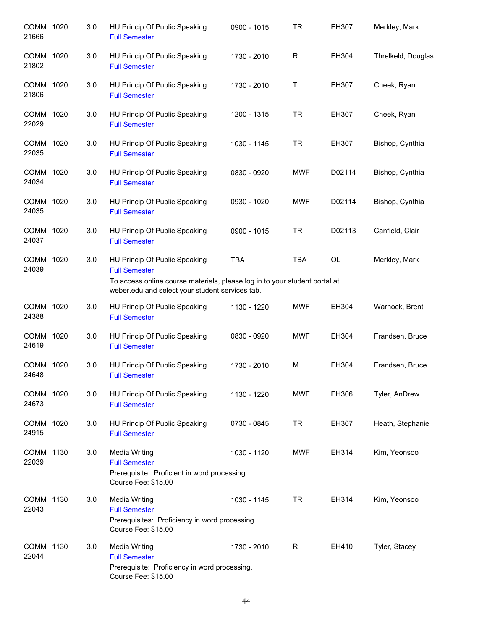| COMM 1020<br>21666   |      | 3.0 | HU Princip Of Public Speaking<br><b>Full Semester</b>                                                                               | 0900 - 1015 | <b>TR</b>  | EH307     | Merkley, Mark      |
|----------------------|------|-----|-------------------------------------------------------------------------------------------------------------------------------------|-------------|------------|-----------|--------------------|
| COMM 1020<br>21802   |      | 3.0 | HU Princip Of Public Speaking<br><b>Full Semester</b>                                                                               | 1730 - 2010 | R          | EH304     | Threlkeld, Douglas |
| COMM 1020<br>21806   |      | 3.0 | HU Princip Of Public Speaking<br><b>Full Semester</b>                                                                               | 1730 - 2010 | Τ          | EH307     | Cheek, Ryan        |
| COMM 1020<br>22029   |      | 3.0 | HU Princip Of Public Speaking<br><b>Full Semester</b>                                                                               | 1200 - 1315 | <b>TR</b>  | EH307     | Cheek, Ryan        |
| COMM 1020<br>22035   |      | 3.0 | HU Princip Of Public Speaking<br><b>Full Semester</b>                                                                               | 1030 - 1145 | <b>TR</b>  | EH307     | Bishop, Cynthia    |
| COMM 1020<br>24034   |      | 3.0 | HU Princip Of Public Speaking<br><b>Full Semester</b>                                                                               | 0830 - 0920 | <b>MWF</b> | D02114    | Bishop, Cynthia    |
| COMM 1020<br>24035   |      | 3.0 | HU Princip Of Public Speaking<br><b>Full Semester</b>                                                                               | 0930 - 1020 | <b>MWF</b> | D02114    | Bishop, Cynthia    |
| COMM 1020<br>24037   |      | 3.0 | HU Princip Of Public Speaking<br><b>Full Semester</b>                                                                               | 0900 - 1015 | <b>TR</b>  | D02113    | Canfield, Clair    |
| COMM 1020<br>24039   |      | 3.0 | HU Princip Of Public Speaking<br><b>Full Semester</b><br>To access online course materials, please log in to your student portal at | <b>TBA</b>  | <b>TBA</b> | <b>OL</b> | Merkley, Mark      |
|                      |      |     | weber.edu and select your student services tab.                                                                                     |             |            |           |                    |
| COMM 1020<br>24388   |      | 3.0 | HU Princip Of Public Speaking<br><b>Full Semester</b>                                                                               | 1130 - 1220 | <b>MWF</b> | EH304     | Warnock, Brent     |
| COMM 1020<br>24619   |      | 3.0 | HU Princip Of Public Speaking<br><b>Full Semester</b>                                                                               | 0830 - 0920 | <b>MWF</b> | EH304     | Frandsen, Bruce    |
| <b>COMM</b><br>24648 | 1020 | 3.0 | HU Princip Of Public Speaking<br><b>Full Semester</b>                                                                               | 1730 - 2010 | M          | EH304     | Frandsen, Bruce    |
| COMM 1020<br>24673   |      | 3.0 | HU Princip Of Public Speaking<br><b>Full Semester</b>                                                                               | 1130 - 1220 | <b>MWF</b> | EH306     | Tyler, AnDrew      |
| COMM 1020<br>24915   |      | 3.0 | HU Princip Of Public Speaking<br><b>Full Semester</b>                                                                               | 0730 - 0845 | <b>TR</b>  | EH307     | Heath, Stephanie   |
| COMM 1130<br>22039   |      | 3.0 | <b>Media Writing</b><br><b>Full Semester</b><br>Prerequisite: Proficient in word processing.<br>Course Fee: \$15.00                 | 1030 - 1120 | <b>MWF</b> | EH314     | Kim, Yeonsoo       |
| COMM 1130<br>22043   |      | 3.0 | <b>Media Writing</b><br><b>Full Semester</b><br>Prerequisites: Proficiency in word processing<br>Course Fee: \$15.00                | 1030 - 1145 | TR.        | EH314     | Kim, Yeonsoo       |
| COMM 1130<br>22044   |      | 3.0 | <b>Media Writing</b><br><b>Full Semester</b><br>Prerequisite: Proficiency in word processing.<br>Course Fee: \$15.00                | 1730 - 2010 | R.         | EH410     | Tyler, Stacey      |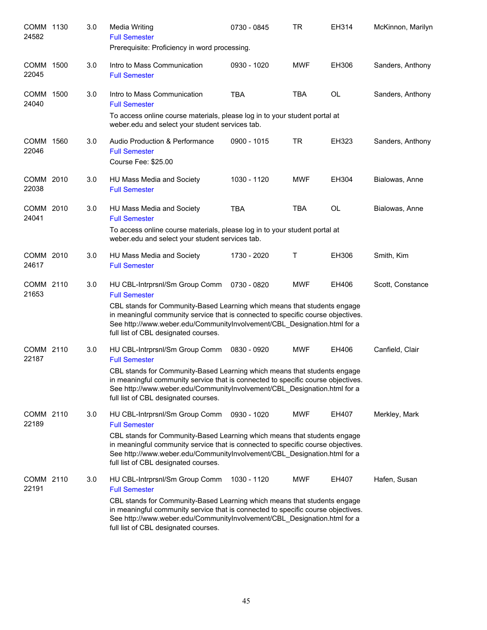| COMM 1130<br>24582 | 3.0 | <b>Media Writing</b><br><b>Full Semester</b><br>Prerequisite: Proficiency in word processing.                                                                                                                                                                                                                                              | 0730 - 0845 | <b>TR</b>  | EH314 | McKinnon, Marilyn |
|--------------------|-----|--------------------------------------------------------------------------------------------------------------------------------------------------------------------------------------------------------------------------------------------------------------------------------------------------------------------------------------------|-------------|------------|-------|-------------------|
| COMM 1500<br>22045 | 3.0 | Intro to Mass Communication<br><b>Full Semester</b>                                                                                                                                                                                                                                                                                        | 0930 - 1020 | MWF        | EH306 | Sanders, Anthony  |
| COMM 1500<br>24040 | 3.0 | Intro to Mass Communication<br><b>Full Semester</b><br>To access online course materials, please log in to your student portal at<br>weber.edu and select your student services tab.                                                                                                                                                       | <b>TBA</b>  | <b>TBA</b> | OL    | Sanders, Anthony  |
| COMM 1560<br>22046 | 3.0 | Audio Production & Performance<br><b>Full Semester</b><br>Course Fee: \$25.00                                                                                                                                                                                                                                                              | 0900 - 1015 | <b>TR</b>  | EH323 | Sanders, Anthony  |
| COMM 2010<br>22038 | 3.0 | HU Mass Media and Society<br><b>Full Semester</b>                                                                                                                                                                                                                                                                                          | 1030 - 1120 | <b>MWF</b> | EH304 | Bialowas, Anne    |
| COMM 2010<br>24041 | 3.0 | HU Mass Media and Society<br><b>Full Semester</b><br>To access online course materials, please log in to your student portal at<br>weber.edu and select your student services tab.                                                                                                                                                         | <b>TBA</b>  | TBA        | OL    | Bialowas, Anne    |
| COMM 2010<br>24617 | 3.0 | HU Mass Media and Society<br><b>Full Semester</b>                                                                                                                                                                                                                                                                                          | 1730 - 2020 | т          | EH306 | Smith, Kim        |
| COMM 2110<br>21653 | 3.0 | HU CBL-Intrprsnl/Sm Group Comm<br><b>Full Semester</b><br>CBL stands for Community-Based Learning which means that students engage<br>in meaningful community service that is connected to specific course objectives.<br>See http://www.weber.edu/CommunityInvolvement/CBL_Designation.html for a<br>full list of CBL designated courses. | 0730 - 0820 | MWF        | EH406 | Scott, Constance  |
| COMM 2110<br>22187 | 3.0 | HU CBL-Intrprsnl/Sm Group Comm<br><b>Full Semester</b><br>CBL stands for Community-Based Learning which means that students engage<br>in meaningful community service that is connected to specific course objectives.<br>See http://www.weber.edu/CommunityInvolvement/CBL_Designation.html for a<br>full list of CBL designated courses. | 0830 - 0920 | <b>MWF</b> | EH406 | Canfield, Clair   |
| COMM 2110<br>22189 | 3.0 | HU CBL-Intrprsnl/Sm Group Comm<br><b>Full Semester</b><br>CBL stands for Community-Based Learning which means that students engage<br>in meaningful community service that is connected to specific course objectives.<br>See http://www.weber.edu/CommunityInvolvement/CBL_Designation.html for a<br>full list of CBL designated courses. | 0930 - 1020 | <b>MWF</b> | EH407 | Merkley, Mark     |
| COMM 2110<br>22191 | 3.0 | HU CBL-Intrprsnl/Sm Group Comm<br><b>Full Semester</b><br>CBL stands for Community-Based Learning which means that students engage<br>in meaningful community service that is connected to specific course objectives.<br>See http://www.weber.edu/CommunityInvolvement/CBL_Designation.html for a<br>full list of CBL designated courses. | 1030 - 1120 | <b>MWF</b> | EH407 | Hafen, Susan      |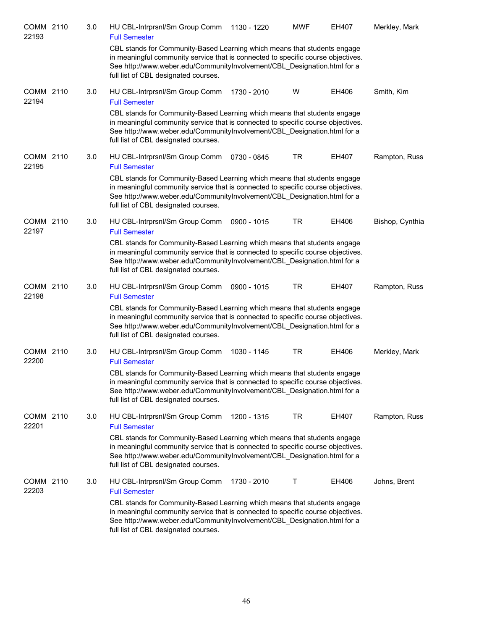| COMM 2110<br>22193 | 3.0 | HU CBL-Intrprsnl/Sm Group Comm<br><b>Full Semester</b>                                                                                                                                                                                                                           | 1130 - 1220 | <b>MWF</b> | <b>EH407</b> | Merkley, Mark   |
|--------------------|-----|----------------------------------------------------------------------------------------------------------------------------------------------------------------------------------------------------------------------------------------------------------------------------------|-------------|------------|--------------|-----------------|
|                    |     | CBL stands for Community-Based Learning which means that students engage<br>in meaningful community service that is connected to specific course objectives.<br>See http://www.weber.edu/CommunityInvolvement/CBL_Designation.html for a<br>full list of CBL designated courses. |             |            |              |                 |
| COMM 2110<br>22194 | 3.0 | HU CBL-Intrprsnl/Sm Group Comm<br><b>Full Semester</b>                                                                                                                                                                                                                           | 1730 - 2010 | W          | EH406        | Smith, Kim      |
|                    |     | CBL stands for Community-Based Learning which means that students engage<br>in meaningful community service that is connected to specific course objectives.<br>See http://www.weber.edu/CommunityInvolvement/CBL_Designation.html for a<br>full list of CBL designated courses. |             |            |              |                 |
| COMM 2110<br>22195 | 3.0 | HU CBL-Intrprsnl/Sm Group Comm<br><b>Full Semester</b>                                                                                                                                                                                                                           | 0730 - 0845 | <b>TR</b>  | EH407        | Rampton, Russ   |
|                    |     | CBL stands for Community-Based Learning which means that students engage<br>in meaningful community service that is connected to specific course objectives.<br>See http://www.weber.edu/CommunityInvolvement/CBL_Designation.html for a<br>full list of CBL designated courses. |             |            |              |                 |
| COMM 2110<br>22197 | 3.0 | HU CBL-Intrprsnl/Sm Group Comm<br><b>Full Semester</b>                                                                                                                                                                                                                           | 0900 - 1015 | TR         | EH406        | Bishop, Cynthia |
|                    |     | CBL stands for Community-Based Learning which means that students engage<br>in meaningful community service that is connected to specific course objectives.<br>See http://www.weber.edu/CommunityInvolvement/CBL_Designation.html for a<br>full list of CBL designated courses. |             |            |              |                 |
| COMM 2110<br>22198 | 3.0 | HU CBL-Intrprsnl/Sm Group Comm<br><b>Full Semester</b>                                                                                                                                                                                                                           | 0900 - 1015 | <b>TR</b>  | EH407        | Rampton, Russ   |
|                    |     | CBL stands for Community-Based Learning which means that students engage<br>in meaningful community service that is connected to specific course objectives.<br>See http://www.weber.edu/CommunityInvolvement/CBL_Designation.html for a<br>full list of CBL designated courses. |             |            |              |                 |
| COMM 2110<br>22200 | 3.0 | HU CBL-Intrprsnl/Sm Group Comm<br><b>Full Semester</b>                                                                                                                                                                                                                           | 1030 - 1145 | TR         | EH406        | Merkley, Mark   |
|                    |     | CBL stands for Community-Based Learning which means that students engage<br>in meaningful community service that is connected to specific course objectives.<br>See http://www.weber.edu/CommunityInvolvement/CBL_Designation.html for a<br>full list of CBL designated courses. |             |            |              |                 |
| COMM 2110<br>22201 | 3.0 | HU CBL-Intrprsnl/Sm Group Comm<br><b>Full Semester</b>                                                                                                                                                                                                                           | 1200 - 1315 | TR         | EH407        | Rampton, Russ   |
|                    |     | CBL stands for Community-Based Learning which means that students engage<br>in meaningful community service that is connected to specific course objectives.<br>See http://www.weber.edu/CommunityInvolvement/CBL_Designation.html for a<br>full list of CBL designated courses. |             |            |              |                 |
| COMM 2110<br>22203 | 3.0 | HU CBL-Intrprsnl/Sm Group Comm<br><b>Full Semester</b>                                                                                                                                                                                                                           | 1730 - 2010 | Τ          | EH406        | Johns, Brent    |
|                    |     | CBL stands for Community-Based Learning which means that students engage<br>in meaningful community service that is connected to specific course objectives.<br>See http://www.weber.edu/CommunityInvolvement/CBL_Designation.html for a<br>full list of CBL designated courses. |             |            |              |                 |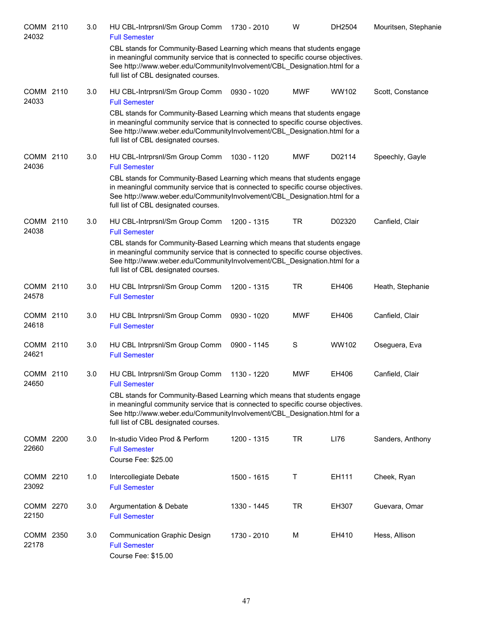| COMM 2110<br>24032 | 3.0 | HU CBL-Intrprsnl/Sm Group Comm<br><b>Full Semester</b>                                                                                                                                                                                                                           | 1730 - 2010 | W          | DH2504 | Mouritsen, Stephanie |
|--------------------|-----|----------------------------------------------------------------------------------------------------------------------------------------------------------------------------------------------------------------------------------------------------------------------------------|-------------|------------|--------|----------------------|
|                    |     | CBL stands for Community-Based Learning which means that students engage<br>in meaningful community service that is connected to specific course objectives.<br>See http://www.weber.edu/CommunityInvolvement/CBL_Designation.html for a<br>full list of CBL designated courses. |             |            |        |                      |
| COMM 2110<br>24033 | 3.0 | HU CBL-Intrprsnl/Sm Group Comm<br><b>Full Semester</b>                                                                                                                                                                                                                           | 0930 - 1020 | <b>MWF</b> | WW102  | Scott, Constance     |
|                    |     | CBL stands for Community-Based Learning which means that students engage<br>in meaningful community service that is connected to specific course objectives.<br>See http://www.weber.edu/CommunityInvolvement/CBL_Designation.html for a<br>full list of CBL designated courses. |             |            |        |                      |
| COMM 2110<br>24036 | 3.0 | HU CBL-Intrprsnl/Sm Group Comm<br><b>Full Semester</b>                                                                                                                                                                                                                           | 1030 - 1120 | <b>MWF</b> | D02114 | Speechly, Gayle      |
|                    |     | CBL stands for Community-Based Learning which means that students engage<br>in meaningful community service that is connected to specific course objectives.<br>See http://www.weber.edu/CommunityInvolvement/CBL_Designation.html for a<br>full list of CBL designated courses. |             |            |        |                      |
| COMM 2110<br>24038 | 3.0 | HU CBL-Intrprsnl/Sm Group Comm<br><b>Full Semester</b>                                                                                                                                                                                                                           | 1200 - 1315 | <b>TR</b>  | D02320 | Canfield, Clair      |
|                    |     | CBL stands for Community-Based Learning which means that students engage<br>in meaningful community service that is connected to specific course objectives.<br>See http://www.weber.edu/CommunityInvolvement/CBL_Designation.html for a<br>full list of CBL designated courses. |             |            |        |                      |
| COMM 2110<br>24578 | 3.0 | HU CBL Intrprsnl/Sm Group Comm<br><b>Full Semester</b>                                                                                                                                                                                                                           | 1200 - 1315 | <b>TR</b>  | EH406  | Heath, Stephanie     |
| COMM 2110<br>24618 | 3.0 | HU CBL Intrprsnl/Sm Group Comm<br><b>Full Semester</b>                                                                                                                                                                                                                           | 0930 - 1020 | <b>MWF</b> | EH406  | Canfield, Clair      |
| COMM 2110<br>24621 | 3.0 | HU CBL Intrprsnl/Sm Group Comm<br><b>Full Semester</b>                                                                                                                                                                                                                           | 0900 - 1145 | S          | WW102  | Oseguera, Eva        |
| COMM 2110<br>24650 | 3.0 | HU CBL Intrprsnl/Sm Group Comm<br><b>Full Semester</b>                                                                                                                                                                                                                           | 1130 - 1220 | <b>MWF</b> | EH406  | Canfield, Clair      |
|                    |     | CBL stands for Community-Based Learning which means that students engage<br>in meaningful community service that is connected to specific course objectives.<br>See http://www.weber.edu/CommunityInvolvement/CBL_Designation.html for a<br>full list of CBL designated courses. |             |            |        |                      |
| COMM 2200<br>22660 | 3.0 | In-studio Video Prod & Perform<br><b>Full Semester</b><br>Course Fee: \$25.00                                                                                                                                                                                                    | 1200 - 1315 | <b>TR</b>  | LI76   | Sanders, Anthony     |
| COMM 2210<br>23092 | 1.0 | Intercollegiate Debate<br><b>Full Semester</b>                                                                                                                                                                                                                                   | 1500 - 1615 | Τ          | EH111  | Cheek, Ryan          |
| COMM 2270<br>22150 | 3.0 | Argumentation & Debate<br><b>Full Semester</b>                                                                                                                                                                                                                                   | 1330 - 1445 | <b>TR</b>  | EH307  | Guevara, Omar        |
| COMM 2350<br>22178 | 3.0 | <b>Communication Graphic Design</b><br><b>Full Semester</b><br>Course Fee: \$15.00                                                                                                                                                                                               | 1730 - 2010 | M          | EH410  | Hess, Allison        |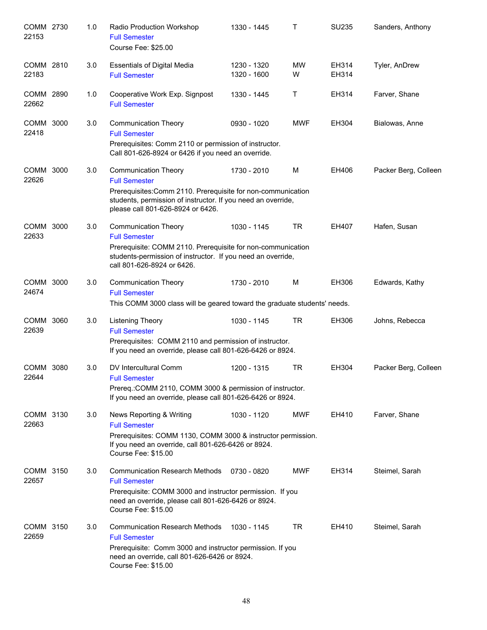| COMM 2730<br>22153 | 1.0 | Radio Production Workshop<br><b>Full Semester</b><br>Course Fee: \$25.00                                                                                                                                                 | 1330 - 1445                | Т              | SU235          | Sanders, Anthony     |
|--------------------|-----|--------------------------------------------------------------------------------------------------------------------------------------------------------------------------------------------------------------------------|----------------------------|----------------|----------------|----------------------|
| COMM 2810<br>22183 | 3.0 | <b>Essentials of Digital Media</b><br><b>Full Semester</b>                                                                                                                                                               | 1230 - 1320<br>1320 - 1600 | <b>MW</b><br>W | EH314<br>EH314 | Tyler, AnDrew        |
| COMM 2890<br>22662 | 1.0 | Cooperative Work Exp. Signpost<br><b>Full Semester</b>                                                                                                                                                                   | 1330 - 1445                | $\mathsf{T}$   | EH314          | Farver, Shane        |
| COMM 3000<br>22418 | 3.0 | <b>Communication Theory</b><br><b>Full Semester</b><br>Prerequisites: Comm 2110 or permission of instructor.<br>Call 801-626-8924 or 6426 if you need an override.                                                       | 0930 - 1020                | <b>MWF</b>     | EH304          | Bialowas, Anne       |
| COMM 3000<br>22626 | 3.0 | <b>Communication Theory</b><br><b>Full Semester</b><br>Prerequisites: Comm 2110. Prerequisite for non-communication<br>students, permission of instructor. If you need an override,<br>please call 801-626-8924 or 6426. | 1730 - 2010                | M              | EH406          | Packer Berg, Colleen |
| COMM 3000<br>22633 | 3.0 | <b>Communication Theory</b><br><b>Full Semester</b><br>Prerequisite: COMM 2110. Prerequisite for non-communication<br>students-permission of instructor. If you need an override,<br>call 801-626-8924 or 6426.          | 1030 - 1145                | <b>TR</b>      | EH407          | Hafen, Susan         |
| COMM 3000<br>24674 | 3.0 | <b>Communication Theory</b><br><b>Full Semester</b><br>This COMM 3000 class will be geared toward the graduate students' needs.                                                                                          | 1730 - 2010                | M              | EH306          | Edwards, Kathy       |
| COMM 3060<br>22639 | 3.0 | <b>Listening Theory</b><br><b>Full Semester</b><br>Prerequisites: COMM 2110 and permission of instructor.<br>If you need an override, please call 801-626-6426 or 8924.                                                  | 1030 - 1145                | <b>TR</b>      | EH306          | Johns, Rebecca       |
| COMM 3080<br>22644 | 3.0 | DV Intercultural Comm<br><b>Full Semester</b><br>Prereq.: COMM 2110, COMM 3000 & permission of instructor.<br>If you need an override, please call 801-626-6426 or 8924.                                                 | 1200 - 1315                | <b>TR</b>      | EH304          | Packer Berg, Colleen |
| COMM 3130<br>22663 | 3.0 | News Reporting & Writing<br><b>Full Semester</b><br>Prerequisites: COMM 1130, COMM 3000 & instructor permission.<br>If you need an override, call 801-626-6426 or 8924.<br>Course Fee: \$15.00                           | 1030 - 1120                | <b>MWF</b>     | EH410          | Farver, Shane        |
| COMM 3150<br>22657 | 3.0 | <b>Communication Research Methods</b><br><b>Full Semester</b><br>Prerequisite: COMM 3000 and instructor permission. If you<br>need an override, please call 801-626-6426 or 8924.<br>Course Fee: \$15.00                 | 0730 - 0820                | <b>MWF</b>     | EH314          | Steimel, Sarah       |
| COMM 3150<br>22659 | 3.0 | <b>Communication Research Methods</b><br><b>Full Semester</b><br>Prerequisite: Comm 3000 and instructor permission. If you<br>need an override, call 801-626-6426 or 8924.<br>Course Fee: \$15.00                        | 1030 - 1145                | <b>TR</b>      | EH410          | Steimel, Sarah       |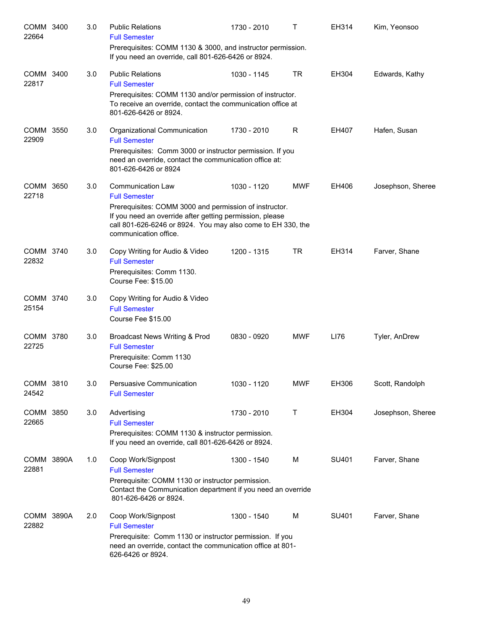| COMM 3400<br>22664  | 3.0 | <b>Public Relations</b><br><b>Full Semester</b><br>Prerequisites: COMM 1130 & 3000, and instructor permission.<br>If you need an override, call 801-626-6426 or 8924.                                                                                          | 1730 - 2010 | т          | EH314 | Kim, Yeonsoo      |
|---------------------|-----|----------------------------------------------------------------------------------------------------------------------------------------------------------------------------------------------------------------------------------------------------------------|-------------|------------|-------|-------------------|
| COMM 3400<br>22817  | 3.0 | <b>Public Relations</b><br><b>Full Semester</b><br>Prerequisites: COMM 1130 and/or permission of instructor.<br>To receive an override, contact the communication office at<br>801-626-6426 or 8924.                                                           | 1030 - 1145 | <b>TR</b>  | EH304 | Edwards, Kathy    |
| COMM 3550<br>22909  | 3.0 | Organizational Communication<br><b>Full Semester</b><br>Prerequisites: Comm 3000 or instructor permission. If you<br>need an override, contact the communication office at:<br>801-626-6426 or 8924                                                            | 1730 - 2010 | R          | EH407 | Hafen, Susan      |
| COMM 3650<br>22718  | 3.0 | <b>Communication Law</b><br><b>Full Semester</b><br>Prerequisites: COMM 3000 and permission of instructor.<br>If you need an override after getting permission, please<br>call 801-626-6246 or 8924. You may also come to EH 330, the<br>communication office. | 1030 - 1120 | <b>MWF</b> | EH406 | Josephson, Sheree |
| COMM 3740<br>22832  | 3.0 | Copy Writing for Audio & Video<br><b>Full Semester</b><br>Prerequisites: Comm 1130.<br>Course Fee: \$15.00                                                                                                                                                     | 1200 - 1315 | <b>TR</b>  | EH314 | Farver, Shane     |
| COMM 3740<br>25154  | 3.0 | Copy Writing for Audio & Video<br><b>Full Semester</b><br>Course Fee \$15.00                                                                                                                                                                                   |             |            |       |                   |
| COMM 3780<br>22725  | 3.0 | Broadcast News Writing & Prod<br><b>Full Semester</b><br>Prerequisite: Comm 1130<br>Course Fee: \$25.00                                                                                                                                                        | 0830 - 0920 | <b>MWF</b> | LI76  | Tyler, AnDrew     |
| COMM 3810<br>24542  | 3.0 | Persuasive Communication<br><b>Full Semester</b>                                                                                                                                                                                                               | 1030 - 1120 | <b>MWF</b> | EH306 | Scott, Randolph   |
| COMM 3850<br>22665  | 3.0 | Advertising<br><b>Full Semester</b><br>Prerequisites: COMM 1130 & instructor permission.<br>If you need an override, call 801-626-6426 or 8924.                                                                                                                | 1730 - 2010 | Τ          | EH304 | Josephson, Sheree |
| COMM 3890A<br>22881 | 1.0 | Coop Work/Signpost<br><b>Full Semester</b><br>Prerequisite: COMM 1130 or instructor permission.<br>Contact the Communication department if you need an override<br>801-626-6426 or 8924.                                                                       | 1300 - 1540 | M          | SU401 | Farver, Shane     |
| COMM 3890A<br>22882 | 2.0 | Coop Work/Signpost<br><b>Full Semester</b><br>Prerequisite: Comm 1130 or instructor permission. If you<br>need an override, contact the communication office at 801-<br>626-6426 or 8924.                                                                      | 1300 - 1540 | M          | SU401 | Farver, Shane     |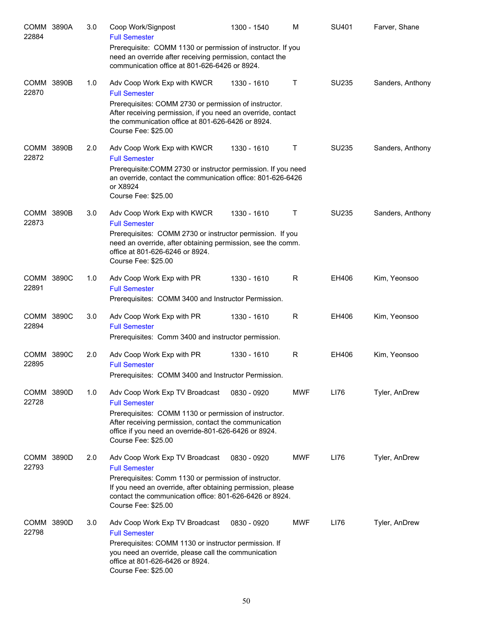| COMM 3890A<br>22884        | 3.0 | Coop Work/Signpost<br><b>Full Semester</b>                                                                                                                                                             | 1300 - 1540 | M          | SU401 | Farver, Shane    |
|----------------------------|-----|--------------------------------------------------------------------------------------------------------------------------------------------------------------------------------------------------------|-------------|------------|-------|------------------|
|                            |     | Prerequisite: COMM 1130 or permission of instructor. If you<br>need an override after receiving permission, contact the<br>communication office at 801-626-6426 or 8924.                               |             |            |       |                  |
| <b>COMM 3890B</b><br>22870 | 1.0 | Adv Coop Work Exp with KWCR<br><b>Full Semester</b>                                                                                                                                                    | 1330 - 1610 | Τ          | SU235 | Sanders, Anthony |
|                            |     | Prerequisites: COMM 2730 or permission of instructor.<br>After receiving permission, if you need an override, contact<br>the communication office at 801-626-6426 or 8924.<br>Course Fee: \$25.00      |             |            |       |                  |
| <b>COMM 3890B</b><br>22872 | 2.0 | Adv Coop Work Exp with KWCR<br><b>Full Semester</b>                                                                                                                                                    | 1330 - 1610 | Τ          | SU235 | Sanders, Anthony |
|                            |     | Prerequisite: COMM 2730 or instructor permission. If you need<br>an override, contact the communication office: 801-626-6426<br>or X8924<br>Course Fee: \$25.00                                        |             |            |       |                  |
| COMM 3890B<br>22873        | 3.0 | Adv Coop Work Exp with KWCR<br><b>Full Semester</b>                                                                                                                                                    | 1330 - 1610 | Τ          | SU235 | Sanders, Anthony |
|                            |     | Prerequisites: COMM 2730 or instructor permission. If you<br>need an override, after obtaining permission, see the comm.<br>office at 801-626-6246 or 8924.<br>Course Fee: \$25.00                     |             |            |       |                  |
| COMM 3890C<br>22891        | 1.0 | Adv Coop Work Exp with PR<br><b>Full Semester</b><br>Prerequisites: COMM 3400 and Instructor Permission.                                                                                               | 1330 - 1610 | R          | EH406 | Kim, Yeonsoo     |
| COMM 3890C<br>22894        | 3.0 | Adv Coop Work Exp with PR<br><b>Full Semester</b><br>Prerequisites: Comm 3400 and instructor permission.                                                                                               | 1330 - 1610 | R          | EH406 | Kim, Yeonsoo     |
| COMM 3890C                 | 2.0 | Adv Coop Work Exp with PR                                                                                                                                                                              | 1330 - 1610 | R          | EH406 | Kim, Yeonsoo     |
| 22895                      |     | <b>Full Semester</b><br>Prerequisites: COMM 3400 and Instructor Permission.                                                                                                                            |             |            |       |                  |
| COMM 3890D<br>22728        | 1.0 | Adv Coop Work Exp TV Broadcast<br><b>Full Semester</b>                                                                                                                                                 | 0830 - 0920 | MWF        | LI76  | Tyler, AnDrew    |
|                            |     | Prerequisites: COMM 1130 or permission of instructor.<br>After receiving permission, contact the communication<br>office if you need an override-801-626-6426 or 8924.<br>Course Fee: \$25.00          |             |            |       |                  |
| COMM 3890D<br>22793        | 2.0 | Adv Coop Work Exp TV Broadcast<br><b>Full Semester</b>                                                                                                                                                 | 0830 - 0920 | <b>MWF</b> | LI76  | Tyler, AnDrew    |
|                            |     | Prerequisites: Comm 1130 or permission of instructor.<br>If you need an override, after obtaining permission, please<br>contact the communication office: 801-626-6426 or 8924.<br>Course Fee: \$25.00 |             |            |       |                  |
| COMM 3890D<br>22798        | 3.0 | Adv Coop Work Exp TV Broadcast<br><b>Full Semester</b>                                                                                                                                                 | 0830 - 0920 | <b>MWF</b> | LI76  | Tyler, AnDrew    |
|                            |     | Prerequisites: COMM 1130 or instructor permission. If<br>you need an override, please call the communication<br>office at 801-626-6426 or 8924.<br>Course Fee: \$25.00                                 |             |            |       |                  |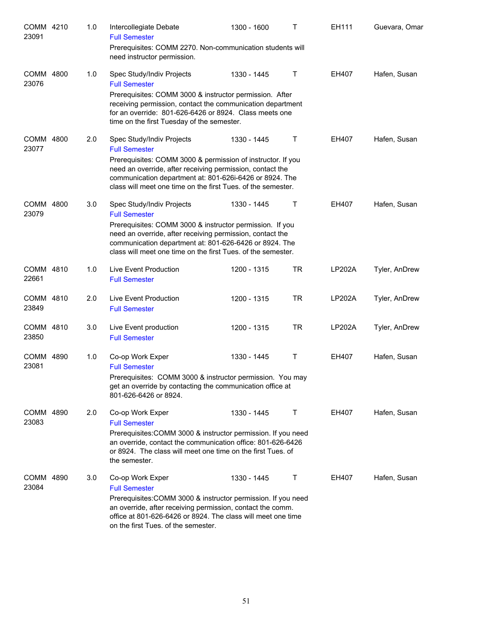| COMM 4210<br>23091 |      | 1.0 | Intercollegiate Debate<br><b>Full Semester</b><br>Prerequisites: COMM 2270. Non-communication students will<br>need instructor permission.                                                                                                                                                               | 1300 - 1600 | т         | EH111         | Guevara, Omar |
|--------------------|------|-----|----------------------------------------------------------------------------------------------------------------------------------------------------------------------------------------------------------------------------------------------------------------------------------------------------------|-------------|-----------|---------------|---------------|
| COMM 4800<br>23076 |      | 1.0 | Spec Study/Indiv Projects<br><b>Full Semester</b><br>Prerequisites: COMM 3000 & instructor permission. After<br>receiving permission, contact the communication department<br>for an override: 801-626-6426 or 8924. Class meets one<br>time on the first Tuesday of the semester.                       | 1330 - 1445 | Τ         | EH407         | Hafen, Susan  |
| COMM 4800<br>23077 |      | 2.0 | Spec Study/Indiv Projects<br><b>Full Semester</b><br>Prerequisites: COMM 3000 & permission of instructor. If you<br>need an override, after receiving permission, contact the<br>communication department at: 801-626i-6426 or 8924. The<br>class will meet one time on the first Tues. of the semester. | 1330 - 1445 | Τ         | EH407         | Hafen, Susan  |
| COMM 4800<br>23079 |      | 3.0 | Spec Study/Indiv Projects<br><b>Full Semester</b><br>Prerequisites: COMM 3000 & instructor permission. If you<br>need an override, after receiving permission, contact the<br>communication department at: 801-626-6426 or 8924. The<br>class will meet one time on the first Tues. of the semester.     | 1330 - 1445 | Τ         | EH407         | Hafen, Susan  |
| COMM 4810<br>22661 |      | 1.0 | Live Event Production<br><b>Full Semester</b>                                                                                                                                                                                                                                                            | 1200 - 1315 | <b>TR</b> | <b>LP202A</b> | Tyler, AnDrew |
| COMM 4810<br>23849 |      | 2.0 | Live Event Production<br><b>Full Semester</b>                                                                                                                                                                                                                                                            | 1200 - 1315 | <b>TR</b> | <b>LP202A</b> | Tyler, AnDrew |
| COMM 4810<br>23850 |      | 3.0 | Live Event production<br><b>Full Semester</b>                                                                                                                                                                                                                                                            | 1200 - 1315 | <b>TR</b> | <b>LP202A</b> | Tyler, AnDrew |
| COMM 4890<br>23081 |      | 1.0 | Co-op Work Exper<br><b>Full Semester</b><br>Prerequisites: COMM 3000 & instructor permission. You may<br>get an override by contacting the communication office at<br>801-626-6426 or 8924.                                                                                                              | 1330 - 1445 | Τ         | EH407         | Hafen, Susan  |
| COMM 4890<br>23083 |      | 2.0 | Co-op Work Exper<br><b>Full Semester</b><br>Prerequisites: COMM 3000 & instructor permission. If you need<br>an override, contact the communication office: 801-626-6426<br>or 8924. The class will meet one time on the first Tues. of<br>the semester.                                                 | 1330 - 1445 | Τ         | EH407         | Hafen, Susan  |
| COMM<br>23084      | 4890 | 3.0 | Co-op Work Exper<br><b>Full Semester</b><br>Prerequisites: COMM 3000 & instructor permission. If you need<br>an override, after receiving permission, contact the comm.<br>office at 801-626-6426 or 8924. The class will meet one time<br>on the first Tues. of the semester.                           | 1330 - 1445 | Τ         | EH407         | Hafen, Susan  |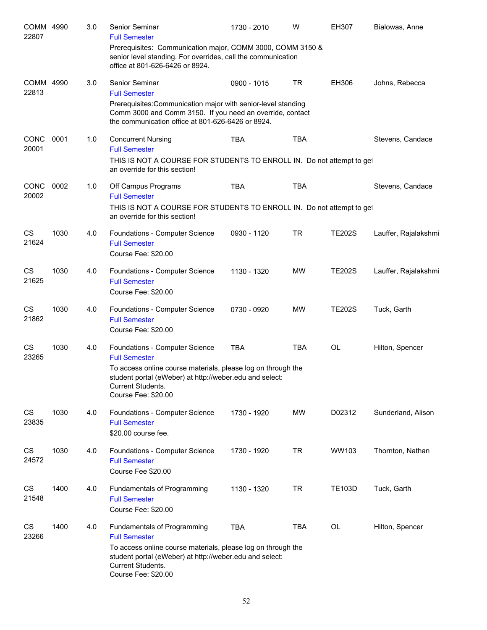| COMM 4990<br>22807   |      | 3.0 | Senior Seminar<br><b>Full Semester</b>                                                                                                                                          | 1730 - 2010 | W          | EH307         | Bialowas, Anne       |
|----------------------|------|-----|---------------------------------------------------------------------------------------------------------------------------------------------------------------------------------|-------------|------------|---------------|----------------------|
|                      |      |     | Prerequisites: Communication major, COMM 3000, COMM 3150 &<br>senior level standing. For overrides, call the communication<br>office at 801-626-6426 or 8924.                   |             |            |               |                      |
| COMM 4990<br>22813   |      | 3.0 | Senior Seminar<br><b>Full Semester</b>                                                                                                                                          | 0900 - 1015 | <b>TR</b>  | EH306         | Johns, Rebecca       |
|                      |      |     | Prerequisites: Communication major with senior-level standing<br>Comm 3000 and Comm 3150. If you need an override, contact<br>the communication office at 801-626-6426 or 8924. |             |            |               |                      |
| <b>CONC</b><br>20001 | 0001 | 1.0 | <b>Concurrent Nursing</b><br><b>Full Semester</b>                                                                                                                               | <b>TBA</b>  | <b>TBA</b> |               | Stevens, Candace     |
|                      |      |     | THIS IS NOT A COURSE FOR STUDENTS TO ENROLL IN. Do not attempt to get<br>an override for this section!                                                                          |             |            |               |                      |
| CONC<br>20002        | 0002 | 1.0 | Off Campus Programs<br><b>Full Semester</b>                                                                                                                                     | <b>TBA</b>  | <b>TBA</b> |               | Stevens, Candace     |
|                      |      |     | THIS IS NOT A COURSE FOR STUDENTS TO ENROLL IN. Do not attempt to get<br>an override for this section!                                                                          |             |            |               |                      |
| CS<br>21624          | 1030 | 4.0 | Foundations - Computer Science<br><b>Full Semester</b><br>Course Fee: \$20.00                                                                                                   | 0930 - 1120 | <b>TR</b>  | <b>TE202S</b> | Lauffer, Rajalakshmi |
| CS<br>21625          | 1030 | 4.0 | Foundations - Computer Science<br><b>Full Semester</b><br>Course Fee: \$20.00                                                                                                   | 1130 - 1320 | <b>MW</b>  | <b>TE202S</b> | Lauffer, Rajalakshmi |
| CS<br>21862          | 1030 | 4.0 | Foundations - Computer Science<br><b>Full Semester</b><br>Course Fee: \$20.00                                                                                                   | 0730 - 0920 | <b>MW</b>  | <b>TE202S</b> | Tuck, Garth          |
| CS<br>23265          | 1030 | 4.0 | Foundations - Computer Science<br><b>Full Semester</b>                                                                                                                          | <b>TBA</b>  | <b>TBA</b> | OL            | Hilton, Spencer      |
|                      |      |     | To access online course materials, please log on through the<br>student portal (eWeber) at http://weber.edu and select:<br>Current Students.<br>Course Fee: \$20.00             |             |            |               |                      |
| CS<br>23835          | 1030 | 4.0 | Foundations - Computer Science<br><b>Full Semester</b><br>\$20.00 course fee.                                                                                                   | 1730 - 1920 | <b>MW</b>  | D02312        | Sunderland, Alison   |
| CS<br>24572          | 1030 | 4.0 | Foundations - Computer Science<br><b>Full Semester</b><br>Course Fee \$20.00                                                                                                    | 1730 - 1920 | <b>TR</b>  | WW103         | Thornton, Nathan     |
| CS<br>21548          | 1400 | 4.0 | Fundamentals of Programming<br><b>Full Semester</b><br>Course Fee: \$20.00                                                                                                      | 1130 - 1320 | <b>TR</b>  | <b>TE103D</b> | Tuck, Garth          |
| CS<br>23266          | 1400 | 4.0 | Fundamentals of Programming<br><b>Full Semester</b>                                                                                                                             | <b>TBA</b>  | <b>TBA</b> | OL            | Hilton, Spencer      |
|                      |      |     | To access online course materials, please log on through the<br>student portal (eWeber) at http://weber.edu and select:<br>Current Students.<br>Course Fee: \$20.00             |             |            |               |                      |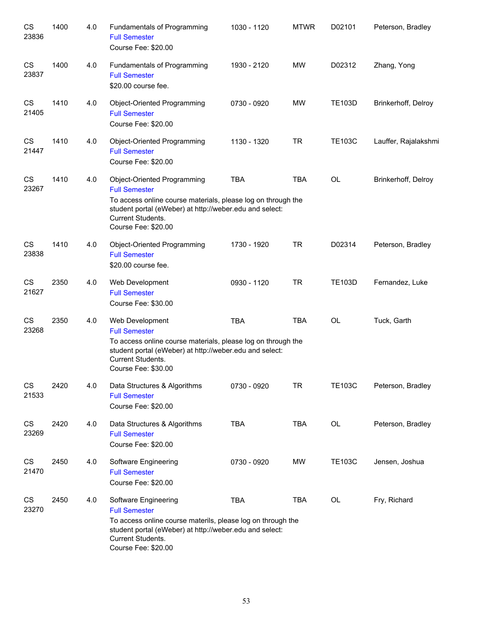| CS<br>23836 | 1400 | 4.0 | Fundamentals of Programming<br><b>Full Semester</b><br>Course Fee: \$20.00                                                                                                                                                 | 1030 - 1120 | <b>MTWR</b> | D02101        | Peterson, Bradley    |
|-------------|------|-----|----------------------------------------------------------------------------------------------------------------------------------------------------------------------------------------------------------------------------|-------------|-------------|---------------|----------------------|
| CS<br>23837 | 1400 | 4.0 | Fundamentals of Programming<br><b>Full Semester</b><br>\$20.00 course fee.                                                                                                                                                 | 1930 - 2120 | <b>MW</b>   | D02312        | Zhang, Yong          |
| CS<br>21405 | 1410 | 4.0 | Object-Oriented Programming<br><b>Full Semester</b><br>Course Fee: \$20.00                                                                                                                                                 | 0730 - 0920 | <b>MW</b>   | <b>TE103D</b> | Brinkerhoff, Delroy  |
| CS<br>21447 | 1410 | 4.0 | Object-Oriented Programming<br><b>Full Semester</b><br>Course Fee: \$20.00                                                                                                                                                 | 1130 - 1320 | <b>TR</b>   | <b>TE103C</b> | Lauffer, Rajalakshmi |
| CS<br>23267 | 1410 | 4.0 | Object-Oriented Programming<br><b>Full Semester</b><br>To access online course materials, please log on through the<br>student portal (eWeber) at http://weber.edu and select:<br>Current Students.<br>Course Fee: \$20.00 | <b>TBA</b>  | <b>TBA</b>  | <b>OL</b>     | Brinkerhoff, Delroy  |
| CS<br>23838 | 1410 | 4.0 | Object-Oriented Programming<br><b>Full Semester</b><br>\$20.00 course fee.                                                                                                                                                 | 1730 - 1920 | <b>TR</b>   | D02314        | Peterson, Bradley    |
| CS<br>21627 | 2350 | 4.0 | Web Development<br><b>Full Semester</b><br>Course Fee: \$30.00                                                                                                                                                             | 0930 - 1120 | <b>TR</b>   | <b>TE103D</b> | Fernandez, Luke      |
| CS<br>23268 | 2350 | 4.0 | Web Development<br><b>Full Semester</b><br>To access online course materials, please log on through the<br>student portal (eWeber) at http://weber.edu and select:<br>Current Students.<br>Course Fee: \$30.00             | <b>TBA</b>  | <b>TBA</b>  | OL            | Tuck, Garth          |
| CS<br>21533 | 2420 | 4.0 | Data Structures & Algorithms<br><b>Full Semester</b><br>Course Fee: \$20.00                                                                                                                                                | 0730 - 0920 | TR          | <b>TE103C</b> | Peterson, Bradley    |
| CS<br>23269 | 2420 | 4.0 | Data Structures & Algorithms<br><b>Full Semester</b><br>Course Fee: \$20.00                                                                                                                                                | <b>TBA</b>  | <b>TBA</b>  | OL            | Peterson, Bradley    |
| CS<br>21470 | 2450 | 4.0 | Software Engineering<br><b>Full Semester</b><br>Course Fee: \$20.00                                                                                                                                                        | 0730 - 0920 | MW          | <b>TE103C</b> | Jensen, Joshua       |
| CS<br>23270 | 2450 | 4.0 | Software Engineering<br><b>Full Semester</b><br>To access online course materils, please log on through the<br>student portal (eWeber) at http://weber.edu and select:<br>Current Students.<br>Course Fee: \$20.00         | <b>TBA</b>  | <b>TBA</b>  | OL            | Fry, Richard         |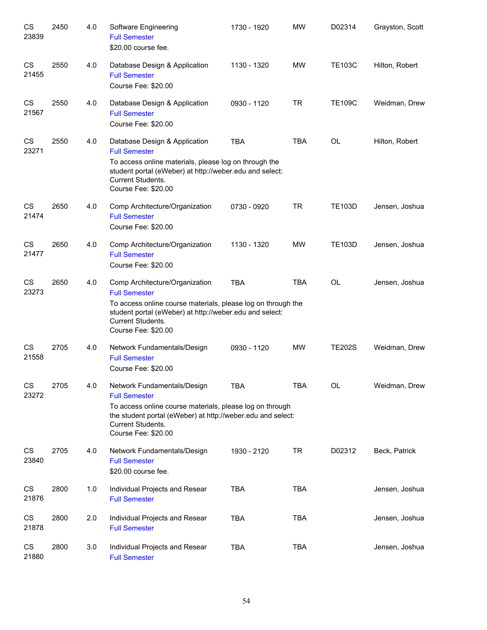| CS<br>23839 | 2450 | 4.0 | Software Engineering<br><b>Full Semester</b><br>\$20.00 course fee.                                                                                                                                                           | 1730 - 1920 | <b>MW</b>  | D02314        | Grayston, Scott |
|-------------|------|-----|-------------------------------------------------------------------------------------------------------------------------------------------------------------------------------------------------------------------------------|-------------|------------|---------------|-----------------|
| CS<br>21455 | 2550 | 4.0 | Database Design & Application<br><b>Full Semester</b><br>Course Fee: \$20.00                                                                                                                                                  | 1130 - 1320 | <b>MW</b>  | <b>TE103C</b> | Hilton, Robert  |
| CS<br>21567 | 2550 | 4.0 | Database Design & Application<br><b>Full Semester</b><br>Course Fee: \$20.00                                                                                                                                                  | 0930 - 1120 | <b>TR</b>  | <b>TE109C</b> | Weidman, Drew   |
| CS<br>23271 | 2550 | 4.0 | Database Design & Application<br><b>Full Semester</b><br>To access online materials, please log on through the<br>student portal (eWeber) at http://weber.edu and select:<br>Current Students.<br>Course Fee: \$20.00         | <b>TBA</b>  | <b>TBA</b> | OL            | Hilton, Robert  |
| CS<br>21474 | 2650 | 4.0 | Comp Architecture/Organization<br><b>Full Semester</b><br>Course Fee: \$20.00                                                                                                                                                 | 0730 - 0920 | <b>TR</b>  | <b>TE103D</b> | Jensen, Joshua  |
| CS<br>21477 | 2650 | 4.0 | Comp Architecture/Organization<br><b>Full Semester</b><br>Course Fee: \$20.00                                                                                                                                                 | 1130 - 1320 | <b>MW</b>  | <b>TE103D</b> | Jensen, Joshua  |
| CS<br>23273 | 2650 | 4.0 | Comp Architecture/Organization<br><b>Full Semester</b><br>To access online course materials, please log on through the<br>student portal (eWeber) at http://weber.edu and select:<br>Current Students.<br>Course Fee: \$20.00 | <b>TBA</b>  | <b>TBA</b> | <b>OL</b>     | Jensen, Joshua  |
| CS<br>21558 | 2705 | 4.0 | Network Fundamentals/Design<br><b>Full Semester</b><br>Course Fee: \$20.00                                                                                                                                                    | 0930 - 1120 | <b>MW</b>  | <b>TE202S</b> | Weidman, Drew   |
| CS<br>23272 | 2705 | 4.0 | Network Fundamentals/Design<br><b>Full Semester</b><br>To access online course materials, please log on through<br>the student portal (eWeber) at http://weber.edu and select:<br>Current Students.<br>Course Fee: \$20.00    | <b>TBA</b>  | <b>TBA</b> | <b>OL</b>     | Weidman, Drew   |
| CS<br>23840 | 2705 | 4.0 | Network Fundamentals/Design<br><b>Full Semester</b><br>\$20.00 course fee.                                                                                                                                                    | 1930 - 2120 | <b>TR</b>  | D02312        | Beck, Patrick   |
| CS<br>21876 | 2800 | 1.0 | Individual Projects and Resear<br><b>Full Semester</b>                                                                                                                                                                        | <b>TBA</b>  | <b>TBA</b> |               | Jensen, Joshua  |
| CS<br>21878 | 2800 | 2.0 | Individual Projects and Resear<br><b>Full Semester</b>                                                                                                                                                                        | <b>TBA</b>  | <b>TBA</b> |               | Jensen, Joshua  |
| CS<br>21880 | 2800 | 3.0 | Individual Projects and Resear<br><b>Full Semester</b>                                                                                                                                                                        | <b>TBA</b>  | <b>TBA</b> |               | Jensen, Joshua  |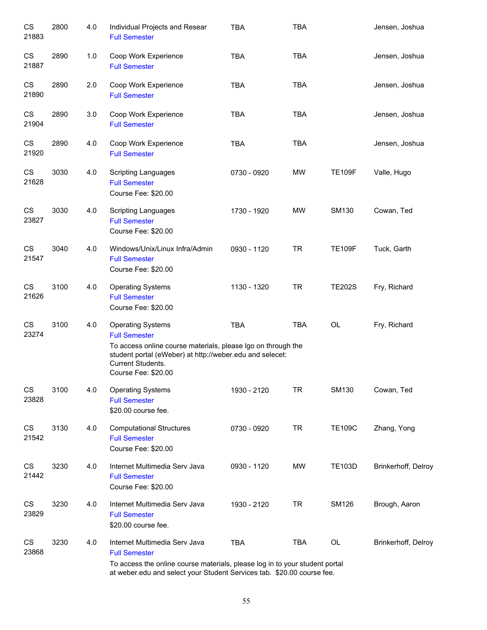| CS<br>21883                     | 2800 | 4.0 | Individual Projects and Resear<br><b>Full Semester</b>                                                                                                                                                                          | <b>TBA</b>  | <b>TBA</b> |               | Jensen, Joshua      |
|---------------------------------|------|-----|---------------------------------------------------------------------------------------------------------------------------------------------------------------------------------------------------------------------------------|-------------|------------|---------------|---------------------|
| CS<br>21887                     | 2890 | 1.0 | Coop Work Experience<br><b>Full Semester</b>                                                                                                                                                                                    | <b>TBA</b>  | <b>TBA</b> |               | Jensen, Joshua      |
| CS<br>21890                     | 2890 | 2.0 | Coop Work Experience<br><b>Full Semester</b>                                                                                                                                                                                    | <b>TBA</b>  | <b>TBA</b> |               | Jensen, Joshua      |
| CS<br>21904                     | 2890 | 3.0 | Coop Work Experience<br><b>Full Semester</b>                                                                                                                                                                                    | <b>TBA</b>  | <b>TBA</b> |               | Jensen, Joshua      |
| CS<br>21920                     | 2890 | 4.0 | Coop Work Experience<br><b>Full Semester</b>                                                                                                                                                                                    | <b>TBA</b>  | <b>TBA</b> |               | Jensen, Joshua      |
| CS<br>21628                     | 3030 | 4.0 | <b>Scripting Languages</b><br><b>Full Semester</b><br>Course Fee: \$20.00                                                                                                                                                       | 0730 - 0920 | <b>MW</b>  | <b>TE109F</b> | Valle, Hugo         |
| CS<br>23827                     | 3030 | 4.0 | <b>Scripting Languages</b><br><b>Full Semester</b><br>Course Fee: \$20.00                                                                                                                                                       | 1730 - 1920 | <b>MW</b>  | SM130         | Cowan, Ted          |
| CS<br>21547                     | 3040 | 4.0 | Windows/Unix/Linux Infra/Admin<br><b>Full Semester</b><br>Course Fee: \$20.00                                                                                                                                                   | 0930 - 1120 | <b>TR</b>  | <b>TE109F</b> | Tuck, Garth         |
| CS<br>21626                     | 3100 | 4.0 | <b>Operating Systems</b><br><b>Full Semester</b><br>Course Fee: \$20.00                                                                                                                                                         | 1130 - 1320 | <b>TR</b>  | <b>TE202S</b> | Fry, Richard        |
| CS<br>23274                     | 3100 | 4.0 | <b>Operating Systems</b><br><b>Full Semester</b><br>To access online course materials, please Igo on through the<br>student portal (eWeber) at http://weber.edu and selecet:<br><b>Current Students.</b><br>Course Fee: \$20.00 | <b>TBA</b>  | <b>TBA</b> | OL            | Fry, Richard        |
| CS<br>23828                     | 3100 | 4.0 | <b>Operating Systems</b><br><b>Full Semester</b><br>\$20.00 course fee.                                                                                                                                                         | 1930 - 2120 | <b>TR</b>  | SM130         | Cowan, Ted          |
| $\mathbb{C}\mathbb{S}$<br>21542 | 3130 | 4.0 | <b>Computational Structures</b><br><b>Full Semester</b><br>Course Fee: \$20.00                                                                                                                                                  | 0730 - 0920 | <b>TR</b>  | <b>TE109C</b> | Zhang, Yong         |
| CS<br>21442                     | 3230 | 4.0 | Internet Multimedia Serv Java<br><b>Full Semester</b><br>Course Fee: \$20.00                                                                                                                                                    | 0930 - 1120 | MW         | <b>TE103D</b> | Brinkerhoff, Delroy |
| CS<br>23829                     | 3230 | 4.0 | Internet Multimedia Serv Java<br><b>Full Semester</b><br>\$20.00 course fee.                                                                                                                                                    | 1930 - 2120 | <b>TR</b>  | <b>SM126</b>  | Brough, Aaron       |
| CS<br>23868                     | 3230 | 4.0 | Internet Multimedia Serv Java<br><b>Full Semester</b><br>To access the online course materials, please log in to your student portal<br>at weber.edu and select your Student Services tab. \$20.00 course fee.                  | <b>TBA</b>  | <b>TBA</b> | OL            | Brinkerhoff, Delroy |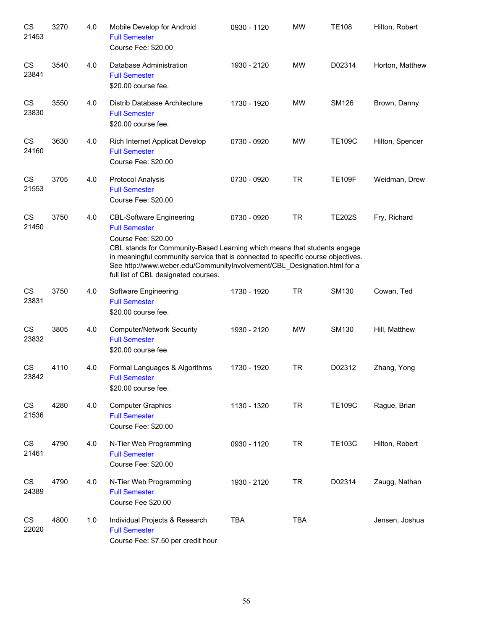| CS<br>21453        | 3270 | 4.0 | Mobile Develop for Android<br><b>Full Semester</b><br>Course Fee: \$20.00                                                                                                                                                                                                                                                                                          | 0930 - 1120 | <b>MW</b>  | <b>TE108</b>  | Hilton, Robert  |
|--------------------|------|-----|--------------------------------------------------------------------------------------------------------------------------------------------------------------------------------------------------------------------------------------------------------------------------------------------------------------------------------------------------------------------|-------------|------------|---------------|-----------------|
| CS<br>23841        | 3540 | 4.0 | Database Administration<br><b>Full Semester</b><br>\$20.00 course fee.                                                                                                                                                                                                                                                                                             | 1930 - 2120 | <b>MW</b>  | D02314        | Horton, Matthew |
| CS<br>23830        | 3550 | 4.0 | Distrib Database Architecture<br><b>Full Semester</b><br>\$20.00 course fee.                                                                                                                                                                                                                                                                                       | 1730 - 1920 | <b>MW</b>  | <b>SM126</b>  | Brown, Danny    |
| <b>CS</b><br>24160 | 3630 | 4.0 | Rich Internet Applicat Develop<br><b>Full Semester</b><br>Course Fee: \$20.00                                                                                                                                                                                                                                                                                      | 0730 - 0920 | <b>MW</b>  | <b>TE109C</b> | Hilton, Spencer |
| CS<br>21553        | 3705 | 4.0 | <b>Protocol Analysis</b><br><b>Full Semester</b><br>Course Fee: \$20.00                                                                                                                                                                                                                                                                                            | 0730 - 0920 | <b>TR</b>  | <b>TE109F</b> | Weidman, Drew   |
| <b>CS</b><br>21450 | 3750 | 4.0 | <b>CBL-Software Engineering</b><br><b>Full Semester</b><br>Course Fee: \$20.00<br>CBL stands for Community-Based Learning which means that students engage<br>in meaningful community service that is connected to specific course objectives.<br>See http://www.weber.edu/CommunityInvolvement/CBL_Designation.html for a<br>full list of CBL designated courses. | 0730 - 0920 | <b>TR</b>  | <b>TE202S</b> | Fry, Richard    |
| <b>CS</b><br>23831 | 3750 | 4.0 | Software Engineering<br><b>Full Semester</b><br>\$20.00 course fee.                                                                                                                                                                                                                                                                                                | 1730 - 1920 | <b>TR</b>  | SM130         | Cowan, Ted      |
| <b>CS</b><br>23832 | 3805 | 4.0 | <b>Computer/Network Security</b><br><b>Full Semester</b><br>\$20.00 course fee.                                                                                                                                                                                                                                                                                    | 1930 - 2120 | <b>MW</b>  | SM130         | Hill, Matthew   |
| <b>CS</b><br>23842 | 4110 | 4.0 | Formal Languages & Algorithms<br><b>Full Semester</b><br>\$20.00 course fee.                                                                                                                                                                                                                                                                                       | 1730 - 1920 | <b>TR</b>  | D02312        | Zhang, Yong     |
| CS<br>21536        | 4280 | 4.0 | <b>Computer Graphics</b><br><b>Full Semester</b><br>Course Fee: \$20.00                                                                                                                                                                                                                                                                                            | 1130 - 1320 | <b>TR</b>  | <b>TE109C</b> | Rague, Brian    |
| CS<br>21461        | 4790 | 4.0 | N-Tier Web Programming<br><b>Full Semester</b><br>Course Fee: \$20.00                                                                                                                                                                                                                                                                                              | 0930 - 1120 | <b>TR</b>  | <b>TE103C</b> | Hilton, Robert  |
| CS<br>24389        | 4790 | 4.0 | N-Tier Web Programming<br><b>Full Semester</b><br>Course Fee \$20.00                                                                                                                                                                                                                                                                                               | 1930 - 2120 | <b>TR</b>  | D02314        | Zaugg, Nathan   |
| CS<br>22020        | 4800 | 1.0 | Individual Projects & Research<br><b>Full Semester</b><br>Course Fee: \$7.50 per credit hour                                                                                                                                                                                                                                                                       | TBA         | <b>TBA</b> |               | Jensen, Joshua  |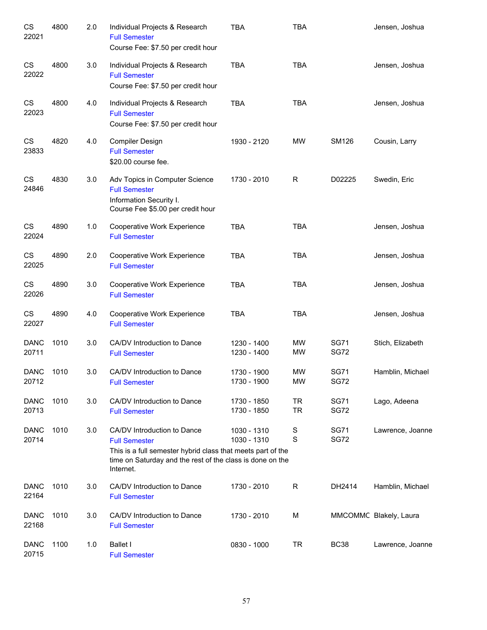| CS<br>22021          | 4800 | 2.0 | Individual Projects & Research<br><b>Full Semester</b><br>Course Fee: \$7.50 per credit hour                                                                                                 | <b>TBA</b>                 | <b>TBA</b>             |                            | Jensen, Joshua         |
|----------------------|------|-----|----------------------------------------------------------------------------------------------------------------------------------------------------------------------------------------------|----------------------------|------------------------|----------------------------|------------------------|
| CS<br>22022          | 4800 | 3.0 | Individual Projects & Research<br><b>Full Semester</b><br>Course Fee: \$7.50 per credit hour                                                                                                 | <b>TBA</b>                 | <b>TBA</b>             |                            | Jensen, Joshua         |
| CS<br>22023          | 4800 | 4.0 | Individual Projects & Research<br><b>Full Semester</b><br>Course Fee: \$7.50 per credit hour                                                                                                 | <b>TBA</b>                 | <b>TBA</b>             |                            | Jensen, Joshua         |
| CS<br>23833          | 4820 | 4.0 | Compiler Design<br><b>Full Semester</b><br>\$20.00 course fee.                                                                                                                               | 1930 - 2120                | <b>MW</b>              | <b>SM126</b>               | Cousin, Larry          |
| CS<br>24846          | 4830 | 3.0 | Adv Topics in Computer Science<br><b>Full Semester</b><br>Information Security I.<br>Course Fee \$5.00 per credit hour                                                                       | 1730 - 2010                | R                      | D02225                     | Swedin, Eric           |
| CS<br>22024          | 4890 | 1.0 | Cooperative Work Experience<br><b>Full Semester</b>                                                                                                                                          | <b>TBA</b>                 | <b>TBA</b>             |                            | Jensen, Joshua         |
| CS<br>22025          | 4890 | 2.0 | Cooperative Work Experience<br><b>Full Semester</b>                                                                                                                                          | <b>TBA</b>                 | <b>TBA</b>             |                            | Jensen, Joshua         |
| CS<br>22026          | 4890 | 3.0 | Cooperative Work Experience<br><b>Full Semester</b>                                                                                                                                          | <b>TBA</b>                 | <b>TBA</b>             |                            | Jensen, Joshua         |
| CS<br>22027          | 4890 | 4.0 | Cooperative Work Experience<br><b>Full Semester</b>                                                                                                                                          | <b>TBA</b>                 | <b>TBA</b>             |                            | Jensen, Joshua         |
| <b>DANC</b><br>20711 | 1010 | 3.0 | CA/DV Introduction to Dance<br><b>Full Semester</b>                                                                                                                                          | 1230 - 1400<br>1230 - 1400 | <b>MW</b><br>MW        | <b>SG71</b><br><b>SG72</b> | Stich, Elizabeth       |
| <b>DANC</b><br>20712 | 1010 | 3.0 | CA/DV Introduction to Dance<br><b>Full Semester</b>                                                                                                                                          | 1730 - 1900<br>1730 - 1900 | <b>MW</b><br>MW        | <b>SG71</b><br><b>SG72</b> | Hamblin, Michael       |
| <b>DANC</b><br>20713 | 1010 | 3.0 | CA/DV Introduction to Dance<br><b>Full Semester</b>                                                                                                                                          | 1730 - 1850<br>1730 - 1850 | <b>TR</b><br><b>TR</b> | <b>SG71</b><br><b>SG72</b> | Lago, Adeena           |
| <b>DANC</b><br>20714 | 1010 | 3.0 | CA/DV Introduction to Dance<br><b>Full Semester</b><br>This is a full semester hybrid class that meets part of the<br>time on Saturday and the rest of the class is done on the<br>Internet. | 1030 - 1310<br>1030 - 1310 | S<br>S                 | <b>SG71</b><br><b>SG72</b> | Lawrence, Joanne       |
| <b>DANC</b><br>22164 | 1010 | 3.0 | CA/DV Introduction to Dance<br><b>Full Semester</b>                                                                                                                                          | 1730 - 2010                | R                      | DH2414                     | Hamblin, Michael       |
| <b>DANC</b><br>22168 | 1010 | 3.0 | CA/DV Introduction to Dance<br><b>Full Semester</b>                                                                                                                                          | 1730 - 2010                | М                      |                            | MMCOMMC Blakely, Laura |
| <b>DANC</b><br>20715 | 1100 | 1.0 | <b>Ballet I</b><br><b>Full Semester</b>                                                                                                                                                      | 0830 - 1000                | <b>TR</b>              | <b>BC38</b>                | Lawrence, Joanne       |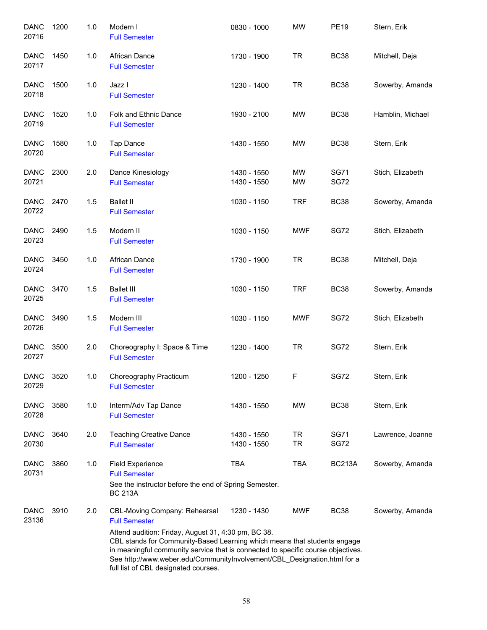| <b>DANC</b><br>20716 | 1200 | 1.0 | Modern I<br><b>Full Semester</b>                                                                                                                                                                                                                                                                                                                                                                 | 0830 - 1000                | <b>MW</b>              | <b>PE19</b>                | Stern, Erik      |
|----------------------|------|-----|--------------------------------------------------------------------------------------------------------------------------------------------------------------------------------------------------------------------------------------------------------------------------------------------------------------------------------------------------------------------------------------------------|----------------------------|------------------------|----------------------------|------------------|
| <b>DANC</b><br>20717 | 1450 | 1.0 | African Dance<br><b>Full Semester</b>                                                                                                                                                                                                                                                                                                                                                            | 1730 - 1900                | <b>TR</b>              | <b>BC38</b>                | Mitchell, Deja   |
| <b>DANC</b><br>20718 | 1500 | 1.0 | Jazz I<br><b>Full Semester</b>                                                                                                                                                                                                                                                                                                                                                                   | 1230 - 1400                | <b>TR</b>              | <b>BC38</b>                | Sowerby, Amanda  |
| <b>DANC</b><br>20719 | 1520 | 1.0 | Folk and Ethnic Dance<br><b>Full Semester</b>                                                                                                                                                                                                                                                                                                                                                    | 1930 - 2100                | MW                     | <b>BC38</b>                | Hamblin, Michael |
| <b>DANC</b><br>20720 | 1580 | 1.0 | Tap Dance<br><b>Full Semester</b>                                                                                                                                                                                                                                                                                                                                                                | 1430 - 1550                | MW                     | <b>BC38</b>                | Stern, Erik      |
| <b>DANC</b><br>20721 | 2300 | 2.0 | Dance Kinesiology<br><b>Full Semester</b>                                                                                                                                                                                                                                                                                                                                                        | 1430 - 1550<br>1430 - 1550 | MW<br>MW               | <b>SG71</b><br><b>SG72</b> | Stich, Elizabeth |
| <b>DANC</b><br>20722 | 2470 | 1.5 | <b>Ballet II</b><br><b>Full Semester</b>                                                                                                                                                                                                                                                                                                                                                         | 1030 - 1150                | <b>TRF</b>             | <b>BC38</b>                | Sowerby, Amanda  |
| <b>DANC</b><br>20723 | 2490 | 1.5 | Modern II<br><b>Full Semester</b>                                                                                                                                                                                                                                                                                                                                                                | 1030 - 1150                | <b>MWF</b>             | <b>SG72</b>                | Stich, Elizabeth |
| <b>DANC</b><br>20724 | 3450 | 1.0 | African Dance<br><b>Full Semester</b>                                                                                                                                                                                                                                                                                                                                                            | 1730 - 1900                | <b>TR</b>              | <b>BC38</b>                | Mitchell, Deja   |
| <b>DANC</b><br>20725 | 3470 | 1.5 | <b>Ballet III</b><br><b>Full Semester</b>                                                                                                                                                                                                                                                                                                                                                        | 1030 - 1150                | <b>TRF</b>             | <b>BC38</b>                | Sowerby, Amanda  |
| <b>DANC</b><br>20726 | 3490 | 1.5 | Modern III<br><b>Full Semester</b>                                                                                                                                                                                                                                                                                                                                                               | 1030 - 1150                | <b>MWF</b>             | <b>SG72</b>                | Stich, Elizabeth |
| <b>DANC</b><br>20727 | 3500 | 2.0 | Choreography I: Space & Time<br><b>Full Semester</b>                                                                                                                                                                                                                                                                                                                                             | 1230 - 1400                | <b>TR</b>              | <b>SG72</b>                | Stern, Erik      |
| <b>DANC</b><br>20729 | 3520 | 1.0 | Choreography Practicum<br><b>Full Semester</b>                                                                                                                                                                                                                                                                                                                                                   | 1200 - 1250                | F                      | <b>SG72</b>                | Stern, Erik      |
| <b>DANC</b><br>20728 | 3580 | 1.0 | Interm/Adv Tap Dance<br><b>Full Semester</b>                                                                                                                                                                                                                                                                                                                                                     | 1430 - 1550                | MW                     | <b>BC38</b>                | Stern, Erik      |
| <b>DANC</b><br>20730 | 3640 | 2.0 | <b>Teaching Creative Dance</b><br><b>Full Semester</b>                                                                                                                                                                                                                                                                                                                                           | 1430 - 1550<br>1430 - 1550 | <b>TR</b><br><b>TR</b> | <b>SG71</b><br><b>SG72</b> | Lawrence, Joanne |
| <b>DANC</b><br>20731 | 3860 | 1.0 | <b>Field Experience</b><br><b>Full Semester</b><br>See the instructor before the end of Spring Semester.<br><b>BC 213A</b>                                                                                                                                                                                                                                                                       | <b>TBA</b>                 | TBA                    | <b>BC213A</b>              | Sowerby, Amanda  |
| <b>DANC</b><br>23136 | 3910 | 2.0 | CBL-Moving Company: Rehearsal<br><b>Full Semester</b><br>Attend audition: Friday, August 31, 4:30 pm, BC 38.<br>CBL stands for Community-Based Learning which means that students engage<br>in meaningful community service that is connected to specific course objectives.<br>See http://www.weber.edu/CommunityInvolvement/CBL_Designation.html for a<br>full list of CBL designated courses. | 1230 - 1430                | <b>MWF</b>             | <b>BC38</b>                | Sowerby, Amanda  |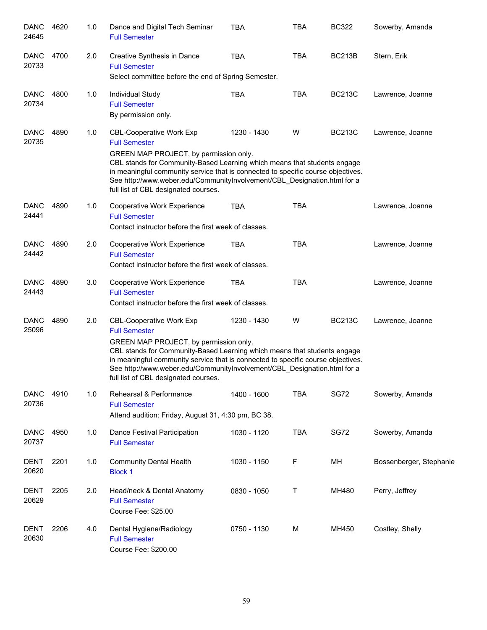| <b>DANC</b><br>24645 | 4620 | 1.0 | Dance and Digital Tech Seminar<br><b>Full Semester</b>                                                                                                                                                                                                                                                                                                                                | <b>TBA</b>  | <b>TBA</b> | <b>BC322</b>  | Sowerby, Amanda         |
|----------------------|------|-----|---------------------------------------------------------------------------------------------------------------------------------------------------------------------------------------------------------------------------------------------------------------------------------------------------------------------------------------------------------------------------------------|-------------|------------|---------------|-------------------------|
| <b>DANC</b><br>20733 | 4700 | 2.0 | Creative Synthesis in Dance<br><b>Full Semester</b><br>Select committee before the end of Spring Semester.                                                                                                                                                                                                                                                                            | <b>TBA</b>  | <b>TBA</b> | <b>BC213B</b> | Stern, Erik             |
| <b>DANC</b><br>20734 | 4800 | 1.0 | Individual Study<br><b>Full Semester</b><br>By permission only.                                                                                                                                                                                                                                                                                                                       | <b>TBA</b>  | <b>TBA</b> | <b>BC213C</b> | Lawrence, Joanne        |
| <b>DANC</b><br>20735 | 4890 | 1.0 | <b>CBL-Cooperative Work Exp</b><br><b>Full Semester</b><br>GREEN MAP PROJECT, by permission only.<br>CBL stands for Community-Based Learning which means that students engage<br>in meaningful community service that is connected to specific course objectives.<br>See http://www.weber.edu/CommunityInvolvement/CBL_Designation.html for a<br>full list of CBL designated courses. | 1230 - 1430 | W          | <b>BC213C</b> | Lawrence, Joanne        |
| <b>DANC</b><br>24441 | 4890 | 1.0 | Cooperative Work Experience<br><b>Full Semester</b><br>Contact instructor before the first week of classes.                                                                                                                                                                                                                                                                           | <b>TBA</b>  | <b>TBA</b> |               | Lawrence, Joanne        |
| <b>DANC</b><br>24442 | 4890 | 2.0 | Cooperative Work Experience<br><b>Full Semester</b><br>Contact instructor before the first week of classes.                                                                                                                                                                                                                                                                           | <b>TBA</b>  | <b>TBA</b> |               | Lawrence, Joanne        |
| <b>DANC</b><br>24443 | 4890 | 3.0 | Cooperative Work Experience<br><b>Full Semester</b><br>Contact instructor before the first week of classes.                                                                                                                                                                                                                                                                           | <b>TBA</b>  | <b>TBA</b> |               | Lawrence, Joanne        |
| <b>DANC</b><br>25096 | 4890 | 2.0 | <b>CBL-Cooperative Work Exp</b><br><b>Full Semester</b><br>GREEN MAP PROJECT, by permission only.<br>CBL stands for Community-Based Learning which means that students engage<br>in meaningful community service that is connected to specific course objectives.<br>See http://www.weber.edu/CommunityInvolvement/CBL Designation.html for a<br>full list of CBL designated courses. | 1230 - 1430 | W          | <b>BC213C</b> | Lawrence, Joanne        |
| <b>DANC</b><br>20736 | 4910 | 1.0 | Rehearsal & Performance<br><b>Full Semester</b><br>Attend audition: Friday, August 31, 4:30 pm, BC 38.                                                                                                                                                                                                                                                                                | 1400 - 1600 | <b>TBA</b> | SG72          | Sowerby, Amanda         |
| <b>DANC</b><br>20737 | 4950 | 1.0 | Dance Festival Participation<br><b>Full Semester</b>                                                                                                                                                                                                                                                                                                                                  | 1030 - 1120 | <b>TBA</b> | <b>SG72</b>   | Sowerby, Amanda         |
| DENT<br>20620        | 2201 | 1.0 | <b>Community Dental Health</b><br><b>Block 1</b>                                                                                                                                                                                                                                                                                                                                      | 1030 - 1150 | F          | MН            | Bossenberger, Stephanie |
| DENT<br>20629        | 2205 | 2.0 | Head/neck & Dental Anatomy<br><b>Full Semester</b><br>Course Fee: \$25.00                                                                                                                                                                                                                                                                                                             | 0830 - 1050 | Т          | MH480         | Perry, Jeffrey          |
| <b>DENT</b><br>20630 | 2206 | 4.0 | Dental Hygiene/Radiology<br><b>Full Semester</b><br>Course Fee: \$200.00                                                                                                                                                                                                                                                                                                              | 0750 - 1130 | M          | MH450         | Costley, Shelly         |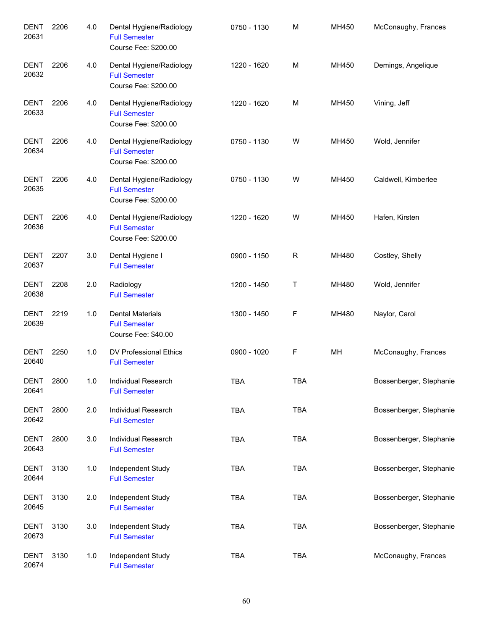| <b>DENT</b><br>20631 | 2206 | 4.0 | Dental Hygiene/Radiology<br><b>Full Semester</b><br>Course Fee: \$200.00 | 0750 - 1130 | M          | MH450 | McConaughy, Frances     |
|----------------------|------|-----|--------------------------------------------------------------------------|-------------|------------|-------|-------------------------|
| <b>DENT</b><br>20632 | 2206 | 4.0 | Dental Hygiene/Radiology<br><b>Full Semester</b><br>Course Fee: \$200.00 | 1220 - 1620 | M          | MH450 | Demings, Angelique      |
| <b>DENT</b><br>20633 | 2206 | 4.0 | Dental Hygiene/Radiology<br><b>Full Semester</b><br>Course Fee: \$200.00 | 1220 - 1620 | M          | MH450 | Vining, Jeff            |
| <b>DENT</b><br>20634 | 2206 | 4.0 | Dental Hygiene/Radiology<br><b>Full Semester</b><br>Course Fee: \$200.00 | 0750 - 1130 | W          | MH450 | Wold, Jennifer          |
| <b>DENT</b><br>20635 | 2206 | 4.0 | Dental Hygiene/Radiology<br><b>Full Semester</b><br>Course Fee: \$200.00 | 0750 - 1130 | W          | MH450 | Caldwell, Kimberlee     |
| <b>DENT</b><br>20636 | 2206 | 4.0 | Dental Hygiene/Radiology<br><b>Full Semester</b><br>Course Fee: \$200.00 | 1220 - 1620 | W          | MH450 | Hafen, Kirsten          |
| DENT<br>20637        | 2207 | 3.0 | Dental Hygiene I<br><b>Full Semester</b>                                 | 0900 - 1150 | R          | MH480 | Costley, Shelly         |
| <b>DENT</b><br>20638 | 2208 | 2.0 | Radiology<br><b>Full Semester</b>                                        | 1200 - 1450 | Τ          | MH480 | Wold, Jennifer          |
| <b>DENT</b><br>20639 | 2219 | 1.0 | <b>Dental Materials</b><br><b>Full Semester</b><br>Course Fee: \$40.00   | 1300 - 1450 | F          | MH480 | Naylor, Carol           |
| <b>DENT</b><br>20640 | 2250 | 1.0 | DV Professional Ethics<br><b>Full Semester</b>                           | 0900 - 1020 | F          | MH    | McConaughy, Frances     |
| <b>DENT</b><br>20641 | 2800 | 1.0 | Individual Research<br><b>Full Semester</b>                              | <b>TBA</b>  | TBA        |       | Bossenberger, Stephanie |
| <b>DENT</b><br>20642 | 2800 | 2.0 | Individual Research<br><b>Full Semester</b>                              | <b>TBA</b>  | <b>TBA</b> |       | Bossenberger, Stephanie |
| <b>DENT</b><br>20643 | 2800 | 3.0 | Individual Research<br><b>Full Semester</b>                              | <b>TBA</b>  | <b>TBA</b> |       | Bossenberger, Stephanie |
| <b>DENT</b><br>20644 | 3130 | 1.0 | Independent Study<br><b>Full Semester</b>                                | <b>TBA</b>  | <b>TBA</b> |       | Bossenberger, Stephanie |
| <b>DENT</b><br>20645 | 3130 | 2.0 | Independent Study<br><b>Full Semester</b>                                | <b>TBA</b>  | <b>TBA</b> |       | Bossenberger, Stephanie |
| DENT<br>20673        | 3130 | 3.0 | Independent Study<br><b>Full Semester</b>                                | <b>TBA</b>  | <b>TBA</b> |       | Bossenberger, Stephanie |
| DENT<br>20674        | 3130 | 1.0 | Independent Study<br><b>Full Semester</b>                                | TBA         | <b>TBA</b> |       | McConaughy, Frances     |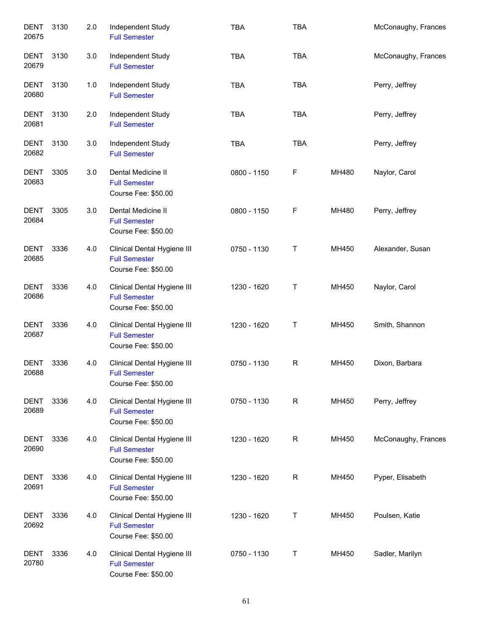| <b>DENT</b><br>20675 | 3130 | 2.0 | Independent Study<br><b>Full Semester</b>                                  | <b>TBA</b>  | <b>TBA</b>   |       | McConaughy, Frances |
|----------------------|------|-----|----------------------------------------------------------------------------|-------------|--------------|-------|---------------------|
| DENT<br>20679        | 3130 | 3.0 | Independent Study<br><b>Full Semester</b>                                  | <b>TBA</b>  | <b>TBA</b>   |       | McConaughy, Frances |
| DENT<br>20680        | 3130 | 1.0 | Independent Study<br><b>Full Semester</b>                                  | <b>TBA</b>  | <b>TBA</b>   |       | Perry, Jeffrey      |
| <b>DENT</b><br>20681 | 3130 | 2.0 | Independent Study<br><b>Full Semester</b>                                  | <b>TBA</b>  | <b>TBA</b>   |       | Perry, Jeffrey      |
| DENT<br>20682        | 3130 | 3.0 | Independent Study<br><b>Full Semester</b>                                  | <b>TBA</b>  | <b>TBA</b>   |       | Perry, Jeffrey      |
| <b>DENT</b><br>20683 | 3305 | 3.0 | Dental Medicine II<br><b>Full Semester</b><br>Course Fee: \$50.00          | 0800 - 1150 | F            | MH480 | Naylor, Carol       |
| <b>DENT</b><br>20684 | 3305 | 3.0 | Dental Medicine II<br><b>Full Semester</b><br>Course Fee: \$50.00          | 0800 - 1150 | F            | MH480 | Perry, Jeffrey      |
| <b>DENT</b><br>20685 | 3336 | 4.0 | Clinical Dental Hygiene III<br><b>Full Semester</b><br>Course Fee: \$50.00 | 0750 - 1130 | T            | MH450 | Alexander, Susan    |
| <b>DENT</b><br>20686 | 3336 | 4.0 | Clinical Dental Hygiene III<br><b>Full Semester</b><br>Course Fee: \$50.00 | 1230 - 1620 | T            | MH450 | Naylor, Carol       |
| <b>DENT</b><br>20687 | 3336 | 4.0 | Clinical Dental Hygiene III<br><b>Full Semester</b><br>Course Fee: \$50.00 | 1230 - 1620 | T            | MH450 | Smith, Shannon      |
| <b>DENT</b><br>20688 | 3336 | 4.0 | Clinical Dental Hygiene III<br><b>Full Semester</b><br>Course Fee: \$50.00 | 0750 - 1130 | $\mathsf R$  | MH450 | Dixon, Barbara      |
| <b>DENT</b><br>20689 | 3336 | 4.0 | Clinical Dental Hygiene III<br><b>Full Semester</b><br>Course Fee: \$50.00 | 0750 - 1130 | R            | MH450 | Perry, Jeffrey      |
| <b>DENT</b><br>20690 | 3336 | 4.0 | Clinical Dental Hygiene III<br><b>Full Semester</b><br>Course Fee: \$50.00 | 1230 - 1620 | $\mathsf{R}$ | MH450 | McConaughy, Frances |
| <b>DENT</b><br>20691 | 3336 | 4.0 | Clinical Dental Hygiene III<br><b>Full Semester</b><br>Course Fee: \$50.00 | 1230 - 1620 | $\mathsf{R}$ | MH450 | Pyper, Elisabeth    |
| <b>DENT</b><br>20692 | 3336 | 4.0 | Clinical Dental Hygiene III<br><b>Full Semester</b><br>Course Fee: \$50.00 | 1230 - 1620 | T            | MH450 | Poulsen, Katie      |
| <b>DENT</b><br>20780 | 3336 | 4.0 | Clinical Dental Hygiene III<br><b>Full Semester</b><br>Course Fee: \$50.00 | 0750 - 1130 | Τ            | MH450 | Sadler, Marilyn     |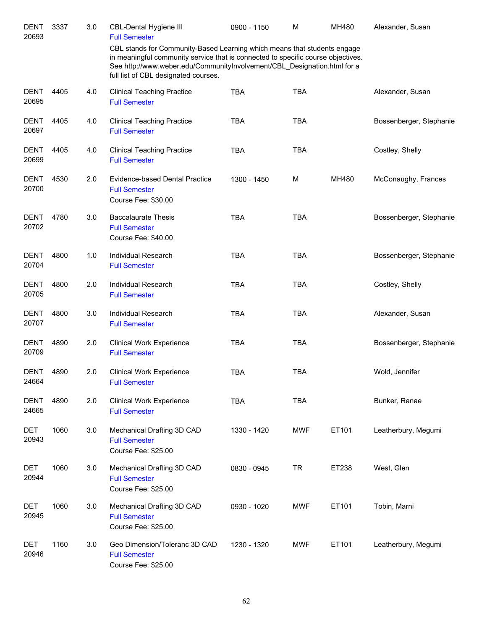| <b>DENT</b><br>20693 | 3337 | 3.0 | CBL-Dental Hygiene III<br><b>Full Semester</b>                                                                                                                                                                                                                                   | 0900 - 1150 | M          | MH480 | Alexander, Susan        |
|----------------------|------|-----|----------------------------------------------------------------------------------------------------------------------------------------------------------------------------------------------------------------------------------------------------------------------------------|-------------|------------|-------|-------------------------|
|                      |      |     | CBL stands for Community-Based Learning which means that students engage<br>in meaningful community service that is connected to specific course objectives.<br>See http://www.weber.edu/CommunityInvolvement/CBL Designation.html for a<br>full list of CBL designated courses. |             |            |       |                         |
| <b>DENT</b><br>20695 | 4405 | 4.0 | <b>Clinical Teaching Practice</b><br><b>Full Semester</b>                                                                                                                                                                                                                        | <b>TBA</b>  | <b>TBA</b> |       | Alexander, Susan        |
| <b>DENT</b><br>20697 | 4405 | 4.0 | <b>Clinical Teaching Practice</b><br><b>Full Semester</b>                                                                                                                                                                                                                        | <b>TBA</b>  | <b>TBA</b> |       | Bossenberger, Stephanie |
| <b>DENT</b><br>20699 | 4405 | 4.0 | <b>Clinical Teaching Practice</b><br><b>Full Semester</b>                                                                                                                                                                                                                        | <b>TBA</b>  | <b>TBA</b> |       | Costley, Shelly         |
| <b>DENT</b><br>20700 | 4530 | 2.0 | Evidence-based Dental Practice<br><b>Full Semester</b><br>Course Fee: \$30.00                                                                                                                                                                                                    | 1300 - 1450 | м          | MH480 | McConaughy, Frances     |
| <b>DENT</b><br>20702 | 4780 | 3.0 | <b>Baccalaurate Thesis</b><br><b>Full Semester</b><br>Course Fee: \$40.00                                                                                                                                                                                                        | <b>TBA</b>  | <b>TBA</b> |       | Bossenberger, Stephanie |
| <b>DENT</b><br>20704 | 4800 | 1.0 | <b>Individual Research</b><br><b>Full Semester</b>                                                                                                                                                                                                                               | <b>TBA</b>  | <b>TBA</b> |       | Bossenberger, Stephanie |
| <b>DENT</b><br>20705 | 4800 | 2.0 | <b>Individual Research</b><br><b>Full Semester</b>                                                                                                                                                                                                                               | <b>TBA</b>  | <b>TBA</b> |       | Costley, Shelly         |
| <b>DENT</b><br>20707 | 4800 | 3.0 | <b>Individual Research</b><br><b>Full Semester</b>                                                                                                                                                                                                                               | <b>TBA</b>  | <b>TBA</b> |       | Alexander, Susan        |
| <b>DENT</b><br>20709 | 4890 | 2.0 | <b>Clinical Work Experience</b><br><b>Full Semester</b>                                                                                                                                                                                                                          | <b>TBA</b>  | <b>TBA</b> |       | Bossenberger, Stephanie |
| DENT<br>24664        | 4890 | 2.0 | <b>Clinical Work Experience</b><br><b>Full Semester</b>                                                                                                                                                                                                                          | <b>TBA</b>  | <b>TBA</b> |       | Wold, Jennifer          |
| <b>DENT</b><br>24665 | 4890 | 2.0 | <b>Clinical Work Experience</b><br><b>Full Semester</b>                                                                                                                                                                                                                          | <b>TBA</b>  | <b>TBA</b> |       | Bunker, Ranae           |
| DET<br>20943         | 1060 | 3.0 | Mechanical Drafting 3D CAD<br><b>Full Semester</b><br>Course Fee: \$25.00                                                                                                                                                                                                        | 1330 - 1420 | <b>MWF</b> | ET101 | Leatherbury, Megumi     |
| DET<br>20944         | 1060 | 3.0 | Mechanical Drafting 3D CAD<br><b>Full Semester</b><br>Course Fee: \$25.00                                                                                                                                                                                                        | 0830 - 0945 | <b>TR</b>  | ET238 | West, Glen              |
| DET<br>20945         | 1060 | 3.0 | Mechanical Drafting 3D CAD<br><b>Full Semester</b><br>Course Fee: \$25.00                                                                                                                                                                                                        | 0930 - 1020 | <b>MWF</b> | ET101 | Tobin, Marni            |
| DET<br>20946         | 1160 | 3.0 | Geo Dimension/Toleranc 3D CAD<br><b>Full Semester</b><br>Course Fee: \$25.00                                                                                                                                                                                                     | 1230 - 1320 | <b>MWF</b> | ET101 | Leatherbury, Megumi     |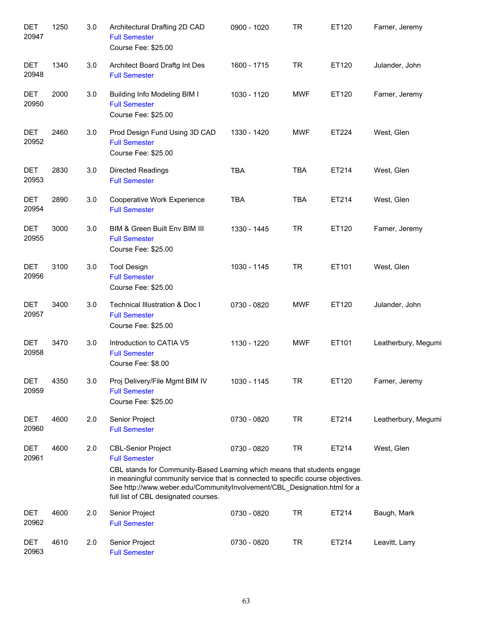| <b>DET</b><br>20947 | 1250 | 3.0 | Architectural Drafting 2D CAD<br><b>Full Semester</b><br>Course Fee: \$25.00                                                                                                                                                                                                                                                          | 0900 - 1020 | <b>TR</b>  | ET120 | Farner, Jeremy      |
|---------------------|------|-----|---------------------------------------------------------------------------------------------------------------------------------------------------------------------------------------------------------------------------------------------------------------------------------------------------------------------------------------|-------------|------------|-------|---------------------|
| <b>DET</b><br>20948 | 1340 | 3.0 | Architect Board Draftg Int Des<br><b>Full Semester</b>                                                                                                                                                                                                                                                                                | 1600 - 1715 | <b>TR</b>  | ET120 | Julander, John      |
| <b>DET</b><br>20950 | 2000 | 3.0 | <b>Building Info Modeling BIM I</b><br><b>Full Semester</b><br>Course Fee: \$25.00                                                                                                                                                                                                                                                    | 1030 - 1120 | <b>MWF</b> | ET120 | Farner, Jeremy      |
| <b>DET</b><br>20952 | 2460 | 3.0 | Prod Design Fund Using 3D CAD<br><b>Full Semester</b><br>Course Fee: \$25.00                                                                                                                                                                                                                                                          | 1330 - 1420 | <b>MWF</b> | ET224 | West, Glen          |
| <b>DET</b><br>20953 | 2830 | 3.0 | <b>Directed Readings</b><br><b>Full Semester</b>                                                                                                                                                                                                                                                                                      | <b>TBA</b>  | <b>TBA</b> | ET214 | West, Glen          |
| <b>DET</b><br>20954 | 2890 | 3.0 | Cooperative Work Experience<br><b>Full Semester</b>                                                                                                                                                                                                                                                                                   | <b>TBA</b>  | <b>TBA</b> | ET214 | West, Glen          |
| <b>DET</b><br>20955 | 3000 | 3.0 | BIM & Green Built Env BIM III<br><b>Full Semester</b><br>Course Fee: \$25.00                                                                                                                                                                                                                                                          | 1330 - 1445 | <b>TR</b>  | ET120 | Farner, Jeremy      |
| <b>DET</b><br>20956 | 3100 | 3.0 | <b>Tool Design</b><br><b>Full Semester</b><br>Course Fee: \$25.00                                                                                                                                                                                                                                                                     | 1030 - 1145 | <b>TR</b>  | ET101 | West, Glen          |
| <b>DET</b><br>20957 | 3400 | 3.0 | <b>Technical Illustration &amp; Doc I</b><br><b>Full Semester</b><br>Course Fee: \$25.00                                                                                                                                                                                                                                              | 0730 - 0820 | <b>MWF</b> | ET120 | Julander, John      |
| <b>DET</b><br>20958 | 3470 | 3.0 | Introduction to CATIA V5<br><b>Full Semester</b><br>Course Fee: \$8.00                                                                                                                                                                                                                                                                | 1130 - 1220 | <b>MWF</b> | ET101 | Leatherbury, Megumi |
| DET<br>20959        | 4350 | 3.0 | Proj Delivery/File Mgmt BIM IV<br><b>Full Semester</b><br>Course Fee: \$25.00                                                                                                                                                                                                                                                         | 1030 - 1145 | TR         | ET120 | Farner, Jeremy      |
| <b>DET</b><br>20960 | 4600 | 2.0 | Senior Project<br><b>Full Semester</b>                                                                                                                                                                                                                                                                                                | 0730 - 0820 | <b>TR</b>  | ET214 | Leatherbury, Megumi |
| <b>DET</b><br>20961 | 4600 | 2.0 | <b>CBL-Senior Project</b><br><b>Full Semester</b><br>CBL stands for Community-Based Learning which means that students engage<br>in meaningful community service that is connected to specific course objectives.<br>See http://www.weber.edu/CommunityInvolvement/CBL_Designation.html for a<br>full list of CBL designated courses. | 0730 - 0820 | <b>TR</b>  | ET214 | West, Glen          |
| DET<br>20962        | 4600 | 2.0 | Senior Project<br><b>Full Semester</b>                                                                                                                                                                                                                                                                                                | 0730 - 0820 | <b>TR</b>  | ET214 | Baugh, Mark         |
| <b>DET</b><br>20963 | 4610 | 2.0 | Senior Project<br><b>Full Semester</b>                                                                                                                                                                                                                                                                                                | 0730 - 0820 | <b>TR</b>  | ET214 | Leavitt, Larry      |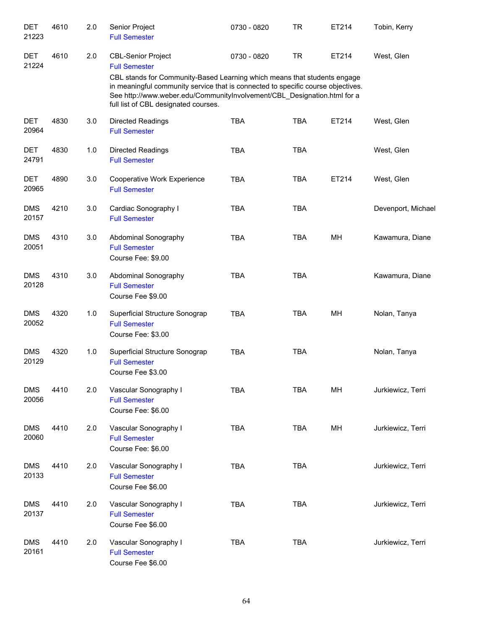| <b>DET</b><br>21223 | 4610 | 2.0 | Senior Project<br><b>Full Semester</b>                                                                                                                                                                                                                                                        | 0730 - 0820 | <b>TR</b>  | ET214 | Tobin, Kerry       |
|---------------------|------|-----|-----------------------------------------------------------------------------------------------------------------------------------------------------------------------------------------------------------------------------------------------------------------------------------------------|-------------|------------|-------|--------------------|
| <b>DET</b><br>21224 | 4610 | 2.0 | <b>CBL-Senior Project</b><br><b>Full Semester</b><br>CBL stands for Community-Based Learning which means that students engage<br>in meaningful community service that is connected to specific course objectives.<br>See http://www.weber.edu/CommunityInvolvement/CBL_Designation.html for a | 0730 - 0820 | <b>TR</b>  | ET214 | West, Glen         |
| <b>DET</b><br>20964 | 4830 | 3.0 | full list of CBL designated courses.<br>Directed Readings<br><b>Full Semester</b>                                                                                                                                                                                                             | <b>TBA</b>  | <b>TBA</b> | ET214 | West, Glen         |
| <b>DET</b><br>24791 | 4830 | 1.0 | Directed Readings<br><b>Full Semester</b>                                                                                                                                                                                                                                                     | <b>TBA</b>  | <b>TBA</b> |       | West, Glen         |
| <b>DET</b><br>20965 | 4890 | 3.0 | Cooperative Work Experience<br><b>Full Semester</b>                                                                                                                                                                                                                                           | <b>TBA</b>  | <b>TBA</b> | ET214 | West, Glen         |
| <b>DMS</b><br>20157 | 4210 | 3.0 | Cardiac Sonography I<br><b>Full Semester</b>                                                                                                                                                                                                                                                  | <b>TBA</b>  | <b>TBA</b> |       | Devenport, Michael |
| <b>DMS</b><br>20051 | 4310 | 3.0 | Abdominal Sonography<br><b>Full Semester</b><br>Course Fee: \$9.00                                                                                                                                                                                                                            | <b>TBA</b>  | <b>TBA</b> | MH    | Kawamura, Diane    |
| <b>DMS</b><br>20128 | 4310 | 3.0 | Abdominal Sonography<br><b>Full Semester</b><br>Course Fee \$9.00                                                                                                                                                                                                                             | <b>TBA</b>  | <b>TBA</b> |       | Kawamura, Diane    |
| <b>DMS</b><br>20052 | 4320 | 1.0 | Superficial Structure Sonograp<br><b>Full Semester</b><br>Course Fee: \$3.00                                                                                                                                                                                                                  | <b>TBA</b>  | <b>TBA</b> | MH    | Nolan, Tanya       |
| <b>DMS</b><br>20129 | 4320 | 1.0 | Superficial Structure Sonograp<br><b>Full Semester</b><br>Course Fee \$3.00                                                                                                                                                                                                                   | <b>TBA</b>  | <b>TBA</b> |       | Nolan, Tanya       |
| <b>DMS</b><br>20056 | 4410 | 2.0 | Vascular Sonography I<br><b>Full Semester</b><br>Course Fee: \$6.00                                                                                                                                                                                                                           | <b>TBA</b>  | TBA        | MH    | Jurkiewicz, Terri  |
| <b>DMS</b><br>20060 | 4410 | 2.0 | Vascular Sonography I<br><b>Full Semester</b><br>Course Fee: \$6.00                                                                                                                                                                                                                           | <b>TBA</b>  | <b>TBA</b> | MH    | Jurkiewicz, Terri  |
| <b>DMS</b><br>20133 | 4410 | 2.0 | Vascular Sonography I<br><b>Full Semester</b><br>Course Fee \$6.00                                                                                                                                                                                                                            | <b>TBA</b>  | <b>TBA</b> |       | Jurkiewicz, Terri  |
| <b>DMS</b><br>20137 | 4410 | 2.0 | Vascular Sonography I<br><b>Full Semester</b><br>Course Fee \$6.00                                                                                                                                                                                                                            | <b>TBA</b>  | TBA        |       | Jurkiewicz, Terri  |
| <b>DMS</b><br>20161 | 4410 | 2.0 | Vascular Sonography I<br><b>Full Semester</b><br>Course Fee \$6.00                                                                                                                                                                                                                            | <b>TBA</b>  | TBA        |       | Jurkiewicz, Terri  |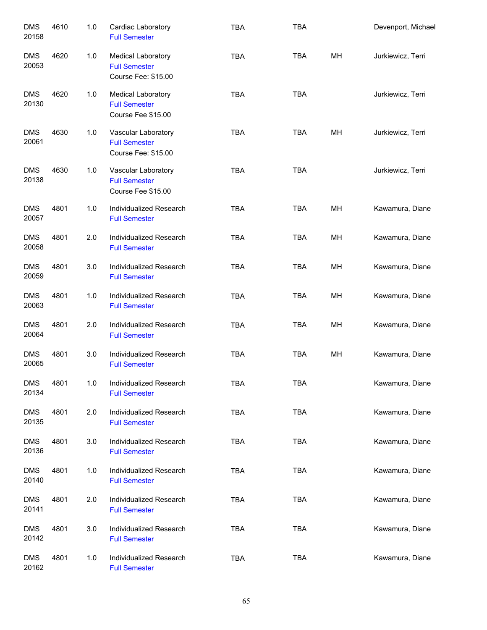| <b>DMS</b><br>20158 | 4610 | 1.0 | Cardiac Laboratory<br><b>Full Semester</b>                              | <b>TBA</b> | <b>TBA</b> |    | Devenport, Michael |
|---------------------|------|-----|-------------------------------------------------------------------------|------------|------------|----|--------------------|
| <b>DMS</b><br>20053 | 4620 | 1.0 | Medical Laboratory<br><b>Full Semester</b><br>Course Fee: \$15.00       | <b>TBA</b> | <b>TBA</b> | MH | Jurkiewicz, Terri  |
| <b>DMS</b><br>20130 | 4620 | 1.0 | <b>Medical Laboratory</b><br><b>Full Semester</b><br>Course Fee \$15.00 | <b>TBA</b> | <b>TBA</b> |    | Jurkiewicz, Terri  |
| <b>DMS</b><br>20061 | 4630 | 1.0 | Vascular Laboratory<br><b>Full Semester</b><br>Course Fee: \$15.00      | <b>TBA</b> | <b>TBA</b> | MH | Jurkiewicz, Terri  |
| <b>DMS</b><br>20138 | 4630 | 1.0 | Vascular Laboratory<br><b>Full Semester</b><br>Course Fee \$15.00       | <b>TBA</b> | <b>TBA</b> |    | Jurkiewicz, Terri  |
| <b>DMS</b><br>20057 | 4801 | 1.0 | Individualized Research<br><b>Full Semester</b>                         | <b>TBA</b> | <b>TBA</b> | MH | Kawamura, Diane    |
| <b>DMS</b><br>20058 | 4801 | 2.0 | Individualized Research<br><b>Full Semester</b>                         | <b>TBA</b> | <b>TBA</b> | MH | Kawamura, Diane    |
| <b>DMS</b><br>20059 | 4801 | 3.0 | Individualized Research<br><b>Full Semester</b>                         | <b>TBA</b> | <b>TBA</b> | MH | Kawamura, Diane    |
| <b>DMS</b><br>20063 | 4801 | 1.0 | Individualized Research<br><b>Full Semester</b>                         | <b>TBA</b> | <b>TBA</b> | MH | Kawamura, Diane    |
| <b>DMS</b><br>20064 | 4801 | 2.0 | Individualized Research<br><b>Full Semester</b>                         | <b>TBA</b> | <b>TBA</b> | MH | Kawamura, Diane    |
| <b>DMS</b><br>20065 | 4801 | 3.0 | Individualized Research<br><b>Full Semester</b>                         | <b>TBA</b> | <b>TBA</b> | MH | Kawamura, Diane    |
| <b>DMS</b><br>20134 | 4801 | 1.0 | Individualized Research<br><b>Full Semester</b>                         | TBA        | <b>TBA</b> |    | Kawamura, Diane    |
| <b>DMS</b><br>20135 | 4801 | 2.0 | Individualized Research<br><b>Full Semester</b>                         | <b>TBA</b> | <b>TBA</b> |    | Kawamura, Diane    |
| <b>DMS</b><br>20136 | 4801 | 3.0 | Individualized Research<br><b>Full Semester</b>                         | <b>TBA</b> | <b>TBA</b> |    | Kawamura, Diane    |
| <b>DMS</b><br>20140 | 4801 | 1.0 | Individualized Research<br><b>Full Semester</b>                         | <b>TBA</b> | <b>TBA</b> |    | Kawamura, Diane    |
| <b>DMS</b><br>20141 | 4801 | 2.0 | Individualized Research<br><b>Full Semester</b>                         | <b>TBA</b> | <b>TBA</b> |    | Kawamura, Diane    |
| <b>DMS</b><br>20142 | 4801 | 3.0 | Individualized Research<br><b>Full Semester</b>                         | <b>TBA</b> | <b>TBA</b> |    | Kawamura, Diane    |
| <b>DMS</b><br>20162 | 4801 | 1.0 | Individualized Research<br><b>Full Semester</b>                         | <b>TBA</b> | <b>TBA</b> |    | Kawamura, Diane    |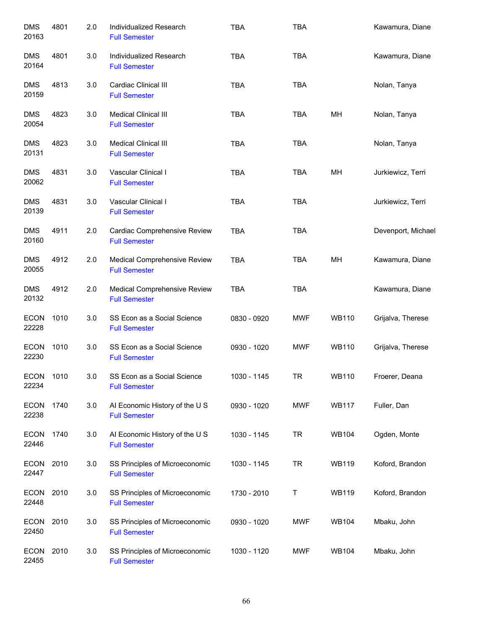| <b>DMS</b><br>20163  | 4801 | 2.0 | Individualized Research<br><b>Full Semester</b>        | <b>TBA</b>  | <b>TBA</b> |              | Kawamura, Diane    |
|----------------------|------|-----|--------------------------------------------------------|-------------|------------|--------------|--------------------|
| <b>DMS</b><br>20164  | 4801 | 3.0 | Individualized Research<br><b>Full Semester</b>        | <b>TBA</b>  | <b>TBA</b> |              | Kawamura, Diane    |
| <b>DMS</b><br>20159  | 4813 | 3.0 | Cardiac Clinical III<br><b>Full Semester</b>           | <b>TBA</b>  | <b>TBA</b> |              | Nolan, Tanya       |
| <b>DMS</b><br>20054  | 4823 | 3.0 | Medical Clinical III<br><b>Full Semester</b>           | <b>TBA</b>  | TBA        | MH           | Nolan, Tanya       |
| <b>DMS</b><br>20131  | 4823 | 3.0 | Medical Clinical III<br><b>Full Semester</b>           | <b>TBA</b>  | <b>TBA</b> |              | Nolan, Tanya       |
| <b>DMS</b><br>20062  | 4831 | 3.0 | Vascular Clinical I<br><b>Full Semester</b>            | <b>TBA</b>  | TBA        | MH           | Jurkiewicz, Terri  |
| <b>DMS</b><br>20139  | 4831 | 3.0 | Vascular Clinical I<br><b>Full Semester</b>            | <b>TBA</b>  | <b>TBA</b> |              | Jurkiewicz, Terri  |
| <b>DMS</b><br>20160  | 4911 | 2.0 | Cardiac Comprehensive Review<br><b>Full Semester</b>   | <b>TBA</b>  | <b>TBA</b> |              | Devenport, Michael |
| <b>DMS</b><br>20055  | 4912 | 2.0 | Medical Comprehensive Review<br><b>Full Semester</b>   | <b>TBA</b>  | <b>TBA</b> | MH           | Kawamura, Diane    |
| <b>DMS</b><br>20132  | 4912 | 2.0 | Medical Comprehensive Review<br><b>Full Semester</b>   | <b>TBA</b>  | <b>TBA</b> |              | Kawamura, Diane    |
| <b>ECON</b><br>22228 | 1010 | 3.0 | SS Econ as a Social Science<br><b>Full Semester</b>    | 0830 - 0920 | <b>MWF</b> | <b>WB110</b> | Grijalva, Therese  |
| <b>ECON</b><br>22230 | 1010 | 3.0 | SS Econ as a Social Science<br><b>Full Semester</b>    | 0930 - 1020 | MWF        | <b>WB110</b> | Grijalva, Therese  |
| <b>ECON</b><br>22234 | 1010 | 3.0 | SS Econ as a Social Science<br><b>Full Semester</b>    | 1030 - 1145 | <b>TR</b>  | <b>WB110</b> | Froerer, Deana     |
| <b>ECON</b><br>22238 | 1740 | 3.0 | Al Economic History of the U S<br><b>Full Semester</b> | 0930 - 1020 | <b>MWF</b> | <b>WB117</b> | Fuller, Dan        |
| <b>ECON</b><br>22446 | 1740 | 3.0 | Al Economic History of the U S<br><b>Full Semester</b> | 1030 - 1145 | <b>TR</b>  | <b>WB104</b> | Ogden, Monte       |
| <b>ECON</b><br>22447 | 2010 | 3.0 | SS Principles of Microeconomic<br><b>Full Semester</b> | 1030 - 1145 | <b>TR</b>  | <b>WB119</b> | Koford, Brandon    |
| <b>ECON</b><br>22448 | 2010 | 3.0 | SS Principles of Microeconomic<br><b>Full Semester</b> | 1730 - 2010 | T          | <b>WB119</b> | Koford, Brandon    |
| <b>ECON</b><br>22450 | 2010 | 3.0 | SS Principles of Microeconomic<br><b>Full Semester</b> | 0930 - 1020 | <b>MWF</b> | <b>WB104</b> | Mbaku, John        |
| <b>ECON</b><br>22455 | 2010 | 3.0 | SS Principles of Microeconomic<br><b>Full Semester</b> | 1030 - 1120 | <b>MWF</b> | <b>WB104</b> | Mbaku, John        |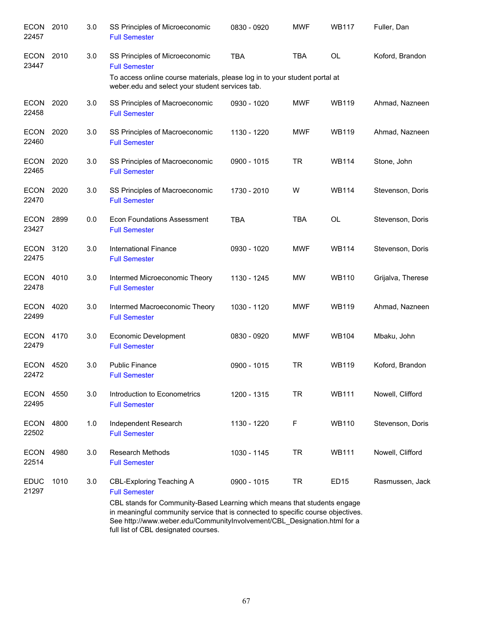| <b>ECON</b><br>22457 | 2010 | 3.0 | SS Principles of Microeconomic<br><b>Full Semester</b>                                                                                                                                                                  | 0830 - 0920 | <b>MWF</b> | <b>WB117</b> | Fuller, Dan       |
|----------------------|------|-----|-------------------------------------------------------------------------------------------------------------------------------------------------------------------------------------------------------------------------|-------------|------------|--------------|-------------------|
| <b>ECON</b><br>23447 | 2010 | 3.0 | SS Principles of Microeconomic<br><b>Full Semester</b>                                                                                                                                                                  | <b>TBA</b>  | <b>TBA</b> | <b>OL</b>    | Koford, Brandon   |
|                      |      |     | To access online course materials, please log in to your student portal at<br>weber.edu and select your student services tab.                                                                                           |             |            |              |                   |
| <b>ECON</b><br>22458 | 2020 | 3.0 | SS Principles of Macroeconomic<br><b>Full Semester</b>                                                                                                                                                                  | 0930 - 1020 | <b>MWF</b> | <b>WB119</b> | Ahmad, Nazneen    |
| <b>ECON</b><br>22460 | 2020 | 3.0 | SS Principles of Macroeconomic<br><b>Full Semester</b>                                                                                                                                                                  | 1130 - 1220 | <b>MWF</b> | <b>WB119</b> | Ahmad, Nazneen    |
| <b>ECON</b><br>22465 | 2020 | 3.0 | SS Principles of Macroeconomic<br><b>Full Semester</b>                                                                                                                                                                  | 0900 - 1015 | <b>TR</b>  | <b>WB114</b> | Stone, John       |
| <b>ECON</b><br>22470 | 2020 | 3.0 | SS Principles of Macroeconomic<br><b>Full Semester</b>                                                                                                                                                                  | 1730 - 2010 | W          | <b>WB114</b> | Stevenson, Doris  |
| ECON<br>23427        | 2899 | 0.0 | <b>Econ Foundations Assessment</b><br><b>Full Semester</b>                                                                                                                                                              | <b>TBA</b>  | <b>TBA</b> | <b>OL</b>    | Stevenson, Doris  |
| ECON 3120<br>22475   |      | 3.0 | <b>International Finance</b><br><b>Full Semester</b>                                                                                                                                                                    | 0930 - 1020 | <b>MWF</b> | <b>WB114</b> | Stevenson, Doris  |
| <b>ECON</b><br>22478 | 4010 | 3.0 | Intermed Microeconomic Theory<br><b>Full Semester</b>                                                                                                                                                                   | 1130 - 1245 | <b>MW</b>  | <b>WB110</b> | Grijalva, Therese |
| <b>ECON</b><br>22499 | 4020 | 3.0 | Intermed Macroeconomic Theory<br><b>Full Semester</b>                                                                                                                                                                   | 1030 - 1120 | <b>MWF</b> | <b>WB119</b> | Ahmad, Nazneen    |
| <b>ECON</b><br>22479 | 4170 | 3.0 | Economic Development<br><b>Full Semester</b>                                                                                                                                                                            | 0830 - 0920 | <b>MWF</b> | <b>WB104</b> | Mbaku, John       |
| <b>ECON</b><br>22472 | 4520 | 3.0 | <b>Public Finance</b><br><b>Full Semester</b>                                                                                                                                                                           | 0900 - 1015 | <b>TR</b>  | <b>WB119</b> | Koford, Brandon   |
| <b>ECON</b><br>22495 | 4550 | 3.0 | Introduction to Econometrics<br><b>Full Semester</b>                                                                                                                                                                    | 1200 - 1315 | <b>TR</b>  | <b>WB111</b> | Nowell, Clifford  |
| <b>ECON</b><br>22502 | 4800 | 1.0 | Independent Research<br><b>Full Semester</b>                                                                                                                                                                            | 1130 - 1220 | F          | <b>WB110</b> | Stevenson, Doris  |
| <b>ECON</b><br>22514 | 4980 | 3.0 | <b>Research Methods</b><br><b>Full Semester</b>                                                                                                                                                                         | 1030 - 1145 | <b>TR</b>  | <b>WB111</b> | Nowell, Clifford  |
| <b>EDUC</b><br>21297 | 1010 | 3.0 | <b>CBL-Exploring Teaching A</b><br><b>Full Semester</b><br>CBL stands for Community-Based Learning which means that students engage<br>in meaningful community service that is connected to specific course objectives. | 0900 - 1015 | TR         | <b>ED15</b>  | Rasmussen, Jack   |

in meaningful community service that is connected to specific course objectives. See http://www.weber.edu/CommunityInvolvement/CBL\_Designation.html for a full list of CBL designated courses.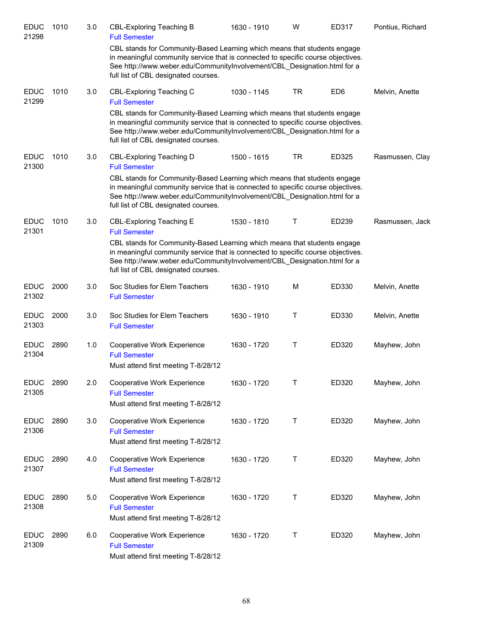| <b>EDUC</b><br>21298 | 1010 | 3.0 | <b>CBL-Exploring Teaching B</b><br><b>Full Semester</b>                                                                                                                                                                                                                          | 1630 - 1910 | W         | ED317           | Pontius, Richard |
|----------------------|------|-----|----------------------------------------------------------------------------------------------------------------------------------------------------------------------------------------------------------------------------------------------------------------------------------|-------------|-----------|-----------------|------------------|
|                      |      |     | CBL stands for Community-Based Learning which means that students engage<br>in meaningful community service that is connected to specific course objectives.<br>See http://www.weber.edu/CommunityInvolvement/CBL_Designation.html for a<br>full list of CBL designated courses. |             |           |                 |                  |
| <b>EDUC</b><br>21299 | 1010 | 3.0 | <b>CBL-Exploring Teaching C</b><br><b>Full Semester</b>                                                                                                                                                                                                                          | 1030 - 1145 | <b>TR</b> | ED <sub>6</sub> | Melvin, Anette   |
|                      |      |     | CBL stands for Community-Based Learning which means that students engage<br>in meaningful community service that is connected to specific course objectives.<br>See http://www.weber.edu/CommunityInvolvement/CBL Designation.html for a<br>full list of CBL designated courses. |             |           |                 |                  |
| <b>EDUC</b><br>21300 | 1010 | 3.0 | CBL-Exploring Teaching D<br><b>Full Semester</b>                                                                                                                                                                                                                                 | 1500 - 1615 | <b>TR</b> | ED325           | Rasmussen, Clay  |
|                      |      |     | CBL stands for Community-Based Learning which means that students engage<br>in meaningful community service that is connected to specific course objectives.<br>See http://www.weber.edu/CommunityInvolvement/CBL_Designation.html for a<br>full list of CBL designated courses. |             |           |                 |                  |
| <b>EDUC</b><br>21301 | 1010 | 3.0 | <b>CBL-Exploring Teaching E</b><br><b>Full Semester</b>                                                                                                                                                                                                                          | 1530 - 1810 | Т         | ED239           | Rasmussen, Jack  |
|                      |      |     | CBL stands for Community-Based Learning which means that students engage<br>in meaningful community service that is connected to specific course objectives.<br>See http://www.weber.edu/CommunityInvolvement/CBL_Designation.html for a<br>full list of CBL designated courses. |             |           |                 |                  |
| <b>EDUC</b><br>21302 | 2000 | 3.0 | Soc Studies for Elem Teachers<br><b>Full Semester</b>                                                                                                                                                                                                                            | 1630 - 1910 | М         | ED330           | Melvin, Anette   |
| <b>EDUC</b><br>21303 | 2000 | 3.0 | Soc Studies for Elem Teachers<br><b>Full Semester</b>                                                                                                                                                                                                                            | 1630 - 1910 | Τ         | ED330           | Melvin, Anette   |
| <b>EDUC</b><br>21304 | 2890 | 1.0 | Cooperative Work Experience<br><b>Full Semester</b><br>Must attend first meeting T-8/28/12                                                                                                                                                                                       | 1630 - 1720 | Τ         | ED320           | Mayhew, John     |
| <b>EDUC</b><br>21305 | 2890 | 2.0 | Cooperative Work Experience<br><b>Full Semester</b><br>Must attend first meeting T-8/28/12                                                                                                                                                                                       | 1630 - 1720 | Τ         | ED320           | Mayhew, John     |
| <b>EDUC</b><br>21306 | 2890 | 3.0 | Cooperative Work Experience<br><b>Full Semester</b><br>Must attend first meeting T-8/28/12                                                                                                                                                                                       | 1630 - 1720 | Τ         | ED320           | Mayhew, John     |
| <b>EDUC</b><br>21307 | 2890 | 4.0 | Cooperative Work Experience<br><b>Full Semester</b><br>Must attend first meeting T-8/28/12                                                                                                                                                                                       | 1630 - 1720 | Τ         | ED320           | Mayhew, John     |
| <b>EDUC</b><br>21308 | 2890 | 5.0 | Cooperative Work Experience<br><b>Full Semester</b><br>Must attend first meeting T-8/28/12                                                                                                                                                                                       | 1630 - 1720 | Τ         | ED320           | Mayhew, John     |
| <b>EDUC</b><br>21309 | 2890 | 6.0 | Cooperative Work Experience<br><b>Full Semester</b><br>Must attend first meeting T-8/28/12                                                                                                                                                                                       | 1630 - 1720 | Τ         | ED320           | Mayhew, John     |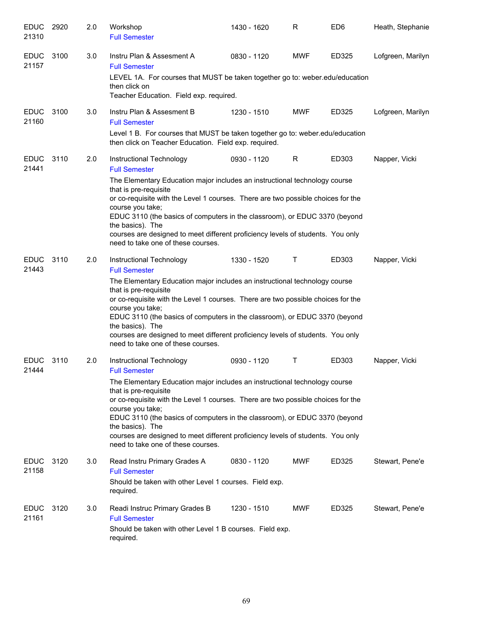| <b>EDUC</b><br>21310 | 2920 | 2.0 | Workshop<br><b>Full Semester</b>                                                                                                                                                                                                                                                                                                                                                                                                                                                           | 1430 - 1620 | R          | ED <sub>6</sub> | Heath, Stephanie  |
|----------------------|------|-----|--------------------------------------------------------------------------------------------------------------------------------------------------------------------------------------------------------------------------------------------------------------------------------------------------------------------------------------------------------------------------------------------------------------------------------------------------------------------------------------------|-------------|------------|-----------------|-------------------|
| <b>EDUC</b><br>21157 | 3100 | 3.0 | Instru Plan & Assesment A<br><b>Full Semester</b><br>LEVEL 1A. For courses that MUST be taken together go to: weber.edu/education                                                                                                                                                                                                                                                                                                                                                          | 0830 - 1120 | <b>MWF</b> | ED325           | Lofgreen, Marilyn |
|                      |      |     | then click on<br>Teacher Education. Field exp. required.                                                                                                                                                                                                                                                                                                                                                                                                                                   |             |            |                 |                   |
| <b>EDUC</b><br>21160 | 3100 | 3.0 | Instru Plan & Assesment B<br><b>Full Semester</b>                                                                                                                                                                                                                                                                                                                                                                                                                                          | 1230 - 1510 | <b>MWF</b> | ED325           | Lofgreen, Marilyn |
|                      |      |     | Level 1 B. For courses that MUST be taken together go to: weber.edu/education<br>then click on Teacher Education. Field exp. required.                                                                                                                                                                                                                                                                                                                                                     |             |            |                 |                   |
| <b>EDUC</b><br>21441 | 3110 | 2.0 | Instructional Technology<br><b>Full Semester</b>                                                                                                                                                                                                                                                                                                                                                                                                                                           | 0930 - 1120 | R          | ED303           | Napper, Vicki     |
|                      |      |     | The Elementary Education major includes an instructional technology course<br>that is pre-requisite<br>or co-requisite with the Level 1 courses. There are two possible choices for the<br>course you take;<br>EDUC 3110 (the basics of computers in the classroom), or EDUC 3370 (beyond<br>the basics). The<br>courses are designed to meet different proficiency levels of students. You only<br>need to take one of these courses.                                                     |             |            |                 |                   |
| <b>EDUC</b><br>21443 | 3110 | 2.0 | Instructional Technology<br><b>Full Semester</b><br>The Elementary Education major includes an instructional technology course<br>that is pre-requisite<br>or co-requisite with the Level 1 courses. There are two possible choices for the<br>course you take;<br>EDUC 3110 (the basics of computers in the classroom), or EDUC 3370 (beyond<br>the basics). The<br>courses are designed to meet different proficiency levels of students. You only<br>need to take one of these courses. | 1330 - 1520 | Τ          | ED303           | Napper, Vicki     |
| <b>EDUC</b><br>21444 | 3110 | 2.0 | Instructional Technology<br><b>Full Semester</b><br>The Elementary Education major includes an instructional technology course<br>that is pre-requisite<br>or co-requisite with the Level 1 courses. There are two possible choices for the<br>course you take;<br>EDUC 3110 (the basics of computers in the classroom), or EDUC 3370 (beyond<br>the basics). The<br>courses are designed to meet different proficiency levels of students. You only<br>need to take one of these courses. | 0930 - 1120 | Τ          | ED303           | Napper, Vicki     |
| <b>EDUC</b><br>21158 | 3120 | 3.0 | Read Instru Primary Grades A<br><b>Full Semester</b><br>Should be taken with other Level 1 courses. Field exp.<br>required.                                                                                                                                                                                                                                                                                                                                                                | 0830 - 1120 | <b>MWF</b> | ED325           | Stewart, Pene'e   |
| <b>EDUC</b><br>21161 | 3120 | 3.0 | Readi Instruc Primary Grades B<br><b>Full Semester</b><br>Should be taken with other Level 1 B courses. Field exp.<br>required.                                                                                                                                                                                                                                                                                                                                                            | 1230 - 1510 | <b>MWF</b> | ED325           | Stewart, Pene'e   |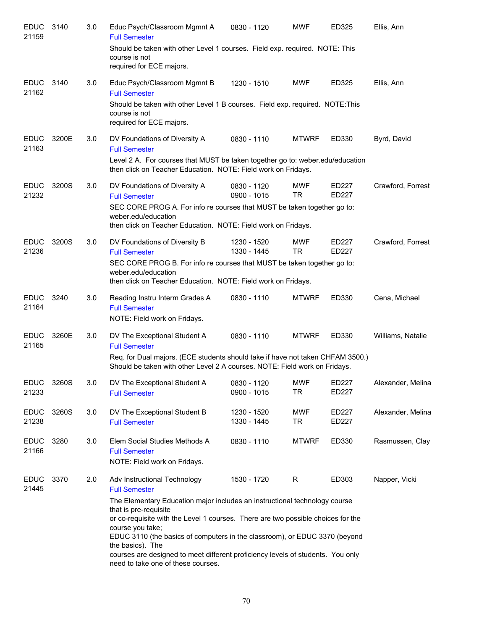| <b>EDUC</b><br>21159 | 3140  | 3.0 | Educ Psych/Classroom Mgmnt A<br><b>Full Semester</b>                                                                                                                                                                                                                                                                                                                                                                                   | 0830 - 1120                  | <b>MWF</b>              | ED325          | Ellis, Ann        |
|----------------------|-------|-----|----------------------------------------------------------------------------------------------------------------------------------------------------------------------------------------------------------------------------------------------------------------------------------------------------------------------------------------------------------------------------------------------------------------------------------------|------------------------------|-------------------------|----------------|-------------------|
|                      |       |     | Should be taken with other Level 1 courses. Field exp. required. NOTE: This<br>course is not<br>required for ECE majors.                                                                                                                                                                                                                                                                                                               |                              |                         |                |                   |
| <b>EDUC</b><br>21162 | 3140  | 3.0 | Educ Psych/Classroom Mgmnt B<br><b>Full Semester</b>                                                                                                                                                                                                                                                                                                                                                                                   | 1230 - 1510                  | <b>MWF</b>              | ED325          | Ellis, Ann        |
|                      |       |     | Should be taken with other Level 1 B courses. Field exp. required. NOTE: This<br>course is not<br>required for ECE majors.                                                                                                                                                                                                                                                                                                             |                              |                         |                |                   |
| <b>EDUC</b><br>21163 | 3200E | 3.0 | DV Foundations of Diversity A<br><b>Full Semester</b><br>Level 2 A. For courses that MUST be taken together go to: weber.edu/education                                                                                                                                                                                                                                                                                                 | 0830 - 1110                  | <b>MTWRF</b>            | ED330          | Byrd, David       |
|                      |       |     | then click on Teacher Education. NOTE: Field work on Fridays.                                                                                                                                                                                                                                                                                                                                                                          |                              |                         |                |                   |
| <b>EDUC</b><br>21232 | 3200S | 3.0 | DV Foundations of Diversity A<br><b>Full Semester</b>                                                                                                                                                                                                                                                                                                                                                                                  | 0830 - 1120<br>$0900 - 1015$ | MWF<br><b>TR</b>        | ED227<br>ED227 | Crawford, Forrest |
|                      |       |     | SEC CORE PROG A. For info re courses that MUST be taken together go to:<br>weber.edu/education<br>then click on Teacher Education. NOTE: Field work on Fridays.                                                                                                                                                                                                                                                                        |                              |                         |                |                   |
| <b>EDUC</b><br>21236 | 3200S | 3.0 | DV Foundations of Diversity B<br><b>Full Semester</b>                                                                                                                                                                                                                                                                                                                                                                                  | 1230 - 1520<br>1330 - 1445   | <b>MWF</b><br><b>TR</b> | ED227<br>ED227 | Crawford, Forrest |
|                      |       |     | SEC CORE PROG B. For info re courses that MUST be taken together go to:<br>weber.edu/education<br>then click on Teacher Education. NOTE: Field work on Fridays.                                                                                                                                                                                                                                                                        |                              |                         |                |                   |
| <b>EDUC</b><br>21164 | 3240  | 3.0 | Reading Instru Interm Grades A<br><b>Full Semester</b><br>NOTE: Field work on Fridays.                                                                                                                                                                                                                                                                                                                                                 | 0830 - 1110                  | <b>MTWRF</b>            | ED330          | Cena, Michael     |
| <b>EDUC</b><br>21165 | 3260E | 3.0 | DV The Exceptional Student A<br><b>Full Semester</b>                                                                                                                                                                                                                                                                                                                                                                                   | 0830 - 1110                  | <b>MTWRF</b>            | ED330          | Williams, Natalie |
|                      |       |     | Req. for Dual majors. (ECE students should take if have not taken CHFAM 3500.)<br>Should be taken with other Level 2 A courses. NOTE: Field work on Fridays.                                                                                                                                                                                                                                                                           |                              |                         |                |                   |
| <b>EDUC</b><br>21233 | 3260S | 3.0 | DV The Exceptional Student A<br><b>Full Semester</b>                                                                                                                                                                                                                                                                                                                                                                                   | 0830 - 1120<br>0900 - 1015   | <b>MWF</b><br><b>TR</b> | ED227<br>ED227 | Alexander, Melina |
| <b>EDUC</b><br>21238 | 3260S | 3.0 | DV The Exceptional Student B<br><b>Full Semester</b>                                                                                                                                                                                                                                                                                                                                                                                   | 1230 - 1520<br>1330 - 1445   | <b>MWF</b><br>TR        | ED227<br>ED227 | Alexander, Melina |
| <b>EDUC</b><br>21166 | 3280  | 3.0 | Elem Social Studies Methods A<br><b>Full Semester</b><br>NOTE: Field work on Fridays.                                                                                                                                                                                                                                                                                                                                                  | 0830 - 1110                  | <b>MTWRF</b>            | ED330          | Rasmussen, Clay   |
| <b>EDUC</b><br>21445 | 3370  | 2.0 | Adv Instructional Technology<br><b>Full Semester</b>                                                                                                                                                                                                                                                                                                                                                                                   | 1530 - 1720                  | R                       | ED303          | Napper, Vicki     |
|                      |       |     | The Elementary Education major includes an instructional technology course<br>that is pre-requisite<br>or co-requisite with the Level 1 courses. There are two possible choices for the<br>course you take;<br>EDUC 3110 (the basics of computers in the classroom), or EDUC 3370 (beyond<br>the basics). The<br>courses are designed to meet different proficiency levels of students. You only<br>need to take one of these courses. |                              |                         |                |                   |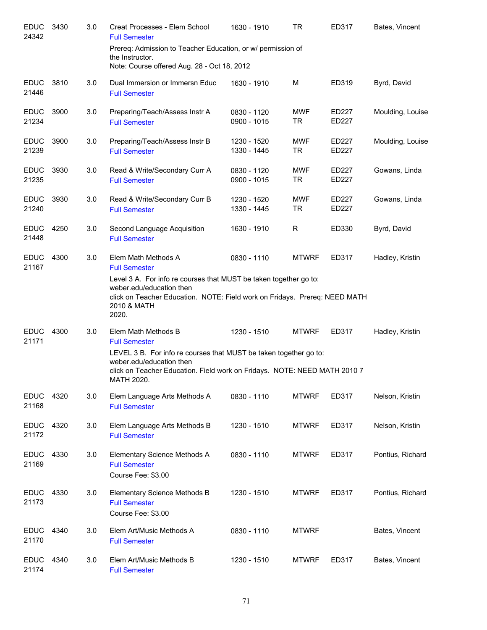| <b>EDUC</b><br>24342 | 3430 | 3.0 | Creat Processes - Elem School<br><b>Full Semester</b>                                                                                                                                                                                              | 1630 - 1910                | <b>TR</b>               | ED317                 | Bates, Vincent   |
|----------------------|------|-----|----------------------------------------------------------------------------------------------------------------------------------------------------------------------------------------------------------------------------------------------------|----------------------------|-------------------------|-----------------------|------------------|
|                      |      |     | Prereq: Admission to Teacher Education, or w/ permission of<br>the Instructor.<br>Note: Course offered Aug. 28 - Oct 18, 2012                                                                                                                      |                            |                         |                       |                  |
| <b>EDUC</b><br>21446 | 3810 | 3.0 | Dual Immersion or Immersn Educ<br><b>Full Semester</b>                                                                                                                                                                                             | 1630 - 1910                | M                       | ED319                 | Byrd, David      |
| <b>EDUC</b><br>21234 | 3900 | 3.0 | Preparing/Teach/Assess Instr A<br><b>Full Semester</b>                                                                                                                                                                                             | 0830 - 1120<br>0900 - 1015 | <b>MWF</b><br><b>TR</b> | ED227<br><b>ED227</b> | Moulding, Louise |
| <b>EDUC</b><br>21239 | 3900 | 3.0 | Preparing/Teach/Assess Instr B<br><b>Full Semester</b>                                                                                                                                                                                             | 1230 - 1520<br>1330 - 1445 | <b>MWF</b><br><b>TR</b> | ED227<br>ED227        | Moulding, Louise |
| <b>EDUC</b><br>21235 | 3930 | 3.0 | Read & Write/Secondary Curr A<br><b>Full Semester</b>                                                                                                                                                                                              | 0830 - 1120<br>0900 - 1015 | <b>MWF</b><br><b>TR</b> | ED227<br>ED227        | Gowans, Linda    |
| <b>EDUC</b><br>21240 | 3930 | 3.0 | Read & Write/Secondary Curr B<br><b>Full Semester</b>                                                                                                                                                                                              | 1230 - 1520<br>1330 - 1445 | <b>MWF</b><br><b>TR</b> | ED227<br>ED227        | Gowans, Linda    |
| <b>EDUC</b><br>21448 | 4250 | 3.0 | Second Language Acquisition<br><b>Full Semester</b>                                                                                                                                                                                                | 1630 - 1910                | R                       | ED330                 | Byrd, David      |
| <b>EDUC</b><br>21167 | 4300 | 3.0 | Elem Math Methods A<br><b>Full Semester</b><br>Level 3 A. For info re courses that MUST be taken together go to:<br>weber.edu/education then<br>click on Teacher Education. NOTE: Field work on Fridays. Prereq: NEED MATH<br>2010 & MATH<br>2020. | 0830 - 1110                | <b>MTWRF</b>            | ED317                 | Hadley, Kristin  |
| <b>EDUC</b><br>21171 | 4300 | 3.0 | Elem Math Methods B<br><b>Full Semester</b><br>LEVEL 3 B. For info re courses that MUST be taken together go to:<br>weber.edu/education then<br>click on Teacher Education. Field work on Fridays. NOTE: NEED MATH 2010 7<br>MATH 2020.            | 1230 - 1510                | <b>MTWRF</b>            | ED317                 | Hadley, Kristin  |
| <b>EDUC</b><br>21168 | 4320 | 3.0 | Elem Language Arts Methods A<br><b>Full Semester</b>                                                                                                                                                                                               | 0830 - 1110                | <b>MTWRF</b>            | ED317                 | Nelson, Kristin  |
| <b>EDUC</b><br>21172 | 4320 | 3.0 | Elem Language Arts Methods B<br><b>Full Semester</b>                                                                                                                                                                                               | 1230 - 1510                | <b>MTWRF</b>            | ED317                 | Nelson, Kristin  |
| <b>EDUC</b><br>21169 | 4330 | 3.0 | Elementary Science Methods A<br><b>Full Semester</b><br>Course Fee: \$3.00                                                                                                                                                                         | 0830 - 1110                | <b>MTWRF</b>            | ED317                 | Pontius, Richard |
| <b>EDUC</b><br>21173 | 4330 | 3.0 | Elementary Science Methods B<br><b>Full Semester</b><br>Course Fee: \$3.00                                                                                                                                                                         | 1230 - 1510                | <b>MTWRF</b>            | ED317                 | Pontius, Richard |
| <b>EDUC</b><br>21170 | 4340 | 3.0 | Elem Art/Music Methods A<br><b>Full Semester</b>                                                                                                                                                                                                   | 0830 - 1110                | <b>MTWRF</b>            |                       | Bates, Vincent   |
| <b>EDUC</b><br>21174 | 4340 | 3.0 | Elem Art/Music Methods B<br><b>Full Semester</b>                                                                                                                                                                                                   | 1230 - 1510                | <b>MTWRF</b>            | ED317                 | Bates, Vincent   |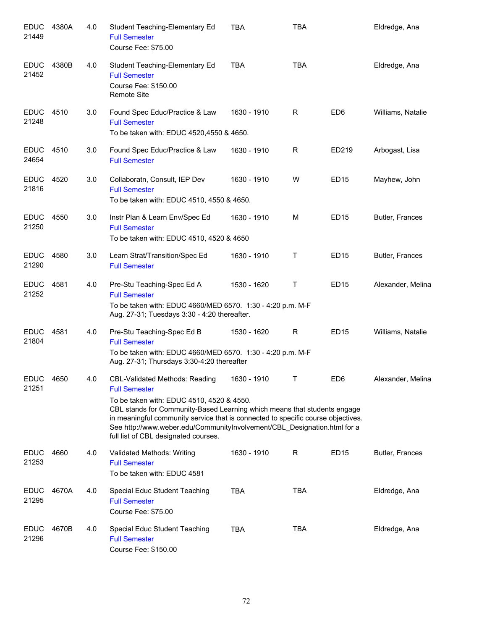| <b>EDUC</b><br>21449 | 4380A | 4.0 | Student Teaching-Elementary Ed<br><b>Full Semester</b><br>Course Fee: \$75.00                                                                                                                                                                                                                                                                                                           | <b>TBA</b>  | <b>TBA</b>   |                 | Eldredge, Ana     |
|----------------------|-------|-----|-----------------------------------------------------------------------------------------------------------------------------------------------------------------------------------------------------------------------------------------------------------------------------------------------------------------------------------------------------------------------------------------|-------------|--------------|-----------------|-------------------|
| <b>EDUC</b><br>21452 | 4380B | 4.0 | Student Teaching-Elementary Ed<br><b>Full Semester</b><br>Course Fee: \$150.00<br><b>Remote Site</b>                                                                                                                                                                                                                                                                                    | TBA         | <b>TBA</b>   |                 | Eldredge, Ana     |
| <b>EDUC</b><br>21248 | 4510  | 3.0 | Found Spec Educ/Practice & Law<br><b>Full Semester</b><br>To be taken with: EDUC 4520,4550 & 4650.                                                                                                                                                                                                                                                                                      | 1630 - 1910 | R            | ED <sub>6</sub> | Williams, Natalie |
| <b>EDUC</b><br>24654 | 4510  | 3.0 | Found Spec Educ/Practice & Law<br><b>Full Semester</b>                                                                                                                                                                                                                                                                                                                                  | 1630 - 1910 | R            | ED219           | Arbogast, Lisa    |
| <b>EDUC</b><br>21816 | 4520  | 3.0 | Collaboratn, Consult, IEP Dev<br><b>Full Semester</b><br>To be taken with: EDUC 4510, 4550 & 4650.                                                                                                                                                                                                                                                                                      | 1630 - 1910 | W            | <b>ED15</b>     | Mayhew, John      |
| <b>EDUC</b><br>21250 | 4550  | 3.0 | Instr Plan & Learn Env/Spec Ed<br><b>Full Semester</b><br>To be taken with: EDUC 4510, 4520 & 4650                                                                                                                                                                                                                                                                                      | 1630 - 1910 | M            | <b>ED15</b>     | Butler, Frances   |
| <b>EDUC</b><br>21290 | 4580  | 3.0 | Learn Strat/Transition/Spec Ed<br><b>Full Semester</b>                                                                                                                                                                                                                                                                                                                                  | 1630 - 1910 | Τ            | <b>ED15</b>     | Butler, Frances   |
| <b>EDUC</b><br>21252 | 4581  | 4.0 | Pre-Stu Teaching-Spec Ed A<br><b>Full Semester</b><br>To be taken with: EDUC 4660/MED 6570. 1:30 - 4:20 p.m. M-F<br>Aug. 27-31; Tuesdays 3:30 - 4:20 thereafter.                                                                                                                                                                                                                        | 1530 - 1620 | Τ            | <b>ED15</b>     | Alexander, Melina |
| <b>EDUC</b><br>21804 | 4581  | 4.0 | Pre-Stu Teaching-Spec Ed B<br><b>Full Semester</b><br>To be taken with: EDUC 4660/MED 6570. 1:30 - 4:20 p.m. M-F<br>Aug. 27-31; Thursdays 3:30-4:20 thereafter                                                                                                                                                                                                                          | 1530 - 1620 | $\mathsf{R}$ | <b>ED15</b>     | Williams, Natalie |
| <b>EDUC</b><br>21251 | 4650  | 4.0 | CBL-Validated Methods: Reading<br><b>Full Semester</b><br>To be taken with: EDUC 4510, 4520 & 4550.<br>CBL stands for Community-Based Learning which means that students engage<br>in meaningful community service that is connected to specific course objectives.<br>See http://www.weber.edu/CommunityInvolvement/CBL_Designation.html for a<br>full list of CBL designated courses. | 1630 - 1910 | T.           | ED <sub>6</sub> | Alexander, Melina |
| <b>EDUC</b><br>21253 | 4660  | 4.0 | Validated Methods: Writing<br><b>Full Semester</b><br>To be taken with: EDUC 4581                                                                                                                                                                                                                                                                                                       | 1630 - 1910 | R            | <b>ED15</b>     | Butler, Frances   |
| <b>EDUC</b><br>21295 | 4670A | 4.0 | Special Educ Student Teaching<br><b>Full Semester</b><br>Course Fee: \$75.00                                                                                                                                                                                                                                                                                                            | <b>TBA</b>  | <b>TBA</b>   |                 | Eldredge, Ana     |
| <b>EDUC</b><br>21296 | 4670B | 4.0 | Special Educ Student Teaching<br><b>Full Semester</b><br>Course Fee: \$150.00                                                                                                                                                                                                                                                                                                           | <b>TBA</b>  | <b>TBA</b>   |                 | Eldredge, Ana     |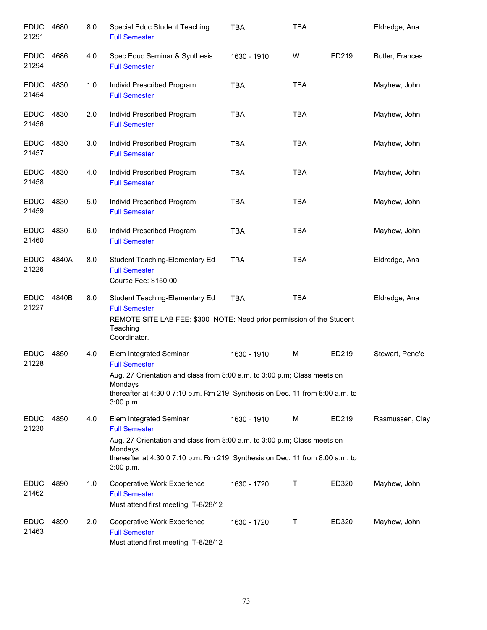| <b>EDUC</b><br>21291 | 4680  | 8.0 | Special Educ Student Teaching<br><b>Full Semester</b>                                                                                                                                                                                | <b>TBA</b>  | <b>TBA</b> |       | Eldredge, Ana   |
|----------------------|-------|-----|--------------------------------------------------------------------------------------------------------------------------------------------------------------------------------------------------------------------------------------|-------------|------------|-------|-----------------|
| <b>EDUC</b><br>21294 | 4686  | 4.0 | Spec Educ Seminar & Synthesis<br><b>Full Semester</b>                                                                                                                                                                                | 1630 - 1910 | W          | ED219 | Butler, Frances |
| <b>EDUC</b><br>21454 | 4830  | 1.0 | Individ Prescribed Program<br><b>Full Semester</b>                                                                                                                                                                                   | <b>TBA</b>  | <b>TBA</b> |       | Mayhew, John    |
| <b>EDUC</b><br>21456 | 4830  | 2.0 | Individ Prescribed Program<br><b>Full Semester</b>                                                                                                                                                                                   | <b>TBA</b>  | <b>TBA</b> |       | Mayhew, John    |
| <b>EDUC</b><br>21457 | 4830  | 3.0 | Individ Prescribed Program<br><b>Full Semester</b>                                                                                                                                                                                   | <b>TBA</b>  | <b>TBA</b> |       | Mayhew, John    |
| <b>EDUC</b><br>21458 | 4830  | 4.0 | Individ Prescribed Program<br><b>Full Semester</b>                                                                                                                                                                                   | <b>TBA</b>  | <b>TBA</b> |       | Mayhew, John    |
| <b>EDUC</b><br>21459 | 4830  | 5.0 | Individ Prescribed Program<br><b>Full Semester</b>                                                                                                                                                                                   | <b>TBA</b>  | <b>TBA</b> |       | Mayhew, John    |
| <b>EDUC</b><br>21460 | 4830  | 6.0 | Individ Prescribed Program<br><b>Full Semester</b>                                                                                                                                                                                   | <b>TBA</b>  | <b>TBA</b> |       | Mayhew, John    |
| <b>EDUC</b><br>21226 | 4840A | 8.0 | Student Teaching-Elementary Ed<br><b>Full Semester</b><br>Course Fee: \$150.00                                                                                                                                                       | <b>TBA</b>  | <b>TBA</b> |       | Eldredge, Ana   |
| <b>EDUC</b><br>21227 | 4840B | 8.0 | Student Teaching-Elementary Ed<br><b>Full Semester</b><br>REMOTE SITE LAB FEE: \$300 NOTE: Need prior permission of the Student<br>Teaching<br>Coordinator.                                                                          | <b>TBA</b>  | <b>TBA</b> |       | Eldredge, Ana   |
| <b>EDUC</b><br>21228 | 4850  | 4.0 | Elem Integrated Seminar<br><b>Full Semester</b><br>Aug. 27 Orientation and class from 8:00 a.m. to 3:00 p.m; Class meets on<br>Mondays<br>thereafter at 4:30 0 7:10 p.m. Rm 219; Synthesis on Dec. 11 from 8:00 a.m. to<br>3:00 p.m. | 1630 - 1910 | M          | ED219 | Stewart, Pene'e |
| <b>EDUC</b><br>21230 | 4850  | 4.0 | Elem Integrated Seminar<br><b>Full Semester</b><br>Aug. 27 Orientation and class from 8:00 a.m. to 3:00 p.m; Class meets on<br>Mondays<br>thereafter at 4:30 0 7:10 p.m. Rm 219; Synthesis on Dec. 11 from 8:00 a.m. to<br>3:00 p.m. | 1630 - 1910 | M          | ED219 | Rasmussen, Clay |
| <b>EDUC</b><br>21462 | 4890  | 1.0 | Cooperative Work Experience<br><b>Full Semester</b><br>Must attend first meeting: T-8/28/12                                                                                                                                          | 1630 - 1720 | Τ          | ED320 | Mayhew, John    |
| <b>EDUC</b><br>21463 | 4890  | 2.0 | Cooperative Work Experience<br><b>Full Semester</b><br>Must attend first meeting: T-8/28/12                                                                                                                                          | 1630 - 1720 | Τ          | ED320 | Mayhew, John    |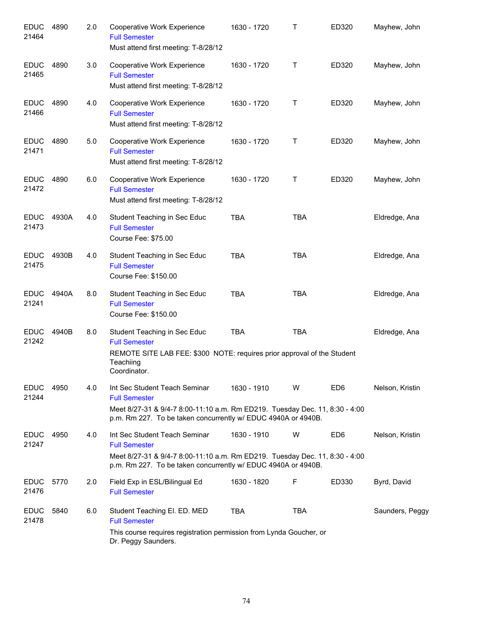| <b>EDUC</b><br>21464 | 4890  | 2.0 | Cooperative Work Experience<br><b>Full Semester</b><br>Must attend first meeting: T-8/28/12                                                                                                           | 1630 - 1720 | Τ          | ED320           | Mayhew, John    |
|----------------------|-------|-----|-------------------------------------------------------------------------------------------------------------------------------------------------------------------------------------------------------|-------------|------------|-----------------|-----------------|
| <b>EDUC</b><br>21465 | 4890  | 3.0 | Cooperative Work Experience<br><b>Full Semester</b><br>Must attend first meeting: T-8/28/12                                                                                                           | 1630 - 1720 | Т          | ED320           | Mayhew, John    |
| <b>EDUC</b><br>21466 | 4890  | 4.0 | Cooperative Work Experience<br><b>Full Semester</b><br>Must attend first meeting: T-8/28/12                                                                                                           | 1630 - 1720 | Т          | ED320           | Mayhew, John    |
| <b>EDUC</b><br>21471 | 4890  | 5.0 | Cooperative Work Experience<br><b>Full Semester</b><br>Must attend first meeting: T-8/28/12                                                                                                           | 1630 - 1720 | Т          | ED320           | Mayhew, John    |
| <b>EDUC</b><br>21472 | 4890  | 6.0 | Cooperative Work Experience<br><b>Full Semester</b><br>Must attend first meeting: T-8/28/12                                                                                                           | 1630 - 1720 | Т          | ED320           | Mayhew, John    |
| <b>EDUC</b><br>21473 | 4930A | 4.0 | Student Teaching in Sec Educ<br><b>Full Semester</b><br><b>Course Fee: \$75.00</b>                                                                                                                    | <b>TBA</b>  | <b>TBA</b> |                 | Eldredge, Ana   |
| <b>EDUC</b><br>21475 | 4930B | 4.0 | Student Teaching in Sec Educ<br><b>Full Semester</b><br>Course Fee: \$150.00                                                                                                                          | <b>TBA</b>  | <b>TBA</b> |                 | Eldredge, Ana   |
| <b>EDUC</b><br>21241 | 4940A | 8.0 | Student Teaching in Sec Educ<br><b>Full Semester</b><br>Course Fee: \$150.00                                                                                                                          | <b>TBA</b>  | <b>TBA</b> |                 | Eldredge, Ana   |
| <b>EDUC</b><br>21242 | 4940B | 8.0 | Student Teaching in Sec Educ<br><b>Full Semester</b><br>REMOTE SITE LAB FEE: \$300 NOTE: requires prior approval of the Student<br>Teachiing<br>Coordinator.                                          | <b>TBA</b>  | <b>TBA</b> |                 | Eldredge, Ana   |
| <b>EDUC</b><br>21244 | 4950  | 4.0 | Int Sec Student Teach Seminar<br><b>Full Semester</b><br>Meet 8/27-31 & 9/4-7 8:00-11:10 a.m. Rm ED219. Tuesday Dec. 11, 8:30 - 4:00<br>p.m. Rm 227. To be taken concurrently w/ EDUC 4940A or 4940B. | 1630 - 1910 | W          | ED <sub>6</sub> | Nelson, Kristin |
| <b>EDUC</b><br>21247 | 4950  | 4.0 | Int Sec Student Teach Seminar<br><b>Full Semester</b><br>Meet 8/27-31 & 9/4-7 8:00-11:10 a.m. Rm ED219. Tuesday Dec. 11, 8:30 - 4:00<br>p.m. Rm 227. To be taken concurrently w/ EDUC 4940A or 4940B. | 1630 - 1910 | W          | ED <sub>6</sub> | Nelson, Kristin |
| <b>EDUC</b><br>21476 | 5770  | 2.0 | Field Exp in ESL/Bilingual Ed<br><b>Full Semester</b>                                                                                                                                                 | 1630 - 1820 | F          | ED330           | Byrd, David     |
| <b>EDUC</b><br>21478 | 5840  | 6.0 | Student Teaching El. ED. MED<br><b>Full Semester</b><br>This course requires registration permission from Lynda Goucher, or<br>Dr. Peggy Saunders.                                                    | <b>TBA</b>  | TBA        |                 | Saunders, Peggy |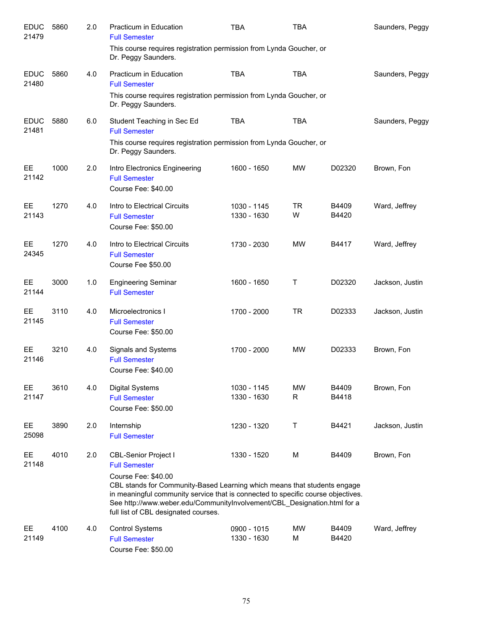| <b>EDUC</b><br>21479 | 5860 | 2.0 | Practicum in Education<br><b>Full Semester</b>                                                                                                                                                                                                                                                          | TBA                        | <b>TBA</b>     |                | Saunders, Peggy |
|----------------------|------|-----|---------------------------------------------------------------------------------------------------------------------------------------------------------------------------------------------------------------------------------------------------------------------------------------------------------|----------------------------|----------------|----------------|-----------------|
|                      |      |     | This course requires registration permission from Lynda Goucher, or<br>Dr. Peggy Saunders.                                                                                                                                                                                                              |                            |                |                |                 |
| <b>EDUC</b><br>21480 | 5860 | 4.0 | Practicum in Education<br><b>Full Semester</b>                                                                                                                                                                                                                                                          | <b>TBA</b>                 | <b>TBA</b>     |                | Saunders, Peggy |
|                      |      |     | This course requires registration permission from Lynda Goucher, or<br>Dr. Peggy Saunders.                                                                                                                                                                                                              |                            |                |                |                 |
| <b>EDUC</b><br>21481 | 5880 | 6.0 | Student Teaching in Sec Ed<br><b>Full Semester</b><br>This course requires registration permission from Lynda Goucher, or<br>Dr. Peggy Saunders.                                                                                                                                                        | <b>TBA</b>                 | <b>TBA</b>     |                | Saunders, Peggy |
| EE<br>21142          | 1000 | 2.0 | Intro Electronics Engineering<br><b>Full Semester</b><br>Course Fee: \$40.00                                                                                                                                                                                                                            | 1600 - 1650                | <b>MW</b>      | D02320         | Brown, Fon      |
| EE.<br>21143         | 1270 | 4.0 | Intro to Electrical Circuits<br><b>Full Semester</b><br>Course Fee: \$50.00                                                                                                                                                                                                                             | 1030 - 1145<br>1330 - 1630 | <b>TR</b><br>W | B4409<br>B4420 | Ward, Jeffrey   |
| EE<br>24345          | 1270 | 4.0 | Intro to Electrical Circuits<br><b>Full Semester</b><br>Course Fee \$50.00                                                                                                                                                                                                                              | 1730 - 2030                | <b>MW</b>      | B4417          | Ward, Jeffrey   |
| EE<br>21144          | 3000 | 1.0 | <b>Engineering Seminar</b><br><b>Full Semester</b>                                                                                                                                                                                                                                                      | 1600 - 1650                | Т              | D02320         | Jackson, Justin |
| EE<br>21145          | 3110 | 4.0 | Microelectronics I<br><b>Full Semester</b><br>Course Fee: \$50.00                                                                                                                                                                                                                                       | 1700 - 2000                | <b>TR</b>      | D02333         | Jackson, Justin |
| EE<br>21146          | 3210 | 4.0 | Signals and Systems<br><b>Full Semester</b><br>Course Fee: \$40.00                                                                                                                                                                                                                                      | 1700 - 2000                | <b>MW</b>      | D02333         | Brown, Fon      |
| EE<br>21147          | 3610 | 4.0 | <b>Digital Systems</b><br><b>Full Semester</b><br>Course Fee: \$50.00                                                                                                                                                                                                                                   | 1030 - 1145<br>1330 - 1630 | <b>MW</b><br>R | B4409<br>B4418 | Brown, Fon      |
| <b>EE</b><br>25098   | 3890 | 2.0 | Internship<br><b>Full Semester</b>                                                                                                                                                                                                                                                                      | 1230 - 1320                | Τ              | B4421          | Jackson, Justin |
| EE<br>21148          | 4010 | 2.0 | <b>CBL-Senior Project I</b><br><b>Full Semester</b>                                                                                                                                                                                                                                                     | 1330 - 1520                | M              | B4409          | Brown, Fon      |
|                      |      |     | Course Fee: \$40.00<br>CBL stands for Community-Based Learning which means that students engage<br>in meaningful community service that is connected to specific course objectives.<br>See http://www.weber.edu/CommunityInvolvement/CBL_Designation.html for a<br>full list of CBL designated courses. |                            |                |                |                 |
| <b>EE</b><br>21149   | 4100 | 4.0 | <b>Control Systems</b><br><b>Full Semester</b><br>Course Fee: \$50.00                                                                                                                                                                                                                                   | 0900 - 1015<br>1330 - 1630 | <b>MW</b><br>M | B4409<br>B4420 | Ward, Jeffrey   |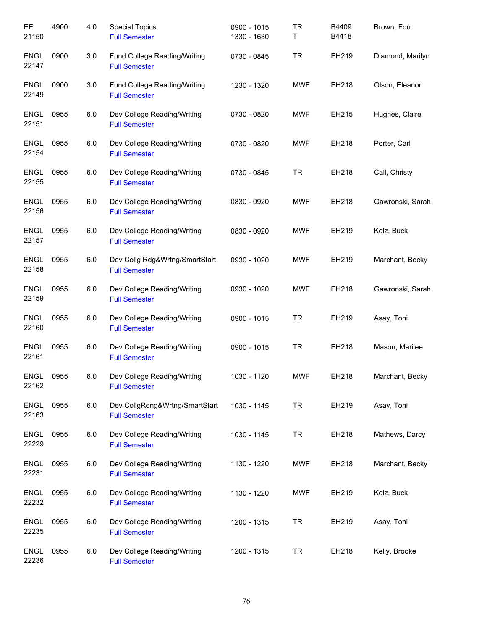| EE<br>21150          | 4900 | 4.0 | <b>Special Topics</b><br><b>Full Semester</b>          | 0900 - 1015<br>1330 - 1630 | <b>TR</b><br>Τ | B4409<br>B4418 | Brown, Fon       |
|----------------------|------|-----|--------------------------------------------------------|----------------------------|----------------|----------------|------------------|
| <b>ENGL</b><br>22147 | 0900 | 3.0 | Fund College Reading/Writing<br><b>Full Semester</b>   | 0730 - 0845                | <b>TR</b>      | EH219          | Diamond, Marilyn |
| <b>ENGL</b><br>22149 | 0900 | 3.0 | Fund College Reading/Writing<br><b>Full Semester</b>   | 1230 - 1320                | <b>MWF</b>     | EH218          | Olson, Eleanor   |
| <b>ENGL</b><br>22151 | 0955 | 6.0 | Dev College Reading/Writing<br><b>Full Semester</b>    | 0730 - 0820                | <b>MWF</b>     | EH215          | Hughes, Claire   |
| <b>ENGL</b><br>22154 | 0955 | 6.0 | Dev College Reading/Writing<br><b>Full Semester</b>    | 0730 - 0820                | <b>MWF</b>     | EH218          | Porter, Carl     |
| <b>ENGL</b><br>22155 | 0955 | 6.0 | Dev College Reading/Writing<br><b>Full Semester</b>    | 0730 - 0845                | <b>TR</b>      | EH218          | Call, Christy    |
| ENGL<br>22156        | 0955 | 6.0 | Dev College Reading/Writing<br><b>Full Semester</b>    | 0830 - 0920                | <b>MWF</b>     | EH218          | Gawronski, Sarah |
| ENGL<br>22157        | 0955 | 6.0 | Dev College Reading/Writing<br><b>Full Semester</b>    | 0830 - 0920                | <b>MWF</b>     | EH219          | Kolz, Buck       |
| <b>ENGL</b><br>22158 | 0955 | 6.0 | Dev Collg Rdg&Wrtng/SmartStart<br><b>Full Semester</b> | 0930 - 1020                | <b>MWF</b>     | EH219          | Marchant, Becky  |
| <b>ENGL</b><br>22159 | 0955 | 6.0 | Dev College Reading/Writing<br><b>Full Semester</b>    | 0930 - 1020                | <b>MWF</b>     | EH218          | Gawronski, Sarah |
| <b>ENGL</b><br>22160 | 0955 | 6.0 | Dev College Reading/Writing<br><b>Full Semester</b>    | 0900 - 1015                | <b>TR</b>      | EH219          | Asay, Toni       |
| <b>ENGL</b><br>22161 | 0955 | 6.0 | Dev College Reading/Writing<br><b>Full Semester</b>    | 0900 - 1015                | <b>TR</b>      | EH218          | Mason, Marilee   |
| <b>ENGL</b><br>22162 | 0955 | 6.0 | Dev College Reading/Writing<br><b>Full Semester</b>    | 1030 - 1120                | <b>MWF</b>     | EH218          | Marchant, Becky  |
| <b>ENGL</b><br>22163 | 0955 | 6.0 | Dev CollgRdng&Wrtng/SmartStart<br><b>Full Semester</b> | 1030 - 1145                | <b>TR</b>      | EH219          | Asay, Toni       |
| <b>ENGL</b><br>22229 | 0955 | 6.0 | Dev College Reading/Writing<br><b>Full Semester</b>    | 1030 - 1145                | <b>TR</b>      | EH218          | Mathews, Darcy   |
| <b>ENGL</b><br>22231 | 0955 | 6.0 | Dev College Reading/Writing<br><b>Full Semester</b>    | 1130 - 1220                | MWF            | EH218          | Marchant, Becky  |
| <b>ENGL</b><br>22232 | 0955 | 6.0 | Dev College Reading/Writing<br><b>Full Semester</b>    | 1130 - 1220                | MWF            | EH219          | Kolz, Buck       |
| <b>ENGL</b><br>22235 | 0955 | 6.0 | Dev College Reading/Writing<br><b>Full Semester</b>    | 1200 - 1315                | <b>TR</b>      | EH219          | Asay, Toni       |
| ENGL<br>22236        | 0955 | 6.0 | Dev College Reading/Writing<br><b>Full Semester</b>    | 1200 - 1315                | <b>TR</b>      | EH218          | Kelly, Brooke    |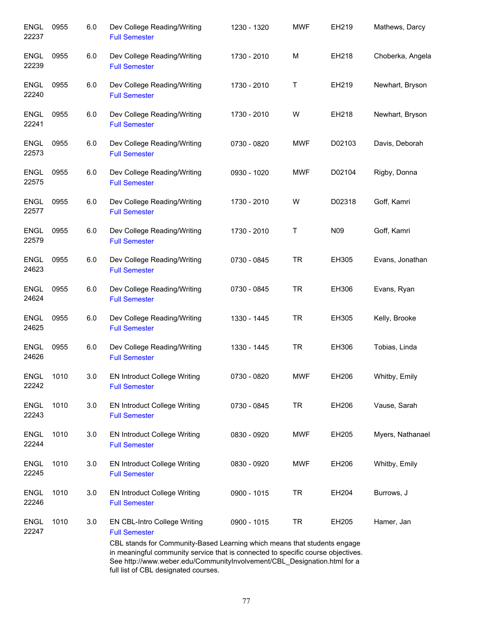| 0955 | 6.0 | Dev College Reading/Writing<br><b>Full Semester</b>         | 1230 - 1320 | <b>MWF</b> | EH219  | Mathews, Darcy                                                                                                                                                                                                                           |
|------|-----|-------------------------------------------------------------|-------------|------------|--------|------------------------------------------------------------------------------------------------------------------------------------------------------------------------------------------------------------------------------------------|
| 0955 | 6.0 | Dev College Reading/Writing<br><b>Full Semester</b>         | 1730 - 2010 | M          | EH218  | Choberka, Angela                                                                                                                                                                                                                         |
| 0955 | 6.0 | Dev College Reading/Writing<br><b>Full Semester</b>         | 1730 - 2010 | T          | EH219  | Newhart, Bryson                                                                                                                                                                                                                          |
| 0955 | 6.0 | Dev College Reading/Writing<br><b>Full Semester</b>         | 1730 - 2010 | W          | EH218  | Newhart, Bryson                                                                                                                                                                                                                          |
| 0955 | 6.0 | Dev College Reading/Writing<br><b>Full Semester</b>         | 0730 - 0820 | <b>MWF</b> | D02103 | Davis, Deborah                                                                                                                                                                                                                           |
| 0955 | 6.0 | Dev College Reading/Writing<br><b>Full Semester</b>         | 0930 - 1020 | <b>MWF</b> | D02104 | Rigby, Donna                                                                                                                                                                                                                             |
| 0955 | 6.0 | Dev College Reading/Writing<br><b>Full Semester</b>         | 1730 - 2010 | W          | D02318 | Goff, Kamri                                                                                                                                                                                                                              |
| 0955 | 6.0 | Dev College Reading/Writing<br><b>Full Semester</b>         | 1730 - 2010 | Τ          | N09    | Goff, Kamri                                                                                                                                                                                                                              |
| 0955 | 6.0 | Dev College Reading/Writing<br><b>Full Semester</b>         | 0730 - 0845 | <b>TR</b>  | EH305  | Evans, Jonathan                                                                                                                                                                                                                          |
| 0955 | 6.0 | Dev College Reading/Writing<br><b>Full Semester</b>         | 0730 - 0845 | <b>TR</b>  | EH306  | Evans, Ryan                                                                                                                                                                                                                              |
| 0955 | 6.0 | Dev College Reading/Writing<br><b>Full Semester</b>         | 1330 - 1445 | <b>TR</b>  | EH305  | Kelly, Brooke                                                                                                                                                                                                                            |
| 0955 | 6.0 | Dev College Reading/Writing<br><b>Full Semester</b>         | 1330 - 1445 | <b>TR</b>  | EH306  | Tobias, Linda                                                                                                                                                                                                                            |
| 1010 | 3.0 | EN Introduct College Writing<br><b>Full Semester</b>        | 0730 - 0820 | <b>MWF</b> | EH206  | Whitby, Emily                                                                                                                                                                                                                            |
| 1010 | 3.0 | <b>EN Introduct College Writing</b><br><b>Full Semester</b> | 0730 - 0845 | <b>TR</b>  | EH206  | Vause, Sarah                                                                                                                                                                                                                             |
| 1010 | 3.0 | <b>EN Introduct College Writing</b><br><b>Full Semester</b> | 0830 - 0920 | <b>MWF</b> | EH205  | Myers, Nathanael                                                                                                                                                                                                                         |
| 1010 | 3.0 | EN Introduct College Writing<br><b>Full Semester</b>        | 0830 - 0920 | <b>MWF</b> | EH206  | Whitby, Emily                                                                                                                                                                                                                            |
| 1010 | 3.0 | <b>EN Introduct College Writing</b><br><b>Full Semester</b> | 0900 - 1015 | <b>TR</b>  | EH204  | Burrows, J                                                                                                                                                                                                                               |
| 1010 | 3.0 | EN CBL-Intro College Writing<br><b>Full Semester</b>        | 0900 - 1015 | <b>TR</b>  | EH205  | Hamer, Jan                                                                                                                                                                                                                               |
|      |     |                                                             |             |            |        | CBL stands for Community-Based Learning which means that students engage<br>in meaningful community service that is connected to specific course objectives.<br>See http://www.weber.edu/CommunityInvolvement/CBL_Designation.html for a |

full list of CBL designated courses.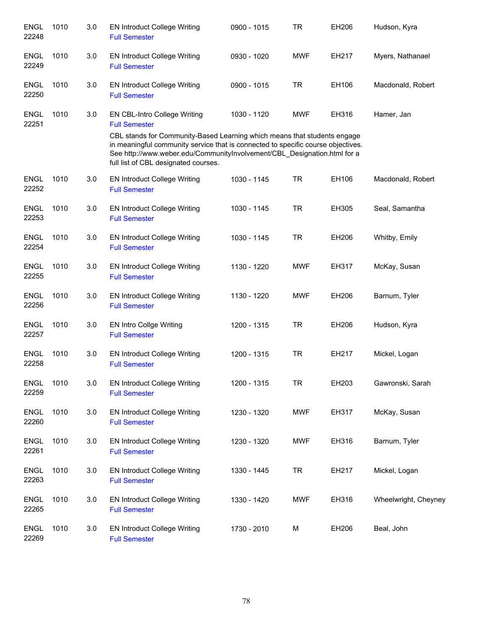| <b>ENGL</b><br>22248 | 1010 | 3.0 | <b>EN Introduct College Writing</b><br><b>Full Semester</b>                                                                                                                                                                                                                      | 0900 - 1015 | TR         | EH206 | Hudson, Kyra         |
|----------------------|------|-----|----------------------------------------------------------------------------------------------------------------------------------------------------------------------------------------------------------------------------------------------------------------------------------|-------------|------------|-------|----------------------|
| <b>ENGL</b><br>22249 | 1010 | 3.0 | <b>EN Introduct College Writing</b><br><b>Full Semester</b>                                                                                                                                                                                                                      | 0930 - 1020 | <b>MWF</b> | EH217 | Myers, Nathanael     |
| <b>ENGL</b><br>22250 | 1010 | 3.0 | EN Introduct College Writing<br><b>Full Semester</b>                                                                                                                                                                                                                             | 0900 - 1015 | <b>TR</b>  | EH106 | Macdonald, Robert    |
| <b>ENGL</b><br>22251 | 1010 | 3.0 | <b>EN CBL-Intro College Writing</b><br><b>Full Semester</b>                                                                                                                                                                                                                      | 1030 - 1120 | <b>MWF</b> | EH316 | Hamer, Jan           |
|                      |      |     | CBL stands for Community-Based Learning which means that students engage<br>in meaningful community service that is connected to specific course objectives.<br>See http://www.weber.edu/CommunityInvolvement/CBL_Designation.html for a<br>full list of CBL designated courses. |             |            |       |                      |
| <b>ENGL</b><br>22252 | 1010 | 3.0 | <b>EN Introduct College Writing</b><br><b>Full Semester</b>                                                                                                                                                                                                                      | 1030 - 1145 | <b>TR</b>  | EH106 | Macdonald, Robert    |
| <b>ENGL</b><br>22253 | 1010 | 3.0 | <b>EN Introduct College Writing</b><br><b>Full Semester</b>                                                                                                                                                                                                                      | 1030 - 1145 | <b>TR</b>  | EH305 | Seal, Samantha       |
| <b>ENGL</b><br>22254 | 1010 | 3.0 | <b>EN Introduct College Writing</b><br><b>Full Semester</b>                                                                                                                                                                                                                      | 1030 - 1145 | <b>TR</b>  | EH206 | Whitby, Emily        |
| <b>ENGL</b><br>22255 | 1010 | 3.0 | <b>EN Introduct College Writing</b><br><b>Full Semester</b>                                                                                                                                                                                                                      | 1130 - 1220 | <b>MWF</b> | EH317 | McKay, Susan         |
| <b>ENGL</b><br>22256 | 1010 | 3.0 | <b>EN Introduct College Writing</b><br><b>Full Semester</b>                                                                                                                                                                                                                      | 1130 - 1220 | <b>MWF</b> | EH206 | Barnum, Tyler        |
| <b>ENGL</b><br>22257 | 1010 | 3.0 | <b>EN Intro Collge Writing</b><br><b>Full Semester</b>                                                                                                                                                                                                                           | 1200 - 1315 | <b>TR</b>  | EH206 | Hudson, Kyra         |
| <b>ENGL</b><br>22258 | 1010 | 3.0 | <b>EN Introduct College Writing</b><br><b>Full Semester</b>                                                                                                                                                                                                                      | 1200 - 1315 | <b>TR</b>  | EH217 | Mickel, Logan        |
| ENGL<br>22259        | 1010 | 3.0 | <b>EN Introduct College Writing</b><br><b>Full Semester</b>                                                                                                                                                                                                                      | 1200 - 1315 | TR         | EH203 | Gawronski, Sarah     |
| <b>ENGL</b><br>22260 | 1010 | 3.0 | <b>EN Introduct College Writing</b><br><b>Full Semester</b>                                                                                                                                                                                                                      | 1230 - 1320 | <b>MWF</b> | EH317 | McKay, Susan         |
| ENGL<br>22261        | 1010 | 3.0 | <b>EN Introduct College Writing</b><br><b>Full Semester</b>                                                                                                                                                                                                                      | 1230 - 1320 | <b>MWF</b> | EH316 | Barnum, Tyler        |
| <b>ENGL</b><br>22263 | 1010 | 3.0 | <b>EN Introduct College Writing</b><br><b>Full Semester</b>                                                                                                                                                                                                                      | 1330 - 1445 | <b>TR</b>  | EH217 | Mickel, Logan        |
| <b>ENGL</b><br>22265 | 1010 | 3.0 | <b>EN Introduct College Writing</b><br><b>Full Semester</b>                                                                                                                                                                                                                      | 1330 - 1420 | <b>MWF</b> | EH316 | Wheelwright, Cheyney |
| <b>ENGL</b><br>22269 | 1010 | 3.0 | <b>EN Introduct College Writing</b><br><b>Full Semester</b>                                                                                                                                                                                                                      | 1730 - 2010 | M          | EH206 | Beal, John           |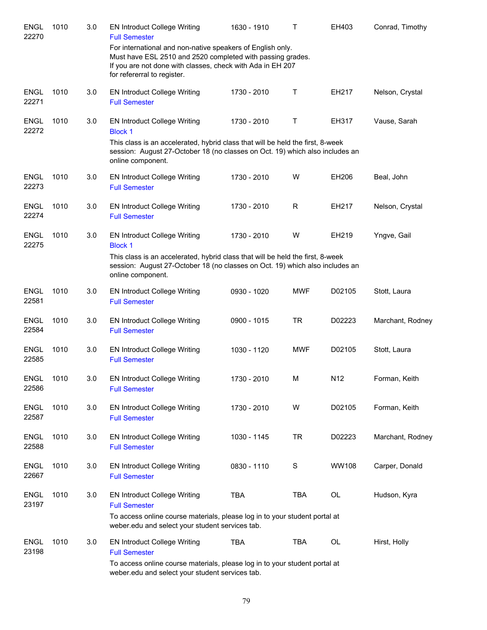| <b>ENGL</b><br>22270 | 1010 | 3.0 | <b>EN Introduct College Writing</b><br><b>Full Semester</b>                                                                                                                                                           | 1630 - 1910 | т           | EH403        | Conrad, Timothy  |
|----------------------|------|-----|-----------------------------------------------------------------------------------------------------------------------------------------------------------------------------------------------------------------------|-------------|-------------|--------------|------------------|
|                      |      |     | For international and non-native speakers of English only.<br>Must have ESL 2510 and 2520 completed with passing grades.<br>If you are not done with classes, check with Ada in EH 207<br>for refererral to register. |             |             |              |                  |
| <b>ENGL</b><br>22271 | 1010 | 3.0 | <b>EN Introduct College Writing</b><br><b>Full Semester</b>                                                                                                                                                           | 1730 - 2010 | Τ           | EH217        | Nelson, Crystal  |
| <b>ENGL</b><br>22272 | 1010 | 3.0 | <b>EN Introduct College Writing</b><br><b>Block 1</b>                                                                                                                                                                 | 1730 - 2010 | Τ           | EH317        | Vause, Sarah     |
|                      |      |     | This class is an accelerated, hybrid class that will be held the first, 8-week<br>session: August 27-October 18 (no classes on Oct. 19) which also includes an<br>online component.                                   |             |             |              |                  |
| <b>ENGL</b><br>22273 | 1010 | 3.0 | <b>EN Introduct College Writing</b><br><b>Full Semester</b>                                                                                                                                                           | 1730 - 2010 | W           | EH206        | Beal, John       |
| <b>ENGL</b><br>22274 | 1010 | 3.0 | <b>EN Introduct College Writing</b><br><b>Full Semester</b>                                                                                                                                                           | 1730 - 2010 | R           | EH217        | Nelson, Crystal  |
| <b>ENGL</b><br>22275 | 1010 | 3.0 | <b>EN Introduct College Writing</b><br><b>Block 1</b>                                                                                                                                                                 | 1730 - 2010 | W           | EH219        | Yngve, Gail      |
|                      |      |     | This class is an accelerated, hybrid class that will be held the first, 8-week<br>session: August 27-October 18 (no classes on Oct. 19) which also includes an<br>online component.                                   |             |             |              |                  |
| <b>ENGL</b><br>22581 | 1010 | 3.0 | <b>EN Introduct College Writing</b><br><b>Full Semester</b>                                                                                                                                                           | 0930 - 1020 | <b>MWF</b>  | D02105       | Stott, Laura     |
| <b>ENGL</b><br>22584 | 1010 | 3.0 | <b>EN Introduct College Writing</b><br><b>Full Semester</b>                                                                                                                                                           | 0900 - 1015 | <b>TR</b>   | D02223       | Marchant, Rodney |
| <b>ENGL</b><br>22585 | 1010 | 3.0 | <b>EN Introduct College Writing</b><br><b>Full Semester</b>                                                                                                                                                           | 1030 - 1120 | <b>MWF</b>  | D02105       | Stott, Laura     |
| ENGL<br>22586        | 1010 | 3.0 | <b>EN Introduct College Writing</b><br><b>Full Semester</b>                                                                                                                                                           | 1730 - 2010 | M           | N12          | Forman, Keith    |
| <b>ENGL</b><br>22587 | 1010 | 3.0 | <b>EN Introduct College Writing</b><br><b>Full Semester</b>                                                                                                                                                           | 1730 - 2010 | W           | D02105       | Forman, Keith    |
| <b>ENGL</b><br>22588 | 1010 | 3.0 | <b>EN Introduct College Writing</b><br><b>Full Semester</b>                                                                                                                                                           | 1030 - 1145 | <b>TR</b>   | D02223       | Marchant, Rodney |
| <b>ENGL</b><br>22667 | 1010 | 3.0 | <b>EN Introduct College Writing</b><br><b>Full Semester</b>                                                                                                                                                           | 0830 - 1110 | $\mathbf S$ | <b>WW108</b> | Carper, Donald   |
| <b>ENGL</b><br>23197 | 1010 | 3.0 | <b>EN Introduct College Writing</b><br><b>Full Semester</b><br>To access online course materials, please log in to your student portal at                                                                             | <b>TBA</b>  | <b>TBA</b>  | OL           | Hudson, Kyra     |
|                      |      |     | weber.edu and select your student services tab.                                                                                                                                                                       |             |             |              |                  |
| <b>ENGL</b><br>23198 | 1010 | 3.0 | <b>EN Introduct College Writing</b><br><b>Full Semester</b>                                                                                                                                                           | <b>TBA</b>  | <b>TBA</b>  | OL           | Hirst, Holly     |
|                      |      |     | To access online course materials, please log in to your student portal at<br>weber.edu and select your student services tab.                                                                                         |             |             |              |                  |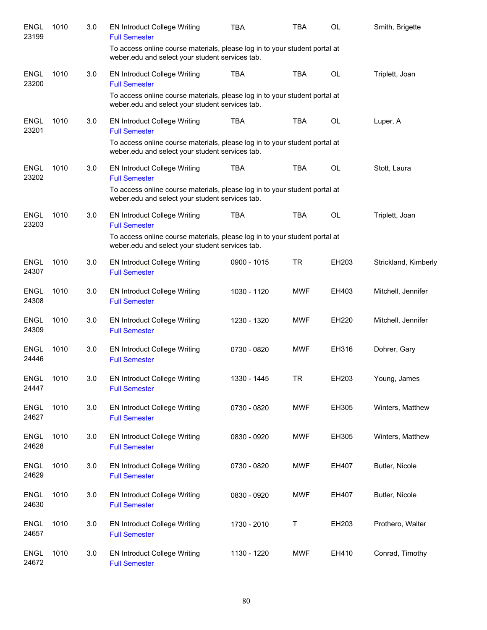| <b>ENGL</b><br>23199 | 1010 | 3.0 | <b>EN Introduct College Writing</b><br><b>Full Semester</b>                                                                   | TBA         | <b>TBA</b> | <b>OL</b> | Smith, Brigette      |
|----------------------|------|-----|-------------------------------------------------------------------------------------------------------------------------------|-------------|------------|-----------|----------------------|
|                      |      |     | To access online course materials, please log in to your student portal at<br>weber.edu and select your student services tab. |             |            |           |                      |
| <b>ENGL</b><br>23200 | 1010 | 3.0 | <b>EN Introduct College Writing</b><br><b>Full Semester</b>                                                                   | <b>TBA</b>  | <b>TBA</b> | <b>OL</b> | Triplett, Joan       |
|                      |      |     | To access online course materials, please log in to your student portal at<br>weber.edu and select your student services tab. |             |            |           |                      |
| <b>ENGL</b><br>23201 | 1010 | 3.0 | <b>EN Introduct College Writing</b><br><b>Full Semester</b>                                                                   | <b>TBA</b>  | <b>TBA</b> | <b>OL</b> | Luper, A             |
|                      |      |     | To access online course materials, please log in to your student portal at<br>weber.edu and select your student services tab. |             |            |           |                      |
| <b>ENGL</b><br>23202 | 1010 | 3.0 | <b>EN Introduct College Writing</b><br><b>Full Semester</b>                                                                   | <b>TBA</b>  | <b>TBA</b> | OL        | Stott, Laura         |
|                      |      |     | To access online course materials, please log in to your student portal at<br>weber.edu and select your student services tab. |             |            |           |                      |
| <b>ENGL</b><br>23203 | 1010 | 3.0 | <b>EN Introduct College Writing</b><br><b>Full Semester</b>                                                                   | <b>TBA</b>  | <b>TBA</b> | <b>OL</b> | Triplett, Joan       |
|                      |      |     | To access online course materials, please log in to your student portal at<br>weber.edu and select your student services tab. |             |            |           |                      |
| <b>ENGL</b><br>24307 | 1010 | 3.0 | <b>EN Introduct College Writing</b><br><b>Full Semester</b>                                                                   | 0900 - 1015 | <b>TR</b>  | EH203     | Strickland, Kimberly |
| <b>ENGL</b><br>24308 | 1010 | 3.0 | <b>EN Introduct College Writing</b><br><b>Full Semester</b>                                                                   | 1030 - 1120 | <b>MWF</b> | EH403     | Mitchell, Jennifer   |
| <b>ENGL</b><br>24309 | 1010 | 3.0 | <b>EN Introduct College Writing</b><br><b>Full Semester</b>                                                                   | 1230 - 1320 | <b>MWF</b> | EH220     | Mitchell, Jennifer   |
| <b>ENGL</b><br>24446 | 1010 | 3.0 | <b>EN Introduct College Writing</b><br><b>Full Semester</b>                                                                   | 0730 - 0820 | <b>MWF</b> | EH316     | Dohrer, Gary         |
| ENGL<br>24447        | 1010 | 3.0 | <b>EN Introduct College Writing</b><br><b>Full Semester</b>                                                                   | 1330 - 1445 | <b>TR</b>  | EH203     | Young, James         |
| <b>ENGL</b><br>24627 | 1010 | 3.0 | <b>EN Introduct College Writing</b><br><b>Full Semester</b>                                                                   | 0730 - 0820 | <b>MWF</b> | EH305     | Winters, Matthew     |
| <b>ENGL</b><br>24628 | 1010 | 3.0 | <b>EN Introduct College Writing</b><br><b>Full Semester</b>                                                                   | 0830 - 0920 | <b>MWF</b> | EH305     | Winters, Matthew     |
| <b>ENGL</b><br>24629 | 1010 | 3.0 | <b>EN Introduct College Writing</b><br><b>Full Semester</b>                                                                   | 0730 - 0820 | <b>MWF</b> | EH407     | Butler, Nicole       |
| <b>ENGL</b><br>24630 | 1010 | 3.0 | <b>EN Introduct College Writing</b><br><b>Full Semester</b>                                                                   | 0830 - 0920 | <b>MWF</b> | EH407     | Butler, Nicole       |
| <b>ENGL</b><br>24657 | 1010 | 3.0 | <b>EN Introduct College Writing</b><br><b>Full Semester</b>                                                                   | 1730 - 2010 | Τ          | EH203     | Prothero, Walter     |
| <b>ENGL</b><br>24672 | 1010 | 3.0 | EN Introduct College Writing<br><b>Full Semester</b>                                                                          | 1130 - 1220 | <b>MWF</b> | EH410     | Conrad, Timothy      |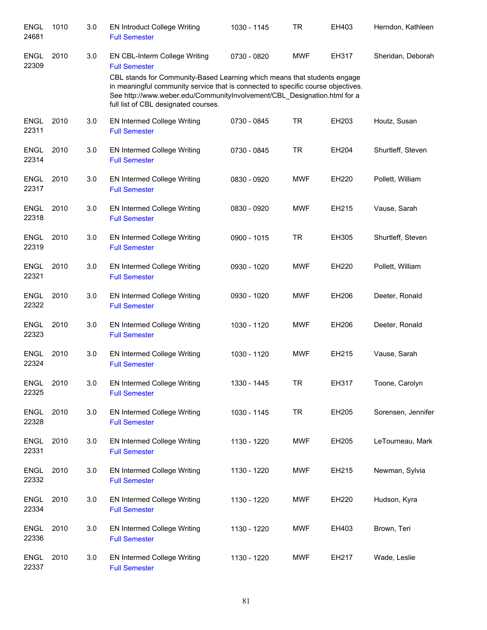| <b>ENGL</b><br>24681 | 1010 | 3.0 | <b>EN Introduct College Writing</b><br><b>Full Semester</b>                                                                                                                                                                                                                      | 1030 - 1145 | <b>TR</b>  | EH403 | Herndon, Kathleen  |
|----------------------|------|-----|----------------------------------------------------------------------------------------------------------------------------------------------------------------------------------------------------------------------------------------------------------------------------------|-------------|------------|-------|--------------------|
| <b>ENGL</b><br>22309 | 2010 | 3.0 | EN CBL-Interm College Writing<br><b>Full Semester</b>                                                                                                                                                                                                                            | 0730 - 0820 | <b>MWF</b> | EH317 | Sheridan, Deborah  |
|                      |      |     | CBL stands for Community-Based Learning which means that students engage<br>in meaningful community service that is connected to specific course objectives.<br>See http://www.weber.edu/CommunityInvolvement/CBL_Designation.html for a<br>full list of CBL designated courses. |             |            |       |                    |
| <b>ENGL</b><br>22311 | 2010 | 3.0 | <b>EN Intermed College Writing</b><br><b>Full Semester</b>                                                                                                                                                                                                                       | 0730 - 0845 | <b>TR</b>  | EH203 | Houtz, Susan       |
| <b>ENGL</b><br>22314 | 2010 | 3.0 | <b>EN Intermed College Writing</b><br><b>Full Semester</b>                                                                                                                                                                                                                       | 0730 - 0845 | <b>TR</b>  | EH204 | Shurtleff, Steven  |
| <b>ENGL</b><br>22317 | 2010 | 3.0 | <b>EN Intermed College Writing</b><br><b>Full Semester</b>                                                                                                                                                                                                                       | 0830 - 0920 | <b>MWF</b> | EH220 | Pollett, William   |
| <b>ENGL</b><br>22318 | 2010 | 3.0 | <b>EN Intermed College Writing</b><br><b>Full Semester</b>                                                                                                                                                                                                                       | 0830 - 0920 | <b>MWF</b> | EH215 | Vause, Sarah       |
| <b>ENGL</b><br>22319 | 2010 | 3.0 | <b>EN Intermed College Writing</b><br><b>Full Semester</b>                                                                                                                                                                                                                       | 0900 - 1015 | <b>TR</b>  | EH305 | Shurtleff, Steven  |
| <b>ENGL</b><br>22321 | 2010 | 3.0 | <b>EN Intermed College Writing</b><br><b>Full Semester</b>                                                                                                                                                                                                                       | 0930 - 1020 | <b>MWF</b> | EH220 | Pollett, William   |
| <b>ENGL</b><br>22322 | 2010 | 3.0 | EN Intermed College Writing<br><b>Full Semester</b>                                                                                                                                                                                                                              | 0930 - 1020 | <b>MWF</b> | EH206 | Deeter, Ronald     |
| <b>ENGL</b><br>22323 | 2010 | 3.0 | EN Intermed College Writing<br><b>Full Semester</b>                                                                                                                                                                                                                              | 1030 - 1120 | <b>MWF</b> | EH206 | Deeter, Ronald     |
| <b>ENGL</b><br>22324 | 2010 | 3.0 | <b>EN Intermed College Writing</b><br><b>Full Semester</b>                                                                                                                                                                                                                       | 1030 - 1120 | <b>MWF</b> | EH215 | Vause, Sarah       |
| <b>ENGL</b><br>22325 | 2010 | 3.0 | <b>EN Intermed College Writing</b><br><b>Full Semester</b>                                                                                                                                                                                                                       | 1330 - 1445 | TR         | EH317 | Toone, Carolyn     |
| <b>ENGL</b><br>22328 | 2010 | 3.0 | <b>EN Intermed College Writing</b><br><b>Full Semester</b>                                                                                                                                                                                                                       | 1030 - 1145 | <b>TR</b>  | EH205 | Sorensen, Jennifer |
| <b>ENGL</b><br>22331 | 2010 | 3.0 | <b>EN Intermed College Writing</b><br><b>Full Semester</b>                                                                                                                                                                                                                       | 1130 - 1220 | <b>MWF</b> | EH205 | LeTourneau, Mark   |
| <b>ENGL</b><br>22332 | 2010 | 3.0 | <b>EN Intermed College Writing</b><br><b>Full Semester</b>                                                                                                                                                                                                                       | 1130 - 1220 | <b>MWF</b> | EH215 | Newman, Sylvia     |
| <b>ENGL</b><br>22334 | 2010 | 3.0 | <b>EN Intermed College Writing</b><br><b>Full Semester</b>                                                                                                                                                                                                                       | 1130 - 1220 | <b>MWF</b> | EH220 | Hudson, Kyra       |
| <b>ENGL</b><br>22336 | 2010 | 3.0 | EN Intermed College Writing<br><b>Full Semester</b>                                                                                                                                                                                                                              | 1130 - 1220 | <b>MWF</b> | EH403 | Brown, Teri        |
| <b>ENGL</b><br>22337 | 2010 | 3.0 | EN Intermed College Writing<br><b>Full Semester</b>                                                                                                                                                                                                                              | 1130 - 1220 | MWF        | EH217 | Wade, Leslie       |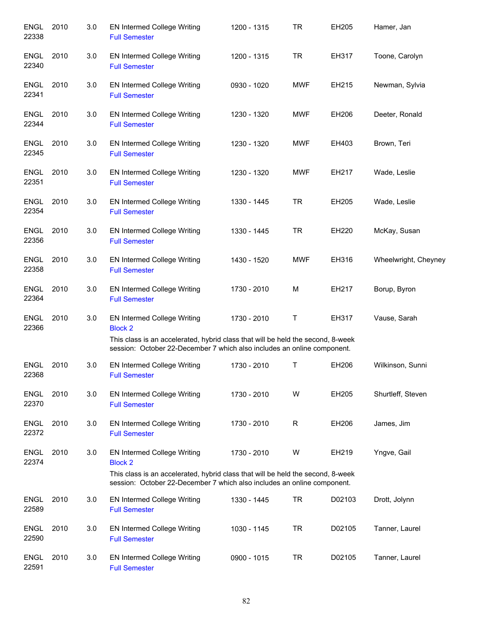| <b>ENGL</b><br>22338 | 2010 | 3.0 | <b>EN Intermed College Writing</b><br><b>Full Semester</b>                                                                                                                                                  | 1200 - 1315 | <b>TR</b>  | EH205  | Hamer, Jan           |
|----------------------|------|-----|-------------------------------------------------------------------------------------------------------------------------------------------------------------------------------------------------------------|-------------|------------|--------|----------------------|
| ENGL<br>22340        | 2010 | 3.0 | EN Intermed College Writing<br><b>Full Semester</b>                                                                                                                                                         | 1200 - 1315 | TR.        | EH317  | Toone, Carolyn       |
| <b>ENGL</b><br>22341 | 2010 | 3.0 | EN Intermed College Writing<br><b>Full Semester</b>                                                                                                                                                         | 0930 - 1020 | <b>MWF</b> | EH215  | Newman, Sylvia       |
| <b>ENGL</b><br>22344 | 2010 | 3.0 | <b>EN Intermed College Writing</b><br><b>Full Semester</b>                                                                                                                                                  | 1230 - 1320 | <b>MWF</b> | EH206  | Deeter, Ronald       |
| ENGL<br>22345        | 2010 | 3.0 | <b>EN Intermed College Writing</b><br><b>Full Semester</b>                                                                                                                                                  | 1230 - 1320 | <b>MWF</b> | EH403  | Brown, Teri          |
| <b>ENGL</b><br>22351 | 2010 | 3.0 | <b>EN Intermed College Writing</b><br><b>Full Semester</b>                                                                                                                                                  | 1230 - 1320 | <b>MWF</b> | EH217  | Wade, Leslie         |
| <b>ENGL</b><br>22354 | 2010 | 3.0 | <b>EN Intermed College Writing</b><br><b>Full Semester</b>                                                                                                                                                  | 1330 - 1445 | <b>TR</b>  | EH205  | Wade, Leslie         |
| <b>ENGL</b><br>22356 | 2010 | 3.0 | EN Intermed College Writing<br><b>Full Semester</b>                                                                                                                                                         | 1330 - 1445 | <b>TR</b>  | EH220  | McKay, Susan         |
| <b>ENGL</b><br>22358 | 2010 | 3.0 | EN Intermed College Writing<br><b>Full Semester</b>                                                                                                                                                         | 1430 - 1520 | <b>MWF</b> | EH316  | Wheelwright, Cheyney |
| <b>ENGL</b><br>22364 | 2010 | 3.0 | EN Intermed College Writing<br><b>Full Semester</b>                                                                                                                                                         | 1730 - 2010 | M          | EH217  | Borup, Byron         |
| <b>ENGL</b><br>22366 | 2010 | 3.0 | EN Intermed College Writing<br><b>Block 2</b><br>This class is an accelerated, hybrid class that will be held the second, 8-week<br>session: October 22-December 7 which also includes an online component. | 1730 - 2010 | Τ          | EH317  | Vause, Sarah         |
| <b>ENGL</b><br>22368 | 2010 | 3.0 | EN Intermed College Writing<br><b>Full Semester</b>                                                                                                                                                         | 1730 - 2010 | Т          | EH206  | Wilkinson, Sunni     |
| <b>ENGL</b><br>22370 | 2010 | 3.0 | <b>EN Intermed College Writing</b><br><b>Full Semester</b>                                                                                                                                                  | 1730 - 2010 | W          | EH205  | Shurtleff, Steven    |
| <b>ENGL</b><br>22372 | 2010 | 3.0 | <b>EN Intermed College Writing</b><br><b>Full Semester</b>                                                                                                                                                  | 1730 - 2010 | R          | EH206  | James, Jim           |
| <b>ENGL</b><br>22374 | 2010 | 3.0 | EN Intermed College Writing<br><b>Block 2</b><br>This class is an accelerated, hybrid class that will be held the second, 8-week<br>session: October 22-December 7 which also includes an online component. | 1730 - 2010 | W          | EH219  | Yngve, Gail          |
| <b>ENGL</b><br>22589 | 2010 | 3.0 | <b>EN Intermed College Writing</b><br><b>Full Semester</b>                                                                                                                                                  | 1330 - 1445 | <b>TR</b>  | D02103 | Drott, Jolynn        |
| <b>ENGL</b><br>22590 | 2010 | 3.0 | <b>EN Intermed College Writing</b><br><b>Full Semester</b>                                                                                                                                                  | 1030 - 1145 | <b>TR</b>  | D02105 | Tanner, Laurel       |
| <b>ENGL</b><br>22591 | 2010 | 3.0 | <b>EN Intermed College Writing</b><br><b>Full Semester</b>                                                                                                                                                  | 0900 - 1015 | <b>TR</b>  | D02105 | Tanner, Laurel       |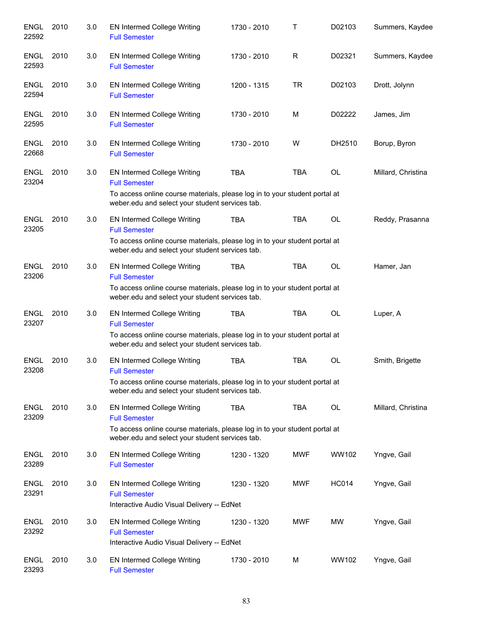| ENGL<br>22592        | 2010 | 3.0 | <b>EN Intermed College Writing</b><br><b>Full Semester</b>                                                                                                                                                                              | 1730 - 2010 | т          | D02103       | Summers, Kaydee    |
|----------------------|------|-----|-----------------------------------------------------------------------------------------------------------------------------------------------------------------------------------------------------------------------------------------|-------------|------------|--------------|--------------------|
| <b>ENGL</b><br>22593 | 2010 | 3.0 | EN Intermed College Writing<br><b>Full Semester</b>                                                                                                                                                                                     | 1730 - 2010 | R          | D02321       | Summers, Kaydee    |
| <b>ENGL</b><br>22594 | 2010 | 3.0 | <b>EN Intermed College Writing</b><br><b>Full Semester</b>                                                                                                                                                                              | 1200 - 1315 | <b>TR</b>  | D02103       | Drott, Jolynn      |
| <b>ENGL</b><br>22595 | 2010 | 3.0 | <b>EN Intermed College Writing</b><br><b>Full Semester</b>                                                                                                                                                                              | 1730 - 2010 | м          | D02222       | James, Jim         |
| <b>ENGL</b><br>22668 | 2010 | 3.0 | <b>EN Intermed College Writing</b><br><b>Full Semester</b>                                                                                                                                                                              | 1730 - 2010 | W          | DH2510       | Borup, Byron       |
| <b>ENGL</b><br>23204 | 2010 | 3.0 | EN Intermed College Writing<br><b>Full Semester</b><br>To access online course materials, please log in to your student portal at                                                                                                       | <b>TBA</b>  | <b>TBA</b> | <b>OL</b>    | Millard, Christina |
| <b>ENGL</b><br>23205 | 2010 | 3.0 | weber.edu and select your student services tab.<br>EN Intermed College Writing<br><b>Full Semester</b><br>To access online course materials, please log in to your student portal at<br>weber.edu and select your student services tab. | <b>TBA</b>  | <b>TBA</b> | OL           | Reddy, Prasanna    |
| <b>ENGL</b><br>23206 | 2010 | 3.0 | EN Intermed College Writing<br><b>Full Semester</b><br>To access online course materials, please log in to your student portal at<br>weber.edu and select your student services tab.                                                    | <b>TBA</b>  | <b>TBA</b> | OL           | Hamer, Jan         |
| <b>ENGL</b><br>23207 | 2010 | 3.0 | <b>EN Intermed College Writing</b><br><b>Full Semester</b><br>To access online course materials, please log in to your student portal at<br>weber.edu and select your student services tab.                                             | TBA         | <b>TBA</b> | OL           | Luper, A           |
| <b>ENGL</b><br>23208 | 2010 | 3.0 | EN Intermed College Writing<br><b>Full Semester</b><br>To access online course materials, please log in to your student portal at<br>weber.edu and select your student services tab.                                                    | <b>TBA</b>  | <b>TBA</b> | OL           | Smith, Brigette    |
| <b>ENGL</b><br>23209 | 2010 | 3.0 | <b>EN Intermed College Writing</b><br><b>Full Semester</b><br>To access online course materials, please log in to your student portal at<br>weber.edu and select your student services tab.                                             | <b>TBA</b>  | <b>TBA</b> | <b>OL</b>    | Millard, Christina |
| <b>ENGL</b><br>23289 | 2010 | 3.0 | <b>EN Intermed College Writing</b><br><b>Full Semester</b>                                                                                                                                                                              | 1230 - 1320 | <b>MWF</b> | WW102        | Yngve, Gail        |
| <b>ENGL</b><br>23291 | 2010 | 3.0 | EN Intermed College Writing<br><b>Full Semester</b><br>Interactive Audio Visual Delivery -- EdNet                                                                                                                                       | 1230 - 1320 | <b>MWF</b> | <b>HC014</b> | Yngve, Gail        |
| <b>ENGL</b><br>23292 | 2010 | 3.0 | EN Intermed College Writing<br><b>Full Semester</b><br>Interactive Audio Visual Delivery -- EdNet                                                                                                                                       | 1230 - 1320 | <b>MWF</b> | <b>MW</b>    | Yngve, Gail        |
| <b>ENGL</b><br>23293 | 2010 | 3.0 | <b>EN Intermed College Writing</b><br><b>Full Semester</b>                                                                                                                                                                              | 1730 - 2010 | M          | WW102        | Yngve, Gail        |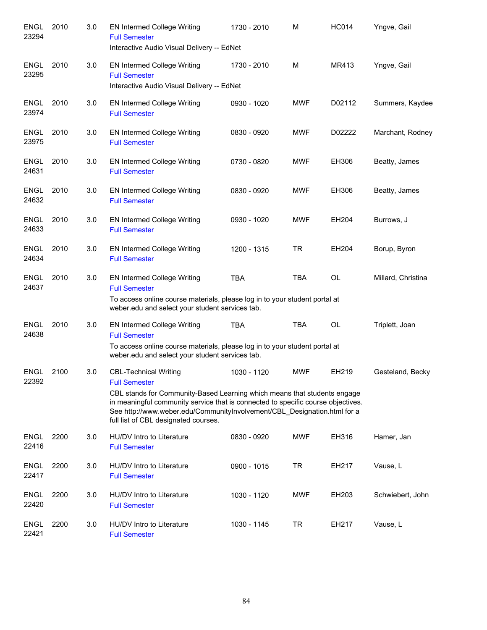| <b>ENGL</b><br>23294 | 2010 | 3.0 | EN Intermed College Writing<br><b>Full Semester</b><br>Interactive Audio Visual Delivery -- EdNet                                                                                                                                                                                                                                        | 1730 - 2010 | M          | <b>HC014</b> | Yngve, Gail        |
|----------------------|------|-----|------------------------------------------------------------------------------------------------------------------------------------------------------------------------------------------------------------------------------------------------------------------------------------------------------------------------------------------|-------------|------------|--------------|--------------------|
| <b>ENGL</b><br>23295 | 2010 | 3.0 | EN Intermed College Writing<br><b>Full Semester</b><br>Interactive Audio Visual Delivery -- EdNet                                                                                                                                                                                                                                        | 1730 - 2010 | M          | MR413        | Yngve, Gail        |
| <b>ENGL</b><br>23974 | 2010 | 3.0 | EN Intermed College Writing<br><b>Full Semester</b>                                                                                                                                                                                                                                                                                      | 0930 - 1020 | <b>MWF</b> | D02112       | Summers, Kaydee    |
| <b>ENGL</b><br>23975 | 2010 | 3.0 | <b>EN Intermed College Writing</b><br><b>Full Semester</b>                                                                                                                                                                                                                                                                               | 0830 - 0920 | <b>MWF</b> | D02222       | Marchant, Rodney   |
| <b>ENGL</b><br>24631 | 2010 | 3.0 | EN Intermed College Writing<br><b>Full Semester</b>                                                                                                                                                                                                                                                                                      | 0730 - 0820 | <b>MWF</b> | EH306        | Beatty, James      |
| ENGL<br>24632        | 2010 | 3.0 | <b>EN Intermed College Writing</b><br><b>Full Semester</b>                                                                                                                                                                                                                                                                               | 0830 - 0920 | <b>MWF</b> | EH306        | Beatty, James      |
| <b>ENGL</b><br>24633 | 2010 | 3.0 | <b>EN Intermed College Writing</b><br><b>Full Semester</b>                                                                                                                                                                                                                                                                               | 0930 - 1020 | <b>MWF</b> | EH204        | Burrows, J         |
| <b>ENGL</b><br>24634 | 2010 | 3.0 | EN Intermed College Writing<br><b>Full Semester</b>                                                                                                                                                                                                                                                                                      | 1200 - 1315 | <b>TR</b>  | EH204        | Borup, Byron       |
| <b>ENGL</b><br>24637 | 2010 | 3.0 | EN Intermed College Writing<br><b>Full Semester</b><br>To access online course materials, please log in to your student portal at<br>weber.edu and select your student services tab.                                                                                                                                                     | <b>TBA</b>  | <b>TBA</b> | <b>OL</b>    | Millard, Christina |
| <b>ENGL</b><br>24638 | 2010 | 3.0 | EN Intermed College Writing<br><b>Full Semester</b><br>To access online course materials, please log in to your student portal at<br>weber.edu and select your student services tab.                                                                                                                                                     | <b>TBA</b>  | <b>TBA</b> | OL           | Triplett, Joan     |
| ENGL<br>22392        | 2100 | 3.0 | <b>CBL-Technical Writing</b><br><b>Full Semester</b><br>CBL stands for Community-Based Learning which means that students engage<br>in meaningful community service that is connected to specific course objectives.<br>See http://www.weber.edu/CommunityInvolvement/CBL_Designation.html for a<br>full list of CBL designated courses. | 1030 - 1120 | <b>MWF</b> | EH219        | Gesteland, Becky   |
| <b>ENGL</b><br>22416 | 2200 | 3.0 | HU/DV Intro to Literature<br><b>Full Semester</b>                                                                                                                                                                                                                                                                                        | 0830 - 0920 | <b>MWF</b> | EH316        | Hamer, Jan         |
| <b>ENGL</b><br>22417 | 2200 | 3.0 | HU/DV Intro to Literature<br><b>Full Semester</b>                                                                                                                                                                                                                                                                                        | 0900 - 1015 | <b>TR</b>  | EH217        | Vause, L           |
| <b>ENGL</b><br>22420 | 2200 | 3.0 | HU/DV Intro to Literature<br><b>Full Semester</b>                                                                                                                                                                                                                                                                                        | 1030 - 1120 | <b>MWF</b> | EH203        | Schwiebert, John   |
| <b>ENGL</b><br>22421 | 2200 | 3.0 | HU/DV Intro to Literature<br><b>Full Semester</b>                                                                                                                                                                                                                                                                                        | 1030 - 1145 | <b>TR</b>  | EH217        | Vause, L           |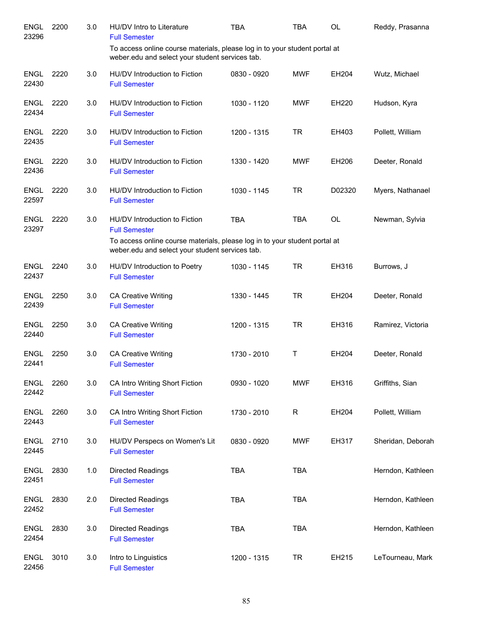| <b>ENGL</b><br>23296 | 2200 | 3.0 | HU/DV Intro to Literature<br><b>Full Semester</b>                                                                             | <b>TBA</b>  | <b>TBA</b> | <b>OL</b> | Reddy, Prasanna   |
|----------------------|------|-----|-------------------------------------------------------------------------------------------------------------------------------|-------------|------------|-----------|-------------------|
|                      |      |     | To access online course materials, please log in to your student portal at<br>weber.edu and select your student services tab. |             |            |           |                   |
| <b>ENGL</b><br>22430 | 2220 | 3.0 | HU/DV Introduction to Fiction<br><b>Full Semester</b>                                                                         | 0830 - 0920 | <b>MWF</b> | EH204     | Wutz, Michael     |
| <b>ENGL</b><br>22434 | 2220 | 3.0 | HU/DV Introduction to Fiction<br><b>Full Semester</b>                                                                         | 1030 - 1120 | <b>MWF</b> | EH220     | Hudson, Kyra      |
| <b>ENGL</b><br>22435 | 2220 | 3.0 | HU/DV Introduction to Fiction<br><b>Full Semester</b>                                                                         | 1200 - 1315 | <b>TR</b>  | EH403     | Pollett, William  |
| <b>ENGL</b><br>22436 | 2220 | 3.0 | HU/DV Introduction to Fiction<br><b>Full Semester</b>                                                                         | 1330 - 1420 | <b>MWF</b> | EH206     | Deeter, Ronald    |
| <b>ENGL</b><br>22597 | 2220 | 3.0 | HU/DV Introduction to Fiction<br><b>Full Semester</b>                                                                         | 1030 - 1145 | <b>TR</b>  | D02320    | Myers, Nathanael  |
| <b>ENGL</b><br>23297 | 2220 | 3.0 | HU/DV Introduction to Fiction<br><b>Full Semester</b>                                                                         | <b>TBA</b>  | <b>TBA</b> | <b>OL</b> | Newman, Sylvia    |
|                      |      |     | To access online course materials, please log in to your student portal at<br>weber.edu and select your student services tab. |             |            |           |                   |
| <b>ENGL</b><br>22437 | 2240 | 3.0 | HU/DV Introduction to Poetry<br><b>Full Semester</b>                                                                          | 1030 - 1145 | <b>TR</b>  | EH316     | Burrows, J        |
| <b>ENGL</b><br>22439 | 2250 | 3.0 | <b>CA Creative Writing</b><br><b>Full Semester</b>                                                                            | 1330 - 1445 | <b>TR</b>  | EH204     | Deeter, Ronald    |
| <b>ENGL</b><br>22440 | 2250 | 3.0 | <b>CA Creative Writing</b><br><b>Full Semester</b>                                                                            | 1200 - 1315 | <b>TR</b>  | EH316     | Ramirez, Victoria |
| <b>ENGL</b><br>22441 | 2250 | 3.0 | <b>CA Creative Writing</b><br><b>Full Semester</b>                                                                            | 1730 - 2010 | Τ          | EH204     | Deeter, Ronald    |
| ENGL<br>22442        | 2260 | 3.0 | CA Intro Writing Short Fiction<br><b>Full Semester</b>                                                                        | 0930 - 1020 | <b>MWF</b> | EH316     | Griffiths, Sian   |
| <b>ENGL</b><br>22443 | 2260 | 3.0 | CA Intro Writing Short Fiction<br><b>Full Semester</b>                                                                        | 1730 - 2010 | R          | EH204     | Pollett, William  |
| <b>ENGL</b><br>22445 | 2710 | 3.0 | HU/DV Perspecs on Women's Lit<br><b>Full Semester</b>                                                                         | 0830 - 0920 | <b>MWF</b> | EH317     | Sheridan, Deborah |
| <b>ENGL</b><br>22451 | 2830 | 1.0 | Directed Readings<br><b>Full Semester</b>                                                                                     | <b>TBA</b>  | <b>TBA</b> |           | Herndon, Kathleen |
| <b>ENGL</b><br>22452 | 2830 | 2.0 | Directed Readings<br><b>Full Semester</b>                                                                                     | <b>TBA</b>  | <b>TBA</b> |           | Herndon, Kathleen |
| <b>ENGL</b><br>22454 | 2830 | 3.0 | Directed Readings<br><b>Full Semester</b>                                                                                     | <b>TBA</b>  | <b>TBA</b> |           | Herndon, Kathleen |
| <b>ENGL</b><br>22456 | 3010 | 3.0 | Intro to Linguistics<br><b>Full Semester</b>                                                                                  | 1200 - 1315 | <b>TR</b>  | EH215     | LeTourneau, Mark  |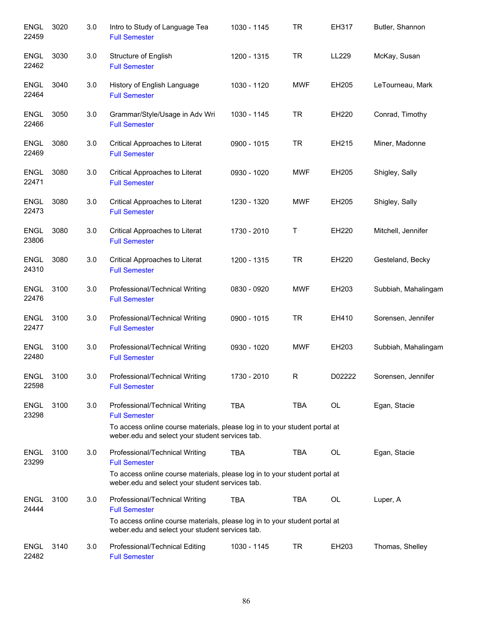| <b>ENGL</b><br>22459 | 3020 | 3.0 | Intro to Study of Language Tea<br><b>Full Semester</b>                                                                        | 1030 - 1145 | <b>TR</b>  | EH317  | Butler, Shannon     |
|----------------------|------|-----|-------------------------------------------------------------------------------------------------------------------------------|-------------|------------|--------|---------------------|
| <b>ENGL</b><br>22462 | 3030 | 3.0 | Structure of English<br><b>Full Semester</b>                                                                                  | 1200 - 1315 | <b>TR</b>  | LL229  | McKay, Susan        |
| <b>ENGL</b><br>22464 | 3040 | 3.0 | History of English Language<br><b>Full Semester</b>                                                                           | 1030 - 1120 | <b>MWF</b> | EH205  | LeTourneau, Mark    |
| <b>ENGL</b><br>22466 | 3050 | 3.0 | Grammar/Style/Usage in Adv Wri<br><b>Full Semester</b>                                                                        | 1030 - 1145 | <b>TR</b>  | EH220  | Conrad, Timothy     |
| <b>ENGL</b><br>22469 | 3080 | 3.0 | Critical Approaches to Literat<br><b>Full Semester</b>                                                                        | 0900 - 1015 | <b>TR</b>  | EH215  | Miner, Madonne      |
| <b>ENGL</b><br>22471 | 3080 | 3.0 | Critical Approaches to Literat<br><b>Full Semester</b>                                                                        | 0930 - 1020 | <b>MWF</b> | EH205  | Shigley, Sally      |
| <b>ENGL</b><br>22473 | 3080 | 3.0 | Critical Approaches to Literat<br><b>Full Semester</b>                                                                        | 1230 - 1320 | <b>MWF</b> | EH205  | Shigley, Sally      |
| <b>ENGL</b><br>23806 | 3080 | 3.0 | Critical Approaches to Literat<br><b>Full Semester</b>                                                                        | 1730 - 2010 | Τ          | EH220  | Mitchell, Jennifer  |
| <b>ENGL</b><br>24310 | 3080 | 3.0 | Critical Approaches to Literat<br><b>Full Semester</b>                                                                        | 1200 - 1315 | <b>TR</b>  | EH220  | Gesteland, Becky    |
| <b>ENGL</b><br>22476 | 3100 | 3.0 | Professional/Technical Writing<br><b>Full Semester</b>                                                                        | 0830 - 0920 | <b>MWF</b> | EH203  | Subbiah, Mahalingam |
| <b>ENGL</b><br>22477 | 3100 | 3.0 | Professional/Technical Writing<br><b>Full Semester</b>                                                                        | 0900 - 1015 | <b>TR</b>  | EH410  | Sorensen, Jennifer  |
| <b>ENGL</b><br>22480 | 3100 | 3.0 | Professional/Technical Writing<br><b>Full Semester</b>                                                                        | 0930 - 1020 | <b>MWF</b> | EH203  | Subbiah, Mahalingam |
| <b>ENGL</b><br>22598 | 3100 | 3.0 | Professional/Technical Writing<br><b>Full Semester</b>                                                                        | 1730 - 2010 | R          | D02222 | Sorensen, Jennifer  |
| <b>ENGL</b><br>23298 | 3100 | 3.0 | Professional/Technical Writing<br><b>Full Semester</b>                                                                        | <b>TBA</b>  | TBA        | OL     | Egan, Stacie        |
|                      |      |     | To access online course materials, please log in to your student portal at<br>weber.edu and select your student services tab. |             |            |        |                     |
| <b>ENGL</b><br>23299 | 3100 | 3.0 | Professional/Technical Writing<br><b>Full Semester</b>                                                                        | <b>TBA</b>  | TBA        | OL     | Egan, Stacie        |
|                      |      |     | To access online course materials, please log in to your student portal at<br>weber.edu and select your student services tab. |             |            |        |                     |
| <b>ENGL</b><br>24444 | 3100 | 3.0 | Professional/Technical Writing<br><b>Full Semester</b>                                                                        | <b>TBA</b>  | TBA        | OL     | Luper, A            |
|                      |      |     | To access online course materials, please log in to your student portal at<br>weber.edu and select your student services tab. |             |            |        |                     |
| <b>ENGL</b><br>22482 | 3140 | 3.0 | Professional/Technical Editing<br><b>Full Semester</b>                                                                        | 1030 - 1145 | TR         | EH203  | Thomas, Shelley     |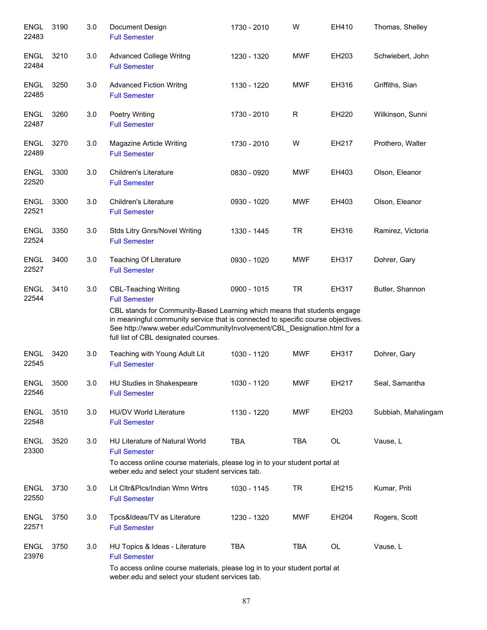| <b>ENGL</b><br>22483 | 3190 | 3.0 | Document Design<br><b>Full Semester</b>                                                                                                                                                                                                                                                                                                 | 1730 - 2010 | W          | EH410 | Thomas, Shelley     |
|----------------------|------|-----|-----------------------------------------------------------------------------------------------------------------------------------------------------------------------------------------------------------------------------------------------------------------------------------------------------------------------------------------|-------------|------------|-------|---------------------|
| <b>ENGL</b><br>22484 | 3210 | 3.0 | <b>Advanced College Writng</b><br><b>Full Semester</b>                                                                                                                                                                                                                                                                                  | 1230 - 1320 | <b>MWF</b> | EH203 | Schwiebert, John    |
| <b>ENGL</b><br>22485 | 3250 | 3.0 | <b>Advanced Fiction Writng</b><br><b>Full Semester</b>                                                                                                                                                                                                                                                                                  | 1130 - 1220 | <b>MWF</b> | EH316 | Griffiths, Sian     |
| <b>ENGL</b><br>22487 | 3260 | 3.0 | <b>Poetry Writing</b><br><b>Full Semester</b>                                                                                                                                                                                                                                                                                           | 1730 - 2010 | R          | EH220 | Wilkinson, Sunni    |
| <b>ENGL</b><br>22489 | 3270 | 3.0 | Magazine Article Writing<br><b>Full Semester</b>                                                                                                                                                                                                                                                                                        | 1730 - 2010 | W          | EH217 | Prothero, Walter    |
| <b>ENGL</b><br>22520 | 3300 | 3.0 | <b>Children's Literature</b><br><b>Full Semester</b>                                                                                                                                                                                                                                                                                    | 0830 - 0920 | <b>MWF</b> | EH403 | Olson, Eleanor      |
| <b>ENGL</b><br>22521 | 3300 | 3.0 | <b>Children's Literature</b><br><b>Full Semester</b>                                                                                                                                                                                                                                                                                    | 0930 - 1020 | <b>MWF</b> | EH403 | Olson, Eleanor      |
| ENGL<br>22524        | 3350 | 3.0 | <b>Stds Litry Gnrs/Novel Writing</b><br><b>Full Semester</b>                                                                                                                                                                                                                                                                            | 1330 - 1445 | <b>TR</b>  | EH316 | Ramirez, Victoria   |
| <b>ENGL</b><br>22527 | 3400 | 3.0 | Teaching Of Literature<br><b>Full Semester</b>                                                                                                                                                                                                                                                                                          | 0930 - 1020 | <b>MWF</b> | EH317 | Dohrer, Gary        |
| <b>ENGL</b><br>22544 | 3410 | 3.0 | <b>CBL-Teaching Writing</b><br><b>Full Semester</b><br>CBL stands for Community-Based Learning which means that students engage<br>in meaningful community service that is connected to specific course objectives.<br>See http://www.weber.edu/CommunityInvolvement/CBL_Designation.html for a<br>full list of CBL designated courses. | 0900 - 1015 | <b>TR</b>  | EH317 | Butler, Shannon     |
| <b>ENGL</b><br>22545 | 3420 | 3.0 | Teaching with Young Adult Lit<br><b>Full Semester</b>                                                                                                                                                                                                                                                                                   | 1030 - 1120 | <b>MWF</b> | EH317 | Dohrer, Gary        |
| <b>ENGL</b><br>22546 | 3500 | 3.0 | HU Studies in Shakespeare<br><b>Full Semester</b>                                                                                                                                                                                                                                                                                       | 1030 - 1120 | <b>MWF</b> | EH217 | Seal, Samantha      |
| <b>ENGL</b><br>22548 | 3510 | 3.0 | HU/DV World Literature<br><b>Full Semester</b>                                                                                                                                                                                                                                                                                          | 1130 - 1220 | <b>MWF</b> | EH203 | Subbiah, Mahalingam |
| <b>ENGL</b><br>23300 | 3520 | 3.0 | <b>HU Literature of Natural World</b><br><b>Full Semester</b><br>To access online course materials, please log in to your student portal at<br>weber.edu and select your student services tab.                                                                                                                                          | <b>TBA</b>  | <b>TBA</b> | OL    | Vause, L            |
| <b>ENGL</b><br>22550 | 3730 | 3.0 | Lit Cltr&Plcs/Indian Wmn Wrtrs<br><b>Full Semester</b>                                                                                                                                                                                                                                                                                  | 1030 - 1145 | <b>TR</b>  | EH215 | Kumar, Priti        |
| <b>ENGL</b><br>22571 | 3750 | 3.0 | Tpcs&Ideas/TV as Literature<br><b>Full Semester</b>                                                                                                                                                                                                                                                                                     | 1230 - 1320 | <b>MWF</b> | EH204 | Rogers, Scott       |
| <b>ENGL</b><br>23976 | 3750 | 3.0 | HU Topics & Ideas - Literature<br><b>Full Semester</b>                                                                                                                                                                                                                                                                                  | <b>TBA</b>  | <b>TBA</b> | OL    | Vause, L            |
|                      |      |     | To access online course materials, please log in to your student portal at<br>weber.edu and select your student services tab.                                                                                                                                                                                                           |             |            |       |                     |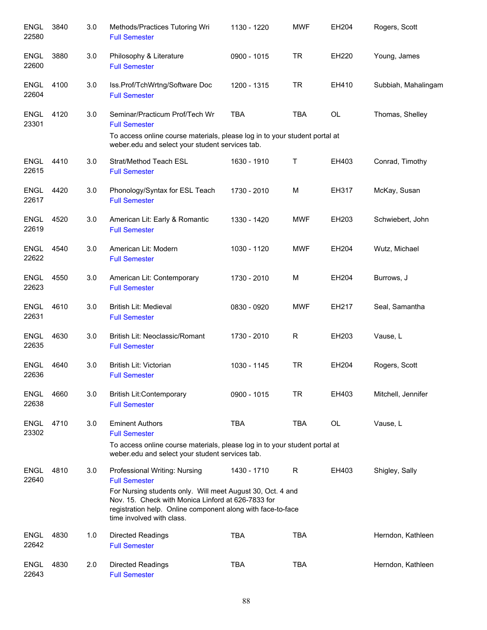| <b>ENGL</b><br>22580 | 3840 | 3.0 | Methods/Practices Tutoring Wri<br><b>Full Semester</b>                                                                                                                                                                                                                | 1130 - 1220 | <b>MWF</b>   | EH204     | Rogers, Scott       |
|----------------------|------|-----|-----------------------------------------------------------------------------------------------------------------------------------------------------------------------------------------------------------------------------------------------------------------------|-------------|--------------|-----------|---------------------|
| <b>ENGL</b><br>22600 | 3880 | 3.0 | Philosophy & Literature<br><b>Full Semester</b>                                                                                                                                                                                                                       | 0900 - 1015 | <b>TR</b>    | EH220     | Young, James        |
| <b>ENGL</b><br>22604 | 4100 | 3.0 | Iss.Prof/TchWrtng/Software Doc<br><b>Full Semester</b>                                                                                                                                                                                                                | 1200 - 1315 | <b>TR</b>    | EH410     | Subbiah, Mahalingam |
| <b>ENGL</b><br>23301 | 4120 | 3.0 | Seminar/Practicum Prof/Tech Wr<br><b>Full Semester</b>                                                                                                                                                                                                                | <b>TBA</b>  | <b>TBA</b>   | OL        | Thomas, Shelley     |
|                      |      |     | To access online course materials, please log in to your student portal at<br>weber.edu and select your student services tab.                                                                                                                                         |             |              |           |                     |
| <b>ENGL</b><br>22615 | 4410 | 3.0 | Strat/Method Teach ESL<br><b>Full Semester</b>                                                                                                                                                                                                                        | 1630 - 1910 | $\mathsf T$  | EH403     | Conrad, Timothy     |
| <b>ENGL</b><br>22617 | 4420 | 3.0 | Phonology/Syntax for ESL Teach<br><b>Full Semester</b>                                                                                                                                                                                                                | 1730 - 2010 | M            | EH317     | McKay, Susan        |
| <b>ENGL</b><br>22619 | 4520 | 3.0 | American Lit: Early & Romantic<br><b>Full Semester</b>                                                                                                                                                                                                                | 1330 - 1420 | <b>MWF</b>   | EH203     | Schwiebert, John    |
| <b>ENGL</b><br>22622 | 4540 | 3.0 | American Lit: Modern<br><b>Full Semester</b>                                                                                                                                                                                                                          | 1030 - 1120 | <b>MWF</b>   | EH204     | Wutz, Michael       |
| <b>ENGL</b><br>22623 | 4550 | 3.0 | American Lit: Contemporary<br><b>Full Semester</b>                                                                                                                                                                                                                    | 1730 - 2010 | M            | EH204     | Burrows, J          |
| <b>ENGL</b><br>22631 | 4610 | 3.0 | British Lit: Medieval<br><b>Full Semester</b>                                                                                                                                                                                                                         | 0830 - 0920 | <b>MWF</b>   | EH217     | Seal, Samantha      |
| <b>ENGL</b><br>22635 | 4630 | 3.0 | British Lit: Neoclassic/Romant<br><b>Full Semester</b>                                                                                                                                                                                                                | 1730 - 2010 | $\mathsf{R}$ | EH203     | Vause, L            |
| <b>ENGL</b><br>22636 | 4640 | 3.0 | British Lit: Victorian<br><b>Full Semester</b>                                                                                                                                                                                                                        | 1030 - 1145 | <b>TR</b>    | EH204     | Rogers, Scott       |
| <b>ENGL</b><br>22638 | 4660 | 3.0 | <b>British Lit:Contemporary</b><br><b>Full Semester</b>                                                                                                                                                                                                               | 0900 - 1015 | <b>TR</b>    | EH403     | Mitchell, Jennifer  |
| <b>ENGL</b><br>23302 | 4710 | 3.0 | <b>Eminent Authors</b><br><b>Full Semester</b>                                                                                                                                                                                                                        | <b>TBA</b>  | <b>TBA</b>   | <b>OL</b> | Vause, L            |
|                      |      |     | To access online course materials, please log in to your student portal at<br>weber.edu and select your student services tab.                                                                                                                                         |             |              |           |                     |
| <b>ENGL</b><br>22640 | 4810 | 3.0 | Professional Writing: Nursing<br><b>Full Semester</b><br>For Nursing students only. Will meet August 30, Oct. 4 and<br>Nov. 15. Check with Monica Linford at 626-7833 for<br>registration help. Online component along with face-to-face<br>time involved with class. | 1430 - 1710 | R            | EH403     | Shigley, Sally      |
| <b>ENGL</b><br>22642 | 4830 | 1.0 | <b>Directed Readings</b><br><b>Full Semester</b>                                                                                                                                                                                                                      | <b>TBA</b>  | <b>TBA</b>   |           | Herndon, Kathleen   |
| <b>ENGL</b><br>22643 | 4830 | 2.0 | <b>Directed Readings</b><br><b>Full Semester</b>                                                                                                                                                                                                                      | <b>TBA</b>  | <b>TBA</b>   |           | Herndon, Kathleen   |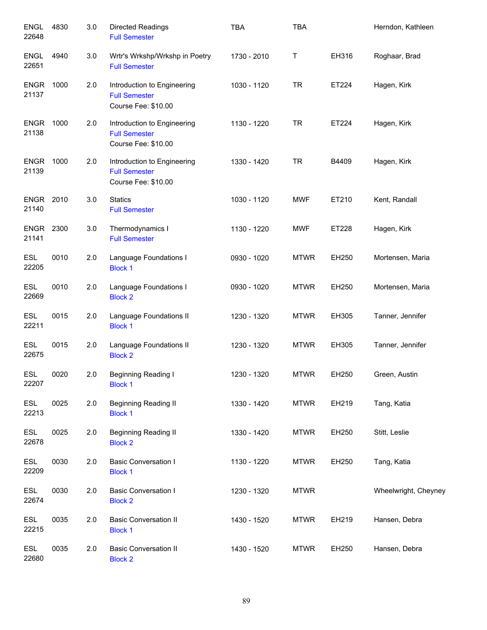| <b>ENGL</b><br>22648      | 4830 | 3.0 | <b>Directed Readings</b><br><b>Full Semester</b>                           | <b>TBA</b>  | <b>TBA</b>  |       | Herndon, Kathleen    |
|---------------------------|------|-----|----------------------------------------------------------------------------|-------------|-------------|-------|----------------------|
| ENGL<br>22651             | 4940 | 3.0 | Wrtr's Wrkshp/Wrkshp in Poetry<br><b>Full Semester</b>                     | 1730 - 2010 | Τ           | EH316 | Roghaar, Brad        |
| <b>ENGR</b><br>21137      | 1000 | 2.0 | Introduction to Engineering<br><b>Full Semester</b><br>Course Fee: \$10.00 | 1030 - 1120 | <b>TR</b>   | ET224 | Hagen, Kirk          |
| <b>ENGR</b><br>21138      | 1000 | 2.0 | Introduction to Engineering<br><b>Full Semester</b><br>Course Fee: \$10.00 | 1130 - 1220 | <b>TR</b>   | ET224 | Hagen, Kirk          |
| <b>ENGR</b><br>21139      | 1000 | 2.0 | Introduction to Engineering<br><b>Full Semester</b><br>Course Fee: \$10.00 | 1330 - 1420 | <b>TR</b>   | B4409 | Hagen, Kirk          |
| <b>ENGR 2010</b><br>21140 |      | 3.0 | <b>Statics</b><br><b>Full Semester</b>                                     | 1030 - 1120 | <b>MWF</b>  | ET210 | Kent, Randall        |
| <b>ENGR 2300</b><br>21141 |      | 3.0 | Thermodynamics I<br><b>Full Semester</b>                                   | 1130 - 1220 | <b>MWF</b>  | ET228 | Hagen, Kirk          |
| <b>ESL</b><br>22205       | 0010 | 2.0 | Language Foundations I<br><b>Block 1</b>                                   | 0930 - 1020 | <b>MTWR</b> | EH250 | Mortensen, Maria     |
| <b>ESL</b><br>22669       | 0010 | 2.0 | Language Foundations I<br><b>Block 2</b>                                   | 0930 - 1020 | <b>MTWR</b> | EH250 | Mortensen, Maria     |
| <b>ESL</b><br>22211       | 0015 | 2.0 | Language Foundations II<br><b>Block 1</b>                                  | 1230 - 1320 | <b>MTWR</b> | EH305 | Tanner, Jennifer     |
| <b>ESL</b><br>22675       | 0015 | 2.0 | Language Foundations II<br><b>Block 2</b>                                  | 1230 - 1320 | <b>MTWR</b> | EH305 | Tanner, Jennifer     |
| <b>ESL</b><br>22207       | 0020 | 2.0 | <b>Beginning Reading I</b><br><b>Block 1</b>                               | 1230 - 1320 | <b>MTWR</b> | EH250 | Green, Austin        |
| <b>ESL</b><br>22213       | 0025 | 2.0 | <b>Beginning Reading II</b><br><b>Block 1</b>                              | 1330 - 1420 | <b>MTWR</b> | EH219 | Tang, Katia          |
| <b>ESL</b><br>22678       | 0025 | 2.0 | <b>Beginning Reading II</b><br><b>Block 2</b>                              | 1330 - 1420 | <b>MTWR</b> | EH250 | Stitt, Leslie        |
| <b>ESL</b><br>22209       | 0030 | 2.0 | <b>Basic Conversation I</b><br><b>Block 1</b>                              | 1130 - 1220 | <b>MTWR</b> | EH250 | Tang, Katia          |
| <b>ESL</b><br>22674       | 0030 | 2.0 | <b>Basic Conversation I</b><br><b>Block 2</b>                              | 1230 - 1320 | <b>MTWR</b> |       | Wheelwright, Cheyney |
| <b>ESL</b><br>22215       | 0035 | 2.0 | <b>Basic Conversation II</b><br><b>Block 1</b>                             | 1430 - 1520 | <b>MTWR</b> | EH219 | Hansen, Debra        |
| ESL<br>22680              | 0035 | 2.0 | <b>Basic Conversation II</b><br><b>Block 2</b>                             | 1430 - 1520 | <b>MTWR</b> | EH250 | Hansen, Debra        |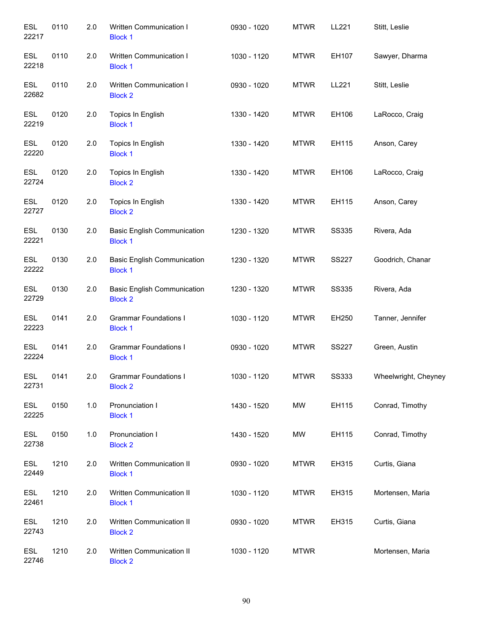| <b>ESL</b><br>22217 | 0110 | 2.0 | Written Communication I<br><b>Block 1</b>            | 0930 - 1020 | <b>MTWR</b> | LL221        | Stitt, Leslie        |
|---------------------|------|-----|------------------------------------------------------|-------------|-------------|--------------|----------------------|
| <b>ESL</b><br>22218 | 0110 | 2.0 | Written Communication I<br><b>Block 1</b>            | 1030 - 1120 | <b>MTWR</b> | EH107        | Sawyer, Dharma       |
| <b>ESL</b><br>22682 | 0110 | 2.0 | Written Communication I<br><b>Block 2</b>            | 0930 - 1020 | <b>MTWR</b> | LL221        | Stitt, Leslie        |
| <b>ESL</b><br>22219 | 0120 | 2.0 | Topics In English<br><b>Block 1</b>                  | 1330 - 1420 | <b>MTWR</b> | EH106        | LaRocco, Craig       |
| <b>ESL</b><br>22220 | 0120 | 2.0 | Topics In English<br><b>Block 1</b>                  | 1330 - 1420 | <b>MTWR</b> | EH115        | Anson, Carey         |
| <b>ESL</b><br>22724 | 0120 | 2.0 | Topics In English<br><b>Block 2</b>                  | 1330 - 1420 | <b>MTWR</b> | EH106        | LaRocco, Craig       |
| <b>ESL</b><br>22727 | 0120 | 2.0 | Topics In English<br><b>Block 2</b>                  | 1330 - 1420 | <b>MTWR</b> | EH115        | Anson, Carey         |
| <b>ESL</b><br>22221 | 0130 | 2.0 | <b>Basic English Communication</b><br><b>Block 1</b> | 1230 - 1320 | <b>MTWR</b> | <b>SS335</b> | Rivera, Ada          |
| <b>ESL</b><br>22222 | 0130 | 2.0 | <b>Basic English Communication</b><br><b>Block 1</b> | 1230 - 1320 | <b>MTWR</b> | <b>SS227</b> | Goodrich, Chanar     |
| <b>ESL</b><br>22729 | 0130 | 2.0 | <b>Basic English Communication</b><br><b>Block 2</b> | 1230 - 1320 | <b>MTWR</b> | <b>SS335</b> | Rivera, Ada          |
| <b>ESL</b><br>22223 | 0141 | 2.0 | <b>Grammar Foundations I</b><br><b>Block 1</b>       | 1030 - 1120 | <b>MTWR</b> | EH250        | Tanner, Jennifer     |
| <b>ESL</b><br>22224 | 0141 | 2.0 | <b>Grammar Foundations I</b><br><b>Block 1</b>       | 0930 - 1020 | <b>MTWR</b> | <b>SS227</b> | Green, Austin        |
| <b>ESL</b><br>22731 | 0141 | 2.0 | <b>Grammar Foundations I</b><br><b>Block 2</b>       | 1030 - 1120 | <b>MTWR</b> | <b>SS333</b> | Wheelwright, Cheyney |
| ESL<br>22225        | 0150 | 1.0 | Pronunciation I<br><b>Block 1</b>                    | 1430 - 1520 | MW          | EH115        | Conrad, Timothy      |
| <b>ESL</b><br>22738 | 0150 | 1.0 | Pronunciation I<br><b>Block 2</b>                    | 1430 - 1520 | MW          | EH115        | Conrad, Timothy      |
| <b>ESL</b><br>22449 | 1210 | 2.0 | Written Communication II<br><b>Block 1</b>           | 0930 - 1020 | <b>MTWR</b> | EH315        | Curtis, Giana        |
| <b>ESL</b><br>22461 | 1210 | 2.0 | Written Communication II<br><b>Block 1</b>           | 1030 - 1120 | <b>MTWR</b> | EH315        | Mortensen, Maria     |
| ESL<br>22743        | 1210 | 2.0 | Written Communication II<br><b>Block 2</b>           | 0930 - 1020 | <b>MTWR</b> | EH315        | Curtis, Giana        |
| <b>ESL</b><br>22746 | 1210 | 2.0 | Written Communication II<br><b>Block 2</b>           | 1030 - 1120 | <b>MTWR</b> |              | Mortensen, Maria     |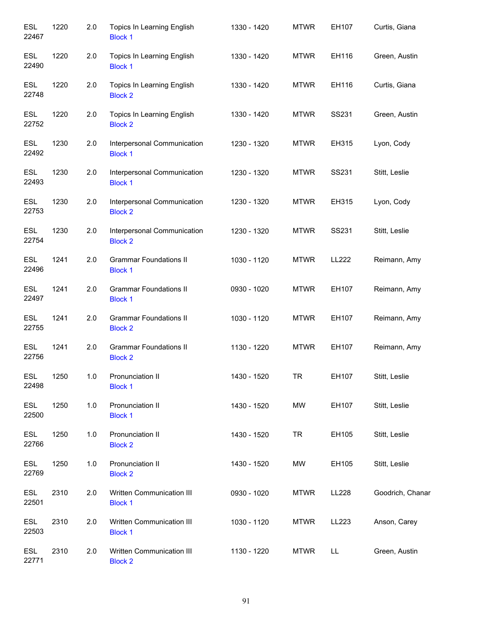| <b>ESL</b><br>22467 | 1220 | 2.0 | Topics In Learning English<br><b>Block 1</b>    | 1330 - 1420 | <b>MTWR</b> | EH107 | Curtis, Giana    |
|---------------------|------|-----|-------------------------------------------------|-------------|-------------|-------|------------------|
| <b>ESL</b><br>22490 | 1220 | 2.0 | Topics In Learning English<br><b>Block 1</b>    | 1330 - 1420 | <b>MTWR</b> | EH116 | Green, Austin    |
| <b>ESL</b><br>22748 | 1220 | 2.0 | Topics In Learning English<br><b>Block 2</b>    | 1330 - 1420 | <b>MTWR</b> | EH116 | Curtis, Giana    |
| <b>ESL</b><br>22752 | 1220 | 2.0 | Topics In Learning English<br><b>Block 2</b>    | 1330 - 1420 | <b>MTWR</b> | SS231 | Green, Austin    |
| <b>ESL</b><br>22492 | 1230 | 2.0 | Interpersonal Communication<br><b>Block 1</b>   | 1230 - 1320 | <b>MTWR</b> | EH315 | Lyon, Cody       |
| <b>ESL</b><br>22493 | 1230 | 2.0 | Interpersonal Communication<br><b>Block 1</b>   | 1230 - 1320 | <b>MTWR</b> | SS231 | Stitt, Leslie    |
| <b>ESL</b><br>22753 | 1230 | 2.0 | Interpersonal Communication<br><b>Block 2</b>   | 1230 - 1320 | <b>MTWR</b> | EH315 | Lyon, Cody       |
| <b>ESL</b><br>22754 | 1230 | 2.0 | Interpersonal Communication<br><b>Block 2</b>   | 1230 - 1320 | <b>MTWR</b> | SS231 | Stitt, Leslie    |
| <b>ESL</b><br>22496 | 1241 | 2.0 | <b>Grammar Foundations II</b><br><b>Block 1</b> | 1030 - 1120 | <b>MTWR</b> | LL222 | Reimann, Amy     |
| <b>ESL</b><br>22497 | 1241 | 2.0 | <b>Grammar Foundations II</b><br><b>Block 1</b> | 0930 - 1020 | <b>MTWR</b> | EH107 | Reimann, Amy     |
| <b>ESL</b><br>22755 | 1241 | 2.0 | <b>Grammar Foundations II</b><br><b>Block 2</b> | 1030 - 1120 | <b>MTWR</b> | EH107 | Reimann, Amy     |
| <b>ESL</b><br>22756 | 1241 | 2.0 | <b>Grammar Foundations II</b><br><b>Block 2</b> | 1130 - 1220 | <b>MTWR</b> | EH107 | Reimann, Amy     |
| <b>ESL</b><br>22498 | 1250 | 1.0 | Pronunciation II<br><b>Block 1</b>              | 1430 - 1520 | TR          | EH107 | Stitt, Leslie    |
| <b>ESL</b><br>22500 | 1250 | 1.0 | Pronunciation II<br><b>Block 1</b>              | 1430 - 1520 | MW          | EH107 | Stitt, Leslie    |
| <b>ESL</b><br>22766 | 1250 | 1.0 | Pronunciation II<br><b>Block 2</b>              | 1430 - 1520 | <b>TR</b>   | EH105 | Stitt, Leslie    |
| <b>ESL</b><br>22769 | 1250 | 1.0 | Pronunciation II<br><b>Block 2</b>              | 1430 - 1520 | MW          | EH105 | Stitt, Leslie    |
| <b>ESL</b><br>22501 | 2310 | 2.0 | Written Communication III<br><b>Block 1</b>     | 0930 - 1020 | <b>MTWR</b> | LL228 | Goodrich, Chanar |
| <b>ESL</b><br>22503 | 2310 | 2.0 | Written Communication III<br><b>Block 1</b>     | 1030 - 1120 | <b>MTWR</b> | LL223 | Anson, Carey     |
| ESL<br>22771        | 2310 | 2.0 | Written Communication III<br><b>Block 2</b>     | 1130 - 1220 | <b>MTWR</b> | LL    | Green, Austin    |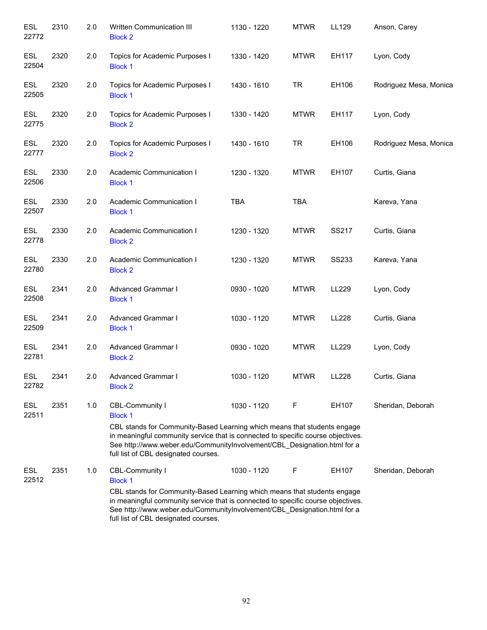| <b>ESL</b><br>22772 | 2310 | 2.0 | Written Communication III<br><b>Block 2</b>                                                                                                                                                                                                                                      | 1130 - 1220 | <b>MTWR</b> | LL129        | Anson, Carey           |
|---------------------|------|-----|----------------------------------------------------------------------------------------------------------------------------------------------------------------------------------------------------------------------------------------------------------------------------------|-------------|-------------|--------------|------------------------|
| <b>ESL</b><br>22504 | 2320 | 2.0 | Topics for Academic Purposes I<br><b>Block 1</b>                                                                                                                                                                                                                                 | 1330 - 1420 | <b>MTWR</b> | EH117        | Lyon, Cody             |
| <b>ESL</b><br>22505 | 2320 | 2.0 | Topics for Academic Purposes I<br><b>Block 1</b>                                                                                                                                                                                                                                 | 1430 - 1610 | <b>TR</b>   | EH106        | Rodriguez Mesa, Monica |
| <b>ESL</b><br>22775 | 2320 | 2.0 | Topics for Academic Purposes I<br><b>Block 2</b>                                                                                                                                                                                                                                 | 1330 - 1420 | <b>MTWR</b> | EH117        | Lyon, Cody             |
| <b>ESL</b><br>22777 | 2320 | 2.0 | Topics for Academic Purposes I<br><b>Block 2</b>                                                                                                                                                                                                                                 | 1430 - 1610 | <b>TR</b>   | EH106        | Rodriguez Mesa, Monica |
| <b>ESL</b><br>22506 | 2330 | 2.0 | Academic Communication I<br><b>Block 1</b>                                                                                                                                                                                                                                       | 1230 - 1320 | <b>MTWR</b> | EH107        | Curtis, Giana          |
| <b>ESL</b><br>22507 | 2330 | 2.0 | Academic Communication I<br><b>Block 1</b>                                                                                                                                                                                                                                       | <b>TBA</b>  | <b>TBA</b>  |              | Kareva, Yana           |
| <b>ESL</b><br>22778 | 2330 | 2.0 | Academic Communication I<br><b>Block 2</b>                                                                                                                                                                                                                                       | 1230 - 1320 | <b>MTWR</b> | SS217        | Curtis, Giana          |
| <b>ESL</b><br>22780 | 2330 | 2.0 | Academic Communication I<br><b>Block 2</b>                                                                                                                                                                                                                                       | 1230 - 1320 | <b>MTWR</b> | <b>SS233</b> | Kareva, Yana           |
| <b>ESL</b><br>22508 | 2341 | 2.0 | Advanced Grammar I<br><b>Block 1</b>                                                                                                                                                                                                                                             | 0930 - 1020 | <b>MTWR</b> | LL229        | Lyon, Cody             |
| <b>ESL</b><br>22509 | 2341 | 2.0 | Advanced Grammar I<br><b>Block 1</b>                                                                                                                                                                                                                                             | 1030 - 1120 | <b>MTWR</b> | LL228        | Curtis, Giana          |
| <b>ESL</b><br>22781 | 2341 | 2.0 | Advanced Grammar I<br><b>Block 2</b>                                                                                                                                                                                                                                             | 0930 - 1020 | <b>MTWR</b> | LL229        | Lyon, Cody             |
| <b>ESL</b><br>22782 | 2341 | 2.0 | Advanced Grammar I<br><b>Block 2</b>                                                                                                                                                                                                                                             | 1030 - 1120 | <b>MTWR</b> | LL228        | Curtis, Giana          |
| ESL<br>22511        | 2351 | 1.0 | CBL-Community I<br><b>Block 1</b>                                                                                                                                                                                                                                                | 1030 - 1120 | F           | EH107        | Sheridan, Deborah      |
|                     |      |     | CBL stands for Community-Based Learning which means that students engage<br>in meaningful community service that is connected to specific course objectives.<br>See http://www.weber.edu/CommunityInvolvement/CBL_Designation.html for a<br>full list of CBL designated courses. |             |             |              |                        |
| ESL<br>22512        | 2351 | 1.0 | CBL-Community I                                                                                                                                                                                                                                                                  | 1030 - 1120 | F           | EH107        | Sheridan, Deborah      |
|                     |      |     | <b>Block 1</b><br>CBL stands for Community-Based Learning which means that students engage                                                                                                                                                                                       |             |             |              |                        |
|                     |      |     | in meaningful community service that is connected to specific course objectives.<br>See http://www.weber.edu/CommunityInvolvement/CBL_Designation.html for a<br>full list of CBL designated courses.                                                                             |             |             |              |                        |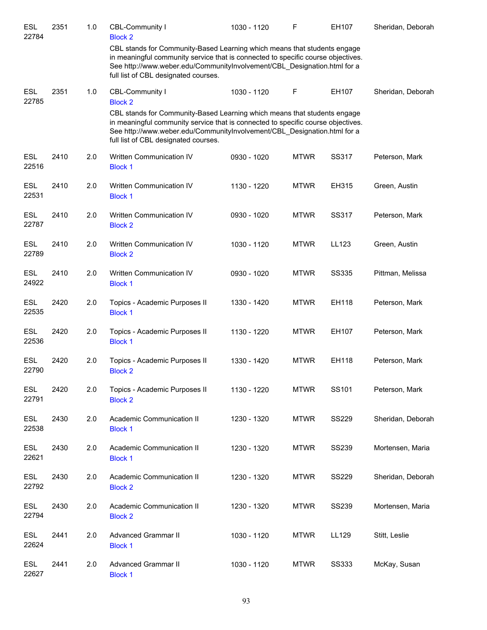| <b>ESL</b><br>22784 | 2351 | 1.0 | CBL-Community I<br><b>Block 2</b>                                                                                                                                                                                                                                                | 1030 - 1120 | F           | EH107        | Sheridan, Deborah |
|---------------------|------|-----|----------------------------------------------------------------------------------------------------------------------------------------------------------------------------------------------------------------------------------------------------------------------------------|-------------|-------------|--------------|-------------------|
|                     |      |     | CBL stands for Community-Based Learning which means that students engage<br>in meaningful community service that is connected to specific course objectives.<br>See http://www.weber.edu/CommunityInvolvement/CBL_Designation.html for a<br>full list of CBL designated courses. |             |             |              |                   |
| <b>ESL</b><br>22785 | 2351 | 1.0 | CBL-Community I<br><b>Block 2</b>                                                                                                                                                                                                                                                | 1030 - 1120 | F           | EH107        | Sheridan, Deborah |
|                     |      |     | CBL stands for Community-Based Learning which means that students engage<br>in meaningful community service that is connected to specific course objectives.<br>See http://www.weber.edu/CommunityInvolvement/CBL_Designation.html for a<br>full list of CBL designated courses. |             |             |              |                   |
| ESL<br>22516        | 2410 | 2.0 | Written Communication IV<br><b>Block 1</b>                                                                                                                                                                                                                                       | 0930 - 1020 | <b>MTWR</b> | SS317        | Peterson, Mark    |
| <b>ESL</b><br>22531 | 2410 | 2.0 | Written Communication IV<br><b>Block 1</b>                                                                                                                                                                                                                                       | 1130 - 1220 | <b>MTWR</b> | EH315        | Green, Austin     |
| <b>ESL</b><br>22787 | 2410 | 2.0 | Written Communication IV<br><b>Block 2</b>                                                                                                                                                                                                                                       | 0930 - 1020 | <b>MTWR</b> | SS317        | Peterson, Mark    |
| <b>ESL</b><br>22789 | 2410 | 2.0 | Written Communication IV<br><b>Block 2</b>                                                                                                                                                                                                                                       | 1030 - 1120 | <b>MTWR</b> | LL123        | Green, Austin     |
| <b>ESL</b><br>24922 | 2410 | 2.0 | Written Communication IV<br><b>Block 1</b>                                                                                                                                                                                                                                       | 0930 - 1020 | <b>MTWR</b> | <b>SS335</b> | Pittman, Melissa  |
| <b>ESL</b><br>22535 | 2420 | 2.0 | Topics - Academic Purposes II<br><b>Block 1</b>                                                                                                                                                                                                                                  | 1330 - 1420 | <b>MTWR</b> | EH118        | Peterson, Mark    |
| <b>ESL</b><br>22536 | 2420 | 2.0 | Topics - Academic Purposes II<br><b>Block 1</b>                                                                                                                                                                                                                                  | 1130 - 1220 | <b>MTWR</b> | EH107        | Peterson, Mark    |
| ESL<br>22790        | 2420 | 2.0 | Topics - Academic Purposes II<br><b>Block 2</b>                                                                                                                                                                                                                                  | 1330 - 1420 | <b>MTWR</b> | EH118        | Peterson, Mark    |
| <b>ESL</b><br>22791 | 2420 | 2.0 | Topics - Academic Purposes II<br><b>Block 2</b>                                                                                                                                                                                                                                  | 1130 - 1220 | <b>MTWR</b> | SS101        | Peterson, Mark    |
| <b>ESL</b><br>22538 | 2430 | 2.0 | Academic Communication II<br><b>Block 1</b>                                                                                                                                                                                                                                      | 1230 - 1320 | <b>MTWR</b> | <b>SS229</b> | Sheridan, Deborah |
| ESL<br>22621        | 2430 | 2.0 | Academic Communication II<br><b>Block 1</b>                                                                                                                                                                                                                                      | 1230 - 1320 | <b>MTWR</b> | <b>SS239</b> | Mortensen, Maria  |
| ESL<br>22792        | 2430 | 2.0 | Academic Communication II<br><b>Block 2</b>                                                                                                                                                                                                                                      | 1230 - 1320 | <b>MTWR</b> | <b>SS229</b> | Sheridan, Deborah |
| ESL<br>22794        | 2430 | 2.0 | Academic Communication II<br><b>Block 2</b>                                                                                                                                                                                                                                      | 1230 - 1320 | <b>MTWR</b> | <b>SS239</b> | Mortensen, Maria  |
| ESL<br>22624        | 2441 | 2.0 | <b>Advanced Grammar II</b><br><b>Block 1</b>                                                                                                                                                                                                                                     | 1030 - 1120 | <b>MTWR</b> | LL129        | Stitt, Leslie     |
| <b>ESL</b><br>22627 | 2441 | 2.0 | <b>Advanced Grammar II</b><br><b>Block 1</b>                                                                                                                                                                                                                                     | 1030 - 1120 | <b>MTWR</b> | <b>SS333</b> | McKay, Susan      |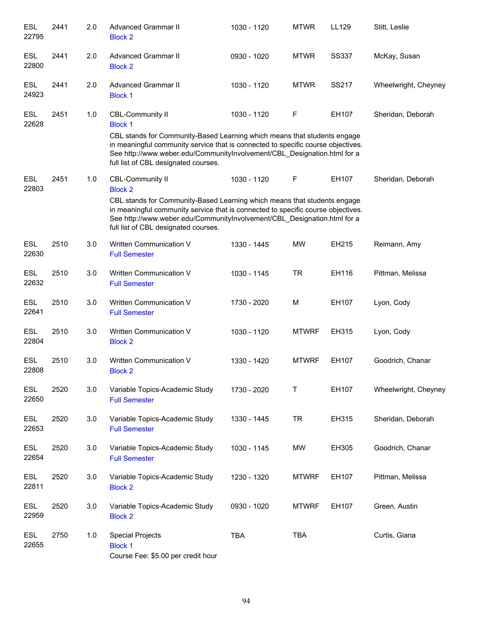| <b>ESL</b><br>22795 | 2441 | 2.0 | <b>Advanced Grammar II</b><br><b>Block 2</b>                                                                                                                                                                                                                                                                                  | 1030 - 1120 | <b>MTWR</b>  | LL129        | Stitt, Leslie        |
|---------------------|------|-----|-------------------------------------------------------------------------------------------------------------------------------------------------------------------------------------------------------------------------------------------------------------------------------------------------------------------------------|-------------|--------------|--------------|----------------------|
| <b>ESL</b><br>22800 | 2441 | 2.0 | <b>Advanced Grammar II</b><br><b>Block 2</b>                                                                                                                                                                                                                                                                                  | 0930 - 1020 | <b>MTWR</b>  | <b>SS337</b> | McKay, Susan         |
| <b>ESL</b><br>24923 | 2441 | 2.0 | <b>Advanced Grammar II</b><br><b>Block 1</b>                                                                                                                                                                                                                                                                                  | 1030 - 1120 | <b>MTWR</b>  | SS217        | Wheelwright, Cheyney |
| <b>ESL</b><br>22628 | 2451 | 1.0 | <b>CBL-Community II</b><br><b>Block 1</b><br>CBL stands for Community-Based Learning which means that students engage<br>in meaningful community service that is connected to specific course objectives.<br>See http://www.weber.edu/CommunityInvolvement/CBL_Designation.html for a<br>full list of CBL designated courses. | 1030 - 1120 | F            | EH107        | Sheridan, Deborah    |
| <b>ESL</b><br>22803 | 2451 | 1.0 | <b>CBL-Community II</b><br><b>Block 2</b><br>CBL stands for Community-Based Learning which means that students engage<br>in meaningful community service that is connected to specific course objectives.<br>See http://www.weber.edu/CommunityInvolvement/CBL_Designation.html for a<br>full list of CBL designated courses. | 1030 - 1120 | F            | EH107        | Sheridan, Deborah    |
| <b>ESL</b><br>22630 | 2510 | 3.0 | Written Communication V<br><b>Full Semester</b>                                                                                                                                                                                                                                                                               | 1330 - 1445 | <b>MW</b>    | EH215        | Reimann, Amy         |
| <b>ESL</b><br>22632 | 2510 | 3.0 | Written Communication V<br><b>Full Semester</b>                                                                                                                                                                                                                                                                               | 1030 - 1145 | <b>TR</b>    | EH116        | Pittman, Melissa     |
| <b>ESL</b><br>22641 | 2510 | 3.0 | Written Communication V<br><b>Full Semester</b>                                                                                                                                                                                                                                                                               | 1730 - 2020 | M            | EH107        | Lyon, Cody           |
| <b>ESL</b><br>22804 | 2510 | 3.0 | Written Communication V<br><b>Block 2</b>                                                                                                                                                                                                                                                                                     | 1030 - 1120 | <b>MTWRF</b> | EH315        | Lyon, Cody           |
| <b>ESL</b><br>22808 | 2510 | 3.0 | Written Communication V<br><b>Block 2</b>                                                                                                                                                                                                                                                                                     | 1330 - 1420 | <b>MTWRF</b> | EH107        | Goodrich, Chanar     |
| ESL<br>22650        | 2520 | 3.0 | Variable Topics-Academic Study<br><b>Full Semester</b>                                                                                                                                                                                                                                                                        | 1730 - 2020 | Τ            | EH107        | Wheelwright, Cheyney |
| ESL<br>22653        | 2520 | 3.0 | Variable Topics-Academic Study<br><b>Full Semester</b>                                                                                                                                                                                                                                                                        | 1330 - 1445 | <b>TR</b>    | EH315        | Sheridan, Deborah    |
| ESL<br>22654        | 2520 | 3.0 | Variable Topics-Academic Study<br><b>Full Semester</b>                                                                                                                                                                                                                                                                        | 1030 - 1145 | MW           | EH305        | Goodrich, Chanar     |
| <b>ESL</b><br>22811 | 2520 | 3.0 | Variable Topics-Academic Study<br><b>Block 2</b>                                                                                                                                                                                                                                                                              | 1230 - 1320 | <b>MTWRF</b> | EH107        | Pittman, Melissa     |
| <b>ESL</b><br>22959 | 2520 | 3.0 | Variable Topics-Academic Study<br><b>Block 2</b>                                                                                                                                                                                                                                                                              | 0930 - 1020 | <b>MTWRF</b> | EH107        | Green, Austin        |
| <b>ESL</b><br>22655 | 2750 | 1.0 | <b>Special Projects</b><br><b>Block 1</b><br>Course Fee: \$5.00 per credit hour                                                                                                                                                                                                                                               | <b>TBA</b>  | <b>TBA</b>   |              | Curtis, Giana        |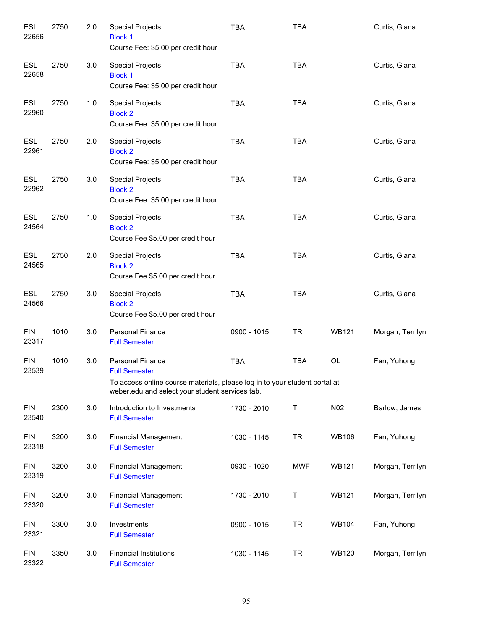| <b>ESL</b><br>22656 | 2750 | 2.0 | <b>Special Projects</b><br><b>Block 1</b><br>Course Fee: \$5.00 per credit hour                                                                                                  | <b>TBA</b>  | <b>TBA</b> |              | Curtis, Giana    |
|---------------------|------|-----|----------------------------------------------------------------------------------------------------------------------------------------------------------------------------------|-------------|------------|--------------|------------------|
| <b>ESL</b><br>22658 | 2750 | 3.0 | <b>Special Projects</b><br><b>Block 1</b><br>Course Fee: \$5.00 per credit hour                                                                                                  | <b>TBA</b>  | <b>TBA</b> |              | Curtis, Giana    |
| <b>ESL</b><br>22960 | 2750 | 1.0 | <b>Special Projects</b><br><b>Block 2</b><br>Course Fee: \$5.00 per credit hour                                                                                                  | <b>TBA</b>  | <b>TBA</b> |              | Curtis, Giana    |
| <b>ESL</b><br>22961 | 2750 | 2.0 | <b>Special Projects</b><br><b>Block 2</b><br>Course Fee: \$5.00 per credit hour                                                                                                  | <b>TBA</b>  | <b>TBA</b> |              | Curtis, Giana    |
| <b>ESL</b><br>22962 | 2750 | 3.0 | <b>Special Projects</b><br><b>Block 2</b><br>Course Fee: \$5.00 per credit hour                                                                                                  | <b>TBA</b>  | <b>TBA</b> |              | Curtis, Giana    |
| <b>ESL</b><br>24564 | 2750 | 1.0 | <b>Special Projects</b><br><b>Block 2</b><br>Course Fee \$5.00 per credit hour                                                                                                   | <b>TBA</b>  | <b>TBA</b> |              | Curtis, Giana    |
| <b>ESL</b><br>24565 | 2750 | 2.0 | <b>Special Projects</b><br><b>Block 2</b><br>Course Fee \$5.00 per credit hour                                                                                                   | <b>TBA</b>  | <b>TBA</b> |              | Curtis, Giana    |
| ESL<br>24566        | 2750 | 3.0 | <b>Special Projects</b><br><b>Block 2</b><br>Course Fee \$5.00 per credit hour                                                                                                   | <b>TBA</b>  | <b>TBA</b> |              | Curtis, Giana    |
| <b>FIN</b><br>23317 | 1010 | 3.0 | <b>Personal Finance</b><br><b>Full Semester</b>                                                                                                                                  | 0900 - 1015 | TR         | <b>WB121</b> | Morgan, Terrilyn |
| <b>FIN</b><br>23539 | 1010 | 3.0 | <b>Personal Finance</b><br><b>Full Semester</b><br>To access online course materials, please log in to your student portal at<br>weber.edu and select your student services tab. | <b>TBA</b>  | <b>TBA</b> | OL           | Fan, Yuhong      |
| <b>FIN</b><br>23540 | 2300 | 3.0 | Introduction to Investments<br><b>Full Semester</b>                                                                                                                              | 1730 - 2010 | Τ          | N02          | Barlow, James    |
| <b>FIN</b><br>23318 | 3200 | 3.0 | <b>Financial Management</b><br><b>Full Semester</b>                                                                                                                              | 1030 - 1145 | <b>TR</b>  | <b>WB106</b> | Fan, Yuhong      |
| <b>FIN</b><br>23319 | 3200 | 3.0 | <b>Financial Management</b><br><b>Full Semester</b>                                                                                                                              | 0930 - 1020 | <b>MWF</b> | <b>WB121</b> | Morgan, Terrilyn |
| <b>FIN</b><br>23320 | 3200 | 3.0 | <b>Financial Management</b><br><b>Full Semester</b>                                                                                                                              | 1730 - 2010 | Τ          | <b>WB121</b> | Morgan, Terrilyn |
| <b>FIN</b><br>23321 | 3300 | 3.0 | Investments<br><b>Full Semester</b>                                                                                                                                              | 0900 - 1015 | <b>TR</b>  | <b>WB104</b> | Fan, Yuhong      |
| <b>FIN</b><br>23322 | 3350 | 3.0 | <b>Financial Institutions</b><br><b>Full Semester</b>                                                                                                                            | 1030 - 1145 | <b>TR</b>  | <b>WB120</b> | Morgan, Terrilyn |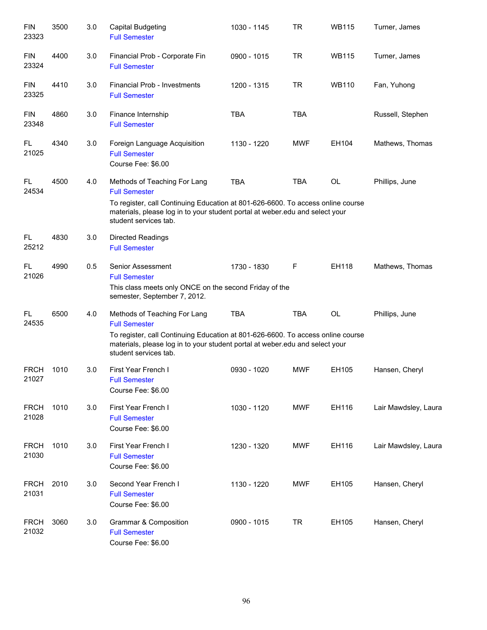| <b>FIN</b><br>23323  | 3500 | 3.0 | <b>Capital Budgeting</b><br><b>Full Semester</b>                                                                                                                                                                                                 | 1030 - 1145 | <b>TR</b>  | <b>WB115</b> | Turner, James        |
|----------------------|------|-----|--------------------------------------------------------------------------------------------------------------------------------------------------------------------------------------------------------------------------------------------------|-------------|------------|--------------|----------------------|
| <b>FIN</b><br>23324  | 4400 | 3.0 | Financial Prob - Corporate Fin<br><b>Full Semester</b>                                                                                                                                                                                           | 0900 - 1015 | <b>TR</b>  | <b>WB115</b> | Turner, James        |
| <b>FIN</b><br>23325  | 4410 | 3.0 | Financial Prob - Investments<br><b>Full Semester</b>                                                                                                                                                                                             | 1200 - 1315 | <b>TR</b>  | <b>WB110</b> | Fan, Yuhong          |
| <b>FIN</b><br>23348  | 4860 | 3.0 | Finance Internship<br><b>Full Semester</b>                                                                                                                                                                                                       | <b>TBA</b>  | <b>TBA</b> |              | Russell, Stephen     |
| FL.<br>21025         | 4340 | 3.0 | Foreign Language Acquisition<br><b>Full Semester</b><br>Course Fee: \$6.00                                                                                                                                                                       | 1130 - 1220 | <b>MWF</b> | EH104        | Mathews, Thomas      |
| FL<br>24534          | 4500 | 4.0 | Methods of Teaching For Lang<br><b>Full Semester</b><br>To register, call Continuing Education at 801-626-6600. To access online course<br>materials, please log in to your student portal at weber edu and select your<br>student services tab. | <b>TBA</b>  | <b>TBA</b> | OL           | Phillips, June       |
| FL<br>25212          | 4830 | 3.0 | Directed Readings<br><b>Full Semester</b>                                                                                                                                                                                                        |             |            |              |                      |
| FL<br>21026          | 4990 | 0.5 | Senior Assessment<br><b>Full Semester</b><br>This class meets only ONCE on the second Friday of the<br>semester, September 7, 2012.                                                                                                              | 1730 - 1830 | F          | EH118        | Mathews, Thomas      |
| FL.<br>24535         | 6500 | 4.0 | Methods of Teaching For Lang<br><b>Full Semester</b><br>To register, call Continuing Education at 801-626-6600. To access online course<br>materials, please log in to your student portal at weber edu and select your<br>student services tab. | <b>TBA</b>  | <b>TBA</b> | <b>OL</b>    | Phillips, June       |
| <b>FRCH</b><br>21027 | 1010 | 3.0 | First Year French I<br><b>Full Semester</b><br>Course Fee: \$6.00                                                                                                                                                                                | 0930 - 1020 | <b>MWF</b> | EH105        | Hansen, Cheryl       |
| <b>FRCH</b><br>21028 | 1010 | 3.0 | First Year French I<br><b>Full Semester</b><br>Course Fee: \$6.00                                                                                                                                                                                | 1030 - 1120 | <b>MWF</b> | EH116        | Lair Mawdsley, Laura |
| <b>FRCH</b><br>21030 | 1010 | 3.0 | First Year French I<br><b>Full Semester</b><br>Course Fee: \$6.00                                                                                                                                                                                | 1230 - 1320 | <b>MWF</b> | EH116        | Lair Mawdsley, Laura |
| <b>FRCH</b><br>21031 | 2010 | 3.0 | Second Year French I<br><b>Full Semester</b><br>Course Fee: \$6.00                                                                                                                                                                               | 1130 - 1220 | <b>MWF</b> | EH105        | Hansen, Cheryl       |
| <b>FRCH</b><br>21032 | 3060 | 3.0 | Grammar & Composition<br><b>Full Semester</b><br>Course Fee: \$6.00                                                                                                                                                                              | 0900 - 1015 | <b>TR</b>  | EH105        | Hansen, Cheryl       |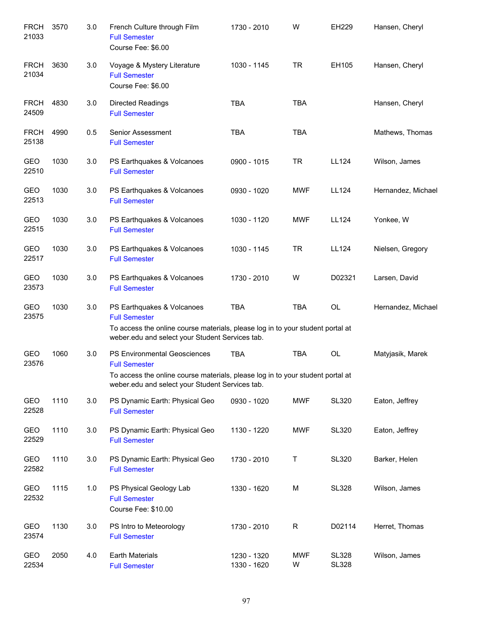| <b>FRCH</b><br>21033 | 3570 | 3.0 | French Culture through Film<br><b>Full Semester</b><br>Course Fee: \$6.00                                                         | 1730 - 2010                | W               | EH229                        | Hansen, Cheryl     |
|----------------------|------|-----|-----------------------------------------------------------------------------------------------------------------------------------|----------------------------|-----------------|------------------------------|--------------------|
| <b>FRCH</b><br>21034 | 3630 | 3.0 | Voyage & Mystery Literature<br><b>Full Semester</b><br>Course Fee: \$6.00                                                         | 1030 - 1145                | <b>TR</b>       | EH105                        | Hansen, Cheryl     |
| <b>FRCH</b><br>24509 | 4830 | 3.0 | <b>Directed Readings</b><br><b>Full Semester</b>                                                                                  | <b>TBA</b>                 | <b>TBA</b>      |                              | Hansen, Cheryl     |
| <b>FRCH</b><br>25138 | 4990 | 0.5 | Senior Assessment<br><b>Full Semester</b>                                                                                         | <b>TBA</b>                 | <b>TBA</b>      |                              | Mathews, Thomas    |
| GEO<br>22510         | 1030 | 3.0 | PS Earthquakes & Volcanoes<br><b>Full Semester</b>                                                                                | 0900 - 1015                | <b>TR</b>       | LL124                        | Wilson, James      |
| GEO<br>22513         | 1030 | 3.0 | PS Earthquakes & Volcanoes<br><b>Full Semester</b>                                                                                | 0930 - 1020                | <b>MWF</b>      | LL124                        | Hernandez, Michael |
| GEO<br>22515         | 1030 | 3.0 | PS Earthquakes & Volcanoes<br><b>Full Semester</b>                                                                                | 1030 - 1120                | <b>MWF</b>      | LL124                        | Yonkee, W          |
| GEO<br>22517         | 1030 | 3.0 | PS Earthquakes & Volcanoes<br><b>Full Semester</b>                                                                                | 1030 - 1145                | <b>TR</b>       | LL124                        | Nielsen, Gregory   |
| GEO<br>23573         | 1030 | 3.0 | PS Earthquakes & Volcanoes<br><b>Full Semester</b>                                                                                | 1730 - 2010                | W               | D02321                       | Larsen, David      |
| GEO<br>23575         | 1030 | 3.0 | PS Earthquakes & Volcanoes<br><b>Full Semester</b>                                                                                | <b>TBA</b>                 | <b>TBA</b>      | OL                           | Hernandez, Michael |
|                      |      |     | To access the online course materials, please log in to your student portal at<br>weber.edu and select your Student Services tab. |                            |                 |                              |                    |
| GEO<br>23576         | 1060 | 3.0 | <b>PS Environmental Geosciences</b><br><b>Full Semester</b>                                                                       | <b>TBA</b>                 | <b>TBA</b>      | OL                           | Matyjasik, Marek   |
|                      |      |     | To access the online course materials, please log in to your student portal at<br>weber.edu and select your Student Services tab. |                            |                 |                              |                    |
| GEO<br>22528         | 1110 | 3.0 | PS Dynamic Earth: Physical Geo<br><b>Full Semester</b>                                                                            | 0930 - 1020                | <b>MWF</b>      | <b>SL320</b>                 | Eaton, Jeffrey     |
| GEO<br>22529         | 1110 | 3.0 | PS Dynamic Earth: Physical Geo<br><b>Full Semester</b>                                                                            | 1130 - 1220                | <b>MWF</b>      | <b>SL320</b>                 | Eaton, Jeffrey     |
| GEO<br>22582         | 1110 | 3.0 | PS Dynamic Earth: Physical Geo<br><b>Full Semester</b>                                                                            | 1730 - 2010                | Τ               | <b>SL320</b>                 | Barker, Helen      |
| GEO<br>22532         | 1115 | 1.0 | PS Physical Geology Lab<br><b>Full Semester</b><br>Course Fee: \$10.00                                                            | 1330 - 1620                | M               | <b>SL328</b>                 | Wilson, James      |
| GEO<br>23574         | 1130 | 3.0 | PS Intro to Meteorology<br><b>Full Semester</b>                                                                                   | 1730 - 2010                | $\mathsf{R}$    | D02114                       | Herret, Thomas     |
| GEO<br>22534         | 2050 | 4.0 | <b>Earth Materials</b><br><b>Full Semester</b>                                                                                    | 1230 - 1320<br>1330 - 1620 | <b>MWF</b><br>W | <b>SL328</b><br><b>SL328</b> | Wilson, James      |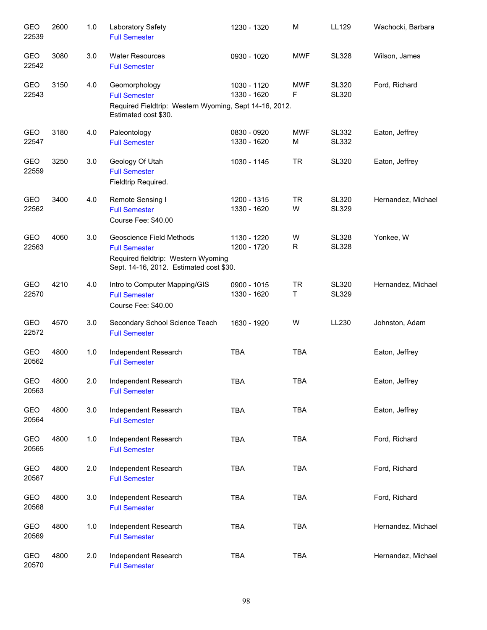| GEO<br>22539        | 2600 | 1.0   | Laboratory Safety<br><b>Full Semester</b>                                                                                          | 1230 - 1320                | M               | LL129                        | Wachocki, Barbara  |
|---------------------|------|-------|------------------------------------------------------------------------------------------------------------------------------------|----------------------------|-----------------|------------------------------|--------------------|
| GEO<br>22542        | 3080 | 3.0   | <b>Water Resources</b><br><b>Full Semester</b>                                                                                     | 0930 - 1020                | <b>MWF</b>      | <b>SL328</b>                 | Wilson, James      |
| <b>GEO</b><br>22543 | 3150 | 4.0   | Geomorphology<br><b>Full Semester</b><br>Required Fieldtrip: Western Wyoming, Sept 14-16, 2012.<br>Estimated cost \$30.            | 1030 - 1120<br>1330 - 1620 | <b>MWF</b><br>F | <b>SL320</b><br><b>SL320</b> | Ford, Richard      |
| GEO<br>22547        | 3180 | 4.0   | Paleontology<br><b>Full Semester</b>                                                                                               | 0830 - 0920<br>1330 - 1620 | <b>MWF</b><br>M | <b>SL332</b><br><b>SL332</b> | Eaton, Jeffrey     |
| <b>GEO</b><br>22559 | 3250 | 3.0   | Geology Of Utah<br><b>Full Semester</b><br>Fieldtrip Required.                                                                     | 1030 - 1145                | <b>TR</b>       | <b>SL320</b>                 | Eaton, Jeffrey     |
| GEO<br>22562        | 3400 | 4.0   | Remote Sensing I<br><b>Full Semester</b><br>Course Fee: \$40.00                                                                    | 1200 - 1315<br>1330 - 1620 | <b>TR</b><br>W  | <b>SL320</b><br><b>SL329</b> | Hernandez, Michael |
| GEO<br>22563        | 4060 | 3.0   | Geoscience Field Methods<br><b>Full Semester</b><br>Required fieldtrip: Western Wyoming<br>Sept. 14-16, 2012. Estimated cost \$30. | 1130 - 1220<br>1200 - 1720 | W<br>R          | <b>SL328</b><br><b>SL328</b> | Yonkee, W          |
| GEO<br>22570        | 4210 | 4.0   | Intro to Computer Mapping/GIS<br><b>Full Semester</b><br>Course Fee: \$40.00                                                       | 0900 - 1015<br>1330 - 1620 | <b>TR</b><br>T  | <b>SL320</b><br><b>SL329</b> | Hernandez, Michael |
| GEO<br>22572        | 4570 | 3.0   | Secondary School Science Teach<br><b>Full Semester</b>                                                                             | 1630 - 1920                | W               | LL230                        | Johnston, Adam     |
| GEO<br>20562        | 4800 | 1.0   | Independent Research<br><b>Full Semester</b>                                                                                       | <b>TBA</b>                 | <b>TBA</b>      |                              | Eaton, Jeffrey     |
| GEO<br>20563        | 4800 | 2.0   | Independent Research<br><b>Full Semester</b>                                                                                       | TBA                        | TBA             |                              | Eaton, Jeffrey     |
| GEO<br>20564        | 4800 | 3.0   | Independent Research<br><b>Full Semester</b>                                                                                       | TBA                        | <b>TBA</b>      |                              | Eaton, Jeffrey     |
| GEO<br>20565        | 4800 | 1.0   | Independent Research<br><b>Full Semester</b>                                                                                       | TBA                        | <b>TBA</b>      |                              | Ford, Richard      |
| GEO<br>20567        | 4800 | 2.0   | Independent Research<br><b>Full Semester</b>                                                                                       | <b>TBA</b>                 | <b>TBA</b>      |                              | Ford, Richard      |
| GEO<br>20568        | 4800 | 3.0   | Independent Research<br><b>Full Semester</b>                                                                                       | <b>TBA</b>                 | <b>TBA</b>      |                              | Ford, Richard      |
| GEO<br>20569        | 4800 | $1.0$ | Independent Research<br><b>Full Semester</b>                                                                                       | TBA                        | <b>TBA</b>      |                              | Hernandez, Michael |
| GEO<br>20570        | 4800 | 2.0   | Independent Research<br><b>Full Semester</b>                                                                                       | <b>TBA</b>                 | <b>TBA</b>      |                              | Hernandez, Michael |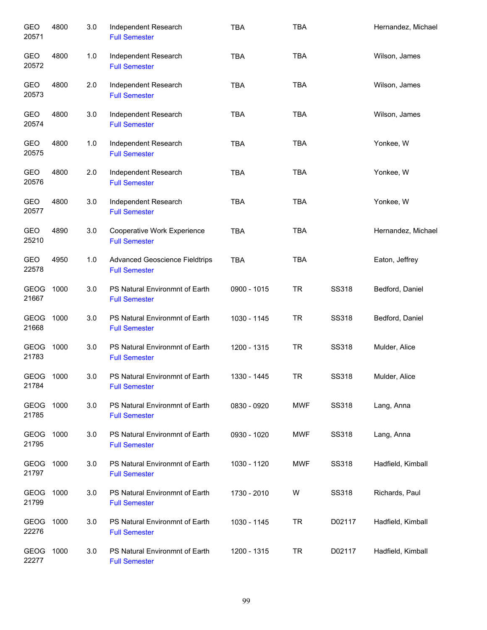| GEO<br>20571         | 4800 | 3.0 | Independent Research<br><b>Full Semester</b>                  | <b>TBA</b>  | <b>TBA</b> |              | Hernandez, Michael |
|----------------------|------|-----|---------------------------------------------------------------|-------------|------------|--------------|--------------------|
| GEO<br>20572         | 4800 | 1.0 | Independent Research<br><b>Full Semester</b>                  | <b>TBA</b>  | <b>TBA</b> |              | Wilson, James      |
| GEO<br>20573         | 4800 | 2.0 | Independent Research<br><b>Full Semester</b>                  | <b>TBA</b>  | <b>TBA</b> |              | Wilson, James      |
| GEO<br>20574         | 4800 | 3.0 | Independent Research<br><b>Full Semester</b>                  | <b>TBA</b>  | <b>TBA</b> |              | Wilson, James      |
| GEO<br>20575         | 4800 | 1.0 | Independent Research<br><b>Full Semester</b>                  | <b>TBA</b>  | <b>TBA</b> |              | Yonkee, W          |
| GEO<br>20576         | 4800 | 2.0 | Independent Research<br><b>Full Semester</b>                  | <b>TBA</b>  | <b>TBA</b> |              | Yonkee, W          |
| GEO<br>20577         | 4800 | 3.0 | Independent Research<br><b>Full Semester</b>                  | <b>TBA</b>  | <b>TBA</b> |              | Yonkee, W          |
| GEO<br>25210         | 4890 | 3.0 | Cooperative Work Experience<br><b>Full Semester</b>           | <b>TBA</b>  | <b>TBA</b> |              | Hernandez, Michael |
| GEO<br>22578         | 4950 | 1.0 | <b>Advanced Geoscience Fieldtrips</b><br><b>Full Semester</b> | <b>TBA</b>  | <b>TBA</b> |              | Eaton, Jeffrey     |
| <b>GEOG</b><br>21667 | 1000 | 3.0 | PS Natural Environmnt of Earth<br><b>Full Semester</b>        | 0900 - 1015 | <b>TR</b>  | SS318        | Bedford, Daniel    |
| <b>GEOG</b><br>21668 | 1000 | 3.0 | PS Natural Environmnt of Earth<br><b>Full Semester</b>        | 1030 - 1145 | <b>TR</b>  | SS318        | Bedford, Daniel    |
| <b>GEOG</b><br>21783 | 1000 | 3.0 | PS Natural Environmnt of Earth<br><b>Full Semester</b>        | 1200 - 1315 | <b>TR</b>  | <b>SS318</b> | Mulder, Alice      |
| GEOG<br>21784        | 1000 | 3.0 | PS Natural Environmnt of Earth<br><b>Full Semester</b>        | 1330 - 1445 | <b>TR</b>  | <b>SS318</b> | Mulder, Alice      |
| GEOG<br>21785        | 1000 | 3.0 | PS Natural Environmnt of Earth<br><b>Full Semester</b>        | 0830 - 0920 | MWF        | <b>SS318</b> | Lang, Anna         |
| GEOG<br>21795        | 1000 | 3.0 | PS Natural Environmnt of Earth<br><b>Full Semester</b>        | 0930 - 1020 | MWF        | <b>SS318</b> | Lang, Anna         |
| GEOG<br>21797        | 1000 | 3.0 | PS Natural Environmnt of Earth<br><b>Full Semester</b>        | 1030 - 1120 | MWF        | SS318        | Hadfield, Kimball  |
| GEOG<br>21799        | 1000 | 3.0 | PS Natural Environmnt of Earth<br><b>Full Semester</b>        | 1730 - 2010 | W          | <b>SS318</b> | Richards, Paul     |
| GEOG<br>22276        | 1000 | 3.0 | PS Natural Environmnt of Earth<br><b>Full Semester</b>        | 1030 - 1145 | <b>TR</b>  | D02117       | Hadfield, Kimball  |
| GEOG<br>22277        | 1000 | 3.0 | PS Natural Environmnt of Earth<br><b>Full Semester</b>        | 1200 - 1315 | <b>TR</b>  | D02117       | Hadfield, Kimball  |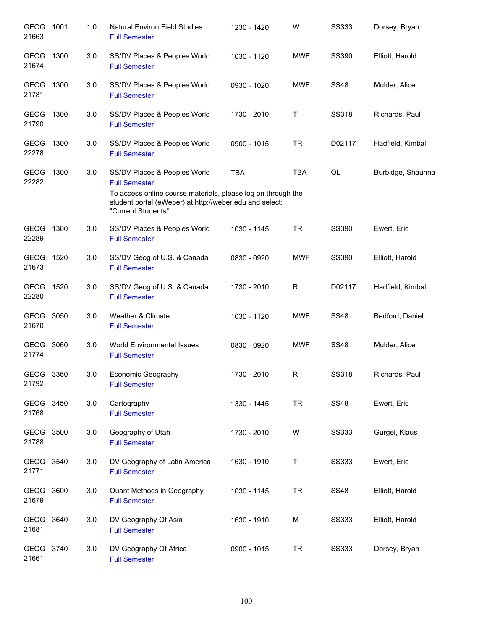| GEOG 1001<br>21663   |      | 1.0 | <b>Natural Environ Field Studies</b><br><b>Full Semester</b>                                                                                   | 1230 - 1420 | W          | <b>SS333</b> | Dorsey, Bryan     |
|----------------------|------|-----|------------------------------------------------------------------------------------------------------------------------------------------------|-------------|------------|--------------|-------------------|
| <b>GEOG</b><br>21674 | 1300 | 3.0 | SS/DV Places & Peoples World<br><b>Full Semester</b>                                                                                           | 1030 - 1120 | <b>MWF</b> | <b>SS390</b> | Elliott, Harold   |
| GEOG 1300<br>21781   |      | 3.0 | SS/DV Places & Peoples World<br><b>Full Semester</b>                                                                                           | 0930 - 1020 | <b>MWF</b> | <b>SS48</b>  | Mulder, Alice     |
| GEOG<br>21790        | 1300 | 3.0 | SS/DV Places & Peoples World<br><b>Full Semester</b>                                                                                           | 1730 - 2010 | Τ          | <b>SS318</b> | Richards, Paul    |
| GEOG 1300<br>22278   |      | 3.0 | SS/DV Places & Peoples World<br><b>Full Semester</b>                                                                                           | 0900 - 1015 | <b>TR</b>  | D02117       | Hadfield, Kimball |
| GEOG 1300<br>22282   |      | 3.0 | SS/DV Places & Peoples World<br><b>Full Semester</b>                                                                                           | <b>TBA</b>  | <b>TBA</b> | OL           | Burbidge, Shaunna |
|                      |      |     | To access online course materials, please log on through the<br>student portal (eWeber) at http://weber.edu and select:<br>"Current Students". |             |            |              |                   |
| GEOG 1300<br>22289   |      | 3.0 | SS/DV Places & Peoples World<br><b>Full Semester</b>                                                                                           | 1030 - 1145 | <b>TR</b>  | <b>SS390</b> | Ewert, Eric       |
| GEOG 1520<br>21673   |      | 3.0 | SS/DV Geog of U.S. & Canada<br><b>Full Semester</b>                                                                                            | 0830 - 0920 | <b>MWF</b> | <b>SS390</b> | Elliott, Harold   |
| GEOG 1520<br>22280   |      | 3.0 | SS/DV Geog of U.S. & Canada<br><b>Full Semester</b>                                                                                            | 1730 - 2010 | R          | D02117       | Hadfield, Kimball |
| GEOG 3050<br>21670   |      | 3.0 | Weather & Climate<br><b>Full Semester</b>                                                                                                      | 1030 - 1120 | <b>MWF</b> | <b>SS48</b>  | Bedford, Daniel   |
| GEOG 3060<br>21774   |      | 3.0 | <b>World Environmental Issues</b><br><b>Full Semester</b>                                                                                      | 0830 - 0920 | <b>MWF</b> | <b>SS48</b>  | Mulder, Alice     |
| GEOG 3360<br>21792   |      | 3.0 | Economic Geography<br><b>Full Semester</b>                                                                                                     | 1730 - 2010 | R          | <b>SS318</b> | Richards, Paul    |
| GEOG 3450<br>21768   |      | 3.0 | Cartography<br><b>Full Semester</b>                                                                                                            | 1330 - 1445 | <b>TR</b>  | <b>SS48</b>  | Ewert, Eric       |
| GEOG 3500<br>21788   |      | 3.0 | Geography of Utah<br><b>Full Semester</b>                                                                                                      | 1730 - 2010 | W          | <b>SS333</b> | Gurgel, Klaus     |
| GEOG 3540<br>21771   |      | 3.0 | DV Geography of Latin America<br><b>Full Semester</b>                                                                                          | 1630 - 1910 | T          | <b>SS333</b> | Ewert, Eric       |
| GEOG<br>21679        | 3600 | 3.0 | Quant Methods in Geography<br><b>Full Semester</b>                                                                                             | 1030 - 1145 | <b>TR</b>  | <b>SS48</b>  | Elliott, Harold   |
| GEOG 3640<br>21681   |      | 3.0 | DV Geography Of Asia<br><b>Full Semester</b>                                                                                                   | 1630 - 1910 | M          | <b>SS333</b> | Elliott, Harold   |
| GEOG 3740<br>21661   |      | 3.0 | DV Geography Of Africa<br><b>Full Semester</b>                                                                                                 | 0900 - 1015 | <b>TR</b>  | <b>SS333</b> | Dorsey, Bryan     |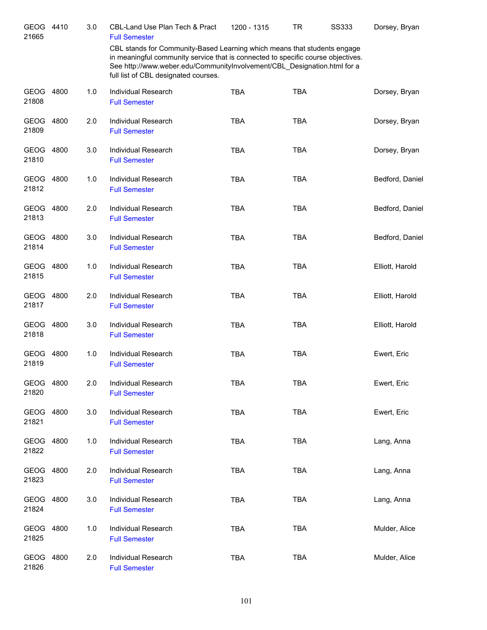| GEOG 4410<br>21665   |      | 3.0 | CBL-Land Use Plan Tech & Pract<br><b>Full Semester</b>                                                                                                                                                                                                                           | 1200 - 1315 | TR         | <b>SS333</b> | Dorsey, Bryan   |
|----------------------|------|-----|----------------------------------------------------------------------------------------------------------------------------------------------------------------------------------------------------------------------------------------------------------------------------------|-------------|------------|--------------|-----------------|
|                      |      |     | CBL stands for Community-Based Learning which means that students engage<br>in meaningful community service that is connected to specific course objectives.<br>See http://www.weber.edu/CommunityInvolvement/CBL Designation.html for a<br>full list of CBL designated courses. |             |            |              |                 |
| GEOG 4800<br>21808   |      | 1.0 | Individual Research<br><b>Full Semester</b>                                                                                                                                                                                                                                      | <b>TBA</b>  | <b>TBA</b> |              | Dorsey, Bryan   |
| GEOG 4800<br>21809   |      | 2.0 | Individual Research<br><b>Full Semester</b>                                                                                                                                                                                                                                      | <b>TBA</b>  | <b>TBA</b> |              | Dorsey, Bryan   |
| GEOG 4800<br>21810   |      | 3.0 | Individual Research<br><b>Full Semester</b>                                                                                                                                                                                                                                      | <b>TBA</b>  | <b>TBA</b> |              | Dorsey, Bryan   |
| GEOG 4800<br>21812   |      | 1.0 | Individual Research<br><b>Full Semester</b>                                                                                                                                                                                                                                      | <b>TBA</b>  | <b>TBA</b> |              | Bedford, Daniel |
| GEOG 4800<br>21813   |      | 2.0 | Individual Research<br><b>Full Semester</b>                                                                                                                                                                                                                                      | <b>TBA</b>  | <b>TBA</b> |              | Bedford, Daniel |
| GEOG 4800<br>21814   |      | 3.0 | <b>Individual Research</b><br><b>Full Semester</b>                                                                                                                                                                                                                               | <b>TBA</b>  | <b>TBA</b> |              | Bedford, Daniel |
| GEOG 4800<br>21815   |      | 1.0 | Individual Research<br><b>Full Semester</b>                                                                                                                                                                                                                                      | <b>TBA</b>  | <b>TBA</b> |              | Elliott, Harold |
| GEOG 4800<br>21817   |      | 2.0 | <b>Individual Research</b><br><b>Full Semester</b>                                                                                                                                                                                                                               | <b>TBA</b>  | <b>TBA</b> |              | Elliott, Harold |
| GEOG 4800<br>21818   |      | 3.0 | <b>Individual Research</b><br><b>Full Semester</b>                                                                                                                                                                                                                               | <b>TBA</b>  | <b>TBA</b> |              | Elliott, Harold |
| GEOG 4800<br>21819   |      | 1.0 | Individual Research<br><b>Full Semester</b>                                                                                                                                                                                                                                      | <b>TBA</b>  | <b>TBA</b> |              | Ewert, Eric     |
| GEOG 4800<br>21820   |      | 2.0 | Individual Research<br><b>Full Semester</b>                                                                                                                                                                                                                                      | TBA         | TBA        |              | Ewert, Eric     |
| <b>GEOG</b><br>21821 | 4800 | 3.0 | Individual Research<br><b>Full Semester</b>                                                                                                                                                                                                                                      | <b>TBA</b>  | <b>TBA</b> |              | Ewert, Eric     |
| GEOG<br>21822        | 4800 | 1.0 | Individual Research<br><b>Full Semester</b>                                                                                                                                                                                                                                      | <b>TBA</b>  | <b>TBA</b> |              | Lang, Anna      |
| <b>GEOG</b><br>21823 | 4800 | 2.0 | Individual Research<br><b>Full Semester</b>                                                                                                                                                                                                                                      | <b>TBA</b>  | <b>TBA</b> |              | Lang, Anna      |
| <b>GEOG</b><br>21824 | 4800 | 3.0 | Individual Research<br><b>Full Semester</b>                                                                                                                                                                                                                                      | <b>TBA</b>  | <b>TBA</b> |              | Lang, Anna      |
| GEOG<br>21825        | 4800 | 1.0 | Individual Research<br><b>Full Semester</b>                                                                                                                                                                                                                                      | <b>TBA</b>  | <b>TBA</b> |              | Mulder, Alice   |
| GEOG 4800<br>21826   |      | 2.0 | Individual Research<br><b>Full Semester</b>                                                                                                                                                                                                                                      | <b>TBA</b>  | <b>TBA</b> |              | Mulder, Alice   |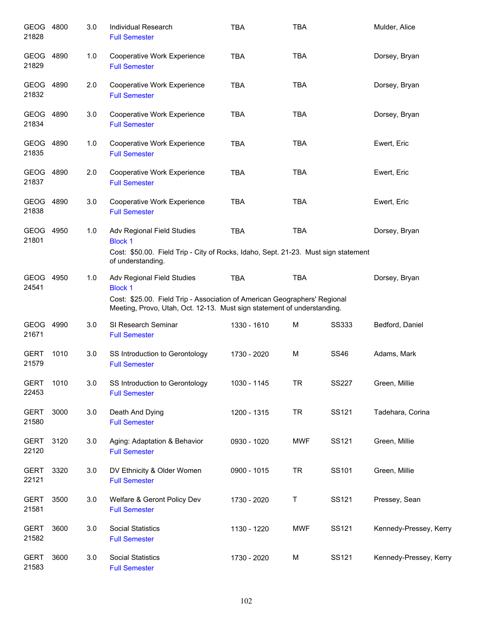| GEOG 4800<br>21828   |      | 3.0 | Individual Research<br><b>Full Semester</b>                                                                                                          | <b>TBA</b>  | <b>TBA</b> |              | Mulder, Alice          |
|----------------------|------|-----|------------------------------------------------------------------------------------------------------------------------------------------------------|-------------|------------|--------------|------------------------|
| GEOG 4890<br>21829   |      | 1.0 | Cooperative Work Experience<br><b>Full Semester</b>                                                                                                  | <b>TBA</b>  | <b>TBA</b> |              | Dorsey, Bryan          |
| GEOG 4890<br>21832   |      | 2.0 | Cooperative Work Experience<br><b>Full Semester</b>                                                                                                  | <b>TBA</b>  | <b>TBA</b> |              | Dorsey, Bryan          |
| GEOG 4890<br>21834   |      | 3.0 | Cooperative Work Experience<br><b>Full Semester</b>                                                                                                  | <b>TBA</b>  | <b>TBA</b> |              | Dorsey, Bryan          |
| GEOG 4890<br>21835   |      | 1.0 | Cooperative Work Experience<br><b>Full Semester</b>                                                                                                  | <b>TBA</b>  | <b>TBA</b> |              | Ewert, Eric            |
| GEOG 4890<br>21837   |      | 2.0 | Cooperative Work Experience<br><b>Full Semester</b>                                                                                                  | <b>TBA</b>  | <b>TBA</b> |              | Ewert, Eric            |
| GEOG 4890<br>21838   |      | 3.0 | Cooperative Work Experience<br><b>Full Semester</b>                                                                                                  | <b>TBA</b>  | <b>TBA</b> |              | Ewert, Eric            |
| GEOG 4950<br>21801   |      | 1.0 | Adv Regional Field Studies<br><b>Block 1</b>                                                                                                         | <b>TBA</b>  | <b>TBA</b> |              | Dorsey, Bryan          |
|                      |      |     | Cost: \$50.00. Field Trip - City of Rocks, Idaho, Sept. 21-23. Must sign statement<br>of understanding.                                              |             |            |              |                        |
| GEOG 4950<br>24541   |      | 1.0 | Adv Regional Field Studies<br><b>Block 1</b>                                                                                                         | <b>TBA</b>  | <b>TBA</b> |              | Dorsey, Bryan          |
|                      |      |     | Cost: \$25.00. Field Trip - Association of American Geographers' Regional<br>Meeting, Provo, Utah, Oct. 12-13. Must sign statement of understanding. |             |            |              |                        |
| GEOG<br>21671        | 4990 | 3.0 | SI Research Seminar<br><b>Full Semester</b>                                                                                                          | 1330 - 1610 | М          | SS333        | Bedford, Daniel        |
| <b>GERT</b><br>21579 | 1010 | 3.0 | SS Introduction to Gerontology<br><b>Full Semester</b>                                                                                               | 1730 - 2020 | M          | <b>SS46</b>  | Adams, Mark            |
| <b>GERT</b><br>22453 | 1010 | 3.0 | SS Introduction to Gerontology<br><b>Full Semester</b>                                                                                               | 1030 - 1145 | <b>TR</b>  | <b>SS227</b> | Green, Millie          |
| <b>GERT</b><br>21580 | 3000 | 3.0 | Death And Dying<br><b>Full Semester</b>                                                                                                              | 1200 - 1315 | <b>TR</b>  | SS121        | Tadehara, Corina       |
| <b>GERT</b><br>22120 | 3120 | 3.0 | Aging: Adaptation & Behavior<br><b>Full Semester</b>                                                                                                 | 0930 - 1020 | <b>MWF</b> | SS121        | Green, Millie          |
| <b>GERT</b><br>22121 | 3320 | 3.0 | DV Ethnicity & Older Women<br><b>Full Semester</b>                                                                                                   | 0900 - 1015 | <b>TR</b>  | SS101        | Green, Millie          |
| <b>GERT</b><br>21581 | 3500 | 3.0 | Welfare & Geront Policy Dev<br><b>Full Semester</b>                                                                                                  | 1730 - 2020 | Τ          | SS121        | Pressey, Sean          |
| <b>GERT</b><br>21582 | 3600 | 3.0 | <b>Social Statistics</b><br><b>Full Semester</b>                                                                                                     | 1130 - 1220 | <b>MWF</b> | SS121        | Kennedy-Pressey, Kerry |
| <b>GERT</b><br>21583 | 3600 | 3.0 | <b>Social Statistics</b><br><b>Full Semester</b>                                                                                                     | 1730 - 2020 | M          | SS121        | Kennedy-Pressey, Kerry |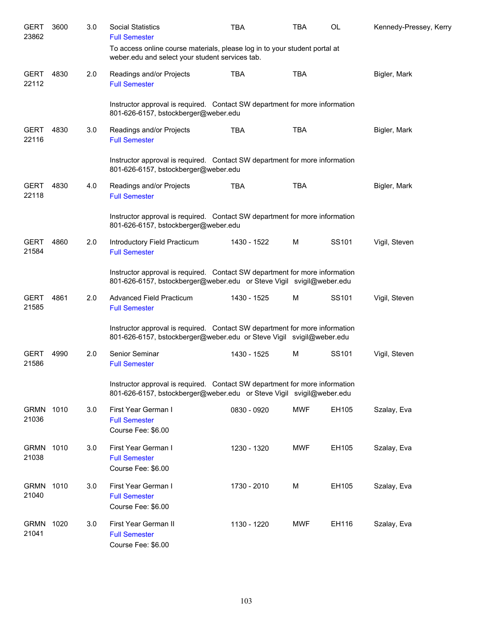| <b>GERT</b><br>23862 | 3600 | 3.0 | <b>Social Statistics</b><br><b>Full Semester</b>                                                                                                    | <b>TBA</b>  | <b>TBA</b> | OL    | Kennedy-Pressey, Kerry |
|----------------------|------|-----|-----------------------------------------------------------------------------------------------------------------------------------------------------|-------------|------------|-------|------------------------|
|                      |      |     | To access online course materials, please log in to your student portal at<br>weber.edu and select your student services tab.                       |             |            |       |                        |
| <b>GERT</b><br>22112 | 4830 | 2.0 | Readings and/or Projects<br><b>Full Semester</b>                                                                                                    | <b>TBA</b>  | <b>TBA</b> |       | Bigler, Mark           |
|                      |      |     | Instructor approval is required. Contact SW department for more information<br>801-626-6157, bstockberger@weber.edu                                 |             |            |       |                        |
| <b>GERT</b><br>22116 | 4830 | 3.0 | Readings and/or Projects<br><b>Full Semester</b>                                                                                                    | <b>TBA</b>  | <b>TBA</b> |       | Bigler, Mark           |
|                      |      |     | Instructor approval is required. Contact SW department for more information<br>801-626-6157, bstockberger@weber.edu                                 |             |            |       |                        |
| <b>GERT</b><br>22118 | 4830 | 4.0 | Readings and/or Projects<br><b>Full Semester</b>                                                                                                    | <b>TBA</b>  | <b>TBA</b> |       | Bigler, Mark           |
|                      |      |     | Instructor approval is required. Contact SW department for more information<br>801-626-6157, bstockberger@weber.edu                                 |             |            |       |                        |
| <b>GERT</b><br>21584 | 4860 | 2.0 | Introductory Field Practicum<br><b>Full Semester</b>                                                                                                | 1430 - 1522 | м          | SS101 | Vigil, Steven          |
|                      |      |     | Instructor approval is required. Contact SW department for more information<br>801-626-6157, bstockberger@weber.edu or Steve Vigil svigil@weber.edu |             |            |       |                        |
| <b>GERT</b><br>21585 | 4861 | 2.0 | Advanced Field Practicum<br><b>Full Semester</b>                                                                                                    | 1430 - 1525 | м          | SS101 | Vigil, Steven          |
|                      |      |     | Instructor approval is required. Contact SW department for more information<br>801-626-6157, bstockberger@weber.edu or Steve Vigil svigil@weber.edu |             |            |       |                        |
| <b>GERT</b><br>21586 | 4990 | 2.0 | Senior Seminar<br><b>Full Semester</b>                                                                                                              | 1430 - 1525 | м          | SS101 | Vigil, Steven          |
|                      |      |     | Instructor approval is required. Contact SW department for more information<br>801-626-6157, bstockberger@weber.edu or Steve Vigil svigil@weber.edu |             |            |       |                        |
| <b>GRMN</b><br>21036 | 1010 | 3.0 | First Year German I<br><b>Full Semester</b><br>Course Fee: \$6.00                                                                                   | 0830 - 0920 | MWF        | EH105 | Szalay, Eva            |
| <b>GRMN</b><br>21038 | 1010 | 3.0 | First Year German I<br><b>Full Semester</b><br>Course Fee: \$6.00                                                                                   | 1230 - 1320 | MWF        | EH105 | Szalay, Eva            |
| <b>GRMN</b><br>21040 | 1010 | 3.0 | First Year German I<br><b>Full Semester</b><br>Course Fee: \$6.00                                                                                   | 1730 - 2010 | M          | EH105 | Szalay, Eva            |
| <b>GRMN</b><br>21041 | 1020 | 3.0 | First Year German II<br><b>Full Semester</b><br>Course Fee: \$6.00                                                                                  | 1130 - 1220 | MWF        | EH116 | Szalay, Eva            |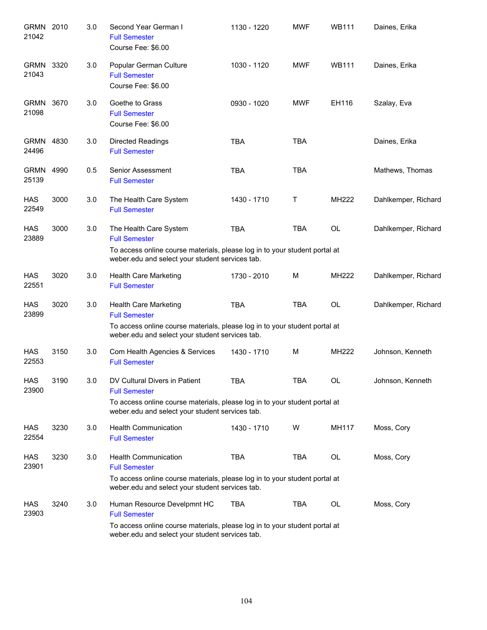| GRMN 2010<br>21042   |      | 3.0 | Second Year German I<br><b>Full Semester</b><br>Course Fee: \$6.00                                                            | 1130 - 1220 | <b>MWF</b> | <b>WB111</b> | Daines, Erika       |
|----------------------|------|-----|-------------------------------------------------------------------------------------------------------------------------------|-------------|------------|--------------|---------------------|
| <b>GRMN</b><br>21043 | 3320 | 3.0 | Popular German Culture<br><b>Full Semester</b><br>Course Fee: \$6.00                                                          | 1030 - 1120 | <b>MWF</b> | <b>WB111</b> | Daines, Erika       |
| <b>GRMN</b><br>21098 | 3670 | 3.0 | Goethe to Grass<br><b>Full Semester</b><br>Course Fee: \$6.00                                                                 | 0930 - 1020 | <b>MWF</b> | EH116        | Szalay, Eva         |
| <b>GRMN</b><br>24496 | 4830 | 3.0 | <b>Directed Readings</b><br><b>Full Semester</b>                                                                              | <b>TBA</b>  | <b>TBA</b> |              | Daines, Erika       |
| <b>GRMN</b><br>25139 | 4990 | 0.5 | Senior Assessment<br><b>Full Semester</b>                                                                                     | <b>TBA</b>  | <b>TBA</b> |              | Mathews, Thomas     |
| <b>HAS</b><br>22549  | 3000 | 3.0 | The Health Care System<br><b>Full Semester</b>                                                                                | 1430 - 1710 | т          | MH222        | Dahlkemper, Richard |
| <b>HAS</b><br>23889  | 3000 | 3.0 | The Health Care System<br><b>Full Semester</b><br>To access online course materials, please log in to your student portal at  | <b>TBA</b>  | <b>TBA</b> | <b>OL</b>    | Dahlkemper, Richard |
|                      |      |     | weber.edu and select your student services tab.                                                                               |             |            |              |                     |
| HAS<br>22551         | 3020 | 3.0 | <b>Health Care Marketing</b><br><b>Full Semester</b>                                                                          | 1730 - 2010 | м          | MH222        | Dahlkemper, Richard |
| <b>HAS</b><br>23899  | 3020 | 3.0 | Health Care Marketing<br><b>Full Semester</b>                                                                                 | <b>TBA</b>  | <b>TBA</b> | <b>OL</b>    | Dahlkemper, Richard |
|                      |      |     | To access online course materials, please log in to your student portal at<br>weber.edu and select your student services tab. |             |            |              |                     |
| <b>HAS</b><br>22553  | 3150 | 3.0 | Com Health Agencies & Services<br><b>Full Semester</b>                                                                        | 1430 - 1710 | M          | MH222        | Johnson, Kenneth    |
| <b>HAS</b><br>23900  | 3190 | 3.0 | DV Cultural Divers in Patient<br><b>Full Semester</b>                                                                         | TBA         | <b>TBA</b> | <b>OL</b>    | Johnson, Kenneth    |
|                      |      |     | To access online course materials, please log in to your student portal at<br>weber.edu and select your student services tab. |             |            |              |                     |
| HAS<br>22554         | 3230 | 3.0 | <b>Health Communication</b><br><b>Full Semester</b>                                                                           | 1430 - 1710 | W          | MH117        | Moss, Cory          |
| <b>HAS</b><br>23901  | 3230 | 3.0 | <b>Health Communication</b><br><b>Full Semester</b>                                                                           | <b>TBA</b>  | TBA        | OL           | Moss, Cory          |
|                      |      |     | To access online course materials, please log in to your student portal at<br>weber.edu and select your student services tab. |             |            |              |                     |
| HAS<br>23903         | 3240 | 3.0 | Human Resource Develpmnt HC<br><b>Full Semester</b>                                                                           | <b>TBA</b>  | TBA        | OL           | Moss, Cory          |
|                      |      |     | To access online course materials, please log in to your student portal at<br>weber.edu and select your student services tab. |             |            |              |                     |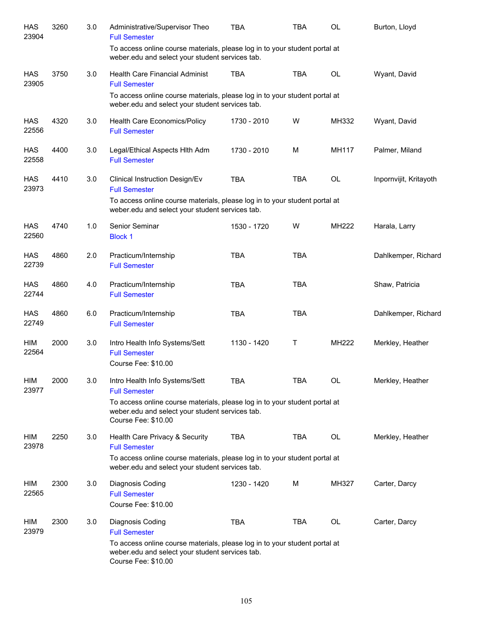| <b>HAS</b><br>23904 | 3260 | 3.0 | Administrative/Supervisor Theo<br><b>Full Semester</b>                                                                                               | <b>TBA</b>  | TBA        | OL    | Burton, Lloyd          |
|---------------------|------|-----|------------------------------------------------------------------------------------------------------------------------------------------------------|-------------|------------|-------|------------------------|
|                     |      |     | To access online course materials, please log in to your student portal at<br>weber.edu and select your student services tab.                        |             |            |       |                        |
| <b>HAS</b><br>23905 | 3750 | 3.0 | <b>Health Care Financial Administ</b><br><b>Full Semester</b>                                                                                        | <b>TBA</b>  | <b>TBA</b> | OL    | Wyant, David           |
|                     |      |     | To access online course materials, please log in to your student portal at<br>weber.edu and select your student services tab.                        |             |            |       |                        |
| <b>HAS</b><br>22556 | 4320 | 3.0 | Health Care Economics/Policy<br><b>Full Semester</b>                                                                                                 | 1730 - 2010 | W          | MH332 | Wyant, David           |
| <b>HAS</b><br>22558 | 4400 | 3.0 | Legal/Ethical Aspects Hith Adm<br><b>Full Semester</b>                                                                                               | 1730 - 2010 | м          | MH117 | Palmer, Miland         |
| <b>HAS</b><br>23973 | 4410 | 3.0 | Clinical Instruction Design/Ev<br><b>Full Semester</b><br>To access online course materials, please log in to your student portal at                 | <b>TBA</b>  | <b>TBA</b> | OL    | Inpornvijit, Kritayoth |
|                     |      |     | weber.edu and select your student services tab.                                                                                                      |             |            |       |                        |
| <b>HAS</b><br>22560 | 4740 | 1.0 | Senior Seminar<br><b>Block 1</b>                                                                                                                     | 1530 - 1720 | w          | MH222 | Harala, Larry          |
| <b>HAS</b><br>22739 | 4860 | 2.0 | Practicum/Internship<br><b>Full Semester</b>                                                                                                         | <b>TBA</b>  | <b>TBA</b> |       | Dahlkemper, Richard    |
| <b>HAS</b><br>22744 | 4860 | 4.0 | Practicum/Internship<br><b>Full Semester</b>                                                                                                         | <b>TBA</b>  | <b>TBA</b> |       | Shaw, Patricia         |
| <b>HAS</b><br>22749 | 4860 | 6.0 | Practicum/Internship<br><b>Full Semester</b>                                                                                                         | <b>TBA</b>  | <b>TBA</b> |       | Dahlkemper, Richard    |
| HIM<br>22564        | 2000 | 3.0 | Intro Health Info Systems/Sett<br><b>Full Semester</b><br>Course Fee: \$10.00                                                                        | 1130 - 1420 | Τ          | MH222 | Merkley, Heather       |
| HIM<br>23977        | 2000 | 3.0 | Intro Health Info Systems/Sett<br><b>Full Semester</b>                                                                                               | <b>TBA</b>  | <b>TBA</b> | OL    | Merkley, Heather       |
|                     |      |     | To access online course materials, please log in to your student portal at<br>weber.edu and select your student services tab.<br>Course Fee: \$10.00 |             |            |       |                        |
| HIM<br>23978        | 2250 | 3.0 | Health Care Privacy & Security<br><b>Full Semester</b>                                                                                               | <b>TBA</b>  | <b>TBA</b> | OL    | Merkley, Heather       |
|                     |      |     | To access online course materials, please log in to your student portal at<br>weber.edu and select your student services tab.                        |             |            |       |                        |
| <b>HIM</b><br>22565 | 2300 | 3.0 | Diagnosis Coding<br><b>Full Semester</b><br>Course Fee: \$10.00                                                                                      | 1230 - 1420 | M          | MH327 | Carter, Darcy          |
| <b>HIM</b><br>23979 | 2300 | 3.0 | Diagnosis Coding<br><b>Full Semester</b>                                                                                                             | <b>TBA</b>  | TBA        | OL    | Carter, Darcy          |
|                     |      |     | To access online course materials, please log in to your student portal at<br>weber.edu and select your student services tab.<br>Course Fee: \$10.00 |             |            |       |                        |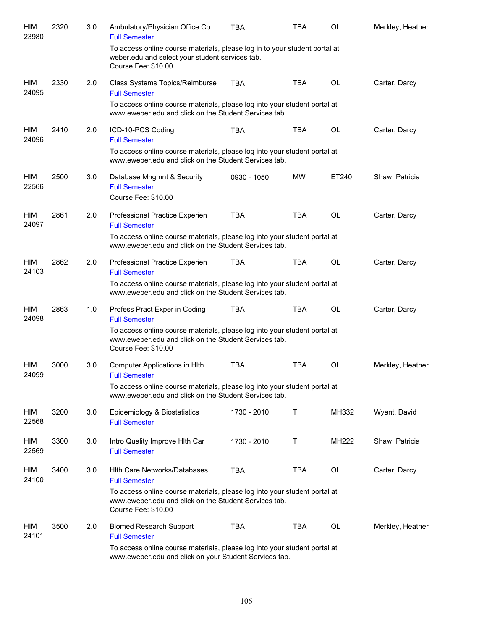| HIM<br>23980 | 2320 | 3.0 | Ambulatory/Physician Office Co<br><b>Full Semester</b>                                                                                                    | TBA         | TBA        | <b>OL</b> | Merkley, Heather |
|--------------|------|-----|-----------------------------------------------------------------------------------------------------------------------------------------------------------|-------------|------------|-----------|------------------|
|              |      |     | To access online course materials, please log in to your student portal at<br>weber.edu and select your student services tab.<br>Course Fee: \$10.00      |             |            |           |                  |
| HIM<br>24095 | 2330 | 2.0 | Class Systems Topics/Reimburse<br><b>Full Semester</b>                                                                                                    | <b>TBA</b>  | <b>TBA</b> | <b>OL</b> | Carter, Darcy    |
|              |      |     | To access online course materials, please log into your student portal at<br>www.eweber.edu and click on the Student Services tab.                        |             |            |           |                  |
| HIM<br>24096 | 2410 | 2.0 | ICD-10-PCS Coding<br><b>Full Semester</b>                                                                                                                 | <b>TBA</b>  | <b>TBA</b> | <b>OL</b> | Carter, Darcy    |
|              |      |     | To access online course materials, please log into your student portal at<br>www.eweber.edu and click on the Student Services tab.                        |             |            |           |                  |
| HIM<br>22566 | 2500 | 3.0 | Database Mngmnt & Security<br><b>Full Semester</b><br>Course Fee: \$10.00                                                                                 | 0930 - 1050 | <b>MW</b>  | ET240     | Shaw, Patricia   |
| HIM<br>24097 | 2861 | 2.0 | Professional Practice Experien<br><b>Full Semester</b>                                                                                                    | <b>TBA</b>  | <b>TBA</b> | <b>OL</b> | Carter, Darcy    |
|              |      |     | To access online course materials, please log into your student portal at<br>www.eweber.edu and click on the Student Services tab.                        |             |            |           |                  |
| HIM<br>24103 | 2862 | 2.0 | Professional Practice Experien<br><b>Full Semester</b>                                                                                                    | <b>TBA</b>  | <b>TBA</b> | <b>OL</b> | Carter, Darcy    |
|              |      |     | To access online course materials, please log into your student portal at<br>www.eweber.edu and click on the Student Services tab.                        |             |            |           |                  |
| HIM<br>24098 | 2863 | 1.0 | Profess Pract Exper in Coding<br><b>Full Semester</b>                                                                                                     | <b>TBA</b>  | <b>TBA</b> | <b>OL</b> | Carter, Darcy    |
|              |      |     | To access online course materials, please log into your student portal at<br>www.eweber.edu and click on the Student Services tab.<br>Course Fee: \$10.00 |             |            |           |                  |
| HIM<br>24099 | 3000 | 3.0 | Computer Applications in HIth<br><b>Full Semester</b>                                                                                                     | <b>TBA</b>  | <b>TBA</b> | <b>OL</b> | Merkley, Heather |
|              |      |     | To access online course materials, please log into your student portal at<br>www.eweber.edu and click on the Student Services tab.                        |             |            |           |                  |
| HIM<br>22568 | 3200 | 3.0 | Epidemiology & Biostatistics<br><b>Full Semester</b>                                                                                                      | 1730 - 2010 | т          | MH332     | Wyant, David     |
| HIM<br>22569 | 3300 | 3.0 | Intro Quality Improve Hith Car<br><b>Full Semester</b>                                                                                                    | 1730 - 2010 | Τ          | MH222     | Shaw, Patricia   |
| HIM<br>24100 | 3400 | 3.0 | <b>Hith Care Networks/Databases</b><br><b>Full Semester</b>                                                                                               | <b>TBA</b>  | <b>TBA</b> | OL        | Carter, Darcy    |
|              |      |     | To access online course materials, please log into your student portal at<br>www.eweber.edu and click on the Student Services tab.<br>Course Fee: \$10.00 |             |            |           |                  |
| HIM<br>24101 | 3500 | 2.0 | <b>Biomed Research Support</b><br><b>Full Semester</b>                                                                                                    | <b>TBA</b>  | <b>TBA</b> | <b>OL</b> | Merkley, Heather |
|              |      |     | To access online course materials, please log into your student portal at<br>www.eweber.edu and click on your Student Services tab.                       |             |            |           |                  |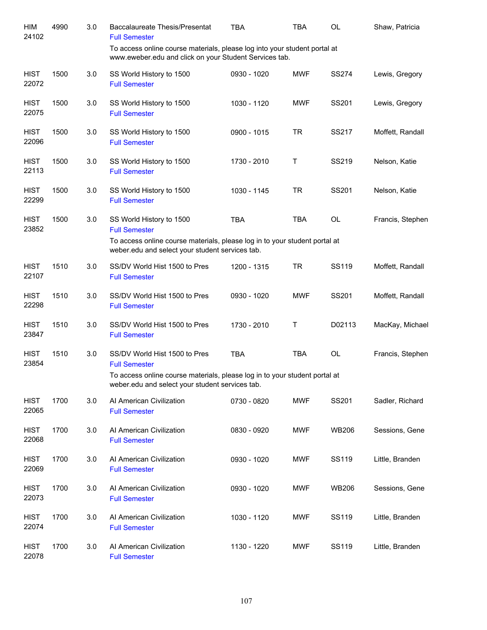| HIM<br>24102         | 4990 | 3.0 | <b>Baccalaureate Thesis/Presentat</b><br><b>Full Semester</b>                                                                       | TBA         | TBA        | OL           | Shaw, Patricia   |
|----------------------|------|-----|-------------------------------------------------------------------------------------------------------------------------------------|-------------|------------|--------------|------------------|
|                      |      |     | To access online course materials, please log into your student portal at<br>www.eweber.edu and click on your Student Services tab. |             |            |              |                  |
| <b>HIST</b><br>22072 | 1500 | 3.0 | SS World History to 1500<br><b>Full Semester</b>                                                                                    | 0930 - 1020 | <b>MWF</b> | <b>SS274</b> | Lewis, Gregory   |
| <b>HIST</b><br>22075 | 1500 | 3.0 | SS World History to 1500<br><b>Full Semester</b>                                                                                    | 1030 - 1120 | <b>MWF</b> | SS201        | Lewis, Gregory   |
| <b>HIST</b><br>22096 | 1500 | 3.0 | SS World History to 1500<br><b>Full Semester</b>                                                                                    | 0900 - 1015 | <b>TR</b>  | SS217        | Moffett, Randall |
| <b>HIST</b><br>22113 | 1500 | 3.0 | SS World History to 1500<br><b>Full Semester</b>                                                                                    | 1730 - 2010 | Τ          | SS219        | Nelson, Katie    |
| <b>HIST</b><br>22299 | 1500 | 3.0 | SS World History to 1500<br><b>Full Semester</b>                                                                                    | 1030 - 1145 | <b>TR</b>  | SS201        | Nelson, Katie    |
| <b>HIST</b><br>23852 | 1500 | 3.0 | SS World History to 1500<br><b>Full Semester</b>                                                                                    | <b>TBA</b>  | <b>TBA</b> | <b>OL</b>    | Francis, Stephen |
|                      |      |     | To access online course materials, please log in to your student portal at<br>weber.edu and select your student services tab.       |             |            |              |                  |
| <b>HIST</b><br>22107 | 1510 | 3.0 | SS/DV World Hist 1500 to Pres<br><b>Full Semester</b>                                                                               | 1200 - 1315 | <b>TR</b>  | SS119        | Moffett, Randall |
| <b>HIST</b><br>22298 | 1510 | 3.0 | SS/DV World Hist 1500 to Pres<br><b>Full Semester</b>                                                                               | 0930 - 1020 | <b>MWF</b> | SS201        | Moffett, Randall |
| <b>HIST</b><br>23847 | 1510 | 3.0 | SS/DV World Hist 1500 to Pres<br><b>Full Semester</b>                                                                               | 1730 - 2010 | Τ          | D02113       | MacKay, Michael  |
| <b>HIST</b><br>23854 | 1510 | 3.0 | SS/DV World Hist 1500 to Pres<br><b>Full Semester</b>                                                                               | <b>TBA</b>  | <b>TBA</b> | <b>OL</b>    | Francis, Stephen |
|                      |      |     | To access online course materials, please log in to your student portal at<br>weber.edu and select your student services tab.       |             |            |              |                  |
| <b>HIST</b><br>22065 | 1700 | 3.0 | Al American Civilization<br><b>Full Semester</b>                                                                                    | 0730 - 0820 | <b>MWF</b> | SS201        | Sadler, Richard  |
| <b>HIST</b><br>22068 | 1700 | 3.0 | Al American Civilization<br><b>Full Semester</b>                                                                                    | 0830 - 0920 | <b>MWF</b> | <b>WB206</b> | Sessions, Gene   |
| <b>HIST</b><br>22069 | 1700 | 3.0 | Al American Civilization<br><b>Full Semester</b>                                                                                    | 0930 - 1020 | <b>MWF</b> | SS119        | Little, Branden  |
| <b>HIST</b><br>22073 | 1700 | 3.0 | Al American Civilization<br><b>Full Semester</b>                                                                                    | 0930 - 1020 | <b>MWF</b> | <b>WB206</b> | Sessions, Gene   |
| <b>HIST</b><br>22074 | 1700 | 3.0 | Al American Civilization<br><b>Full Semester</b>                                                                                    | 1030 - 1120 | <b>MWF</b> | SS119        | Little, Branden  |
| <b>HIST</b><br>22078 | 1700 | 3.0 | Al American Civilization<br><b>Full Semester</b>                                                                                    | 1130 - 1220 | <b>MWF</b> | SS119        | Little, Branden  |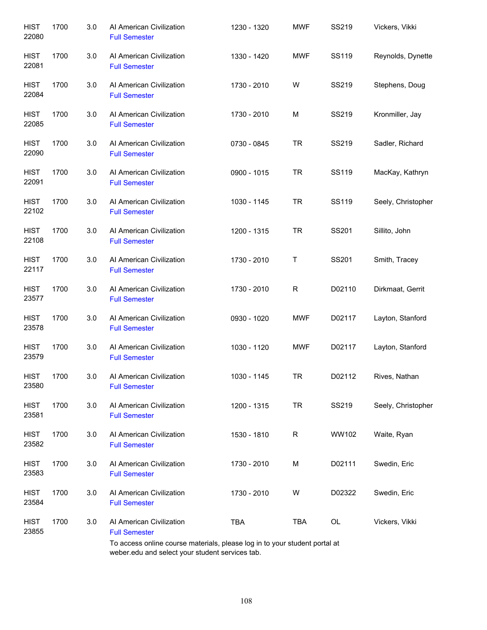| <b>HIST</b><br>22080 | 1700 | 3.0 | Al American Civilization<br><b>Full Semester</b> | 1230 - 1320 | <b>MWF</b>   | SS219  | Vickers, Vikki     |
|----------------------|------|-----|--------------------------------------------------|-------------|--------------|--------|--------------------|
| <b>HIST</b><br>22081 | 1700 | 3.0 | Al American Civilization<br><b>Full Semester</b> | 1330 - 1420 | <b>MWF</b>   | SS119  | Reynolds, Dynette  |
| <b>HIST</b><br>22084 | 1700 | 3.0 | Al American Civilization<br><b>Full Semester</b> | 1730 - 2010 | W            | SS219  | Stephens, Doug     |
| <b>HIST</b><br>22085 | 1700 | 3.0 | Al American Civilization<br><b>Full Semester</b> | 1730 - 2010 | М            | SS219  | Kronmiller, Jay    |
| <b>HIST</b><br>22090 | 1700 | 3.0 | Al American Civilization<br><b>Full Semester</b> | 0730 - 0845 | <b>TR</b>    | SS219  | Sadler, Richard    |
| <b>HIST</b><br>22091 | 1700 | 3.0 | Al American Civilization<br><b>Full Semester</b> | 0900 - 1015 | <b>TR</b>    | SS119  | MacKay, Kathryn    |
| <b>HIST</b><br>22102 | 1700 | 3.0 | Al American Civilization<br><b>Full Semester</b> | 1030 - 1145 | <b>TR</b>    | SS119  | Seely, Christopher |
| <b>HIST</b><br>22108 | 1700 | 3.0 | Al American Civilization<br><b>Full Semester</b> | 1200 - 1315 | <b>TR</b>    | SS201  | Sillito, John      |
| <b>HIST</b><br>22117 | 1700 | 3.0 | Al American Civilization<br><b>Full Semester</b> | 1730 - 2010 | Τ            | SS201  | Smith, Tracey      |
| <b>HIST</b><br>23577 | 1700 | 3.0 | Al American Civilization<br><b>Full Semester</b> | 1730 - 2010 | $\mathsf{R}$ | D02110 | Dirkmaat, Gerrit   |
| <b>HIST</b><br>23578 | 1700 | 3.0 | Al American Civilization<br><b>Full Semester</b> | 0930 - 1020 | <b>MWF</b>   | D02117 | Layton, Stanford   |
| <b>HIST</b><br>23579 | 1700 | 3.0 | Al American Civilization<br><b>Full Semester</b> | 1030 - 1120 | <b>MWF</b>   | D02117 | Layton, Stanford   |
| <b>HIST</b><br>23580 | 1700 | 3.0 | Al American Civilization<br><b>Full Semester</b> | 1030 - 1145 | TR           | D02112 | Rives, Nathan      |
| <b>HIST</b><br>23581 | 1700 | 3.0 | Al American Civilization<br><b>Full Semester</b> | 1200 - 1315 | <b>TR</b>    | SS219  | Seely, Christopher |
| <b>HIST</b><br>23582 | 1700 | 3.0 | Al American Civilization<br><b>Full Semester</b> | 1530 - 1810 | R            | WW102  | Waite, Ryan        |
| <b>HIST</b><br>23583 | 1700 | 3.0 | Al American Civilization<br><b>Full Semester</b> | 1730 - 2010 | М            | D02111 | Swedin, Eric       |
| <b>HIST</b><br>23584 | 1700 | 3.0 | Al American Civilization<br><b>Full Semester</b> | 1730 - 2010 | W            | D02322 | Swedin, Eric       |
| <b>HIST</b><br>23855 | 1700 | 3.0 | Al American Civilization<br><b>Full Semester</b> | <b>TBA</b>  | TBA          | OL     | Vickers, Vikki     |

To access online course materials, please log in to your student portal at weber.edu and select your student services tab.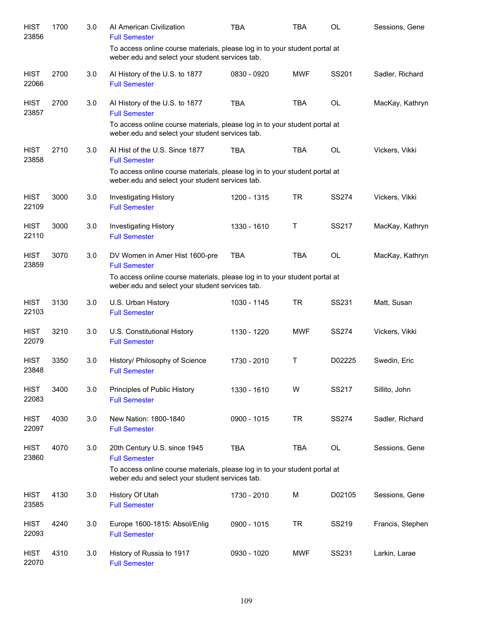| <b>HIST</b><br>23856 | 1700 | 3.0 | Al American Civilization<br><b>Full Semester</b>                                                                                                                                        | <b>TBA</b>  | TBA        | <b>OL</b>    | Sessions, Gene   |
|----------------------|------|-----|-----------------------------------------------------------------------------------------------------------------------------------------------------------------------------------------|-------------|------------|--------------|------------------|
|                      |      |     | To access online course materials, please log in to your student portal at<br>weber.edu and select your student services tab.                                                           |             |            |              |                  |
| <b>HIST</b><br>22066 | 2700 | 3.0 | Al History of the U.S. to 1877<br><b>Full Semester</b>                                                                                                                                  | 0830 - 0920 | <b>MWF</b> | SS201        | Sadler, Richard  |
| <b>HIST</b><br>23857 | 2700 | 3.0 | Al History of the U.S. to 1877<br><b>Full Semester</b><br>To access online course materials, please log in to your student portal at<br>weber.edu and select your student services tab. | <b>TBA</b>  | <b>TBA</b> | <b>OL</b>    | MacKay, Kathryn  |
| <b>HIST</b><br>23858 | 2710 | 3.0 | Al Hist of the U.S. Since 1877<br><b>Full Semester</b><br>To access online course materials, please log in to your student portal at<br>weber.edu and select your student services tab. | <b>TBA</b>  | <b>TBA</b> | <b>OL</b>    | Vickers, Vikki   |
| <b>HIST</b><br>22109 | 3000 | 3.0 | <b>Investigating History</b><br><b>Full Semester</b>                                                                                                                                    | 1200 - 1315 | <b>TR</b>  | <b>SS274</b> | Vickers, Vikki   |
| <b>HIST</b><br>22110 | 3000 | 3.0 | <b>Investigating History</b><br><b>Full Semester</b>                                                                                                                                    | 1330 - 1610 | Τ          | SS217        | MacKay, Kathryn  |
| <b>HIST</b><br>23859 | 3070 | 3.0 | DV Women in Amer Hist 1600-pre<br><b>Full Semester</b><br>To access online course materials, please log in to your student portal at<br>weber.edu and select your student services tab. | <b>TBA</b>  | <b>TBA</b> | OL           | MacKay, Kathryn  |
| <b>HIST</b><br>22103 | 3130 | 3.0 | U.S. Urban History<br><b>Full Semester</b>                                                                                                                                              | 1030 - 1145 | <b>TR</b>  | SS231        | Matt, Susan      |
| <b>HIST</b><br>22079 | 3210 | 3.0 | U.S. Constitutional History<br><b>Full Semester</b>                                                                                                                                     | 1130 - 1220 | <b>MWF</b> | <b>SS274</b> | Vickers, Vikki   |
| <b>HIST</b><br>23848 | 3350 | 3.0 | History/ Philosophy of Science<br><b>Full Semester</b>                                                                                                                                  | 1730 - 2010 | T          | D02225       | Swedin, Eric     |
| <b>HIST</b><br>22083 | 3400 | 3.0 | Principles of Public History<br><b>Full Semester</b>                                                                                                                                    | 1330 - 1610 | W          | SS217        | Sillito, John    |
| <b>HIST</b><br>22097 | 4030 | 3.0 | New Nation: 1800-1840<br><b>Full Semester</b>                                                                                                                                           | 0900 - 1015 | <b>TR</b>  | <b>SS274</b> | Sadler, Richard  |
| <b>HIST</b><br>23860 | 4070 | 3.0 | 20th Century U.S. since 1945<br><b>Full Semester</b><br>To access online course materials, please log in to your student portal at<br>weber.edu and select your student services tab.   | <b>TBA</b>  | <b>TBA</b> | OL           | Sessions, Gene   |
| <b>HIST</b><br>23585 | 4130 | 3.0 | History Of Utah<br><b>Full Semester</b>                                                                                                                                                 | 1730 - 2010 | M          | D02105       | Sessions, Gene   |
| <b>HIST</b><br>22093 | 4240 | 3.0 | Europe 1600-1815: Absol/Enlig<br><b>Full Semester</b>                                                                                                                                   | 0900 - 1015 | <b>TR</b>  | SS219        | Francis, Stephen |
| <b>HIST</b><br>22070 | 4310 | 3.0 | History of Russia to 1917<br><b>Full Semester</b>                                                                                                                                       | 0930 - 1020 | <b>MWF</b> | SS231        | Larkin, Larae    |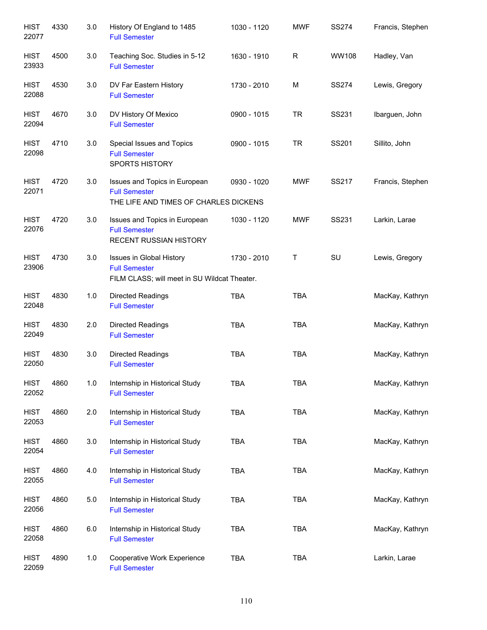| <b>HIST</b><br>22077 | 4330 | 3.0 | History Of England to 1485<br><b>Full Semester</b>                                               | 1030 - 1120 | <b>MWF</b> | <b>SS274</b> | Francis, Stephen |
|----------------------|------|-----|--------------------------------------------------------------------------------------------------|-------------|------------|--------------|------------------|
| <b>HIST</b><br>23933 | 4500 | 3.0 | Teaching Soc. Studies in 5-12<br><b>Full Semester</b>                                            | 1630 - 1910 | R          | WW108        | Hadley, Van      |
| <b>HIST</b><br>22088 | 4530 | 3.0 | DV Far Eastern History<br><b>Full Semester</b>                                                   | 1730 - 2010 | М          | <b>SS274</b> | Lewis, Gregory   |
| <b>HIST</b><br>22094 | 4670 | 3.0 | DV History Of Mexico<br><b>Full Semester</b>                                                     | 0900 - 1015 | <b>TR</b>  | SS231        | Ibarguen, John   |
| <b>HIST</b><br>22098 | 4710 | 3.0 | Special Issues and Topics<br><b>Full Semester</b><br><b>SPORTS HISTORY</b>                       | 0900 - 1015 | <b>TR</b>  | SS201        | Sillito, John    |
| <b>HIST</b><br>22071 | 4720 | 3.0 | Issues and Topics in European<br><b>Full Semester</b><br>THE LIFE AND TIMES OF CHARLES DICKENS   | 0930 - 1020 | <b>MWF</b> | SS217        | Francis, Stephen |
| <b>HIST</b><br>22076 | 4720 | 3.0 | Issues and Topics in European<br><b>Full Semester</b><br><b>RECENT RUSSIAN HISTORY</b>           | 1030 - 1120 | <b>MWF</b> | SS231        | Larkin, Larae    |
| <b>HIST</b><br>23906 | 4730 | 3.0 | Issues in Global History<br><b>Full Semester</b><br>FILM CLASS; will meet in SU Wildcat Theater. | 1730 - 2010 | Τ          | SU           | Lewis, Gregory   |
| <b>HIST</b><br>22048 | 4830 | 1.0 | <b>Directed Readings</b><br><b>Full Semester</b>                                                 | <b>TBA</b>  | <b>TBA</b> |              | MacKay, Kathryn  |
| <b>HIST</b><br>22049 | 4830 | 2.0 | <b>Directed Readings</b><br><b>Full Semester</b>                                                 | <b>TBA</b>  | <b>TBA</b> |              | MacKay, Kathryn  |
| <b>HIST</b><br>22050 | 4830 | 3.0 | <b>Directed Readings</b><br><b>Full Semester</b>                                                 | <b>TBA</b>  | <b>TBA</b> |              | MacKay, Kathryn  |
| <b>HIST</b><br>22052 | 4860 | 1.0 | Internship in Historical Study<br><b>Full Semester</b>                                           | <b>TBA</b>  | TBA        |              | MacKay, Kathryn  |
| <b>HIST</b><br>22053 | 4860 | 2.0 | Internship in Historical Study<br><b>Full Semester</b>                                           | <b>TBA</b>  | <b>TBA</b> |              | MacKay, Kathryn  |
| <b>HIST</b><br>22054 | 4860 | 3.0 | Internship in Historical Study<br><b>Full Semester</b>                                           | <b>TBA</b>  | <b>TBA</b> |              | MacKay, Kathryn  |
| <b>HIST</b><br>22055 | 4860 | 4.0 | Internship in Historical Study<br><b>Full Semester</b>                                           | <b>TBA</b>  | <b>TBA</b> |              | MacKay, Kathryn  |
| <b>HIST</b><br>22056 | 4860 | 5.0 | Internship in Historical Study<br><b>Full Semester</b>                                           | <b>TBA</b>  | <b>TBA</b> |              | MacKay, Kathryn  |
| <b>HIST</b><br>22058 | 4860 | 6.0 | Internship in Historical Study<br><b>Full Semester</b>                                           | <b>TBA</b>  | <b>TBA</b> |              | MacKay, Kathryn  |
| <b>HIST</b><br>22059 | 4890 | 1.0 | Cooperative Work Experience<br><b>Full Semester</b>                                              | <b>TBA</b>  | <b>TBA</b> |              | Larkin, Larae    |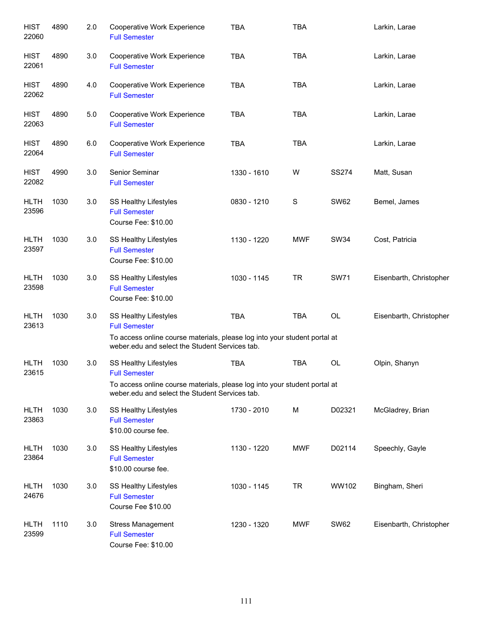| <b>HIST</b><br>22060 | 4890 | 2.0 | Cooperative Work Experience<br><b>Full Semester</b>                                                                                                                          | <b>TBA</b>  | <b>TBA</b>  |              | Larkin, Larae           |
|----------------------|------|-----|------------------------------------------------------------------------------------------------------------------------------------------------------------------------------|-------------|-------------|--------------|-------------------------|
| <b>HIST</b><br>22061 | 4890 | 3.0 | Cooperative Work Experience<br><b>Full Semester</b>                                                                                                                          | <b>TBA</b>  | <b>TBA</b>  |              | Larkin, Larae           |
| <b>HIST</b><br>22062 | 4890 | 4.0 | Cooperative Work Experience<br><b>Full Semester</b>                                                                                                                          | <b>TBA</b>  | <b>TBA</b>  |              | Larkin, Larae           |
| <b>HIST</b><br>22063 | 4890 | 5.0 | Cooperative Work Experience<br><b>Full Semester</b>                                                                                                                          | <b>TBA</b>  | <b>TBA</b>  |              | Larkin, Larae           |
| <b>HIST</b><br>22064 | 4890 | 6.0 | Cooperative Work Experience<br><b>Full Semester</b>                                                                                                                          | <b>TBA</b>  | <b>TBA</b>  |              | Larkin, Larae           |
| <b>HIST</b><br>22082 | 4990 | 3.0 | Senior Seminar<br><b>Full Semester</b>                                                                                                                                       | 1330 - 1610 | W           | <b>SS274</b> | Matt, Susan             |
| <b>HLTH</b><br>23596 | 1030 | 3.0 | SS Healthy Lifestyles<br><b>Full Semester</b><br>Course Fee: \$10.00                                                                                                         | 0830 - 1210 | $\mathbf S$ | <b>SW62</b>  | Bemel, James            |
| <b>HLTH</b><br>23597 | 1030 | 3.0 | SS Healthy Lifestyles<br><b>Full Semester</b><br>Course Fee: \$10.00                                                                                                         | 1130 - 1220 | <b>MWF</b>  | <b>SW34</b>  | Cost, Patricia          |
| <b>HLTH</b><br>23598 | 1030 | 3.0 | SS Healthy Lifestyles<br><b>Full Semester</b><br>Course Fee: \$10.00                                                                                                         | 1030 - 1145 | <b>TR</b>   | <b>SW71</b>  | Eisenbarth, Christopher |
| <b>HLTH</b><br>23613 | 1030 | 3.0 | SS Healthy Lifestyles<br><b>Full Semester</b><br>To access online course materials, please log into your student portal at<br>weber.edu and select the Student Services tab. | <b>TBA</b>  | <b>TBA</b>  | OL           | Eisenbarth, Christopher |
| <b>HLTH</b><br>23615 | 1030 | 3.0 | SS Healthy Lifestyles<br><b>Full Semester</b><br>To access online course materials, please log into your student portal at<br>weber.edu and select the Student Services tab. | <b>TBA</b>  | <b>TBA</b>  | OL           | Olpin, Shanyn           |
| <b>HLTH</b><br>23863 | 1030 | 3.0 | SS Healthy Lifestyles<br><b>Full Semester</b><br>\$10.00 course fee.                                                                                                         | 1730 - 2010 | M           | D02321       | McGladrey, Brian        |
| <b>HLTH</b><br>23864 | 1030 | 3.0 | SS Healthy Lifestyles<br><b>Full Semester</b><br>\$10.00 course fee.                                                                                                         | 1130 - 1220 | <b>MWF</b>  | D02114       | Speechly, Gayle         |
| <b>HLTH</b><br>24676 | 1030 | 3.0 | SS Healthy Lifestyles<br><b>Full Semester</b><br>Course Fee \$10.00                                                                                                          | 1030 - 1145 | <b>TR</b>   | WW102        | Bingham, Sheri          |
| <b>HLTH</b><br>23599 | 1110 | 3.0 | <b>Stress Management</b><br><b>Full Semester</b><br>Course Fee: \$10.00                                                                                                      | 1230 - 1320 | <b>MWF</b>  | <b>SW62</b>  | Eisenbarth, Christopher |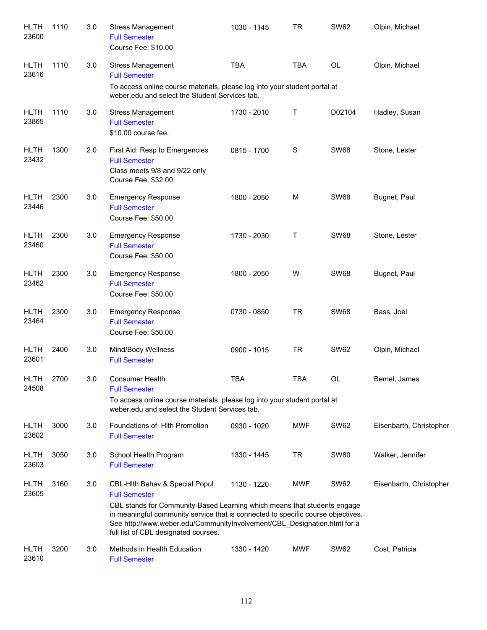| HLTH<br>23600        | 1110 | 3.0 | <b>Stress Management</b><br><b>Full Semester</b><br>Course Fee: \$10.00                                                                                                                                                                                                                                                                    | 1030 - 1145 | <b>TR</b>   | <b>SW62</b> | Olpin, Michael          |
|----------------------|------|-----|--------------------------------------------------------------------------------------------------------------------------------------------------------------------------------------------------------------------------------------------------------------------------------------------------------------------------------------------|-------------|-------------|-------------|-------------------------|
| <b>HLTH</b><br>23616 | 1110 | 3.0 | <b>Stress Management</b><br><b>Full Semester</b><br>To access online course materials, please log into your student portal at<br>weber.edu and select the Student Services tab.                                                                                                                                                            | <b>TBA</b>  | <b>TBA</b>  | OL          | Olpin, Michael          |
| <b>HLTH</b><br>23865 | 1110 | 3.0 | <b>Stress Management</b><br><b>Full Semester</b><br>\$10.00 course fee.                                                                                                                                                                                                                                                                    | 1730 - 2010 | Τ           | D02104      | Hadley, Susan           |
| <b>HLTH</b><br>23432 | 1300 | 2.0 | First Aid: Resp to Emergencies<br><b>Full Semester</b><br>Class meets 9/8 and 9/22 only<br>Course Fee: \$32.00                                                                                                                                                                                                                             | 0815 - 1700 | $\mathbf S$ | <b>SW68</b> | Stone, Lester           |
| <b>HLTH</b><br>23446 | 2300 | 3.0 | <b>Emergency Response</b><br><b>Full Semester</b><br>Course Fee: \$50.00                                                                                                                                                                                                                                                                   | 1800 - 2050 | M           | <b>SW68</b> | Bugnet, Paul            |
| <b>HLTH</b><br>23460 | 2300 | 3.0 | <b>Emergency Response</b><br><b>Full Semester</b><br>Course Fee: \$50.00                                                                                                                                                                                                                                                                   | 1730 - 2030 | Τ           | <b>SW68</b> | Stone, Lester           |
| <b>HLTH</b><br>23462 | 2300 | 3.0 | <b>Emergency Response</b><br><b>Full Semester</b><br>Course Fee: \$50.00                                                                                                                                                                                                                                                                   | 1800 - 2050 | W           | <b>SW68</b> | Bugnet, Paul            |
| <b>HLTH</b><br>23464 | 2300 | 3.0 | <b>Emergency Response</b><br><b>Full Semester</b><br>Course Fee: \$50.00                                                                                                                                                                                                                                                                   | 0730 - 0850 | <b>TR</b>   | <b>SW68</b> | Bass, Joel              |
| <b>HLTH</b><br>23601 | 2400 | 3.0 | Mind/Body Wellness<br><b>Full Semester</b>                                                                                                                                                                                                                                                                                                 | 0900 - 1015 | <b>TR</b>   | <b>SW62</b> | Olpin, Michael          |
| <b>HLTH</b><br>24508 | 2700 | 3.0 | <b>Consumer Health</b><br><b>Full Semester</b><br>To access online course materials, please log into your student portal at<br>weber.edu and select the Student Services tab.                                                                                                                                                              | <b>TBA</b>  | <b>TBA</b>  | OL          | Bemel, James            |
| <b>HLTH</b><br>23602 | 3000 | 3.0 | Foundations of Hith Promotion<br><b>Full Semester</b>                                                                                                                                                                                                                                                                                      | 0930 - 1020 | <b>MWF</b>  | <b>SW62</b> | Eisenbarth, Christopher |
| HLTH<br>23603        | 3050 | 3.0 | School Health Program<br><b>Full Semester</b>                                                                                                                                                                                                                                                                                              | 1330 - 1445 | TR          | <b>SW80</b> | Walker, Jennifer        |
| HLTH<br>23605        | 3160 | 3.0 | CBL-Hith Behav & Special Popul<br><b>Full Semester</b><br>CBL stands for Community-Based Learning which means that students engage<br>in meaningful community service that is connected to specific course objectives.<br>See http://www.weber.edu/CommunityInvolvement/CBL_Designation.html for a<br>full list of CBL designated courses. | 1130 - 1220 | MWF         | <b>SW62</b> | Eisenbarth, Christopher |
| HLTH<br>23610        | 3200 | 3.0 | Methods in Health Education<br><b>Full Semester</b>                                                                                                                                                                                                                                                                                        | 1330 - 1420 | MWF         | <b>SW62</b> | Cost, Patricia          |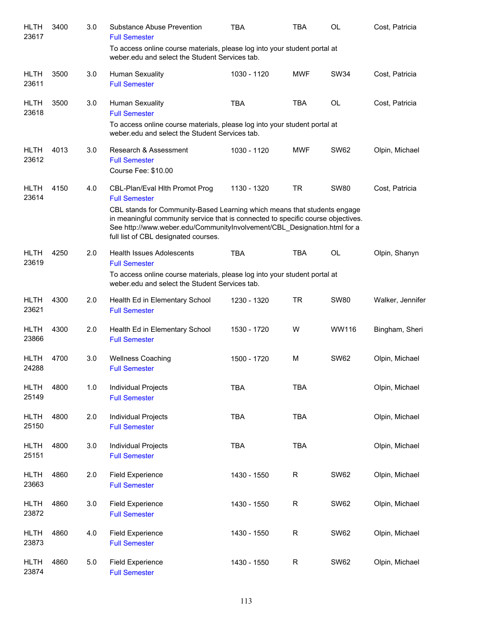| <b>HLTH</b><br>23617 | 3400 | 3.0   | Substance Abuse Prevention<br><b>Full Semester</b>                                                                                                                                                                                                                                                                                         | <b>TBA</b>  | TBA         | OL          | Cost, Patricia   |
|----------------------|------|-------|--------------------------------------------------------------------------------------------------------------------------------------------------------------------------------------------------------------------------------------------------------------------------------------------------------------------------------------------|-------------|-------------|-------------|------------------|
|                      |      |       | To access online course materials, please log into your student portal at<br>weber.edu and select the Student Services tab.                                                                                                                                                                                                                |             |             |             |                  |
| <b>HLTH</b><br>23611 | 3500 | 3.0   | Human Sexuality<br><b>Full Semester</b>                                                                                                                                                                                                                                                                                                    | 1030 - 1120 | MWF         | <b>SW34</b> | Cost, Patricia   |
| <b>HLTH</b><br>23618 | 3500 | 3.0   | Human Sexuality<br><b>Full Semester</b><br>To access online course materials, please log into your student portal at<br>weber.edu and select the Student Services tab.                                                                                                                                                                     | <b>TBA</b>  | <b>TBA</b>  | <b>OL</b>   | Cost, Patricia   |
| <b>HLTH</b><br>23612 | 4013 | 3.0   | Research & Assessment<br><b>Full Semester</b><br>Course Fee: \$10.00                                                                                                                                                                                                                                                                       | 1030 - 1120 | MWF         | <b>SW62</b> | Olpin, Michael   |
| <b>HLTH</b><br>23614 | 4150 | 4.0   | CBL-Plan/Eval Hith Promot Prog<br><b>Full Semester</b><br>CBL stands for Community-Based Learning which means that students engage<br>in meaningful community service that is connected to specific course objectives.<br>See http://www.weber.edu/CommunityInvolvement/CBL_Designation.html for a<br>full list of CBL designated courses. | 1130 - 1320 | <b>TR</b>   | <b>SW80</b> | Cost, Patricia   |
| <b>HLTH</b><br>23619 | 4250 | 2.0   | <b>Health Issues Adolescents</b><br><b>Full Semester</b><br>To access online course materials, please log into your student portal at<br>weber.edu and select the Student Services tab.                                                                                                                                                    | <b>TBA</b>  | <b>TBA</b>  | OL          | Olpin, Shanyn    |
| <b>HLTH</b><br>23621 | 4300 | 2.0   | Health Ed in Elementary School<br><b>Full Semester</b>                                                                                                                                                                                                                                                                                     | 1230 - 1320 | <b>TR</b>   | <b>SW80</b> | Walker, Jennifer |
| <b>HLTH</b><br>23866 | 4300 | 2.0   | Health Ed in Elementary School<br><b>Full Semester</b>                                                                                                                                                                                                                                                                                     | 1530 - 1720 | W           | WW116       | Bingham, Sheri   |
| <b>HLTH</b><br>24288 | 4700 | 3.0   | <b>Wellness Coaching</b><br><b>Full Semester</b>                                                                                                                                                                                                                                                                                           | 1500 - 1720 | M           | <b>SW62</b> | Olpin, Michael   |
| <b>HLTH</b><br>25149 | 4800 | $1.0$ | Individual Projects<br><b>Full Semester</b>                                                                                                                                                                                                                                                                                                | <b>TBA</b>  | TBA         |             | Olpin, Michael   |
| <b>HLTH</b><br>25150 | 4800 | 2.0   | Individual Projects<br><b>Full Semester</b>                                                                                                                                                                                                                                                                                                | <b>TBA</b>  | TBA         |             | Olpin, Michael   |
| <b>HLTH</b><br>25151 | 4800 | 3.0   | Individual Projects<br><b>Full Semester</b>                                                                                                                                                                                                                                                                                                | <b>TBA</b>  | <b>TBA</b>  |             | Olpin, Michael   |
| <b>HLTH</b><br>23663 | 4860 | 2.0   | <b>Field Experience</b><br><b>Full Semester</b>                                                                                                                                                                                                                                                                                            | 1430 - 1550 | $\mathsf R$ | <b>SW62</b> | Olpin, Michael   |
| <b>HLTH</b><br>23872 | 4860 | 3.0   | <b>Field Experience</b><br><b>Full Semester</b>                                                                                                                                                                                                                                                                                            | 1430 - 1550 | $\mathsf R$ | <b>SW62</b> | Olpin, Michael   |
| <b>HLTH</b><br>23873 | 4860 | 4.0   | <b>Field Experience</b><br><b>Full Semester</b>                                                                                                                                                                                                                                                                                            | 1430 - 1550 | $\mathsf R$ | <b>SW62</b> | Olpin, Michael   |
| <b>HLTH</b><br>23874 | 4860 | 5.0   | <b>Field Experience</b><br><b>Full Semester</b>                                                                                                                                                                                                                                                                                            | 1430 - 1550 | R           | <b>SW62</b> | Olpin, Michael   |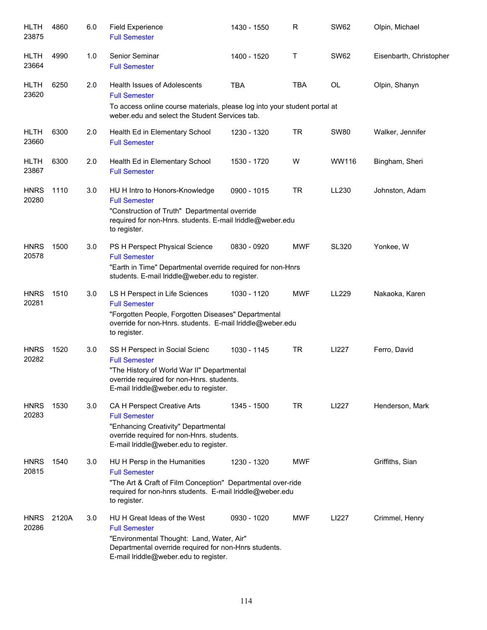| <b>HLTH</b><br>23875 | 4860  | 6.0 | <b>Field Experience</b><br><b>Full Semester</b>                                                                                                                                                     | 1430 - 1550 | R          | <b>SW62</b>  | Olpin, Michael          |
|----------------------|-------|-----|-----------------------------------------------------------------------------------------------------------------------------------------------------------------------------------------------------|-------------|------------|--------------|-------------------------|
| <b>HLTH</b><br>23664 | 4990  | 1.0 | Senior Seminar<br><b>Full Semester</b>                                                                                                                                                              | 1400 - 1520 | Т          | <b>SW62</b>  | Eisenbarth, Christopher |
| HLTH<br>23620        | 6250  | 2.0 | <b>Health Issues of Adolescents</b><br><b>Full Semester</b><br>To access online course materials, please log into your student portal at<br>weber.edu and select the Student Services tab.          | <b>TBA</b>  | <b>TBA</b> | <b>OL</b>    | Olpin, Shanyn           |
| <b>HLTH</b><br>23660 | 6300  | 2.0 | Health Ed in Elementary School<br><b>Full Semester</b>                                                                                                                                              | 1230 - 1320 | TR         | <b>SW80</b>  | Walker, Jennifer        |
| <b>HLTH</b><br>23867 | 6300  | 2.0 | Health Ed in Elementary School<br><b>Full Semester</b>                                                                                                                                              | 1530 - 1720 | W          | WW116        | Bingham, Sheri          |
| <b>HNRS</b><br>20280 | 1110  | 3.0 | HU H Intro to Honors-Knowledge<br><b>Full Semester</b><br>"Construction of Truth" Departmental override<br>required for non-Hnrs. students. E-mail Iriddle@weber.edu<br>to register.                | 0900 - 1015 | TR         | LL230        | Johnston, Adam          |
| <b>HNRS</b><br>20578 | 1500  | 3.0 | PS H Perspect Physical Science<br><b>Full Semester</b><br>"Earth in Time" Departmental override required for non-Hnrs<br>students. E-mail lriddle@weber.edu to register.                            | 0830 - 0920 | <b>MWF</b> | <b>SL320</b> | Yonkee, W               |
| <b>HNRS</b><br>20281 | 1510  | 3.0 | LS H Perspect in Life Sciences<br><b>Full Semester</b><br>"Forgotten People, Forgotten Diseases" Departmental<br>override for non-Hnrs. students. E-mail lriddle@weber.edu<br>to register.          | 1030 - 1120 | <b>MWF</b> | LL229        | Nakaoka, Karen          |
| <b>HNRS</b><br>20282 | 1520  | 3.0 | SS H Perspect in Social Scienc<br><b>Full Semester</b><br>"The History of World War II" Departmental<br>override required for non-Hnrs. students.<br>E-mail Iriddle@weber.edu to register.          | 1030 - 1145 | <b>TR</b>  | LI227        | Ferro, David            |
| <b>HNRS</b><br>20283 | 1530  | 3.0 | CA H Perspect Creative Arts<br><b>Full Semester</b><br>"Enhancing Creativity" Departmental<br>override required for non-Hnrs. students.<br>E-mail Iriddle@weber.edu to register.                    | 1345 - 1500 | TR         | LI227        | Henderson, Mark         |
| <b>HNRS</b><br>20815 | 1540  | 3.0 | HU H Persp in the Humanities<br><b>Full Semester</b><br>"The Art & Craft of Film Conception" Departmental over-ride<br>required for non-hnrs students. E-mail Iriddle@weber.edu<br>to register.     | 1230 - 1320 | <b>MWF</b> |              | Griffiths, Sian         |
| <b>HNRS</b><br>20286 | 2120A | 3.0 | HU H Great Ideas of the West<br><b>Full Semester</b><br>"Environmental Thought: Land, Water, Air"<br>Departmental override required for non-Hnrs students.<br>E-mail Iriddle@weber.edu to register. | 0930 - 1020 | <b>MWF</b> | LI227        | Crimmel, Henry          |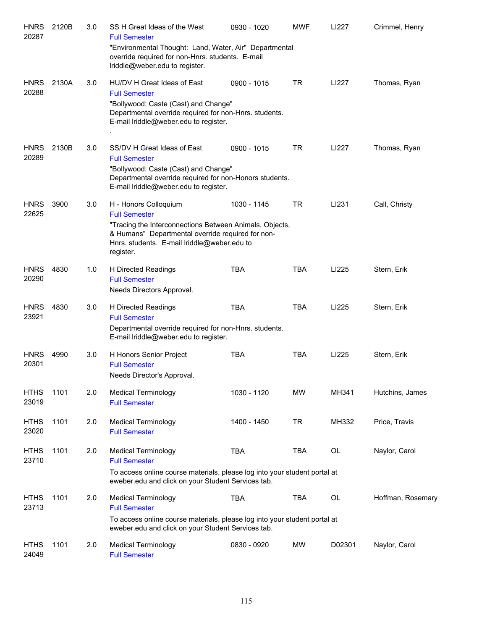| <b>HNRS</b><br>20287 | 2120B | 3.0 | SS H Great Ideas of the West<br><b>Full Semester</b><br>"Environmental Thought: Land, Water, Air" Departmental<br>override required for non-Hnrs. students. E-mail<br>Iriddle@weber.edu to register.                      | 0930 - 1020 | <b>MWF</b> | LI227     | Crimmel, Henry    |
|----------------------|-------|-----|---------------------------------------------------------------------------------------------------------------------------------------------------------------------------------------------------------------------------|-------------|------------|-----------|-------------------|
| <b>HNRS</b><br>20288 | 2130A | 3.0 | HU/DV H Great Ideas of East<br><b>Full Semester</b><br>"Bollywood: Caste (Cast) and Change"<br>Departmental override required for non-Hnrs. students.<br>E-mail Iriddle@weber.edu to register.                            | 0900 - 1015 | <b>TR</b>  | LI227     | Thomas, Ryan      |
| <b>HNRS</b><br>20289 | 2130B | 3.0 | SS/DV H Great Ideas of East<br><b>Full Semester</b><br>"Bollywood: Caste (Cast) and Change"<br>Departmental override required for non-Honors students.<br>E-mail lriddle@weber.edu to register.                           | 0900 - 1015 | <b>TR</b>  | LI227     | Thomas, Ryan      |
| <b>HNRS</b><br>22625 | 3900  | 3.0 | H - Honors Colloquium<br><b>Full Semester</b><br>"Tracing the Interconnections Between Animals, Objects,<br>& Humans" Departmental override required for non-<br>Hnrs. students. E-mail lriddle@weber.edu to<br>register. | 1030 - 1145 | <b>TR</b>  | LI231     | Call, Christy     |
| <b>HNRS</b><br>20290 | 4830  | 1.0 | H Directed Readings<br><b>Full Semester</b><br>Needs Directors Approval.                                                                                                                                                  | <b>TBA</b>  | <b>TBA</b> | LI225     | Stern, Erik       |
| <b>HNRS</b><br>23921 | 4830  | 3.0 | H Directed Readings<br><b>Full Semester</b><br>Departmental override required for non-Hnrs. students.<br>E-mail lriddle@weber.edu to register.                                                                            | <b>TBA</b>  | <b>TBA</b> | LI225     | Stern, Erik       |
| <b>HNRS</b><br>20301 | 4990  | 3.0 | H Honors Senior Project<br><b>Full Semester</b><br>Needs Director's Approval.                                                                                                                                             | <b>TBA</b>  | <b>TBA</b> | LI225     | Stern, Erik       |
| <b>HTHS</b><br>23019 | 1101  | 2.0 | <b>Medical Terminology</b><br><b>Full Semester</b>                                                                                                                                                                        | 1030 - 1120 | <b>MW</b>  | MH341     | Hutchins, James   |
| <b>HTHS</b><br>23020 | 1101  | 2.0 | <b>Medical Terminology</b><br><b>Full Semester</b>                                                                                                                                                                        | 1400 - 1450 | <b>TR</b>  | MH332     | Price, Travis     |
| <b>HTHS</b><br>23710 | 1101  | 2.0 | <b>Medical Terminology</b><br><b>Full Semester</b><br>To access online course materials, please log into your student portal at<br>eweber.edu and click on your Student Services tab.                                     | <b>TBA</b>  | <b>TBA</b> | OL        | Naylor, Carol     |
| <b>HTHS</b><br>23713 | 1101  | 2.0 | <b>Medical Terminology</b><br><b>Full Semester</b><br>To access online course materials, please log into your student portal at<br>eweber.edu and click on your Student Services tab.                                     | <b>TBA</b>  | <b>TBA</b> | <b>OL</b> | Hoffman, Rosemary |
| <b>HTHS</b><br>24049 | 1101  | 2.0 | <b>Medical Terminology</b><br><b>Full Semester</b>                                                                                                                                                                        | 0830 - 0920 | <b>MW</b>  | D02301    | Naylor, Carol     |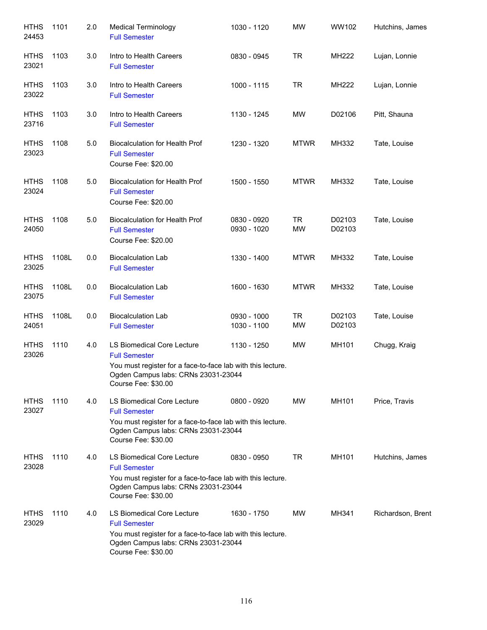| <b>HTHS</b><br>24453 | 1101  | 2.0 | <b>Medical Terminology</b><br><b>Full Semester</b>                                                                                                                                     | 1030 - 1120                | <b>MW</b>              | WW102            | Hutchins, James   |
|----------------------|-------|-----|----------------------------------------------------------------------------------------------------------------------------------------------------------------------------------------|----------------------------|------------------------|------------------|-------------------|
| <b>HTHS</b><br>23021 | 1103  | 3.0 | Intro to Health Careers<br><b>Full Semester</b>                                                                                                                                        | 0830 - 0945                | <b>TR</b>              | MH222            | Lujan, Lonnie     |
| <b>HTHS</b><br>23022 | 1103  | 3.0 | Intro to Health Careers<br><b>Full Semester</b>                                                                                                                                        | 1000 - 1115                | TR                     | MH222            | Lujan, Lonnie     |
| <b>HTHS</b><br>23716 | 1103  | 3.0 | Intro to Health Careers<br><b>Full Semester</b>                                                                                                                                        | 1130 - 1245                | MW                     | D02106           | Pitt, Shauna      |
| <b>HTHS</b><br>23023 | 1108  | 5.0 | <b>Biocalculation for Health Prof</b><br><b>Full Semester</b><br>Course Fee: \$20.00                                                                                                   | 1230 - 1320                | <b>MTWR</b>            | MH332            | Tate, Louise      |
| <b>HTHS</b><br>23024 | 1108  | 5.0 | <b>Biocalculation for Health Prof</b><br><b>Full Semester</b><br>Course Fee: \$20.00                                                                                                   | 1500 - 1550                | <b>MTWR</b>            | MH332            | Tate, Louise      |
| <b>HTHS</b><br>24050 | 1108  | 5.0 | <b>Biocalculation for Health Prof</b><br><b>Full Semester</b><br>Course Fee: \$20.00                                                                                                   | 0830 - 0920<br>0930 - 1020 | <b>TR</b><br><b>MW</b> | D02103<br>D02103 | Tate, Louise      |
| <b>HTHS</b><br>23025 | 1108L | 0.0 | <b>Biocalculation Lab</b><br><b>Full Semester</b>                                                                                                                                      | 1330 - 1400                | <b>MTWR</b>            | MH332            | Tate, Louise      |
| <b>HTHS</b><br>23075 | 1108L | 0.0 | <b>Biocalculation Lab</b><br><b>Full Semester</b>                                                                                                                                      | 1600 - 1630                | <b>MTWR</b>            | MH332            | Tate, Louise      |
| <b>HTHS</b><br>24051 | 1108L | 0.0 | <b>Biocalculation Lab</b><br><b>Full Semester</b>                                                                                                                                      | 0930 - 1000<br>1030 - 1100 | <b>TR</b><br>MW        | D02103<br>D02103 | Tate, Louise      |
| <b>HTHS</b><br>23026 | 1110  | 4.0 | LS Biomedical Core Lecture<br><b>Full Semester</b><br>You must register for a face-to-face lab with this lecture.<br>Ogden Campus labs: CRNs 23031-23044<br>Course Fee: \$30.00        | 1130 - 1250                | <b>MW</b>              | MH101            | Chugg, Kraig      |
| <b>HTHS</b><br>23027 | 1110  | 4.0 | <b>LS Biomedical Core Lecture</b><br><b>Full Semester</b><br>You must register for a face-to-face lab with this lecture.<br>Ogden Campus labs: CRNs 23031-23044<br>Course Fee: \$30.00 | 0800 - 0920                | MW.                    | MH101            | Price, Travis     |
| <b>HTHS</b><br>23028 | 1110  | 4.0 | <b>LS Biomedical Core Lecture</b><br><b>Full Semester</b><br>You must register for a face-to-face lab with this lecture.<br>Ogden Campus labs: CRNs 23031-23044<br>Course Fee: \$30.00 | 0830 - 0950                | TR                     | MH101            | Hutchins, James   |
| <b>HTHS</b><br>23029 | 1110  | 4.0 | LS Biomedical Core Lecture<br><b>Full Semester</b><br>You must register for a face-to-face lab with this lecture.<br>Ogden Campus labs: CRNs 23031-23044<br>Course Fee: \$30.00        | 1630 - 1750                | MW.                    | MH341            | Richardson, Brent |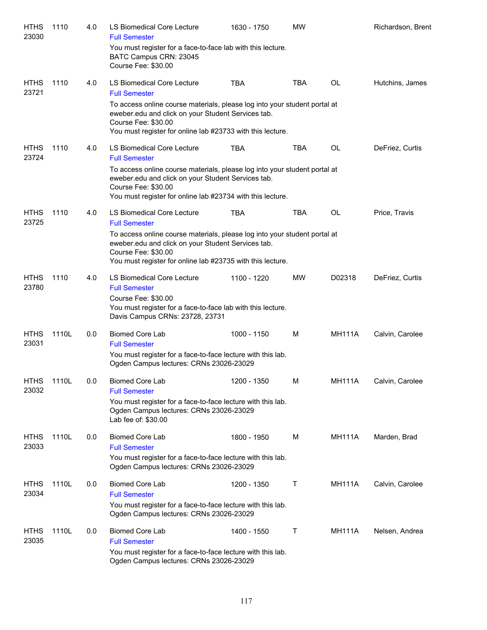| <b>HTHS</b><br>23030 | 1110  | 4.0 | LS Biomedical Core Lecture<br><b>Full Semester</b>                                                                                                                                                                   | 1630 - 1750 | <b>MW</b>  |               | Richardson, Brent |
|----------------------|-------|-----|----------------------------------------------------------------------------------------------------------------------------------------------------------------------------------------------------------------------|-------------|------------|---------------|-------------------|
|                      |       |     | You must register for a face-to-face lab with this lecture.<br>BATC Campus CRN: 23045<br>Course Fee: \$30.00                                                                                                         |             |            |               |                   |
| <b>HTHS</b><br>23721 | 1110  | 4.0 | LS Biomedical Core Lecture<br><b>Full Semester</b>                                                                                                                                                                   | <b>TBA</b>  | <b>TBA</b> | <b>OL</b>     | Hutchins, James   |
|                      |       |     | To access online course materials, please log into your student portal at<br>eweber.edu and click on your Student Services tab.<br>Course Fee: \$30.00<br>You must register for online lab #23733 with this lecture. |             |            |               |                   |
| <b>HTHS</b><br>23724 | 1110  | 4.0 | LS Biomedical Core Lecture<br><b>Full Semester</b>                                                                                                                                                                   | <b>TBA</b>  | TBA        | OL            | DeFriez, Curtis   |
|                      |       |     | To access online course materials, please log into your student portal at<br>eweber.edu and click on your Student Services tab.<br>Course Fee: \$30.00<br>You must register for online lab #23734 with this lecture. |             |            |               |                   |
| <b>HTHS</b><br>23725 | 1110  | 4.0 | LS Biomedical Core Lecture<br><b>Full Semester</b>                                                                                                                                                                   | <b>TBA</b>  | <b>TBA</b> | OL            | Price, Travis     |
|                      |       |     | To access online course materials, please log into your student portal at<br>eweber.edu and click on your Student Services tab.<br>Course Fee: \$30.00<br>You must register for online lab #23735 with this lecture. |             |            |               |                   |
| <b>HTHS</b><br>23780 | 1110  | 4.0 | LS Biomedical Core Lecture<br><b>Full Semester</b><br>Course Fee: \$30.00<br>You must register for a face-to-face lab with this lecture.<br>Davis Campus CRNs: 23728, 23731                                          | 1100 - 1220 | <b>MW</b>  | D02318        | DeFriez, Curtis   |
| <b>HTHS</b><br>23031 | 1110L | 0.0 | <b>Biomed Core Lab</b><br><b>Full Semester</b><br>You must register for a face-to-face lecture with this lab.<br>Ogden Campus lectures: CRNs 23026-23029                                                             | 1000 - 1150 | м          | <b>MH111A</b> | Calvin, Carolee   |
| <b>HTHS</b><br>23032 | 1110L | 0.0 | Biomed Core Lab<br><b>Full Semester</b><br>You must register for a face-to-face lecture with this lab.<br>Ogden Campus lectures: CRNs 23026-23029<br>Lab fee of: \$30.00                                             | 1200 - 1350 | M          | <b>MH111A</b> | Calvin, Carolee   |
| <b>HTHS</b><br>23033 | 1110L | 0.0 | <b>Biomed Core Lab</b><br><b>Full Semester</b><br>You must register for a face-to-face lecture with this lab.<br>Ogden Campus lectures: CRNs 23026-23029                                                             | 1800 - 1950 | м          | <b>MH111A</b> | Marden, Brad      |
| <b>HTHS</b><br>23034 | 1110L | 0.0 | <b>Biomed Core Lab</b><br><b>Full Semester</b><br>You must register for a face-to-face lecture with this lab.<br>Ogden Campus lectures: CRNs 23026-23029                                                             | 1200 - 1350 | Т          | <b>MH111A</b> | Calvin, Carolee   |
| <b>HTHS</b><br>23035 | 1110L | 0.0 | <b>Biomed Core Lab</b><br><b>Full Semester</b><br>You must register for a face-to-face lecture with this lab.<br>Ogden Campus lectures: CRNs 23026-23029                                                             | 1400 - 1550 | Τ          | <b>MH111A</b> | Nelsen, Andrea    |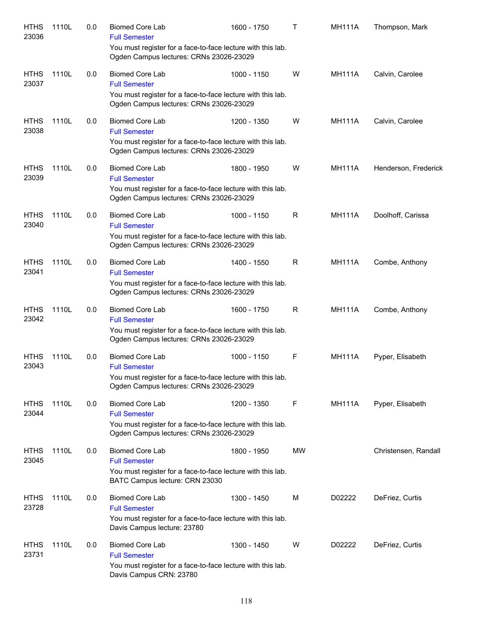| <b>HTHS</b><br>23036 | 1110L | 0.0 | <b>Biomed Core Lab</b><br><b>Full Semester</b>                                                         | 1600 - 1750 | т         | <b>MH111A</b> | Thompson, Mark       |
|----------------------|-------|-----|--------------------------------------------------------------------------------------------------------|-------------|-----------|---------------|----------------------|
|                      |       |     | You must register for a face-to-face lecture with this lab.<br>Ogden Campus lectures: CRNs 23026-23029 |             |           |               |                      |
| <b>HTHS</b><br>23037 | 1110L | 0.0 | <b>Biomed Core Lab</b><br><b>Full Semester</b>                                                         | 1000 - 1150 | W         | <b>MH111A</b> | Calvin, Carolee      |
|                      |       |     | You must register for a face-to-face lecture with this lab.<br>Ogden Campus lectures: CRNs 23026-23029 |             |           |               |                      |
| <b>HTHS</b><br>23038 | 1110L | 0.0 | <b>Biomed Core Lab</b><br><b>Full Semester</b>                                                         | 1200 - 1350 | W         | <b>MH111A</b> | Calvin, Carolee      |
|                      |       |     | You must register for a face-to-face lecture with this lab.<br>Ogden Campus lectures: CRNs 23026-23029 |             |           |               |                      |
| <b>HTHS</b><br>23039 | 1110L | 0.0 | <b>Biomed Core Lab</b><br><b>Full Semester</b>                                                         | 1800 - 1950 | W         | <b>MH111A</b> | Henderson, Frederick |
|                      |       |     | You must register for a face-to-face lecture with this lab.<br>Ogden Campus lectures: CRNs 23026-23029 |             |           |               |                      |
| <b>HTHS</b><br>23040 | 1110L | 0.0 | <b>Biomed Core Lab</b><br><b>Full Semester</b>                                                         | 1000 - 1150 | R         | <b>MH111A</b> | Doolhoff, Carissa    |
|                      |       |     | You must register for a face-to-face lecture with this lab.<br>Ogden Campus lectures: CRNs 23026-23029 |             |           |               |                      |
| <b>HTHS</b><br>23041 | 1110L | 0.0 | <b>Biomed Core Lab</b><br><b>Full Semester</b>                                                         | 1400 - 1550 | R         | <b>MH111A</b> | Combe, Anthony       |
|                      |       |     | You must register for a face-to-face lecture with this lab.<br>Ogden Campus lectures: CRNs 23026-23029 |             |           |               |                      |
| <b>HTHS</b><br>23042 | 1110L | 0.0 | <b>Biomed Core Lab</b><br><b>Full Semester</b>                                                         | 1600 - 1750 | R         | <b>MH111A</b> | Combe, Anthony       |
|                      |       |     | You must register for a face-to-face lecture with this lab.<br>Ogden Campus lectures: CRNs 23026-23029 |             |           |               |                      |
| <b>HTHS</b><br>23043 | 1110L | 0.0 | <b>Biomed Core Lab</b><br><b>Full Semester</b>                                                         | 1000 - 1150 | F         | <b>MH111A</b> | Pyper, Elisabeth     |
|                      |       |     | You must register for a face-to-face lecture with this lab.<br>Ogden Campus lectures: CRNs 23026-23029 |             |           |               |                      |
| <b>HTHS</b><br>23044 | 1110L | 0.0 | <b>Biomed Core Lab</b><br><b>Full Semester</b>                                                         | 1200 - 1350 | F         | <b>MH111A</b> | Pyper, Elisabeth     |
|                      |       |     | You must register for a face-to-face lecture with this lab.<br>Ogden Campus lectures: CRNs 23026-23029 |             |           |               |                      |
| <b>HTHS</b><br>23045 | 1110L | 0.0 | <b>Biomed Core Lab</b><br><b>Full Semester</b>                                                         | 1800 - 1950 | <b>MW</b> |               | Christensen, Randall |
|                      |       |     | You must register for a face-to-face lecture with this lab.<br>BATC Campus lecture: CRN 23030          |             |           |               |                      |
| <b>HTHS</b><br>23728 | 1110L | 0.0 | <b>Biomed Core Lab</b><br><b>Full Semester</b>                                                         | 1300 - 1450 | М         | D02222        | DeFriez, Curtis      |
|                      |       |     | You must register for a face-to-face lecture with this lab.<br>Davis Campus lecture: 23780             |             |           |               |                      |
| <b>HTHS</b><br>23731 | 1110L | 0.0 | <b>Biomed Core Lab</b><br><b>Full Semester</b>                                                         | 1300 - 1450 | W         | D02222        | DeFriez, Curtis      |
|                      |       |     | You must register for a face-to-face lecture with this lab.<br>Davis Campus CRN: 23780                 |             |           |               |                      |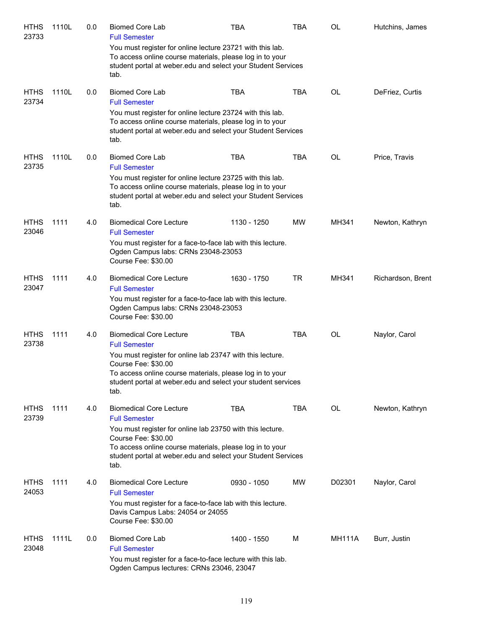| <b>HTHS</b><br>23733 | 1110L | 0.0 | <b>Biomed Core Lab</b><br><b>Full Semester</b>                                                                                                                                                                                                  | TBA         | <b>TBA</b> | OL            | Hutchins, James   |
|----------------------|-------|-----|-------------------------------------------------------------------------------------------------------------------------------------------------------------------------------------------------------------------------------------------------|-------------|------------|---------------|-------------------|
|                      |       |     | You must register for online lecture 23721 with this lab.<br>To access online course materials, please log in to your<br>student portal at weber.edu and select your Student Services<br>tab.                                                   |             |            |               |                   |
| <b>HTHS</b>          | 1110L | 0.0 | <b>Biomed Core Lab</b>                                                                                                                                                                                                                          | <b>TBA</b>  | <b>TBA</b> | OL            | DeFriez, Curtis   |
| 23734                |       |     | <b>Full Semester</b><br>You must register for online lecture 23724 with this lab.<br>To access online course materials, please log in to your<br>student portal at weber.edu and select your Student Services<br>tab.                           |             |            |               |                   |
| <b>HTHS</b><br>23735 | 1110L | 0.0 | <b>Biomed Core Lab</b><br><b>Full Semester</b><br>You must register for online lecture 23725 with this lab.<br>To access online course materials, please log in to your<br>student portal at weber edu and select your Student Services<br>tab. | <b>TBA</b>  | TBA        | OL            | Price, Travis     |
| <b>HTHS</b><br>23046 | 1111  | 4.0 | <b>Biomedical Core Lecture</b><br><b>Full Semester</b>                                                                                                                                                                                          | 1130 - 1250 | MW         | MH341         | Newton, Kathryn   |
|                      |       |     | You must register for a face-to-face lab with this lecture.<br>Ogden Campus labs: CRNs 23048-23053<br>Course Fee: \$30.00                                                                                                                       |             |            |               |                   |
| <b>HTHS</b><br>23047 | 1111  | 4.0 | <b>Biomedical Core Lecture</b><br><b>Full Semester</b>                                                                                                                                                                                          | 1630 - 1750 | <b>TR</b>  | MH341         | Richardson, Brent |
|                      |       |     | You must register for a face-to-face lab with this lecture.<br>Ogden Campus labs: CRNs 23048-23053<br>Course Fee: \$30.00                                                                                                                       |             |            |               |                   |
| <b>HTHS</b><br>23738 | 1111  | 4.0 | <b>Biomedical Core Lecture</b><br><b>Full Semester</b>                                                                                                                                                                                          | <b>TBA</b>  | <b>TBA</b> | OL            | Naylor, Carol     |
|                      |       |     | You must register for online lab 23747 with this lecture.<br>Course Fee: \$30.00<br>To access online course materials, please log in to your<br>student portal at weber edu and select your student services<br>tab.                            |             |            |               |                   |
| <b>HTHS</b><br>23739 | 1111  | 4.0 | <b>Biomedical Core Lecture</b><br><b>Full Semester</b>                                                                                                                                                                                          | <b>TBA</b>  | <b>TBA</b> | <b>OL</b>     | Newton, Kathryn   |
|                      |       |     | You must register for online lab 23750 with this lecture.<br>Course Fee: \$30.00<br>To access online course materials, please log in to your<br>student portal at weber.edu and select your Student Services<br>tab.                            |             |            |               |                   |
| <b>HTHS</b><br>24053 | 1111  | 4.0 | <b>Biomedical Core Lecture</b><br><b>Full Semester</b>                                                                                                                                                                                          | 0930 - 1050 | <b>MW</b>  | D02301        | Naylor, Carol     |
|                      |       |     | You must register for a face-to-face lab with this lecture.<br>Davis Campus Labs: 24054 or 24055<br>Course Fee: \$30.00                                                                                                                         |             |            |               |                   |
| <b>HTHS</b><br>23048 | 1111L | 0.0 | <b>Biomed Core Lab</b><br><b>Full Semester</b>                                                                                                                                                                                                  | 1400 - 1550 | M          | <b>MH111A</b> | Burr, Justin      |
|                      |       |     | You must register for a face-to-face lecture with this lab.<br>Ogden Campus lectures: CRNs 23046, 23047                                                                                                                                         |             |            |               |                   |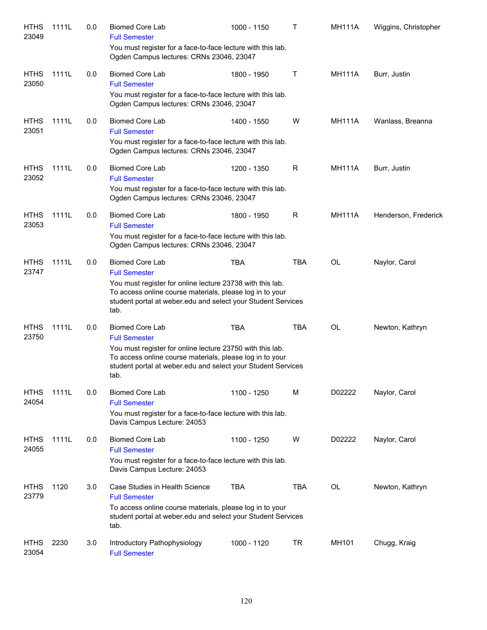| <b>HTHS</b><br>23049 | 1111L | 0.0 | <b>Biomed Core Lab</b><br><b>Full Semester</b><br>You must register for a face-to-face lecture with this lab.                                                                                 | 1000 - 1150 | Τ          | <b>MH111A</b> | Wiggins, Christopher |
|----------------------|-------|-----|-----------------------------------------------------------------------------------------------------------------------------------------------------------------------------------------------|-------------|------------|---------------|----------------------|
|                      |       |     | Ogden Campus lectures: CRNs 23046, 23047                                                                                                                                                      |             |            |               |                      |
| <b>HTHS</b><br>23050 | 1111L | 0.0 | <b>Biomed Core Lab</b><br><b>Full Semester</b>                                                                                                                                                | 1800 - 1950 | Τ          | <b>MH111A</b> | Burr, Justin         |
|                      |       |     | You must register for a face-to-face lecture with this lab.<br>Ogden Campus lectures: CRNs 23046, 23047                                                                                       |             |            |               |                      |
| <b>HTHS</b><br>23051 | 1111L | 0.0 | <b>Biomed Core Lab</b><br><b>Full Semester</b>                                                                                                                                                | 1400 - 1550 | W          | <b>MH111A</b> | Wanlass, Breanna     |
|                      |       |     | You must register for a face-to-face lecture with this lab.<br>Ogden Campus lectures: CRNs 23046, 23047                                                                                       |             |            |               |                      |
| <b>HTHS</b><br>23052 | 1111L | 0.0 | <b>Biomed Core Lab</b><br><b>Full Semester</b>                                                                                                                                                | 1200 - 1350 | R          | <b>MH111A</b> | Burr, Justin         |
|                      |       |     | You must register for a face-to-face lecture with this lab.<br>Ogden Campus lectures: CRNs 23046, 23047                                                                                       |             |            |               |                      |
| <b>HTHS</b><br>23053 | 1111L | 0.0 | <b>Biomed Core Lab</b><br><b>Full Semester</b>                                                                                                                                                | 1800 - 1950 | R          | <b>MH111A</b> | Henderson, Frederick |
|                      |       |     | You must register for a face-to-face lecture with this lab.<br>Ogden Campus lectures: CRNs 23046, 23047                                                                                       |             |            |               |                      |
| <b>HTHS</b><br>23747 | 1111L | 0.0 | <b>Biomed Core Lab</b><br><b>Full Semester</b>                                                                                                                                                | <b>TBA</b>  | TBA        | <b>OL</b>     | Naylor, Carol        |
|                      |       |     | You must register for online lecture 23738 with this lab.<br>To access online course materials, please log in to your<br>student portal at weber.edu and select your Student Services<br>tab. |             |            |               |                      |
| <b>HTHS</b><br>23750 | 1111L | 0.0 | <b>Biomed Core Lab</b><br><b>Full Semester</b>                                                                                                                                                | <b>TBA</b>  | <b>TBA</b> | <b>OL</b>     | Newton, Kathryn      |
|                      |       |     | You must register for online lecture 23750 with this lab.<br>To access online course materials, please log in to your<br>student portal at weber.edu and select your Student Services<br>tab. |             |            |               |                      |
| <b>HTHS</b><br>24054 | 1111L | 0.0 | <b>Biomed Core Lab</b><br><b>Full Semester</b>                                                                                                                                                | 1100 - 1250 | M          | D02222        | Naylor, Carol        |
|                      |       |     | You must register for a face-to-face lecture with this lab.<br>Davis Campus Lecture: 24053                                                                                                    |             |            |               |                      |
| <b>HTHS</b><br>24055 | 1111L | 0.0 | <b>Biomed Core Lab</b><br><b>Full Semester</b>                                                                                                                                                | 1100 - 1250 | W          | D02222        | Naylor, Carol        |
|                      |       |     | You must register for a face-to-face lecture with this lab.<br>Davis Campus Lecture: 24053                                                                                                    |             |            |               |                      |
| <b>HTHS</b><br>23779 | 1120  | 3.0 | Case Studies in Health Science<br><b>Full Semester</b>                                                                                                                                        | <b>TBA</b>  | TBA        | OL            | Newton, Kathryn      |
|                      |       |     | To access online course materials, please log in to your<br>student portal at weber.edu and select your Student Services<br>tab.                                                              |             |            |               |                      |
| <b>HTHS</b><br>23054 | 2230  | 3.0 | Introductory Pathophysiology<br><b>Full Semester</b>                                                                                                                                          | 1000 - 1120 | <b>TR</b>  | MH101         | Chugg, Kraig         |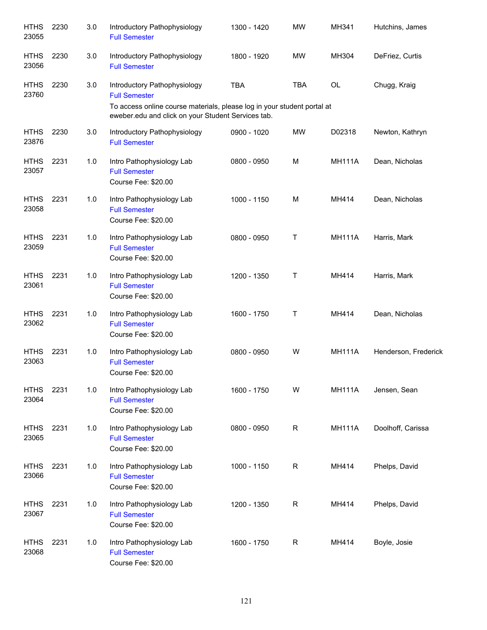| <b>HTHS</b><br>23055 | 2230 | 3.0 | Introductory Pathophysiology<br><b>Full Semester</b>                                                                                                                                  | 1300 - 1420 | <b>MW</b>  | MH341         | Hutchins, James      |
|----------------------|------|-----|---------------------------------------------------------------------------------------------------------------------------------------------------------------------------------------|-------------|------------|---------------|----------------------|
| <b>HTHS</b><br>23056 | 2230 | 3.0 | Introductory Pathophysiology<br><b>Full Semester</b>                                                                                                                                  | 1800 - 1920 | <b>MW</b>  | MH304         | DeFriez, Curtis      |
| <b>HTHS</b><br>23760 | 2230 | 3.0 | Introductory Pathophysiology<br><b>Full Semester</b><br>To access online course materials, please log in your student portal at<br>eweber.edu and click on your Student Services tab. | <b>TBA</b>  | <b>TBA</b> | OL            | Chugg, Kraig         |
| <b>HTHS</b><br>23876 | 2230 | 3.0 | Introductory Pathophysiology<br><b>Full Semester</b>                                                                                                                                  | 0900 - 1020 | <b>MW</b>  | D02318        | Newton, Kathryn      |
| <b>HTHS</b><br>23057 | 2231 | 1.0 | Intro Pathophysiology Lab<br><b>Full Semester</b><br>Course Fee: \$20.00                                                                                                              | 0800 - 0950 | M          | <b>MH111A</b> | Dean, Nicholas       |
| <b>HTHS</b><br>23058 | 2231 | 1.0 | Intro Pathophysiology Lab<br><b>Full Semester</b><br>Course Fee: \$20.00                                                                                                              | 1000 - 1150 | M          | MH414         | Dean, Nicholas       |
| <b>HTHS</b><br>23059 | 2231 | 1.0 | Intro Pathophysiology Lab<br><b>Full Semester</b><br>Course Fee: \$20.00                                                                                                              | 0800 - 0950 | Т          | <b>MH111A</b> | Harris, Mark         |
| <b>HTHS</b><br>23061 | 2231 | 1.0 | Intro Pathophysiology Lab<br><b>Full Semester</b><br>Course Fee: \$20.00                                                                                                              | 1200 - 1350 | Τ          | MH414         | Harris, Mark         |
| <b>HTHS</b><br>23062 | 2231 | 1.0 | Intro Pathophysiology Lab<br><b>Full Semester</b><br>Course Fee: \$20.00                                                                                                              | 1600 - 1750 | Τ          | MH414         | Dean, Nicholas       |
| <b>HTHS</b><br>23063 | 2231 | 1.0 | Intro Pathophysiology Lab<br><b>Full Semester</b><br>Course Fee: \$20.00                                                                                                              | 0800 - 0950 | W          | <b>MH111A</b> | Henderson, Frederick |
| <b>HTHS</b><br>23064 | 2231 | 1.0 | Intro Pathophysiology Lab<br><b>Full Semester</b><br>Course Fee: \$20.00                                                                                                              | 1600 - 1750 | W          | <b>MH111A</b> | Jensen, Sean         |
| <b>HTHS</b><br>23065 | 2231 | 1.0 | Intro Pathophysiology Lab<br><b>Full Semester</b><br>Course Fee: \$20.00                                                                                                              | 0800 - 0950 | R          | <b>MH111A</b> | Doolhoff, Carissa    |
| <b>HTHS</b><br>23066 | 2231 | 1.0 | Intro Pathophysiology Lab<br><b>Full Semester</b><br>Course Fee: \$20.00                                                                                                              | 1000 - 1150 | R          | MH414         | Phelps, David        |
| <b>HTHS</b><br>23067 | 2231 | 1.0 | Intro Pathophysiology Lab<br><b>Full Semester</b><br>Course Fee: \$20.00                                                                                                              | 1200 - 1350 | R          | MH414         | Phelps, David        |
| <b>HTHS</b><br>23068 | 2231 | 1.0 | Intro Pathophysiology Lab<br><b>Full Semester</b><br>Course Fee: \$20.00                                                                                                              | 1600 - 1750 | R          | MH414         | Boyle, Josie         |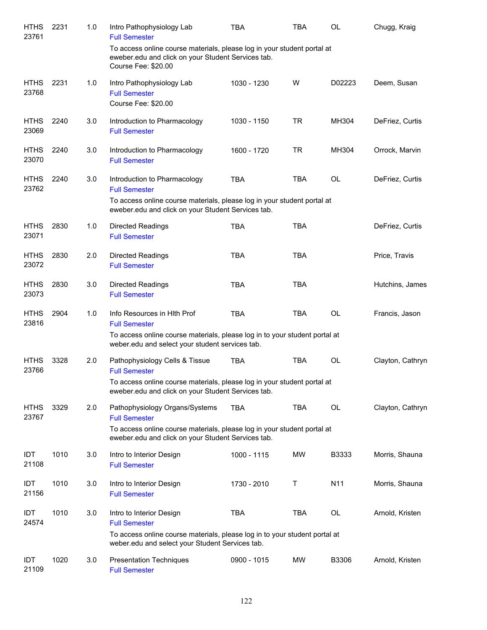| <b>HTHS</b><br>23761 | 2231 | 1.0 | Intro Pathophysiology Lab<br><b>Full Semester</b>                                                                                                    | TBA         | <b>TBA</b> | <b>OL</b>       | Chugg, Kraig     |
|----------------------|------|-----|------------------------------------------------------------------------------------------------------------------------------------------------------|-------------|------------|-----------------|------------------|
|                      |      |     | To access online course materials, please log in your student portal at<br>eweber.edu and click on your Student Services tab.<br>Course Fee: \$20.00 |             |            |                 |                  |
| <b>HTHS</b><br>23768 | 2231 | 1.0 | Intro Pathophysiology Lab<br><b>Full Semester</b><br>Course Fee: \$20.00                                                                             | 1030 - 1230 | W          | D02223          | Deem, Susan      |
| <b>HTHS</b><br>23069 | 2240 | 3.0 | Introduction to Pharmacology<br><b>Full Semester</b>                                                                                                 | 1030 - 1150 | <b>TR</b>  | MH304           | DeFriez, Curtis  |
| <b>HTHS</b><br>23070 | 2240 | 3.0 | Introduction to Pharmacology<br><b>Full Semester</b>                                                                                                 | 1600 - 1720 | <b>TR</b>  | MH304           | Orrock, Marvin   |
| <b>HTHS</b><br>23762 | 2240 | 3.0 | Introduction to Pharmacology<br><b>Full Semester</b>                                                                                                 | <b>TBA</b>  | <b>TBA</b> | <b>OL</b>       | DeFriez, Curtis  |
|                      |      |     | To access online course materials, please log in your student portal at<br>eweber.edu and click on your Student Services tab.                        |             |            |                 |                  |
| <b>HTHS</b><br>23071 | 2830 | 1.0 | <b>Directed Readings</b><br><b>Full Semester</b>                                                                                                     | <b>TBA</b>  | <b>TBA</b> |                 | DeFriez, Curtis  |
| <b>HTHS</b><br>23072 | 2830 | 2.0 | <b>Directed Readings</b><br><b>Full Semester</b>                                                                                                     | <b>TBA</b>  | <b>TBA</b> |                 | Price, Travis    |
| <b>HTHS</b><br>23073 | 2830 | 3.0 | <b>Directed Readings</b><br><b>Full Semester</b>                                                                                                     | <b>TBA</b>  | <b>TBA</b> |                 | Hutchins, James  |
| <b>HTHS</b><br>23816 | 2904 | 1.0 | Info Resources in Hith Prof<br><b>Full Semester</b>                                                                                                  | <b>TBA</b>  | <b>TBA</b> | OL              | Francis, Jason   |
|                      |      |     | To access online course materials, please log in to your student portal at<br>weber.edu and select your student services tab.                        |             |            |                 |                  |
| <b>HTHS</b><br>23766 | 3328 | 2.0 | Pathophysiology Cells & Tissue<br><b>Full Semester</b>                                                                                               | <b>TBA</b>  | <b>TBA</b> | <b>OL</b>       | Clayton, Cathryn |
|                      |      |     | To access online course materials, please log in your student portal at<br>eweber.edu and click on your Student Services tab.                        |             |            |                 |                  |
| <b>HTHS</b><br>23767 | 3329 | 2.0 | Pathophysiology Organs/Systems<br><b>Full Semester</b>                                                                                               | <b>TBA</b>  | TBA        | OL              | Clayton, Cathryn |
|                      |      |     | To access online course materials, please log in your student portal at<br>eweber.edu and click on your Student Services tab.                        |             |            |                 |                  |
| <b>IDT</b><br>21108  | 1010 | 3.0 | Intro to Interior Design<br><b>Full Semester</b>                                                                                                     | 1000 - 1115 | MW         | B3333           | Morris, Shauna   |
| IDT<br>21156         | 1010 | 3.0 | Intro to Interior Design<br><b>Full Semester</b>                                                                                                     | 1730 - 2010 | Τ          | N <sub>11</sub> | Morris, Shauna   |
| IDT<br>24574         | 1010 | 3.0 | Intro to Interior Design<br><b>Full Semester</b>                                                                                                     | <b>TBA</b>  | <b>TBA</b> | OL              | Arnold, Kristen  |
|                      |      |     | To access online course materials, please log in to your student portal at<br>weber.edu and select your Student Services tab.                        |             |            |                 |                  |
| IDT<br>21109         | 1020 | 3.0 | <b>Presentation Techniques</b><br><b>Full Semester</b>                                                                                               | 0900 - 1015 | MW         | B3306           | Arnold, Kristen  |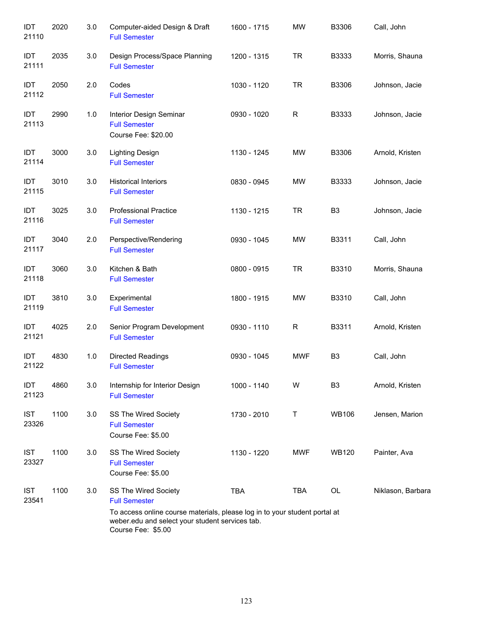| IDT<br>21110        | 2020 | 3.0 | Computer-aided Design & Draft<br><b>Full Semester</b>                                                                                                                                               | 1600 - 1715 | <b>MW</b>   | B3306          | Call, John        |
|---------------------|------|-----|-----------------------------------------------------------------------------------------------------------------------------------------------------------------------------------------------------|-------------|-------------|----------------|-------------------|
| IDT<br>21111        | 2035 | 3.0 | Design Process/Space Planning<br><b>Full Semester</b>                                                                                                                                               | 1200 - 1315 | <b>TR</b>   | B3333          | Morris, Shauna    |
| IDT<br>21112        | 2050 | 2.0 | Codes<br><b>Full Semester</b>                                                                                                                                                                       | 1030 - 1120 | <b>TR</b>   | B3306          | Johnson, Jacie    |
| IDT<br>21113        | 2990 | 1.0 | Interior Design Seminar<br><b>Full Semester</b><br>Course Fee: \$20.00                                                                                                                              | 0930 - 1020 | $\mathsf R$ | B3333          | Johnson, Jacie    |
| IDT<br>21114        | 3000 | 3.0 | Lighting Design<br><b>Full Semester</b>                                                                                                                                                             | 1130 - 1245 | <b>MW</b>   | B3306          | Arnold, Kristen   |
| IDT<br>21115        | 3010 | 3.0 | <b>Historical Interiors</b><br><b>Full Semester</b>                                                                                                                                                 | 0830 - 0945 | MW          | B3333          | Johnson, Jacie    |
| IDT<br>21116        | 3025 | 3.0 | <b>Professional Practice</b><br><b>Full Semester</b>                                                                                                                                                | 1130 - 1215 | <b>TR</b>   | B <sub>3</sub> | Johnson, Jacie    |
| IDT<br>21117        | 3040 | 2.0 | Perspective/Rendering<br><b>Full Semester</b>                                                                                                                                                       | 0930 - 1045 | <b>MW</b>   | B3311          | Call, John        |
| IDT<br>21118        | 3060 | 3.0 | Kitchen & Bath<br><b>Full Semester</b>                                                                                                                                                              | 0800 - 0915 | <b>TR</b>   | B3310          | Morris, Shauna    |
| IDT<br>21119        | 3810 | 3.0 | Experimental<br><b>Full Semester</b>                                                                                                                                                                | 1800 - 1915 | <b>MW</b>   | B3310          | Call, John        |
| IDT<br>21121        | 4025 | 2.0 | Senior Program Development<br><b>Full Semester</b>                                                                                                                                                  | 0930 - 1110 | $\mathsf R$ | B3311          | Arnold, Kristen   |
| IDT<br>21122        | 4830 | 1.0 | <b>Directed Readings</b><br><b>Full Semester</b>                                                                                                                                                    | 0930 - 1045 | <b>MWF</b>  | B <sub>3</sub> | Call, John        |
| IDT<br>21123        | 4860 | 3.0 | Internship for Interior Design<br><b>Full Semester</b>                                                                                                                                              | 1000 - 1140 | W           | B <sub>3</sub> | Arnold, Kristen   |
| <b>IST</b><br>23326 | 1100 | 3.0 | SS The Wired Society<br><b>Full Semester</b><br>Course Fee: \$5.00                                                                                                                                  | 1730 - 2010 | Τ           | <b>WB106</b>   | Jensen, Marion    |
| <b>IST</b><br>23327 | 1100 | 3.0 | SS The Wired Society<br><b>Full Semester</b><br>Course Fee: \$5.00                                                                                                                                  | 1130 - 1220 | MWF         | <b>WB120</b>   | Painter, Ava      |
| <b>IST</b><br>23541 | 1100 | 3.0 | SS The Wired Society<br><b>Full Semester</b><br>To access online course materials, please log in to your student portal at<br>weber.edu and select your student services tab.<br>Course Fee: \$5.00 | <b>TBA</b>  | <b>TBA</b>  | OL             | Niklason, Barbara |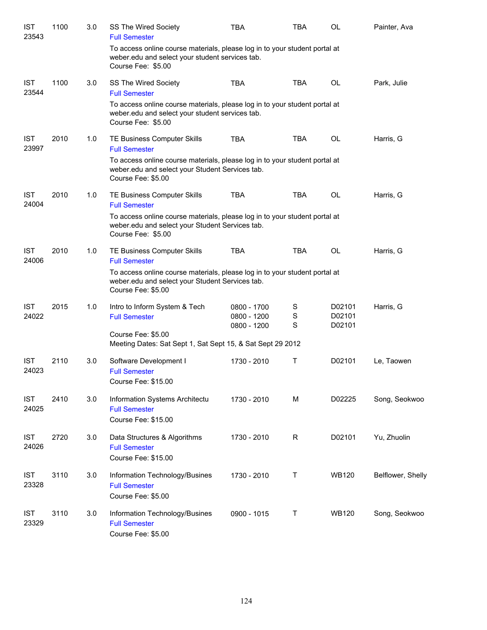| <b>IST</b><br>23543 | 1100 | 3.0 | SS The Wired Society<br><b>Full Semester</b>                                                                                                        | TBA                                       | <b>TBA</b>  | OL                         | Painter, Ava      |
|---------------------|------|-----|-----------------------------------------------------------------------------------------------------------------------------------------------------|-------------------------------------------|-------------|----------------------------|-------------------|
|                     |      |     | To access online course materials, please log in to your student portal at<br>weber.edu and select your student services tab.<br>Course Fee: \$5.00 |                                           |             |                            |                   |
| <b>IST</b><br>23544 | 1100 | 3.0 | SS The Wired Society<br><b>Full Semester</b>                                                                                                        | <b>TBA</b>                                | <b>TBA</b>  | OL                         | Park, Julie       |
|                     |      |     | To access online course materials, please log in to your student portal at<br>weber.edu and select your student services tab.<br>Course Fee: \$5.00 |                                           |             |                            |                   |
| <b>IST</b><br>23997 | 2010 | 1.0 | TE Business Computer Skills<br><b>Full Semester</b>                                                                                                 | <b>TBA</b>                                | <b>TBA</b>  | <b>OL</b>                  | Harris, G         |
|                     |      |     | To access online course materials, please log in to your student portal at<br>weber.edu and select your Student Services tab.<br>Course Fee: \$5.00 |                                           |             |                            |                   |
| <b>IST</b><br>24004 | 2010 | 1.0 | TE Business Computer Skills<br><b>Full Semester</b>                                                                                                 | <b>TBA</b>                                | <b>TBA</b>  | OL                         | Harris, G         |
|                     |      |     | To access online course materials, please log in to your student portal at<br>weber.edu and select your Student Services tab.<br>Course Fee: \$5.00 |                                           |             |                            |                   |
| <b>IST</b><br>24006 | 2010 | 1.0 | TE Business Computer Skills<br><b>Full Semester</b>                                                                                                 | <b>TBA</b>                                | <b>TBA</b>  | OL                         | Harris, G         |
|                     |      |     | To access online course materials, please log in to your student portal at<br>weber.edu and select your Student Services tab.<br>Course Fee: \$5.00 |                                           |             |                            |                   |
| <b>IST</b><br>24022 | 2015 | 1.0 | Intro to Inform System & Tech<br><b>Full Semester</b>                                                                                               | 0800 - 1700<br>0800 - 1200<br>0800 - 1200 | S<br>S<br>S | D02101<br>D02101<br>D02101 | Harris, G         |
|                     |      |     | Course Fee: \$5.00<br>Meeting Dates: Sat Sept 1, Sat Sept 15, & Sat Sept 29 2012                                                                    |                                           |             |                            |                   |
| <b>IST</b><br>24023 | 2110 | 3.0 | Software Development I<br><b>Full Semester</b><br>Course Fee: \$15.00                                                                               | 1730 - 2010                               | T           | D02101                     | Le, Taowen        |
| <b>IST</b><br>24025 | 2410 | 3.0 | Information Systems Architectu<br><b>Full Semester</b><br>Course Fee: \$15.00                                                                       | 1730 - 2010                               | M           | D02225                     | Song, Seokwoo     |
| <b>IST</b><br>24026 | 2720 | 3.0 | Data Structures & Algorithms<br><b>Full Semester</b><br>Course Fee: \$15.00                                                                         | 1730 - 2010                               | $\mathsf R$ | D02101                     | Yu, Zhuolin       |
| <b>IST</b><br>23328 | 3110 | 3.0 | Information Technology/Busines<br><b>Full Semester</b><br>Course Fee: \$5.00                                                                        | 1730 - 2010                               | Т           | WB120                      | Belflower, Shelly |
| <b>IST</b><br>23329 | 3110 | 3.0 | Information Technology/Busines<br><b>Full Semester</b><br>Course Fee: \$5.00                                                                        | 0900 - 1015                               | T           | WB120                      | Song, Seokwoo     |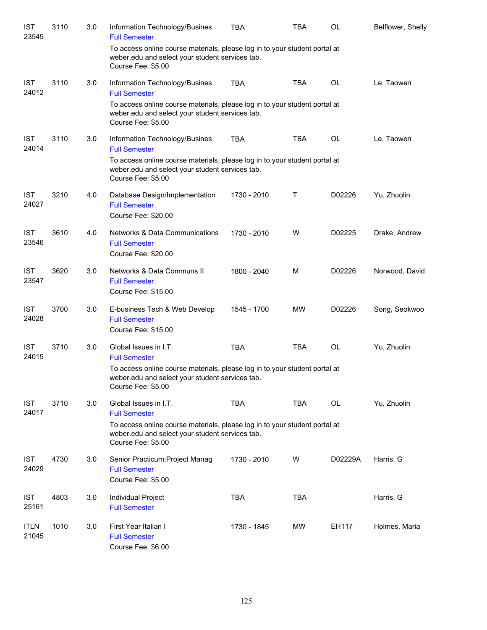| <b>IST</b><br>23545  | 3110 | 3.0 | Information Technology/Busines<br><b>Full Semester</b>                                                                                              | <b>TBA</b>  | <b>TBA</b> | OL        | Belflower, Shelly |
|----------------------|------|-----|-----------------------------------------------------------------------------------------------------------------------------------------------------|-------------|------------|-----------|-------------------|
|                      |      |     | To access online course materials, please log in to your student portal at<br>weber.edu and select your student services tab.<br>Course Fee: \$5.00 |             |            |           |                   |
| <b>IST</b><br>24012  | 3110 | 3.0 | Information Technology/Busines<br><b>Full Semester</b>                                                                                              | <b>TBA</b>  | <b>TBA</b> | <b>OL</b> | Le, Taowen        |
|                      |      |     | To access online course materials, please log in to your student portal at<br>weber.edu and select your student services tab.<br>Course Fee: \$5.00 |             |            |           |                   |
| <b>IST</b><br>24014  | 3110 | 3.0 | Information Technology/Busines<br><b>Full Semester</b>                                                                                              | <b>TBA</b>  | <b>TBA</b> | OL        | Le, Taowen        |
|                      |      |     | To access online course materials, please log in to your student portal at<br>weber.edu and select your student services tab.<br>Course Fee: \$5.00 |             |            |           |                   |
| <b>IST</b><br>24027  | 3210 | 4.0 | Database Design/Implementation<br><b>Full Semester</b><br>Course Fee: \$20.00                                                                       | 1730 - 2010 | Т          | D02226    | Yu, Zhuolin       |
| <b>IST</b><br>23546  | 3610 | 4.0 | <b>Networks &amp; Data Communications</b><br><b>Full Semester</b><br>Course Fee: \$20.00                                                            | 1730 - 2010 | W          | D02225    | Drake, Andrew     |
| <b>IST</b><br>23547  | 3620 | 3.0 | Networks & Data Communs II<br><b>Full Semester</b><br>Course Fee: \$15.00                                                                           | 1800 - 2040 | M          | D02226    | Norwood, David    |
| <b>IST</b><br>24028  | 3700 | 3.0 | E-business Tech & Web Develop<br><b>Full Semester</b><br>Course Fee: \$15.00                                                                        | 1545 - 1700 | MW         | D02226    | Song, Seokwoo     |
| <b>IST</b><br>24015  | 3710 | 3.0 | Global Issues in I.T.<br><b>Full Semester</b>                                                                                                       | <b>TBA</b>  | <b>TBA</b> | <b>OL</b> | Yu, Zhuolin       |
|                      |      |     | To access online course materials, please log in to your student portal at<br>weber.edu and select your student services tab.<br>Course Fee: \$5.00 |             |            |           |                   |
| <b>IST</b><br>24017  | 3710 | 3.0 | Global Issues in I.T.<br><b>Full Semester</b>                                                                                                       | <b>TBA</b>  | <b>TBA</b> | OL        | Yu, Zhuolin       |
|                      |      |     | To access online course materials, please log in to your student portal at<br>weber.edu and select your student services tab.<br>Course Fee: \$5.00 |             |            |           |                   |
| <b>IST</b><br>24029  | 4730 | 3.0 | Senior Practicum: Project Manag<br><b>Full Semester</b><br>Course Fee: \$5.00                                                                       | 1730 - 2010 | W          | D02229A   | Harris, G         |
| <b>IST</b><br>25161  | 4803 | 3.0 | Individual Project<br><b>Full Semester</b>                                                                                                          | <b>TBA</b>  | <b>TBA</b> |           | Harris, G         |
| <b>ITLN</b><br>21045 | 1010 | 3.0 | First Year Italian I<br><b>Full Semester</b><br>Course Fee: \$6.00                                                                                  | 1730 - 1845 | MW         | EH117     | Holmes, Maria     |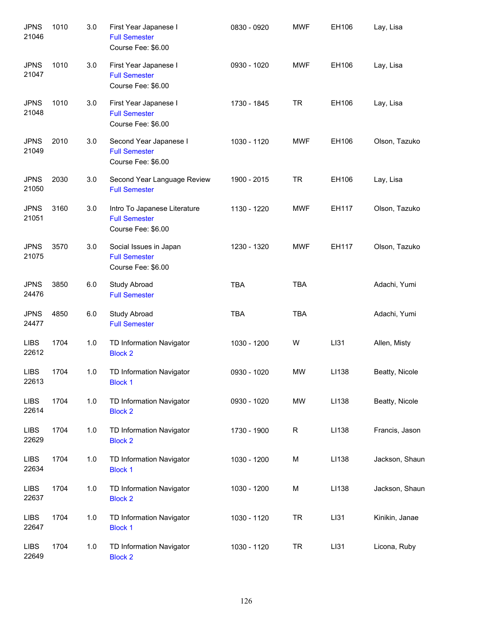| <b>JPNS</b><br>21046 | 1010 | 3.0 | First Year Japanese I<br><b>Full Semester</b><br>Course Fee: \$6.00        | 0830 - 0920 | <b>MWF</b>  | EH106 | Lay, Lisa      |
|----------------------|------|-----|----------------------------------------------------------------------------|-------------|-------------|-------|----------------|
| <b>JPNS</b><br>21047 | 1010 | 3.0 | First Year Japanese I<br><b>Full Semester</b><br>Course Fee: \$6.00        | 0930 - 1020 | MWF         | EH106 | Lay, Lisa      |
| <b>JPNS</b><br>21048 | 1010 | 3.0 | First Year Japanese I<br><b>Full Semester</b><br>Course Fee: \$6.00        | 1730 - 1845 | <b>TR</b>   | EH106 | Lay, Lisa      |
| <b>JPNS</b><br>21049 | 2010 | 3.0 | Second Year Japanese I<br><b>Full Semester</b><br>Course Fee: \$6.00       | 1030 - 1120 | <b>MWF</b>  | EH106 | Olson, Tazuko  |
| <b>JPNS</b><br>21050 | 2030 | 3.0 | Second Year Language Review<br><b>Full Semester</b>                        | 1900 - 2015 | <b>TR</b>   | EH106 | Lay, Lisa      |
| <b>JPNS</b><br>21051 | 3160 | 3.0 | Intro To Japanese Literature<br><b>Full Semester</b><br>Course Fee: \$6.00 | 1130 - 1220 | <b>MWF</b>  | EH117 | Olson, Tazuko  |
| <b>JPNS</b><br>21075 | 3570 | 3.0 | Social Issues in Japan<br><b>Full Semester</b><br>Course Fee: \$6.00       | 1230 - 1320 | <b>MWF</b>  | EH117 | Olson, Tazuko  |
| <b>JPNS</b><br>24476 | 3850 | 6.0 | Study Abroad<br><b>Full Semester</b>                                       | <b>TBA</b>  | <b>TBA</b>  |       | Adachi, Yumi   |
| <b>JPNS</b><br>24477 | 4850 | 6.0 | Study Abroad<br><b>Full Semester</b>                                       | <b>TBA</b>  | <b>TBA</b>  |       | Adachi, Yumi   |
| <b>LIBS</b><br>22612 | 1704 | 1.0 | TD Information Navigator<br><b>Block 2</b>                                 | 1030 - 1200 | W           | LI31  | Allen, Misty   |
| <b>LIBS</b><br>22613 | 1704 | 1.0 | TD Information Navigator<br><b>Block 1</b>                                 | 0930 - 1020 | <b>MW</b>   | LI138 | Beatty, Nicole |
| <b>LIBS</b><br>22614 | 1704 | 1.0 | TD Information Navigator<br><b>Block 2</b>                                 | 0930 - 1020 | <b>MW</b>   | LI138 | Beatty, Nicole |
| <b>LIBS</b><br>22629 | 1704 | 1.0 | TD Information Navigator<br><b>Block 2</b>                                 | 1730 - 1900 | $\mathsf R$ | LI138 | Francis, Jason |
| <b>LIBS</b><br>22634 | 1704 | 1.0 | TD Information Navigator<br><b>Block 1</b>                                 | 1030 - 1200 | M           | LI138 | Jackson, Shaun |
| <b>LIBS</b><br>22637 | 1704 | 1.0 | TD Information Navigator<br><b>Block 2</b>                                 | 1030 - 1200 | M           | LI138 | Jackson, Shaun |
| <b>LIBS</b><br>22647 | 1704 | 1.0 | TD Information Navigator<br><b>Block 1</b>                                 | 1030 - 1120 | <b>TR</b>   | LI31  | Kinikin, Janae |
| <b>LIBS</b><br>22649 | 1704 | 1.0 | TD Information Navigator<br><b>Block 2</b>                                 | 1030 - 1120 | <b>TR</b>   | LI31  | Licona, Ruby   |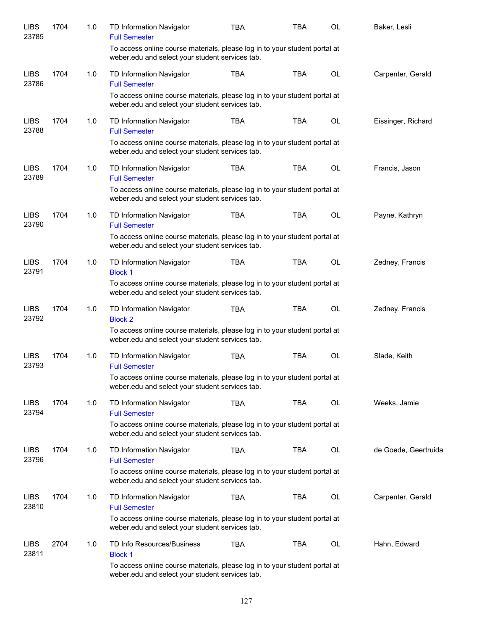| <b>LIBS</b><br>23785 | 1704 | 1.0 | TD Information Navigator<br><b>Full Semester</b>                                                                              | <b>TBA</b> | TBA        | <b>OL</b> | Baker, Lesli         |
|----------------------|------|-----|-------------------------------------------------------------------------------------------------------------------------------|------------|------------|-----------|----------------------|
|                      |      |     | To access online course materials, please log in to your student portal at<br>weber.edu and select your student services tab. |            |            |           |                      |
| <b>LIBS</b><br>23786 | 1704 | 1.0 | TD Information Navigator<br><b>Full Semester</b>                                                                              | <b>TBA</b> | <b>TBA</b> | OL        | Carpenter, Gerald    |
|                      |      |     | To access online course materials, please log in to your student portal at<br>weber.edu and select your student services tab. |            |            |           |                      |
| <b>LIBS</b><br>23788 | 1704 | 1.0 | TD Information Navigator<br><b>Full Semester</b>                                                                              | <b>TBA</b> | <b>TBA</b> | OL        | Eissinger, Richard   |
|                      |      |     | To access online course materials, please log in to your student portal at<br>weber.edu and select your student services tab. |            |            |           |                      |
| <b>LIBS</b><br>23789 | 1704 | 1.0 | TD Information Navigator<br><b>Full Semester</b>                                                                              | <b>TBA</b> | <b>TBA</b> | <b>OL</b> | Francis, Jason       |
|                      |      |     | To access online course materials, please log in to your student portal at<br>weber.edu and select your student services tab. |            |            |           |                      |
| <b>LIBS</b><br>23790 | 1704 | 1.0 | TD Information Navigator<br><b>Full Semester</b>                                                                              | <b>TBA</b> | <b>TBA</b> | OL        | Payne, Kathryn       |
|                      |      |     | To access online course materials, please log in to your student portal at<br>weber.edu and select your student services tab. |            |            |           |                      |
| <b>LIBS</b><br>23791 | 1704 | 1.0 | TD Information Navigator<br><b>Block 1</b>                                                                                    | <b>TBA</b> | <b>TBA</b> | <b>OL</b> | Zedney, Francis      |
|                      |      |     | To access online course materials, please log in to your student portal at<br>weber.edu and select your student services tab. |            |            |           |                      |
| <b>LIBS</b><br>23792 | 1704 | 1.0 | TD Information Navigator<br><b>Block 2</b>                                                                                    | <b>TBA</b> | TBA        | OL        | Zedney, Francis      |
|                      |      |     | To access online course materials, please log in to your student portal at<br>weber.edu and select your student services tab. |            |            |           |                      |
| <b>LIBS</b><br>23793 | 1704 | 1.0 | TD Information Navigator<br><b>Full Semester</b>                                                                              | <b>TBA</b> | <b>TBA</b> | OL        | Slade, Keith         |
|                      |      |     | To access online course materials, please log in to your student portal at<br>weber.edu and select your student services tab. |            |            |           |                      |
| <b>LIBS</b><br>23794 | 1704 | 1.0 | TD Information Navigator<br><b>Full Semester</b>                                                                              | <b>TBA</b> | <b>TBA</b> | OL        | Weeks, Jamie         |
|                      |      |     | To access online course materials, please log in to your student portal at<br>weber.edu and select your student services tab. |            |            |           |                      |
| <b>LIBS</b><br>23796 | 1704 | 1.0 | TD Information Navigator<br><b>Full Semester</b>                                                                              | TBA        | TBA        | OL        | de Goede, Geertruida |
|                      |      |     | To access online course materials, please log in to your student portal at<br>weber.edu and select your student services tab. |            |            |           |                      |
| <b>LIBS</b><br>23810 | 1704 | 1.0 | TD Information Navigator<br><b>Full Semester</b>                                                                              | <b>TBA</b> | TBA        | OL        | Carpenter, Gerald    |
|                      |      |     | To access online course materials, please log in to your student portal at<br>weber.edu and select your student services tab. |            |            |           |                      |
| <b>LIBS</b><br>23811 | 2704 | 1.0 | TD Info Resources/Business<br><b>Block 1</b>                                                                                  | <b>TBA</b> | TBA        | OL        | Hahn, Edward         |
|                      |      |     | To access online course materials, please log in to your student portal at<br>weber.edu and select your student services tab. |            |            |           |                      |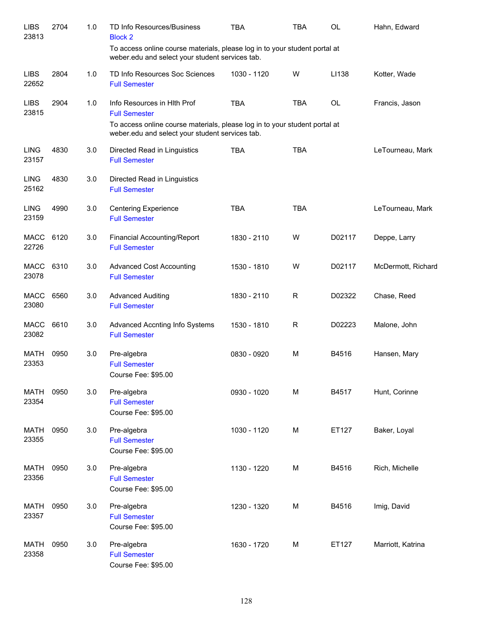| <b>LIBS</b><br>23813 | 2704 | 1.0 | TD Info Resources/Business<br><b>Block 2</b>                                                                                  | <b>TBA</b>  | <b>TBA</b> | OL        | Hahn, Edward       |
|----------------------|------|-----|-------------------------------------------------------------------------------------------------------------------------------|-------------|------------|-----------|--------------------|
|                      |      |     | To access online course materials, please log in to your student portal at<br>weber.edu and select your student services tab. |             |            |           |                    |
| <b>LIBS</b><br>22652 | 2804 | 1.0 | TD Info Resources Soc Sciences<br><b>Full Semester</b>                                                                        | 1030 - 1120 | W          | LI138     | Kotter, Wade       |
| <b>LIBS</b><br>23815 | 2904 | 1.0 | Info Resources in HIth Prof<br><b>Full Semester</b>                                                                           | <b>TBA</b>  | <b>TBA</b> | <b>OL</b> | Francis, Jason     |
|                      |      |     | To access online course materials, please log in to your student portal at<br>weber.edu and select your student services tab. |             |            |           |                    |
| <b>LING</b><br>23157 | 4830 | 3.0 | Directed Read in Linguistics<br><b>Full Semester</b>                                                                          | <b>TBA</b>  | <b>TBA</b> |           | LeTourneau, Mark   |
| <b>LING</b><br>25162 | 4830 | 3.0 | Directed Read in Linguistics<br><b>Full Semester</b>                                                                          |             |            |           |                    |
| <b>LING</b><br>23159 | 4990 | 3.0 | <b>Centering Experience</b><br><b>Full Semester</b>                                                                           | <b>TBA</b>  | <b>TBA</b> |           | LeTourneau, Mark   |
| MACC<br>22726        | 6120 | 3.0 | Financial Accounting/Report<br><b>Full Semester</b>                                                                           | 1830 - 2110 | W          | D02117    | Deppe, Larry       |
| MACC<br>23078        | 6310 | 3.0 | <b>Advanced Cost Accounting</b><br><b>Full Semester</b>                                                                       | 1530 - 1810 | W          | D02117    | McDermott, Richard |
| <b>MACC</b><br>23080 | 6560 | 3.0 | <b>Advanced Auditing</b><br><b>Full Semester</b>                                                                              | 1830 - 2110 | R          | D02322    | Chase, Reed        |
| <b>MACC</b><br>23082 | 6610 | 3.0 | Advanced Accnting Info Systems<br><b>Full Semester</b>                                                                        | 1530 - 1810 | R          | D02223    | Malone, John       |
| <b>MATH</b><br>23353 | 0950 | 3.0 | Pre-algebra<br><b>Full Semester</b>                                                                                           | 0830 - 0920 | M          | B4516     | Hansen, Mary       |
|                      |      |     | Course Fee: \$95.00                                                                                                           |             |            |           |                    |
| <b>MATH</b><br>23354 | 0950 | 3.0 | Pre-algebra<br><b>Full Semester</b><br>Course Fee: \$95.00                                                                    | 0930 - 1020 | M          | B4517     | Hunt, Corinne      |
| <b>MATH</b><br>23355 | 0950 | 3.0 | Pre-algebra<br><b>Full Semester</b><br>Course Fee: \$95.00                                                                    | 1030 - 1120 | M          | ET127     | Baker, Loyal       |
| <b>MATH</b><br>23356 | 0950 | 3.0 | Pre-algebra<br><b>Full Semester</b><br>Course Fee: \$95.00                                                                    | 1130 - 1220 | M          | B4516     | Rich, Michelle     |
| <b>MATH</b><br>23357 | 0950 | 3.0 | Pre-algebra<br><b>Full Semester</b><br>Course Fee: \$95.00                                                                    | 1230 - 1320 | M          | B4516     | Imig, David        |
| <b>MATH</b><br>23358 | 0950 | 3.0 | Pre-algebra<br><b>Full Semester</b><br>Course Fee: \$95.00                                                                    | 1630 - 1720 | M          | ET127     | Marriott, Katrina  |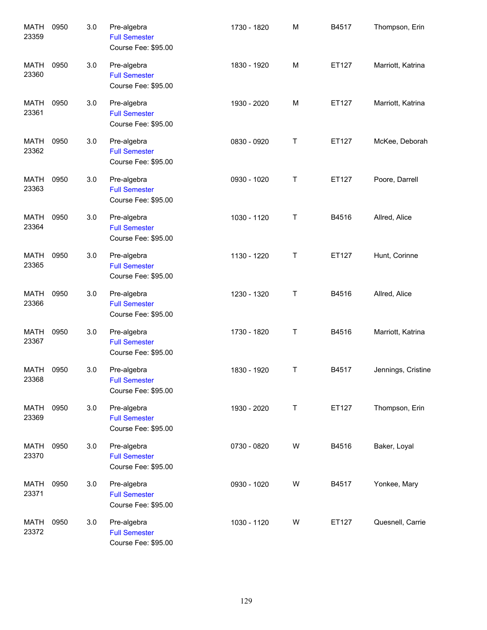| <b>MATH</b><br>23359 | 0950 | 3.0 | Pre-algebra<br><b>Full Semester</b><br>Course Fee: \$95.00 | 1730 - 1820 | M | B4517 | Thompson, Erin     |
|----------------------|------|-----|------------------------------------------------------------|-------------|---|-------|--------------------|
| <b>MATH</b><br>23360 | 0950 | 3.0 | Pre-algebra<br><b>Full Semester</b><br>Course Fee: \$95.00 | 1830 - 1920 | M | ET127 | Marriott, Katrina  |
| <b>MATH</b><br>23361 | 0950 | 3.0 | Pre-algebra<br><b>Full Semester</b><br>Course Fee: \$95.00 | 1930 - 2020 | M | ET127 | Marriott, Katrina  |
| <b>MATH</b><br>23362 | 0950 | 3.0 | Pre-algebra<br><b>Full Semester</b><br>Course Fee: \$95.00 | 0830 - 0920 | Τ | ET127 | McKee, Deborah     |
| <b>MATH</b><br>23363 | 0950 | 3.0 | Pre-algebra<br><b>Full Semester</b><br>Course Fee: \$95.00 | 0930 - 1020 | Τ | ET127 | Poore, Darrell     |
| <b>MATH</b><br>23364 | 0950 | 3.0 | Pre-algebra<br><b>Full Semester</b><br>Course Fee: \$95.00 | 1030 - 1120 | Τ | B4516 | Allred, Alice      |
| MATH<br>23365        | 0950 | 3.0 | Pre-algebra<br><b>Full Semester</b><br>Course Fee: \$95.00 | 1130 - 1220 | Τ | ET127 | Hunt, Corinne      |
| <b>MATH</b><br>23366 | 0950 | 3.0 | Pre-algebra<br><b>Full Semester</b><br>Course Fee: \$95.00 | 1230 - 1320 | Τ | B4516 | Allred, Alice      |
| <b>MATH</b><br>23367 | 0950 | 3.0 | Pre-algebra<br><b>Full Semester</b><br>Course Fee: \$95.00 | 1730 - 1820 | Τ | B4516 | Marriott, Katrina  |
| MATH<br>23368        | 0950 | 3.0 | Pre-algebra<br><b>Full Semester</b><br>Course Fee: \$95.00 | 1830 - 1920 | Τ | B4517 | Jennings, Cristine |
| <b>MATH</b><br>23369 | 0950 | 3.0 | Pre-algebra<br><b>Full Semester</b><br>Course Fee: \$95.00 | 1930 - 2020 | T | ET127 | Thompson, Erin     |
| MATH<br>23370        | 0950 | 3.0 | Pre-algebra<br><b>Full Semester</b><br>Course Fee: \$95.00 | 0730 - 0820 | W | B4516 | Baker, Loyal       |
| MATH<br>23371        | 0950 | 3.0 | Pre-algebra<br><b>Full Semester</b><br>Course Fee: \$95.00 | 0930 - 1020 | W | B4517 | Yonkee, Mary       |
| MATH<br>23372        | 0950 | 3.0 | Pre-algebra<br><b>Full Semester</b><br>Course Fee: \$95.00 | 1030 - 1120 | W | ET127 | Quesnell, Carrie   |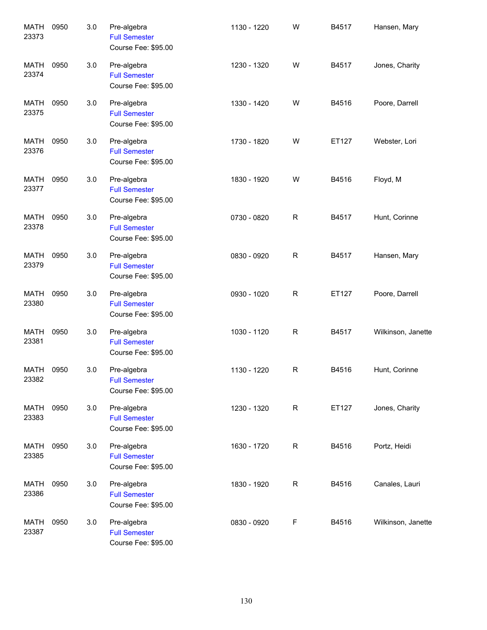| <b>MATH</b><br>23373 | 0950 | 3.0 | Pre-algebra<br><b>Full Semester</b><br>Course Fee: \$95.00 | 1130 - 1220 | W            | B4517 | Hansen, Mary       |
|----------------------|------|-----|------------------------------------------------------------|-------------|--------------|-------|--------------------|
| <b>MATH</b><br>23374 | 0950 | 3.0 | Pre-algebra<br><b>Full Semester</b><br>Course Fee: \$95.00 | 1230 - 1320 | W            | B4517 | Jones, Charity     |
| <b>MATH</b><br>23375 | 0950 | 3.0 | Pre-algebra<br><b>Full Semester</b><br>Course Fee: \$95.00 | 1330 - 1420 | W            | B4516 | Poore, Darrell     |
| <b>MATH</b><br>23376 | 0950 | 3.0 | Pre-algebra<br><b>Full Semester</b><br>Course Fee: \$95.00 | 1730 - 1820 | W            | ET127 | Webster, Lori      |
| <b>MATH</b><br>23377 | 0950 | 3.0 | Pre-algebra<br><b>Full Semester</b><br>Course Fee: \$95.00 | 1830 - 1920 | W            | B4516 | Floyd, M           |
| <b>MATH</b><br>23378 | 0950 | 3.0 | Pre-algebra<br><b>Full Semester</b><br>Course Fee: \$95.00 | 0730 - 0820 | $\mathsf{R}$ | B4517 | Hunt, Corinne      |
| MATH<br>23379        | 0950 | 3.0 | Pre-algebra<br><b>Full Semester</b><br>Course Fee: \$95.00 | 0830 - 0920 | R            | B4517 | Hansen, Mary       |
| <b>MATH</b><br>23380 | 0950 | 3.0 | Pre-algebra<br><b>Full Semester</b><br>Course Fee: \$95.00 | 0930 - 1020 | R            | ET127 | Poore, Darrell     |
| <b>MATH</b><br>23381 | 0950 | 3.0 | Pre-algebra<br><b>Full Semester</b><br>Course Fee: \$95.00 | 1030 - 1120 | R            | B4517 | Wilkinson, Janette |
| MATH<br>23382        | 0950 | 3.0 | Pre-algebra<br><b>Full Semester</b><br>Course Fee: \$95.00 | 1130 - 1220 | R            | B4516 | Hunt, Corinne      |
| <b>MATH</b><br>23383 | 0950 | 3.0 | Pre-algebra<br><b>Full Semester</b><br>Course Fee: \$95.00 | 1230 - 1320 | R            | ET127 | Jones, Charity     |
| MATH<br>23385        | 0950 | 3.0 | Pre-algebra<br><b>Full Semester</b><br>Course Fee: \$95.00 | 1630 - 1720 | R            | B4516 | Portz, Heidi       |
| MATH<br>23386        | 0950 | 3.0 | Pre-algebra<br><b>Full Semester</b><br>Course Fee: \$95.00 | 1830 - 1920 | R            | B4516 | Canales, Lauri     |
| MATH<br>23387        | 0950 | 3.0 | Pre-algebra<br><b>Full Semester</b><br>Course Fee: \$95.00 | 0830 - 0920 | F            | B4516 | Wilkinson, Janette |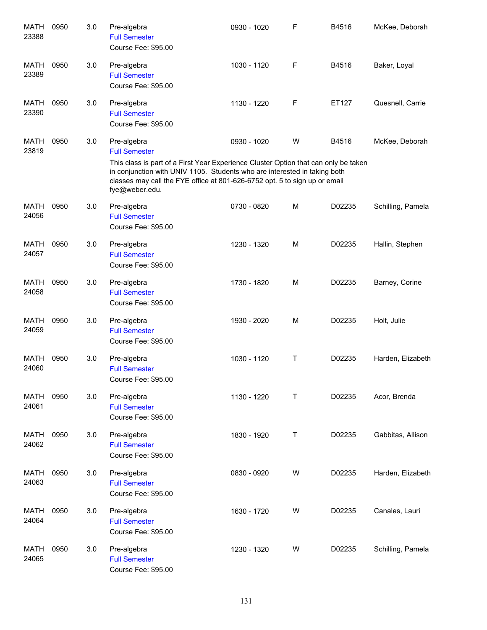| <b>MATH</b><br>23388 | 0950 | 3.0 | Pre-algebra<br><b>Full Semester</b><br>Course Fee: \$95.00                                                                                                                                                                                                                                              | 0930 - 1020 | F | B4516  | McKee, Deborah    |
|----------------------|------|-----|---------------------------------------------------------------------------------------------------------------------------------------------------------------------------------------------------------------------------------------------------------------------------------------------------------|-------------|---|--------|-------------------|
| <b>MATH</b><br>23389 | 0950 | 3.0 | Pre-algebra<br><b>Full Semester</b><br>Course Fee: \$95.00                                                                                                                                                                                                                                              | 1030 - 1120 | F | B4516  | Baker, Loyal      |
| <b>MATH</b><br>23390 | 0950 | 3.0 | Pre-algebra<br><b>Full Semester</b><br>Course Fee: \$95.00                                                                                                                                                                                                                                              | 1130 - 1220 | F | ET127  | Quesnell, Carrie  |
| <b>MATH</b><br>23819 | 0950 | 3.0 | Pre-algebra<br><b>Full Semester</b><br>This class is part of a First Year Experience Cluster Option that can only be taken<br>in conjunction with UNIV 1105. Students who are interested in taking both<br>classes may call the FYE office at 801-626-6752 opt. 5 to sign up or email<br>fye@weber.edu. | 0930 - 1020 | W | B4516  | McKee, Deborah    |
| <b>MATH</b><br>24056 | 0950 | 3.0 | Pre-algebra<br><b>Full Semester</b><br>Course Fee: \$95.00                                                                                                                                                                                                                                              | 0730 - 0820 | M | D02235 | Schilling, Pamela |
| <b>MATH</b><br>24057 | 0950 | 3.0 | Pre-algebra<br><b>Full Semester</b><br>Course Fee: \$95.00                                                                                                                                                                                                                                              | 1230 - 1320 | M | D02235 | Hallin, Stephen   |
| <b>MATH</b><br>24058 | 0950 | 3.0 | Pre-algebra<br><b>Full Semester</b><br>Course Fee: \$95.00                                                                                                                                                                                                                                              | 1730 - 1820 | M | D02235 | Barney, Corine    |
| <b>MATH</b><br>24059 | 0950 | 3.0 | Pre-algebra<br><b>Full Semester</b><br>Course Fee: \$95.00                                                                                                                                                                                                                                              | 1930 - 2020 | M | D02235 | Holt, Julie       |
| <b>MATH</b><br>24060 | 0950 | 3.0 | Pre-algebra<br><b>Full Semester</b><br>Course Fee: \$95.00                                                                                                                                                                                                                                              | 1030 - 1120 | Τ | D02235 | Harden, Elizabeth |
| <b>MATH</b><br>24061 | 0950 | 3.0 | Pre-algebra<br><b>Full Semester</b><br>Course Fee: \$95.00                                                                                                                                                                                                                                              | 1130 - 1220 | Т | D02235 | Acor, Brenda      |
| MATH<br>24062        | 0950 | 3.0 | Pre-algebra<br><b>Full Semester</b><br>Course Fee: \$95.00                                                                                                                                                                                                                                              | 1830 - 1920 | Τ | D02235 | Gabbitas, Allison |
| <b>MATH</b><br>24063 | 0950 | 3.0 | Pre-algebra<br><b>Full Semester</b><br>Course Fee: \$95.00                                                                                                                                                                                                                                              | 0830 - 0920 | W | D02235 | Harden, Elizabeth |
| MATH<br>24064        | 0950 | 3.0 | Pre-algebra<br><b>Full Semester</b><br>Course Fee: \$95.00                                                                                                                                                                                                                                              | 1630 - 1720 | W | D02235 | Canales, Lauri    |
| MATH<br>24065        | 0950 | 3.0 | Pre-algebra<br><b>Full Semester</b><br>Course Fee: \$95.00                                                                                                                                                                                                                                              | 1230 - 1320 | W | D02235 | Schilling, Pamela |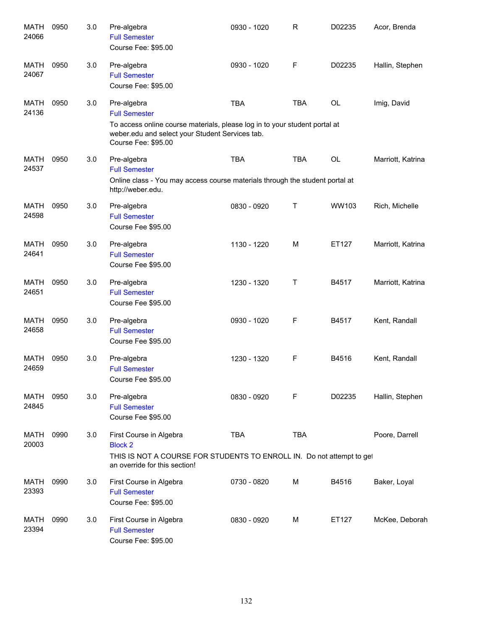| <b>MATH</b><br>24066 | 0950 | 3.0 | Pre-algebra<br><b>Full Semester</b><br>Course Fee: \$95.00                                                                                                                                  | 0930 - 1020 | $\mathsf R$ | D02235 | Acor, Brenda      |
|----------------------|------|-----|---------------------------------------------------------------------------------------------------------------------------------------------------------------------------------------------|-------------|-------------|--------|-------------------|
| MATH<br>24067        | 0950 | 3.0 | Pre-algebra<br><b>Full Semester</b><br>Course Fee: \$95.00                                                                                                                                  | 0930 - 1020 | F           | D02235 | Hallin, Stephen   |
| MATH<br>24136        | 0950 | 3.0 | Pre-algebra<br><b>Full Semester</b><br>To access online course materials, please log in to your student portal at<br>weber.edu and select your Student Services tab.<br>Course Fee: \$95.00 | <b>TBA</b>  | <b>TBA</b>  | OL     | Imig, David       |
| <b>MATH</b><br>24537 | 0950 | 3.0 | Pre-algebra<br><b>Full Semester</b><br>Online class - You may access course materials through the student portal at<br>http://weber.edu.                                                    | <b>TBA</b>  | <b>TBA</b>  | OL     | Marriott, Katrina |
| <b>MATH</b><br>24598 | 0950 | 3.0 | Pre-algebra<br><b>Full Semester</b><br>Course Fee \$95.00                                                                                                                                   | 0830 - 0920 | Τ           | WW103  | Rich, Michelle    |
| <b>MATH</b><br>24641 | 0950 | 3.0 | Pre-algebra<br><b>Full Semester</b><br>Course Fee \$95.00                                                                                                                                   | 1130 - 1220 | M           | ET127  | Marriott, Katrina |
| <b>MATH</b><br>24651 | 0950 | 3.0 | Pre-algebra<br><b>Full Semester</b><br>Course Fee \$95.00                                                                                                                                   | 1230 - 1320 | Τ           | B4517  | Marriott, Katrina |
| <b>MATH</b><br>24658 | 0950 | 3.0 | Pre-algebra<br><b>Full Semester</b><br>Course Fee \$95.00                                                                                                                                   | 0930 - 1020 | F           | B4517  | Kent, Randall     |
| <b>MATH</b><br>24659 | 0950 | 3.0 | Pre-algebra<br><b>Full Semester</b><br>Course Fee \$95.00                                                                                                                                   | 1230 - 1320 | F           | B4516  | Kent, Randall     |
| MATH<br>24845        | 0950 | 3.0 | Pre-algebra<br><b>Full Semester</b><br>Course Fee \$95.00                                                                                                                                   | 0830 - 0920 | F           | D02235 | Hallin, Stephen   |
| <b>MATH</b><br>20003 | 0990 | 3.0 | First Course in Algebra<br><b>Block 2</b><br>THIS IS NOT A COURSE FOR STUDENTS TO ENROLL IN. Do not attempt to get<br>an override for this section!                                         | <b>TBA</b>  | <b>TBA</b>  |        | Poore, Darrell    |
| MATH<br>23393        | 0990 | 3.0 | First Course in Algebra<br><b>Full Semester</b><br>Course Fee: \$95.00                                                                                                                      | 0730 - 0820 | М           | B4516  | Baker, Loyal      |
| MATH<br>23394        | 0990 | 3.0 | First Course in Algebra<br><b>Full Semester</b><br>Course Fee: \$95.00                                                                                                                      | 0830 - 0920 | М           | ET127  | McKee, Deborah    |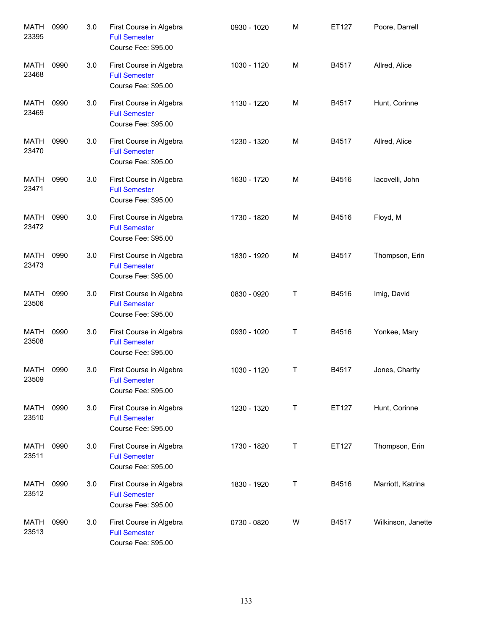| <b>MATH</b><br>23395 | 0990 | 3.0 | First Course in Algebra<br><b>Full Semester</b><br>Course Fee: \$95.00 | 0930 - 1020 | M | ET127 | Poore, Darrell     |
|----------------------|------|-----|------------------------------------------------------------------------|-------------|---|-------|--------------------|
| <b>MATH</b><br>23468 | 0990 | 3.0 | First Course in Algebra<br><b>Full Semester</b><br>Course Fee: \$95.00 | 1030 - 1120 | M | B4517 | Allred, Alice      |
| MATH<br>23469        | 0990 | 3.0 | First Course in Algebra<br><b>Full Semester</b><br>Course Fee: \$95.00 | 1130 - 1220 | M | B4517 | Hunt, Corinne      |
| MATH<br>23470        | 0990 | 3.0 | First Course in Algebra<br><b>Full Semester</b><br>Course Fee: \$95.00 | 1230 - 1320 | M | B4517 | Allred, Alice      |
| MATH<br>23471        | 0990 | 3.0 | First Course in Algebra<br><b>Full Semester</b><br>Course Fee: \$95.00 | 1630 - 1720 | M | B4516 | lacovelli, John    |
| MATH<br>23472        | 0990 | 3.0 | First Course in Algebra<br><b>Full Semester</b><br>Course Fee: \$95.00 | 1730 - 1820 | M | B4516 | Floyd, M           |
| MATH<br>23473        | 0990 | 3.0 | First Course in Algebra<br><b>Full Semester</b><br>Course Fee: \$95.00 | 1830 - 1920 | M | B4517 | Thompson, Erin     |
| MATH<br>23506        | 0990 | 3.0 | First Course in Algebra<br><b>Full Semester</b><br>Course Fee: \$95.00 | 0830 - 0920 | Т | B4516 | Imig, David        |
| MATH<br>23508        | 0990 | 3.0 | First Course in Algebra<br><b>Full Semester</b><br>Course Fee: \$95.00 | 0930 - 1020 | Т | B4516 | Yonkee, Mary       |
| MATH<br>23509        | 0990 | 3.0 | First Course in Algebra<br><b>Full Semester</b><br>Course Fee: \$95.00 | 1030 - 1120 | Т | B4517 | Jones, Charity     |
| MATH<br>23510        | 0990 | 3.0 | First Course in Algebra<br><b>Full Semester</b><br>Course Fee: \$95.00 | 1230 - 1320 | Т | ET127 | Hunt, Corinne      |
| MATH<br>23511        | 0990 | 3.0 | First Course in Algebra<br><b>Full Semester</b><br>Course Fee: \$95.00 | 1730 - 1820 | Т | ET127 | Thompson, Erin     |
| MATH<br>23512        | 0990 | 3.0 | First Course in Algebra<br><b>Full Semester</b><br>Course Fee: \$95.00 | 1830 - 1920 | Т | B4516 | Marriott, Katrina  |
| MATH<br>23513        | 0990 | 3.0 | First Course in Algebra<br><b>Full Semester</b><br>Course Fee: \$95.00 | 0730 - 0820 | W | B4517 | Wilkinson, Janette |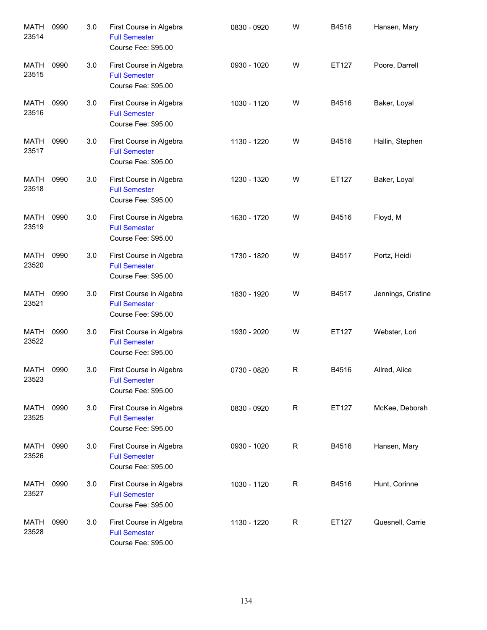| <b>MATH</b><br>23514 | 0990 | 3.0 | First Course in Algebra<br><b>Full Semester</b><br>Course Fee: \$95.00 | 0830 - 0920 | W           | B4516 | Hansen, Mary       |
|----------------------|------|-----|------------------------------------------------------------------------|-------------|-------------|-------|--------------------|
| <b>MATH</b><br>23515 | 0990 | 3.0 | First Course in Algebra<br><b>Full Semester</b><br>Course Fee: \$95.00 | 0930 - 1020 | W           | ET127 | Poore, Darrell     |
| <b>MATH</b><br>23516 | 0990 | 3.0 | First Course in Algebra<br><b>Full Semester</b><br>Course Fee: \$95.00 | 1030 - 1120 | W           | B4516 | Baker, Loyal       |
| MATH<br>23517        | 0990 | 3.0 | First Course in Algebra<br><b>Full Semester</b><br>Course Fee: \$95.00 | 1130 - 1220 | W           | B4516 | Hallin, Stephen    |
| <b>MATH</b><br>23518 | 0990 | 3.0 | First Course in Algebra<br><b>Full Semester</b><br>Course Fee: \$95.00 | 1230 - 1320 | W           | ET127 | Baker, Loyal       |
| <b>MATH</b><br>23519 | 0990 | 3.0 | First Course in Algebra<br><b>Full Semester</b><br>Course Fee: \$95.00 | 1630 - 1720 | W           | B4516 | Floyd, M           |
| MATH<br>23520        | 0990 | 3.0 | First Course in Algebra<br><b>Full Semester</b><br>Course Fee: \$95.00 | 1730 - 1820 | W           | B4517 | Portz, Heidi       |
| MATH<br>23521        | 0990 | 3.0 | First Course in Algebra<br><b>Full Semester</b><br>Course Fee: \$95.00 | 1830 - 1920 | W           | B4517 | Jennings, Cristine |
| MATH<br>23522        | 0990 | 3.0 | First Course in Algebra<br><b>Full Semester</b><br>Course Fee: \$95.00 | 1930 - 2020 | W           | ET127 | Webster, Lori      |
| MATH<br>23523        | 0990 | 3.0 | First Course in Algebra<br><b>Full Semester</b><br>Course Fee: \$95.00 | 0730 - 0820 | $\mathsf R$ | B4516 | Allred, Alice      |
| <b>MATH</b><br>23525 | 0990 | 3.0 | First Course in Algebra<br><b>Full Semester</b><br>Course Fee: \$95.00 | 0830 - 0920 | R           | ET127 | McKee, Deborah     |
| <b>MATH</b><br>23526 | 0990 | 3.0 | First Course in Algebra<br><b>Full Semester</b><br>Course Fee: \$95.00 | 0930 - 1020 | R           | B4516 | Hansen, Mary       |
| <b>MATH</b><br>23527 | 0990 | 3.0 | First Course in Algebra<br><b>Full Semester</b><br>Course Fee: \$95.00 | 1030 - 1120 | R           | B4516 | Hunt, Corinne      |
| MATH<br>23528        | 0990 | 3.0 | First Course in Algebra<br><b>Full Semester</b><br>Course Fee: \$95.00 | 1130 - 1220 | R           | ET127 | Quesnell, Carrie   |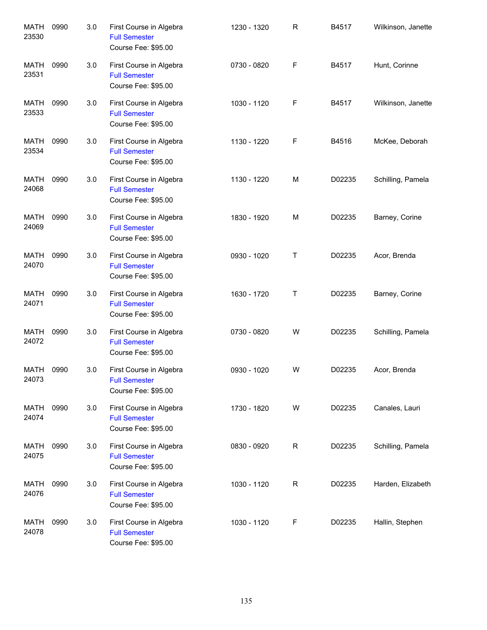| <b>MATH</b><br>23530 | 0990 | 3.0 | First Course in Algebra<br><b>Full Semester</b><br>Course Fee: \$95.00 | 1230 - 1320 | $\mathsf{R}$ | B4517  | Wilkinson, Janette |
|----------------------|------|-----|------------------------------------------------------------------------|-------------|--------------|--------|--------------------|
| <b>MATH</b><br>23531 | 0990 | 3.0 | First Course in Algebra<br><b>Full Semester</b><br>Course Fee: \$95.00 | 0730 - 0820 | F            | B4517  | Hunt, Corinne      |
| <b>MATH</b><br>23533 | 0990 | 3.0 | First Course in Algebra<br><b>Full Semester</b><br>Course Fee: \$95.00 | 1030 - 1120 | F            | B4517  | Wilkinson, Janette |
| MATH<br>23534        | 0990 | 3.0 | First Course in Algebra<br><b>Full Semester</b><br>Course Fee: \$95.00 | 1130 - 1220 | F            | B4516  | McKee, Deborah     |
| MATH<br>24068        | 0990 | 3.0 | First Course in Algebra<br><b>Full Semester</b><br>Course Fee: \$95.00 | 1130 - 1220 | M            | D02235 | Schilling, Pamela  |
| MATH<br>24069        | 0990 | 3.0 | First Course in Algebra<br><b>Full Semester</b><br>Course Fee: \$95.00 | 1830 - 1920 | M            | D02235 | Barney, Corine     |
| MATH<br>24070        | 0990 | 3.0 | First Course in Algebra<br><b>Full Semester</b><br>Course Fee: \$95.00 | 0930 - 1020 | Т            | D02235 | Acor, Brenda       |
| <b>MATH</b><br>24071 | 0990 | 3.0 | First Course in Algebra<br><b>Full Semester</b><br>Course Fee: \$95.00 | 1630 - 1720 | Т            | D02235 | Barney, Corine     |
| MATH<br>24072        | 0990 | 3.0 | First Course in Algebra<br><b>Full Semester</b><br>Course Fee: \$95.00 | 0730 - 0820 | W            | D02235 | Schilling, Pamela  |
| MATH<br>24073        | 0990 | 3.0 | First Course in Algebra<br><b>Full Semester</b><br>Course Fee: \$95.00 | 0930 - 1020 | W            | D02235 | Acor, Brenda       |
| MATH<br>24074        | 0990 | 3.0 | First Course in Algebra<br><b>Full Semester</b><br>Course Fee: \$95.00 | 1730 - 1820 | W            | D02235 | Canales, Lauri     |
| <b>MATH</b><br>24075 | 0990 | 3.0 | First Course in Algebra<br><b>Full Semester</b><br>Course Fee: \$95.00 | 0830 - 0920 | $\mathsf R$  | D02235 | Schilling, Pamela  |
| MATH<br>24076        | 0990 | 3.0 | First Course in Algebra<br><b>Full Semester</b><br>Course Fee: \$95.00 | 1030 - 1120 | R            | D02235 | Harden, Elizabeth  |
| MATH<br>24078        | 0990 | 3.0 | First Course in Algebra<br><b>Full Semester</b><br>Course Fee: \$95.00 | 1030 - 1120 | F            | D02235 | Hallin, Stephen    |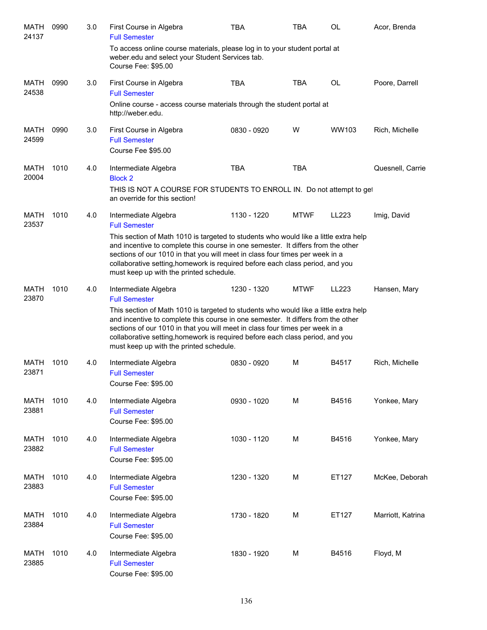| MATH<br>24137        | 0990 | 3.0 | First Course in Algebra<br><b>Full Semester</b>                                                                                                                                                                                                                                                                                                                                      | TBA         | <b>TBA</b>  | <b>OL</b> | Acor, Brenda      |
|----------------------|------|-----|--------------------------------------------------------------------------------------------------------------------------------------------------------------------------------------------------------------------------------------------------------------------------------------------------------------------------------------------------------------------------------------|-------------|-------------|-----------|-------------------|
|                      |      |     | To access online course materials, please log in to your student portal at<br>weber.edu and select your Student Services tab.<br>Course Fee: \$95.00                                                                                                                                                                                                                                 |             |             |           |                   |
| MATH<br>24538        | 0990 | 3.0 | First Course in Algebra<br><b>Full Semester</b>                                                                                                                                                                                                                                                                                                                                      | <b>TBA</b>  | <b>TBA</b>  | <b>OL</b> | Poore, Darrell    |
|                      |      |     | Online course - access course materials through the student portal at<br>http://weber.edu.                                                                                                                                                                                                                                                                                           |             |             |           |                   |
| MATH<br>24599        | 0990 | 3.0 | First Course in Algebra<br><b>Full Semester</b><br>Course Fee \$95.00                                                                                                                                                                                                                                                                                                                | 0830 - 0920 | W           | WW103     | Rich, Michelle    |
| MATH<br>20004        | 1010 | 4.0 | Intermediate Algebra<br><b>Block 2</b><br>THIS IS NOT A COURSE FOR STUDENTS TO ENROLL IN. Do not attempt to get<br>an override for this section!                                                                                                                                                                                                                                     | <b>TBA</b>  | <b>TBA</b>  |           | Quesnell, Carrie  |
| MATH<br>23537        | 1010 | 4.0 | Intermediate Algebra<br><b>Full Semester</b>                                                                                                                                                                                                                                                                                                                                         | 1130 - 1220 | <b>MTWF</b> | LL223     | Imig, David       |
|                      |      |     | This section of Math 1010 is targeted to students who would like a little extra help<br>and incentive to complete this course in one semester. It differs from the other<br>sections of our 1010 in that you will meet in class four times per week in a<br>collaborative setting, homework is required before each class period, and you<br>must keep up with the printed schedule. |             |             |           |                   |
| <b>MATH</b><br>23870 | 1010 | 4.0 | Intermediate Algebra<br><b>Full Semester</b>                                                                                                                                                                                                                                                                                                                                         | 1230 - 1320 | <b>MTWF</b> | LL223     | Hansen, Mary      |
|                      |      |     | This section of Math 1010 is targeted to students who would like a little extra help<br>and incentive to complete this course in one semester. It differs from the other<br>sections of our 1010 in that you will meet in class four times per week in a<br>collaborative setting, homework is required before each class period, and you<br>must keep up with the printed schedule. |             |             |           |                   |
| MATH<br>23871        | 1010 | 4.0 | Intermediate Algebra<br><b>Full Semester</b><br>Course Fee: \$95.00                                                                                                                                                                                                                                                                                                                  | 0830 - 0920 | M           | B4517     | Rich, Michelle    |
| <b>MATH</b><br>23881 | 1010 | 4.0 | Intermediate Algebra<br><b>Full Semester</b><br>Course Fee: \$95.00                                                                                                                                                                                                                                                                                                                  | 0930 - 1020 | M           | B4516     | Yonkee, Mary      |
| <b>MATH</b><br>23882 | 1010 | 4.0 | Intermediate Algebra<br><b>Full Semester</b><br>Course Fee: \$95.00                                                                                                                                                                                                                                                                                                                  | 1030 - 1120 | M           | B4516     | Yonkee, Mary      |
| MATH<br>23883        | 1010 | 4.0 | Intermediate Algebra<br><b>Full Semester</b><br>Course Fee: \$95.00                                                                                                                                                                                                                                                                                                                  | 1230 - 1320 | M           | ET127     | McKee, Deborah    |
| MATH<br>23884        | 1010 | 4.0 | Intermediate Algebra<br><b>Full Semester</b><br>Course Fee: \$95.00                                                                                                                                                                                                                                                                                                                  | 1730 - 1820 | M           | ET127     | Marriott, Katrina |
| MATH<br>23885        | 1010 | 4.0 | Intermediate Algebra<br><b>Full Semester</b><br>Course Fee: \$95.00                                                                                                                                                                                                                                                                                                                  | 1830 - 1920 | M           | B4516     | Floyd, M          |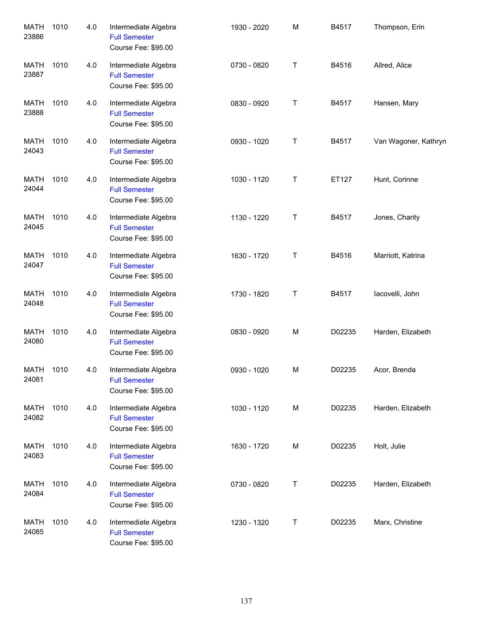| <b>MATH</b><br>23886 | 1010 | 4.0 | Intermediate Algebra<br><b>Full Semester</b><br>Course Fee: \$95.00 | 1930 - 2020 | M | B4517  | Thompson, Erin       |
|----------------------|------|-----|---------------------------------------------------------------------|-------------|---|--------|----------------------|
| <b>MATH</b><br>23887 | 1010 | 4.0 | Intermediate Algebra<br><b>Full Semester</b><br>Course Fee: \$95.00 | 0730 - 0820 | T | B4516  | Allred, Alice        |
| <b>MATH</b><br>23888 | 1010 | 4.0 | Intermediate Algebra<br><b>Full Semester</b><br>Course Fee: \$95.00 | 0830 - 0920 | T | B4517  | Hansen, Mary         |
| MATH<br>24043        | 1010 | 4.0 | Intermediate Algebra<br><b>Full Semester</b><br>Course Fee: \$95.00 | 0930 - 1020 | T | B4517  | Van Wagoner, Kathryn |
| <b>MATH</b><br>24044 | 1010 | 4.0 | Intermediate Algebra<br><b>Full Semester</b><br>Course Fee: \$95.00 | 1030 - 1120 | T | ET127  | Hunt, Corinne        |
| <b>MATH</b><br>24045 | 1010 | 4.0 | Intermediate Algebra<br><b>Full Semester</b><br>Course Fee: \$95.00 | 1130 - 1220 | T | B4517  | Jones, Charity       |
| <b>MATH</b><br>24047 | 1010 | 4.0 | Intermediate Algebra<br><b>Full Semester</b><br>Course Fee: \$95.00 | 1630 - 1720 | T | B4516  | Marriott, Katrina    |
| <b>MATH</b><br>24048 | 1010 | 4.0 | Intermediate Algebra<br><b>Full Semester</b><br>Course Fee: \$95.00 | 1730 - 1820 | T | B4517  | lacovelli, John      |
| <b>MATH</b><br>24080 | 1010 | 4.0 | Intermediate Algebra<br><b>Full Semester</b><br>Course Fee: \$95.00 | 0830 - 0920 | M | D02235 | Harden, Elizabeth    |
| MATH<br>24081        | 1010 | 4.0 | Intermediate Algebra<br><b>Full Semester</b><br>Course Fee: \$95.00 | 0930 - 1020 | M | D02235 | Acor, Brenda         |
| <b>MATH</b><br>24082 | 1010 | 4.0 | Intermediate Algebra<br><b>Full Semester</b><br>Course Fee: \$95.00 | 1030 - 1120 | M | D02235 | Harden, Elizabeth    |
| <b>MATH</b><br>24083 | 1010 | 4.0 | Intermediate Algebra<br><b>Full Semester</b><br>Course Fee: \$95.00 | 1630 - 1720 | M | D02235 | Holt, Julie          |
| MATH<br>24084        | 1010 | 4.0 | Intermediate Algebra<br><b>Full Semester</b><br>Course Fee: \$95.00 | 0730 - 0820 | T | D02235 | Harden, Elizabeth    |
| <b>MATH</b><br>24085 | 1010 | 4.0 | Intermediate Algebra<br><b>Full Semester</b><br>Course Fee: \$95.00 | 1230 - 1320 | T | D02235 | Marx, Christine      |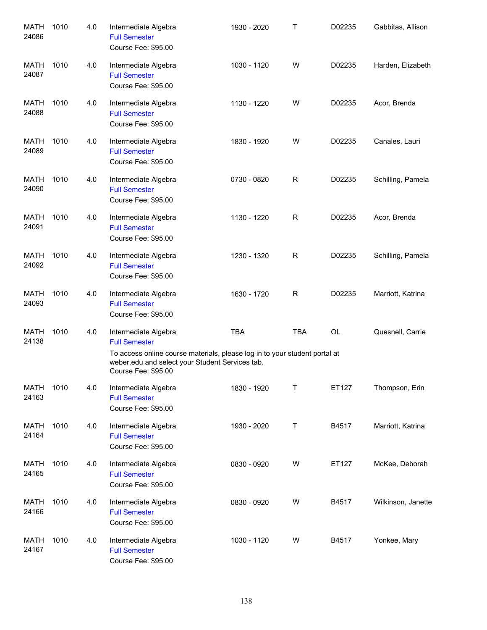| <b>MATH</b><br>24086 | 1010 | 4.0 | Intermediate Algebra<br><b>Full Semester</b><br>Course Fee: \$95.00                                                                                                                                  | 1930 - 2020 | Т           | D02235    | Gabbitas, Allison  |
|----------------------|------|-----|------------------------------------------------------------------------------------------------------------------------------------------------------------------------------------------------------|-------------|-------------|-----------|--------------------|
| MATH<br>24087        | 1010 | 4.0 | Intermediate Algebra<br><b>Full Semester</b><br>Course Fee: \$95.00                                                                                                                                  | 1030 - 1120 | W           | D02235    | Harden, Elizabeth  |
| MATH<br>24088        | 1010 | 4.0 | Intermediate Algebra<br><b>Full Semester</b><br>Course Fee: \$95.00                                                                                                                                  | 1130 - 1220 | W           | D02235    | Acor, Brenda       |
| MATH<br>24089        | 1010 | 4.0 | Intermediate Algebra<br><b>Full Semester</b><br>Course Fee: \$95.00                                                                                                                                  | 1830 - 1920 | W           | D02235    | Canales, Lauri     |
| MATH<br>24090        | 1010 | 4.0 | Intermediate Algebra<br><b>Full Semester</b><br>Course Fee: \$95.00                                                                                                                                  | 0730 - 0820 | $\mathsf R$ | D02235    | Schilling, Pamela  |
| MATH<br>24091        | 1010 | 4.0 | Intermediate Algebra<br><b>Full Semester</b><br>Course Fee: \$95.00                                                                                                                                  | 1130 - 1220 | R           | D02235    | Acor, Brenda       |
| MATH<br>24092        | 1010 | 4.0 | Intermediate Algebra<br><b>Full Semester</b><br>Course Fee: \$95.00                                                                                                                                  | 1230 - 1320 | $\mathsf R$ | D02235    | Schilling, Pamela  |
| <b>MATH</b><br>24093 | 1010 | 4.0 | Intermediate Algebra<br><b>Full Semester</b><br>Course Fee: \$95.00                                                                                                                                  | 1630 - 1720 | R           | D02235    | Marriott, Katrina  |
| MATH<br>24138        | 1010 | 4.0 | Intermediate Algebra<br><b>Full Semester</b><br>To access online course materials, please log in to your student portal at<br>weber.edu and select your Student Services tab.<br>Course Fee: \$95.00 | <b>TBA</b>  | <b>TBA</b>  | <b>OL</b> | Quesnell, Carrie   |
| <b>MATH</b><br>24163 | 1010 | 4.0 | Intermediate Algebra<br><b>Full Semester</b><br>Course Fee: \$95.00                                                                                                                                  | 1830 - 1920 | Т           | ET127     | Thompson, Erin     |
| MATH<br>24164        | 1010 | 4.0 | Intermediate Algebra<br><b>Full Semester</b><br>Course Fee: \$95.00                                                                                                                                  | 1930 - 2020 | Τ           | B4517     | Marriott, Katrina  |
| MATH<br>24165        | 1010 | 4.0 | Intermediate Algebra<br><b>Full Semester</b><br>Course Fee: \$95.00                                                                                                                                  | 0830 - 0920 | W           | ET127     | McKee, Deborah     |
| MATH<br>24166        | 1010 | 4.0 | Intermediate Algebra<br><b>Full Semester</b><br>Course Fee: \$95.00                                                                                                                                  | 0830 - 0920 | W           | B4517     | Wilkinson, Janette |
| MATH<br>24167        | 1010 | 4.0 | Intermediate Algebra<br><b>Full Semester</b><br>Course Fee: \$95.00                                                                                                                                  | 1030 - 1120 | W           | B4517     | Yonkee, Mary       |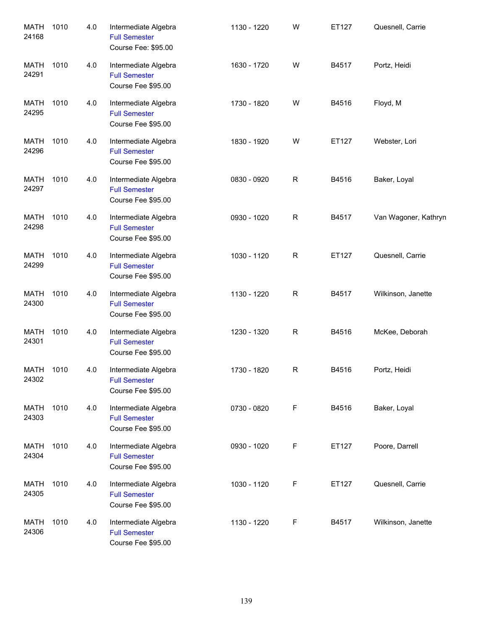| <b>MATH</b><br>24168 | 1010 | 4.0 | Intermediate Algebra<br><b>Full Semester</b><br>Course Fee: \$95.00 | 1130 - 1220 | W            | ET127 | Quesnell, Carrie     |
|----------------------|------|-----|---------------------------------------------------------------------|-------------|--------------|-------|----------------------|
| <b>MATH</b><br>24291 | 1010 | 4.0 | Intermediate Algebra<br><b>Full Semester</b><br>Course Fee \$95.00  | 1630 - 1720 | W            | B4517 | Portz, Heidi         |
| <b>MATH</b><br>24295 | 1010 | 4.0 | Intermediate Algebra<br><b>Full Semester</b><br>Course Fee \$95.00  | 1730 - 1820 | W            | B4516 | Floyd, M             |
| MATH<br>24296        | 1010 | 4.0 | Intermediate Algebra<br><b>Full Semester</b><br>Course Fee \$95.00  | 1830 - 1920 | W            | ET127 | Webster, Lori        |
| MATH<br>24297        | 1010 | 4.0 | Intermediate Algebra<br><b>Full Semester</b><br>Course Fee \$95.00  | 0830 - 0920 | $\mathsf{R}$ | B4516 | Baker, Loyal         |
| <b>MATH</b><br>24298 | 1010 | 4.0 | Intermediate Algebra<br><b>Full Semester</b><br>Course Fee \$95.00  | 0930 - 1020 | $\mathsf{R}$ | B4517 | Van Wagoner, Kathryn |
| <b>MATH</b><br>24299 | 1010 | 4.0 | Intermediate Algebra<br><b>Full Semester</b><br>Course Fee \$95.00  | 1030 - 1120 | ${\sf R}$    | ET127 | Quesnell, Carrie     |
| <b>MATH</b><br>24300 | 1010 | 4.0 | Intermediate Algebra<br><b>Full Semester</b><br>Course Fee \$95.00  | 1130 - 1220 | ${\sf R}$    | B4517 | Wilkinson, Janette   |
| <b>MATH</b><br>24301 | 1010 | 4.0 | Intermediate Algebra<br><b>Full Semester</b><br>Course Fee \$95.00  | 1230 - 1320 | ${\sf R}$    | B4516 | McKee, Deborah       |
| MATH<br>24302        | 1010 | 4.0 | Intermediate Algebra<br><b>Full Semester</b><br>Course Fee \$95.00  | 1730 - 1820 | R            | B4516 | Portz, Heidi         |
| <b>MATH</b><br>24303 | 1010 | 4.0 | Intermediate Algebra<br><b>Full Semester</b><br>Course Fee \$95.00  | 0730 - 0820 | $\mathsf F$  | B4516 | Baker, Loyal         |
| <b>MATH</b><br>24304 | 1010 | 4.0 | Intermediate Algebra<br><b>Full Semester</b><br>Course Fee \$95.00  | 0930 - 1020 | F            | ET127 | Poore, Darrell       |
| <b>MATH</b><br>24305 | 1010 | 4.0 | Intermediate Algebra<br><b>Full Semester</b><br>Course Fee \$95.00  | 1030 - 1120 | F            | ET127 | Quesnell, Carrie     |
| <b>MATH</b><br>24306 | 1010 | 4.0 | Intermediate Algebra<br><b>Full Semester</b><br>Course Fee \$95.00  | 1130 - 1220 | F            | B4517 | Wilkinson, Janette   |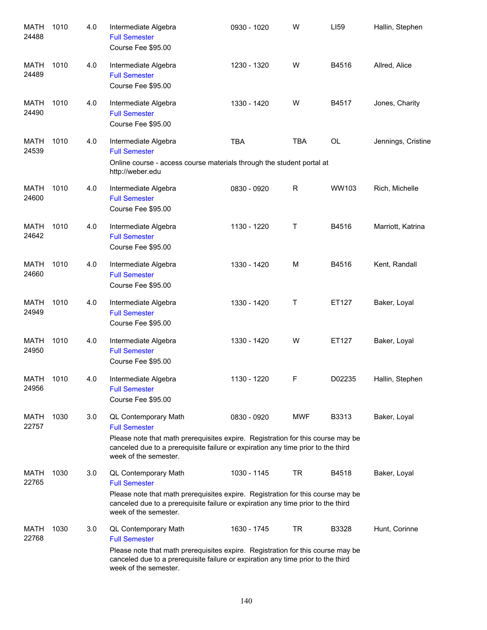| <b>MATH</b><br>24488 | 1010 | 4.0 | Intermediate Algebra<br><b>Full Semester</b><br>Course Fee \$95.00                                                                                                                                                                           | 0930 - 1020 | W          | LI59      | Hallin, Stephen    |
|----------------------|------|-----|----------------------------------------------------------------------------------------------------------------------------------------------------------------------------------------------------------------------------------------------|-------------|------------|-----------|--------------------|
| MATH<br>24489        | 1010 | 4.0 | Intermediate Algebra<br><b>Full Semester</b><br>Course Fee \$95.00                                                                                                                                                                           | 1230 - 1320 | W          | B4516     | Allred, Alice      |
| MATH<br>24490        | 1010 | 4.0 | Intermediate Algebra<br><b>Full Semester</b><br>Course Fee \$95.00                                                                                                                                                                           | 1330 - 1420 | W          | B4517     | Jones, Charity     |
| MATH<br>24539        | 1010 | 4.0 | Intermediate Algebra<br><b>Full Semester</b><br>Online course - access course materials through the student portal at<br>http://weber.edu                                                                                                    | <b>TBA</b>  | <b>TBA</b> | <b>OL</b> | Jennings, Cristine |
| <b>MATH</b><br>24600 | 1010 | 4.0 | Intermediate Algebra<br><b>Full Semester</b><br>Course Fee \$95.00                                                                                                                                                                           | 0830 - 0920 | R          | WW103     | Rich, Michelle     |
| <b>MATH</b><br>24642 | 1010 | 4.0 | Intermediate Algebra<br><b>Full Semester</b><br>Course Fee \$95.00                                                                                                                                                                           | 1130 - 1220 | Τ          | B4516     | Marriott, Katrina  |
| <b>MATH</b><br>24660 | 1010 | 4.0 | Intermediate Algebra<br><b>Full Semester</b><br>Course Fee \$95.00                                                                                                                                                                           | 1330 - 1420 | M          | B4516     | Kent, Randall      |
| <b>MATH</b><br>24949 | 1010 | 4.0 | Intermediate Algebra<br><b>Full Semester</b><br>Course Fee \$95.00                                                                                                                                                                           | 1330 - 1420 | Τ          | ET127     | Baker, Loyal       |
| <b>MATH</b><br>24950 | 1010 | 4.0 | Intermediate Algebra<br><b>Full Semester</b><br>Course Fee \$95.00                                                                                                                                                                           | 1330 - 1420 | W          | ET127     | Baker, Loyal       |
| <b>MATH</b><br>24956 | 1010 | 4.0 | Intermediate Algebra<br><b>Full Semester</b><br>Course Fee \$95.00                                                                                                                                                                           | 1130 - 1220 | F          | D02235    | Hallin, Stephen    |
| <b>MATH</b><br>22757 | 1030 | 3.0 | QL Contemporary Math<br><b>Full Semester</b><br>Please note that math prerequisites expire. Registration for this course may be<br>canceled due to a prerequisite failure or expiration any time prior to the third<br>week of the semester. | 0830 - 0920 | <b>MWF</b> | B3313     | Baker, Loyal       |
| MATH<br>22765        | 1030 | 3.0 | QL Contemporary Math<br><b>Full Semester</b><br>Please note that math prerequisites expire. Registration for this course may be<br>canceled due to a prerequisite failure or expiration any time prior to the third<br>week of the semester. | 1030 - 1145 | TR         | B4518     | Baker, Loyal       |
| MATH<br>22768        | 1030 | 3.0 | QL Contemporary Math<br><b>Full Semester</b><br>Please note that math prerequisites expire. Registration for this course may be<br>canceled due to a prerequisite failure or expiration any time prior to the third<br>week of the semester. | 1630 - 1745 | TR         | B3328     | Hunt, Corinne      |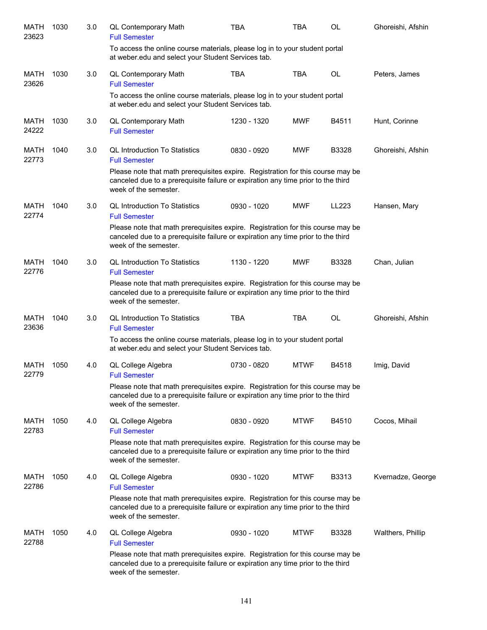| <b>MATH</b><br>23623 | 1030 | 3.0 | QL Contemporary Math<br><b>Full Semester</b>                                                                                                                                                 | <b>TBA</b>  | <b>TBA</b>  | <b>OL</b> | Ghoreishi, Afshin |
|----------------------|------|-----|----------------------------------------------------------------------------------------------------------------------------------------------------------------------------------------------|-------------|-------------|-----------|-------------------|
|                      |      |     | To access the online course materials, please log in to your student portal<br>at weber.edu and select your Student Services tab.                                                            |             |             |           |                   |
| MATH<br>23626        | 1030 | 3.0 | QL Contemporary Math<br><b>Full Semester</b>                                                                                                                                                 | <b>TBA</b>  | <b>TBA</b>  | OL        | Peters, James     |
|                      |      |     | To access the online course materials, please log in to your student portal<br>at weber edu and select your Student Services tab.                                                            |             |             |           |                   |
| MATH<br>24222        | 1030 | 3.0 | QL Contemporary Math<br><b>Full Semester</b>                                                                                                                                                 | 1230 - 1320 | <b>MWF</b>  | B4511     | Hunt, Corinne     |
| MATH<br>22773        | 1040 | 3.0 | <b>QL Introduction To Statistics</b><br><b>Full Semester</b>                                                                                                                                 | 0830 - 0920 | <b>MWF</b>  | B3328     | Ghoreishi, Afshin |
|                      |      |     | Please note that math prerequisites expire. Registration for this course may be<br>canceled due to a prerequisite failure or expiration any time prior to the third<br>week of the semester. |             |             |           |                   |
| <b>MATH</b><br>22774 | 1040 | 3.0 | <b>QL Introduction To Statistics</b><br><b>Full Semester</b>                                                                                                                                 | 0930 - 1020 | <b>MWF</b>  | LL223     | Hansen, Mary      |
|                      |      |     | Please note that math prerequisites expire. Registration for this course may be<br>canceled due to a prerequisite failure or expiration any time prior to the third<br>week of the semester. |             |             |           |                   |
| MATH<br>22776        | 1040 | 3.0 | <b>QL Introduction To Statistics</b><br><b>Full Semester</b>                                                                                                                                 | 1130 - 1220 | <b>MWF</b>  | B3328     | Chan, Julian      |
|                      |      |     | Please note that math prerequisites expire. Registration for this course may be<br>canceled due to a prerequisite failure or expiration any time prior to the third<br>week of the semester. |             |             |           |                   |
| MATH<br>23636        | 1040 | 3.0 | <b>QL Introduction To Statistics</b><br><b>Full Semester</b>                                                                                                                                 | <b>TBA</b>  | <b>TBA</b>  | OL        | Ghoreishi, Afshin |
|                      |      |     | To access the online course materials, please log in to your student portal<br>at weber.edu and select your Student Services tab.                                                            |             |             |           |                   |
| MATH<br>22779        | 1050 | 4.0 | QL College Algebra<br><b>Full Semester</b>                                                                                                                                                   | 0730 - 0820 | <b>MTWF</b> | B4518     | Imig, David       |
|                      |      |     | Please note that math prerequisites expire. Registration for this course may be<br>canceled due to a prerequisite failure or expiration any time prior to the third<br>week of the semester. |             |             |           |                   |
| MATH<br>22783        | 1050 | 4.0 | QL College Algebra<br><b>Full Semester</b>                                                                                                                                                   | 0830 - 0920 | <b>MTWF</b> | B4510     | Cocos, Mihail     |
|                      |      |     | Please note that math prerequisites expire. Registration for this course may be<br>canceled due to a prerequisite failure or expiration any time prior to the third<br>week of the semester. |             |             |           |                   |
| MATH<br>22786        | 1050 | 4.0 | QL College Algebra<br><b>Full Semester</b>                                                                                                                                                   | 0930 - 1020 | <b>MTWF</b> | B3313     | Kvernadze, George |
|                      |      |     | Please note that math prerequisites expire. Registration for this course may be<br>canceled due to a prerequisite failure or expiration any time prior to the third<br>week of the semester. |             |             |           |                   |
| <b>MATH</b><br>22788 | 1050 | 4.0 | QL College Algebra<br><b>Full Semester</b>                                                                                                                                                   | 0930 - 1020 | <b>MTWF</b> | B3328     | Walthers, Phillip |
|                      |      |     | Please note that math prerequisites expire. Registration for this course may be<br>canceled due to a prerequisite failure or expiration any time prior to the third<br>week of the semester. |             |             |           |                   |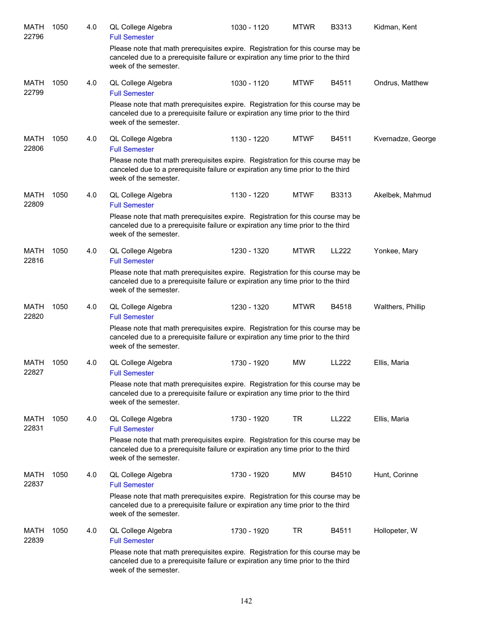| <b>MATH</b><br>22796 | 1050 | 4.0 | QL College Algebra<br><b>Full Semester</b>                                                                                                                                                   | 1030 - 1120 | <b>MTWR</b> | B3313 | Kidman, Kent      |
|----------------------|------|-----|----------------------------------------------------------------------------------------------------------------------------------------------------------------------------------------------|-------------|-------------|-------|-------------------|
|                      |      |     | Please note that math prerequisites expire. Registration for this course may be<br>canceled due to a prerequisite failure or expiration any time prior to the third<br>week of the semester. |             |             |       |                   |
| MATH<br>22799        | 1050 | 4.0 | QL College Algebra<br><b>Full Semester</b>                                                                                                                                                   | 1030 - 1120 | <b>MTWF</b> | B4511 | Ondrus, Matthew   |
|                      |      |     | Please note that math prerequisites expire. Registration for this course may be<br>canceled due to a prerequisite failure or expiration any time prior to the third<br>week of the semester. |             |             |       |                   |
| MATH<br>22806        | 1050 | 4.0 | QL College Algebra<br><b>Full Semester</b>                                                                                                                                                   | 1130 - 1220 | <b>MTWF</b> | B4511 | Kvernadze, George |
|                      |      |     | Please note that math prerequisites expire. Registration for this course may be<br>canceled due to a prerequisite failure or expiration any time prior to the third<br>week of the semester. |             |             |       |                   |
| <b>MATH</b><br>22809 | 1050 | 4.0 | QL College Algebra<br><b>Full Semester</b>                                                                                                                                                   | 1130 - 1220 | <b>MTWF</b> | B3313 | Akelbek, Mahmud   |
|                      |      |     | Please note that math prerequisites expire. Registration for this course may be<br>canceled due to a prerequisite failure or expiration any time prior to the third<br>week of the semester. |             |             |       |                   |
| MATH<br>22816        | 1050 | 4.0 | QL College Algebra<br><b>Full Semester</b>                                                                                                                                                   | 1230 - 1320 | <b>MTWR</b> | LL222 | Yonkee, Mary      |
|                      |      |     | Please note that math prerequisites expire. Registration for this course may be<br>canceled due to a prerequisite failure or expiration any time prior to the third<br>week of the semester. |             |             |       |                   |
| <b>MATH</b><br>22820 | 1050 | 4.0 | QL College Algebra<br><b>Full Semester</b>                                                                                                                                                   | 1230 - 1320 | <b>MTWR</b> | B4518 | Walthers, Phillip |
|                      |      |     | Please note that math prerequisites expire. Registration for this course may be<br>canceled due to a prerequisite failure or expiration any time prior to the third<br>week of the semester. |             |             |       |                   |
| MATH<br>22827        | 1050 | 4.0 | QL College Algebra<br><b>Full Semester</b>                                                                                                                                                   | 1730 - 1920 | <b>MW</b>   | LL222 | Ellis, Maria      |
|                      |      |     | Please note that math prerequisites expire. Registration for this course may be<br>canceled due to a prerequisite failure or expiration any time prior to the third<br>week of the semester. |             |             |       |                   |
| MATH<br>22831        | 1050 | 4.0 | QL College Algebra<br><b>Full Semester</b>                                                                                                                                                   | 1730 - 1920 | TR          | LL222 | Ellis, Maria      |
|                      |      |     | Please note that math prerequisites expire. Registration for this course may be<br>canceled due to a prerequisite failure or expiration any time prior to the third<br>week of the semester. |             |             |       |                   |
| <b>MATH</b><br>22837 | 1050 | 4.0 | QL College Algebra<br><b>Full Semester</b>                                                                                                                                                   | 1730 - 1920 | MW          | B4510 | Hunt, Corinne     |
|                      |      |     | Please note that math prerequisites expire. Registration for this course may be<br>canceled due to a prerequisite failure or expiration any time prior to the third<br>week of the semester. |             |             |       |                   |
| MATH<br>22839        | 1050 | 4.0 | QL College Algebra<br><b>Full Semester</b>                                                                                                                                                   | 1730 - 1920 | TR          | B4511 | Hollopeter, W     |
|                      |      |     | Please note that math prerequisites expire. Registration for this course may be<br>canceled due to a prerequisite failure or expiration any time prior to the third<br>week of the semester. |             |             |       |                   |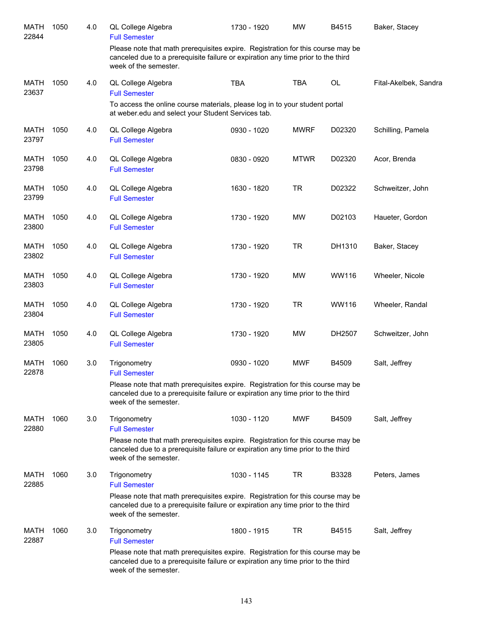| MATH<br>22844        | 1050 | 4.0 | QL College Algebra<br><b>Full Semester</b>                                                                                                                                                   | 1730 - 1920 | <b>MW</b>   | B4515  | Baker, Stacey         |
|----------------------|------|-----|----------------------------------------------------------------------------------------------------------------------------------------------------------------------------------------------|-------------|-------------|--------|-----------------------|
|                      |      |     | Please note that math prerequisites expire. Registration for this course may be<br>canceled due to a prerequisite failure or expiration any time prior to the third<br>week of the semester. |             |             |        |                       |
| <b>MATH</b><br>23637 | 1050 | 4.0 | QL College Algebra<br><b>Full Semester</b>                                                                                                                                                   | <b>TBA</b>  | <b>TBA</b>  | OL     | Fital-Akelbek, Sandra |
|                      |      |     | To access the online course materials, please log in to your student portal<br>at weber.edu and select your Student Services tab.                                                            |             |             |        |                       |
| <b>MATH</b><br>23797 | 1050 | 4.0 | QL College Algebra<br><b>Full Semester</b>                                                                                                                                                   | 0930 - 1020 | <b>MWRF</b> | D02320 | Schilling, Pamela     |
| <b>MATH</b><br>23798 | 1050 | 4.0 | QL College Algebra<br><b>Full Semester</b>                                                                                                                                                   | 0830 - 0920 | <b>MTWR</b> | D02320 | Acor, Brenda          |
| <b>MATH</b><br>23799 | 1050 | 4.0 | QL College Algebra<br><b>Full Semester</b>                                                                                                                                                   | 1630 - 1820 | <b>TR</b>   | D02322 | Schweitzer, John      |
| <b>MATH</b><br>23800 | 1050 | 4.0 | QL College Algebra<br><b>Full Semester</b>                                                                                                                                                   | 1730 - 1920 | <b>MW</b>   | D02103 | Haueter, Gordon       |
| <b>MATH</b><br>23802 | 1050 | 4.0 | QL College Algebra<br><b>Full Semester</b>                                                                                                                                                   | 1730 - 1920 | <b>TR</b>   | DH1310 | Baker, Stacey         |
| <b>MATH</b><br>23803 | 1050 | 4.0 | QL College Algebra<br><b>Full Semester</b>                                                                                                                                                   | 1730 - 1920 | <b>MW</b>   | WW116  | Wheeler, Nicole       |
| <b>MATH</b><br>23804 | 1050 | 4.0 | QL College Algebra<br><b>Full Semester</b>                                                                                                                                                   | 1730 - 1920 | <b>TR</b>   | WW116  | Wheeler, Randal       |
| <b>MATH</b><br>23805 | 1050 | 4.0 | QL College Algebra<br><b>Full Semester</b>                                                                                                                                                   | 1730 - 1920 | <b>MW</b>   | DH2507 | Schweitzer, John      |
| <b>MATH</b><br>22878 | 1060 | 3.0 | Trigonometry<br><b>Full Semester</b>                                                                                                                                                         | 0930 - 1020 | <b>MWF</b>  | B4509  | Salt, Jeffrey         |
|                      |      |     | Please note that math prerequisites expire. Registration for this course may be<br>canceled due to a prerequisite failure or expiration any time prior to the third<br>week of the semester. |             |             |        |                       |
| MATH<br>22880        | 1060 | 3.0 | Trigonometry<br><b>Full Semester</b>                                                                                                                                                         | 1030 - 1120 | <b>MWF</b>  | B4509  | Salt, Jeffrey         |
|                      |      |     | Please note that math prerequisites expire. Registration for this course may be<br>canceled due to a prerequisite failure or expiration any time prior to the third<br>week of the semester. |             |             |        |                       |
| MATH<br>22885        | 1060 | 3.0 | Trigonometry<br><b>Full Semester</b>                                                                                                                                                         | 1030 - 1145 | TR          | B3328  | Peters, James         |
|                      |      |     | Please note that math prerequisites expire. Registration for this course may be<br>canceled due to a prerequisite failure or expiration any time prior to the third<br>week of the semester. |             |             |        |                       |
| MATH<br>22887        | 1060 | 3.0 | Trigonometry<br><b>Full Semester</b>                                                                                                                                                         | 1800 - 1915 | TR          | B4515  | Salt, Jeffrey         |
|                      |      |     | Please note that math prerequisites expire. Registration for this course may be<br>canceled due to a prerequisite failure or expiration any time prior to the third<br>week of the semester. |             |             |        |                       |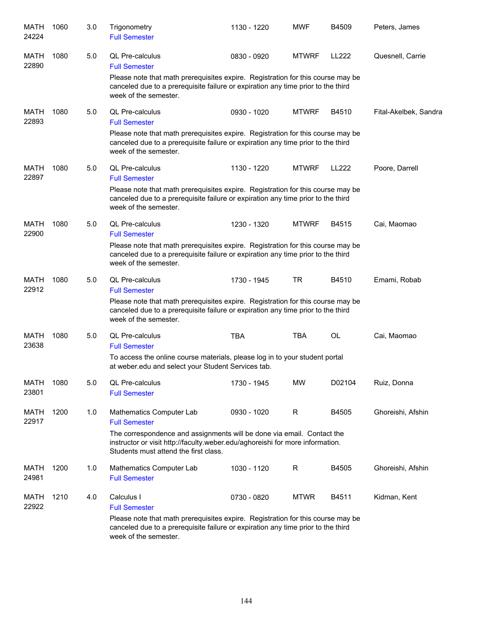| MATH<br>24224        | 1060 | 3.0 | Trigonometry<br><b>Full Semester</b>                                                                                                                                                             | 1130 - 1220 | <b>MWF</b>   | B4509        | Peters, James         |
|----------------------|------|-----|--------------------------------------------------------------------------------------------------------------------------------------------------------------------------------------------------|-------------|--------------|--------------|-----------------------|
| <b>MATH</b><br>22890 | 1080 | 5.0 | QL Pre-calculus<br><b>Full Semester</b>                                                                                                                                                          | 0830 - 0920 | <b>MTWRF</b> | <b>LL222</b> | Quesnell, Carrie      |
|                      |      |     | Please note that math prerequisites expire. Registration for this course may be<br>canceled due to a prerequisite failure or expiration any time prior to the third<br>week of the semester.     |             |              |              |                       |
| <b>MATH</b><br>22893 | 1080 | 5.0 | QL Pre-calculus<br><b>Full Semester</b>                                                                                                                                                          | 0930 - 1020 | <b>MTWRF</b> | B4510        | Fital-Akelbek, Sandra |
|                      |      |     | Please note that math prerequisites expire. Registration for this course may be<br>canceled due to a prerequisite failure or expiration any time prior to the third<br>week of the semester.     |             |              |              |                       |
| MATH<br>22897        | 1080 | 5.0 | <b>QL Pre-calculus</b><br><b>Full Semester</b>                                                                                                                                                   | 1130 - 1220 | <b>MTWRF</b> | <b>LL222</b> | Poore, Darrell        |
|                      |      |     | Please note that math prerequisites expire. Registration for this course may be<br>canceled due to a prerequisite failure or expiration any time prior to the third<br>week of the semester.     |             |              |              |                       |
| <b>MATH</b><br>22900 | 1080 | 5.0 | QL Pre-calculus<br><b>Full Semester</b>                                                                                                                                                          | 1230 - 1320 | <b>MTWRF</b> | B4515        | Cai, Maomao           |
|                      |      |     | Please note that math prerequisites expire. Registration for this course may be<br>canceled due to a prerequisite failure or expiration any time prior to the third<br>week of the semester.     |             |              |              |                       |
| MATH<br>22912        | 1080 | 5.0 | QL Pre-calculus<br><b>Full Semester</b>                                                                                                                                                          | 1730 - 1945 | TR           | B4510        | Emami, Robab          |
|                      |      |     | Please note that math prerequisites expire. Registration for this course may be<br>canceled due to a prerequisite failure or expiration any time prior to the third<br>week of the semester.     |             |              |              |                       |
| <b>MATH</b><br>23638 | 1080 | 5.0 | QL Pre-calculus<br><b>Full Semester</b>                                                                                                                                                          | <b>TBA</b>  | TBA          | OL           | Cai, Maomao           |
|                      |      |     | To access the online course materials, please log in to your student portal<br>at weber.edu and select your Student Services tab.                                                                |             |              |              |                       |
| MATH<br>23801        | 1080 | 5.0 | QL Pre-calculus<br><b>Full Semester</b>                                                                                                                                                          | 1730 - 1945 | MW           | D02104       | Ruiz, Donna           |
| MATH<br>22917        | 1200 | 1.0 | Mathematics Computer Lab<br><b>Full Semester</b>                                                                                                                                                 | 0930 - 1020 | R            | B4505        | Ghoreishi, Afshin     |
|                      |      |     | The correspondence and assignments will be done via email. Contact the<br>instructor or visit http://faculty.weber.edu/aghoreishi for more information.<br>Students must attend the first class. |             |              |              |                       |
| <b>MATH</b><br>24981 | 1200 | 1.0 | Mathematics Computer Lab<br><b>Full Semester</b>                                                                                                                                                 | 1030 - 1120 | R            | B4505        | Ghoreishi, Afshin     |
| MATH<br>22922        | 1210 | 4.0 | Calculus I<br><b>Full Semester</b>                                                                                                                                                               | 0730 - 0820 | <b>MTWR</b>  | B4511        | Kidman, Kent          |
|                      |      |     | Please note that math prerequisites expire. Registration for this course may be<br>canceled due to a prerequisite failure or expiration any time prior to the third<br>week of the semester.     |             |              |              |                       |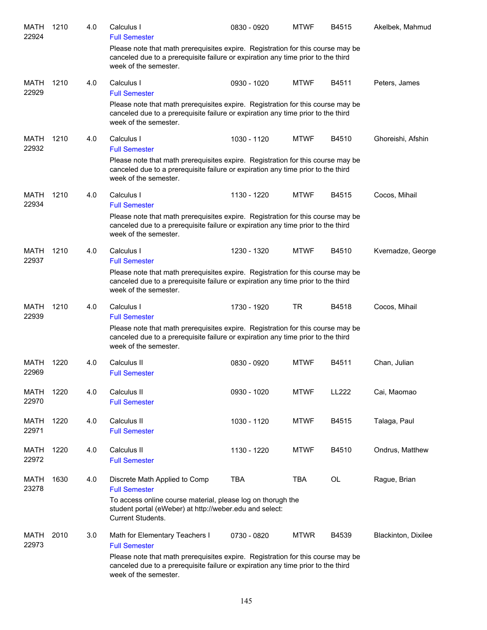| MATH<br>22924        | 1210 | 4.0 | Calculus I<br><b>Full Semester</b>                                                                                                                                                           | 0830 - 0920 | <b>MTWF</b> | B4515     | Akelbek, Mahmud     |
|----------------------|------|-----|----------------------------------------------------------------------------------------------------------------------------------------------------------------------------------------------|-------------|-------------|-----------|---------------------|
|                      |      |     | Please note that math prerequisites expire. Registration for this course may be<br>canceled due to a prerequisite failure or expiration any time prior to the third<br>week of the semester. |             |             |           |                     |
| MATH<br>22929        | 1210 | 4.0 | Calculus I<br><b>Full Semester</b>                                                                                                                                                           | 0930 - 1020 | <b>MTWF</b> | B4511     | Peters, James       |
|                      |      |     | Please note that math prerequisites expire. Registration for this course may be<br>canceled due to a prerequisite failure or expiration any time prior to the third<br>week of the semester. |             |             |           |                     |
| MATH                 | 1210 | 4.0 | Calculus I                                                                                                                                                                                   | 1030 - 1120 | <b>MTWF</b> | B4510     | Ghoreishi, Afshin   |
| 22932                |      |     | <b>Full Semester</b>                                                                                                                                                                         |             |             |           |                     |
|                      |      |     | Please note that math prerequisites expire. Registration for this course may be<br>canceled due to a prerequisite failure or expiration any time prior to the third<br>week of the semester. |             |             |           |                     |
| MATH<br>22934        | 1210 | 4.0 | Calculus I<br><b>Full Semester</b>                                                                                                                                                           | 1130 - 1220 | <b>MTWF</b> | B4515     | Cocos, Mihail       |
|                      |      |     | Please note that math prerequisites expire. Registration for this course may be<br>canceled due to a prerequisite failure or expiration any time prior to the third<br>week of the semester. |             |             |           |                     |
| MATH                 | 1210 | 4.0 | Calculus I                                                                                                                                                                                   | 1230 - 1320 | <b>MTWF</b> | B4510     | Kvernadze, George   |
| 22937                |      |     | <b>Full Semester</b>                                                                                                                                                                         |             |             |           |                     |
|                      |      |     | Please note that math prerequisites expire. Registration for this course may be<br>canceled due to a prerequisite failure or expiration any time prior to the third<br>week of the semester. |             |             |           |                     |
| <b>MATH</b><br>22939 | 1210 | 4.0 | Calculus I<br><b>Full Semester</b>                                                                                                                                                           | 1730 - 1920 | <b>TR</b>   | B4518     | Cocos, Mihail       |
|                      |      |     | Please note that math prerequisites expire. Registration for this course may be<br>canceled due to a prerequisite failure or expiration any time prior to the third<br>week of the semester. |             |             |           |                     |
| MATH<br>22969        | 1220 | 4.0 | Calculus II<br><b>Full Semester</b>                                                                                                                                                          | 0830 - 0920 | <b>MTWF</b> | B4511     | Chan, Julian        |
| <b>MATH</b>          | 1220 | 4.0 | Calculus II                                                                                                                                                                                  | 0930 - 1020 | <b>MTWF</b> | LL222     | Cai, Maomao         |
| 22970                |      |     | <b>Full Semester</b>                                                                                                                                                                         |             |             |           |                     |
| <b>MATH</b><br>22971 | 1220 | 4.0 | Calculus II<br><b>Full Semester</b>                                                                                                                                                          | 1030 - 1120 | <b>MTWF</b> | B4515     | Talaga, Paul        |
| <b>MATH</b><br>22972 | 1220 | 4.0 | Calculus II<br><b>Full Semester</b>                                                                                                                                                          | 1130 - 1220 | <b>MTWF</b> | B4510     | Ondrus, Matthew     |
| <b>MATH</b><br>23278 | 1630 | 4.0 | Discrete Math Applied to Comp<br><b>Full Semester</b>                                                                                                                                        | <b>TBA</b>  | <b>TBA</b>  | <b>OL</b> | Rague, Brian        |
|                      |      |     | To access online course material, please log on thorugh the<br>student portal (eWeber) at http://weber.edu and select:<br>Current Students.                                                  |             |             |           |                     |
| MATH<br>22973        | 2010 | 3.0 | Math for Elementary Teachers I<br><b>Full Semester</b>                                                                                                                                       | 0730 - 0820 | <b>MTWR</b> | B4539     | Blackinton, Dixilee |
|                      |      |     | Please note that math prerequisites expire. Registration for this course may be<br>canceled due to a prerequisite failure or expiration any time prior to the third<br>week of the semester. |             |             |           |                     |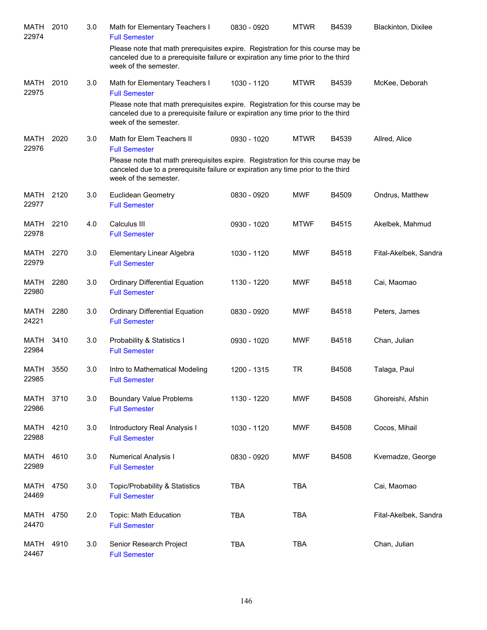| MATH<br>22974        | 2010 | 3.0 | Math for Elementary Teachers I<br><b>Full Semester</b>                                                                                                                                       | 0830 - 0920 | <b>MTWR</b> | B4539 | Blackinton, Dixilee   |
|----------------------|------|-----|----------------------------------------------------------------------------------------------------------------------------------------------------------------------------------------------|-------------|-------------|-------|-----------------------|
|                      |      |     | Please note that math prerequisites expire. Registration for this course may be<br>canceled due to a prerequisite failure or expiration any time prior to the third<br>week of the semester. |             |             |       |                       |
| <b>MATH</b><br>22975 | 2010 | 3.0 | Math for Elementary Teachers I<br><b>Full Semester</b>                                                                                                                                       | 1030 - 1120 | <b>MTWR</b> | B4539 | McKee, Deborah        |
|                      |      |     | Please note that math prerequisites expire. Registration for this course may be<br>canceled due to a prerequisite failure or expiration any time prior to the third<br>week of the semester. |             |             |       |                       |
| MATH<br>22976        | 2020 | 3.0 | Math for Elem Teachers II<br><b>Full Semester</b>                                                                                                                                            | 0930 - 1020 | <b>MTWR</b> | B4539 | Allred, Alice         |
|                      |      |     | Please note that math prerequisites expire. Registration for this course may be<br>canceled due to a prerequisite failure or expiration any time prior to the third<br>week of the semester. |             |             |       |                       |
| MATH<br>22977        | 2120 | 3.0 | <b>Euclidean Geometry</b><br><b>Full Semester</b>                                                                                                                                            | 0830 - 0920 | <b>MWF</b>  | B4509 | Ondrus, Matthew       |
| MATH<br>22978        | 2210 | 4.0 | Calculus III<br><b>Full Semester</b>                                                                                                                                                         | 0930 - 1020 | <b>MTWF</b> | B4515 | Akelbek, Mahmud       |
| <b>MATH</b><br>22979 | 2270 | 3.0 | Elementary Linear Algebra<br><b>Full Semester</b>                                                                                                                                            | 1030 - 1120 | <b>MWF</b>  | B4518 | Fital-Akelbek, Sandra |
| MATH<br>22980        | 2280 | 3.0 | <b>Ordinary Differential Equation</b><br><b>Full Semester</b>                                                                                                                                | 1130 - 1220 | <b>MWF</b>  | B4518 | Cai, Maomao           |
| MATH<br>24221        | 2280 | 3.0 | <b>Ordinary Differential Equation</b><br><b>Full Semester</b>                                                                                                                                | 0830 - 0920 | <b>MWF</b>  | B4518 | Peters, James         |
| <b>MATH</b><br>22984 | 3410 | 3.0 | Probability & Statistics I<br><b>Full Semester</b>                                                                                                                                           | 0930 - 1020 | <b>MWF</b>  | B4518 | Chan, Julian          |
| MATH<br>22985        | 3550 | 3.0 | Intro to Mathematical Modeling<br><b>Full Semester</b>                                                                                                                                       | 1200 - 1315 | <b>TR</b>   | B4508 | Talaga, Paul          |
| MATH<br>22986        | 3710 | 3.0 | <b>Boundary Value Problems</b><br><b>Full Semester</b>                                                                                                                                       | 1130 - 1220 | <b>MWF</b>  | B4508 | Ghoreishi, Afshin     |
| MATH<br>22988        | 4210 | 3.0 | Introductory Real Analysis I<br><b>Full Semester</b>                                                                                                                                         | 1030 - 1120 | <b>MWF</b>  | B4508 | Cocos, Mihail         |
| MATH<br>22989        | 4610 | 3.0 | Numerical Analysis I<br><b>Full Semester</b>                                                                                                                                                 | 0830 - 0920 | <b>MWF</b>  | B4508 | Kvernadze, George     |
| <b>MATH</b><br>24469 | 4750 | 3.0 | Topic/Probability & Statistics<br><b>Full Semester</b>                                                                                                                                       | <b>TBA</b>  | <b>TBA</b>  |       | Cai, Maomao           |
| <b>MATH</b><br>24470 | 4750 | 2.0 | Topic: Math Education<br><b>Full Semester</b>                                                                                                                                                | <b>TBA</b>  | <b>TBA</b>  |       | Fital-Akelbek, Sandra |
| <b>MATH</b><br>24467 | 4910 | 3.0 | Senior Research Project<br><b>Full Semester</b>                                                                                                                                              | <b>TBA</b>  | <b>TBA</b>  |       | Chan, Julian          |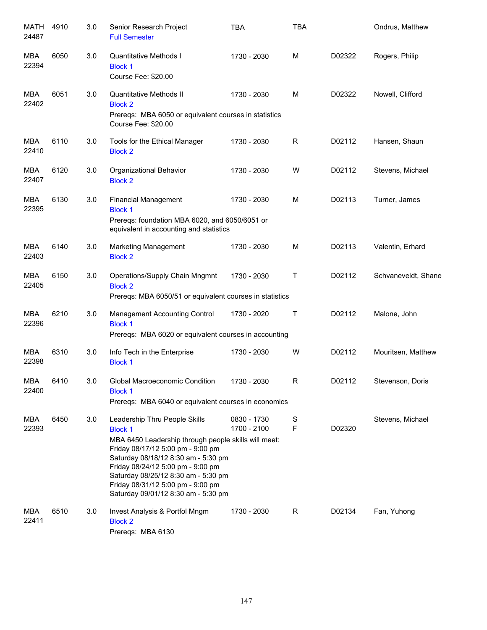| MATH<br>24487       | 4910 | 3.0 | Senior Research Project<br><b>Full Semester</b>                                                                                                                                                                                                                                                                                             | <b>TBA</b>                 | <b>TBA</b>       |        | Ondrus, Matthew     |
|---------------------|------|-----|---------------------------------------------------------------------------------------------------------------------------------------------------------------------------------------------------------------------------------------------------------------------------------------------------------------------------------------------|----------------------------|------------------|--------|---------------------|
| MBA<br>22394        | 6050 | 3.0 | Quantitative Methods I<br><b>Block 1</b><br>Course Fee: \$20.00                                                                                                                                                                                                                                                                             | 1730 - 2030                | M                | D02322 | Rogers, Philip      |
| <b>MBA</b><br>22402 | 6051 | 3.0 | Quantitative Methods II<br><b>Block 2</b><br>Prereqs: MBA 6050 or equivalent courses in statistics<br>Course Fee: \$20.00                                                                                                                                                                                                                   | 1730 - 2030                | M                | D02322 | Nowell, Clifford    |
| <b>MBA</b><br>22410 | 6110 | 3.0 | Tools for the Ethical Manager<br><b>Block 2</b>                                                                                                                                                                                                                                                                                             | 1730 - 2030                | R                | D02112 | Hansen, Shaun       |
| <b>MBA</b><br>22407 | 6120 | 3.0 | Organizational Behavior<br><b>Block 2</b>                                                                                                                                                                                                                                                                                                   | 1730 - 2030                | W                | D02112 | Stevens, Michael    |
| <b>MBA</b><br>22395 | 6130 | 3.0 | <b>Financial Management</b><br><b>Block 1</b><br>Prereqs: foundation MBA 6020, and 6050/6051 or<br>equivalent in accounting and statistics                                                                                                                                                                                                  | 1730 - 2030                | M                | D02113 | Turner, James       |
| <b>MBA</b><br>22403 | 6140 | 3.0 | Marketing Management<br><b>Block 2</b>                                                                                                                                                                                                                                                                                                      | 1730 - 2030                | M                | D02113 | Valentin, Erhard    |
| <b>MBA</b><br>22405 | 6150 | 3.0 | Operations/Supply Chain Mngmnt<br><b>Block 2</b><br>Prereqs: MBA 6050/51 or equivalent courses in statistics                                                                                                                                                                                                                                | 1730 - 2030                | $\mathsf T$      | D02112 | Schvaneveldt, Shane |
| <b>MBA</b><br>22396 | 6210 | 3.0 | Management Accounting Control<br><b>Block 1</b><br>Prereqs: MBA 6020 or equivalent courses in accounting                                                                                                                                                                                                                                    | 1730 - 2020                | $\mathsf T$      | D02112 | Malone, John        |
| <b>MBA</b><br>22398 | 6310 | 3.0 | Info Tech in the Enterprise<br><b>Block 1</b>                                                                                                                                                                                                                                                                                               | 1730 - 2030                | W                | D02112 | Mouritsen, Matthew  |
| <b>MBA</b><br>22400 | 6410 | 3.0 | Global Macroeconomic Condition<br><b>Block 1</b><br>Prereqs: MBA 6040 or equivalent courses in economics                                                                                                                                                                                                                                    | 1730 - 2030                | $\mathsf{R}$     | D02112 | Stevenson, Doris    |
| <b>MBA</b><br>22393 | 6450 | 3.0 | Leadership Thru People Skills<br><b>Block 1</b><br>MBA 6450 Leadership through people skills will meet:<br>Friday 08/17/12 5:00 pm - 9:00 pm<br>Saturday 08/18/12 8:30 am - 5:30 pm<br>Friday 08/24/12 5:00 pm - 9:00 pm<br>Saturday 08/25/12 8:30 am - 5:30 pm<br>Friday 08/31/12 5:00 pm - 9:00 pm<br>Saturday 09/01/12 8:30 am - 5:30 pm | 0830 - 1730<br>1700 - 2100 | S<br>$\mathsf F$ | D02320 | Stevens, Michael    |
| <b>MBA</b><br>22411 | 6510 | 3.0 | Invest Analysis & Portfol Mngm<br><b>Block 2</b><br>Prereqs: MBA 6130                                                                                                                                                                                                                                                                       | 1730 - 2030                | R                | D02134 | Fan, Yuhong         |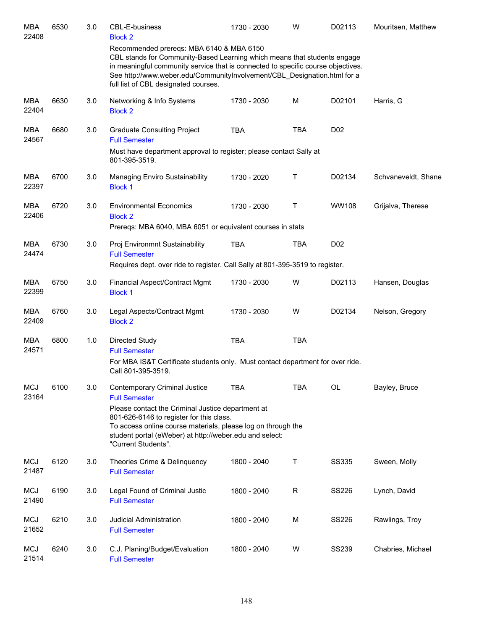| <b>MBA</b><br>22408 | 6530 | 3.0 | <b>CBL-E-business</b><br><b>Block 2</b>                                                                                                                                                                                                                                                                                      | 1730 - 2030 | W          | D02113           | Mouritsen, Matthew  |
|---------------------|------|-----|------------------------------------------------------------------------------------------------------------------------------------------------------------------------------------------------------------------------------------------------------------------------------------------------------------------------------|-------------|------------|------------------|---------------------|
|                     |      |     | Recommended prereqs: MBA 6140 & MBA 6150<br>CBL stands for Community-Based Learning which means that students engage<br>in meaningful community service that is connected to specific course objectives.<br>See http://www.weber.edu/CommunityInvolvement/CBL Designation.html for a<br>full list of CBL designated courses. |             |            |                  |                     |
| <b>MBA</b><br>22404 | 6630 | 3.0 | Networking & Info Systems<br><b>Block 2</b>                                                                                                                                                                                                                                                                                  | 1730 - 2030 | M          | D02101           | Harris, G           |
| <b>MBA</b><br>24567 | 6680 | 3.0 | <b>Graduate Consulting Project</b><br><b>Full Semester</b><br>Must have department approval to register; please contact Sally at                                                                                                                                                                                             | <b>TBA</b>  | <b>TBA</b> | D <sub>0</sub> 2 |                     |
| <b>MBA</b><br>22397 | 6700 | 3.0 | 801-395-3519.<br>Managing Enviro Sustainability<br><b>Block 1</b>                                                                                                                                                                                                                                                            | 1730 - 2020 | Τ          | D02134           | Schvaneveldt, Shane |
| <b>MBA</b><br>22406 | 6720 | 3.0 | <b>Environmental Economics</b><br><b>Block 2</b><br>Prereqs: MBA 6040, MBA 6051 or equivalent courses in stats                                                                                                                                                                                                               | 1730 - 2030 | Т          | <b>WW108</b>     | Grijalva, Therese   |
| <b>MBA</b><br>24474 | 6730 | 3.0 | Proj Environmnt Sustainability<br><b>Full Semester</b><br>Requires dept. over ride to register. Call Sally at 801-395-3519 to register.                                                                                                                                                                                      | <b>TBA</b>  | <b>TBA</b> | D <sub>0</sub> 2 |                     |
| <b>MBA</b><br>22399 | 6750 | 3.0 | Financial Aspect/Contract Mgmt<br><b>Block 1</b>                                                                                                                                                                                                                                                                             | 1730 - 2030 | W          | D02113           | Hansen, Douglas     |
| <b>MBA</b><br>22409 | 6760 | 3.0 | Legal Aspects/Contract Mgmt<br><b>Block 2</b>                                                                                                                                                                                                                                                                                | 1730 - 2030 | W          | D02134           | Nelson, Gregory     |
| MBA<br>24571        | 6800 | 1.0 | Directed Study<br><b>Full Semester</b><br>For MBA IS&T Certificate students only. Must contact department for over ride.<br>Call 801-395-3519.                                                                                                                                                                               | <b>TBA</b>  | <b>TBA</b> |                  |                     |
| <b>MCJ</b><br>23164 | 6100 | 3.0 | <b>Contemporary Criminal Justice</b><br><b>Full Semester</b><br>Please contact the Criminal Justice department at<br>801-626-6146 to register for this class.<br>To access online course materials, please log on through the<br>student portal (eWeber) at http://weber.edu and select:<br>"Current Students".              | <b>TBA</b>  | <b>TBA</b> | OL               | Bayley, Bruce       |
| <b>MCJ</b><br>21487 | 6120 | 3.0 | Theories Crime & Delinquency<br><b>Full Semester</b>                                                                                                                                                                                                                                                                         | 1800 - 2040 | Т          | <b>SS335</b>     | Sween, Molly        |
| <b>MCJ</b><br>21490 | 6190 | 3.0 | Legal Found of Criminal Justic<br><b>Full Semester</b>                                                                                                                                                                                                                                                                       | 1800 - 2040 | R          | SS226            | Lynch, David        |
| <b>MCJ</b><br>21652 | 6210 | 3.0 | Judicial Administration<br><b>Full Semester</b>                                                                                                                                                                                                                                                                              | 1800 - 2040 | M          | SS226            | Rawlings, Troy      |
| <b>MCJ</b><br>21514 | 6240 | 3.0 | C.J. Planing/Budget/Evaluation<br><b>Full Semester</b>                                                                                                                                                                                                                                                                       | 1800 - 2040 | W          | <b>SS239</b>     | Chabries, Michael   |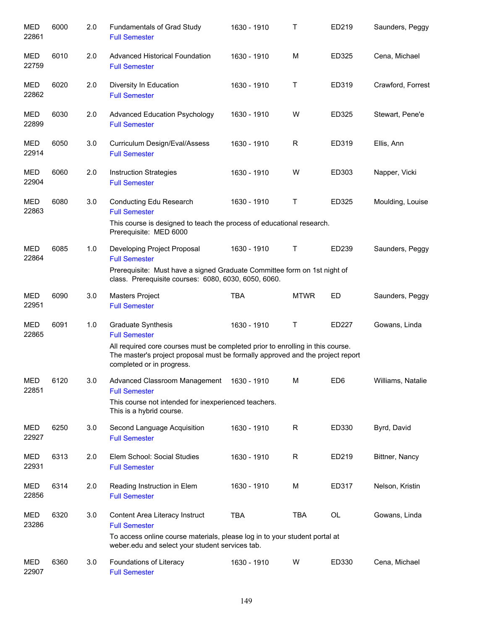| <b>MED</b><br>22861 | 6000 | 2.0 | Fundamentals of Grad Study<br><b>Full Semester</b>                                                                                                                                            | 1630 - 1910 | Τ           | ED219           | Saunders, Peggy   |
|---------------------|------|-----|-----------------------------------------------------------------------------------------------------------------------------------------------------------------------------------------------|-------------|-------------|-----------------|-------------------|
| MED<br>22759        | 6010 | 2.0 | <b>Advanced Historical Foundation</b><br><b>Full Semester</b>                                                                                                                                 | 1630 - 1910 | M           | ED325           | Cena, Michael     |
| MED<br>22862        | 6020 | 2.0 | Diversity In Education<br><b>Full Semester</b>                                                                                                                                                | 1630 - 1910 | Τ           | ED319           | Crawford, Forrest |
| MED<br>22899        | 6030 | 2.0 | <b>Advanced Education Psychology</b><br><b>Full Semester</b>                                                                                                                                  | 1630 - 1910 | W           | ED325           | Stewart, Pene'e   |
| MED<br>22914        | 6050 | 3.0 | Curriculum Design/Eval/Assess<br><b>Full Semester</b>                                                                                                                                         | 1630 - 1910 | R           | ED319           | Ellis, Ann        |
| MED<br>22904        | 6060 | 2.0 | <b>Instruction Strategies</b><br><b>Full Semester</b>                                                                                                                                         | 1630 - 1910 | W           | ED303           | Napper, Vicki     |
| <b>MED</b><br>22863 | 6080 | 3.0 | Conducting Edu Research<br><b>Full Semester</b>                                                                                                                                               | 1630 - 1910 | Τ           | ED325           | Moulding, Louise  |
|                     |      |     | This course is designed to teach the process of educational research.<br>Prerequisite: MED 6000                                                                                               |             |             |                 |                   |
| MED<br>22864        | 6085 | 1.0 | Developing Project Proposal<br><b>Full Semester</b>                                                                                                                                           | 1630 - 1910 | Т           | ED239           | Saunders, Peggy   |
|                     |      |     | Prerequisite: Must have a signed Graduate Committee form on 1st night of<br>class. Prerequisite courses: 6080, 6030, 6050, 6060.                                                              |             |             |                 |                   |
| MED<br>22951        | 6090 | 3.0 | Masters Project<br><b>Full Semester</b>                                                                                                                                                       | <b>TBA</b>  | <b>MTWR</b> | ED              | Saunders, Peggy   |
| <b>MED</b><br>22865 | 6091 | 1.0 | Graduate Synthesis<br><b>Full Semester</b>                                                                                                                                                    | 1630 - 1910 | Τ           | ED227           | Gowans, Linda     |
|                     |      |     | All required core courses must be completed prior to enrolling in this course.<br>The master's project proposal must be formally approved and the project report<br>completed or in progress. |             |             |                 |                   |
| <b>MED</b><br>22851 | 6120 | 3.0 | Advanced Classroom Management 1630 - 1910<br><b>Full Semester</b>                                                                                                                             |             | M           | ED <sub>6</sub> | Williams, Natalie |
|                     |      |     | This course not intended for inexperienced teachers.<br>This is a hybrid course.                                                                                                              |             |             |                 |                   |
| MED<br>22927        | 6250 | 3.0 | Second Language Acquisition<br><b>Full Semester</b>                                                                                                                                           | 1630 - 1910 | R           | ED330           | Byrd, David       |
| MED<br>22931        | 6313 | 2.0 | Elem School: Social Studies<br><b>Full Semester</b>                                                                                                                                           | 1630 - 1910 | R           | ED219           | Bittner, Nancy    |
| MED<br>22856        | 6314 | 2.0 | Reading Instruction in Elem<br><b>Full Semester</b>                                                                                                                                           | 1630 - 1910 | М           | ED317           | Nelson, Kristin   |
| <b>MED</b><br>23286 | 6320 | 3.0 | Content Area Literacy Instruct<br><b>Full Semester</b>                                                                                                                                        | <b>TBA</b>  | TBA         | OL              | Gowans, Linda     |
|                     |      |     | To access online course materials, please log in to your student portal at<br>weber.edu and select your student services tab.                                                                 |             |             |                 |                   |
| MED<br>22907        | 6360 | 3.0 | Foundations of Literacy<br><b>Full Semester</b>                                                                                                                                               | 1630 - 1910 | W           | ED330           | Cena, Michael     |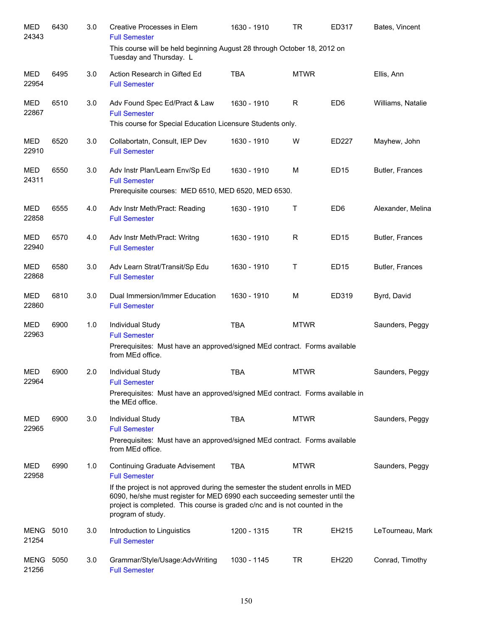| <b>MED</b><br>24343  | 6430 | 3.0 | Creative Processes in Elem<br><b>Full Semester</b>                                                                                                                                                                                                                                                                       | 1630 - 1910 | <b>TR</b>   | ED317            | Bates, Vincent    |
|----------------------|------|-----|--------------------------------------------------------------------------------------------------------------------------------------------------------------------------------------------------------------------------------------------------------------------------------------------------------------------------|-------------|-------------|------------------|-------------------|
|                      |      |     | This course will be held beginning August 28 through October 18, 2012 on<br>Tuesday and Thursday. L                                                                                                                                                                                                                      |             |             |                  |                   |
| <b>MED</b><br>22954  | 6495 | 3.0 | Action Research in Gifted Ed<br><b>Full Semester</b>                                                                                                                                                                                                                                                                     | <b>TBA</b>  | <b>MTWR</b> |                  | Ellis, Ann        |
| <b>MED</b><br>22867  | 6510 | 3.0 | Adv Found Spec Ed/Pract & Law<br><b>Full Semester</b><br>This course for Special Education Licensure Students only.                                                                                                                                                                                                      | 1630 - 1910 | R           | ED <sub>6</sub>  | Williams, Natalie |
| <b>MED</b><br>22910  | 6520 | 3.0 | Collabortatn, Consult, IEP Dev<br><b>Full Semester</b>                                                                                                                                                                                                                                                                   | 1630 - 1910 | W           | ED227            | Mayhew, John      |
| <b>MED</b><br>24311  | 6550 | 3.0 | Adv Instr Plan/Learn Env/Sp Ed<br><b>Full Semester</b><br>Prerequisite courses: MED 6510, MED 6520, MED 6530.                                                                                                                                                                                                            | 1630 - 1910 | M           | ED <sub>15</sub> | Butler, Frances   |
| <b>MED</b><br>22858  | 6555 | 4.0 | Adv Instr Meth/Pract: Reading<br><b>Full Semester</b>                                                                                                                                                                                                                                                                    | 1630 - 1910 | т           | ED <sub>6</sub>  | Alexander, Melina |
| <b>MED</b><br>22940  | 6570 | 4.0 | Adv Instr Meth/Pract: Writng<br><b>Full Semester</b>                                                                                                                                                                                                                                                                     | 1630 - 1910 | R           | ED <sub>15</sub> | Butler, Frances   |
| <b>MED</b><br>22868  | 6580 | 3.0 | Adv Learn Strat/Transit/Sp Edu<br><b>Full Semester</b>                                                                                                                                                                                                                                                                   | 1630 - 1910 | т           | <b>ED15</b>      | Butler, Frances   |
| <b>MED</b><br>22860  | 6810 | 3.0 | Dual Immersion/Immer Education<br><b>Full Semester</b>                                                                                                                                                                                                                                                                   | 1630 - 1910 | M           | ED319            | Byrd, David       |
| <b>MED</b><br>22963  | 6900 | 1.0 | Individual Study<br><b>Full Semester</b><br>Prerequisites: Must have an approved/signed MEd contract. Forms available<br>from MEd office.                                                                                                                                                                                | <b>TBA</b>  | <b>MTWR</b> |                  | Saunders, Peggy   |
| <b>MED</b><br>22964  | 6900 | 2.0 | Individual Study<br><b>Full Semester</b><br>Prerequisites: Must have an approved/signed MEd contract. Forms available in<br>the MEd office.                                                                                                                                                                              | <b>TBA</b>  | <b>MTWR</b> |                  | Saunders, Peggy   |
| <b>MED</b><br>22965  | 6900 | 3.0 | Individual Study<br><b>Full Semester</b><br>Prerequisites: Must have an approved/signed MEd contract. Forms available<br>from MEd office.                                                                                                                                                                                | <b>TBA</b>  | <b>MTWR</b> |                  | Saunders, Peggy   |
| MED<br>22958         | 6990 | 1.0 | Continuing Graduate Advisement<br><b>Full Semester</b><br>If the project is not approved during the semester the student enrolls in MED<br>6090, he/she must register for MED 6990 each succeeding semester until the<br>project is completed. This course is graded c/nc and is not counted in the<br>program of study. | TBA         | <b>MTWR</b> |                  | Saunders, Peggy   |
| MENG<br>21254        | 5010 | 3.0 | Introduction to Linguistics<br><b>Full Semester</b>                                                                                                                                                                                                                                                                      | 1200 - 1315 | TR          | EH215            | LeTourneau, Mark  |
| <b>MENG</b><br>21256 | 5050 | 3.0 | Grammar/Style/Usage:AdvWriting<br><b>Full Semester</b>                                                                                                                                                                                                                                                                   | 1030 - 1145 | <b>TR</b>   | EH220            | Conrad, Timothy   |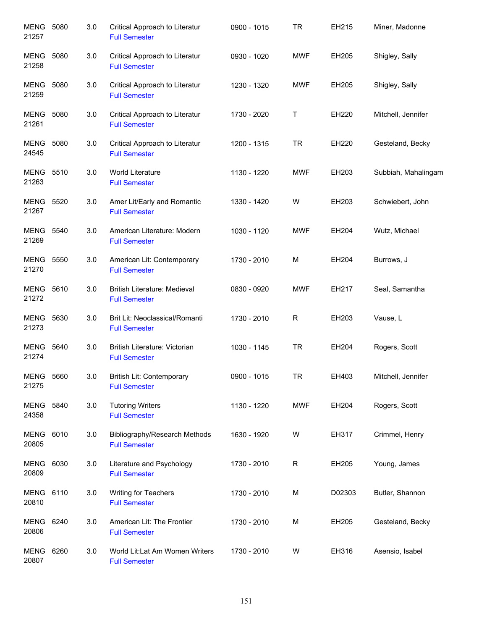| MENG<br>21257             | 5080 | 3.0 | Critical Approach to Literatur<br><b>Full Semester</b>      | 0900 - 1015 | <b>TR</b>   | EH215  | Miner, Madonne      |
|---------------------------|------|-----|-------------------------------------------------------------|-------------|-------------|--------|---------------------|
| MENG<br>21258             | 5080 | 3.0 | Critical Approach to Literatur<br><b>Full Semester</b>      | 0930 - 1020 | <b>MWF</b>  | EH205  | Shigley, Sally      |
| MENG<br>21259             | 5080 | 3.0 | Critical Approach to Literatur<br><b>Full Semester</b>      | 1230 - 1320 | <b>MWF</b>  | EH205  | Shigley, Sally      |
| <b>MENG 5080</b><br>21261 |      | 3.0 | Critical Approach to Literatur<br><b>Full Semester</b>      | 1730 - 2020 | Т           | EH220  | Mitchell, Jennifer  |
| <b>MENG 5080</b><br>24545 |      | 3.0 | Critical Approach to Literatur<br><b>Full Semester</b>      | 1200 - 1315 | <b>TR</b>   | EH220  | Gesteland, Becky    |
| <b>MENG 5510</b><br>21263 |      | 3.0 | World Literature<br><b>Full Semester</b>                    | 1130 - 1220 | <b>MWF</b>  | EH203  | Subbiah, Mahalingam |
| <b>MENG 5520</b><br>21267 |      | 3.0 | Amer Lit/Early and Romantic<br><b>Full Semester</b>         | 1330 - 1420 | W           | EH203  | Schwiebert, John    |
| <b>MENG 5540</b><br>21269 |      | 3.0 | American Literature: Modern<br><b>Full Semester</b>         | 1030 - 1120 | <b>MWF</b>  | EH204  | Wutz, Michael       |
| <b>MENG 5550</b><br>21270 |      | 3.0 | American Lit: Contemporary<br><b>Full Semester</b>          | 1730 - 2010 | M           | EH204  | Burrows, J          |
| MENG 5610<br>21272        |      | 3.0 | <b>British Literature: Medieval</b><br><b>Full Semester</b> | 0830 - 0920 | <b>MWF</b>  | EH217  | Seal, Samantha      |
| <b>MENG</b><br>21273      | 5630 | 3.0 | Brit Lit: Neoclassical/Romanti<br><b>Full Semester</b>      | 1730 - 2010 | $\mathsf R$ | EH203  | Vause, L            |
| <b>MENG</b><br>21274      | 5640 | 3.0 | British Literature: Victorian<br><b>Full Semester</b>       | 1030 - 1145 | <b>TR</b>   | EH204  | Rogers, Scott       |
| MENG<br>21275             | 5660 | 3.0 | British Lit: Contemporary<br><b>Full Semester</b>           | 0900 - 1015 | <b>TR</b>   | EH403  | Mitchell, Jennifer  |
| MENG<br>24358             | 5840 | 3.0 | <b>Tutoring Writers</b><br><b>Full Semester</b>             | 1130 - 1220 | <b>MWF</b>  | EH204  | Rogers, Scott       |
| MENG<br>20805             | 6010 | 3.0 | Bibliography/Research Methods<br><b>Full Semester</b>       | 1630 - 1920 | W           | EH317  | Crimmel, Henry      |
| MENG<br>20809             | 6030 | 3.0 | Literature and Psychology<br><b>Full Semester</b>           | 1730 - 2010 | $\mathsf R$ | EH205  | Young, James        |
| MENG<br>20810             | 6110 | 3.0 | Writing for Teachers<br><b>Full Semester</b>                | 1730 - 2010 | M           | D02303 | Butler, Shannon     |
| MENG<br>20806             | 6240 | 3.0 | American Lit: The Frontier<br><b>Full Semester</b>          | 1730 - 2010 | M           | EH205  | Gesteland, Becky    |
| MENG<br>20807             | 6260 | 3.0 | World Lit:Lat Am Women Writers<br><b>Full Semester</b>      | 1730 - 2010 | W           | EH316  | Asensio, Isabel     |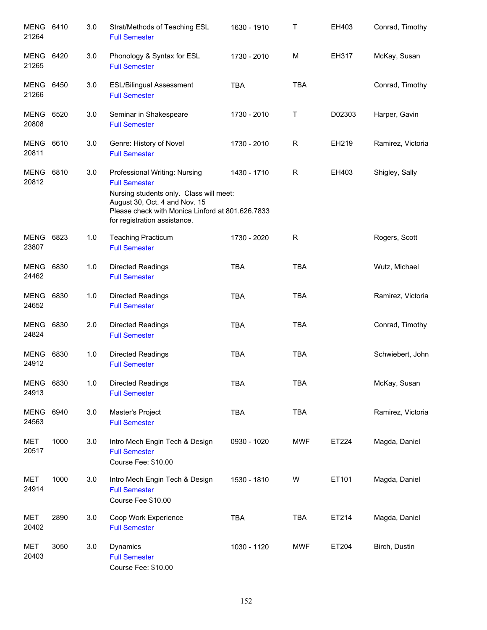| MENG 6410<br>21264        |      | 3.0 | Strat/Methods of Teaching ESL<br><b>Full Semester</b>                                                                                                                                                                 | 1630 - 1910 | Т           | EH403  | Conrad, Timothy   |
|---------------------------|------|-----|-----------------------------------------------------------------------------------------------------------------------------------------------------------------------------------------------------------------------|-------------|-------------|--------|-------------------|
| MENG<br>21265             | 6420 | 3.0 | Phonology & Syntax for ESL<br><b>Full Semester</b>                                                                                                                                                                    | 1730 - 2010 | M           | EH317  | McKay, Susan      |
| <b>MENG 6450</b><br>21266 |      | 3.0 | <b>ESL/Bilingual Assessment</b><br><b>Full Semester</b>                                                                                                                                                               | <b>TBA</b>  | <b>TBA</b>  |        | Conrad, Timothy   |
| <b>MENG 6520</b><br>20808 |      | 3.0 | Seminar in Shakespeare<br><b>Full Semester</b>                                                                                                                                                                        | 1730 - 2010 | Τ           | D02303 | Harper, Gavin     |
| <b>MENG 6610</b><br>20811 |      | 3.0 | Genre: History of Novel<br><b>Full Semester</b>                                                                                                                                                                       | 1730 - 2010 | R           | EH219  | Ramirez, Victoria |
| <b>MENG 6810</b><br>20812 |      | 3.0 | Professional Writing: Nursing<br><b>Full Semester</b><br>Nursing students only. Class will meet:<br>August 30, Oct. 4 and Nov. 15<br>Please check with Monica Linford at 801.626.7833<br>for registration assistance. | 1430 - 1710 | $\mathsf R$ | EH403  | Shigley, Sally    |
| MENG 6823<br>23807        |      | 1.0 | <b>Teaching Practicum</b><br><b>Full Semester</b>                                                                                                                                                                     | 1730 - 2020 | $\mathsf R$ |        | Rogers, Scott     |
| MENG 6830<br>24462        |      | 1.0 | <b>Directed Readings</b><br><b>Full Semester</b>                                                                                                                                                                      | <b>TBA</b>  | <b>TBA</b>  |        | Wutz, Michael     |
| MENG 6830<br>24652        |      | 1.0 | <b>Directed Readings</b><br><b>Full Semester</b>                                                                                                                                                                      | <b>TBA</b>  | <b>TBA</b>  |        | Ramirez, Victoria |
| MENG 6830<br>24824        |      | 2.0 | <b>Directed Readings</b><br><b>Full Semester</b>                                                                                                                                                                      | <b>TBA</b>  | <b>TBA</b>  |        | Conrad, Timothy   |
| <b>MENG</b><br>24912      | 6830 | 1.0 | <b>Directed Readings</b><br><b>Full Semester</b>                                                                                                                                                                      | <b>TBA</b>  | <b>TBA</b>  |        | Schwiebert, John  |
| MENG 6830<br>24913        |      | 1.0 | <b>Directed Readings</b><br><b>Full Semester</b>                                                                                                                                                                      | TBA         | <b>TBA</b>  |        | McKay, Susan      |
| <b>MENG</b><br>24563      | 6940 | 3.0 | Master's Project<br><b>Full Semester</b>                                                                                                                                                                              | <b>TBA</b>  | <b>TBA</b>  |        | Ramirez, Victoria |
| <b>MET</b><br>20517       | 1000 | 3.0 | Intro Mech Engin Tech & Design<br><b>Full Semester</b><br>Course Fee: \$10.00                                                                                                                                         | 0930 - 1020 | <b>MWF</b>  | ET224  | Magda, Daniel     |
| <b>MET</b><br>24914       | 1000 | 3.0 | Intro Mech Engin Tech & Design<br><b>Full Semester</b><br>Course Fee \$10.00                                                                                                                                          | 1530 - 1810 | W           | ET101  | Magda, Daniel     |
| <b>MET</b><br>20402       | 2890 | 3.0 | Coop Work Experience<br><b>Full Semester</b>                                                                                                                                                                          | <b>TBA</b>  | <b>TBA</b>  | ET214  | Magda, Daniel     |
| <b>MET</b><br>20403       | 3050 | 3.0 | Dynamics<br><b>Full Semester</b><br>Course Fee: \$10.00                                                                                                                                                               | 1030 - 1120 | <b>MWF</b>  | ET204  | Birch, Dustin     |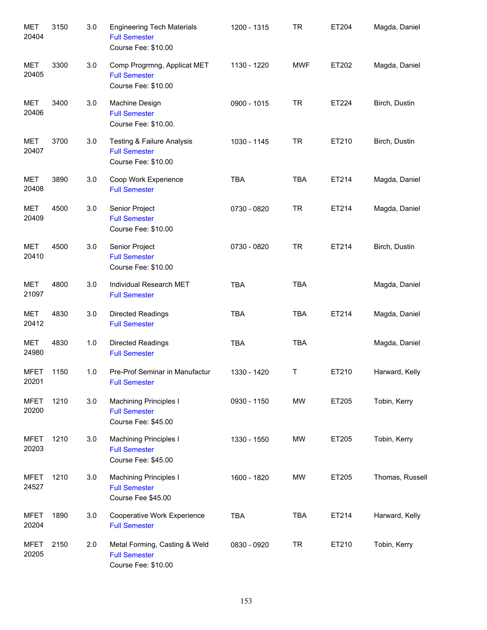| <b>MET</b><br>20404  | 3150 | 3.0 | <b>Engineering Tech Materials</b><br><b>Full Semester</b><br>Course Fee: \$10.00 | 1200 - 1315 | <b>TR</b>  | ET204 | Magda, Daniel   |
|----------------------|------|-----|----------------------------------------------------------------------------------|-------------|------------|-------|-----------------|
| <b>MET</b><br>20405  | 3300 | 3.0 | Comp Progrmng, Applicat MET<br><b>Full Semester</b><br>Course Fee: \$10.00       | 1130 - 1220 | <b>MWF</b> | ET202 | Magda, Daniel   |
| MET<br>20406         | 3400 | 3.0 | Machine Design<br><b>Full Semester</b><br>Course Fee: \$10.00.                   | 0900 - 1015 | <b>TR</b>  | ET224 | Birch, Dustin   |
| MET<br>20407         | 3700 | 3.0 | Testing & Failure Analysis<br><b>Full Semester</b><br>Course Fee: \$10.00        | 1030 - 1145 | <b>TR</b>  | ET210 | Birch, Dustin   |
| MET<br>20408         | 3890 | 3.0 | Coop Work Experience<br><b>Full Semester</b>                                     | <b>TBA</b>  | <b>TBA</b> | ET214 | Magda, Daniel   |
| <b>MET</b><br>20409  | 4500 | 3.0 | Senior Project<br><b>Full Semester</b><br>Course Fee: \$10.00                    | 0730 - 0820 | <b>TR</b>  | ET214 | Magda, Daniel   |
| <b>MET</b><br>20410  | 4500 | 3.0 | Senior Project<br><b>Full Semester</b><br>Course Fee: \$10.00                    | 0730 - 0820 | <b>TR</b>  | ET214 | Birch, Dustin   |
| MET<br>21097         | 4800 | 3.0 | Individual Research MET<br><b>Full Semester</b>                                  | <b>TBA</b>  | <b>TBA</b> |       | Magda, Daniel   |
| <b>MET</b><br>20412  | 4830 | 3.0 | Directed Readings<br><b>Full Semester</b>                                        | <b>TBA</b>  | <b>TBA</b> | ET214 | Magda, Daniel   |
| <b>MET</b><br>24980  | 4830 | 1.0 | <b>Directed Readings</b><br><b>Full Semester</b>                                 | <b>TBA</b>  | <b>TBA</b> |       | Magda, Daniel   |
| MFET<br>20201        | 1150 | 1.0 | Pre-Prof Seminar in Manufactur<br><b>Full Semester</b>                           | 1330 - 1420 | Τ          | ET210 | Harward, Kelly  |
| <b>MFET</b><br>20200 | 1210 | 3.0 | <b>Machining Principles I</b><br><b>Full Semester</b><br>Course Fee: \$45.00     | 0930 - 1150 | MW         | ET205 | Tobin, Kerry    |
| <b>MFET</b><br>20203 | 1210 | 3.0 | <b>Machining Principles I</b><br><b>Full Semester</b><br>Course Fee: \$45.00     | 1330 - 1550 | MW         | ET205 | Tobin, Kerry    |
| <b>MFET</b><br>24527 | 1210 | 3.0 | <b>Machining Principles I</b><br><b>Full Semester</b><br>Course Fee \$45.00      | 1600 - 1820 | MW         | ET205 | Thomas, Russell |
| <b>MFET</b><br>20204 | 1890 | 3.0 | Cooperative Work Experience<br><b>Full Semester</b>                              | <b>TBA</b>  | <b>TBA</b> | ET214 | Harward, Kelly  |
| <b>MFET</b><br>20205 | 2150 | 2.0 | Metal Forming, Casting & Weld<br><b>Full Semester</b><br>Course Fee: \$10.00     | 0830 - 0920 | <b>TR</b>  | ET210 | Tobin, Kerry    |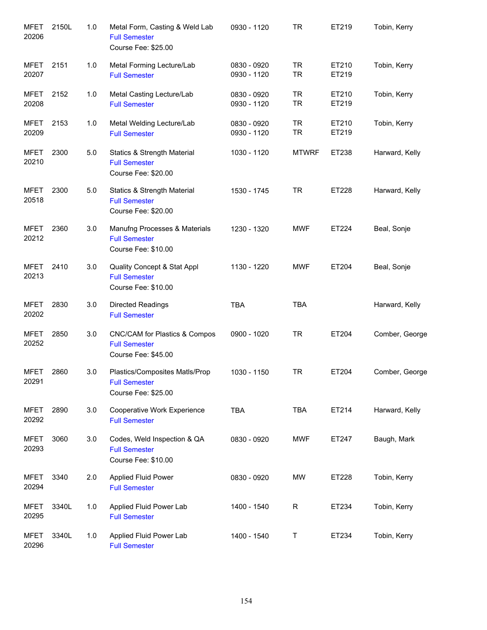| <b>MFET</b><br>20206 | 2150L | 1.0 | Metal Form, Casting & Weld Lab<br><b>Full Semester</b><br>Course Fee: \$25.00         | 0930 - 1120                | <b>TR</b>              | ET219          | Tobin, Kerry   |
|----------------------|-------|-----|---------------------------------------------------------------------------------------|----------------------------|------------------------|----------------|----------------|
| MFET<br>20207        | 2151  | 1.0 | Metal Forming Lecture/Lab<br><b>Full Semester</b>                                     | 0830 - 0920<br>0930 - 1120 | <b>TR</b><br><b>TR</b> | ET210<br>ET219 | Tobin, Kerry   |
| <b>MFET</b><br>20208 | 2152  | 1.0 | Metal Casting Lecture/Lab<br><b>Full Semester</b>                                     | 0830 - 0920<br>0930 - 1120 | <b>TR</b><br><b>TR</b> | ET210<br>ET219 | Tobin, Kerry   |
| <b>MFET</b><br>20209 | 2153  | 1.0 | Metal Welding Lecture/Lab<br><b>Full Semester</b>                                     | 0830 - 0920<br>0930 - 1120 | <b>TR</b><br><b>TR</b> | ET210<br>ET219 | Tobin, Kerry   |
| <b>MFET</b><br>20210 | 2300  | 5.0 | <b>Statics &amp; Strength Material</b><br><b>Full Semester</b><br>Course Fee: \$20.00 | 1030 - 1120                | <b>MTWRF</b>           | ET238          | Harward, Kelly |
| <b>MFET</b><br>20518 | 2300  | 5.0 | <b>Statics &amp; Strength Material</b><br><b>Full Semester</b><br>Course Fee: \$20.00 | 1530 - 1745                | <b>TR</b>              | ET228          | Harward, Kelly |
| <b>MFET</b><br>20212 | 2360  | 3.0 | Manufng Processes & Materials<br><b>Full Semester</b><br>Course Fee: \$10.00          | 1230 - 1320                | <b>MWF</b>             | ET224          | Beal, Sonje    |
| <b>MFET</b><br>20213 | 2410  | 3.0 | Quality Concept & Stat Appl<br><b>Full Semester</b><br>Course Fee: \$10.00            | 1130 - 1220                | <b>MWF</b>             | ET204          | Beal, Sonje    |
| <b>MFET</b><br>20202 | 2830  | 3.0 | <b>Directed Readings</b><br><b>Full Semester</b>                                      | <b>TBA</b>                 | <b>TBA</b>             |                | Harward, Kelly |
| <b>MFET</b><br>20252 | 2850  | 3.0 | CNC/CAM for Plastics & Compos<br><b>Full Semester</b><br>Course Fee: \$45.00          | 0900 - 1020                | <b>TR</b>              | ET204          | Comber, George |
| <b>MFET</b><br>20291 | 2860  | 3.0 | Plastics/Composites Matls/Prop<br><b>Full Semester</b><br>Course Fee: \$25.00         | 1030 - 1150                | <b>TR</b>              | ET204          | Comber, George |
| <b>MFET</b><br>20292 | 2890  | 3.0 | Cooperative Work Experience<br><b>Full Semester</b>                                   | <b>TBA</b>                 | <b>TBA</b>             | ET214          | Harward, Kelly |
| <b>MFET</b><br>20293 | 3060  | 3.0 | Codes, Weld Inspection & QA<br><b>Full Semester</b><br>Course Fee: \$10.00            | 0830 - 0920                | <b>MWF</b>             | ET247          | Baugh, Mark    |
| <b>MFET</b><br>20294 | 3340  | 2.0 | <b>Applied Fluid Power</b><br><b>Full Semester</b>                                    | 0830 - 0920                | MW                     | ET228          | Tobin, Kerry   |
| <b>MFET</b><br>20295 | 3340L | 1.0 | Applied Fluid Power Lab<br><b>Full Semester</b>                                       | 1400 - 1540                | $\mathsf{R}$           | ET234          | Tobin, Kerry   |
| <b>MFET</b><br>20296 | 3340L | 1.0 | Applied Fluid Power Lab<br><b>Full Semester</b>                                       | 1400 - 1540                | Τ                      | ET234          | Tobin, Kerry   |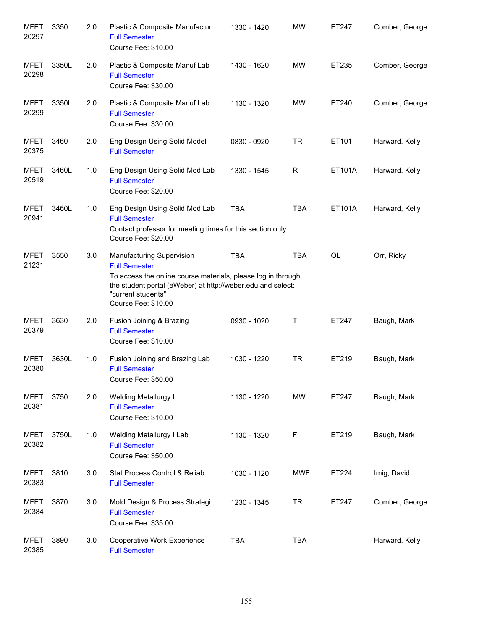| <b>MFET</b><br>20297 | 3350  | 2.0 | Plastic & Composite Manufactur<br><b>Full Semester</b><br>Course Fee: \$10.00                                                                                                                                                        | 1330 - 1420 | <b>MW</b>  | ET247     | Comber, George |
|----------------------|-------|-----|--------------------------------------------------------------------------------------------------------------------------------------------------------------------------------------------------------------------------------------|-------------|------------|-----------|----------------|
| <b>MFET</b><br>20298 | 3350L | 2.0 | Plastic & Composite Manuf Lab<br><b>Full Semester</b><br>Course Fee: \$30.00                                                                                                                                                         | 1430 - 1620 | <b>MW</b>  | ET235     | Comber, George |
| <b>MFET</b><br>20299 | 3350L | 2.0 | Plastic & Composite Manuf Lab<br><b>Full Semester</b><br>Course Fee: \$30.00                                                                                                                                                         | 1130 - 1320 | <b>MW</b>  | ET240     | Comber, George |
| <b>MFET</b><br>20375 | 3460  | 2.0 | Eng Design Using Solid Model<br><b>Full Semester</b>                                                                                                                                                                                 | 0830 - 0920 | <b>TR</b>  | ET101     | Harward, Kelly |
| MFET<br>20519        | 3460L | 1.0 | Eng Design Using Solid Mod Lab<br><b>Full Semester</b><br>Course Fee: \$20.00                                                                                                                                                        | 1330 - 1545 | R          | ET101A    | Harward, Kelly |
| MFET<br>20941        | 3460L | 1.0 | Eng Design Using Solid Mod Lab<br><b>Full Semester</b><br>Contact professor for meeting times for this section only.<br>Course Fee: \$20.00                                                                                          | <b>TBA</b>  | <b>TBA</b> | ET101A    | Harward, Kelly |
| <b>MFET</b><br>21231 | 3550  | 3.0 | <b>Manufacturing Supervision</b><br><b>Full Semester</b><br>To access the online course materials, please log in through<br>the student portal (eWeber) at http://weber.edu and select:<br>"current students"<br>Course Fee: \$10.00 | <b>TBA</b>  | <b>TBA</b> | <b>OL</b> | Orr, Ricky     |
| <b>MFET</b><br>20379 | 3630  | 2.0 | Fusion Joining & Brazing<br><b>Full Semester</b><br>Course Fee: \$10.00                                                                                                                                                              | 0930 - 1020 | Τ          | ET247     | Baugh, Mark    |
| <b>MFET</b><br>20380 | 3630L | 1.0 | Fusion Joining and Brazing Lab<br><b>Full Semester</b><br>Course Fee: \$50.00                                                                                                                                                        | 1030 - 1220 | <b>TR</b>  | ET219     | Baugh, Mark    |
| MFET<br>20381        | 3750  | 2.0 | <b>Welding Metallurgy I</b><br><b>Full Semester</b><br>Course Fee: \$10.00                                                                                                                                                           | 1130 - 1220 | MW         | ET247     | Baugh, Mark    |
| MFET<br>20382        | 3750L | 1.0 | Welding Metallurgy I Lab<br><b>Full Semester</b><br>Course Fee: \$50.00                                                                                                                                                              | 1130 - 1320 | F          | ET219     | Baugh, Mark    |
| MFET<br>20383        | 3810  | 3.0 | Stat Process Control & Reliab<br><b>Full Semester</b>                                                                                                                                                                                | 1030 - 1120 | <b>MWF</b> | ET224     | Imig, David    |
| MFET<br>20384        | 3870  | 3.0 | Mold Design & Process Strategi<br><b>Full Semester</b><br>Course Fee: \$35.00                                                                                                                                                        | 1230 - 1345 | <b>TR</b>  | ET247     | Comber, George |
| <b>MFET</b><br>20385 | 3890  | 3.0 | Cooperative Work Experience<br><b>Full Semester</b>                                                                                                                                                                                  | <b>TBA</b>  | <b>TBA</b> |           | Harward, Kelly |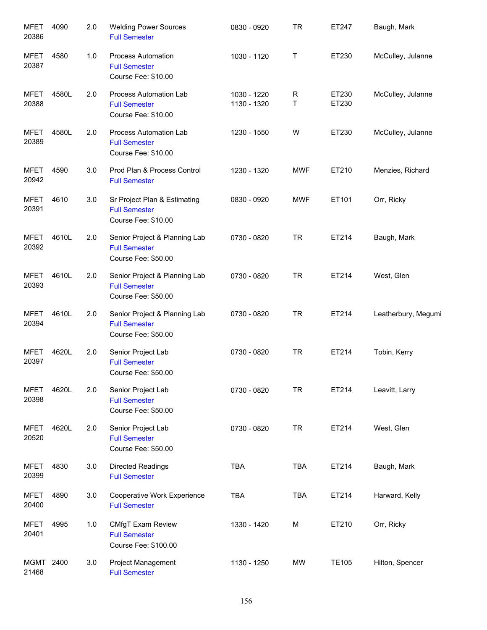| <b>MFET</b><br>20386 | 4090  | 2.0 | <b>Welding Power Sources</b><br><b>Full Semester</b>                         | 0830 - 0920                | <b>TR</b>        | ET247          | Baugh, Mark         |
|----------------------|-------|-----|------------------------------------------------------------------------------|----------------------------|------------------|----------------|---------------------|
| MFET<br>20387        | 4580  | 1.0 | Process Automation<br><b>Full Semester</b><br>Course Fee: \$10.00            | 1030 - 1120                | $\mathsf T$      | ET230          | McCulley, Julanne   |
| MFET<br>20388        | 4580L | 2.0 | Process Automation Lab<br><b>Full Semester</b><br>Course Fee: \$10.00        | 1030 - 1220<br>1130 - 1320 | $\mathsf R$<br>T | ET230<br>ET230 | McCulley, Julanne   |
| MFET<br>20389        | 4580L | 2.0 | Process Automation Lab<br><b>Full Semester</b><br>Course Fee: \$10.00        | 1230 - 1550                | W                | ET230          | McCulley, Julanne   |
| MFET<br>20942        | 4590  | 3.0 | Prod Plan & Process Control<br><b>Full Semester</b>                          | 1230 - 1320                | <b>MWF</b>       | ET210          | Menzies, Richard    |
| MFET<br>20391        | 4610  | 3.0 | Sr Project Plan & Estimating<br><b>Full Semester</b><br>Course Fee: \$10.00  | 0830 - 0920                | <b>MWF</b>       | ET101          | Orr, Ricky          |
| MFET<br>20392        | 4610L | 2.0 | Senior Project & Planning Lab<br><b>Full Semester</b><br>Course Fee: \$50.00 | 0730 - 0820                | <b>TR</b>        | ET214          | Baugh, Mark         |
| <b>MFET</b><br>20393 | 4610L | 2.0 | Senior Project & Planning Lab<br><b>Full Semester</b><br>Course Fee: \$50.00 | 0730 - 0820                | <b>TR</b>        | ET214          | West, Glen          |
| <b>MFET</b><br>20394 | 4610L | 2.0 | Senior Project & Planning Lab<br><b>Full Semester</b><br>Course Fee: \$50.00 | 0730 - 0820                | <b>TR</b>        | ET214          | Leatherbury, Megumi |
| <b>MFET</b><br>20397 | 4620L | 2.0 | Senior Project Lab<br><b>Full Semester</b><br>Course Fee: \$50.00            | 0730 - 0820                | <b>TR</b>        | ET214          | Tobin, Kerry        |
| <b>MFET</b><br>20398 | 4620L | 2.0 | Senior Project Lab<br><b>Full Semester</b><br>Course Fee: \$50.00            | 0730 - 0820                | <b>TR</b>        | ET214          | Leavitt, Larry      |
| <b>MFET</b><br>20520 | 4620L | 2.0 | Senior Project Lab<br><b>Full Semester</b><br>Course Fee: \$50.00            | 0730 - 0820                | <b>TR</b>        | ET214          | West, Glen          |
| <b>MFET</b><br>20399 | 4830  | 3.0 | Directed Readings<br><b>Full Semester</b>                                    | <b>TBA</b>                 | <b>TBA</b>       | ET214          | Baugh, Mark         |
| <b>MFET</b><br>20400 | 4890  | 3.0 | Cooperative Work Experience<br><b>Full Semester</b>                          | <b>TBA</b>                 | <b>TBA</b>       | ET214          | Harward, Kelly      |
| <b>MFET</b><br>20401 | 4995  | 1.0 | CMfgT Exam Review<br><b>Full Semester</b><br>Course Fee: \$100.00            | 1330 - 1420                | M                | ET210          | Orr, Ricky          |
| <b>MGMT</b><br>21468 | 2400  | 3.0 | Project Management<br><b>Full Semester</b>                                   | 1130 - 1250                | MW               | <b>TE105</b>   | Hilton, Spencer     |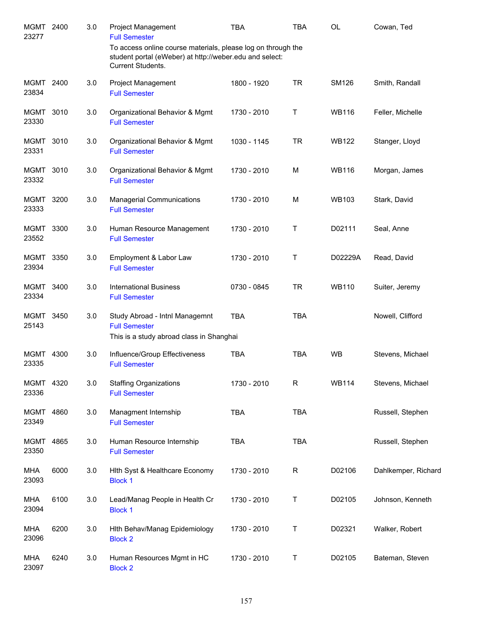| MGMT<br>23277        | 2400 | 3.0 | <b>Project Management</b><br><b>Full Semester</b>                                                                                            | <b>TBA</b>  | <b>TBA</b>   | OL           | Cowan, Ted          |
|----------------------|------|-----|----------------------------------------------------------------------------------------------------------------------------------------------|-------------|--------------|--------------|---------------------|
|                      |      |     | To access online course materials, please log on through the<br>student portal (eWeber) at http://weber.edu and select:<br>Current Students. |             |              |              |                     |
| MGMT 2400<br>23834   |      | 3.0 | Project Management<br><b>Full Semester</b>                                                                                                   | 1800 - 1920 | <b>TR</b>    | <b>SM126</b> | Smith, Randall      |
| <b>MGMT</b><br>23330 | 3010 | 3.0 | Organizational Behavior & Mgmt<br><b>Full Semester</b>                                                                                       | 1730 - 2010 | Τ            | <b>WB116</b> | Feller, Michelle    |
| MGMT<br>23331        | 3010 | 3.0 | Organizational Behavior & Mgmt<br><b>Full Semester</b>                                                                                       | 1030 - 1145 | <b>TR</b>    | <b>WB122</b> | Stanger, Lloyd      |
| MGMT<br>23332        | 3010 | 3.0 | Organizational Behavior & Mgmt<br><b>Full Semester</b>                                                                                       | 1730 - 2010 | M            | <b>WB116</b> | Morgan, James       |
| MGMT<br>23333        | 3200 | 3.0 | <b>Managerial Communications</b><br><b>Full Semester</b>                                                                                     | 1730 - 2010 | M            | <b>WB103</b> | Stark, David        |
| <b>MGMT</b><br>23552 | 3300 | 3.0 | Human Resource Management<br><b>Full Semester</b>                                                                                            | 1730 - 2010 | Т            | D02111       | Seal, Anne          |
| MGMT<br>23934        | 3350 | 3.0 | Employment & Labor Law<br><b>Full Semester</b>                                                                                               | 1730 - 2010 | Τ            | D02229A      | Read, David         |
| MGMT<br>23334        | 3400 | 3.0 | <b>International Business</b><br><b>Full Semester</b>                                                                                        | 0730 - 0845 | <b>TR</b>    | <b>WB110</b> | Suiter, Jeremy      |
| MGMT<br>25143        | 3450 | 3.0 | Study Abroad - Intnl Managemnt<br><b>Full Semester</b><br>This is a study abroad class in Shanghai                                           | <b>TBA</b>  | <b>TBA</b>   |              | Nowell, Clifford    |
| MGMT<br>23335        | 4300 | 3.0 | Influence/Group Effectiveness<br><b>Full Semester</b>                                                                                        | <b>TBA</b>  | <b>TBA</b>   | <b>WB</b>    | Stevens, Michael    |
| MGMT 4320<br>23336   |      | 3.0 | <b>Staffing Organizations</b><br><b>Full Semester</b>                                                                                        | 1730 - 2010 | $\mathsf{R}$ | <b>WB114</b> | Stevens, Michael    |
| <b>MGMT</b><br>23349 | 4860 | 3.0 | Managment Internship<br><b>Full Semester</b>                                                                                                 | <b>TBA</b>  | <b>TBA</b>   |              | Russell, Stephen    |
| <b>MGMT</b><br>23350 | 4865 | 3.0 | Human Resource Internship<br><b>Full Semester</b>                                                                                            | <b>TBA</b>  | <b>TBA</b>   |              | Russell, Stephen    |
| <b>MHA</b><br>23093  | 6000 | 3.0 | Hith Syst & Healthcare Economy<br><b>Block 1</b>                                                                                             | 1730 - 2010 | $\mathsf{R}$ | D02106       | Dahlkemper, Richard |
| <b>MHA</b><br>23094  | 6100 | 3.0 | Lead/Manag People in Health Cr<br><b>Block 1</b>                                                                                             | 1730 - 2010 | Τ            | D02105       | Johnson, Kenneth    |
| MHA<br>23096         | 6200 | 3.0 | Hith Behav/Manag Epidemiology<br><b>Block 2</b>                                                                                              | 1730 - 2010 | Τ            | D02321       | Walker, Robert      |
| MHA<br>23097         | 6240 | 3.0 | Human Resources Mgmt in HC<br><b>Block 2</b>                                                                                                 | 1730 - 2010 | Τ            | D02105       | Bateman, Steven     |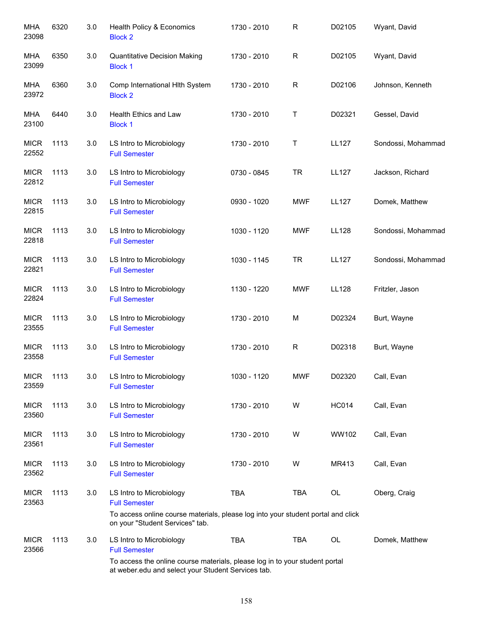| <b>MHA</b><br>23098  | 6320 | 3.0 | Health Policy & Economics<br><b>Block 2</b>                                                                                          | 1730 - 2010 | ${\sf R}$   | D02105       | Wyant, David       |
|----------------------|------|-----|--------------------------------------------------------------------------------------------------------------------------------------|-------------|-------------|--------------|--------------------|
| MHA<br>23099         | 6350 | 3.0 | <b>Quantitative Decision Making</b><br><b>Block 1</b>                                                                                | 1730 - 2010 | $\mathsf R$ | D02105       | Wyant, David       |
| MHA<br>23972         | 6360 | 3.0 | Comp International HIth System<br><b>Block 2</b>                                                                                     | 1730 - 2010 | $\mathsf R$ | D02106       | Johnson, Kenneth   |
| <b>MHA</b><br>23100  | 6440 | 3.0 | Health Ethics and Law<br><b>Block 1</b>                                                                                              | 1730 - 2010 | Т           | D02321       | Gessel, David      |
| <b>MICR</b><br>22552 | 1113 | 3.0 | LS Intro to Microbiology<br><b>Full Semester</b>                                                                                     | 1730 - 2010 | Т           | <b>LL127</b> | Sondossi, Mohammad |
| <b>MICR</b><br>22812 | 1113 | 3.0 | LS Intro to Microbiology<br><b>Full Semester</b>                                                                                     | 0730 - 0845 | <b>TR</b>   | <b>LL127</b> | Jackson, Richard   |
| <b>MICR</b><br>22815 | 1113 | 3.0 | LS Intro to Microbiology<br><b>Full Semester</b>                                                                                     | 0930 - 1020 | <b>MWF</b>  | <b>LL127</b> | Domek, Matthew     |
| <b>MICR</b><br>22818 | 1113 | 3.0 | LS Intro to Microbiology<br><b>Full Semester</b>                                                                                     | 1030 - 1120 | <b>MWF</b>  | <b>LL128</b> | Sondossi, Mohammad |
| <b>MICR</b><br>22821 | 1113 | 3.0 | LS Intro to Microbiology<br><b>Full Semester</b>                                                                                     | 1030 - 1145 | <b>TR</b>   | <b>LL127</b> | Sondossi, Mohammad |
| <b>MICR</b><br>22824 | 1113 | 3.0 | LS Intro to Microbiology<br><b>Full Semester</b>                                                                                     | 1130 - 1220 | <b>MWF</b>  | <b>LL128</b> | Fritzler, Jason    |
| <b>MICR</b><br>23555 | 1113 | 3.0 | LS Intro to Microbiology<br><b>Full Semester</b>                                                                                     | 1730 - 2010 | M           | D02324       | Burt, Wayne        |
| <b>MICR</b><br>23558 | 1113 | 3.0 | LS Intro to Microbiology<br><b>Full Semester</b>                                                                                     | 1730 - 2010 | $\mathsf R$ | D02318       | Burt, Wayne        |
| <b>MICR</b><br>23559 | 1113 | 3.0 | LS Intro to Microbiology<br><b>Full Semester</b>                                                                                     | 1030 - 1120 | <b>MWF</b>  | D02320       | Call, Evan         |
| <b>MICR</b><br>23560 | 1113 | 3.0 | LS Intro to Microbiology<br><b>Full Semester</b>                                                                                     | 1730 - 2010 | W           | <b>HC014</b> | Call, Evan         |
| <b>MICR</b><br>23561 | 1113 | 3.0 | LS Intro to Microbiology<br><b>Full Semester</b>                                                                                     | 1730 - 2010 | W           | WW102        | Call, Evan         |
| <b>MICR</b><br>23562 | 1113 | 3.0 | LS Intro to Microbiology<br><b>Full Semester</b>                                                                                     | 1730 - 2010 | W           | MR413        | Call, Evan         |
| <b>MICR</b><br>23563 | 1113 | 3.0 | LS Intro to Microbiology<br><b>Full Semester</b><br>To access online course materials, please log into your student portal and click | <b>TBA</b>  | <b>TBA</b>  | OL           | Oberg, Craig       |
|                      |      |     | on your "Student Services" tab.                                                                                                      |             |             |              |                    |
| <b>MICR</b><br>23566 | 1113 | 3.0 | LS Intro to Microbiology<br><b>Full Semester</b>                                                                                     | <b>TBA</b>  | TBA         | OL           | Domek, Matthew     |
|                      |      |     | To access the online course materials, please log in to your student portal<br>at weber.edu and select your Student Services tab.    |             |             |              |                    |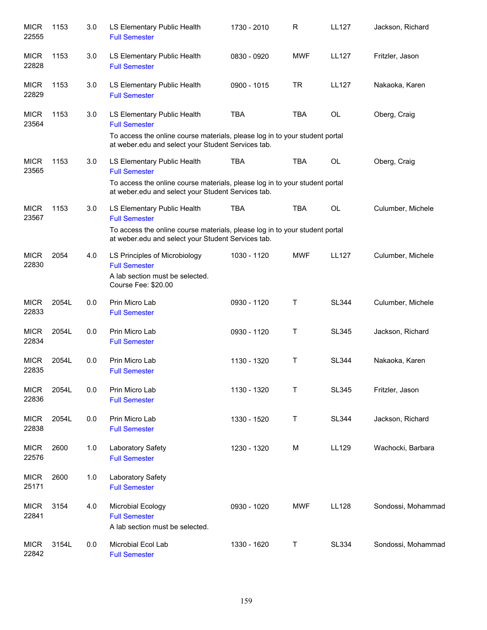| <b>MICR</b><br>22555 | 1153  | 3.0     | LS Elementary Public Health<br><b>Full Semester</b>                                                                                                                                      | 1730 - 2010 | $\mathsf{R}$ | <b>LL127</b> | Jackson, Richard   |
|----------------------|-------|---------|------------------------------------------------------------------------------------------------------------------------------------------------------------------------------------------|-------------|--------------|--------------|--------------------|
| <b>MICR</b><br>22828 | 1153  | 3.0     | LS Elementary Public Health<br><b>Full Semester</b>                                                                                                                                      | 0830 - 0920 | <b>MWF</b>   | <b>LL127</b> | Fritzler, Jason    |
| <b>MICR</b><br>22829 | 1153  | 3.0     | LS Elementary Public Health<br><b>Full Semester</b>                                                                                                                                      | 0900 - 1015 | <b>TR</b>    | <b>LL127</b> | Nakaoka, Karen     |
| <b>MICR</b><br>23564 | 1153  | 3.0     | LS Elementary Public Health<br><b>Full Semester</b><br>To access the online course materials, please log in to your student portal<br>at weber edu and select your Student Services tab. | <b>TBA</b>  | <b>TBA</b>   | <b>OL</b>    | Oberg, Craig       |
| <b>MICR</b><br>23565 | 1153  | 3.0     | LS Elementary Public Health<br><b>Full Semester</b><br>To access the online course materials, please log in to your student portal<br>at weber.edu and select your Student Services tab. | <b>TBA</b>  | <b>TBA</b>   | <b>OL</b>    | Oberg, Craig       |
| <b>MICR</b><br>23567 | 1153  | 3.0     | LS Elementary Public Health<br><b>Full Semester</b><br>To access the online course materials, please log in to your student portal<br>at weber.edu and select your Student Services tab. | <b>TBA</b>  | <b>TBA</b>   | OL           | Culumber, Michele  |
| <b>MICR</b><br>22830 | 2054  | 4.0     | LS Principles of Microbiology<br><b>Full Semester</b><br>A lab section must be selected.<br>Course Fee: \$20.00                                                                          | 1030 - 1120 | <b>MWF</b>   | <b>LL127</b> | Culumber, Michele  |
| <b>MICR</b><br>22833 | 2054L | 0.0     | Prin Micro Lab<br><b>Full Semester</b>                                                                                                                                                   | 0930 - 1120 | Т            | <b>SL344</b> | Culumber, Michele  |
| <b>MICR</b><br>22834 | 2054L | 0.0     | Prin Micro Lab<br><b>Full Semester</b>                                                                                                                                                   | 0930 - 1120 | T            | <b>SL345</b> | Jackson, Richard   |
| <b>MICR</b><br>22835 | 2054L | 0.0     | Prin Micro Lab<br><b>Full Semester</b>                                                                                                                                                   | 1130 - 1320 | Τ            | <b>SL344</b> | Nakaoka, Karen     |
| <b>MICR</b><br>22836 | 2054L | 0.0     | Prin Micro Lab<br><b>Full Semester</b>                                                                                                                                                   | 1130 - 1320 | Τ            | <b>SL345</b> | Fritzler, Jason    |
| <b>MICR</b><br>22838 | 2054L | $0.0\,$ | Prin Micro Lab<br><b>Full Semester</b>                                                                                                                                                   | 1330 - 1520 | T            | <b>SL344</b> | Jackson, Richard   |
| <b>MICR</b><br>22576 | 2600  | 1.0     | Laboratory Safety<br><b>Full Semester</b>                                                                                                                                                | 1230 - 1320 | M            | LL129        | Wachocki, Barbara  |
| <b>MICR</b><br>25171 | 2600  | 1.0     | Laboratory Safety<br><b>Full Semester</b>                                                                                                                                                |             |              |              |                    |
| <b>MICR</b><br>22841 | 3154  | 4.0     | Microbial Ecology<br><b>Full Semester</b><br>A lab section must be selected.                                                                                                             | 0930 - 1020 | <b>MWF</b>   | <b>LL128</b> | Sondossi, Mohammad |
| <b>MICR</b><br>22842 | 3154L | 0.0     | Microbial Ecol Lab<br><b>Full Semester</b>                                                                                                                                               | 1330 - 1620 | Τ            | <b>SL334</b> | Sondossi, Mohammad |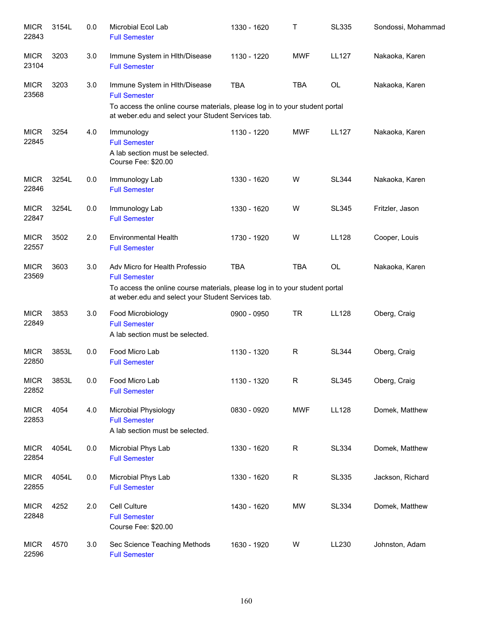| <b>MICR</b><br>22843 | 3154L | 0.0     | Microbial Ecol Lab<br><b>Full Semester</b>                                                                                                                                                  | 1330 - 1620 | т           | <b>SL335</b> | Sondossi, Mohammad |
|----------------------|-------|---------|---------------------------------------------------------------------------------------------------------------------------------------------------------------------------------------------|-------------|-------------|--------------|--------------------|
| <b>MICR</b><br>23104 | 3203  | 3.0     | Immune System in HIth/Disease<br><b>Full Semester</b>                                                                                                                                       | 1130 - 1220 | <b>MWF</b>  | <b>LL127</b> | Nakaoka, Karen     |
| <b>MICR</b><br>23568 | 3203  | 3.0     | Immune System in HIth/Disease<br><b>Full Semester</b><br>To access the online course materials, please log in to your student portal<br>at weber.edu and select your Student Services tab.  | <b>TBA</b>  | <b>TBA</b>  | <b>OL</b>    | Nakaoka, Karen     |
| <b>MICR</b><br>22845 | 3254  | 4.0     | Immunology<br><b>Full Semester</b><br>A lab section must be selected.<br>Course Fee: \$20.00                                                                                                | 1130 - 1220 | <b>MWF</b>  | LL127        | Nakaoka, Karen     |
| <b>MICR</b><br>22846 | 3254L | 0.0     | Immunology Lab<br><b>Full Semester</b>                                                                                                                                                      | 1330 - 1620 | W           | <b>SL344</b> | Nakaoka, Karen     |
| <b>MICR</b><br>22847 | 3254L | 0.0     | Immunology Lab<br><b>Full Semester</b>                                                                                                                                                      | 1330 - 1620 | W           | <b>SL345</b> | Fritzler, Jason    |
| <b>MICR</b><br>22557 | 3502  | 2.0     | <b>Environmental Health</b><br><b>Full Semester</b>                                                                                                                                         | 1730 - 1920 | W           | <b>LL128</b> | Cooper, Louis      |
| <b>MICR</b><br>23569 | 3603  | 3.0     | Adv Micro for Health Professio<br><b>Full Semester</b><br>To access the online course materials, please log in to your student portal<br>at weber.edu and select your Student Services tab. | <b>TBA</b>  | <b>TBA</b>  | <b>OL</b>    | Nakaoka, Karen     |
| <b>MICR</b><br>22849 | 3853  | 3.0     | Food Microbiology<br><b>Full Semester</b><br>A lab section must be selected.                                                                                                                | 0900 - 0950 | <b>TR</b>   | LL128        | Oberg, Craig       |
| <b>MICR</b><br>22850 | 3853L | 0.0     | Food Micro Lab<br><b>Full Semester</b>                                                                                                                                                      | 1130 - 1320 | R           | <b>SL344</b> | Oberg, Craig       |
| <b>MICR</b><br>22852 | 3853L | 0.0     | Food Micro Lab<br><b>Full Semester</b>                                                                                                                                                      | 1130 - 1320 | R           | <b>SL345</b> | Oberg, Craig       |
| <b>MICR</b><br>22853 | 4054  | 4.0     | Microbial Physiology<br><b>Full Semester</b><br>A lab section must be selected.                                                                                                             | 0830 - 0920 | <b>MWF</b>  | <b>LL128</b> | Domek, Matthew     |
| <b>MICR</b><br>22854 | 4054L | $0.0\,$ | Microbial Phys Lab<br><b>Full Semester</b>                                                                                                                                                  | 1330 - 1620 | $\mathsf R$ | <b>SL334</b> | Domek, Matthew     |
| <b>MICR</b><br>22855 | 4054L | $0.0\,$ | Microbial Phys Lab<br><b>Full Semester</b>                                                                                                                                                  | 1330 - 1620 | $\mathsf R$ | SL335        | Jackson, Richard   |
| <b>MICR</b><br>22848 | 4252  | 2.0     | Cell Culture<br><b>Full Semester</b><br>Course Fee: \$20.00                                                                                                                                 | 1430 - 1620 | MW          | <b>SL334</b> | Domek, Matthew     |
| <b>MICR</b><br>22596 | 4570  | 3.0     | Sec Science Teaching Methods<br><b>Full Semester</b>                                                                                                                                        | 1630 - 1920 | W           | LL230        | Johnston, Adam     |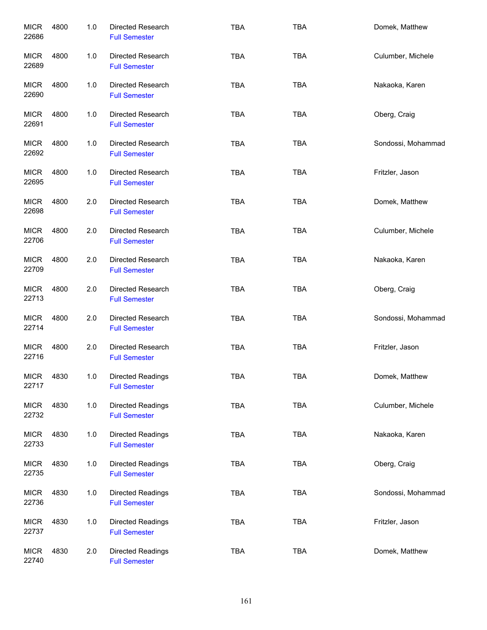| <b>MICR</b><br>22686 | 4800 | 1.0 | Directed Research<br><b>Full Semester</b>        | <b>TBA</b> | <b>TBA</b> | Domek, Matthew     |
|----------------------|------|-----|--------------------------------------------------|------------|------------|--------------------|
| <b>MICR</b><br>22689 | 4800 | 1.0 | <b>Directed Research</b><br><b>Full Semester</b> | <b>TBA</b> | <b>TBA</b> | Culumber, Michele  |
| <b>MICR</b><br>22690 | 4800 | 1.0 | Directed Research<br><b>Full Semester</b>        | <b>TBA</b> | <b>TBA</b> | Nakaoka, Karen     |
| <b>MICR</b><br>22691 | 4800 | 1.0 | Directed Research<br><b>Full Semester</b>        | <b>TBA</b> | TBA        | Oberg, Craig       |
| <b>MICR</b><br>22692 | 4800 | 1.0 | <b>Directed Research</b><br><b>Full Semester</b> | <b>TBA</b> | <b>TBA</b> | Sondossi, Mohammad |
| <b>MICR</b><br>22695 | 4800 | 1.0 | Directed Research<br><b>Full Semester</b>        | <b>TBA</b> | <b>TBA</b> | Fritzler, Jason    |
| <b>MICR</b><br>22698 | 4800 | 2.0 | <b>Directed Research</b><br><b>Full Semester</b> | <b>TBA</b> | <b>TBA</b> | Domek, Matthew     |
| <b>MICR</b><br>22706 | 4800 | 2.0 | <b>Directed Research</b><br><b>Full Semester</b> | <b>TBA</b> | <b>TBA</b> | Culumber, Michele  |
| <b>MICR</b><br>22709 | 4800 | 2.0 | <b>Directed Research</b><br><b>Full Semester</b> | <b>TBA</b> | <b>TBA</b> | Nakaoka, Karen     |
| <b>MICR</b><br>22713 | 4800 | 2.0 | <b>Directed Research</b><br><b>Full Semester</b> | <b>TBA</b> | <b>TBA</b> | Oberg, Craig       |
| <b>MICR</b><br>22714 | 4800 | 2.0 | <b>Directed Research</b><br><b>Full Semester</b> | <b>TBA</b> | <b>TBA</b> | Sondossi, Mohammad |
| <b>MICR</b><br>22716 | 4800 | 2.0 | <b>Directed Research</b><br><b>Full Semester</b> | <b>TBA</b> | <b>TBA</b> | Fritzler, Jason    |
| <b>MICR</b><br>22717 | 4830 | 1.0 | <b>Directed Readings</b><br><b>Full Semester</b> | TBA        | <b>TBA</b> | Domek, Matthew     |
| <b>MICR</b><br>22732 | 4830 | 1.0 | Directed Readings<br><b>Full Semester</b>        | <b>TBA</b> | <b>TBA</b> | Culumber, Michele  |
| <b>MICR</b><br>22733 | 4830 | 1.0 | Directed Readings<br><b>Full Semester</b>        | <b>TBA</b> | <b>TBA</b> | Nakaoka, Karen     |
| <b>MICR</b><br>22735 | 4830 | 1.0 | Directed Readings<br><b>Full Semester</b>        | <b>TBA</b> | <b>TBA</b> | Oberg, Craig       |
| <b>MICR</b><br>22736 | 4830 | 1.0 | Directed Readings<br><b>Full Semester</b>        | <b>TBA</b> | TBA        | Sondossi, Mohammad |
| <b>MICR</b><br>22737 | 4830 | 1.0 | Directed Readings<br><b>Full Semester</b>        | <b>TBA</b> | <b>TBA</b> | Fritzler, Jason    |
| <b>MICR</b><br>22740 | 4830 | 2.0 | Directed Readings<br><b>Full Semester</b>        | TBA        | <b>TBA</b> | Domek, Matthew     |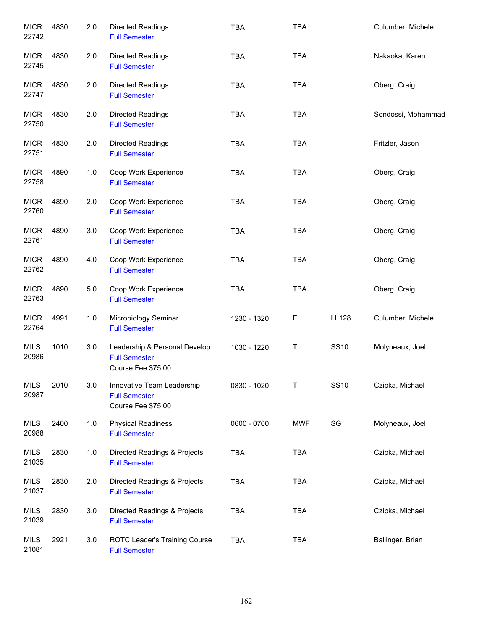| <b>MICR</b><br>22742 | 4830 | 2.0   | <b>Directed Readings</b><br><b>Full Semester</b>                            | <b>TBA</b>  | <b>TBA</b> |              | Culumber, Michele  |
|----------------------|------|-------|-----------------------------------------------------------------------------|-------------|------------|--------------|--------------------|
| <b>MICR</b><br>22745 | 4830 | 2.0   | Directed Readings<br><b>Full Semester</b>                                   | <b>TBA</b>  | <b>TBA</b> |              | Nakaoka, Karen     |
| <b>MICR</b><br>22747 | 4830 | 2.0   | Directed Readings<br><b>Full Semester</b>                                   | <b>TBA</b>  | <b>TBA</b> |              | Oberg, Craig       |
| <b>MICR</b><br>22750 | 4830 | 2.0   | Directed Readings<br><b>Full Semester</b>                                   | <b>TBA</b>  | <b>TBA</b> |              | Sondossi, Mohammad |
| <b>MICR</b><br>22751 | 4830 | 2.0   | Directed Readings<br><b>Full Semester</b>                                   | <b>TBA</b>  | <b>TBA</b> |              | Fritzler, Jason    |
| <b>MICR</b><br>22758 | 4890 | 1.0   | Coop Work Experience<br><b>Full Semester</b>                                | <b>TBA</b>  | <b>TBA</b> |              | Oberg, Craig       |
| <b>MICR</b><br>22760 | 4890 | 2.0   | Coop Work Experience<br><b>Full Semester</b>                                | <b>TBA</b>  | TBA        |              | Oberg, Craig       |
| <b>MICR</b><br>22761 | 4890 | 3.0   | Coop Work Experience<br><b>Full Semester</b>                                | <b>TBA</b>  | <b>TBA</b> |              | Oberg, Craig       |
| <b>MICR</b><br>22762 | 4890 | 4.0   | Coop Work Experience<br><b>Full Semester</b>                                | <b>TBA</b>  | <b>TBA</b> |              | Oberg, Craig       |
| <b>MICR</b><br>22763 | 4890 | $5.0$ | Coop Work Experience<br><b>Full Semester</b>                                | <b>TBA</b>  | TBA        |              | Oberg, Craig       |
| <b>MICR</b><br>22764 | 4991 | 1.0   | Microbiology Seminar<br><b>Full Semester</b>                                | 1230 - 1320 | F          | <b>LL128</b> | Culumber, Michele  |
| <b>MILS</b><br>20986 | 1010 | 3.0   | Leadership & Personal Develop<br><b>Full Semester</b><br>Course Fee \$75.00 | 1030 - 1220 | T          | <b>SS10</b>  | Molyneaux, Joel    |
| <b>MILS</b><br>20987 | 2010 | 3.0   | Innovative Team Leadership<br><b>Full Semester</b><br>Course Fee \$75.00    | 0830 - 1020 | Τ          | <b>SS10</b>  | Czipka, Michael    |
| <b>MILS</b><br>20988 | 2400 | 1.0   | <b>Physical Readiness</b><br><b>Full Semester</b>                           | 0600 - 0700 | <b>MWF</b> | SG           | Molyneaux, Joel    |
| <b>MILS</b><br>21035 | 2830 | 1.0   | Directed Readings & Projects<br><b>Full Semester</b>                        | <b>TBA</b>  | <b>TBA</b> |              | Czipka, Michael    |
| MILS<br>21037        | 2830 | 2.0   | Directed Readings & Projects<br><b>Full Semester</b>                        | <b>TBA</b>  | <b>TBA</b> |              | Czipka, Michael    |
| <b>MILS</b><br>21039 | 2830 | 3.0   | Directed Readings & Projects<br><b>Full Semester</b>                        | TBA         | <b>TBA</b> |              | Czipka, Michael    |
| <b>MILS</b><br>21081 | 2921 | 3.0   | ROTC Leader's Training Course<br><b>Full Semester</b>                       | TBA         | TBA        |              | Ballinger, Brian   |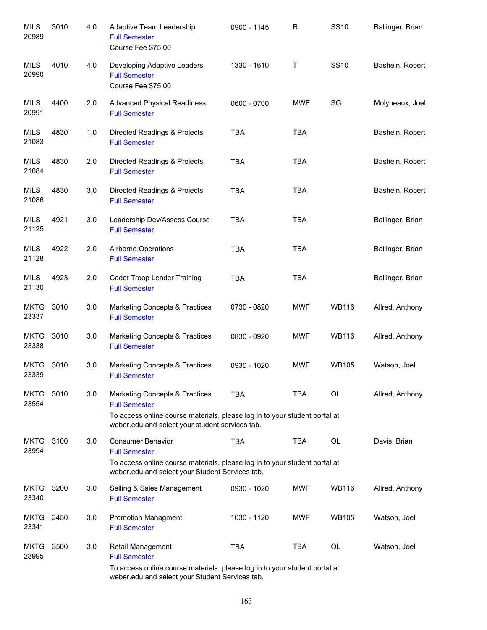| <b>MILS</b><br>20989 | 3010 | 4.0 | Adaptive Team Leadership<br><b>Full Semester</b><br>Course Fee \$75.00                                                        | 0900 - 1145 | R          | <b>SS10</b>  | Ballinger, Brian |
|----------------------|------|-----|-------------------------------------------------------------------------------------------------------------------------------|-------------|------------|--------------|------------------|
| <b>MILS</b><br>20990 | 4010 | 4.0 | Developing Adaptive Leaders<br><b>Full Semester</b><br>Course Fee \$75.00                                                     | 1330 - 1610 | Τ          | <b>SS10</b>  | Bashein, Robert  |
| <b>MILS</b><br>20991 | 4400 | 2.0 | <b>Advanced Physical Readiness</b><br><b>Full Semester</b>                                                                    | 0600 - 0700 | <b>MWF</b> | SG           | Molyneaux, Joel  |
| MILS<br>21083        | 4830 | 1.0 | Directed Readings & Projects<br><b>Full Semester</b>                                                                          | <b>TBA</b>  | <b>TBA</b> |              | Bashein, Robert  |
| <b>MILS</b><br>21084 | 4830 | 2.0 | Directed Readings & Projects<br><b>Full Semester</b>                                                                          | <b>TBA</b>  | <b>TBA</b> |              | Bashein, Robert  |
| <b>MILS</b><br>21086 | 4830 | 3.0 | Directed Readings & Projects<br><b>Full Semester</b>                                                                          | <b>TBA</b>  | <b>TBA</b> |              | Bashein, Robert  |
| <b>MILS</b><br>21125 | 4921 | 3.0 | Leadership Dev/Assess Course<br><b>Full Semester</b>                                                                          | <b>TBA</b>  | <b>TBA</b> |              | Ballinger, Brian |
| <b>MILS</b><br>21128 | 4922 | 2.0 | Airborne Operations<br><b>Full Semester</b>                                                                                   | <b>TBA</b>  | <b>TBA</b> |              | Ballinger, Brian |
| <b>MILS</b><br>21130 | 4923 | 2.0 | Cadet Troop Leader Training<br><b>Full Semester</b>                                                                           | <b>TBA</b>  | <b>TBA</b> |              | Ballinger, Brian |
| <b>MKTG</b><br>23337 | 3010 | 3.0 | <b>Marketing Concepts &amp; Practices</b><br><b>Full Semester</b>                                                             | 0730 - 0820 | <b>MWF</b> | <b>WB116</b> | Allred, Anthony  |
| <b>MKTG</b><br>23338 | 3010 | 3.0 | Marketing Concepts & Practices<br><b>Full Semester</b>                                                                        | 0830 - 0920 | <b>MWF</b> | <b>WB116</b> | Allred, Anthony  |
| <b>MKTG</b><br>23339 | 3010 | 3.0 | Marketing Concepts & Practices<br><b>Full Semester</b>                                                                        | 0930 - 1020 | <b>MWF</b> | <b>WB105</b> | Watson, Joel     |
| <b>MKTG</b><br>23554 | 3010 | 3.0 | <b>Marketing Concepts &amp; Practices</b><br><b>Full Semester</b>                                                             | TBA         | TBA        | OL.          | Allred, Anthony  |
|                      |      |     | To access online course materials, please log in to your student portal at<br>weber.edu and select your student services tab. |             |            |              |                  |
| <b>MKTG</b><br>23994 | 3100 | 3.0 | <b>Consumer Behavior</b><br><b>Full Semester</b>                                                                              | <b>TBA</b>  | <b>TBA</b> | <b>OL</b>    | Davis, Brian     |
|                      |      |     | To access online course materials, please log in to your student portal at<br>weber.edu and select your Student Services tab. |             |            |              |                  |
| <b>MKTG</b><br>23340 | 3200 | 3.0 | Selling & Sales Management<br><b>Full Semester</b>                                                                            | 0930 - 1020 | MWF        | <b>WB116</b> | Allred, Anthony  |
| <b>MKTG</b><br>23341 | 3450 | 3.0 | <b>Promotion Managment</b><br><b>Full Semester</b>                                                                            | 1030 - 1120 | <b>MWF</b> | <b>WB105</b> | Watson, Joel     |
| <b>MKTG</b><br>23995 | 3500 | 3.0 | Retail Management<br><b>Full Semester</b>                                                                                     | <b>TBA</b>  | <b>TBA</b> | OL           | Watson, Joel     |
|                      |      |     | To access online course materials, please log in to your student portal at                                                    |             |            |              |                  |

weber.edu and select your Student Services tab.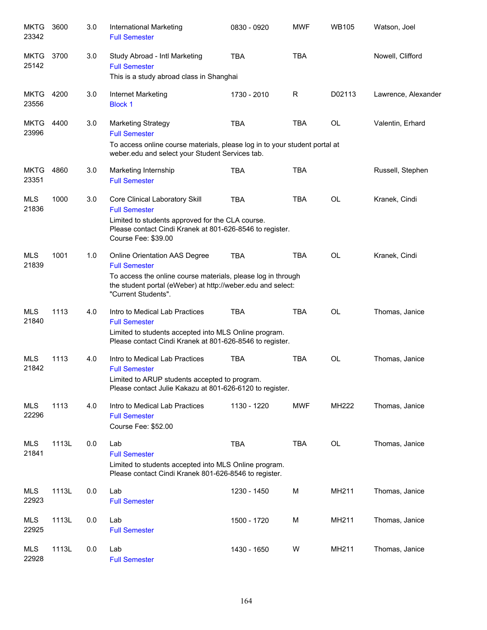| <b>MKTG</b><br>23342 | 3600  | 3.0 | International Marketing<br><b>Full Semester</b>                                                                                                                                                             | 0830 - 0920 | <b>MWF</b> | <b>WB105</b> | Watson, Joel        |
|----------------------|-------|-----|-------------------------------------------------------------------------------------------------------------------------------------------------------------------------------------------------------------|-------------|------------|--------------|---------------------|
| <b>MKTG</b><br>25142 | 3700  | 3.0 | Study Abroad - Intl Marketing<br><b>Full Semester</b><br>This is a study abroad class in Shanghai                                                                                                           | <b>TBA</b>  | <b>TBA</b> |              | Nowell, Clifford    |
| <b>MKTG</b><br>23556 | 4200  | 3.0 | Internet Marketing<br><b>Block 1</b>                                                                                                                                                                        | 1730 - 2010 | R          | D02113       | Lawrence, Alexander |
| <b>MKTG</b><br>23996 | 4400  | 3.0 | <b>Marketing Strategy</b><br><b>Full Semester</b>                                                                                                                                                           | <b>TBA</b>  | <b>TBA</b> | <b>OL</b>    | Valentin, Erhard    |
|                      |       |     | To access online course materials, please log in to your student portal at<br>weber.edu and select your Student Services tab.                                                                               |             |            |              |                     |
| <b>MKTG</b><br>23351 | 4860  | 3.0 | Marketing Internship<br><b>Full Semester</b>                                                                                                                                                                | <b>TBA</b>  | <b>TBA</b> |              | Russell, Stephen    |
| <b>MLS</b><br>21836  | 1000  | 3.0 | Core Clinical Laboratory Skill<br><b>Full Semester</b><br>Limited to students approved for the CLA course.<br>Please contact Cindi Kranek at 801-626-8546 to register.<br>Course Fee: \$39.00               | <b>TBA</b>  | <b>TBA</b> | OL           | Kranek, Cindi       |
| <b>MLS</b><br>21839  | 1001  | 1.0 | Online Orientation AAS Degree<br><b>Full Semester</b><br>To access the online course materials, please log in through<br>the student portal (eWeber) at http://weber.edu and select:<br>"Current Students". | <b>TBA</b>  | <b>TBA</b> | <b>OL</b>    | Kranek, Cindi       |
| <b>MLS</b><br>21840  | 1113  | 4.0 | Intro to Medical Lab Practices<br><b>Full Semester</b><br>Limited to students accepted into MLS Online program.<br>Please contact Cindi Kranek at 801-626-8546 to register.                                 | <b>TBA</b>  | <b>TBA</b> | OL           | Thomas, Janice      |
| <b>MLS</b><br>21842  | 1113  | 4.0 | Intro to Medical Lab Practices<br><b>Full Semester</b><br>Limited to ARUP students accepted to program.<br>Please contact Julie Kakazu at 801-626-6120 to register.                                         | <b>TBA</b>  | <b>TBA</b> | OL           | Thomas, Janice      |
| <b>MLS</b><br>22296  | 1113  | 4.0 | Intro to Medical Lab Practices<br><b>Full Semester</b><br>Course Fee: \$52.00                                                                                                                               | 1130 - 1220 | <b>MWF</b> | MH222        | Thomas, Janice      |
| MLS<br>21841         | 1113L | 0.0 | Lab<br><b>Full Semester</b><br>Limited to students accepted into MLS Online program.<br>Please contact Cindi Kranek 801-626-8546 to register.                                                               | <b>TBA</b>  | <b>TBA</b> | OL           | Thomas, Janice      |
| MLS<br>22923         | 1113L | 0.0 | Lab<br><b>Full Semester</b>                                                                                                                                                                                 | 1230 - 1450 | M          | MH211        | Thomas, Janice      |
| <b>MLS</b><br>22925  | 1113L | 0.0 | Lab<br><b>Full Semester</b>                                                                                                                                                                                 | 1500 - 1720 | М          | MH211        | Thomas, Janice      |
| <b>MLS</b><br>22928  | 1113L | 0.0 | Lab<br><b>Full Semester</b>                                                                                                                                                                                 | 1430 - 1650 | W          | MH211        | Thomas, Janice      |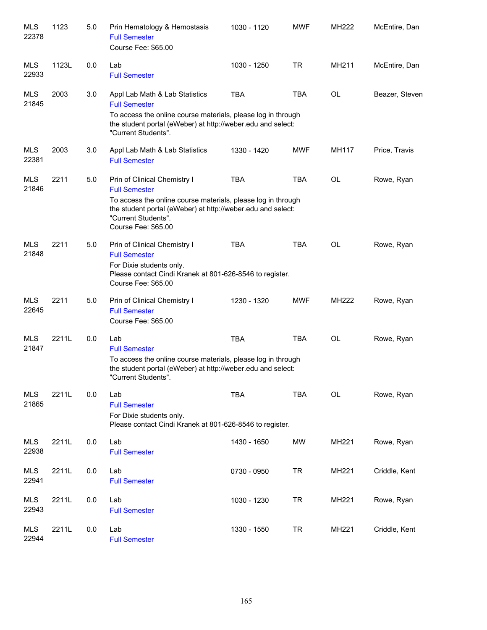| <b>MLS</b><br>22378 | 1123  | 5.0 | Prin Hematology & Hemostasis<br><b>Full Semester</b><br>Course Fee: \$65.00                                                                                                                                                       | 1030 - 1120 | <b>MWF</b> | MH222     | McEntire, Dan  |
|---------------------|-------|-----|-----------------------------------------------------------------------------------------------------------------------------------------------------------------------------------------------------------------------------------|-------------|------------|-----------|----------------|
| MLS<br>22933        | 1123L | 0.0 | Lab<br><b>Full Semester</b>                                                                                                                                                                                                       | 1030 - 1250 | <b>TR</b>  | MH211     | McEntire, Dan  |
| <b>MLS</b><br>21845 | 2003  | 3.0 | Appl Lab Math & Lab Statistics<br><b>Full Semester</b><br>To access the online course materials, please log in through<br>the student portal (eWeber) at http://weber.edu and select:<br>"Current Students".                      | <b>TBA</b>  | <b>TBA</b> | <b>OL</b> | Beazer, Steven |
| <b>MLS</b><br>22381 | 2003  | 3.0 | Appl Lab Math & Lab Statistics<br><b>Full Semester</b>                                                                                                                                                                            | 1330 - 1420 | <b>MWF</b> | MH117     | Price, Travis  |
| <b>MLS</b><br>21846 | 2211  | 5.0 | Prin of Clinical Chemistry I<br><b>Full Semester</b><br>To access the online course materials, please log in through<br>the student portal (eWeber) at http://weber.edu and select:<br>"Current Students".<br>Course Fee: \$65.00 | <b>TBA</b>  | <b>TBA</b> | <b>OL</b> | Rowe, Ryan     |
| <b>MLS</b><br>21848 | 2211  | 5.0 | Prin of Clinical Chemistry I<br><b>Full Semester</b><br>For Dixie students only.<br>Please contact Cindi Kranek at 801-626-8546 to register.<br>Course Fee: \$65.00                                                               | <b>TBA</b>  | <b>TBA</b> | <b>OL</b> | Rowe, Ryan     |
| <b>MLS</b><br>22645 | 2211  | 5.0 | Prin of Clinical Chemistry I<br><b>Full Semester</b><br>Course Fee: \$65.00                                                                                                                                                       | 1230 - 1320 | <b>MWF</b> | MH222     | Rowe, Ryan     |
| <b>MLS</b><br>21847 | 2211L | 0.0 | Lab<br><b>Full Semester</b><br>To access the online course materials, please log in through<br>the student portal (eWeber) at http://weber.edu and select:<br>"Current Students".                                                 | <b>TBA</b>  | <b>TBA</b> | <b>OL</b> | Rowe, Ryan     |
| <b>MLS</b><br>21865 | 2211L | 0.0 | Lab<br><b>Full Semester</b><br>For Dixie students only.<br>Please contact Cindi Kranek at 801-626-8546 to register.                                                                                                               | <b>TBA</b>  | <b>TBA</b> | <b>OL</b> | Rowe, Ryan     |
| <b>MLS</b><br>22938 | 2211L | 0.0 | Lab<br><b>Full Semester</b>                                                                                                                                                                                                       | 1430 - 1650 | <b>MW</b>  | MH221     | Rowe, Ryan     |
| <b>MLS</b><br>22941 | 2211L | 0.0 | Lab<br><b>Full Semester</b>                                                                                                                                                                                                       | 0730 - 0950 | <b>TR</b>  | MH221     | Criddle, Kent  |
| <b>MLS</b><br>22943 | 2211L | 0.0 | Lab<br><b>Full Semester</b>                                                                                                                                                                                                       | 1030 - 1230 | <b>TR</b>  | MH221     | Rowe, Ryan     |
| MLS<br>22944        | 2211L | 0.0 | Lab<br><b>Full Semester</b>                                                                                                                                                                                                       | 1330 - 1550 | <b>TR</b>  | MH221     | Criddle, Kent  |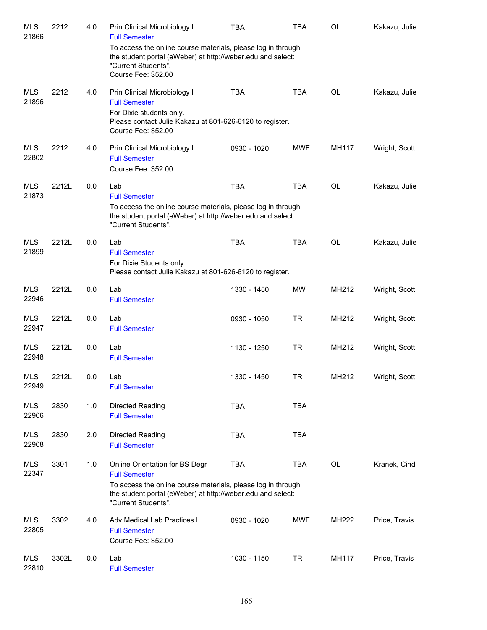| <b>MLS</b><br>21866 | 2212  | 4.0 | Prin Clinical Microbiology I<br><b>Full Semester</b><br>To access the online course materials, please log in through<br>the student portal (eWeber) at http://weber.edu and select:                          | <b>TBA</b>  | <b>TBA</b> | OL        | Kakazu, Julie |
|---------------------|-------|-----|--------------------------------------------------------------------------------------------------------------------------------------------------------------------------------------------------------------|-------------|------------|-----------|---------------|
|                     |       |     | "Current Students".<br>Course Fee: \$52.00                                                                                                                                                                   |             |            |           |               |
| <b>MLS</b><br>21896 | 2212  | 4.0 | Prin Clinical Microbiology I<br><b>Full Semester</b><br>For Dixie students only.<br>Please contact Julie Kakazu at 801-626-6120 to register.<br>Course Fee: \$52.00                                          | <b>TBA</b>  | <b>TBA</b> | <b>OL</b> | Kakazu, Julie |
| <b>MLS</b><br>22802 | 2212  | 4.0 | Prin Clinical Microbiology I<br><b>Full Semester</b><br>Course Fee: \$52.00                                                                                                                                  | 0930 - 1020 | <b>MWF</b> | MH117     | Wright, Scott |
| MLS<br>21873        | 2212L | 0.0 | Lab<br><b>Full Semester</b><br>To access the online course materials, please log in through<br>the student portal (eWeber) at http://weber.edu and select:                                                   | <b>TBA</b>  | <b>TBA</b> | <b>OL</b> | Kakazu, Julie |
|                     |       |     | "Current Students".                                                                                                                                                                                          |             |            |           |               |
| <b>MLS</b><br>21899 | 2212L | 0.0 | Lab<br><b>Full Semester</b><br>For Dixie Students only.<br>Please contact Julie Kakazu at 801-626-6120 to register.                                                                                          | <b>TBA</b>  | <b>TBA</b> | <b>OL</b> | Kakazu, Julie |
| <b>MLS</b><br>22946 | 2212L | 0.0 | Lab<br><b>Full Semester</b>                                                                                                                                                                                  | 1330 - 1450 | <b>MW</b>  | MH212     | Wright, Scott |
| <b>MLS</b><br>22947 | 2212L | 0.0 | Lab<br><b>Full Semester</b>                                                                                                                                                                                  | 0930 - 1050 | <b>TR</b>  | MH212     | Wright, Scott |
| <b>MLS</b><br>22948 | 2212L | 0.0 | Lab<br><b>Full Semester</b>                                                                                                                                                                                  | 1130 - 1250 | <b>TR</b>  | MH212     | Wright, Scott |
| <b>MLS</b><br>22949 | 2212L | 0.0 | Lab<br><b>Full Semester</b>                                                                                                                                                                                  | 1330 - 1450 | TR         | MH212     | Wright, Scott |
| MLS<br>22906        | 2830  | 1.0 | Directed Reading<br><b>Full Semester</b>                                                                                                                                                                     | <b>TBA</b>  | <b>TBA</b> |           |               |
| <b>MLS</b><br>22908 | 2830  | 2.0 | Directed Reading<br><b>Full Semester</b>                                                                                                                                                                     | <b>TBA</b>  | <b>TBA</b> |           |               |
| <b>MLS</b><br>22347 | 3301  | 1.0 | Online Orientation for BS Degr<br><b>Full Semester</b><br>To access the online course materials, please log in through<br>the student portal (eWeber) at http://weber.edu and select:<br>"Current Students". | <b>TBA</b>  | <b>TBA</b> | <b>OL</b> | Kranek, Cindi |
| MLS<br>22805        | 3302  | 4.0 | Adv Medical Lab Practices I<br><b>Full Semester</b><br>Course Fee: \$52.00                                                                                                                                   | 0930 - 1020 | <b>MWF</b> | MH222     | Price, Travis |
| MLS<br>22810        | 3302L | 0.0 | Lab<br><b>Full Semester</b>                                                                                                                                                                                  | 1030 - 1150 | TR         | MH117     | Price, Travis |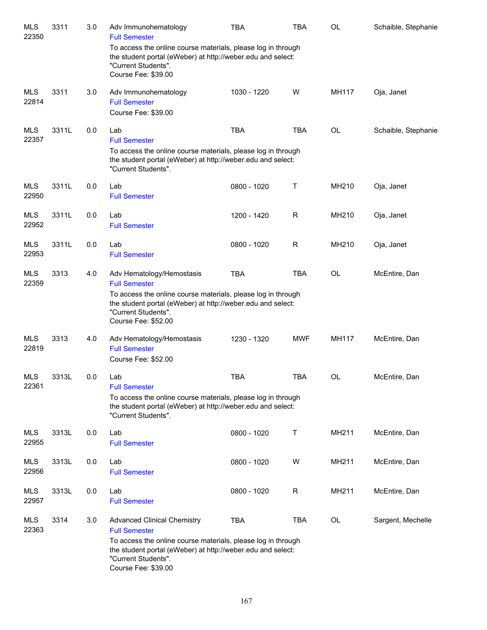| <b>MLS</b><br>22350 | 3311  | 3.0 | Adv Immunohematology<br><b>Full Semester</b>                                                                                                                                                                                            | TBA         | <b>TBA</b>  | OL        | Schaible, Stephanie |
|---------------------|-------|-----|-----------------------------------------------------------------------------------------------------------------------------------------------------------------------------------------------------------------------------------------|-------------|-------------|-----------|---------------------|
|                     |       |     | To access the online course materials, please log in through<br>the student portal (eWeber) at http://weber.edu and select:<br>"Current Students".<br>Course Fee: \$39.00                                                               |             |             |           |                     |
| <b>MLS</b><br>22814 | 3311  | 3.0 | Adv Immunohematology<br><b>Full Semester</b><br>Course Fee: \$39.00                                                                                                                                                                     | 1030 - 1220 | W           | MH117     | Oja, Janet          |
| MLS<br>22357        | 3311L | 0.0 | Lab<br><b>Full Semester</b><br>To access the online course materials, please log in through<br>the student portal (eWeber) at http://weber.edu and select:<br>"Current Students".                                                       | <b>TBA</b>  | <b>TBA</b>  | OL        | Schaible, Stephanie |
| MLS<br>22950        | 3311L | 0.0 | Lab<br><b>Full Semester</b>                                                                                                                                                                                                             | 0800 - 1020 | Τ           | MH210     | Oja, Janet          |
| MLS<br>22952        | 3311L | 0.0 | Lab<br><b>Full Semester</b>                                                                                                                                                                                                             | 1200 - 1420 | $\mathsf R$ | MH210     | Oja, Janet          |
| <b>MLS</b><br>22953 | 3311L | 0.0 | Lab<br><b>Full Semester</b>                                                                                                                                                                                                             | 0800 - 1020 | $\mathsf R$ | MH210     | Oja, Janet          |
| <b>MLS</b><br>22359 | 3313  | 4.0 | Adv Hematology/Hemostasis<br><b>Full Semester</b><br>To access the online course materials, please log in through<br>the student portal (eWeber) at http://weber.edu and select:<br>"Current Students".<br>Course Fee: \$52.00          | <b>TBA</b>  | <b>TBA</b>  | OL        | McEntire, Dan       |
| <b>MLS</b><br>22819 | 3313  | 4.0 | Adv Hematology/Hemostasis<br><b>Full Semester</b><br>Course Fee: \$52.00                                                                                                                                                                | 1230 - 1320 | <b>MWF</b>  | MH117     | McEntire, Dan       |
| <b>MLS</b><br>22361 | 3313L | 0.0 | Lab<br><b>Full Semester</b><br>To access the online course materials, please log in through<br>the student portal (eWeber) at http://weber.edu and select:<br>"Current Students".                                                       | <b>TBA</b>  | <b>TBA</b>  | <b>OL</b> | McEntire, Dan       |
| <b>MLS</b><br>22955 | 3313L | 0.0 | Lab<br><b>Full Semester</b>                                                                                                                                                                                                             | 0800 - 1020 | Т           | MH211     | McEntire, Dan       |
| <b>MLS</b><br>22956 | 3313L | 0.0 | Lab<br><b>Full Semester</b>                                                                                                                                                                                                             | 0800 - 1020 | W           | MH211     | McEntire, Dan       |
| <b>MLS</b><br>22957 | 3313L | 0.0 | Lab<br><b>Full Semester</b>                                                                                                                                                                                                             | 0800 - 1020 | R           | MH211     | McEntire, Dan       |
| <b>MLS</b><br>22363 | 3314  | 3.0 | <b>Advanced Clinical Chemistry</b><br><b>Full Semester</b><br>To access the online course materials, please log in through<br>the student portal (eWeber) at http://weber.edu and select:<br>"Current Students".<br>Course Fee: \$39.00 | <b>TBA</b>  | <b>TBA</b>  | OL        | Sargent, Mechelle   |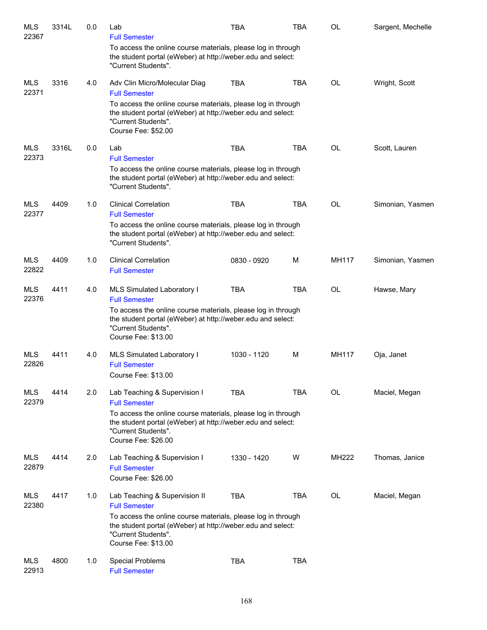| <b>MLS</b><br>22367 | 3314L | 0.0 | Lab<br><b>Full Semester</b>                                                                                                                                                                                                        | <b>TBA</b>  | <b>TBA</b> | OL           | Sargent, Mechelle |
|---------------------|-------|-----|------------------------------------------------------------------------------------------------------------------------------------------------------------------------------------------------------------------------------------|-------------|------------|--------------|-------------------|
|                     |       |     | To access the online course materials, please log in through<br>the student portal (eWeber) at http://weber.edu and select:<br>"Current Students".                                                                                 |             |            |              |                   |
| <b>MLS</b><br>22371 | 3316  | 4.0 | Adv Clin Micro/Molecular Diag<br><b>Full Semester</b>                                                                                                                                                                              | <b>TBA</b>  | <b>TBA</b> | <b>OL</b>    | Wright, Scott     |
|                     |       |     | To access the online course materials, please log in through<br>the student portal (eWeber) at http://weber.edu and select:<br>"Current Students".<br>Course Fee: \$52.00                                                          |             |            |              |                   |
| <b>MLS</b><br>22373 | 3316L | 0.0 | Lab<br><b>Full Semester</b>                                                                                                                                                                                                        | <b>TBA</b>  | <b>TBA</b> | OL           | Scott, Lauren     |
|                     |       |     | To access the online course materials, please log in through<br>the student portal (eWeber) at http://weber.edu and select:<br>"Current Students".                                                                                 |             |            |              |                   |
| <b>MLS</b><br>22377 | 4409  | 1.0 | <b>Clinical Correlation</b><br><b>Full Semester</b>                                                                                                                                                                                | <b>TBA</b>  | <b>TBA</b> | <b>OL</b>    | Simonian, Yasmen  |
|                     |       |     | To access the online course materials, please log in through<br>the student portal (eWeber) at http://weber.edu and select:<br>"Current Students".                                                                                 |             |            |              |                   |
| <b>MLS</b><br>22822 | 4409  | 1.0 | <b>Clinical Correlation</b><br><b>Full Semester</b>                                                                                                                                                                                | 0830 - 0920 | м          | MH117        | Simonian, Yasmen  |
| <b>MLS</b><br>22376 | 4411  | 4.0 | MLS Simulated Laboratory I<br><b>Full Semester</b>                                                                                                                                                                                 | <b>TBA</b>  | <b>TBA</b> | <b>OL</b>    | Hawse, Mary       |
|                     |       |     | To access the online course materials, please log in through<br>the student portal (eWeber) at http://weber.edu and select:<br>"Current Students".<br>Course Fee: \$13.00                                                          |             |            |              |                   |
| <b>MLS</b><br>22826 | 4411  | 4.0 | MLS Simulated Laboratory I<br><b>Full Semester</b><br><b>Course Fee: \$13.00</b>                                                                                                                                                   | 1030 - 1120 | M          | MH117        | Oja, Janet        |
| <b>MLS</b><br>22379 | 4414  | 2.0 | Lab Teaching & Supervision I<br><b>Full Semester</b>                                                                                                                                                                               | <b>TBA</b>  | <b>TBA</b> | OL           | Maciel, Megan     |
|                     |       |     | To access the online course materials, please log in through<br>the student portal (eWeber) at http://weber.edu and select:<br>"Current Students".<br>Course Fee: \$26.00                                                          |             |            |              |                   |
| <b>MLS</b><br>22879 | 4414  | 2.0 | Lab Teaching & Supervision I<br><b>Full Semester</b><br>Course Fee: \$26.00                                                                                                                                                        | 1330 - 1420 | W          | <b>MH222</b> | Thomas, Janice    |
| <b>MLS</b><br>22380 | 4417  | 1.0 | Lab Teaching & Supervision II<br><b>Full Semester</b><br>To access the online course materials, please log in through<br>the student portal (eWeber) at http://weber.edu and select:<br>"Current Students".<br>Course Fee: \$13.00 | TBA         | TBA        | OL           | Maciel, Megan     |
| <b>MLS</b><br>22913 | 4800  | 1.0 | Special Problems<br><b>Full Semester</b>                                                                                                                                                                                           | <b>TBA</b>  | <b>TBA</b> |              |                   |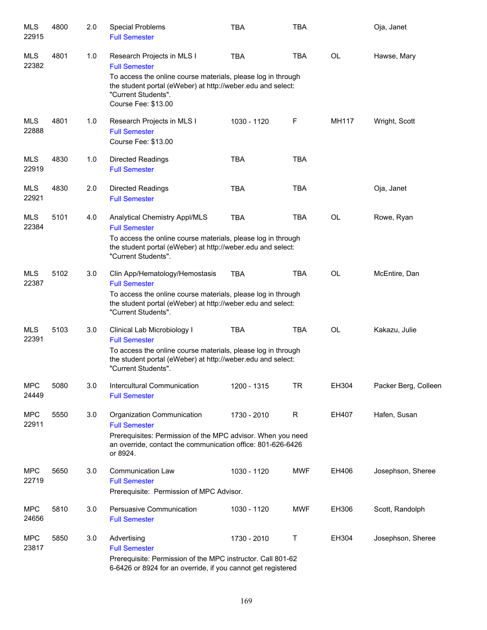| <b>MLS</b><br>22915 | 4800 | 2.0 | Special Problems<br><b>Full Semester</b>                                                                                                                                                                                        | <b>TBA</b>  | <b>TBA</b>   |           | Oja, Janet           |
|---------------------|------|-----|---------------------------------------------------------------------------------------------------------------------------------------------------------------------------------------------------------------------------------|-------------|--------------|-----------|----------------------|
| <b>MLS</b><br>22382 | 4801 | 1.0 | Research Projects in MLS I<br><b>Full Semester</b><br>To access the online course materials, please log in through<br>the student portal (eWeber) at http://weber.edu and select:<br>"Current Students".<br>Course Fee: \$13.00 | <b>TBA</b>  | <b>TBA</b>   | OL        | Hawse, Mary          |
| <b>MLS</b><br>22888 | 4801 | 1.0 | Research Projects in MLS I<br><b>Full Semester</b><br>Course Fee: \$13.00                                                                                                                                                       | 1030 - 1120 | $\mathsf F$  | MH117     | Wright, Scott        |
| <b>MLS</b><br>22919 | 4830 | 1.0 | <b>Directed Readings</b><br><b>Full Semester</b>                                                                                                                                                                                | <b>TBA</b>  | <b>TBA</b>   |           |                      |
| <b>MLS</b><br>22921 | 4830 | 2.0 | <b>Directed Readings</b><br><b>Full Semester</b>                                                                                                                                                                                | <b>TBA</b>  | <b>TBA</b>   |           | Oja, Janet           |
| <b>MLS</b><br>22384 | 5101 | 4.0 | <b>Analytical Chemistry Appl/MLS</b><br><b>Full Semester</b><br>To access the online course materials, please log in through<br>the student portal (eWeber) at http://weber.edu and select:<br>"Current Students".              | <b>TBA</b>  | <b>TBA</b>   | <b>OL</b> | Rowe, Ryan           |
| <b>MLS</b><br>22387 | 5102 | 3.0 | Clin App/Hematology/Hemostasis<br><b>Full Semester</b><br>To access the online course materials, please log in through<br>the student portal (eWeber) at http://weber.edu and select:<br>"Current Students".                    | <b>TBA</b>  | <b>TBA</b>   | <b>OL</b> | McEntire, Dan        |
| <b>MLS</b><br>22391 | 5103 | 3.0 | Clinical Lab Microbiology I<br><b>Full Semester</b><br>To access the online course materials, please log in through<br>the student portal (eWeber) at http://weber.edu and select:<br>"Current Students".                       | <b>TBA</b>  | <b>TBA</b>   | <b>OL</b> | Kakazu, Julie        |
| <b>MPC</b><br>24449 | 5080 | 3.0 | Intercultural Communication<br><b>Full Semester</b>                                                                                                                                                                             | 1200 - 1315 | TR           | EH304     | Packer Berg, Colleen |
| <b>MPC</b><br>22911 | 5550 | 3.0 | Organization Communication<br><b>Full Semester</b><br>Prerequisites: Permission of the MPC advisor. When you need<br>an override, contact the communication office: 801-626-6426<br>or 8924.                                    | 1730 - 2010 | $\mathsf{R}$ | EH407     | Hafen, Susan         |
| <b>MPC</b><br>22719 | 5650 | 3.0 | <b>Communication Law</b><br><b>Full Semester</b><br>Prerequisite: Permission of MPC Advisor.                                                                                                                                    | 1030 - 1120 | <b>MWF</b>   | EH406     | Josephson, Sheree    |
| <b>MPC</b><br>24656 | 5810 | 3.0 | Persuasive Communication<br><b>Full Semester</b>                                                                                                                                                                                | 1030 - 1120 | <b>MWF</b>   | EH306     | Scott, Randolph      |
| <b>MPC</b><br>23817 | 5850 | 3.0 | Advertising<br><b>Full Semester</b><br>Prerequisite: Permission of the MPC instructor. Call 801-62<br>6-6426 or 8924 for an override, if you cannot get registered                                                              | 1730 - 2010 | $\mathsf T$  | EH304     | Josephson, Sheree    |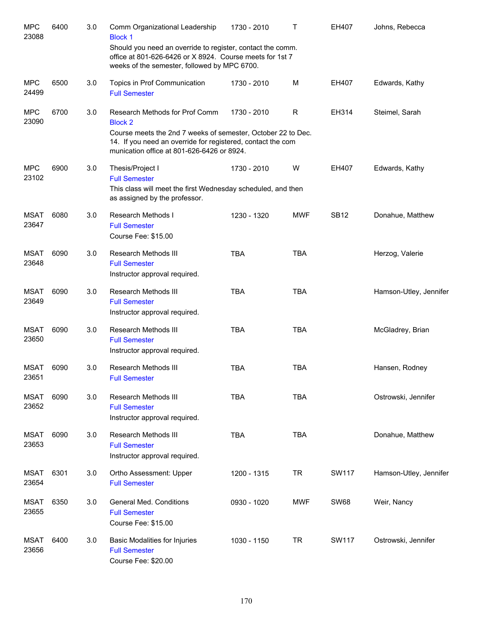| <b>MPC</b><br>23088  | 6400 | 3.0 | Comm Organizational Leadership<br><b>Block 1</b>                                                                                                                                                                              | 1730 - 2010 | т            | EH407        | Johns, Rebecca         |
|----------------------|------|-----|-------------------------------------------------------------------------------------------------------------------------------------------------------------------------------------------------------------------------------|-------------|--------------|--------------|------------------------|
|                      |      |     | Should you need an override to register, contact the comm.<br>office at 801-626-6426 or X 8924. Course meets for 1st 7<br>weeks of the semester, followed by MPC 6700.                                                        |             |              |              |                        |
| <b>MPC</b><br>24499  | 6500 | 3.0 | Topics in Prof Communication<br><b>Full Semester</b>                                                                                                                                                                          | 1730 - 2010 | M            | EH407        | Edwards, Kathy         |
| <b>MPC</b><br>23090  | 6700 | 3.0 | Research Methods for Prof Comm<br><b>Block 2</b><br>Course meets the 2nd 7 weeks of semester, October 22 to Dec.<br>14. If you need an override for registered, contact the com<br>munication office at 801-626-6426 or 8924. | 1730 - 2010 | $\mathsf{R}$ | EH314        | Steimel, Sarah         |
| <b>MPC</b><br>23102  | 6900 | 3.0 | Thesis/Project I<br><b>Full Semester</b><br>This class will meet the first Wednesday scheduled, and then<br>as assigned by the professor.                                                                                     | 1730 - 2010 | W            | EH407        | Edwards, Kathy         |
| <b>MSAT</b><br>23647 | 6080 | 3.0 | Research Methods I<br><b>Full Semester</b><br>Course Fee: \$15.00                                                                                                                                                             | 1230 - 1320 | <b>MWF</b>   | <b>SB12</b>  | Donahue, Matthew       |
| <b>MSAT</b><br>23648 | 6090 | 3.0 | Research Methods III<br><b>Full Semester</b><br>Instructor approval required.                                                                                                                                                 | <b>TBA</b>  | <b>TBA</b>   |              | Herzog, Valerie        |
| <b>MSAT</b><br>23649 | 6090 | 3.0 | Research Methods III<br><b>Full Semester</b><br>Instructor approval required.                                                                                                                                                 | <b>TBA</b>  | <b>TBA</b>   |              | Hamson-Utley, Jennifer |
| <b>MSAT</b><br>23650 | 6090 | 3.0 | Research Methods III<br><b>Full Semester</b><br>Instructor approval required.                                                                                                                                                 | <b>TBA</b>  | <b>TBA</b>   |              | McGladrey, Brian       |
| <b>MSAT</b><br>23651 | 6090 | 3.0 | Research Methods III<br><b>Full Semester</b>                                                                                                                                                                                  | <b>TBA</b>  | <b>TBA</b>   |              | Hansen, Rodney         |
| <b>MSAT</b><br>23652 | 6090 | 3.0 | Research Methods III<br><b>Full Semester</b><br>Instructor approval required.                                                                                                                                                 | <b>TBA</b>  | <b>TBA</b>   |              | Ostrowski, Jennifer    |
| <b>MSAT</b><br>23653 | 6090 | 3.0 | Research Methods III<br><b>Full Semester</b><br>Instructor approval required.                                                                                                                                                 | <b>TBA</b>  | <b>TBA</b>   |              | Donahue, Matthew       |
| MSAT<br>23654        | 6301 | 3.0 | Ortho Assessment: Upper<br><b>Full Semester</b>                                                                                                                                                                               | 1200 - 1315 | TR           | <b>SW117</b> | Hamson-Utley, Jennifer |
| MSAT<br>23655        | 6350 | 3.0 | <b>General Med. Conditions</b><br><b>Full Semester</b><br>Course Fee: \$15.00                                                                                                                                                 | 0930 - 1020 | <b>MWF</b>   | <b>SW68</b>  | Weir, Nancy            |
| <b>MSAT</b><br>23656 | 6400 | 3.0 | Basic Modalities for Injuries<br><b>Full Semester</b><br>Course Fee: \$20.00                                                                                                                                                  | 1030 - 1150 | <b>TR</b>    | <b>SW117</b> | Ostrowski, Jennifer    |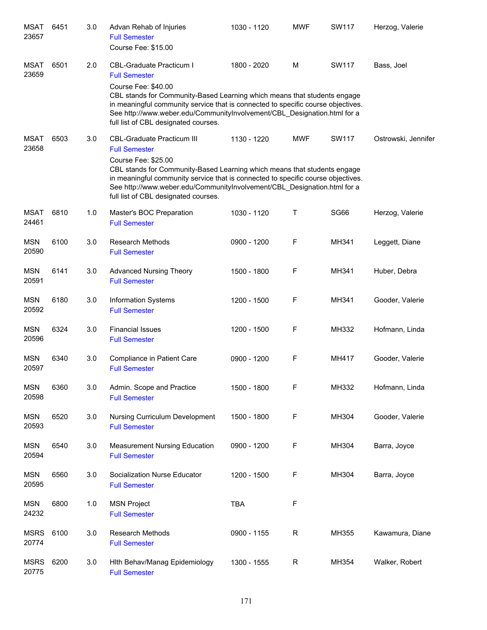| MSAT<br>23657        | 6451 | 3.0 | Advan Rehab of Injuries<br><b>Full Semester</b><br>Course Fee: \$15.00                                                                                                                                                                                                                                                                                               | 1030 - 1120 | <b>MWF</b>  | <b>SW117</b> | Herzog, Valerie     |
|----------------------|------|-----|----------------------------------------------------------------------------------------------------------------------------------------------------------------------------------------------------------------------------------------------------------------------------------------------------------------------------------------------------------------------|-------------|-------------|--------------|---------------------|
| <b>MSAT</b><br>23659 | 6501 | 2.0 | <b>CBL-Graduate Practicum I</b><br><b>Full Semester</b><br>Course Fee: \$40.00<br>CBL stands for Community-Based Learning which means that students engage<br>in meaningful community service that is connected to specific course objectives.<br>See http://www.weber.edu/CommunityInvolvement/CBL_Designation.html for a<br>full list of CBL designated courses.   | 1800 - 2020 | M           | <b>SW117</b> | Bass, Joel          |
| <b>MSAT</b><br>23658 | 6503 | 3.0 | <b>CBL-Graduate Practicum III</b><br><b>Full Semester</b><br>Course Fee: \$25.00<br>CBL stands for Community-Based Learning which means that students engage<br>in meaningful community service that is connected to specific course objectives.<br>See http://www.weber.edu/CommunityInvolvement/CBL_Designation.html for a<br>full list of CBL designated courses. | 1130 - 1220 | <b>MWF</b>  | <b>SW117</b> | Ostrowski, Jennifer |
| <b>MSAT</b><br>24461 | 6810 | 1.0 | Master's BOC Preparation<br><b>Full Semester</b>                                                                                                                                                                                                                                                                                                                     | 1030 - 1120 | Τ           | <b>SG66</b>  | Herzog, Valerie     |
| <b>MSN</b><br>20590  | 6100 | 3.0 | <b>Research Methods</b><br><b>Full Semester</b>                                                                                                                                                                                                                                                                                                                      | 0900 - 1200 | F           | MH341        | Leggett, Diane      |
| <b>MSN</b><br>20591  | 6141 | 3.0 | <b>Advanced Nursing Theory</b><br><b>Full Semester</b>                                                                                                                                                                                                                                                                                                               | 1500 - 1800 | F           | MH341        | Huber, Debra        |
| <b>MSN</b><br>20592  | 6180 | 3.0 | <b>Information Systems</b><br><b>Full Semester</b>                                                                                                                                                                                                                                                                                                                   | 1200 - 1500 | F           | MH341        | Gooder, Valerie     |
| <b>MSN</b><br>20596  | 6324 | 3.0 | <b>Financial Issues</b><br><b>Full Semester</b>                                                                                                                                                                                                                                                                                                                      | 1200 - 1500 | F           | MH332        | Hofmann, Linda      |
| <b>MSN</b><br>20597  | 6340 | 3.0 | Compliance in Patient Care<br><b>Full Semester</b>                                                                                                                                                                                                                                                                                                                   | 0900 - 1200 | F           | MH417        | Gooder, Valerie     |
| <b>MSN</b><br>20598  | 6360 | 3.0 | Admin. Scope and Practice<br><b>Full Semester</b>                                                                                                                                                                                                                                                                                                                    | 1500 - 1800 | F           | MH332        | Hofmann, Linda      |
| <b>MSN</b><br>20593  | 6520 | 3.0 | Nursing Curriculum Development<br><b>Full Semester</b>                                                                                                                                                                                                                                                                                                               | 1500 - 1800 | F           | MH304        | Gooder, Valerie     |
| <b>MSN</b><br>20594  | 6540 | 3.0 | <b>Measurement Nursing Education</b><br><b>Full Semester</b>                                                                                                                                                                                                                                                                                                         | 0900 - 1200 | F           | MH304        | Barra, Joyce        |
| <b>MSN</b><br>20595  | 6560 | 3.0 | Socialization Nurse Educator<br><b>Full Semester</b>                                                                                                                                                                                                                                                                                                                 | 1200 - 1500 | F           | MH304        | Barra, Joyce        |
| <b>MSN</b><br>24232  | 6800 | 1.0 | <b>MSN Project</b><br><b>Full Semester</b>                                                                                                                                                                                                                                                                                                                           | <b>TBA</b>  | F           |              |                     |
| <b>MSRS</b><br>20774 | 6100 | 3.0 | Research Methods<br><b>Full Semester</b>                                                                                                                                                                                                                                                                                                                             | 0900 - 1155 | $\mathsf R$ | MH355        | Kawamura, Diane     |
| <b>MSRS</b><br>20775 | 6200 | 3.0 | Hith Behav/Manag Epidemiology<br><b>Full Semester</b>                                                                                                                                                                                                                                                                                                                | 1300 - 1555 | $\mathsf R$ | MH354        | Walker, Robert      |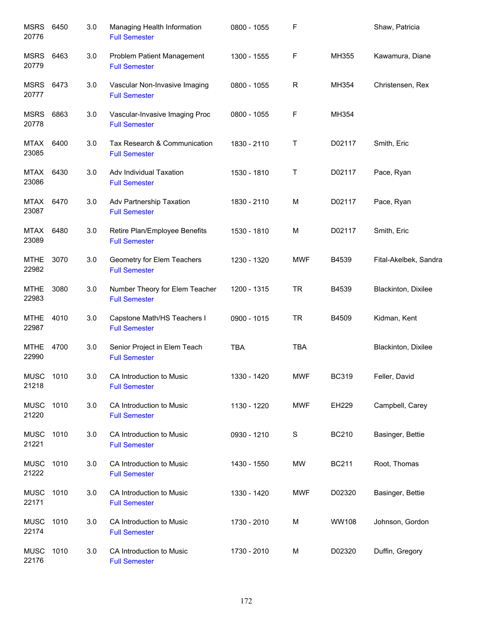| <b>MSRS</b><br>20776 | 6450 | 3.0 | Managing Health Information<br><b>Full Semester</b>    | 0800 - 1055 | F           |              | Shaw, Patricia        |
|----------------------|------|-----|--------------------------------------------------------|-------------|-------------|--------------|-----------------------|
| <b>MSRS</b><br>20779 | 6463 | 3.0 | Problem Patient Management<br><b>Full Semester</b>     | 1300 - 1555 | F           | MH355        | Kawamura, Diane       |
| <b>MSRS</b><br>20777 | 6473 | 3.0 | Vascular Non-Invasive Imaging<br><b>Full Semester</b>  | 0800 - 1055 | R           | MH354        | Christensen, Rex      |
| <b>MSRS</b><br>20778 | 6863 | 3.0 | Vascular-Invasive Imaging Proc<br><b>Full Semester</b> | 0800 - 1055 | F           | MH354        |                       |
| MTAX<br>23085        | 6400 | 3.0 | Tax Research & Communication<br><b>Full Semester</b>   | 1830 - 2110 | Τ           | D02117       | Smith, Eric           |
| MTAX<br>23086        | 6430 | 3.0 | Adv Individual Taxation<br><b>Full Semester</b>        | 1530 - 1810 | Τ           | D02117       | Pace, Ryan            |
| MTAX<br>23087        | 6470 | 3.0 | Adv Partnership Taxation<br><b>Full Semester</b>       | 1830 - 2110 | M           | D02117       | Pace, Ryan            |
| MTAX<br>23089        | 6480 | 3.0 | Retire Plan/Employee Benefits<br><b>Full Semester</b>  | 1530 - 1810 | M           | D02117       | Smith, Eric           |
| <b>MTHE</b><br>22982 | 3070 | 3.0 | Geometry for Elem Teachers<br><b>Full Semester</b>     | 1230 - 1320 | <b>MWF</b>  | B4539        | Fital-Akelbek, Sandra |
| <b>MTHE</b><br>22983 | 3080 | 3.0 | Number Theory for Elem Teacher<br><b>Full Semester</b> | 1200 - 1315 | <b>TR</b>   | B4539        | Blackinton, Dixilee   |
| <b>MTHE</b><br>22987 | 4010 | 3.0 | Capstone Math/HS Teachers I<br><b>Full Semester</b>    | 0900 - 1015 | <b>TR</b>   | B4509        | Kidman, Kent          |
| <b>MTHE</b><br>22990 | 4700 | 3.0 | Senior Project in Elem Teach<br><b>Full Semester</b>   | <b>TBA</b>  | <b>TBA</b>  |              | Blackinton, Dixilee   |
| <b>MUSC</b><br>21218 | 1010 | 3.0 | CA Introduction to Music<br><b>Full Semester</b>       | 1330 - 1420 | <b>MWF</b>  | <b>BC319</b> | Feller, David         |
| <b>MUSC</b><br>21220 | 1010 | 3.0 | CA Introduction to Music<br><b>Full Semester</b>       | 1130 - 1220 | <b>MWF</b>  | EH229        | Campbell, Carey       |
| <b>MUSC</b><br>21221 | 1010 | 3.0 | CA Introduction to Music<br><b>Full Semester</b>       | 0930 - 1210 | $\mathbf S$ | <b>BC210</b> | Basinger, Bettie      |
| <b>MUSC</b><br>21222 | 1010 | 3.0 | CA Introduction to Music<br><b>Full Semester</b>       | 1430 - 1550 | MW          | <b>BC211</b> | Root, Thomas          |
| <b>MUSC</b><br>22171 | 1010 | 3.0 | CA Introduction to Music<br><b>Full Semester</b>       | 1330 - 1420 | <b>MWF</b>  | D02320       | Basinger, Bettie      |
| <b>MUSC</b><br>22174 | 1010 | 3.0 | CA Introduction to Music<br><b>Full Semester</b>       | 1730 - 2010 | M           | WW108        | Johnson, Gordon       |
| <b>MUSC</b><br>22176 | 1010 | 3.0 | CA Introduction to Music<br><b>Full Semester</b>       | 1730 - 2010 | M           | D02320       | Duffin, Gregory       |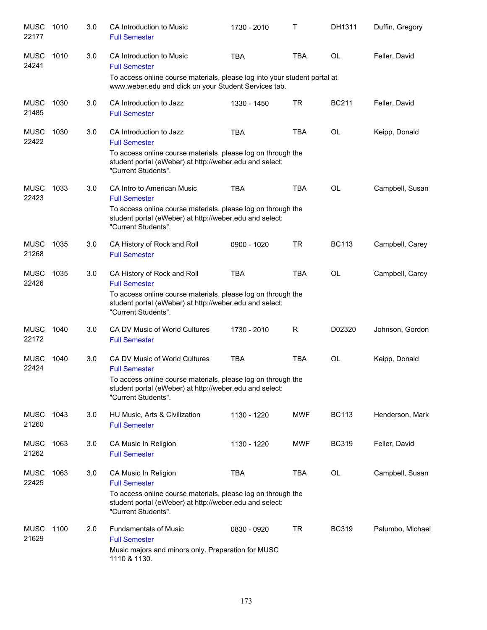| <b>MUSC</b><br>22177 | 1010 | 3.0 | CA Introduction to Music<br><b>Full Semester</b>                                                                                                                                                  | 1730 - 2010 | Τ          | DH1311       | Duffin, Gregory  |
|----------------------|------|-----|---------------------------------------------------------------------------------------------------------------------------------------------------------------------------------------------------|-------------|------------|--------------|------------------|
| <b>MUSC</b><br>24241 | 1010 | 3.0 | CA Introduction to Music<br><b>Full Semester</b>                                                                                                                                                  | <b>TBA</b>  | <b>TBA</b> | <b>OL</b>    | Feller, David    |
|                      |      |     | To access online course materials, please log into your student portal at<br>www.weber.edu and click on your Student Services tab.                                                                |             |            |              |                  |
| <b>MUSC</b><br>21485 | 1030 | 3.0 | CA Introduction to Jazz<br><b>Full Semester</b>                                                                                                                                                   | 1330 - 1450 | TR         | <b>BC211</b> | Feller, David    |
| <b>MUSC</b><br>22422 | 1030 | 3.0 | CA Introduction to Jazz<br><b>Full Semester</b><br>To access online course materials, please log on through the<br>student portal (eWeber) at http://weber.edu and select:<br>"Current Students". | <b>TBA</b>  | <b>TBA</b> | OL           | Keipp, Donald    |
| <b>MUSC</b><br>22423 | 1033 | 3.0 | CA Intro to American Music<br><b>Full Semester</b>                                                                                                                                                | <b>TBA</b>  | <b>TBA</b> | OL           | Campbell, Susan  |
|                      |      |     | To access online course materials, please log on through the<br>student portal (eWeber) at http://weber.edu and select:<br>"Current Students".                                                    |             |            |              |                  |
| <b>MUSC</b><br>21268 | 1035 | 3.0 | CA History of Rock and Roll<br><b>Full Semester</b>                                                                                                                                               | 0900 - 1020 | <b>TR</b>  | <b>BC113</b> | Campbell, Carey  |
| <b>MUSC</b><br>22426 | 1035 | 3.0 | CA History of Rock and Roll<br><b>Full Semester</b><br>To access online course materials, please log on through the<br>student portal (eWeber) at http://weber.edu and select:                    | <b>TBA</b>  | <b>TBA</b> | <b>OL</b>    | Campbell, Carey  |
|                      |      |     | "Current Students".                                                                                                                                                                               |             |            |              |                  |
| <b>MUSC</b><br>22172 | 1040 | 3.0 | CA DV Music of World Cultures<br><b>Full Semester</b>                                                                                                                                             | 1730 - 2010 | R          | D02320       | Johnson, Gordon  |
| <b>MUSC</b><br>22424 | 1040 | 3.0 | <b>CA DV Music of World Cultures</b><br><b>Full Semester</b>                                                                                                                                      | <b>TBA</b>  | <b>TBA</b> | OL           | Keipp, Donald    |
|                      |      |     | To access online course materials, please log on through the<br>student portal (eWeber) at http://weber.edu and select:<br>"Current Students".                                                    |             |            |              |                  |
| <b>MUSC</b><br>21260 | 1043 | 3.0 | HU Music, Arts & Civilization<br><b>Full Semester</b>                                                                                                                                             | 1130 - 1220 | <b>MWF</b> | <b>BC113</b> | Henderson, Mark  |
| <b>MUSC</b><br>21262 | 1063 | 3.0 | CA Music In Religion<br><b>Full Semester</b>                                                                                                                                                      | 1130 - 1220 | <b>MWF</b> | <b>BC319</b> | Feller, David    |
| <b>MUSC</b><br>22425 | 1063 | 3.0 | CA Music In Religion<br><b>Full Semester</b><br>To access online course materials, please log on through the<br>student portal (eWeber) at http://weber.edu and select:                           | <b>TBA</b>  | <b>TBA</b> | OL           | Campbell, Susan  |
| <b>MUSC</b><br>21629 | 1100 | 2.0 | "Current Students".<br><b>Fundamentals of Music</b><br><b>Full Semester</b><br>Music majors and minors only. Preparation for MUSC<br>1110 & 1130.                                                 | 0830 - 0920 | <b>TR</b>  | <b>BC319</b> | Palumbo, Michael |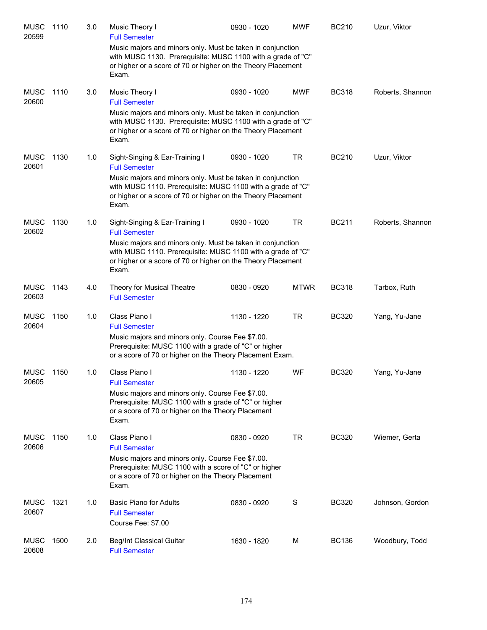| <b>MUSC</b><br>20599 | 1110 | 3.0 | Music Theory I<br><b>Full Semester</b>                                                                                                                                                             | 0930 - 1020 | <b>MWF</b>  | <b>BC210</b> | Uzur, Viktor     |
|----------------------|------|-----|----------------------------------------------------------------------------------------------------------------------------------------------------------------------------------------------------|-------------|-------------|--------------|------------------|
|                      |      |     | Music majors and minors only. Must be taken in conjunction<br>with MUSC 1130. Prerequisite: MUSC 1100 with a grade of "C"<br>or higher or a score of 70 or higher on the Theory Placement<br>Exam. |             |             |              |                  |
| <b>MUSC</b><br>20600 | 1110 | 3.0 | Music Theory I<br><b>Full Semester</b>                                                                                                                                                             | 0930 - 1020 | <b>MWF</b>  | <b>BC318</b> | Roberts, Shannon |
|                      |      |     | Music majors and minors only. Must be taken in conjunction<br>with MUSC 1130. Prerequisite: MUSC 1100 with a grade of "C"<br>or higher or a score of 70 or higher on the Theory Placement<br>Exam. |             |             |              |                  |
| <b>MUSC</b><br>20601 | 1130 | 1.0 | Sight-Singing & Ear-Training I<br><b>Full Semester</b>                                                                                                                                             | 0930 - 1020 | TR          | <b>BC210</b> | Uzur, Viktor     |
|                      |      |     | Music majors and minors only. Must be taken in conjunction<br>with MUSC 1110. Prerequisite: MUSC 1100 with a grade of "C"<br>or higher or a score of 70 or higher on the Theory Placement<br>Exam. |             |             |              |                  |
| <b>MUSC</b><br>20602 | 1130 | 1.0 | Sight-Singing & Ear-Training I<br><b>Full Semester</b>                                                                                                                                             | 0930 - 1020 | <b>TR</b>   | <b>BC211</b> | Roberts, Shannon |
|                      |      |     | Music majors and minors only. Must be taken in conjunction<br>with MUSC 1110. Prerequisite: MUSC 1100 with a grade of "C"<br>or higher or a score of 70 or higher on the Theory Placement<br>Exam. |             |             |              |                  |
| <b>MUSC</b><br>20603 | 1143 | 4.0 | Theory for Musical Theatre<br><b>Full Semester</b>                                                                                                                                                 | 0830 - 0920 | <b>MTWR</b> | <b>BC318</b> | Tarbox, Ruth     |
| <b>MUSC</b><br>20604 | 1150 | 1.0 | Class Piano I<br><b>Full Semester</b>                                                                                                                                                              | 1130 - 1220 | <b>TR</b>   | <b>BC320</b> | Yang, Yu-Jane    |
|                      |      |     | Music majors and minors only. Course Fee \$7.00.<br>Prerequisite: MUSC 1100 with a grade of "C" or higher<br>or a score of 70 or higher on the Theory Placement Exam.                              |             |             |              |                  |
| MUSC<br>20605        | 1150 | 1.0 | Class Piano I<br><b>Full Semester</b>                                                                                                                                                              | 1130 - 1220 | WF          | <b>BC320</b> | Yang, Yu-Jane    |
|                      |      |     | Music majors and minors only. Course Fee \$7.00.<br>Prerequisite: MUSC 1100 with a grade of "C" or higher<br>or a score of 70 or higher on the Theory Placement<br>Exam.                           |             |             |              |                  |
| <b>MUSC</b><br>20606 | 1150 | 1.0 | Class Piano I<br><b>Full Semester</b>                                                                                                                                                              | 0830 - 0920 | <b>TR</b>   | <b>BC320</b> | Wiemer, Gerta    |
|                      |      |     | Music majors and minors only. Course Fee \$7.00.<br>Prerequisite: MUSC 1100 with a score of "C" or higher<br>or a score of 70 or higher on the Theory Placement<br>Exam.                           |             |             |              |                  |
| <b>MUSC</b><br>20607 | 1321 | 1.0 | <b>Basic Piano for Adults</b><br><b>Full Semester</b><br>Course Fee: \$7.00                                                                                                                        | 0830 - 0920 | S           | <b>BC320</b> | Johnson, Gordon  |
| <b>MUSC</b><br>20608 | 1500 | 2.0 | Beg/Int Classical Guitar<br><b>Full Semester</b>                                                                                                                                                   | 1630 - 1820 | M           | <b>BC136</b> | Woodbury, Todd   |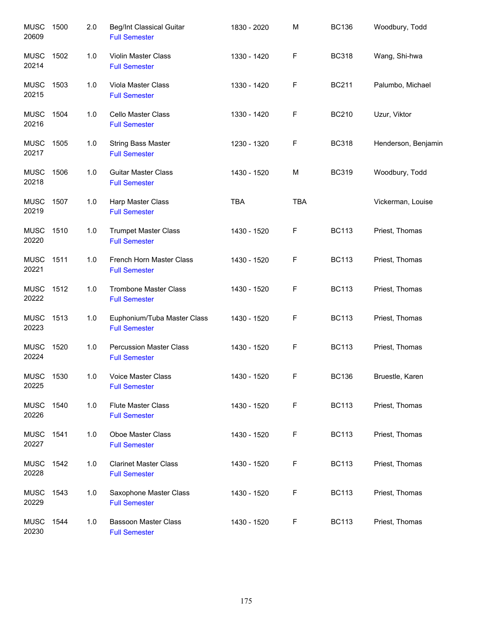| <b>MUSC</b><br>20609 | 1500 | 2.0   | Beg/Int Classical Guitar<br><b>Full Semester</b>       | 1830 - 2020 | M           | <b>BC136</b> | Woodbury, Todd      |
|----------------------|------|-------|--------------------------------------------------------|-------------|-------------|--------------|---------------------|
| <b>MUSC</b><br>20214 | 1502 | 1.0   | Violin Master Class<br><b>Full Semester</b>            | 1330 - 1420 | F           | <b>BC318</b> | Wang, Shi-hwa       |
| <b>MUSC</b><br>20215 | 1503 | 1.0   | Viola Master Class<br><b>Full Semester</b>             | 1330 - 1420 | $\mathsf F$ | <b>BC211</b> | Palumbo, Michael    |
| <b>MUSC</b><br>20216 | 1504 | 1.0   | Cello Master Class<br><b>Full Semester</b>             | 1330 - 1420 | F           | <b>BC210</b> | Uzur, Viktor        |
| <b>MUSC</b><br>20217 | 1505 | 1.0   | <b>String Bass Master</b><br><b>Full Semester</b>      | 1230 - 1320 | F           | <b>BC318</b> | Henderson, Benjamin |
| <b>MUSC</b><br>20218 | 1506 | 1.0   | <b>Guitar Master Class</b><br><b>Full Semester</b>     | 1430 - 1520 | M           | <b>BC319</b> | Woodbury, Todd      |
| <b>MUSC</b><br>20219 | 1507 | 1.0   | Harp Master Class<br><b>Full Semester</b>              | <b>TBA</b>  | <b>TBA</b>  |              | Vickerman, Louise   |
| <b>MUSC</b><br>20220 | 1510 | 1.0   | <b>Trumpet Master Class</b><br><b>Full Semester</b>    | 1430 - 1520 | F           | <b>BC113</b> | Priest, Thomas      |
| <b>MUSC</b><br>20221 | 1511 | 1.0   | French Horn Master Class<br><b>Full Semester</b>       | 1430 - 1520 | F           | <b>BC113</b> | Priest, Thomas      |
| <b>MUSC</b><br>20222 | 1512 | 1.0   | <b>Trombone Master Class</b><br><b>Full Semester</b>   | 1430 - 1520 | F           | <b>BC113</b> | Priest, Thomas      |
| <b>MUSC</b><br>20223 | 1513 | $1.0$ | Euphonium/Tuba Master Class<br><b>Full Semester</b>    | 1430 - 1520 | F           | <b>BC113</b> | Priest, Thomas      |
| <b>MUSC</b><br>20224 | 1520 | 1.0   | <b>Percussion Master Class</b><br><b>Full Semester</b> | 1430 - 1520 | F           | <b>BC113</b> | Priest, Thomas      |
| <b>MUSC</b><br>20225 | 1530 | 1.0   | Voice Master Class<br><b>Full Semester</b>             | 1430 - 1520 | F           | <b>BC136</b> | Bruestle, Karen     |
| <b>MUSC</b><br>20226 | 1540 | 1.0   | <b>Flute Master Class</b><br><b>Full Semester</b>      | 1430 - 1520 | F           | <b>BC113</b> | Priest, Thomas      |
| <b>MUSC</b><br>20227 | 1541 | 1.0   | Oboe Master Class<br><b>Full Semester</b>              | 1430 - 1520 | F           | <b>BC113</b> | Priest, Thomas      |
| <b>MUSC</b><br>20228 | 1542 | 1.0   | <b>Clarinet Master Class</b><br><b>Full Semester</b>   | 1430 - 1520 | F           | <b>BC113</b> | Priest, Thomas      |
| <b>MUSC</b><br>20229 | 1543 | 1.0   | Saxophone Master Class<br><b>Full Semester</b>         | 1430 - 1520 | F           | <b>BC113</b> | Priest, Thomas      |
| <b>MUSC</b><br>20230 | 1544 | 1.0   | <b>Bassoon Master Class</b><br><b>Full Semester</b>    | 1430 - 1520 | F           | <b>BC113</b> | Priest, Thomas      |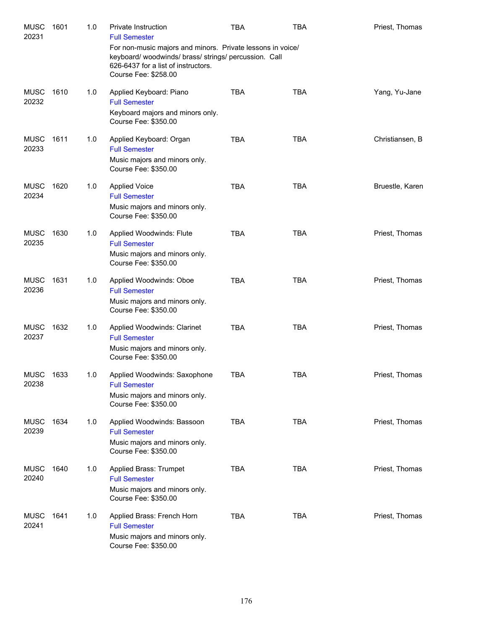| <b>MUSC</b><br>20231 | 1601 | 1.0 | <b>Private Instruction</b><br><b>Full Semester</b>                                                                                                                             | <b>TBA</b> | <b>TBA</b> | Priest, Thomas  |
|----------------------|------|-----|--------------------------------------------------------------------------------------------------------------------------------------------------------------------------------|------------|------------|-----------------|
|                      |      |     | For non-music majors and minors. Private lessons in voice/<br>keyboard/woodwinds/brass/strings/percussion. Call<br>626-6437 for a list of instructors.<br>Course Fee: \$258.00 |            |            |                 |
| <b>MUSC</b><br>20232 | 1610 | 1.0 | Applied Keyboard: Piano<br><b>Full Semester</b><br>Keyboard majors and minors only.<br>Course Fee: \$350.00                                                                    | <b>TBA</b> | <b>TBA</b> | Yang, Yu-Jane   |
| <b>MUSC</b><br>20233 | 1611 | 1.0 | Applied Keyboard: Organ<br><b>Full Semester</b><br>Music majors and minors only.<br>Course Fee: \$350.00                                                                       | <b>TBA</b> | <b>TBA</b> | Christiansen, B |
| <b>MUSC</b><br>20234 | 1620 | 1.0 | <b>Applied Voice</b><br><b>Full Semester</b><br>Music majors and minors only.<br>Course Fee: \$350.00                                                                          | <b>TBA</b> | <b>TBA</b> | Bruestle, Karen |
| <b>MUSC</b><br>20235 | 1630 | 1.0 | Applied Woodwinds: Flute<br><b>Full Semester</b><br>Music majors and minors only.<br>Course Fee: \$350.00                                                                      | <b>TBA</b> | <b>TBA</b> | Priest, Thomas  |
| <b>MUSC</b><br>20236 | 1631 | 1.0 | Applied Woodwinds: Oboe<br><b>Full Semester</b><br>Music majors and minors only.<br>Course Fee: \$350.00                                                                       | <b>TBA</b> | <b>TBA</b> | Priest, Thomas  |
| <b>MUSC</b><br>20237 | 1632 | 1.0 | Applied Woodwinds: Clarinet<br><b>Full Semester</b><br>Music majors and minors only.<br>Course Fee: \$350.00                                                                   | <b>TBA</b> | <b>TBA</b> | Priest, Thomas  |
| <b>MUSC</b><br>20238 | 1633 | 1.0 | Applied Woodwinds: Saxophone<br><b>Full Semester</b><br>Music majors and minors only.<br>Course Fee: \$350.00                                                                  | TBA        | <b>TBA</b> | Priest, Thomas  |
| <b>MUSC</b><br>20239 | 1634 | 1.0 | Applied Woodwinds: Bassoon<br><b>Full Semester</b><br>Music majors and minors only.<br>Course Fee: \$350.00                                                                    | <b>TBA</b> | <b>TBA</b> | Priest, Thomas  |
| <b>MUSC</b><br>20240 | 1640 | 1.0 | Applied Brass: Trumpet<br><b>Full Semester</b><br>Music majors and minors only.<br>Course Fee: \$350.00                                                                        | <b>TBA</b> | <b>TBA</b> | Priest, Thomas  |
| <b>MUSC</b><br>20241 | 1641 | 1.0 | Applied Brass: French Horn<br><b>Full Semester</b><br>Music majors and minors only.<br>Course Fee: \$350.00                                                                    | <b>TBA</b> | <b>TBA</b> | Priest, Thomas  |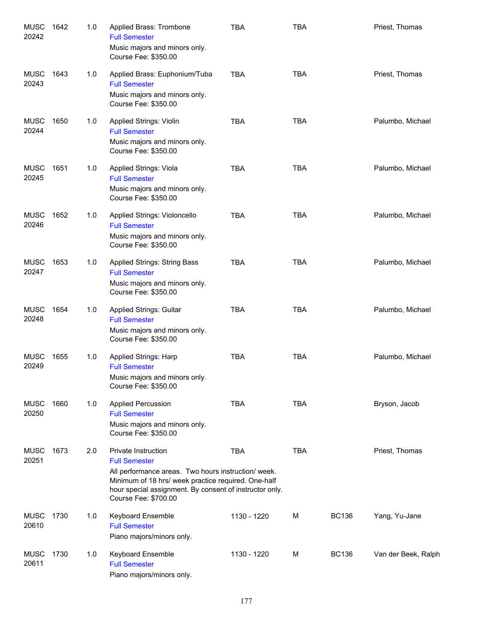| <b>MUSC</b><br>20242 | 1642 | 1.0 | Applied Brass: Trombone<br><b>Full Semester</b><br>Music majors and minors only.<br>Course Fee: \$350.00                                                                                                                                     | <b>TBA</b>  | <b>TBA</b> |              | Priest, Thomas      |
|----------------------|------|-----|----------------------------------------------------------------------------------------------------------------------------------------------------------------------------------------------------------------------------------------------|-------------|------------|--------------|---------------------|
| <b>MUSC</b><br>20243 | 1643 | 1.0 | Applied Brass: Euphonium/Tuba<br><b>Full Semester</b><br>Music majors and minors only.<br>Course Fee: \$350.00                                                                                                                               | <b>TBA</b>  | <b>TBA</b> |              | Priest, Thomas      |
| <b>MUSC</b><br>20244 | 1650 | 1.0 | <b>Applied Strings: Violin</b><br><b>Full Semester</b><br>Music majors and minors only.<br>Course Fee: \$350.00                                                                                                                              | <b>TBA</b>  | <b>TBA</b> |              | Palumbo, Michael    |
| <b>MUSC</b><br>20245 | 1651 | 1.0 | Applied Strings: Viola<br><b>Full Semester</b><br>Music majors and minors only.<br>Course Fee: \$350.00                                                                                                                                      | <b>TBA</b>  | <b>TBA</b> |              | Palumbo, Michael    |
| <b>MUSC</b><br>20246 | 1652 | 1.0 | Applied Strings: Violoncello<br><b>Full Semester</b><br>Music majors and minors only.<br>Course Fee: \$350.00                                                                                                                                | <b>TBA</b>  | <b>TBA</b> |              | Palumbo, Michael    |
| <b>MUSC</b><br>20247 | 1653 | 1.0 | Applied Strings: String Bass<br><b>Full Semester</b><br>Music majors and minors only.<br>Course Fee: \$350.00                                                                                                                                | <b>TBA</b>  | <b>TBA</b> |              | Palumbo, Michael    |
| <b>MUSC</b><br>20248 | 1654 | 1.0 | <b>Applied Strings: Guitar</b><br><b>Full Semester</b><br>Music majors and minors only.<br>Course Fee: \$350.00                                                                                                                              | <b>TBA</b>  | <b>TBA</b> |              | Palumbo, Michael    |
| <b>MUSC</b><br>20249 | 1655 | 1.0 | Applied Strings: Harp<br><b>Full Semester</b><br>Music majors and minors only.<br>Course Fee: \$350.00                                                                                                                                       | <b>TBA</b>  | <b>TBA</b> |              | Palumbo, Michael    |
| <b>MUSC</b><br>20250 | 1660 | 1.0 | <b>Applied Percussion</b><br><b>Full Semester</b><br>Music majors and minors only.<br>Course Fee: \$350.00                                                                                                                                   | <b>TBA</b>  | <b>TBA</b> |              | Bryson, Jacob       |
| <b>MUSC</b><br>20251 | 1673 | 2.0 | Private Instruction<br><b>Full Semester</b><br>All performance areas. Two hours instruction/ week.<br>Minimum of 18 hrs/ week practice required. One-half<br>hour special assignment. By consent of instructor only.<br>Course Fee: \$700.00 | <b>TBA</b>  | <b>TBA</b> |              | Priest, Thomas      |
| <b>MUSC</b><br>20610 | 1730 | 1.0 | Keyboard Ensemble<br><b>Full Semester</b><br>Piano majors/minors only.                                                                                                                                                                       | 1130 - 1220 | M          | <b>BC136</b> | Yang, Yu-Jane       |
| <b>MUSC</b><br>20611 | 1730 | 1.0 | Keyboard Ensemble<br><b>Full Semester</b><br>Piano majors/minors only.                                                                                                                                                                       | 1130 - 1220 | M          | <b>BC136</b> | Van der Beek, Ralph |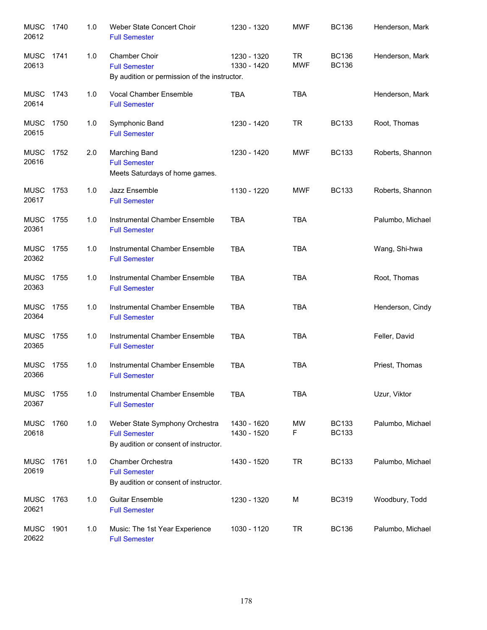| <b>MUSC</b><br>20612 | 1740 | 1.0 | Weber State Concert Choir<br><b>Full Semester</b>                                               | 1230 - 1320                | <b>MWF</b>              | <b>BC136</b>                 | Henderson, Mark  |
|----------------------|------|-----|-------------------------------------------------------------------------------------------------|----------------------------|-------------------------|------------------------------|------------------|
| <b>MUSC</b><br>20613 | 1741 | 1.0 | Chamber Choir<br><b>Full Semester</b><br>By audition or permission of the instructor.           | 1230 - 1320<br>1330 - 1420 | <b>TR</b><br><b>MWF</b> | <b>BC136</b><br><b>BC136</b> | Henderson, Mark  |
| <b>MUSC</b><br>20614 | 1743 | 1.0 | Vocal Chamber Ensemble<br><b>Full Semester</b>                                                  | <b>TBA</b>                 | <b>TBA</b>              |                              | Henderson, Mark  |
| <b>MUSC</b><br>20615 | 1750 | 1.0 | Symphonic Band<br><b>Full Semester</b>                                                          | 1230 - 1420                | TR                      | <b>BC133</b>                 | Root, Thomas     |
| <b>MUSC</b><br>20616 | 1752 | 2.0 | <b>Marching Band</b><br><b>Full Semester</b><br>Meets Saturdays of home games.                  | 1230 - 1420                | <b>MWF</b>              | <b>BC133</b>                 | Roberts, Shannon |
| MUSC<br>20617        | 1753 | 1.0 | Jazz Ensemble<br><b>Full Semester</b>                                                           | 1130 - 1220                | <b>MWF</b>              | <b>BC133</b>                 | Roberts, Shannon |
| <b>MUSC</b><br>20361 | 1755 | 1.0 | Instrumental Chamber Ensemble<br><b>Full Semester</b>                                           | <b>TBA</b>                 | <b>TBA</b>              |                              | Palumbo, Michael |
| <b>MUSC</b><br>20362 | 1755 | 1.0 | Instrumental Chamber Ensemble<br><b>Full Semester</b>                                           | <b>TBA</b>                 | <b>TBA</b>              |                              | Wang, Shi-hwa    |
| <b>MUSC</b><br>20363 | 1755 | 1.0 | Instrumental Chamber Ensemble<br><b>Full Semester</b>                                           | <b>TBA</b>                 | <b>TBA</b>              |                              | Root, Thomas     |
| <b>MUSC</b><br>20364 | 1755 | 1.0 | Instrumental Chamber Ensemble<br><b>Full Semester</b>                                           | <b>TBA</b>                 | <b>TBA</b>              |                              | Henderson, Cindy |
| <b>MUSC</b><br>20365 | 1755 | 1.0 | Instrumental Chamber Ensemble<br><b>Full Semester</b>                                           | <b>TBA</b>                 | <b>TBA</b>              |                              | Feller, David    |
| <b>MUSC</b><br>20366 | 1755 | 1.0 | Instrumental Chamber Ensemble<br><b>Full Semester</b>                                           | <b>TBA</b>                 | <b>TBA</b>              |                              | Priest, Thomas   |
| <b>MUSC</b><br>20367 | 1755 | 1.0 | Instrumental Chamber Ensemble<br><b>Full Semester</b>                                           | <b>TBA</b>                 | <b>TBA</b>              |                              | Uzur, Viktor     |
| <b>MUSC</b><br>20618 | 1760 | 1.0 | Weber State Symphony Orchestra<br><b>Full Semester</b><br>By audition or consent of instructor. | 1430 - 1620<br>1430 - 1520 | MW<br>F                 | <b>BC133</b><br><b>BC133</b> | Palumbo, Michael |
| <b>MUSC</b><br>20619 | 1761 | 1.0 | Chamber Orchestra<br><b>Full Semester</b><br>By audition or consent of instructor.              | 1430 - 1520                | <b>TR</b>               | <b>BC133</b>                 | Palumbo, Michael |
| <b>MUSC</b><br>20621 | 1763 | 1.0 | <b>Guitar Ensemble</b><br><b>Full Semester</b>                                                  | 1230 - 1320                | M                       | <b>BC319</b>                 | Woodbury, Todd   |
| <b>MUSC</b><br>20622 | 1901 | 1.0 | Music: The 1st Year Experience<br><b>Full Semester</b>                                          | 1030 - 1120                | TR                      | <b>BC136</b>                 | Palumbo, Michael |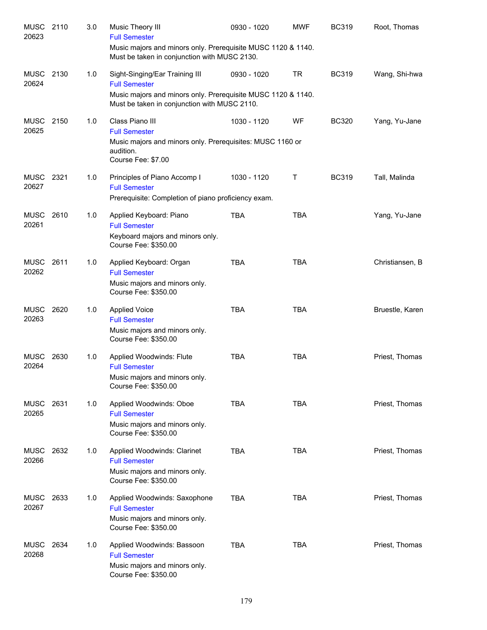| <b>MUSC</b><br>20623 | 2110 | 3.0 | Music Theory III<br><b>Full Semester</b>                                                                     | 0930 - 1020 | <b>MWF</b> | <b>BC319</b> | Root, Thomas    |
|----------------------|------|-----|--------------------------------------------------------------------------------------------------------------|-------------|------------|--------------|-----------------|
|                      |      |     | Music majors and minors only. Prerequisite MUSC 1120 & 1140.<br>Must be taken in conjunction with MUSC 2130. |             |            |              |                 |
| MUSC<br>20624        | 2130 | 1.0 | Sight-Singing/Ear Training III<br><b>Full Semester</b>                                                       | 0930 - 1020 | TR         | <b>BC319</b> | Wang, Shi-hwa   |
|                      |      |     | Music majors and minors only. Prerequisite MUSC 1120 & 1140.<br>Must be taken in conjunction with MUSC 2110. |             |            |              |                 |
| MUSC<br>20625        | 2150 | 1.0 | Class Piano III<br><b>Full Semester</b>                                                                      | 1030 - 1120 | WF         | <b>BC320</b> | Yang, Yu-Jane   |
|                      |      |     | Music majors and minors only. Prerequisites: MUSC 1160 or<br>audition.<br>Course Fee: \$7.00                 |             |            |              |                 |
| MUSC 2321<br>20627   |      | 1.0 | Principles of Piano Accomp I<br><b>Full Semester</b><br>Prerequisite: Completion of piano proficiency exam.  | 1030 - 1120 | Τ          | <b>BC319</b> | Tall, Malinda   |
| <b>MUSC</b>          | 2610 | 1.0 | Applied Keyboard: Piano                                                                                      | <b>TBA</b>  | <b>TBA</b> |              | Yang, Yu-Jane   |
| 20261                |      |     | <b>Full Semester</b><br>Keyboard majors and minors only.<br>Course Fee: \$350.00                             |             |            |              |                 |
| <b>MUSC</b><br>20262 | 2611 | 1.0 | Applied Keyboard: Organ<br><b>Full Semester</b>                                                              | <b>TBA</b>  | <b>TBA</b> |              | Christiansen, B |
|                      |      |     | Music majors and minors only.<br>Course Fee: \$350.00                                                        |             |            |              |                 |
| MUSC<br>20263        | 2620 | 1.0 | <b>Applied Voice</b><br><b>Full Semester</b>                                                                 | <b>TBA</b>  | <b>TBA</b> |              | Bruestle, Karen |
|                      |      |     | Music majors and minors only.<br>Course Fee: \$350.00                                                        |             |            |              |                 |
| <b>MUSC</b><br>20264 | 2630 | 1.0 | Applied Woodwinds: Flute<br><b>Full Semester</b>                                                             | <b>TBA</b>  | <b>TBA</b> |              | Priest, Thomas  |
|                      |      |     | Music majors and minors only.<br>Course Fee: \$350.00                                                        |             |            |              |                 |
| MUSC<br>20265        | 2631 | 1.0 | Applied Woodwinds: Oboe<br><b>Full Semester</b>                                                              | <b>TBA</b>  | <b>TBA</b> |              | Priest, Thomas  |
|                      |      |     | Music majors and minors only.<br>Course Fee: \$350.00                                                        |             |            |              |                 |
| MUSC<br>20266        | 2632 | 1.0 | Applied Woodwinds: Clarinet<br><b>Full Semester</b>                                                          | <b>TBA</b>  | <b>TBA</b> |              | Priest, Thomas  |
|                      |      |     | Music majors and minors only.<br>Course Fee: \$350.00                                                        |             |            |              |                 |
| MUSC<br>20267        | 2633 | 1.0 | Applied Woodwinds: Saxophone<br><b>Full Semester</b>                                                         | <b>TBA</b>  | <b>TBA</b> |              | Priest, Thomas  |
|                      |      |     | Music majors and minors only.<br>Course Fee: \$350.00                                                        |             |            |              |                 |
| <b>MUSC</b><br>20268 | 2634 | 1.0 | Applied Woodwinds: Bassoon<br><b>Full Semester</b>                                                           | <b>TBA</b>  | <b>TBA</b> |              | Priest, Thomas  |
|                      |      |     | Music majors and minors only.<br>Course Fee: \$350.00                                                        |             |            |              |                 |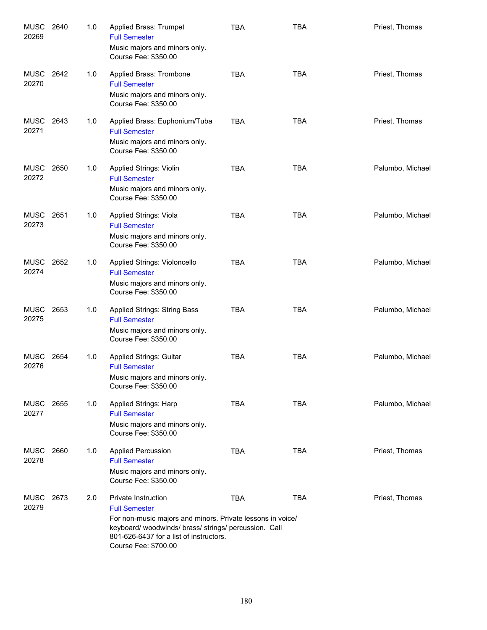| <b>MUSC</b><br>20269 | 2640 | 1.0 | <b>Applied Brass: Trumpet</b><br><b>Full Semester</b><br>Music majors and minors only.<br>Course Fee: \$350.00                                                                                                                    | <b>TBA</b> | <b>TBA</b> | Priest, Thomas   |
|----------------------|------|-----|-----------------------------------------------------------------------------------------------------------------------------------------------------------------------------------------------------------------------------------|------------|------------|------------------|
| <b>MUSC</b><br>20270 | 2642 | 1.0 | Applied Brass: Trombone<br><b>Full Semester</b><br>Music majors and minors only.<br>Course Fee: \$350.00                                                                                                                          | <b>TBA</b> | <b>TBA</b> | Priest, Thomas   |
| <b>MUSC</b><br>20271 | 2643 | 1.0 | Applied Brass: Euphonium/Tuba<br><b>Full Semester</b><br>Music majors and minors only.<br>Course Fee: \$350.00                                                                                                                    | <b>TBA</b> | <b>TBA</b> | Priest, Thomas   |
| MUSC<br>20272        | 2650 | 1.0 | Applied Strings: Violin<br><b>Full Semester</b><br>Music majors and minors only.<br>Course Fee: \$350.00                                                                                                                          | <b>TBA</b> | <b>TBA</b> | Palumbo, Michael |
| MUSC<br>20273        | 2651 | 1.0 | Applied Strings: Viola<br><b>Full Semester</b><br>Music majors and minors only.<br>Course Fee: \$350.00                                                                                                                           | <b>TBA</b> | <b>TBA</b> | Palumbo, Michael |
| <b>MUSC</b><br>20274 | 2652 | 1.0 | Applied Strings: Violoncello<br><b>Full Semester</b><br>Music majors and minors only.<br>Course Fee: \$350.00                                                                                                                     | <b>TBA</b> | <b>TBA</b> | Palumbo, Michael |
| <b>MUSC</b><br>20275 | 2653 | 1.0 | <b>Applied Strings: String Bass</b><br><b>Full Semester</b><br>Music majors and minors only.<br>Course Fee: \$350.00                                                                                                              | <b>TBA</b> | <b>TBA</b> | Palumbo, Michael |
| MUSC<br>20276        | 2654 | 1.0 | <b>Applied Strings: Guitar</b><br><b>Full Semester</b><br>Music majors and minors only.<br>Course Fee: \$350.00                                                                                                                   | <b>TBA</b> | <b>TBA</b> | Palumbo, Michael |
| MUSC<br>20277        | 2655 | 1.0 | <b>Applied Strings: Harp</b><br><b>Full Semester</b><br>Music majors and minors only.<br>Course Fee: \$350.00                                                                                                                     | <b>TBA</b> | <b>TBA</b> | Palumbo, Michael |
| MUSC<br>20278        | 2660 | 1.0 | <b>Applied Percussion</b><br><b>Full Semester</b><br>Music majors and minors only.<br>Course Fee: \$350.00                                                                                                                        | <b>TBA</b> | <b>TBA</b> | Priest, Thomas   |
| MUSC<br>20279        | 2673 | 2.0 | Private Instruction<br><b>Full Semester</b><br>For non-music majors and minors. Private lessons in voice/<br>keyboard/woodwinds/brass/strings/percussion. Call<br>801-626-6437 for a list of instructors.<br>Course Fee: \$700.00 | <b>TBA</b> | <b>TBA</b> | Priest, Thomas   |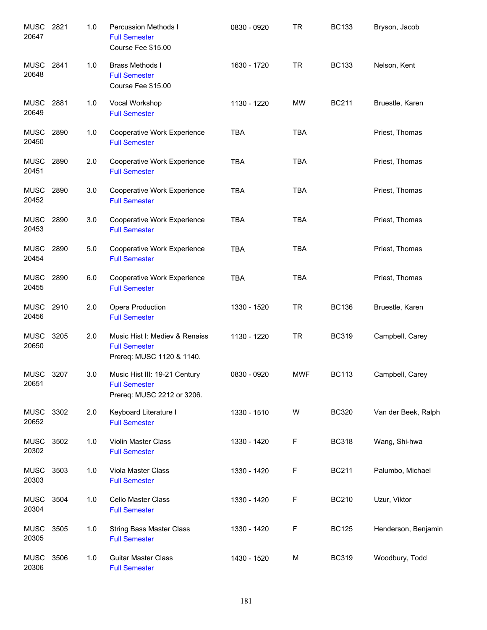| <b>MUSC</b><br>20647 | 2821 | 1.0   | Percussion Methods I<br><b>Full Semester</b><br>Course Fee \$15.00                  | 0830 - 0920 | <b>TR</b>  | <b>BC133</b> | Bryson, Jacob       |
|----------------------|------|-------|-------------------------------------------------------------------------------------|-------------|------------|--------------|---------------------|
| <b>MUSC</b><br>20648 | 2841 | 1.0   | <b>Brass Methods I</b><br><b>Full Semester</b><br>Course Fee \$15.00                | 1630 - 1720 | <b>TR</b>  | <b>BC133</b> | Nelson, Kent        |
| <b>MUSC</b><br>20649 | 2881 | 1.0   | Vocal Workshop<br><b>Full Semester</b>                                              | 1130 - 1220 | MW         | <b>BC211</b> | Bruestle, Karen     |
| <b>MUSC</b><br>20450 | 2890 | 1.0   | Cooperative Work Experience<br><b>Full Semester</b>                                 | <b>TBA</b>  | <b>TBA</b> |              | Priest, Thomas      |
| MUSC<br>20451        | 2890 | 2.0   | Cooperative Work Experience<br><b>Full Semester</b>                                 | <b>TBA</b>  | <b>TBA</b> |              | Priest, Thomas      |
| MUSC 2890<br>20452   |      | 3.0   | Cooperative Work Experience<br><b>Full Semester</b>                                 | <b>TBA</b>  | <b>TBA</b> |              | Priest, Thomas      |
| MUSC<br>20453        | 2890 | 3.0   | Cooperative Work Experience<br><b>Full Semester</b>                                 | <b>TBA</b>  | <b>TBA</b> |              | Priest, Thomas      |
| <b>MUSC</b><br>20454 | 2890 | 5.0   | Cooperative Work Experience<br><b>Full Semester</b>                                 | <b>TBA</b>  | <b>TBA</b> |              | Priest, Thomas      |
| <b>MUSC</b><br>20455 | 2890 | 6.0   | Cooperative Work Experience<br><b>Full Semester</b>                                 | <b>TBA</b>  | <b>TBA</b> |              | Priest, Thomas      |
| <b>MUSC</b><br>20456 | 2910 | 2.0   | Opera Production<br><b>Full Semester</b>                                            | 1330 - 1520 | <b>TR</b>  | <b>BC136</b> | Bruestle, Karen     |
| <b>MUSC</b><br>20650 | 3205 | 2.0   | Music Hist I: Mediev & Renaiss<br><b>Full Semester</b><br>Prereq: MUSC 1120 & 1140. | 1130 - 1220 | <b>TR</b>  | <b>BC319</b> | Campbell, Carey     |
| <b>MUSC</b><br>20651 | 3207 | 3.0   | Music Hist III: 19-21 Century<br><b>Full Semester</b><br>Prereq: MUSC 2212 or 3206. | 0830 - 0920 | <b>MWF</b> | <b>BC113</b> | Campbell, Carey     |
| <b>MUSC</b><br>20652 | 3302 | 2.0   | Keyboard Literature I<br><b>Full Semester</b>                                       | 1330 - 1510 | W          | <b>BC320</b> | Van der Beek, Ralph |
| MUSC<br>20302        | 3502 | 1.0   | Violin Master Class<br><b>Full Semester</b>                                         | 1330 - 1420 | F          | <b>BC318</b> | Wang, Shi-hwa       |
| MUSC<br>20303        | 3503 | 1.0   | Viola Master Class<br><b>Full Semester</b>                                          | 1330 - 1420 | F          | <b>BC211</b> | Palumbo, Michael    |
| <b>MUSC</b><br>20304 | 3504 | 1.0   | Cello Master Class<br><b>Full Semester</b>                                          | 1330 - 1420 | F          | <b>BC210</b> | Uzur, Viktor        |
| <b>MUSC</b><br>20305 | 3505 | $1.0$ | <b>String Bass Master Class</b><br><b>Full Semester</b>                             | 1330 - 1420 | F          | <b>BC125</b> | Henderson, Benjamin |
| <b>MUSC</b><br>20306 | 3506 | 1.0   | <b>Guitar Master Class</b><br><b>Full Semester</b>                                  | 1430 - 1520 | M          | <b>BC319</b> | Woodbury, Todd      |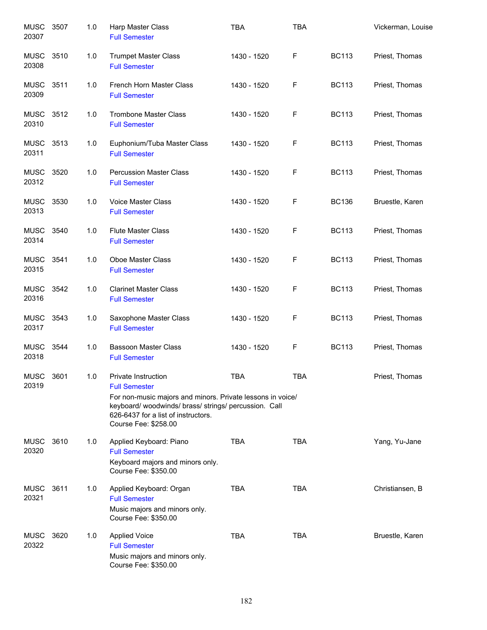| <b>MUSC</b><br>20307 | 3507 | 1.0 | Harp Master Class<br><b>Full Semester</b>                                                                                                                                                                                         | <b>TBA</b>  | <b>TBA</b> |              | Vickerman, Louise |
|----------------------|------|-----|-----------------------------------------------------------------------------------------------------------------------------------------------------------------------------------------------------------------------------------|-------------|------------|--------------|-------------------|
| MUSC<br>20308        | 3510 | 1.0 | <b>Trumpet Master Class</b><br><b>Full Semester</b>                                                                                                                                                                               | 1430 - 1520 | F          | <b>BC113</b> | Priest, Thomas    |
| MUSC<br>20309        | 3511 | 1.0 | French Horn Master Class<br><b>Full Semester</b>                                                                                                                                                                                  | 1430 - 1520 | F          | <b>BC113</b> | Priest, Thomas    |
| <b>MUSC</b><br>20310 | 3512 | 1.0 | <b>Trombone Master Class</b><br><b>Full Semester</b>                                                                                                                                                                              | 1430 - 1520 | F          | <b>BC113</b> | Priest, Thomas    |
| MUSC<br>20311        | 3513 | 1.0 | Euphonium/Tuba Master Class<br><b>Full Semester</b>                                                                                                                                                                               | 1430 - 1520 | F          | <b>BC113</b> | Priest, Thomas    |
| MUSC 3520<br>20312   |      | 1.0 | <b>Percussion Master Class</b><br><b>Full Semester</b>                                                                                                                                                                            | 1430 - 1520 | F          | <b>BC113</b> | Priest, Thomas    |
| <b>MUSC</b><br>20313 | 3530 | 1.0 | <b>Voice Master Class</b><br><b>Full Semester</b>                                                                                                                                                                                 | 1430 - 1520 | F          | <b>BC136</b> | Bruestle, Karen   |
| <b>MUSC</b><br>20314 | 3540 | 1.0 | <b>Flute Master Class</b><br><b>Full Semester</b>                                                                                                                                                                                 | 1430 - 1520 | F          | <b>BC113</b> | Priest, Thomas    |
| <b>MUSC</b><br>20315 | 3541 | 1.0 | Oboe Master Class<br><b>Full Semester</b>                                                                                                                                                                                         | 1430 - 1520 | F          | <b>BC113</b> | Priest, Thomas    |
| <b>MUSC</b><br>20316 | 3542 | 1.0 | <b>Clarinet Master Class</b><br><b>Full Semester</b>                                                                                                                                                                              | 1430 - 1520 | F          | <b>BC113</b> | Priest, Thomas    |
| <b>MUSC</b><br>20317 | 3543 | 1.0 | Saxophone Master Class<br><b>Full Semester</b>                                                                                                                                                                                    | 1430 - 1520 | F          | <b>BC113</b> | Priest, Thomas    |
| <b>MUSC</b><br>20318 | 3544 | 1.0 | <b>Bassoon Master Class</b><br><b>Full Semester</b>                                                                                                                                                                               | 1430 - 1520 | F          | <b>BC113</b> | Priest, Thomas    |
| <b>MUSC</b><br>20319 | 3601 | 1.0 | Private Instruction<br><b>Full Semester</b><br>For non-music majors and minors. Private lessons in voice/<br>keyboard/ woodwinds/ brass/ strings/ percussion. Call<br>626-6437 for a list of instructors.<br>Course Fee: \$258.00 | <b>TBA</b>  | <b>TBA</b> |              | Priest, Thomas    |
| MUSC<br>20320        | 3610 | 1.0 | Applied Keyboard: Piano<br><b>Full Semester</b><br>Keyboard majors and minors only.<br>Course Fee: \$350.00                                                                                                                       | <b>TBA</b>  | <b>TBA</b> |              | Yang, Yu-Jane     |
| MUSC<br>20321        | 3611 | 1.0 | Applied Keyboard: Organ<br><b>Full Semester</b><br>Music majors and minors only.<br>Course Fee: \$350.00                                                                                                                          | <b>TBA</b>  | <b>TBA</b> |              | Christiansen, B   |
| MUSC<br>20322        | 3620 | 1.0 | <b>Applied Voice</b><br><b>Full Semester</b><br>Music majors and minors only.<br>Course Fee: \$350.00                                                                                                                             | <b>TBA</b>  | <b>TBA</b> |              | Bruestle, Karen   |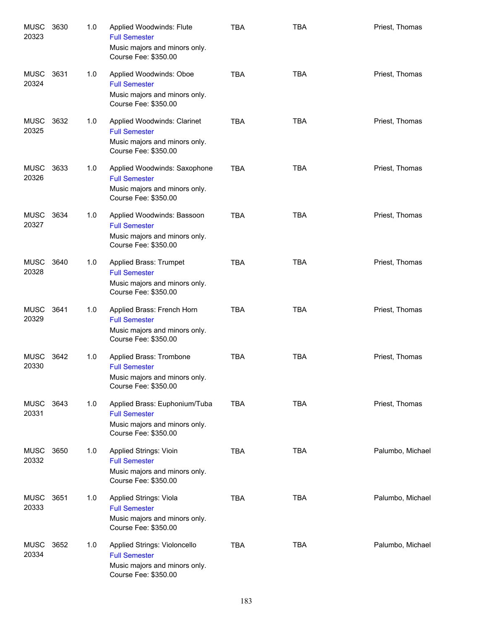| <b>MUSC</b><br>20323 | 3630 | 1.0 | Applied Woodwinds: Flute<br><b>Full Semester</b><br>Music majors and minors only.<br>Course Fee: \$350.00      | <b>TBA</b> | <b>TBA</b> | Priest, Thomas   |
|----------------------|------|-----|----------------------------------------------------------------------------------------------------------------|------------|------------|------------------|
| <b>MUSC</b><br>20324 | 3631 | 1.0 | Applied Woodwinds: Oboe<br><b>Full Semester</b><br>Music majors and minors only.<br>Course Fee: \$350.00       | <b>TBA</b> | <b>TBA</b> | Priest, Thomas   |
| <b>MUSC</b><br>20325 | 3632 | 1.0 | Applied Woodwinds: Clarinet<br><b>Full Semester</b><br>Music majors and minors only.<br>Course Fee: \$350.00   | <b>TBA</b> | <b>TBA</b> | Priest, Thomas   |
| <b>MUSC</b><br>20326 | 3633 | 1.0 | Applied Woodwinds: Saxophone<br><b>Full Semester</b><br>Music majors and minors only.<br>Course Fee: \$350.00  | <b>TBA</b> | <b>TBA</b> | Priest, Thomas   |
| MUSC<br>20327        | 3634 | 1.0 | Applied Woodwinds: Bassoon<br><b>Full Semester</b><br>Music majors and minors only.<br>Course Fee: \$350.00    | <b>TBA</b> | <b>TBA</b> | Priest, Thomas   |
| <b>MUSC</b><br>20328 | 3640 | 1.0 | Applied Brass: Trumpet<br><b>Full Semester</b><br>Music majors and minors only.<br>Course Fee: \$350.00        | <b>TBA</b> | <b>TBA</b> | Priest, Thomas   |
| MUSC<br>20329        | 3641 | 1.0 | Applied Brass: French Horn<br><b>Full Semester</b><br>Music majors and minors only.<br>Course Fee: \$350.00    | <b>TBA</b> | <b>TBA</b> | Priest, Thomas   |
| MUSC<br>20330        | 3642 | 1.0 | Applied Brass: Trombone<br><b>Full Semester</b><br>Music majors and minors only.<br>Course Fee: \$350.00       | <b>TBA</b> | <b>TBA</b> | Priest, Thomas   |
| <b>MUSC</b><br>20331 | 3643 | 1.0 | Applied Brass: Euphonium/Tuba<br><b>Full Semester</b><br>Music majors and minors only.<br>Course Fee: \$350.00 | <b>TBA</b> | <b>TBA</b> | Priest, Thomas   |
| <b>MUSC</b><br>20332 | 3650 | 1.0 | Applied Strings: Vioin<br><b>Full Semester</b><br>Music majors and minors only.<br>Course Fee: \$350.00        | <b>TBA</b> | <b>TBA</b> | Palumbo, Michael |
| <b>MUSC</b><br>20333 | 3651 | 1.0 | Applied Strings: Viola<br><b>Full Semester</b><br>Music majors and minors only.<br>Course Fee: \$350.00        | <b>TBA</b> | <b>TBA</b> | Palumbo, Michael |
| <b>MUSC</b><br>20334 | 3652 | 1.0 | Applied Strings: Violoncello<br><b>Full Semester</b><br>Music majors and minors only.<br>Course Fee: \$350.00  | <b>TBA</b> | <b>TBA</b> | Palumbo, Michael |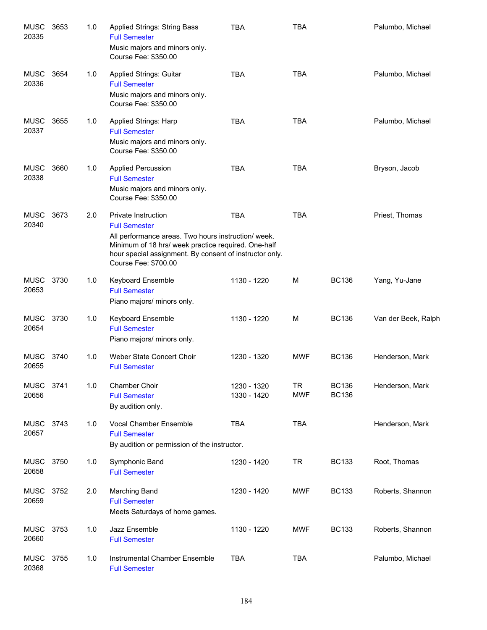| <b>MUSC</b><br>20335 | 3653 | 1.0 | <b>Applied Strings: String Bass</b><br><b>Full Semester</b><br>Music majors and minors only.<br>Course Fee: \$350.00                                                                                                                         | <b>TBA</b>                 | <b>TBA</b>              |                              | Palumbo, Michael    |
|----------------------|------|-----|----------------------------------------------------------------------------------------------------------------------------------------------------------------------------------------------------------------------------------------------|----------------------------|-------------------------|------------------------------|---------------------|
| <b>MUSC</b><br>20336 | 3654 | 1.0 | Applied Strings: Guitar<br><b>Full Semester</b><br>Music majors and minors only.<br>Course Fee: \$350.00                                                                                                                                     | <b>TBA</b>                 | <b>TBA</b>              |                              | Palumbo, Michael    |
| <b>MUSC</b><br>20337 | 3655 | 1.0 | Applied Strings: Harp<br><b>Full Semester</b><br>Music majors and minors only.<br>Course Fee: \$350.00                                                                                                                                       | <b>TBA</b>                 | <b>TBA</b>              |                              | Palumbo, Michael    |
| <b>MUSC</b><br>20338 | 3660 | 1.0 | <b>Applied Percussion</b><br><b>Full Semester</b><br>Music majors and minors only.<br>Course Fee: \$350.00                                                                                                                                   | <b>TBA</b>                 | <b>TBA</b>              |                              | Bryson, Jacob       |
| <b>MUSC</b><br>20340 | 3673 | 2.0 | Private Instruction<br><b>Full Semester</b><br>All performance areas. Two hours instruction/ week.<br>Minimum of 18 hrs/ week practice required. One-half<br>hour special assignment. By consent of instructor only.<br>Course Fee: \$700.00 | <b>TBA</b>                 | <b>TBA</b>              |                              | Priest, Thomas      |
| <b>MUSC</b><br>20653 | 3730 | 1.0 | <b>Keyboard Ensemble</b><br><b>Full Semester</b><br>Piano majors/ minors only.                                                                                                                                                               | 1130 - 1220                | M                       | <b>BC136</b>                 | Yang, Yu-Jane       |
| <b>MUSC</b><br>20654 | 3730 | 1.0 | <b>Keyboard Ensemble</b><br><b>Full Semester</b><br>Piano majors/ minors only.                                                                                                                                                               | 1130 - 1220                | M                       | <b>BC136</b>                 | Van der Beek, Ralph |
| MUSC<br>20655        | 3740 | 1.0 | Weber State Concert Choir<br><b>Full Semester</b>                                                                                                                                                                                            | 1230 - 1320                | <b>MWF</b>              | <b>BC136</b>                 | Henderson, Mark     |
| <b>MUSC</b><br>20656 | 3741 | 1.0 | Chamber Choir<br><b>Full Semester</b><br>By audition only.                                                                                                                                                                                   | 1230 - 1320<br>1330 - 1420 | <b>TR</b><br><b>MWF</b> | <b>BC136</b><br><b>BC136</b> | Henderson, Mark     |
| MUSC<br>20657        | 3743 | 1.0 | Vocal Chamber Ensemble<br><b>Full Semester</b><br>By audition or permission of the instructor.                                                                                                                                               | <b>TBA</b>                 | <b>TBA</b>              |                              | Henderson, Mark     |
| <b>MUSC</b><br>20658 | 3750 | 1.0 | Symphonic Band<br><b>Full Semester</b>                                                                                                                                                                                                       | 1230 - 1420                | <b>TR</b>               | <b>BC133</b>                 | Root, Thomas        |
| MUSC<br>20659        | 3752 | 2.0 | Marching Band<br><b>Full Semester</b><br>Meets Saturdays of home games.                                                                                                                                                                      | 1230 - 1420                | <b>MWF</b>              | <b>BC133</b>                 | Roberts, Shannon    |
| MUSC<br>20660        | 3753 | 1.0 | Jazz Ensemble<br><b>Full Semester</b>                                                                                                                                                                                                        | 1130 - 1220                | <b>MWF</b>              | <b>BC133</b>                 | Roberts, Shannon    |
| <b>MUSC</b><br>20368 | 3755 | 1.0 | Instrumental Chamber Ensemble<br><b>Full Semester</b>                                                                                                                                                                                        | <b>TBA</b>                 | <b>TBA</b>              |                              | Palumbo, Michael    |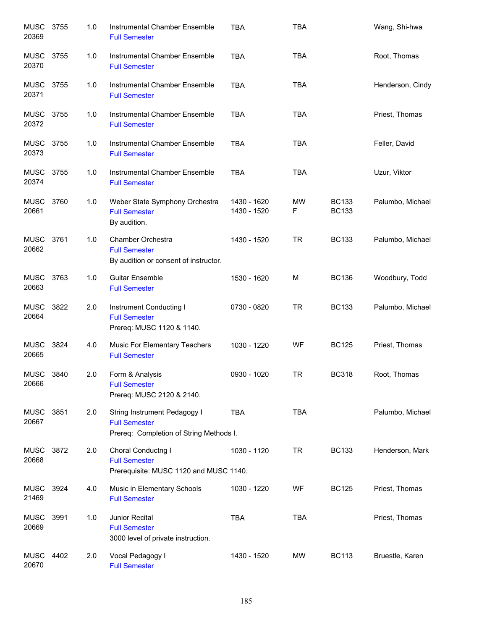| <b>MUSC</b><br>20369 | 3755 | 1.0 | Instrumental Chamber Ensemble<br><b>Full Semester</b>                                           | <b>TBA</b>                 | <b>TBA</b> |                              | Wang, Shi-hwa    |
|----------------------|------|-----|-------------------------------------------------------------------------------------------------|----------------------------|------------|------------------------------|------------------|
| <b>MUSC</b><br>20370 | 3755 | 1.0 | Instrumental Chamber Ensemble<br><b>Full Semester</b>                                           | <b>TBA</b>                 | <b>TBA</b> |                              | Root, Thomas     |
| <b>MUSC</b><br>20371 | 3755 | 1.0 | Instrumental Chamber Ensemble<br><b>Full Semester</b>                                           | <b>TBA</b>                 | <b>TBA</b> |                              | Henderson, Cindy |
| MUSC 3755<br>20372   |      | 1.0 | Instrumental Chamber Ensemble<br><b>Full Semester</b>                                           | <b>TBA</b>                 | <b>TBA</b> |                              | Priest, Thomas   |
| MUSC 3755<br>20373   |      | 1.0 | Instrumental Chamber Ensemble<br><b>Full Semester</b>                                           | <b>TBA</b>                 | <b>TBA</b> |                              | Feller, David    |
| MUSC<br>20374        | 3755 | 1.0 | Instrumental Chamber Ensemble<br><b>Full Semester</b>                                           | <b>TBA</b>                 | <b>TBA</b> |                              | Uzur, Viktor     |
| <b>MUSC</b><br>20661 | 3760 | 1.0 | Weber State Symphony Orchestra<br><b>Full Semester</b><br>By audition.                          | 1430 - 1620<br>1430 - 1520 | MW<br>F    | <b>BC133</b><br><b>BC133</b> | Palumbo, Michael |
| <b>MUSC</b><br>20662 | 3761 | 1.0 | Chamber Orchestra<br><b>Full Semester</b><br>By audition or consent of instructor.              | 1430 - 1520                | <b>TR</b>  | <b>BC133</b>                 | Palumbo, Michael |
| <b>MUSC</b><br>20663 | 3763 | 1.0 | <b>Guitar Ensemble</b><br><b>Full Semester</b>                                                  | 1530 - 1620                | M          | <b>BC136</b>                 | Woodbury, Todd   |
| <b>MUSC</b><br>20664 | 3822 | 2.0 | Instrument Conducting I<br><b>Full Semester</b><br>Prereq: MUSC 1120 & 1140.                    | 0730 - 0820                | <b>TR</b>  | <b>BC133</b>                 | Palumbo, Michael |
| <b>MUSC</b><br>20665 | 3824 | 4.0 | Music For Elementary Teachers<br><b>Full Semester</b>                                           | 1030 - 1220                | WF         | <b>BC125</b>                 | Priest, Thomas   |
| <b>MUSC</b><br>20666 | 3840 | 2.0 | Form & Analysis<br><b>Full Semester</b><br>Prereq: MUSC 2120 & 2140.                            | 0930 - 1020                | <b>TR</b>  | <b>BC318</b>                 | Root, Thomas     |
| <b>MUSC</b><br>20667 | 3851 | 2.0 | String Instrument Pedagogy I<br><b>Full Semester</b><br>Prereq: Completion of String Methods I. | <b>TBA</b>                 | <b>TBA</b> |                              | Palumbo, Michael |
| <b>MUSC</b><br>20668 | 3872 | 2.0 | Choral Conductng I<br><b>Full Semester</b><br>Prerequisite: MUSC 1120 and MUSC 1140.            | 1030 - 1120                | <b>TR</b>  | <b>BC133</b>                 | Henderson, Mark  |
| MUSC<br>21469        | 3924 | 4.0 | Music in Elementary Schools<br><b>Full Semester</b>                                             | 1030 - 1220                | WF         | <b>BC125</b>                 | Priest, Thomas   |
| MUSC<br>20669        | 3991 | 1.0 | Junior Recital<br><b>Full Semester</b><br>3000 level of private instruction.                    | <b>TBA</b>                 | <b>TBA</b> |                              | Priest, Thomas   |
| MUSC<br>20670        | 4402 | 2.0 | Vocal Pedagogy I<br><b>Full Semester</b>                                                        | 1430 - 1520                | <b>MW</b>  | <b>BC113</b>                 | Bruestle, Karen  |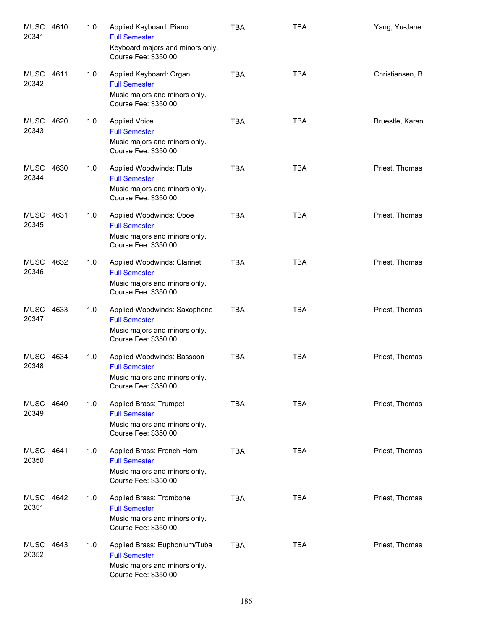| <b>MUSC</b><br>20341 | 4610 | 1.0 | Applied Keyboard: Piano<br><b>Full Semester</b><br>Keyboard majors and minors only.<br>Course Fee: \$350.00    | <b>TBA</b> | <b>TBA</b> | Yang, Yu-Jane   |
|----------------------|------|-----|----------------------------------------------------------------------------------------------------------------|------------|------------|-----------------|
| MUSC<br>20342        | 4611 | 1.0 | Applied Keyboard: Organ<br><b>Full Semester</b><br>Music majors and minors only.<br>Course Fee: \$350.00       | <b>TBA</b> | <b>TBA</b> | Christiansen, B |
| <b>MUSC</b><br>20343 | 4620 | 1.0 | <b>Applied Voice</b><br><b>Full Semester</b><br>Music majors and minors only.<br>Course Fee: \$350.00          | <b>TBA</b> | <b>TBA</b> | Bruestle, Karen |
| MUSC<br>20344        | 4630 | 1.0 | Applied Woodwinds: Flute<br><b>Full Semester</b><br>Music majors and minors only.<br>Course Fee: \$350.00      | <b>TBA</b> | <b>TBA</b> | Priest, Thomas  |
| <b>MUSC</b><br>20345 | 4631 | 1.0 | Applied Woodwinds: Oboe<br><b>Full Semester</b><br>Music majors and minors only.<br>Course Fee: \$350.00       | <b>TBA</b> | <b>TBA</b> | Priest, Thomas  |
| <b>MUSC</b><br>20346 | 4632 | 1.0 | Applied Woodwinds: Clarinet<br><b>Full Semester</b><br>Music majors and minors only.<br>Course Fee: \$350.00   | <b>TBA</b> | <b>TBA</b> | Priest, Thomas  |
| MUSC<br>20347        | 4633 | 1.0 | Applied Woodwinds: Saxophone<br><b>Full Semester</b><br>Music majors and minors only.<br>Course Fee: \$350.00  | <b>TBA</b> | <b>TBA</b> | Priest, Thomas  |
| MUSC<br>20348        | 4634 | 1.0 | Applied Woodwinds: Bassoon<br><b>Full Semester</b><br>Music majors and minors only.<br>Course Fee: \$350.00    | <b>TBA</b> | <b>TBA</b> | Priest, Thomas  |
| MUSC<br>20349        | 4640 | 1.0 | Applied Brass: Trumpet<br><b>Full Semester</b><br>Music majors and minors only.<br>Course Fee: \$350.00        | <b>TBA</b> | <b>TBA</b> | Priest, Thomas  |
| MUSC<br>20350        | 4641 | 1.0 | Applied Brass: French Horn<br><b>Full Semester</b><br>Music majors and minors only.<br>Course Fee: \$350.00    | <b>TBA</b> | <b>TBA</b> | Priest, Thomas  |
| MUSC<br>20351        | 4642 | 1.0 | Applied Brass: Trombone<br><b>Full Semester</b><br>Music majors and minors only.<br>Course Fee: \$350.00       | <b>TBA</b> | <b>TBA</b> | Priest, Thomas  |
| MUSC<br>20352        | 4643 | 1.0 | Applied Brass: Euphonium/Tuba<br><b>Full Semester</b><br>Music majors and minors only.<br>Course Fee: \$350.00 | <b>TBA</b> | <b>TBA</b> | Priest, Thomas  |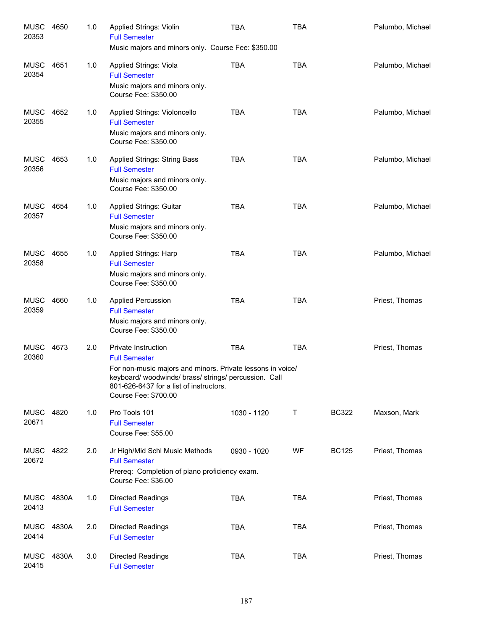| MUSC<br>20353        | 4650  | 1.0 | Applied Strings: Violin<br><b>Full Semester</b><br>Music majors and minors only. Course Fee: \$350.00                                                                                                                             | <b>TBA</b>  | <b>TBA</b> |              | Palumbo, Michael |
|----------------------|-------|-----|-----------------------------------------------------------------------------------------------------------------------------------------------------------------------------------------------------------------------------------|-------------|------------|--------------|------------------|
| MUSC<br>20354        | 4651  | 1.0 | Applied Strings: Viola<br><b>Full Semester</b><br>Music majors and minors only.<br>Course Fee: \$350.00                                                                                                                           | <b>TBA</b>  | <b>TBA</b> |              | Palumbo, Michael |
| MUSC<br>20355        | 4652  | 1.0 | Applied Strings: Violoncello<br><b>Full Semester</b><br>Music majors and minors only.<br>Course Fee: \$350.00                                                                                                                     | <b>TBA</b>  | <b>TBA</b> |              | Palumbo, Michael |
| MUSC<br>20356        | 4653  | 1.0 | Applied Strings: String Bass<br><b>Full Semester</b><br>Music majors and minors only.<br>Course Fee: \$350.00                                                                                                                     | <b>TBA</b>  | <b>TBA</b> |              | Palumbo, Michael |
| MUSC<br>20357        | 4654  | 1.0 | <b>Applied Strings: Guitar</b><br><b>Full Semester</b><br>Music majors and minors only.<br>Course Fee: \$350.00                                                                                                                   | <b>TBA</b>  | <b>TBA</b> |              | Palumbo, Michael |
| <b>MUSC</b><br>20358 | 4655  | 1.0 | <b>Applied Strings: Harp</b><br><b>Full Semester</b><br>Music majors and minors only.<br>Course Fee: \$350.00                                                                                                                     | <b>TBA</b>  | <b>TBA</b> |              | Palumbo, Michael |
| <b>MUSC</b><br>20359 | 4660  | 1.0 | <b>Applied Percussion</b><br><b>Full Semester</b><br>Music majors and minors only.<br>Course Fee: \$350.00                                                                                                                        | <b>TBA</b>  | <b>TBA</b> |              | Priest, Thomas   |
| <b>MUSC</b><br>20360 | 4673  | 2.0 | Private Instruction<br><b>Full Semester</b><br>For non-music majors and minors. Private lessons in voice/<br>keyboard/woodwinds/brass/strings/percussion. Call<br>801-626-6437 for a list of instructors.<br>Course Fee: \$700.00 | <b>TBA</b>  | <b>TBA</b> |              | Priest, Thomas   |
| MUSC 4820<br>20671   |       | 1.0 | Pro Tools 101<br><b>Full Semester</b><br>Course Fee: \$55.00                                                                                                                                                                      | 1030 - 1120 | Τ          | <b>BC322</b> | Maxson, Mark     |
| MUSC 4822<br>20672   |       | 2.0 | Jr High/Mid Schl Music Methods<br><b>Full Semester</b><br>Prereq: Completion of piano proficiency exam.<br>Course Fee: \$36.00                                                                                                    | 0930 - 1020 | WF         | <b>BC125</b> | Priest, Thomas   |
| <b>MUSC</b><br>20413 | 4830A | 1.0 | <b>Directed Readings</b><br><b>Full Semester</b>                                                                                                                                                                                  | <b>TBA</b>  | <b>TBA</b> |              | Priest, Thomas   |
| <b>MUSC</b><br>20414 | 4830A | 2.0 | <b>Directed Readings</b><br><b>Full Semester</b>                                                                                                                                                                                  | <b>TBA</b>  | <b>TBA</b> |              | Priest, Thomas   |
| MUSC<br>20415        | 4830A | 3.0 | <b>Directed Readings</b><br><b>Full Semester</b>                                                                                                                                                                                  | <b>TBA</b>  | <b>TBA</b> |              | Priest, Thomas   |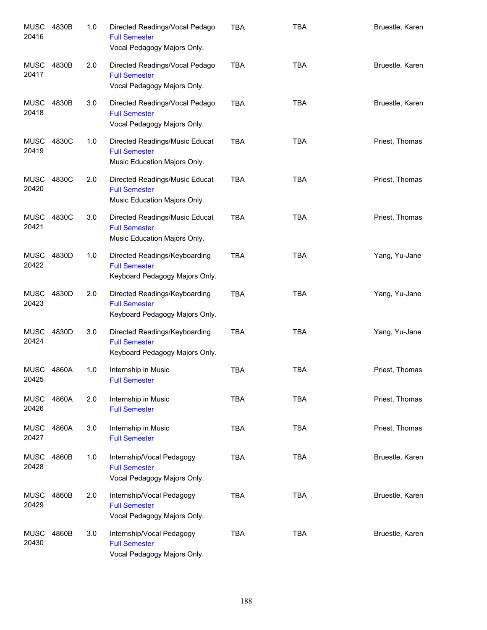| <b>MUSC</b><br>20416 | 4830B | 1.0 | Directed Readings/Vocal Pedago<br><b>Full Semester</b><br>Vocal Pedagogy Majors Only.   | <b>TBA</b> | <b>TBA</b> | Bruestle, Karen |
|----------------------|-------|-----|-----------------------------------------------------------------------------------------|------------|------------|-----------------|
| MUSC<br>20417        | 4830B | 2.0 | Directed Readings/Vocal Pedago<br><b>Full Semester</b><br>Vocal Pedagogy Majors Only.   | <b>TBA</b> | <b>TBA</b> | Bruestle, Karen |
| MUSC<br>20418        | 4830B | 3.0 | Directed Readings/Vocal Pedago<br><b>Full Semester</b><br>Vocal Pedagogy Majors Only.   | <b>TBA</b> | <b>TBA</b> | Bruestle, Karen |
| MUSC<br>20419        | 4830C | 1.0 | Directed Readings/Music Educat<br><b>Full Semester</b><br>Music Education Majors Only.  | <b>TBA</b> | <b>TBA</b> | Priest, Thomas  |
| MUSC<br>20420        | 4830C | 2.0 | Directed Readings/Music Educat<br><b>Full Semester</b><br>Music Education Majors Only.  | <b>TBA</b> | <b>TBA</b> | Priest, Thomas  |
| MUSC<br>20421        | 4830C | 3.0 | Directed Readings/Music Educat<br><b>Full Semester</b><br>Music Education Majors Only.  | <b>TBA</b> | <b>TBA</b> | Priest, Thomas  |
| MUSC<br>20422        | 4830D | 1.0 | Directed Readings/Keyboarding<br><b>Full Semester</b><br>Keyboard Pedagogy Majors Only. | <b>TBA</b> | <b>TBA</b> | Yang, Yu-Jane   |
| MUSC<br>20423        | 4830D | 2.0 | Directed Readings/Keyboarding<br><b>Full Semester</b><br>Keyboard Pedagogy Majors Only. | <b>TBA</b> | <b>TBA</b> | Yang, Yu-Jane   |
| MUSC<br>20424        | 4830D | 3.0 | Directed Readings/Keyboarding<br><b>Full Semester</b><br>Keyboard Pedagogy Majors Only. | <b>TBA</b> | <b>TBA</b> | Yang, Yu-Jane   |
| MUSC<br>20425        | 4860A | 1.0 | Internship in Music<br><b>Full Semester</b>                                             | <b>TBA</b> | <b>TBA</b> | Priest, Thomas  |
| <b>MUSC</b><br>20426 | 4860A | 2.0 | Internship in Music<br><b>Full Semester</b>                                             | <b>TBA</b> | <b>TBA</b> | Priest, Thomas  |
| <b>MUSC</b><br>20427 | 4860A | 3.0 | Internship in Music<br><b>Full Semester</b>                                             | <b>TBA</b> | <b>TBA</b> | Priest, Thomas  |
| <b>MUSC</b><br>20428 | 4860B | 1.0 | Internship/Vocal Pedagogy<br><b>Full Semester</b><br>Vocal Pedagogy Majors Only.        | <b>TBA</b> | <b>TBA</b> | Bruestle, Karen |
| <b>MUSC</b><br>20429 | 4860B | 2.0 | Internship/Vocal Pedagogy<br><b>Full Semester</b><br>Vocal Pedagogy Majors Only.        | <b>TBA</b> | <b>TBA</b> | Bruestle, Karen |
| <b>MUSC</b><br>20430 | 4860B | 3.0 | Internship/Vocal Pedagogy<br><b>Full Semester</b><br>Vocal Pedagogy Majors Only.        | <b>TBA</b> | <b>TBA</b> | Bruestle, Karen |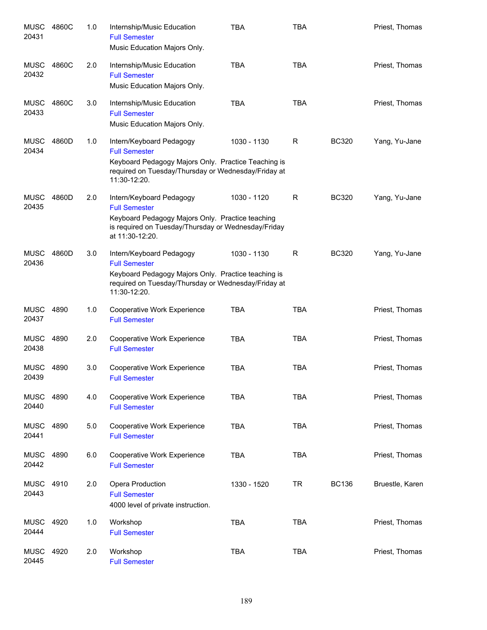| <b>MUSC</b><br>20431 | 4860C | 1.0 | Internship/Music Education<br><b>Full Semester</b><br>Music Education Majors Only.                                                                                             | <b>TBA</b>  | <b>TBA</b> |              | Priest, Thomas  |
|----------------------|-------|-----|--------------------------------------------------------------------------------------------------------------------------------------------------------------------------------|-------------|------------|--------------|-----------------|
| MUSC<br>20432        | 4860C | 2.0 | Internship/Music Education<br><b>Full Semester</b><br>Music Education Majors Only.                                                                                             | <b>TBA</b>  | <b>TBA</b> |              | Priest, Thomas  |
| MUSC<br>20433        | 4860C | 3.0 | Internship/Music Education<br><b>Full Semester</b><br>Music Education Majors Only.                                                                                             | <b>TBA</b>  | <b>TBA</b> |              | Priest, Thomas  |
| MUSC<br>20434        | 4860D | 1.0 | Intern/Keyboard Pedagogy<br><b>Full Semester</b><br>Keyboard Pedagogy Majors Only. Practice Teaching is<br>required on Tuesday/Thursday or Wednesday/Friday at<br>11:30-12:20. | 1030 - 1130 | R          | <b>BC320</b> | Yang, Yu-Jane   |
| <b>MUSC</b><br>20435 | 4860D | 2.0 | Intern/Keyboard Pedagogy<br><b>Full Semester</b><br>Keyboard Pedagogy Majors Only. Practice teaching<br>is required on Tuesday/Thursday or Wednesday/Friday<br>at 11:30-12:20. | 1030 - 1120 | R          | <b>BC320</b> | Yang, Yu-Jane   |
| <b>MUSC</b><br>20436 | 4860D | 3.0 | Intern/Keyboard Pedagogy<br><b>Full Semester</b><br>Keyboard Pedagogy Majors Only. Practice teaching is<br>required on Tuesday/Thursday or Wednesday/Friday at<br>11:30-12:20. | 1030 - 1130 | R          | <b>BC320</b> | Yang, Yu-Jane   |
| MUSC<br>20437        | 4890  | 1.0 | Cooperative Work Experience<br><b>Full Semester</b>                                                                                                                            | <b>TBA</b>  | <b>TBA</b> |              | Priest, Thomas  |
| <b>MUSC</b><br>20438 | 4890  | 2.0 | Cooperative Work Experience<br><b>Full Semester</b>                                                                                                                            | <b>TBA</b>  | <b>TBA</b> |              | Priest, Thomas  |
| <b>MUSC</b><br>20439 | 4890  | 3.0 | Cooperative Work Experience<br><b>Full Semester</b>                                                                                                                            | <b>TBA</b>  | <b>TBA</b> |              | Priest, Thomas  |
| <b>MUSC</b><br>20440 | 4890  | 4.0 | Cooperative Work Experience<br><b>Full Semester</b>                                                                                                                            | <b>TBA</b>  | <b>TBA</b> |              | Priest, Thomas  |
| MUSC<br>20441        | 4890  | 5.0 | Cooperative Work Experience<br><b>Full Semester</b>                                                                                                                            | <b>TBA</b>  | <b>TBA</b> |              | Priest, Thomas  |
| MUSC<br>20442        | 4890  | 6.0 | Cooperative Work Experience<br><b>Full Semester</b>                                                                                                                            | <b>TBA</b>  | <b>TBA</b> |              | Priest, Thomas  |
| <b>MUSC</b><br>20443 | 4910  | 2.0 | Opera Production<br><b>Full Semester</b><br>4000 level of private instruction.                                                                                                 | 1330 - 1520 | <b>TR</b>  | <b>BC136</b> | Bruestle, Karen |
| MUSC<br>20444        | 4920  | 1.0 | Workshop<br><b>Full Semester</b>                                                                                                                                               | <b>TBA</b>  | <b>TBA</b> |              | Priest, Thomas  |
| <b>MUSC</b><br>20445 | 4920  | 2.0 | Workshop<br><b>Full Semester</b>                                                                                                                                               | <b>TBA</b>  | <b>TBA</b> |              | Priest, Thomas  |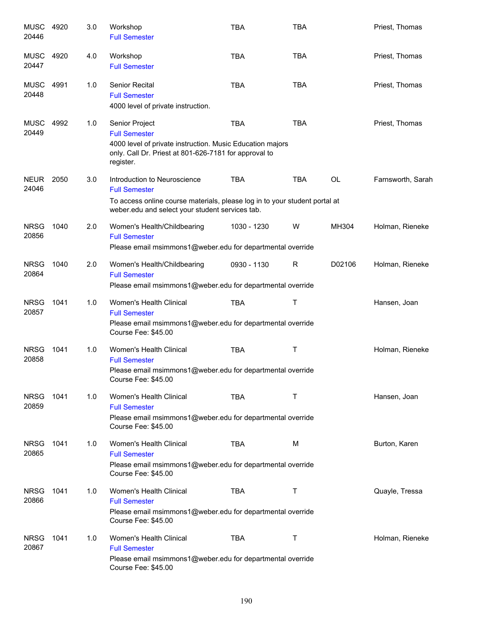| <b>MUSC</b><br>20446 | 4920 | 3.0 | Workshop<br><b>Full Semester</b>                                                                                                                                                      | <b>TBA</b>  | <b>TBA</b> |        | Priest, Thomas    |
|----------------------|------|-----|---------------------------------------------------------------------------------------------------------------------------------------------------------------------------------------|-------------|------------|--------|-------------------|
| <b>MUSC</b><br>20447 | 4920 | 4.0 | Workshop<br><b>Full Semester</b>                                                                                                                                                      | <b>TBA</b>  | <b>TBA</b> |        | Priest, Thomas    |
| <b>MUSC</b><br>20448 | 4991 | 1.0 | <b>Senior Recital</b><br><b>Full Semester</b><br>4000 level of private instruction.                                                                                                   | <b>TBA</b>  | <b>TBA</b> |        | Priest, Thomas    |
| <b>MUSC</b><br>20449 | 4992 | 1.0 | Senior Project<br><b>Full Semester</b><br>4000 level of private instruction. Music Education majors<br>only. Call Dr. Priest at 801-626-7181 for approval to<br>register.             | <b>TBA</b>  | <b>TBA</b> |        | Priest, Thomas    |
| <b>NEUR</b><br>24046 | 2050 | 3.0 | Introduction to Neuroscience<br><b>Full Semester</b><br>To access online course materials, please log in to your student portal at<br>weber.edu and select your student services tab. | <b>TBA</b>  | <b>TBA</b> | OL     | Farnsworth, Sarah |
| <b>NRSG</b><br>20856 | 1040 | 2.0 | Women's Health/Childbearing<br><b>Full Semester</b><br>Please email msimmons1@weber.edu for departmental override                                                                     | 1030 - 1230 | W          | MH304  | Holman, Rieneke   |
| <b>NRSG</b><br>20864 | 1040 | 2.0 | Women's Health/Childbearing<br><b>Full Semester</b><br>Please email msimmons1@weber.edu for departmental override                                                                     | 0930 - 1130 | R          | D02106 | Holman, Rieneke   |
| <b>NRSG</b><br>20857 | 1041 | 1.0 | Women's Health Clinical<br><b>Full Semester</b><br>Please email msimmons1@weber.edu for departmental override<br>Course Fee: \$45.00                                                  | <b>TBA</b>  | Τ          |        | Hansen, Joan      |
| <b>NRSG</b><br>20858 | 1041 | 1.0 | Women's Health Clinical<br><b>Full Semester</b><br>Please email msimmons1@weber.edu for departmental override<br>Course Fee: \$45.00                                                  | <b>TBA</b>  | Τ          |        | Holman, Rieneke   |
| <b>NRSG</b><br>20859 | 1041 | 1.0 | Women's Health Clinical<br><b>Full Semester</b><br>Please email msimmons1@weber.edu for departmental override<br>Course Fee: \$45.00                                                  | <b>TBA</b>  | Т          |        | Hansen, Joan      |
| <b>NRSG</b><br>20865 | 1041 | 1.0 | Women's Health Clinical<br><b>Full Semester</b><br>Please email msimmons1@weber.edu for departmental override<br>Course Fee: \$45.00                                                  | <b>TBA</b>  | м          |        | Burton, Karen     |
| <b>NRSG</b><br>20866 | 1041 | 1.0 | Women's Health Clinical<br><b>Full Semester</b><br>Please email msimmons1@weber.edu for departmental override<br>Course Fee: \$45.00                                                  | <b>TBA</b>  | Т          |        | Quayle, Tressa    |
| <b>NRSG</b><br>20867 | 1041 | 1.0 | Women's Health Clinical<br><b>Full Semester</b><br>Please email msimmons1@weber.edu for departmental override<br>Course Fee: \$45.00                                                  | <b>TBA</b>  | Τ          |        | Holman, Rieneke   |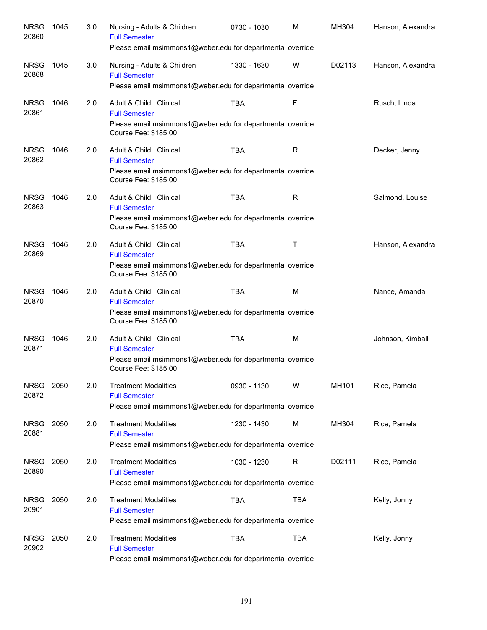| <b>NRSG</b><br>20860 | 1045 | 3.0 | Nursing - Adults & Children I<br><b>Full Semester</b><br>Please email msimmons1@weber.edu for departmental override                    | 0730 - 1030 | M            | MH304  | Hanson, Alexandra |
|----------------------|------|-----|----------------------------------------------------------------------------------------------------------------------------------------|-------------|--------------|--------|-------------------|
| <b>NRSG</b><br>20868 | 1045 | 3.0 | Nursing - Adults & Children I<br><b>Full Semester</b><br>Please email msimmons1@weber.edu for departmental override                    | 1330 - 1630 | W            | D02113 | Hanson, Alexandra |
| <b>NRSG</b><br>20861 | 1046 | 2.0 | Adult & Child I Clinical<br><b>Full Semester</b><br>Please email msimmons1@weber.edu for departmental override<br>Course Fee: \$185.00 | <b>TBA</b>  | F            |        | Rusch, Linda      |
| <b>NRSG</b><br>20862 | 1046 | 2.0 | Adult & Child I Clinical<br><b>Full Semester</b><br>Please email msimmons1@weber.edu for departmental override<br>Course Fee: \$185.00 | <b>TBA</b>  | $\mathsf{R}$ |        | Decker, Jenny     |
| <b>NRSG</b><br>20863 | 1046 | 2.0 | Adult & Child I Clinical<br><b>Full Semester</b><br>Please email msimmons1@weber.edu for departmental override<br>Course Fee: \$185.00 | <b>TBA</b>  | R            |        | Salmond, Louise   |
| <b>NRSG</b><br>20869 | 1046 | 2.0 | Adult & Child I Clinical<br><b>Full Semester</b><br>Please email msimmons1@weber.edu for departmental override<br>Course Fee: \$185.00 | <b>TBA</b>  | Т            |        | Hanson, Alexandra |
| <b>NRSG</b><br>20870 | 1046 | 2.0 | Adult & Child I Clinical<br><b>Full Semester</b><br>Please email msimmons1@weber.edu for departmental override<br>Course Fee: \$185.00 | <b>TBA</b>  | M            |        | Nance, Amanda     |
| <b>NRSG</b><br>20871 | 1046 | 2.0 | Adult & Child I Clinical<br><b>Full Semester</b><br>Please email msimmons1@weber.edu for departmental override<br>Course Fee: \$185.00 | <b>TBA</b>  | M            |        | Johnson, Kimball  |
| <b>NRSG</b><br>20872 | 2050 | 2.0 | <b>Treatment Modalities</b><br><b>Full Semester</b><br>Please email msimmons1@weber.edu for departmental override                      | 0930 - 1130 | W            | MH101  | Rice, Pamela      |
| <b>NRSG</b><br>20881 | 2050 | 2.0 | <b>Treatment Modalities</b><br><b>Full Semester</b><br>Please email msimmons1@weber.edu for departmental override                      | 1230 - 1430 | M            | MH304  | Rice, Pamela      |
| <b>NRSG</b><br>20890 | 2050 | 2.0 | <b>Treatment Modalities</b><br><b>Full Semester</b><br>Please email msimmons1@weber.edu for departmental override                      | 1030 - 1230 | R            | D02111 | Rice, Pamela      |
| <b>NRSG</b><br>20901 | 2050 | 2.0 | <b>Treatment Modalities</b><br><b>Full Semester</b><br>Please email msimmons1@weber.edu for departmental override                      | <b>TBA</b>  | <b>TBA</b>   |        | Kelly, Jonny      |
| <b>NRSG</b><br>20902 | 2050 | 2.0 | <b>Treatment Modalities</b><br><b>Full Semester</b><br>Please email msimmons1@weber.edu for departmental override                      | <b>TBA</b>  | <b>TBA</b>   |        | Kelly, Jonny      |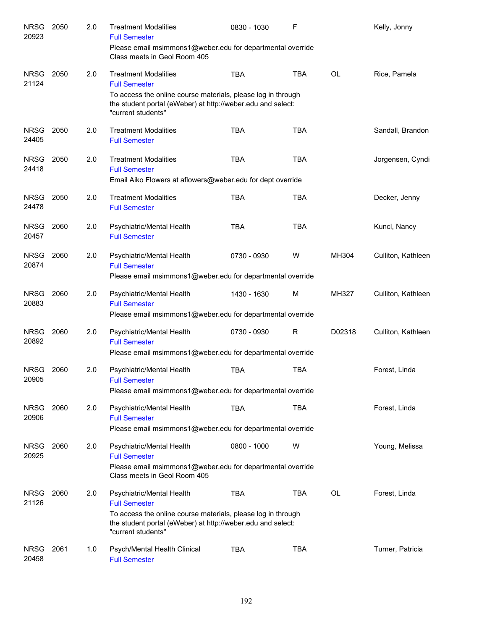| <b>NRSG</b><br>20923 | 2050 | 2.0 | <b>Treatment Modalities</b><br><b>Full Semester</b>                                                                                                                                                    | 0830 - 1030 | F          |           | Kelly, Jonny       |
|----------------------|------|-----|--------------------------------------------------------------------------------------------------------------------------------------------------------------------------------------------------------|-------------|------------|-----------|--------------------|
|                      |      |     | Please email msimmons1@weber.edu for departmental override<br>Class meets in Geol Room 405                                                                                                             |             |            |           |                    |
| <b>NRSG</b><br>21124 | 2050 | 2.0 | <b>Treatment Modalities</b><br><b>Full Semester</b>                                                                                                                                                    | <b>TBA</b>  | <b>TBA</b> | <b>OL</b> | Rice, Pamela       |
|                      |      |     | To access the online course materials, please log in through<br>the student portal (eWeber) at http://weber.edu and select:<br>"current students"                                                      |             |            |           |                    |
| <b>NRSG</b><br>24405 | 2050 | 2.0 | <b>Treatment Modalities</b><br><b>Full Semester</b>                                                                                                                                                    | <b>TBA</b>  | <b>TBA</b> |           | Sandall, Brandon   |
| <b>NRSG</b><br>24418 | 2050 | 2.0 | <b>Treatment Modalities</b><br><b>Full Semester</b>                                                                                                                                                    | <b>TBA</b>  | <b>TBA</b> |           | Jorgensen, Cyndi   |
|                      |      |     | Email Aiko Flowers at aflowers@weber.edu for dept override                                                                                                                                             |             |            |           |                    |
| <b>NRSG</b><br>24478 | 2050 | 2.0 | <b>Treatment Modalities</b><br><b>Full Semester</b>                                                                                                                                                    | <b>TBA</b>  | <b>TBA</b> |           | Decker, Jenny      |
| <b>NRSG</b><br>20457 | 2060 | 2.0 | Psychiatric/Mental Health<br><b>Full Semester</b>                                                                                                                                                      | <b>TBA</b>  | <b>TBA</b> |           | Kuncl, Nancy       |
| <b>NRSG</b><br>20874 | 2060 | 2.0 | Psychiatric/Mental Health<br><b>Full Semester</b><br>Please email msimmons1@weber.edu for departmental override                                                                                        | 0730 - 0930 | W          | MH304     | Culliton, Kathleen |
| <b>NRSG</b><br>20883 | 2060 | 2.0 | Psychiatric/Mental Health<br><b>Full Semester</b>                                                                                                                                                      | 1430 - 1630 | M          | MH327     | Culliton, Kathleen |
|                      |      |     | Please email msimmons1@weber.edu for departmental override                                                                                                                                             |             |            |           |                    |
| <b>NRSG</b><br>20892 | 2060 | 2.0 | Psychiatric/Mental Health<br><b>Full Semester</b><br>Please email msimmons1@weber.edu for departmental override                                                                                        | 0730 - 0930 | R          | D02318    | Culliton, Kathleen |
|                      |      |     |                                                                                                                                                                                                        |             |            |           |                    |
| <b>NRSG</b><br>20905 | 2060 | 2.0 | Psychiatric/Mental Health<br><b>Full Semester</b><br>Please email msimmons1@weber.edu for departmental override                                                                                        | TBA         | <b>TBA</b> |           | Forest, Linda      |
|                      |      |     |                                                                                                                                                                                                        |             |            |           |                    |
| <b>NRSG</b><br>20906 | 2060 | 2.0 | Psychiatric/Mental Health<br><b>Full Semester</b><br>Please email msimmons1@weber.edu for departmental override                                                                                        | <b>TBA</b>  | <b>TBA</b> |           | Forest, Linda      |
|                      |      |     |                                                                                                                                                                                                        |             |            |           |                    |
| <b>NRSG</b><br>20925 | 2060 | 2.0 | Psychiatric/Mental Health<br><b>Full Semester</b><br>Please email msimmons1@weber.edu for departmental override<br>Class meets in Geol Room 405                                                        | 0800 - 1000 | W          |           | Young, Melissa     |
| <b>NRSG</b><br>21126 | 2060 | 2.0 | Psychiatric/Mental Health<br><b>Full Semester</b><br>To access the online course materials, please log in through<br>the student portal (eWeber) at http://weber.edu and select:<br>"current students" | <b>TBA</b>  | TBA        | OL        | Forest, Linda      |
| <b>NRSG</b><br>20458 | 2061 | 1.0 | Psych/Mental Health Clinical<br><b>Full Semester</b>                                                                                                                                                   | <b>TBA</b>  | TBA        |           | Turner, Patricia   |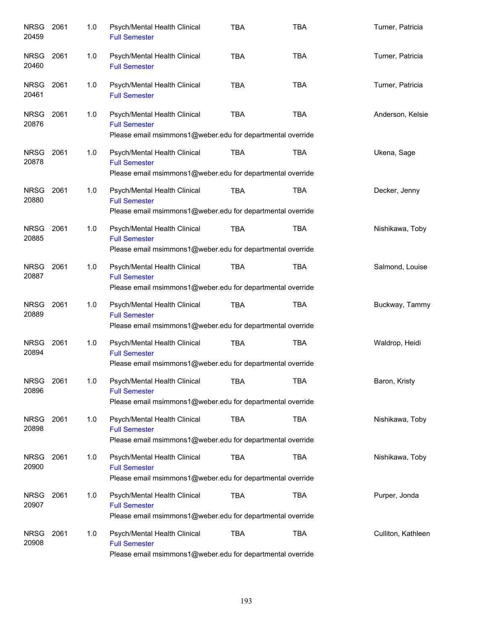| <b>NRSG</b><br>20459 | 2061 | 1.0 | Psych/Mental Health Clinical<br><b>Full Semester</b>                                                               | <b>TBA</b> | <b>TBA</b> | Turner, Patricia   |
|----------------------|------|-----|--------------------------------------------------------------------------------------------------------------------|------------|------------|--------------------|
| <b>NRSG</b><br>20460 | 2061 | 1.0 | Psych/Mental Health Clinical<br><b>Full Semester</b>                                                               | <b>TBA</b> | <b>TBA</b> | Turner, Patricia   |
| <b>NRSG</b><br>20461 | 2061 | 1.0 | Psych/Mental Health Clinical<br><b>Full Semester</b>                                                               | <b>TBA</b> | <b>TBA</b> | Turner, Patricia   |
| NRSG<br>20876        | 2061 | 1.0 | Psych/Mental Health Clinical<br><b>Full Semester</b><br>Please email msimmons1@weber.edu for departmental override | <b>TBA</b> | <b>TBA</b> | Anderson, Kelsie   |
| <b>NRSG</b><br>20878 | 2061 | 1.0 | Psych/Mental Health Clinical<br><b>Full Semester</b><br>Please email msimmons1@weber.edu for departmental override | <b>TBA</b> | <b>TBA</b> | Ukena, Sage        |
| <b>NRSG</b><br>20880 | 2061 | 1.0 | Psych/Mental Health Clinical<br><b>Full Semester</b><br>Please email msimmons1@weber.edu for departmental override | <b>TBA</b> | <b>TBA</b> | Decker, Jenny      |
| <b>NRSG</b><br>20885 | 2061 | 1.0 | Psych/Mental Health Clinical<br><b>Full Semester</b><br>Please email msimmons1@weber.edu for departmental override | <b>TBA</b> | <b>TBA</b> | Nishikawa, Toby    |
| NRSG<br>20887        | 2061 | 1.0 | Psych/Mental Health Clinical<br><b>Full Semester</b><br>Please email msimmons1@weber.edu for departmental override | <b>TBA</b> | <b>TBA</b> | Salmond, Louise    |
| <b>NRSG</b><br>20889 | 2061 | 1.0 | Psych/Mental Health Clinical<br><b>Full Semester</b><br>Please email msimmons1@weber.edu for departmental override | <b>TBA</b> | <b>TBA</b> | Buckway, Tammy     |
| <b>NRSG</b><br>20894 | 2061 | 1.0 | Psych/Mental Health Clinical<br><b>Full Semester</b><br>Please email msimmons1@weber.edu for departmental override | <b>TBA</b> | <b>TBA</b> | Waldrop, Heidi     |
| NRSG<br>20896        | 2061 | 1.0 | Psych/Mental Health Clinical<br><b>Full Semester</b><br>Please email msimmons1@weber.edu for departmental override | TBA        | TBA        | Baron, Kristy      |
| <b>NRSG</b><br>20898 | 2061 | 1.0 | Psych/Mental Health Clinical<br><b>Full Semester</b><br>Please email msimmons1@weber.edu for departmental override | <b>TBA</b> | <b>TBA</b> | Nishikawa, Toby    |
| <b>NRSG</b><br>20900 | 2061 | 1.0 | Psych/Mental Health Clinical<br><b>Full Semester</b><br>Please email msimmons1@weber.edu for departmental override | <b>TBA</b> | <b>TBA</b> | Nishikawa, Toby    |
| <b>NRSG</b><br>20907 | 2061 | 1.0 | Psych/Mental Health Clinical<br><b>Full Semester</b><br>Please email msimmons1@weber.edu for departmental override | <b>TBA</b> | <b>TBA</b> | Purper, Jonda      |
| <b>NRSG</b><br>20908 | 2061 | 1.0 | Psych/Mental Health Clinical<br><b>Full Semester</b><br>Please email msimmons1@weber.edu for departmental override | <b>TBA</b> | <b>TBA</b> | Culliton, Kathleen |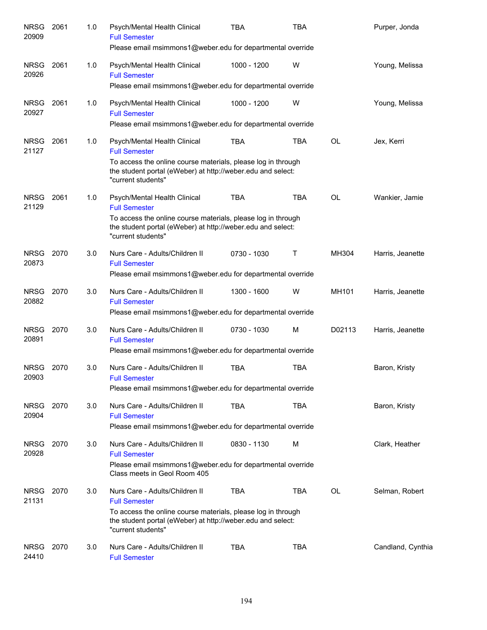| <b>NRSG</b><br>20909 | 2061 | 1.0 | Psych/Mental Health Clinical<br><b>Full Semester</b><br>Please email msimmons1@weber.edu for departmental override                                                                                          | <b>TBA</b>  | <b>TBA</b>   |           | Purper, Jonda     |
|----------------------|------|-----|-------------------------------------------------------------------------------------------------------------------------------------------------------------------------------------------------------------|-------------|--------------|-----------|-------------------|
| <b>NRSG</b><br>20926 | 2061 | 1.0 | Psych/Mental Health Clinical<br><b>Full Semester</b><br>Please email msimmons1@weber.edu for departmental override                                                                                          | 1000 - 1200 | W            |           | Young, Melissa    |
| <b>NRSG</b><br>20927 | 2061 | 1.0 | Psych/Mental Health Clinical<br><b>Full Semester</b><br>Please email msimmons1@weber.edu for departmental override                                                                                          | 1000 - 1200 | W            |           | Young, Melissa    |
| <b>NRSG</b><br>21127 | 2061 | 1.0 | Psych/Mental Health Clinical<br><b>Full Semester</b><br>To access the online course materials, please log in through<br>the student portal (eWeber) at http://weber.edu and select:<br>"current students"   | <b>TBA</b>  | <b>TBA</b>   | <b>OL</b> | Jex, Kerri        |
| <b>NRSG</b><br>21129 | 2061 | 1.0 | Psych/Mental Health Clinical<br><b>Full Semester</b><br>To access the online course materials, please log in through<br>the student portal (eWeber) at http://weber.edu and select:<br>"current students"   | <b>TBA</b>  | <b>TBA</b>   | <b>OL</b> | Wankier, Jamie    |
| <b>NRSG</b><br>20873 | 2070 | 3.0 | Nurs Care - Adults/Children II<br><b>Full Semester</b><br>Please email msimmons1@weber.edu for departmental override                                                                                        | 0730 - 1030 | $\mathsf{T}$ | MH304     | Harris, Jeanette  |
| <b>NRSG</b><br>20882 | 2070 | 3.0 | Nurs Care - Adults/Children II<br><b>Full Semester</b><br>Please email msimmons1@weber.edu for departmental override                                                                                        | 1300 - 1600 | W            | MH101     | Harris, Jeanette  |
| <b>NRSG</b><br>20891 | 2070 | 3.0 | Nurs Care - Adults/Children II<br><b>Full Semester</b><br>Please email msimmons1@weber.edu for departmental override                                                                                        | 0730 - 1030 | M            | D02113    | Harris, Jeanette  |
| <b>NRSG</b><br>20903 | 2070 | 3.0 | Nurs Care - Adults/Children II<br><b>Full Semester</b><br>Please email msimmons1@weber.edu for departmental override                                                                                        | <b>TBA</b>  | <b>TBA</b>   |           | Baron, Kristy     |
| <b>NRSG</b><br>20904 | 2070 | 3.0 | Nurs Care - Adults/Children II<br><b>Full Semester</b><br>Please email msimmons1@weber.edu for departmental override                                                                                        | <b>TBA</b>  | <b>TBA</b>   |           | Baron, Kristy     |
| <b>NRSG</b><br>20928 | 2070 | 3.0 | Nurs Care - Adults/Children II<br><b>Full Semester</b><br>Please email msimmons1@weber.edu for departmental override<br>Class meets in Geol Room 405                                                        | 0830 - 1130 | M            |           | Clark, Heather    |
| <b>NRSG</b><br>21131 | 2070 | 3.0 | Nurs Care - Adults/Children II<br><b>Full Semester</b><br>To access the online course materials, please log in through<br>the student portal (eWeber) at http://weber.edu and select:<br>"current students" | <b>TBA</b>  | <b>TBA</b>   | OL        | Selman, Robert    |
| <b>NRSG</b><br>24410 | 2070 | 3.0 | Nurs Care - Adults/Children II<br><b>Full Semester</b>                                                                                                                                                      | TBA         | <b>TBA</b>   |           | Candland, Cynthia |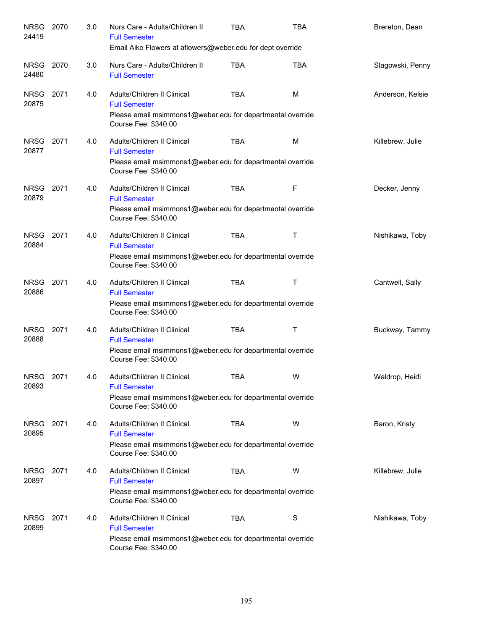| NRSG 2070<br>24419   |      | 3.0 | Nurs Care - Adults/Children II<br><b>Full Semester</b><br>Email Aiko Flowers at aflowers@weber.edu for dept override                      | <b>TBA</b> | <b>TBA</b> | Brereton, Dean   |
|----------------------|------|-----|-------------------------------------------------------------------------------------------------------------------------------------------|------------|------------|------------------|
| <b>NRSG</b><br>24480 | 2070 | 3.0 | Nurs Care - Adults/Children II<br><b>Full Semester</b>                                                                                    | <b>TBA</b> | <b>TBA</b> | Slagowski, Penny |
| <b>NRSG</b><br>20875 | 2071 | 4.0 | Adults/Children II Clinical<br><b>Full Semester</b><br>Please email msimmons1@weber.edu for departmental override<br>Course Fee: \$340.00 | <b>TBA</b> | м          | Anderson, Kelsie |
| <b>NRSG</b><br>20877 | 2071 | 4.0 | Adults/Children II Clinical<br><b>Full Semester</b><br>Please email msimmons1@weber.edu for departmental override<br>Course Fee: \$340.00 | TBA        | M          | Killebrew, Julie |
| <b>NRSG</b><br>20879 | 2071 | 4.0 | Adults/Children II Clinical<br><b>Full Semester</b><br>Please email msimmons1@weber.edu for departmental override<br>Course Fee: \$340.00 | <b>TBA</b> | F          | Decker, Jenny    |
| <b>NRSG</b><br>20884 | 2071 | 4.0 | Adults/Children II Clinical<br><b>Full Semester</b><br>Please email msimmons1@weber.edu for departmental override<br>Course Fee: \$340.00 | <b>TBA</b> | Т          | Nishikawa, Toby  |
| <b>NRSG</b><br>20886 | 2071 | 4.0 | Adults/Children II Clinical<br><b>Full Semester</b><br>Please email msimmons1@weber.edu for departmental override<br>Course Fee: \$340.00 | <b>TBA</b> | Τ          | Cantwell, Sally  |
| <b>NRSG</b><br>20888 | 2071 | 4.0 | Adults/Children II Clinical<br><b>Full Semester</b><br>Please email msimmons1@weber.edu for departmental override<br>Course Fee: \$340.00 | <b>TBA</b> | Τ          | Buckway, Tammy   |
| NRSG<br>20893        | 2071 | 4.0 | Adults/Children II Clinical<br><b>Full Semester</b><br>Please email msimmons1@weber.edu for departmental override<br>Course Fee: \$340.00 | <b>TBA</b> | W          | Waldrop, Heidi   |
| <b>NRSG</b><br>20895 | 2071 | 4.0 | Adults/Children II Clinical<br><b>Full Semester</b><br>Please email msimmons1@weber.edu for departmental override<br>Course Fee: \$340.00 | <b>TBA</b> | W          | Baron, Kristy    |
| <b>NRSG</b><br>20897 | 2071 | 4.0 | Adults/Children II Clinical<br><b>Full Semester</b><br>Please email msimmons1@weber.edu for departmental override<br>Course Fee: \$340.00 | TBA        | W          | Killebrew, Julie |
| <b>NRSG</b><br>20899 | 2071 | 4.0 | Adults/Children II Clinical<br><b>Full Semester</b><br>Please email msimmons1@weber.edu for departmental override<br>Course Fee: \$340.00 | <b>TBA</b> | S          | Nishikawa, Toby  |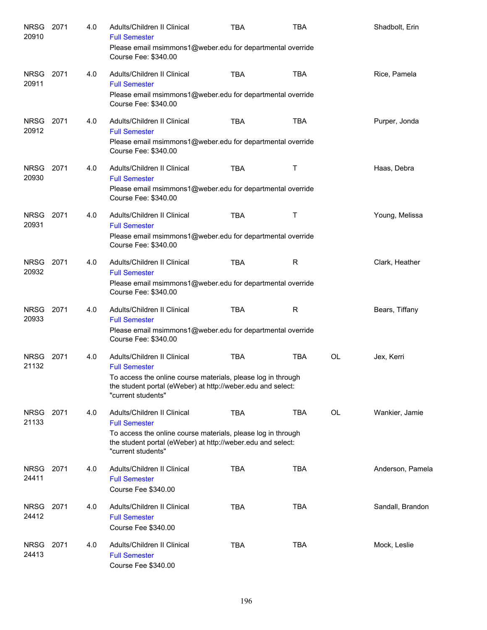| <b>NRSG</b><br>20910 | 2071 | 4.0 | Adults/Children II Clinical<br><b>Full Semester</b><br>Please email msimmons1@weber.edu for departmental override                                 | <b>TBA</b> | <b>TBA</b> |    | Shadbolt, Erin   |
|----------------------|------|-----|---------------------------------------------------------------------------------------------------------------------------------------------------|------------|------------|----|------------------|
|                      |      |     | Course Fee: \$340.00                                                                                                                              |            |            |    |                  |
| <b>NRSG</b><br>20911 | 2071 | 4.0 | Adults/Children II Clinical<br><b>Full Semester</b><br>Please email msimmons1@weber.edu for departmental override                                 | <b>TBA</b> | <b>TBA</b> |    | Rice, Pamela     |
|                      |      |     | Course Fee: \$340.00                                                                                                                              |            |            |    |                  |
| <b>NRSG</b><br>20912 | 2071 | 4.0 | Adults/Children II Clinical<br><b>Full Semester</b><br>Please email msimmons1@weber.edu for departmental override<br>Course Fee: \$340.00         | <b>TBA</b> | <b>TBA</b> |    | Purper, Jonda    |
| <b>NRSG</b><br>20930 | 2071 | 4.0 | Adults/Children II Clinical<br><b>Full Semester</b><br>Please email msimmons1@weber.edu for departmental override                                 | <b>TBA</b> | Т          |    | Haas, Debra      |
|                      |      |     | Course Fee: \$340.00                                                                                                                              |            |            |    |                  |
| <b>NRSG</b><br>20931 | 2071 | 4.0 | Adults/Children II Clinical<br><b>Full Semester</b>                                                                                               | <b>TBA</b> | Τ          |    | Young, Melissa   |
|                      |      |     | Please email msimmons1@weber.edu for departmental override<br>Course Fee: \$340.00                                                                |            |            |    |                  |
| <b>NRSG</b><br>20932 | 2071 | 4.0 | Adults/Children II Clinical<br><b>Full Semester</b>                                                                                               | <b>TBA</b> | R          |    | Clark, Heather   |
|                      |      |     | Please email msimmons1@weber.edu for departmental override<br>Course Fee: \$340.00                                                                |            |            |    |                  |
| <b>NRSG</b><br>20933 | 2071 | 4.0 | Adults/Children II Clinical<br><b>Full Semester</b>                                                                                               | <b>TBA</b> | R          |    | Bears, Tiffany   |
|                      |      |     | Please email msimmons1@weber.edu for departmental override<br>Course Fee: \$340.00                                                                |            |            |    |                  |
| <b>NRSG</b><br>21132 | 2071 | 4.0 | Adults/Children II Clinical<br><b>Full Semester</b>                                                                                               | <b>TBA</b> | <b>TBA</b> | OL | Jex, Kerri       |
|                      |      |     | To access the online course materials, please log in through<br>the student portal (eWeber) at http://weber.edu and select:<br>"current students" |            |            |    |                  |
| <b>NRSG</b><br>21133 | 2071 | 4.0 | Adults/Children II Clinical<br><b>Full Semester</b>                                                                                               | <b>TBA</b> | <b>TBA</b> | OL | Wankier, Jamie   |
|                      |      |     | To access the online course materials, please log in through<br>the student portal (eWeber) at http://weber.edu and select:<br>"current students" |            |            |    |                  |
| <b>NRSG</b><br>24411 | 2071 | 4.0 | Adults/Children II Clinical<br><b>Full Semester</b>                                                                                               | <b>TBA</b> | <b>TBA</b> |    | Anderson, Pamela |
|                      |      |     | Course Fee \$340.00                                                                                                                               |            |            |    |                  |
| <b>NRSG</b><br>24412 | 2071 | 4.0 | Adults/Children II Clinical<br><b>Full Semester</b><br>Course Fee \$340.00                                                                        | <b>TBA</b> | <b>TBA</b> |    | Sandall, Brandon |
| <b>NRSG</b>          | 2071 | 4.0 | Adults/Children II Clinical                                                                                                                       | <b>TBA</b> | <b>TBA</b> |    | Mock, Leslie     |
| 24413                |      |     | <b>Full Semester</b><br>Course Fee \$340.00                                                                                                       |            |            |    |                  |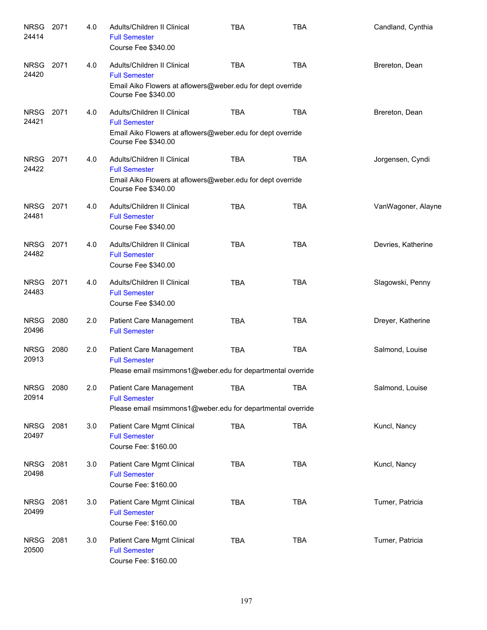| <b>NRSG</b><br>24414 | 2071 | 4.0 | Adults/Children II Clinical<br><b>Full Semester</b><br>Course Fee \$340.00                                                               | <b>TBA</b> | TBA        | Candland, Cynthia  |
|----------------------|------|-----|------------------------------------------------------------------------------------------------------------------------------------------|------------|------------|--------------------|
| <b>NRSG</b><br>24420 | 2071 | 4.0 | Adults/Children II Clinical<br><b>Full Semester</b><br>Email Aiko Flowers at aflowers@weber.edu for dept override<br>Course Fee \$340.00 | <b>TBA</b> | <b>TBA</b> | Brereton, Dean     |
| <b>NRSG</b><br>24421 | 2071 | 4.0 | Adults/Children II Clinical<br><b>Full Semester</b><br>Email Aiko Flowers at aflowers@weber.edu for dept override<br>Course Fee \$340.00 | <b>TBA</b> | <b>TBA</b> | Brereton, Dean     |
| NRSG<br>24422        | 2071 | 4.0 | Adults/Children II Clinical<br><b>Full Semester</b><br>Email Aiko Flowers at aflowers@weber.edu for dept override<br>Course Fee \$340.00 | <b>TBA</b> | <b>TBA</b> | Jorgensen, Cyndi   |
| <b>NRSG</b><br>24481 | 2071 | 4.0 | Adults/Children II Clinical<br><b>Full Semester</b><br>Course Fee \$340.00                                                               | <b>TBA</b> | <b>TBA</b> | VanWagoner, Alayne |
| <b>NRSG</b><br>24482 | 2071 | 4.0 | Adults/Children II Clinical<br><b>Full Semester</b><br>Course Fee \$340.00                                                               | <b>TBA</b> | <b>TBA</b> | Devries, Katherine |
| <b>NRSG</b><br>24483 | 2071 | 4.0 | Adults/Children II Clinical<br><b>Full Semester</b><br>Course Fee \$340.00                                                               | <b>TBA</b> | <b>TBA</b> | Slagowski, Penny   |
| <b>NRSG</b><br>20496 | 2080 | 2.0 | Patient Care Management<br><b>Full Semester</b>                                                                                          | <b>TBA</b> | <b>TBA</b> | Dreyer, Katherine  |
| <b>NRSG</b><br>20913 | 2080 | 2.0 | Patient Care Management<br><b>Full Semester</b><br>Please email msimmons1@weber.edu for departmental override                            | <b>TBA</b> | <b>TBA</b> | Salmond, Louise    |
| <b>NRSG</b><br>20914 | 2080 | 2.0 | Patient Care Management<br><b>Full Semester</b><br>Please email msimmons1@weber.edu for departmental override                            | <b>TBA</b> | <b>TBA</b> | Salmond, Louise    |
| NRSG<br>20497        | 2081 | 3.0 | Patient Care Mgmt Clinical<br><b>Full Semester</b><br>Course Fee: \$160.00                                                               | <b>TBA</b> | <b>TBA</b> | Kuncl, Nancy       |
| <b>NRSG</b><br>20498 | 2081 | 3.0 | Patient Care Mgmt Clinical<br><b>Full Semester</b><br>Course Fee: \$160.00                                                               | <b>TBA</b> | <b>TBA</b> | Kuncl, Nancy       |
| <b>NRSG</b><br>20499 | 2081 | 3.0 | Patient Care Mgmt Clinical<br><b>Full Semester</b><br>Course Fee: \$160.00                                                               | <b>TBA</b> | <b>TBA</b> | Turner, Patricia   |
| <b>NRSG</b><br>20500 | 2081 | 3.0 | Patient Care Mgmt Clinical<br><b>Full Semester</b><br>Course Fee: \$160.00                                                               | <b>TBA</b> | <b>TBA</b> | Turner, Patricia   |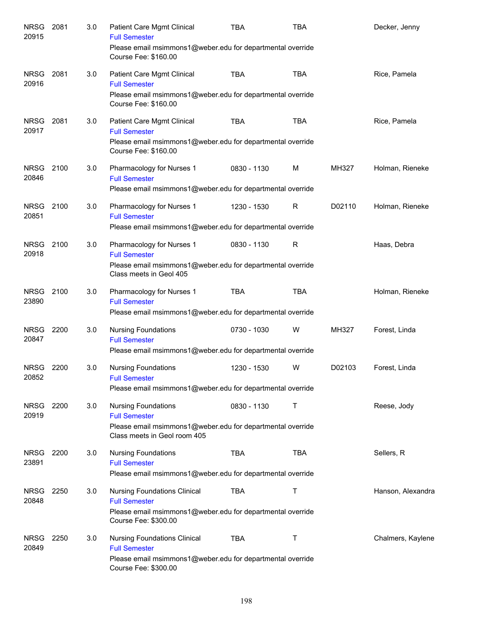| <b>NRSG</b><br>20915 | 2081 | 3.0 | Patient Care Mgmt Clinical<br><b>Full Semester</b><br>Please email msimmons1@weber.edu for departmental override<br>Course Fee: \$160.00          | <b>TBA</b>  | <b>TBA</b>  |        | Decker, Jenny     |
|----------------------|------|-----|---------------------------------------------------------------------------------------------------------------------------------------------------|-------------|-------------|--------|-------------------|
| <b>NRSG</b><br>20916 | 2081 | 3.0 | Patient Care Mgmt Clinical<br><b>Full Semester</b><br>Please email msimmons1@weber.edu for departmental override<br>Course Fee: \$160.00          | <b>TBA</b>  | <b>TBA</b>  |        | Rice, Pamela      |
| <b>NRSG</b><br>20917 | 2081 | 3.0 | Patient Care Mgmt Clinical<br><b>Full Semester</b><br>Please email msimmons1@weber.edu for departmental override<br>Course Fee: \$160.00          | <b>TBA</b>  | <b>TBA</b>  |        | Rice, Pamela      |
| <b>NRSG</b><br>20846 | 2100 | 3.0 | Pharmacology for Nurses 1<br><b>Full Semester</b><br>Please email msimmons1@weber.edu for departmental override                                   | 0830 - 1130 | M           | MH327  | Holman, Rieneke   |
| <b>NRSG</b><br>20851 | 2100 | 3.0 | Pharmacology for Nurses 1<br><b>Full Semester</b><br>Please email msimmons1@weber.edu for departmental override                                   | 1230 - 1530 | $\mathsf R$ | D02110 | Holman, Rieneke   |
| <b>NRSG</b><br>20918 | 2100 | 3.0 | Pharmacology for Nurses 1<br><b>Full Semester</b><br>Please email msimmons1@weber.edu for departmental override<br>Class meets in Geol 405        | 0830 - 1130 | $\mathsf R$ |        | Haas, Debra       |
| <b>NRSG</b><br>23890 | 2100 | 3.0 | Pharmacology for Nurses 1<br><b>Full Semester</b><br>Please email msimmons1@weber.edu for departmental override                                   | <b>TBA</b>  | <b>TBA</b>  |        | Holman, Rieneke   |
| <b>NRSG</b><br>20847 | 2200 | 3.0 | <b>Nursing Foundations</b><br><b>Full Semester</b><br>Please email msimmons1@weber.edu for departmental override                                  | 0730 - 1030 | W           | MH327  | Forest, Linda     |
| <b>NRSG</b><br>20852 | 2200 | 3.0 | <b>Nursing Foundations</b><br><b>Full Semester</b><br>Please email msimmons1@weber.edu for departmental override                                  | 1230 - 1530 | W           | D02103 | Forest, Linda     |
| <b>NRSG</b><br>20919 | 2200 | 3.0 | <b>Nursing Foundations</b><br><b>Full Semester</b><br>Please email msimmons1@weber.edu for departmental override<br>Class meets in Geol room 405  | 0830 - 1130 | Τ           |        | Reese, Jody       |
| <b>NRSG</b><br>23891 | 2200 | 3.0 | <b>Nursing Foundations</b><br><b>Full Semester</b><br>Please email msimmons1@weber.edu for departmental override                                  | <b>TBA</b>  | <b>TBA</b>  |        | Sellers, R        |
| <b>NRSG</b><br>20848 | 2250 | 3.0 | <b>Nursing Foundations Clinical</b><br><b>Full Semester</b><br>Please email msimmons1@weber.edu for departmental override<br>Course Fee: \$300.00 | <b>TBA</b>  | Τ           |        | Hanson, Alexandra |
| <b>NRSG</b><br>20849 | 2250 | 3.0 | <b>Nursing Foundations Clinical</b><br><b>Full Semester</b><br>Please email msimmons1@weber.edu for departmental override<br>Course Fee: \$300.00 | <b>TBA</b>  | Τ           |        | Chalmers, Kaylene |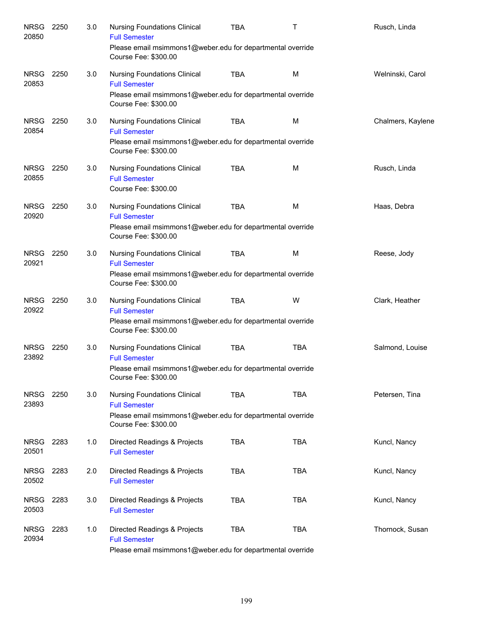| <b>NRSG</b><br>20850 | 2250 | 3.0 | <b>Nursing Foundations Clinical</b><br><b>Full Semester</b><br>Please email msimmons1@weber.edu for departmental override<br>Course Fee: \$300.00 | <b>TBA</b> | T          | Rusch, Linda      |
|----------------------|------|-----|---------------------------------------------------------------------------------------------------------------------------------------------------|------------|------------|-------------------|
| <b>NRSG</b><br>20853 | 2250 | 3.0 | <b>Nursing Foundations Clinical</b><br><b>Full Semester</b><br>Please email msimmons1@weber.edu for departmental override<br>Course Fee: \$300.00 | <b>TBA</b> | M          | Welninski, Carol  |
| <b>NRSG</b><br>20854 | 2250 | 3.0 | <b>Nursing Foundations Clinical</b><br><b>Full Semester</b><br>Please email msimmons1@weber.edu for departmental override<br>Course Fee: \$300.00 | <b>TBA</b> | M          | Chalmers, Kaylene |
| NRSG<br>20855        | 2250 | 3.0 | <b>Nursing Foundations Clinical</b><br><b>Full Semester</b><br>Course Fee: \$300.00                                                               | <b>TBA</b> | M          | Rusch, Linda      |
| <b>NRSG</b><br>20920 | 2250 | 3.0 | <b>Nursing Foundations Clinical</b><br><b>Full Semester</b><br>Please email msimmons1@weber.edu for departmental override<br>Course Fee: \$300.00 | <b>TBA</b> | M          | Haas, Debra       |
| <b>NRSG</b><br>20921 | 2250 | 3.0 | <b>Nursing Foundations Clinical</b><br><b>Full Semester</b><br>Please email msimmons1@weber.edu for departmental override<br>Course Fee: \$300.00 | <b>TBA</b> | M          | Reese, Jody       |
| NRSG<br>20922        | 2250 | 3.0 | <b>Nursing Foundations Clinical</b><br><b>Full Semester</b><br>Please email msimmons1@weber.edu for departmental override<br>Course Fee: \$300.00 | <b>TBA</b> | W          | Clark, Heather    |
| <b>NRSG</b><br>23892 | 2250 | 3.0 | <b>Nursing Foundations Clinical</b><br><b>Full Semester</b><br>Please email msimmons1@weber.edu for departmental override<br>Course Fee: \$300.00 | <b>TBA</b> | <b>TBA</b> | Salmond, Louise   |
| <b>NRSG</b><br>23893 | 2250 | 3.0 | <b>Nursing Foundations Clinical</b><br><b>Full Semester</b><br>Please email msimmons1@weber.edu for departmental override<br>Course Fee: \$300.00 | <b>TBA</b> | <b>TBA</b> | Petersen, Tina    |
| <b>NRSG</b><br>20501 | 2283 | 1.0 | Directed Readings & Projects<br><b>Full Semester</b>                                                                                              | <b>TBA</b> | <b>TBA</b> | Kuncl, Nancy      |
| <b>NRSG</b><br>20502 | 2283 | 2.0 | Directed Readings & Projects<br><b>Full Semester</b>                                                                                              | <b>TBA</b> | <b>TBA</b> | Kuncl, Nancy      |
| <b>NRSG</b><br>20503 | 2283 | 3.0 | Directed Readings & Projects<br><b>Full Semester</b>                                                                                              | <b>TBA</b> | <b>TBA</b> | Kuncl, Nancy      |
| <b>NRSG</b><br>20934 | 2283 | 1.0 | Directed Readings & Projects<br><b>Full Semester</b><br>Please email msimmons1@weber.edu for departmental override                                | <b>TBA</b> | <b>TBA</b> | Thornock, Susan   |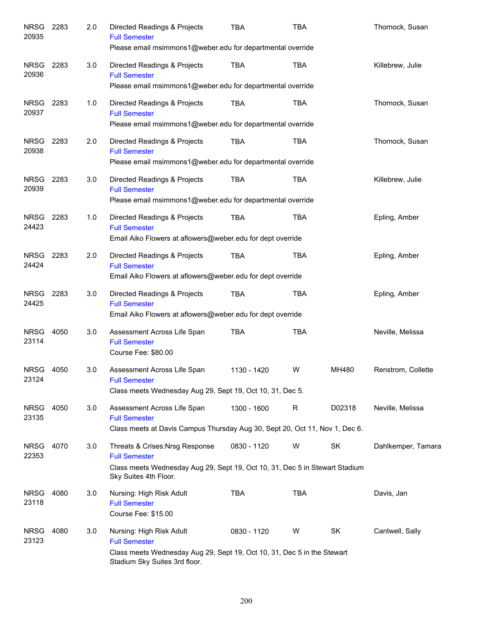| <b>NRSG</b><br>20935 | 2283 | 2.0 | Directed Readings & Projects<br><b>Full Semester</b><br>Please email msimmons1@weber.edu for departmental override                                              | <b>TBA</b>  | <b>TBA</b> |        | Thornock, Susan    |
|----------------------|------|-----|-----------------------------------------------------------------------------------------------------------------------------------------------------------------|-------------|------------|--------|--------------------|
| <b>NRSG</b><br>20936 | 2283 | 3.0 | Directed Readings & Projects<br><b>Full Semester</b><br>Please email msimmons1@weber.edu for departmental override                                              | <b>TBA</b>  | <b>TBA</b> |        | Killebrew, Julie   |
| <b>NRSG</b><br>20937 | 2283 | 1.0 | Directed Readings & Projects<br><b>Full Semester</b><br>Please email msimmons1@weber.edu for departmental override                                              | <b>TBA</b>  | <b>TBA</b> |        | Thornock, Susan    |
| <b>NRSG</b><br>20938 | 2283 | 2.0 | Directed Readings & Projects<br><b>Full Semester</b><br>Please email msimmons1@weber.edu for departmental override                                              | <b>TBA</b>  | <b>TBA</b> |        | Thornock, Susan    |
| <b>NRSG</b><br>20939 | 2283 | 3.0 | Directed Readings & Projects<br><b>Full Semester</b><br>Please email msimmons1@weber.edu for departmental override                                              | <b>TBA</b>  | <b>TBA</b> |        | Killebrew, Julie   |
| NRSG<br>24423        | 2283 | 1.0 | Directed Readings & Projects<br><b>Full Semester</b><br>Email Aiko Flowers at aflowers@weber.edu for dept override                                              | <b>TBA</b>  | <b>TBA</b> |        | Epling, Amber      |
| NRSG<br>24424        | 2283 | 2.0 | Directed Readings & Projects<br><b>Full Semester</b><br>Email Aiko Flowers at aflowers@weber.edu for dept override                                              | <b>TBA</b>  | <b>TBA</b> |        | Epling, Amber      |
| NRSG<br>24425        | 2283 | 3.0 | Directed Readings & Projects<br><b>Full Semester</b><br>Email Aiko Flowers at aflowers@weber.edu for dept override                                              | <b>TBA</b>  | <b>TBA</b> |        | Epling, Amber      |
| <b>NRSG</b><br>23114 | 4050 | 3.0 | Assessment Across Life Span<br><b>Full Semester</b><br>Course Fee: \$80.00                                                                                      | <b>TBA</b>  | <b>TBA</b> |        | Neville, Melissa   |
| NRSG<br>23124        | 4050 | 3.0 | Assessment Across Life Span<br><b>Full Semester</b><br>Class meets Wednesday Aug 29, Sept 19, Oct 10, 31, Dec 5.                                                | 1130 - 1420 | W          | MH480  | Renstrom, Collette |
| NRSG<br>23135        | 4050 | 3.0 | Assessment Across Life Span<br><b>Full Semester</b><br>Class meets at Davis Campus Thursday Aug 30, Sept 20, Oct 11, Nov 1, Dec 6.                              | 1300 - 1600 | R          | D02318 | Neville, Melissa   |
| NRSG<br>22353        | 4070 | 3.0 | Threats & Crises: Nrsg Response<br><b>Full Semester</b><br>Class meets Wednesday Aug 29, Sept 19, Oct 10, 31, Dec 5 in Stewart Stadium<br>Sky Suites 4th Floor. | 0830 - 1120 | W          | SK     | Dahlkemper, Tamara |
| <b>NRSG</b><br>23118 | 4080 | 3.0 | Nursing: High Risk Adult<br><b>Full Semester</b><br>Course Fee: \$15.00                                                                                         | <b>TBA</b>  | <b>TBA</b> |        | Davis, Jan         |
| <b>NRSG</b><br>23123 | 4080 | 3.0 | Nursing: High Risk Adult<br><b>Full Semester</b><br>Class meets Wednesday Aug 29, Sept 19, Oct 10, 31, Dec 5 in the Stewart<br>Stadium Sky Suites 3rd floor.    | 0830 - 1120 | W          | SK     | Cantwell, Sally    |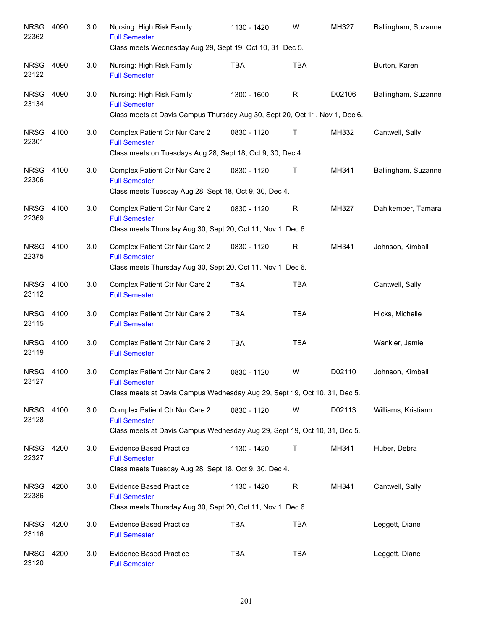| <b>NRSG</b><br>22362 | 4090 | 3.0 | Nursing: High Risk Family<br><b>Full Semester</b><br>Class meets Wednesday Aug 29, Sept 19, Oct 10, 31, Dec 5.                      | 1130 - 1420 | W            | MH327  | Ballingham, Suzanne |
|----------------------|------|-----|-------------------------------------------------------------------------------------------------------------------------------------|-------------|--------------|--------|---------------------|
| <b>NRSG</b><br>23122 | 4090 | 3.0 | Nursing: High Risk Family<br><b>Full Semester</b>                                                                                   | <b>TBA</b>  | <b>TBA</b>   |        | Burton, Karen       |
| <b>NRSG</b><br>23134 | 4090 | 3.0 | Nursing: High Risk Family<br><b>Full Semester</b><br>Class meets at Davis Campus Thursday Aug 30, Sept 20, Oct 11, Nov 1, Dec 6.    | 1300 - 1600 | $\mathsf{R}$ | D02106 | Ballingham, Suzanne |
| <b>NRSG</b><br>22301 | 4100 | 3.0 | Complex Patient Ctr Nur Care 2<br><b>Full Semester</b><br>Class meets on Tuesdays Aug 28, Sept 18, Oct 9, 30, Dec 4.                | 0830 - 1120 | Τ            | MH332  | Cantwell, Sally     |
| <b>NRSG</b><br>22306 | 4100 | 3.0 | Complex Patient Ctr Nur Care 2<br><b>Full Semester</b><br>Class meets Tuesday Aug 28, Sept 18, Oct 9, 30, Dec 4.                    | 0830 - 1120 | Τ            | MH341  | Ballingham, Suzanne |
| <b>NRSG</b><br>22369 | 4100 | 3.0 | Complex Patient Ctr Nur Care 2<br><b>Full Semester</b><br>Class meets Thursday Aug 30, Sept 20, Oct 11, Nov 1, Dec 6.               | 0830 - 1120 | $\mathsf{R}$ | MH327  | Dahlkemper, Tamara  |
| <b>NRSG</b><br>22375 | 4100 | 3.0 | Complex Patient Ctr Nur Care 2<br><b>Full Semester</b><br>Class meets Thursday Aug 30, Sept 20, Oct 11, Nov 1, Dec 6.               | 0830 - 1120 | R            | MH341  | Johnson, Kimball    |
| <b>NRSG</b><br>23112 | 4100 | 3.0 | Complex Patient Ctr Nur Care 2<br><b>Full Semester</b>                                                                              | <b>TBA</b>  | <b>TBA</b>   |        | Cantwell, Sally     |
| <b>NRSG</b><br>23115 | 4100 | 3.0 | Complex Patient Ctr Nur Care 2<br><b>Full Semester</b>                                                                              | <b>TBA</b>  | <b>TBA</b>   |        | Hicks, Michelle     |
| <b>NRSG</b><br>23119 | 4100 | 3.0 | Complex Patient Ctr Nur Care 2<br><b>Full Semester</b>                                                                              | <b>TBA</b>  | <b>TBA</b>   |        | Wankier, Jamie      |
| NRSG<br>23127        | 4100 | 3.0 | Complex Patient Ctr Nur Care 2<br><b>Full Semester</b><br>Class meets at Davis Campus Wednesday Aug 29, Sept 19, Oct 10, 31, Dec 5. | 0830 - 1120 | W            | D02110 | Johnson, Kimball    |
| <b>NRSG</b><br>23128 | 4100 | 3.0 | Complex Patient Ctr Nur Care 2<br><b>Full Semester</b><br>Class meets at Davis Campus Wednesday Aug 29, Sept 19, Oct 10, 31, Dec 5. | 0830 - 1120 | W            | D02113 | Williams, Kristiann |
| <b>NRSG</b><br>22327 | 4200 | 3.0 | <b>Evidence Based Practice</b><br><b>Full Semester</b><br>Class meets Tuesday Aug 28, Sept 18, Oct 9, 30, Dec 4.                    | 1130 - 1420 | Т            | MH341  | Huber, Debra        |
| <b>NRSG</b><br>22386 | 4200 | 3.0 | <b>Evidence Based Practice</b><br><b>Full Semester</b><br>Class meets Thursday Aug 30, Sept 20, Oct 11, Nov 1, Dec 6.               | 1130 - 1420 | $\mathsf R$  | MH341  | Cantwell, Sally     |
| <b>NRSG</b><br>23116 | 4200 | 3.0 | <b>Evidence Based Practice</b><br><b>Full Semester</b>                                                                              | <b>TBA</b>  | <b>TBA</b>   |        | Leggett, Diane      |
| <b>NRSG</b><br>23120 | 4200 | 3.0 | <b>Evidence Based Practice</b><br><b>Full Semester</b>                                                                              | <b>TBA</b>  | <b>TBA</b>   |        | Leggett, Diane      |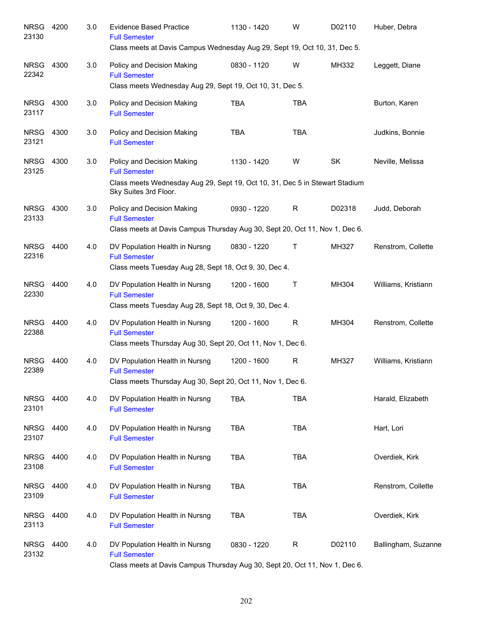| <b>NRSG</b><br>23130 | 4200 | 3.0 | <b>Evidence Based Practice</b><br><b>Full Semester</b><br>Class meets at Davis Campus Wednesday Aug 29, Sept 19, Oct 10, 31, Dec 5.                        | 1130 - 1420 | W            | D02110    | Huber, Debra        |
|----------------------|------|-----|------------------------------------------------------------------------------------------------------------------------------------------------------------|-------------|--------------|-----------|---------------------|
| <b>NRSG</b><br>22342 | 4300 | 3.0 | Policy and Decision Making<br><b>Full Semester</b><br>Class meets Wednesday Aug 29, Sept 19, Oct 10, 31, Dec 5.                                            | 0830 - 1120 | W            | MH332     | Leggett, Diane      |
| <b>NRSG</b><br>23117 | 4300 | 3.0 | Policy and Decision Making<br><b>Full Semester</b>                                                                                                         | <b>TBA</b>  | <b>TBA</b>   |           | Burton, Karen       |
| <b>NRSG</b><br>23121 | 4300 | 3.0 | Policy and Decision Making<br><b>Full Semester</b>                                                                                                         | <b>TBA</b>  | <b>TBA</b>   |           | Judkins, Bonnie     |
| <b>NRSG</b><br>23125 | 4300 | 3.0 | Policy and Decision Making<br><b>Full Semester</b><br>Class meets Wednesday Aug 29, Sept 19, Oct 10, 31, Dec 5 in Stewart Stadium<br>Sky Suites 3rd Floor. | 1130 - 1420 | W            | <b>SK</b> | Neville, Melissa    |
| <b>NRSG</b><br>23133 | 4300 | 3.0 | Policy and Decision Making<br><b>Full Semester</b><br>Class meets at Davis Campus Thursday Aug 30, Sept 20, Oct 11, Nov 1, Dec 6.                          | 0930 - 1220 | R            | D02318    | Judd, Deborah       |
| <b>NRSG</b><br>22316 | 4400 | 4.0 | DV Population Health in Nursng<br><b>Full Semester</b><br>Class meets Tuesday Aug 28, Sept 18, Oct 9, 30, Dec 4.                                           | 0830 - 1220 | $\mathsf{T}$ | MH327     | Renstrom, Collette  |
| <b>NRSG</b><br>22330 | 4400 | 4.0 | DV Population Health in Nursng<br><b>Full Semester</b><br>Class meets Tuesday Aug 28, Sept 18, Oct 9, 30, Dec 4.                                           | 1200 - 1600 | Τ            | MH304     | Williams, Kristiann |
| <b>NRSG</b><br>22388 | 4400 | 4.0 | DV Population Health in Nursng<br><b>Full Semester</b><br>Class meets Thursday Aug 30, Sept 20, Oct 11, Nov 1, Dec 6.                                      | 1200 - 1600 | R            | MH304     | Renstrom, Collette  |
| <b>NRSG</b><br>22389 | 4400 | 4.0 | DV Population Health in Nursng<br><b>Full Semester</b><br>Class meets Thursday Aug 30, Sept 20, Oct 11, Nov 1, Dec 6.                                      | 1200 - 1600 | R            | MH327     | Williams, Kristiann |
| <b>NRSG</b><br>23101 | 4400 | 4.0 | DV Population Health in Nursng<br><b>Full Semester</b>                                                                                                     | <b>TBA</b>  | <b>TBA</b>   |           | Harald, Elizabeth   |
| <b>NRSG</b><br>23107 | 4400 | 4.0 | DV Population Health in Nursng<br><b>Full Semester</b>                                                                                                     | <b>TBA</b>  | <b>TBA</b>   |           | Hart, Lori          |
| <b>NRSG</b><br>23108 | 4400 | 4.0 | DV Population Health in Nursng<br><b>Full Semester</b>                                                                                                     | <b>TBA</b>  | <b>TBA</b>   |           | Overdiek, Kirk      |
| <b>NRSG</b><br>23109 | 4400 | 4.0 | DV Population Health in Nursng<br><b>Full Semester</b>                                                                                                     | TBA         | <b>TBA</b>   |           | Renstrom, Collette  |
| <b>NRSG</b><br>23113 | 4400 | 4.0 | DV Population Health in Nursng<br><b>Full Semester</b>                                                                                                     | <b>TBA</b>  | <b>TBA</b>   |           | Overdiek, Kirk      |
| <b>NRSG</b><br>23132 | 4400 | 4.0 | DV Population Health in Nursng<br><b>Full Semester</b><br>Class meets at Davis Campus Thursday Aug 30, Sept 20, Oct 11, Nov 1, Dec 6.                      | 0830 - 1220 | $\mathsf{R}$ | D02110    | Ballingham, Suzanne |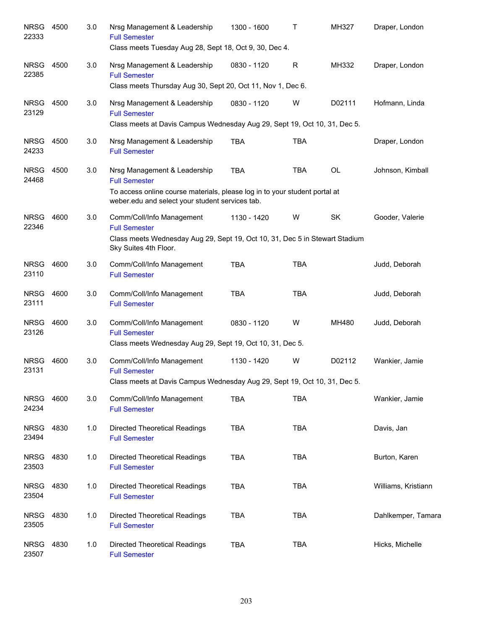| <b>NRSG</b><br>22333 | 4500 | 3.0 | Nrsg Management & Leadership<br><b>Full Semester</b><br>Class meets Tuesday Aug 28, Sept 18, Oct 9, 30, Dec 4.                | 1300 - 1600 | Τ          | MH327  | Draper, London      |
|----------------------|------|-----|-------------------------------------------------------------------------------------------------------------------------------|-------------|------------|--------|---------------------|
| <b>NRSG</b><br>22385 | 4500 | 3.0 | Nrsg Management & Leadership<br><b>Full Semester</b>                                                                          | 0830 - 1120 | R          | MH332  | Draper, London      |
| <b>NRSG</b><br>23129 | 4500 | 3.0 | Class meets Thursday Aug 30, Sept 20, Oct 11, Nov 1, Dec 6.<br>Nrsg Management & Leadership<br><b>Full Semester</b>           | 0830 - 1120 | W          | D02111 | Hofmann, Linda      |
|                      |      |     | Class meets at Davis Campus Wednesday Aug 29, Sept 19, Oct 10, 31, Dec 5.                                                     |             |            |        |                     |
| <b>NRSG</b><br>24233 | 4500 | 3.0 | Nrsg Management & Leadership<br><b>Full Semester</b>                                                                          | <b>TBA</b>  | <b>TBA</b> |        | Draper, London      |
| <b>NRSG</b><br>24468 | 4500 | 3.0 | Nrsg Management & Leadership<br><b>Full Semester</b>                                                                          | <b>TBA</b>  | <b>TBA</b> | OL     | Johnson, Kimball    |
|                      |      |     | To access online course materials, please log in to your student portal at<br>weber.edu and select your student services tab. |             |            |        |                     |
| <b>NRSG</b><br>22346 | 4600 | 3.0 | Comm/Coll/Info Management<br><b>Full Semester</b>                                                                             | 1130 - 1420 | W          | SK     | Gooder, Valerie     |
|                      |      |     | Class meets Wednesday Aug 29, Sept 19, Oct 10, 31, Dec 5 in Stewart Stadium<br>Sky Suites 4th Floor.                          |             |            |        |                     |
| <b>NRSG</b><br>23110 | 4600 | 3.0 | Comm/Coll/Info Management<br><b>Full Semester</b>                                                                             | <b>TBA</b>  | <b>TBA</b> |        | Judd, Deborah       |
| <b>NRSG</b><br>23111 | 4600 | 3.0 | Comm/Coll/Info Management<br><b>Full Semester</b>                                                                             | <b>TBA</b>  | <b>TBA</b> |        | Judd, Deborah       |
| <b>NRSG</b><br>23126 | 4600 | 3.0 | Comm/Coll/Info Management<br><b>Full Semester</b><br>Class meets Wednesday Aug 29, Sept 19, Oct 10, 31, Dec 5.                | 0830 - 1120 | W          | MH480  | Judd, Deborah       |
| <b>NRSG</b>          | 4600 | 3.0 | Comm/Coll/Info Management                                                                                                     | 1130 - 1420 | W          | D02112 | Wankier, Jamie      |
| 23131                |      |     | <b>Full Semester</b><br>Class meets at Davis Campus Wednesday Aug 29, Sept 19, Oct 10, 31, Dec 5.                             |             |            |        |                     |
| <b>NRSG</b><br>24234 | 4600 | 3.0 | Comm/Coll/Info Management<br><b>Full Semester</b>                                                                             | <b>TBA</b>  | <b>TBA</b> |        | Wankier, Jamie      |
| <b>NRSG</b><br>23494 | 4830 | 1.0 | <b>Directed Theoretical Readings</b><br><b>Full Semester</b>                                                                  | <b>TBA</b>  | <b>TBA</b> |        | Davis, Jan          |
| <b>NRSG</b><br>23503 | 4830 | 1.0 | <b>Directed Theoretical Readings</b><br><b>Full Semester</b>                                                                  | <b>TBA</b>  | <b>TBA</b> |        | Burton, Karen       |
| <b>NRSG</b><br>23504 | 4830 | 1.0 | <b>Directed Theoretical Readings</b><br><b>Full Semester</b>                                                                  | <b>TBA</b>  | <b>TBA</b> |        | Williams, Kristiann |
| <b>NRSG</b><br>23505 | 4830 | 1.0 | <b>Directed Theoretical Readings</b><br><b>Full Semester</b>                                                                  | <b>TBA</b>  | <b>TBA</b> |        | Dahlkemper, Tamara  |
| <b>NRSG</b><br>23507 | 4830 | 1.0 | <b>Directed Theoretical Readings</b><br><b>Full Semester</b>                                                                  | <b>TBA</b>  | <b>TBA</b> |        | Hicks, Michelle     |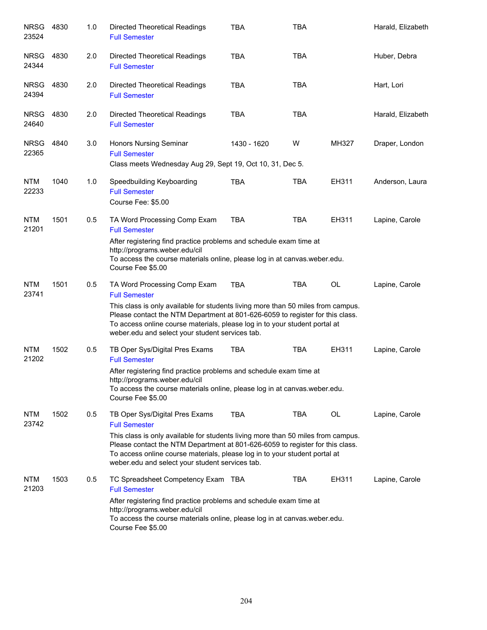| <b>NRSG</b><br>23524 | 4830 | 1.0 | <b>Directed Theoretical Readings</b><br><b>Full Semester</b>                                                                                                                                                                                                                                       | <b>TBA</b>  | <b>TBA</b> |           | Harald, Elizabeth |
|----------------------|------|-----|----------------------------------------------------------------------------------------------------------------------------------------------------------------------------------------------------------------------------------------------------------------------------------------------------|-------------|------------|-----------|-------------------|
| <b>NRSG</b><br>24344 | 4830 | 2.0 | <b>Directed Theoretical Readings</b><br><b>Full Semester</b>                                                                                                                                                                                                                                       | <b>TBA</b>  | <b>TBA</b> |           | Huber, Debra      |
| <b>NRSG</b><br>24394 | 4830 | 2.0 | <b>Directed Theoretical Readings</b><br><b>Full Semester</b>                                                                                                                                                                                                                                       | <b>TBA</b>  | <b>TBA</b> |           | Hart, Lori        |
| <b>NRSG</b><br>24640 | 4830 | 2.0 | <b>Directed Theoretical Readings</b><br><b>Full Semester</b>                                                                                                                                                                                                                                       | <b>TBA</b>  | <b>TBA</b> |           | Harald, Elizabeth |
| <b>NRSG</b><br>22365 | 4840 | 3.0 | <b>Honors Nursing Seminar</b><br><b>Full Semester</b><br>Class meets Wednesday Aug 29, Sept 19, Oct 10, 31, Dec 5.                                                                                                                                                                                 | 1430 - 1620 | W          | MH327     | Draper, London    |
| <b>NTM</b><br>22233  | 1040 | 1.0 | Speedbuilding Keyboarding<br><b>Full Semester</b><br>Course Fee: \$5.00                                                                                                                                                                                                                            | <b>TBA</b>  | TBA        | EH311     | Anderson, Laura   |
| <b>NTM</b><br>21201  | 1501 | 0.5 | TA Word Processing Comp Exam<br><b>Full Semester</b>                                                                                                                                                                                                                                               | <b>TBA</b>  | TBA        | EH311     | Lapine, Carole    |
|                      |      |     | After registering find practice problems and schedule exam time at<br>http://programs.weber.edu/cil<br>To access the course materials online, please log in at canvas weber edu.<br>Course Fee \$5.00                                                                                              |             |            |           |                   |
| <b>NTM</b><br>23741  | 1501 | 0.5 | TA Word Processing Comp Exam<br><b>Full Semester</b>                                                                                                                                                                                                                                               | <b>TBA</b>  | <b>TBA</b> | <b>OL</b> | Lapine, Carole    |
|                      |      |     | This class is only available for students living more than 50 miles from campus.<br>Please contact the NTM Department at 801-626-6059 to register for this class.<br>To access online course materials, please log in to your student portal at<br>weber.edu and select your student services tab. |             |            |           |                   |
| <b>NTM</b><br>21202  | 1502 | 0.5 | TB Oper Sys/Digital Pres Exams<br><b>Full Semester</b>                                                                                                                                                                                                                                             | <b>TBA</b>  | <b>TBA</b> | EH311     | Lapine, Carole    |
|                      |      |     | After registering find practice problems and schedule exam time at<br>http://programs.weber.edu/cil<br>To access the course materials online, please log in at canvas weber edu.<br>Course Fee \$5.00                                                                                              |             |            |           |                   |
| <b>NTM</b><br>23742  | 1502 | 0.5 | TB Oper Sys/Digital Pres Exams<br><b>Full Semester</b>                                                                                                                                                                                                                                             | <b>TBA</b>  | <b>TBA</b> | OL        | Lapine, Carole    |
|                      |      |     | This class is only available for students living more than 50 miles from campus.<br>Please contact the NTM Department at 801-626-6059 to register for this class.<br>To access online course materials, please log in to your student portal at<br>weber.edu and select your student services tab. |             |            |           |                   |
| <b>NTM</b><br>21203  | 1503 | 0.5 | TC Spreadsheet Competency Exam TBA<br><b>Full Semester</b>                                                                                                                                                                                                                                         |             | TBA        | EH311     | Lapine, Carole    |
|                      |      |     | After registering find practice problems and schedule exam time at<br>http://programs.weber.edu/cil<br>To access the course materials online, please log in at canvas weber edu.<br>Course Fee \$5.00                                                                                              |             |            |           |                   |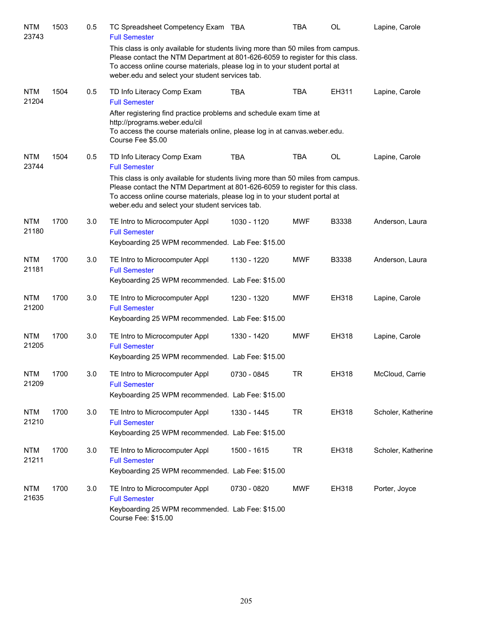| <b>NTM</b><br>23743 | 1503 | 0.5 | TC Spreadsheet Competency Exam TBA<br><b>Full Semester</b>                                                                                                                                                                                                                                         |             | <b>TBA</b> | OL    | Lapine, Carole     |
|---------------------|------|-----|----------------------------------------------------------------------------------------------------------------------------------------------------------------------------------------------------------------------------------------------------------------------------------------------------|-------------|------------|-------|--------------------|
|                     |      |     | This class is only available for students living more than 50 miles from campus.<br>Please contact the NTM Department at 801-626-6059 to register for this class.<br>To access online course materials, please log in to your student portal at<br>weber.edu and select your student services tab. |             |            |       |                    |
| <b>NTM</b><br>21204 | 1504 | 0.5 | TD Info Literacy Comp Exam<br><b>Full Semester</b>                                                                                                                                                                                                                                                 | <b>TBA</b>  | <b>TBA</b> | EH311 | Lapine, Carole     |
|                     |      |     | After registering find practice problems and schedule exam time at<br>http://programs.weber.edu/cil<br>To access the course materials online, please log in at canvas.weber.edu.<br>Course Fee \$5.00                                                                                              |             |            |       |                    |
| <b>NTM</b><br>23744 | 1504 | 0.5 | TD Info Literacy Comp Exam<br><b>Full Semester</b>                                                                                                                                                                                                                                                 | <b>TBA</b>  | <b>TBA</b> | OL    | Lapine, Carole     |
|                     |      |     | This class is only available for students living more than 50 miles from campus.<br>Please contact the NTM Department at 801-626-6059 to register for this class.<br>To access online course materials, please log in to your student portal at<br>weber.edu and select your student services tab. |             |            |       |                    |
| <b>NTM</b><br>21180 | 1700 | 3.0 | TE Intro to Microcomputer Appl<br><b>Full Semester</b><br>Keyboarding 25 WPM recommended. Lab Fee: \$15.00                                                                                                                                                                                         | 1030 - 1120 | <b>MWF</b> | B3338 | Anderson, Laura    |
| <b>NTM</b><br>21181 | 1700 | 3.0 | TE Intro to Microcomputer Appl<br><b>Full Semester</b><br>Keyboarding 25 WPM recommended. Lab Fee: \$15.00                                                                                                                                                                                         | 1130 - 1220 | <b>MWF</b> | B3338 | Anderson, Laura    |
| <b>NTM</b><br>21200 | 1700 | 3.0 | TE Intro to Microcomputer Appl<br><b>Full Semester</b><br>Keyboarding 25 WPM recommended. Lab Fee: \$15.00                                                                                                                                                                                         | 1230 - 1320 | <b>MWF</b> | EH318 | Lapine, Carole     |
| <b>NTM</b><br>21205 | 1700 | 3.0 | TE Intro to Microcomputer Appl<br><b>Full Semester</b><br>Keyboarding 25 WPM recommended. Lab Fee: \$15.00                                                                                                                                                                                         | 1330 - 1420 | <b>MWF</b> | EH318 | Lapine, Carole     |
| <b>NTM</b><br>21209 | 1700 | 3.0 | TE Intro to Microcomputer Appl<br><b>Full Semester</b><br>Keyboarding 25 WPM recommended. Lab Fee: \$15.00                                                                                                                                                                                         | 0730 - 0845 | <b>TR</b>  | EH318 | McCloud, Carrie    |
| <b>NTM</b><br>21210 | 1700 | 3.0 | TE Intro to Microcomputer Appl<br><b>Full Semester</b><br>Keyboarding 25 WPM recommended. Lab Fee: \$15.00                                                                                                                                                                                         | 1330 - 1445 | <b>TR</b>  | EH318 | Scholer, Katherine |
| <b>NTM</b><br>21211 | 1700 | 3.0 | TE Intro to Microcomputer Appl<br><b>Full Semester</b><br>Keyboarding 25 WPM recommended. Lab Fee: \$15.00                                                                                                                                                                                         | 1500 - 1615 | <b>TR</b>  | EH318 | Scholer, Katherine |
| <b>NTM</b><br>21635 | 1700 | 3.0 | TE Intro to Microcomputer Appl<br><b>Full Semester</b><br>Keyboarding 25 WPM recommended. Lab Fee: \$15.00<br>Course Fee: \$15.00                                                                                                                                                                  | 0730 - 0820 | <b>MWF</b> | EH318 | Porter, Joyce      |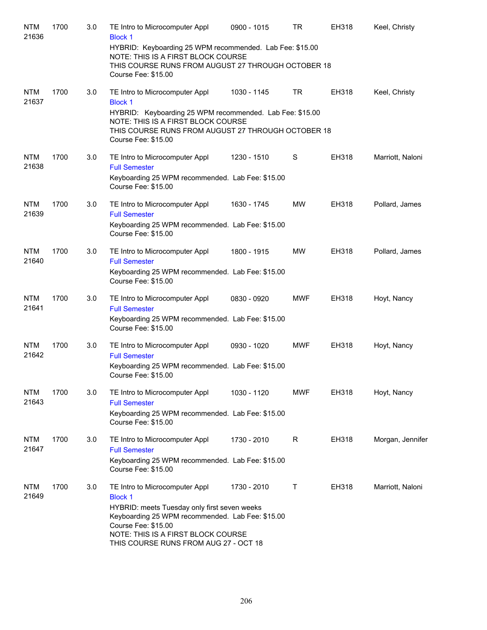| <b>NTM</b><br>21636 | 1700 | 3.0 | TE Intro to Microcomputer Appl<br><b>Block 1</b>                                                                                                                            | 0900 - 1015 | <b>TR</b>  | <b>EH318</b> | Keel, Christy    |
|---------------------|------|-----|-----------------------------------------------------------------------------------------------------------------------------------------------------------------------------|-------------|------------|--------------|------------------|
|                     |      |     | HYBRID: Keyboarding 25 WPM recommended. Lab Fee: \$15.00<br>NOTE: THIS IS A FIRST BLOCK COURSE<br>THIS COURSE RUNS FROM AUGUST 27 THROUGH OCTOBER 18<br>Course Fee: \$15.00 |             |            |              |                  |
| <b>NTM</b><br>21637 | 1700 | 3.0 | TE Intro to Microcomputer Appl<br><b>Block 1</b>                                                                                                                            | 1030 - 1145 | <b>TR</b>  | <b>EH318</b> | Keel, Christy    |
|                     |      |     | HYBRID: Keyboarding 25 WPM recommended. Lab Fee: \$15.00<br>NOTE: THIS IS A FIRST BLOCK COURSE<br>THIS COURSE RUNS FROM AUGUST 27 THROUGH OCTOBER 18<br>Course Fee: \$15.00 |             |            |              |                  |
| <b>NTM</b><br>21638 | 1700 | 3.0 | TE Intro to Microcomputer Appl<br><b>Full Semester</b>                                                                                                                      | 1230 - 1510 | S          | EH318        | Marriott, Naloni |
|                     |      |     | Keyboarding 25 WPM recommended. Lab Fee: \$15.00<br>Course Fee: \$15.00                                                                                                     |             |            |              |                  |
| <b>NTM</b><br>21639 | 1700 | 3.0 | TE Intro to Microcomputer Appl<br><b>Full Semester</b>                                                                                                                      | 1630 - 1745 | <b>MW</b>  | <b>EH318</b> | Pollard, James   |
|                     |      |     | Keyboarding 25 WPM recommended. Lab Fee: \$15.00<br>Course Fee: \$15.00                                                                                                     |             |            |              |                  |
| <b>NTM</b><br>21640 | 1700 | 3.0 | TE Intro to Microcomputer Appl<br><b>Full Semester</b>                                                                                                                      | 1800 - 1915 | <b>MW</b>  | <b>EH318</b> | Pollard, James   |
|                     |      |     | Keyboarding 25 WPM recommended. Lab Fee: \$15.00<br>Course Fee: \$15.00                                                                                                     |             |            |              |                  |
| <b>NTM</b><br>21641 | 1700 | 3.0 | TE Intro to Microcomputer Appl<br><b>Full Semester</b>                                                                                                                      | 0830 - 0920 | <b>MWF</b> | EH318        | Hoyt, Nancy      |
|                     |      |     | Keyboarding 25 WPM recommended. Lab Fee: \$15.00<br>Course Fee: \$15.00                                                                                                     |             |            |              |                  |
| <b>NTM</b><br>21642 | 1700 | 3.0 | TE Intro to Microcomputer Appl<br><b>Full Semester</b>                                                                                                                      | 0930 - 1020 | <b>MWF</b> | <b>EH318</b> | Hoyt, Nancy      |
|                     |      |     | Keyboarding 25 WPM recommended. Lab Fee: \$15.00<br>Course Fee: \$15.00                                                                                                     |             |            |              |                  |
| <b>NTM</b><br>21643 | 1700 | 3.0 | TE Intro to Microcomputer Appl<br><b>Full Semester</b>                                                                                                                      | 1030 - 1120 | MWF        | <b>EH318</b> | Hoyt, Nancy      |
|                     |      |     | Keyboarding 25 WPM recommended. Lab Fee: \$15.00<br>Course Fee: \$15.00                                                                                                     |             |            |              |                  |
| <b>NTM</b><br>21647 | 1700 | 3.0 | TE Intro to Microcomputer Appl<br><b>Full Semester</b>                                                                                                                      | 1730 - 2010 | R          | EH318        | Morgan, Jennifer |
|                     |      |     | Keyboarding 25 WPM recommended. Lab Fee: \$15.00<br>Course Fee: \$15.00                                                                                                     |             |            |              |                  |
| <b>NTM</b><br>21649 | 1700 | 3.0 | TE Intro to Microcomputer Appl<br><b>Block 1</b>                                                                                                                            | 1730 - 2010 | Τ          | <b>EH318</b> | Marriott, Naloni |
|                     |      |     | HYBRID: meets Tuesday only first seven weeks<br>Keyboarding 25 WPM recommended. Lab Fee: \$15.00<br>Course Fee: \$15.00                                                     |             |            |              |                  |
|                     |      |     | NOTE: THIS IS A FIRST BLOCK COURSE<br>THIS COURSE RUNS FROM AUG 27 - OCT 18                                                                                                 |             |            |              |                  |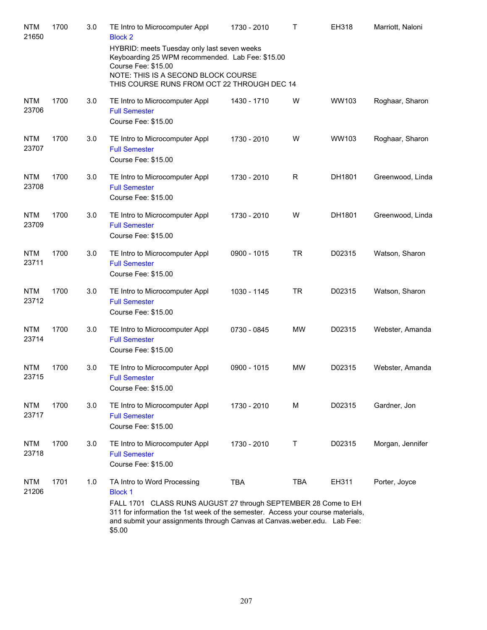| <b>NTM</b><br>21650 | 1700 | 3.0 | TE Intro to Microcomputer Appl<br><b>Block 2</b>                                                                                                                                                                                                                                         | 1730 - 2010 | $\mathsf{T}$ | EH318  | Marriott, Naloni |
|---------------------|------|-----|------------------------------------------------------------------------------------------------------------------------------------------------------------------------------------------------------------------------------------------------------------------------------------------|-------------|--------------|--------|------------------|
|                     |      |     | HYBRID: meets Tuesday only last seven weeks<br>Keyboarding 25 WPM recommended. Lab Fee: \$15.00<br>Course Fee: \$15.00<br>NOTE: THIS IS A SECOND BLOCK COURSE<br>THIS COURSE RUNS FROM OCT 22 THROUGH DEC 14                                                                             |             |              |        |                  |
| <b>NTM</b><br>23706 | 1700 | 3.0 | TE Intro to Microcomputer Appl<br><b>Full Semester</b><br>Course Fee: \$15.00                                                                                                                                                                                                            | 1430 - 1710 | W            | WW103  | Roghaar, Sharon  |
| <b>NTM</b><br>23707 | 1700 | 3.0 | TE Intro to Microcomputer Appl<br><b>Full Semester</b><br>Course Fee: \$15.00                                                                                                                                                                                                            | 1730 - 2010 | W            | WW103  | Roghaar, Sharon  |
| <b>NTM</b><br>23708 | 1700 | 3.0 | TE Intro to Microcomputer Appl<br><b>Full Semester</b><br>Course Fee: \$15.00                                                                                                                                                                                                            | 1730 - 2010 | R            | DH1801 | Greenwood, Linda |
| <b>NTM</b><br>23709 | 1700 | 3.0 | TE Intro to Microcomputer Appl<br><b>Full Semester</b><br>Course Fee: \$15.00                                                                                                                                                                                                            | 1730 - 2010 | W            | DH1801 | Greenwood, Linda |
| <b>NTM</b><br>23711 | 1700 | 3.0 | TE Intro to Microcomputer Appl<br><b>Full Semester</b><br>Course Fee: \$15.00                                                                                                                                                                                                            | 0900 - 1015 | <b>TR</b>    | D02315 | Watson, Sharon   |
| <b>NTM</b><br>23712 | 1700 | 3.0 | TE Intro to Microcomputer Appl<br><b>Full Semester</b><br>Course Fee: \$15.00                                                                                                                                                                                                            | 1030 - 1145 | <b>TR</b>    | D02315 | Watson, Sharon   |
| <b>NTM</b><br>23714 | 1700 | 3.0 | TE Intro to Microcomputer Appl<br><b>Full Semester</b><br>Course Fee: \$15.00                                                                                                                                                                                                            | 0730 - 0845 | <b>MW</b>    | D02315 | Webster, Amanda  |
| <b>NTM</b><br>23715 | 1700 | 3.0 | TE Intro to Microcomputer Appl<br><b>Full Semester</b><br>Course Fee: \$15.00                                                                                                                                                                                                            | 0900 - 1015 | <b>MW</b>    | D02315 | Webster, Amanda  |
| <b>NTM</b><br>23717 | 1700 | 3.0 | TE Intro to Microcomputer Appl<br><b>Full Semester</b><br>Course Fee: \$15.00                                                                                                                                                                                                            | 1730 - 2010 | М            | D02315 | Gardner, Jon     |
| <b>NTM</b><br>23718 | 1700 | 3.0 | TE Intro to Microcomputer Appl<br><b>Full Semester</b><br>Course Fee: \$15.00                                                                                                                                                                                                            | 1730 - 2010 | Τ            | D02315 | Morgan, Jennifer |
| <b>NTM</b><br>21206 | 1701 | 1.0 | TA Intro to Word Processing<br><b>Block 1</b><br>FALL 1701 CLASS RUNS AUGUST 27 through SEPTEMBER 28 Come to EH<br>311 for information the 1st week of the semester. Access your course materials,<br>and submit your assignments through Canvas at Canvas.weber.edu. Lab Fee:<br>\$5.00 | <b>TBA</b>  | TBA          | EH311  | Porter, Joyce    |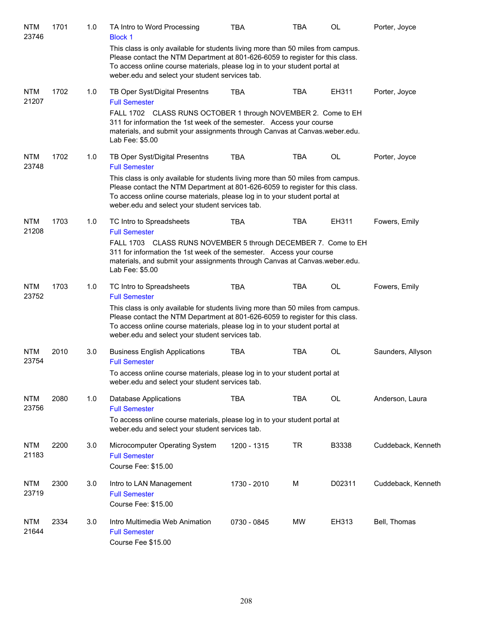| <b>NTM</b><br>23746 | 1701 | 1.0 | TA Intro to Word Processing<br><b>Block 1</b>                                                                                                                                                                                                                                                      | <b>TBA</b>  | <b>TBA</b> | OL        | Porter, Joyce      |
|---------------------|------|-----|----------------------------------------------------------------------------------------------------------------------------------------------------------------------------------------------------------------------------------------------------------------------------------------------------|-------------|------------|-----------|--------------------|
|                     |      |     | This class is only available for students living more than 50 miles from campus.<br>Please contact the NTM Department at 801-626-6059 to register for this class.<br>To access online course materials, please log in to your student portal at<br>weber.edu and select your student services tab. |             |            |           |                    |
| <b>NTM</b><br>21207 | 1702 | 1.0 | TB Oper Syst/Digital Presentns<br><b>Full Semester</b>                                                                                                                                                                                                                                             | <b>TBA</b>  | <b>TBA</b> | EH311     | Porter, Joyce      |
|                     |      |     | FALL 1702 CLASS RUNS OCTOBER 1 through NOVEMBER 2. Come to EH<br>311 for information the 1st week of the semester. Access your course<br>materials, and submit your assignments through Canvas at Canvas.weber.edu.<br>Lab Fee: \$5.00                                                             |             |            |           |                    |
| <b>NTM</b><br>23748 | 1702 | 1.0 | TB Oper Syst/Digital Presentns<br><b>Full Semester</b>                                                                                                                                                                                                                                             | <b>TBA</b>  | <b>TBA</b> | <b>OL</b> | Porter, Joyce      |
|                     |      |     | This class is only available for students living more than 50 miles from campus.<br>Please contact the NTM Department at 801-626-6059 to register for this class.<br>To access online course materials, please log in to your student portal at<br>weber.edu and select your student services tab. |             |            |           |                    |
| <b>NTM</b><br>21208 | 1703 | 1.0 | TC Intro to Spreadsheets<br><b>Full Semester</b>                                                                                                                                                                                                                                                   | <b>TBA</b>  | <b>TBA</b> | EH311     | Fowers, Emily      |
|                     |      |     | FALL 1703 CLASS RUNS NOVEMBER 5 through DECEMBER 7. Come to EH<br>311 for information the 1st week of the semester. Access your course<br>materials, and submit your assignments through Canvas at Canvas.weber.edu.<br>Lab Fee: \$5.00                                                            |             |            |           |                    |
| <b>NTM</b><br>23752 | 1703 | 1.0 | TC Intro to Spreadsheets<br><b>Full Semester</b>                                                                                                                                                                                                                                                   | <b>TBA</b>  | <b>TBA</b> | OL        | Fowers, Emily      |
|                     |      |     | This class is only available for students living more than 50 miles from campus.<br>Please contact the NTM Department at 801-626-6059 to register for this class.<br>To access online course materials, please log in to your student portal at<br>weber.edu and select your student services tab. |             |            |           |                    |
| <b>NTM</b><br>23754 | 2010 | 3.0 | <b>Business English Applications</b><br><b>Full Semester</b>                                                                                                                                                                                                                                       | <b>TBA</b>  | <b>TBA</b> | OL        | Saunders, Allyson  |
|                     |      |     | To access online course materials, please log in to your student portal at<br>weber.edu and select your student services tab.                                                                                                                                                                      |             |            |           |                    |
| <b>NTM</b><br>23756 | 2080 | 1.0 | <b>Database Applications</b><br><b>Full Semester</b>                                                                                                                                                                                                                                               | <b>TBA</b>  | <b>TBA</b> | OL        | Anderson, Laura    |
|                     |      |     | To access online course materials, please log in to your student portal at<br>weber.edu and select your student services tab.                                                                                                                                                                      |             |            |           |                    |
| <b>NTM</b><br>21183 | 2200 | 3.0 | Microcomputer Operating System<br><b>Full Semester</b><br>Course Fee: \$15.00                                                                                                                                                                                                                      | 1200 - 1315 | <b>TR</b>  | B3338     | Cuddeback, Kenneth |
| <b>NTM</b><br>23719 | 2300 | 3.0 | Intro to LAN Management<br><b>Full Semester</b><br>Course Fee: \$15.00                                                                                                                                                                                                                             | 1730 - 2010 | М          | D02311    | Cuddeback, Kenneth |
| <b>NTM</b><br>21644 | 2334 | 3.0 | Intro Multimedia Web Animation<br><b>Full Semester</b><br>Course Fee \$15.00                                                                                                                                                                                                                       | 0730 - 0845 | MW         | EH313     | Bell, Thomas       |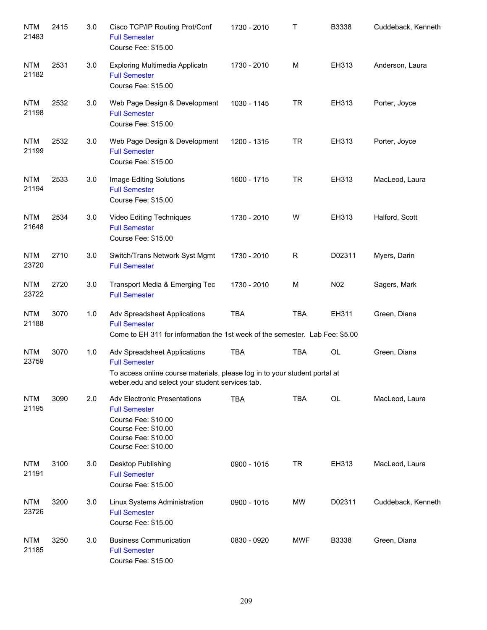| <b>NTM</b><br>21483 | 2415 | 3.0 | Cisco TCP/IP Routing Prot/Conf<br><b>Full Semester</b><br>Course Fee: \$15.00                                                                                                         | 1730 - 2010 | Т          | B3338  | Cuddeback, Kenneth |
|---------------------|------|-----|---------------------------------------------------------------------------------------------------------------------------------------------------------------------------------------|-------------|------------|--------|--------------------|
| <b>NTM</b><br>21182 | 2531 | 3.0 | Exploring Multimedia Applicatn<br><b>Full Semester</b><br>Course Fee: \$15.00                                                                                                         | 1730 - 2010 | M          | EH313  | Anderson, Laura    |
| <b>NTM</b><br>21198 | 2532 | 3.0 | Web Page Design & Development<br><b>Full Semester</b><br>Course Fee: \$15.00                                                                                                          | 1030 - 1145 | <b>TR</b>  | EH313  | Porter, Joyce      |
| <b>NTM</b><br>21199 | 2532 | 3.0 | Web Page Design & Development<br><b>Full Semester</b><br>Course Fee: \$15.00                                                                                                          | 1200 - 1315 | <b>TR</b>  | EH313  | Porter, Joyce      |
| <b>NTM</b><br>21194 | 2533 | 3.0 | Image Editing Solutions<br><b>Full Semester</b><br>Course Fee: \$15.00                                                                                                                | 1600 - 1715 | <b>TR</b>  | EH313  | MacLeod, Laura     |
| <b>NTM</b><br>21648 | 2534 | 3.0 | Video Editing Techniques<br><b>Full Semester</b><br>Course Fee: \$15.00                                                                                                               | 1730 - 2010 | W          | EH313  | Halford, Scott     |
| <b>NTM</b><br>23720 | 2710 | 3.0 | Switch/Trans Network Syst Mgmt<br><b>Full Semester</b>                                                                                                                                | 1730 - 2010 | R          | D02311 | Myers, Darin       |
| <b>NTM</b><br>23722 | 2720 | 3.0 | Transport Media & Emerging Tec<br><b>Full Semester</b>                                                                                                                                | 1730 - 2010 | м          | N02    | Sagers, Mark       |
| <b>NTM</b><br>21188 | 3070 | 1.0 | Adv Spreadsheet Applications<br><b>Full Semester</b><br>Come to EH 311 for information the 1st week of the semester. Lab Fee: \$5.00                                                  | <b>TBA</b>  | <b>TBA</b> | EH311  | Green, Diana       |
| <b>NTM</b><br>23759 | 3070 | 1.0 | Adv Spreadsheet Applications<br><b>Full Semester</b><br>To access online course materials, please log in to your student portal at<br>weber.edu and select your student services tab. | <b>TBA</b>  | <b>TBA</b> | OL     | Green, Diana       |
| <b>NTM</b><br>21195 | 3090 | 2.0 | <b>Adv Electronic Presentations</b><br><b>Full Semester</b><br>Course Fee: \$10.00<br>Course Fee: \$10.00<br>Course Fee: \$10.00<br>Course Fee: \$10.00                               | <b>TBA</b>  | <b>TBA</b> | OL     | MacLeod, Laura     |
| <b>NTM</b><br>21191 | 3100 | 3.0 | Desktop Publishing<br><b>Full Semester</b><br>Course Fee: \$15.00                                                                                                                     | 0900 - 1015 | <b>TR</b>  | EH313  | MacLeod, Laura     |
| <b>NTM</b><br>23726 | 3200 | 3.0 | Linux Systems Administration<br><b>Full Semester</b><br>Course Fee: \$15.00                                                                                                           | 0900 - 1015 | MW         | D02311 | Cuddeback, Kenneth |
| <b>NTM</b><br>21185 | 3250 | 3.0 | <b>Business Communication</b><br><b>Full Semester</b><br>Course Fee: \$15.00                                                                                                          | 0830 - 0920 | <b>MWF</b> | B3338  | Green, Diana       |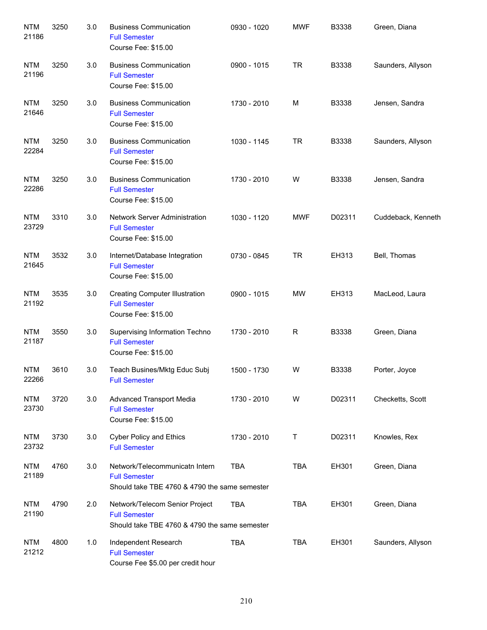| <b>NTM</b><br>21186 | 3250 | 3.0 | <b>Business Communication</b><br><b>Full Semester</b><br>Course Fee: \$15.00                            | 0930 - 1020 | <b>MWF</b> | B3338        | Green, Diana       |
|---------------------|------|-----|---------------------------------------------------------------------------------------------------------|-------------|------------|--------------|--------------------|
| <b>NTM</b><br>21196 | 3250 | 3.0 | <b>Business Communication</b><br><b>Full Semester</b><br>Course Fee: \$15.00                            | 0900 - 1015 | <b>TR</b>  | <b>B3338</b> | Saunders, Allyson  |
| <b>NTM</b><br>21646 | 3250 | 3.0 | <b>Business Communication</b><br><b>Full Semester</b><br>Course Fee: \$15.00                            | 1730 - 2010 | M          | B3338        | Jensen, Sandra     |
| <b>NTM</b><br>22284 | 3250 | 3.0 | <b>Business Communication</b><br><b>Full Semester</b><br>Course Fee: \$15.00                            | 1030 - 1145 | TR         | B3338        | Saunders, Allyson  |
| <b>NTM</b><br>22286 | 3250 | 3.0 | <b>Business Communication</b><br><b>Full Semester</b><br>Course Fee: \$15.00                            | 1730 - 2010 | W          | B3338        | Jensen, Sandra     |
| <b>NTM</b><br>23729 | 3310 | 3.0 | <b>Network Server Administration</b><br><b>Full Semester</b><br>Course Fee: \$15.00                     | 1030 - 1120 | <b>MWF</b> | D02311       | Cuddeback, Kenneth |
| <b>NTM</b><br>21645 | 3532 | 3.0 | Internet/Database Integration<br><b>Full Semester</b><br>Course Fee: \$15.00                            | 0730 - 0845 | <b>TR</b>  | EH313        | Bell, Thomas       |
| <b>NTM</b><br>21192 | 3535 | 3.0 | <b>Creating Computer Illustration</b><br><b>Full Semester</b><br>Course Fee: \$15.00                    | 0900 - 1015 | <b>MW</b>  | EH313        | MacLeod, Laura     |
| <b>NTM</b><br>21187 | 3550 | 3.0 | Supervising Information Techno<br><b>Full Semester</b><br>Course Fee: \$15.00                           | 1730 - 2010 | R          | B3338        | Green, Diana       |
| <b>NTM</b><br>22266 | 3610 | 3.0 | Teach Busines/Mktg Educ Subj<br><b>Full Semester</b>                                                    | 1500 - 1730 | W          | B3338        | Porter, Joyce      |
| <b>NTM</b><br>23730 | 3720 | 3.0 | Advanced Transport Media<br><b>Full Semester</b><br>Course Fee: \$15.00                                 | 1730 - 2010 | W          | D02311       | Checketts, Scott   |
| <b>NTM</b><br>23732 | 3730 | 3.0 | <b>Cyber Policy and Ethics</b><br><b>Full Semester</b>                                                  | 1730 - 2010 | Τ          | D02311       | Knowles, Rex       |
| <b>NTM</b><br>21189 | 4760 | 3.0 | Network/Telecommunicatn Intern<br><b>Full Semester</b><br>Should take TBE 4760 & 4790 the same semester | <b>TBA</b>  | <b>TBA</b> | EH301        | Green, Diana       |
| <b>NTM</b><br>21190 | 4790 | 2.0 | Network/Telecom Senior Project<br><b>Full Semester</b><br>Should take TBE 4760 & 4790 the same semester | <b>TBA</b>  | <b>TBA</b> | EH301        | Green, Diana       |
| <b>NTM</b><br>21212 | 4800 | 1.0 | Independent Research<br><b>Full Semester</b><br>Course Fee \$5.00 per credit hour                       | <b>TBA</b>  | <b>TBA</b> | EH301        | Saunders, Allyson  |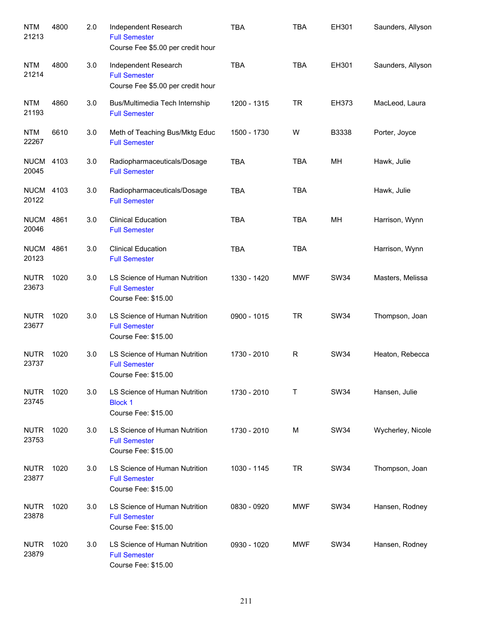| <b>NTM</b><br>21213       | 4800 | 2.0 | Independent Research<br><b>Full Semester</b><br>Course Fee \$5.00 per credit hour | <b>TBA</b>  | <b>TBA</b> | EH301       | Saunders, Allyson |
|---------------------------|------|-----|-----------------------------------------------------------------------------------|-------------|------------|-------------|-------------------|
| <b>NTM</b><br>21214       | 4800 | 3.0 | Independent Research<br><b>Full Semester</b><br>Course Fee \$5.00 per credit hour | <b>TBA</b>  | <b>TBA</b> | EH301       | Saunders, Allyson |
| <b>NTM</b><br>21193       | 4860 | 3.0 | Bus/Multimedia Tech Internship<br><b>Full Semester</b>                            | 1200 - 1315 | <b>TR</b>  | EH373       | MacLeod, Laura    |
| <b>NTM</b><br>22267       | 6610 | 3.0 | Meth of Teaching Bus/Mktg Educ<br><b>Full Semester</b>                            | 1500 - 1730 | W          | B3338       | Porter, Joyce     |
| <b>NUCM</b><br>20045      | 4103 | 3.0 | Radiopharmaceuticals/Dosage<br><b>Full Semester</b>                               | <b>TBA</b>  | <b>TBA</b> | MН          | Hawk, Julie       |
| <b>NUCM 4103</b><br>20122 |      | 3.0 | Radiopharmaceuticals/Dosage<br><b>Full Semester</b>                               | <b>TBA</b>  | <b>TBA</b> |             | Hawk, Julie       |
| <b>NUCM 4861</b><br>20046 |      | 3.0 | <b>Clinical Education</b><br><b>Full Semester</b>                                 | <b>TBA</b>  | <b>TBA</b> | MH          | Harrison, Wynn    |
| <b>NUCM</b><br>20123      | 4861 | 3.0 | <b>Clinical Education</b><br><b>Full Semester</b>                                 | <b>TBA</b>  | <b>TBA</b> |             | Harrison, Wynn    |
| <b>NUTR</b><br>23673      | 1020 | 3.0 | LS Science of Human Nutrition<br><b>Full Semester</b><br>Course Fee: \$15.00      | 1330 - 1420 | <b>MWF</b> | <b>SW34</b> | Masters, Melissa  |
| <b>NUTR</b><br>23677      | 1020 | 3.0 | LS Science of Human Nutrition<br><b>Full Semester</b><br>Course Fee: \$15.00      | 0900 - 1015 | <b>TR</b>  | <b>SW34</b> | Thompson, Joan    |
| <b>NUTR</b><br>23737      | 1020 | 3.0 | LS Science of Human Nutrition<br><b>Full Semester</b><br>Course Fee: \$15.00      | 1730 - 2010 | R          | <b>SW34</b> | Heaton, Rebecca   |
| <b>NUTR</b><br>23745      | 1020 | 3.0 | LS Science of Human Nutrition<br><b>Block 1</b><br>Course Fee: \$15.00            | 1730 - 2010 | т          | <b>SW34</b> | Hansen, Julie     |
| <b>NUTR</b><br>23753      | 1020 | 3.0 | LS Science of Human Nutrition<br><b>Full Semester</b><br>Course Fee: \$15.00      | 1730 - 2010 | M          | <b>SW34</b> | Wycherley, Nicole |
| <b>NUTR</b><br>23877      | 1020 | 3.0 | LS Science of Human Nutrition<br><b>Full Semester</b><br>Course Fee: \$15.00      | 1030 - 1145 | <b>TR</b>  | <b>SW34</b> | Thompson, Joan    |
| <b>NUTR</b><br>23878      | 1020 | 3.0 | LS Science of Human Nutrition<br><b>Full Semester</b><br>Course Fee: \$15.00      | 0830 - 0920 | <b>MWF</b> | <b>SW34</b> | Hansen, Rodney    |
| <b>NUTR</b><br>23879      | 1020 | 3.0 | LS Science of Human Nutrition<br><b>Full Semester</b><br>Course Fee: \$15.00      | 0930 - 1020 | <b>MWF</b> | SW34        | Hansen, Rodney    |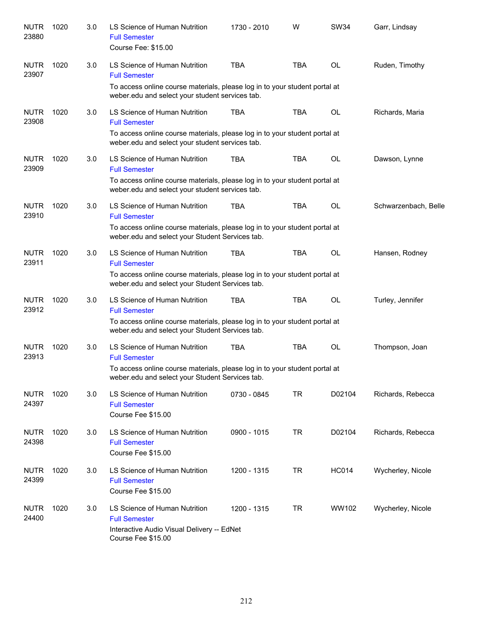| <b>NUTR</b><br>23880 | 1020 | 3.0 | LS Science of Human Nutrition<br><b>Full Semester</b><br>Course Fee: \$15.00                                                  | 1730 - 2010 | W          | <b>SW34</b>  | Garr, Lindsay        |
|----------------------|------|-----|-------------------------------------------------------------------------------------------------------------------------------|-------------|------------|--------------|----------------------|
| <b>NUTR</b><br>23907 | 1020 | 3.0 | LS Science of Human Nutrition<br><b>Full Semester</b>                                                                         | <b>TBA</b>  | <b>TBA</b> | <b>OL</b>    | Ruden, Timothy       |
|                      |      |     | To access online course materials, please log in to your student portal at<br>weber.edu and select your student services tab. |             |            |              |                      |
| <b>NUTR</b><br>23908 | 1020 | 3.0 | LS Science of Human Nutrition<br><b>Full Semester</b>                                                                         | <b>TBA</b>  | <b>TBA</b> | <b>OL</b>    | Richards, Maria      |
|                      |      |     | To access online course materials, please log in to your student portal at<br>weber.edu and select your student services tab. |             |            |              |                      |
| <b>NUTR</b><br>23909 | 1020 | 3.0 | LS Science of Human Nutrition<br><b>Full Semester</b>                                                                         | <b>TBA</b>  | <b>TBA</b> | <b>OL</b>    | Dawson, Lynne        |
|                      |      |     | To access online course materials, please log in to your student portal at<br>weber.edu and select your student services tab. |             |            |              |                      |
| <b>NUTR</b><br>23910 | 1020 | 3.0 | LS Science of Human Nutrition<br><b>Full Semester</b>                                                                         | <b>TBA</b>  | <b>TBA</b> | <b>OL</b>    | Schwarzenbach, Belle |
|                      |      |     | To access online course materials, please log in to your student portal at<br>weber.edu and select your Student Services tab. |             |            |              |                      |
| <b>NUTR</b><br>23911 | 1020 | 3.0 | LS Science of Human Nutrition<br><b>Full Semester</b>                                                                         | <b>TBA</b>  | <b>TBA</b> | <b>OL</b>    | Hansen, Rodney       |
|                      |      |     | To access online course materials, please log in to your student portal at<br>weber.edu and select your Student Services tab. |             |            |              |                      |
| <b>NUTR</b><br>23912 | 1020 | 3.0 | LS Science of Human Nutrition<br><b>Full Semester</b>                                                                         | <b>TBA</b>  | <b>TBA</b> | <b>OL</b>    | Turley, Jennifer     |
|                      |      |     | To access online course materials, please log in to your student portal at<br>weber.edu and select your Student Services tab. |             |            |              |                      |
| <b>NUTR</b><br>23913 | 1020 | 3.0 | LS Science of Human Nutrition<br><b>Full Semester</b>                                                                         | <b>TBA</b>  | <b>TBA</b> | <b>OL</b>    | Thompson, Joan       |
|                      |      |     | To access online course materials, please log in to your student portal at<br>weber.edu and select your Student Services tab. |             |            |              |                      |
| <b>NUTR</b><br>24397 | 1020 | 3.0 | LS Science of Human Nutrition<br><b>Full Semester</b><br>Course Fee \$15.00                                                   | 0730 - 0845 | <b>TR</b>  | D02104       | Richards, Rebecca    |
| <b>NUTR</b><br>24398 | 1020 | 3.0 | LS Science of Human Nutrition<br><b>Full Semester</b><br>Course Fee \$15.00                                                   | 0900 - 1015 | <b>TR</b>  | D02104       | Richards, Rebecca    |
| <b>NUTR</b><br>24399 | 1020 | 3.0 | LS Science of Human Nutrition<br><b>Full Semester</b><br>Course Fee \$15.00                                                   | 1200 - 1315 | <b>TR</b>  | <b>HC014</b> | Wycherley, Nicole    |
| <b>NUTR</b><br>24400 | 1020 | 3.0 | LS Science of Human Nutrition<br><b>Full Semester</b><br>Interactive Audio Visual Delivery -- EdNet<br>Course Fee \$15.00     | 1200 - 1315 | <b>TR</b>  | WW102        | Wycherley, Nicole    |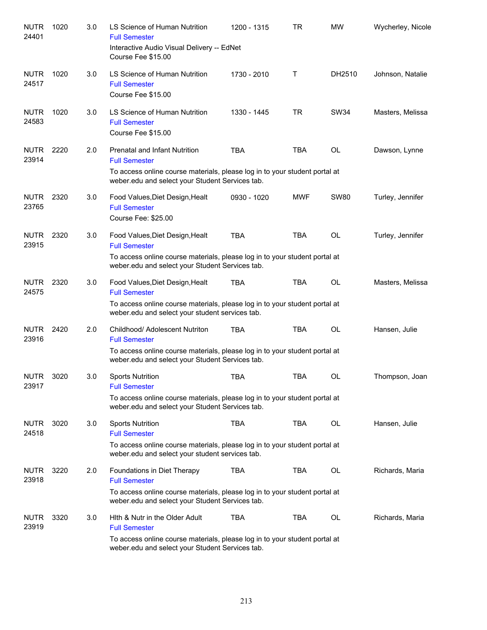| <b>NUTR</b><br>24401 | 1020 | 3.0 | LS Science of Human Nutrition<br><b>Full Semester</b><br>Interactive Audio Visual Delivery -- EdNet<br>Course Fee \$15.00                                                                     | 1200 - 1315 | <b>TR</b>  | <b>MW</b>   | Wycherley, Nicole |
|----------------------|------|-----|-----------------------------------------------------------------------------------------------------------------------------------------------------------------------------------------------|-------------|------------|-------------|-------------------|
| <b>NUTR</b><br>24517 | 1020 | 3.0 | LS Science of Human Nutrition<br><b>Full Semester</b><br>Course Fee \$15.00                                                                                                                   | 1730 - 2010 | Τ          | DH2510      | Johnson, Natalie  |
| <b>NUTR</b><br>24583 | 1020 | 3.0 | LS Science of Human Nutrition<br><b>Full Semester</b><br>Course Fee \$15.00                                                                                                                   | 1330 - 1445 | <b>TR</b>  | <b>SW34</b> | Masters, Melissa  |
| <b>NUTR</b><br>23914 | 2220 | 2.0 | <b>Prenatal and Infant Nutrition</b><br><b>Full Semester</b><br>To access online course materials, please log in to your student portal at<br>weber.edu and select your Student Services tab. | <b>TBA</b>  | <b>TBA</b> | <b>OL</b>   | Dawson, Lynne     |
| <b>NUTR</b><br>23765 | 2320 | 3.0 | Food Values, Diet Design, Healt<br><b>Full Semester</b><br>Course Fee: \$25.00                                                                                                                | 0930 - 1020 | <b>MWF</b> | <b>SW80</b> | Turley, Jennifer  |
| <b>NUTR</b><br>23915 | 2320 | 3.0 | Food Values, Diet Design, Healt<br><b>Full Semester</b><br>To access online course materials, please log in to your student portal at<br>weber.edu and select your Student Services tab.      | <b>TBA</b>  | <b>TBA</b> | <b>OL</b>   | Turley, Jennifer  |
| <b>NUTR</b><br>24575 | 2320 | 3.0 | Food Values, Diet Design, Healt<br><b>Full Semester</b><br>To access online course materials, please log in to your student portal at<br>weber.edu and select your student services tab.      | <b>TBA</b>  | <b>TBA</b> | <b>OL</b>   | Masters, Melissa  |
| <b>NUTR</b><br>23916 | 2420 | 2.0 | Childhood/ Adolescent Nutriton<br><b>Full Semester</b><br>To access online course materials, please log in to your student portal at<br>weber.edu and select your Student Services tab.       | <b>TBA</b>  | <b>TBA</b> | <b>OL</b>   | Hansen, Julie     |
| <b>NUTR</b><br>23917 | 3020 | 3.0 | <b>Sports Nutrition</b><br><b>Full Semester</b><br>To access online course materials, please log in to your student portal at<br>weber.edu and select your Student Services tab.              | <b>TBA</b>  | <b>TBA</b> | OL          | Thompson, Joan    |
| <b>NUTR</b><br>24518 | 3020 | 3.0 | <b>Sports Nutrition</b><br><b>Full Semester</b><br>To access online course materials, please log in to your student portal at<br>weber.edu and select your student services tab.              | <b>TBA</b>  | <b>TBA</b> | OL          | Hansen, Julie     |
| <b>NUTR</b><br>23918 | 3220 | 2.0 | Foundations in Diet Therapy<br><b>Full Semester</b><br>To access online course materials, please log in to your student portal at<br>weber.edu and select your Student Services tab.          | <b>TBA</b>  | <b>TBA</b> | OL          | Richards, Maria   |
| <b>NUTR</b><br>23919 | 3320 | 3.0 | Hith & Nutr in the Older Adult<br><b>Full Semester</b><br>To access online course materials, please log in to your student portal at<br>weber.edu and select your Student Services tab.       | <b>TBA</b>  | <b>TBA</b> | OL          | Richards, Maria   |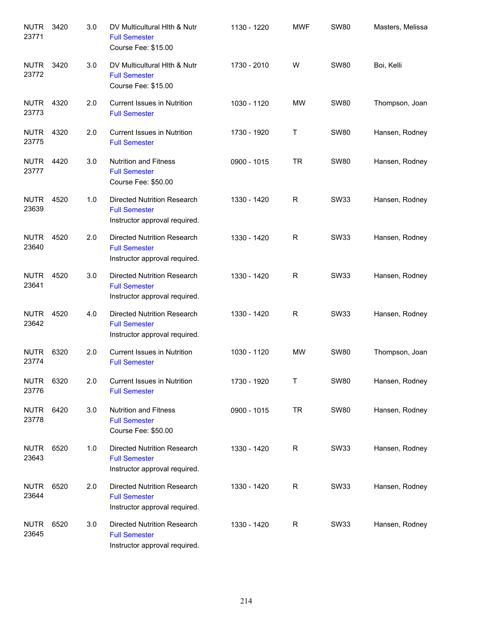| <b>NUTR</b><br>23771 | 3420 | 3.0 | DV Multicultural Hith & Nutr<br><b>Full Semester</b><br>Course Fee: \$15.00                 | 1130 - 1220 | <b>MWF</b>   | <b>SW80</b> | Masters, Melissa |
|----------------------|------|-----|---------------------------------------------------------------------------------------------|-------------|--------------|-------------|------------------|
| <b>NUTR</b><br>23772 | 3420 | 3.0 | DV Multicultural Hith & Nutr<br><b>Full Semester</b><br>Course Fee: \$15.00                 | 1730 - 2010 | W            | <b>SW80</b> | Boi, Kelli       |
| <b>NUTR</b><br>23773 | 4320 | 2.0 | <b>Current Issues in Nutrition</b><br><b>Full Semester</b>                                  | 1030 - 1120 | <b>MW</b>    | <b>SW80</b> | Thompson, Joan   |
| <b>NUTR</b><br>23775 | 4320 | 2.0 | <b>Current Issues in Nutrition</b><br><b>Full Semester</b>                                  | 1730 - 1920 | Т            | <b>SW80</b> | Hansen, Rodney   |
| <b>NUTR</b><br>23777 | 4420 | 3.0 | <b>Nutrition and Fitness</b><br><b>Full Semester</b><br>Course Fee: \$50.00                 | 0900 - 1015 | <b>TR</b>    | <b>SW80</b> | Hansen, Rodney   |
| <b>NUTR</b><br>23639 | 4520 | 1.0 | Directed Nutrition Research<br><b>Full Semester</b><br>Instructor approval required.        | 1330 - 1420 | R            | <b>SW33</b> | Hansen, Rodney   |
| <b>NUTR</b><br>23640 | 4520 | 2.0 | <b>Directed Nutrition Research</b><br><b>Full Semester</b><br>Instructor approval required. | 1330 - 1420 | R            | <b>SW33</b> | Hansen, Rodney   |
| <b>NUTR</b><br>23641 | 4520 | 3.0 | <b>Directed Nutrition Research</b><br><b>Full Semester</b><br>Instructor approval required. | 1330 - 1420 | R            | <b>SW33</b> | Hansen, Rodney   |
| <b>NUTR</b><br>23642 | 4520 | 4.0 | <b>Directed Nutrition Research</b><br><b>Full Semester</b><br>Instructor approval required. | 1330 - 1420 | R            | <b>SW33</b> | Hansen, Rodney   |
| <b>NUTR</b><br>23774 | 6320 | 2.0 | <b>Current Issues in Nutrition</b><br><b>Full Semester</b>                                  | 1030 - 1120 | <b>MW</b>    | <b>SW80</b> | Thompson, Joan   |
| <b>NUTR</b><br>23776 | 6320 | 2.0 | <b>Current Issues in Nutrition</b><br><b>Full Semester</b>                                  | 1730 - 1920 | J.           | <b>SW80</b> | Hansen, Rodney   |
| <b>NUTR</b><br>23778 | 6420 | 3.0 | <b>Nutrition and Fitness</b><br><b>Full Semester</b><br>Course Fee: \$50.00                 | 0900 - 1015 | TR.          | <b>SW80</b> | Hansen, Rodney   |
| <b>NUTR</b><br>23643 | 6520 | 1.0 | <b>Directed Nutrition Research</b><br><b>Full Semester</b><br>Instructor approval required. | 1330 - 1420 | R            | <b>SW33</b> | Hansen, Rodney   |
| <b>NUTR</b><br>23644 | 6520 | 2.0 | <b>Directed Nutrition Research</b><br><b>Full Semester</b><br>Instructor approval required. | 1330 - 1420 | $\mathsf{R}$ | <b>SW33</b> | Hansen, Rodney   |
| <b>NUTR</b><br>23645 | 6520 | 3.0 | <b>Directed Nutrition Research</b><br><b>Full Semester</b><br>Instructor approval required. | 1330 - 1420 | R            | <b>SW33</b> | Hansen, Rodney   |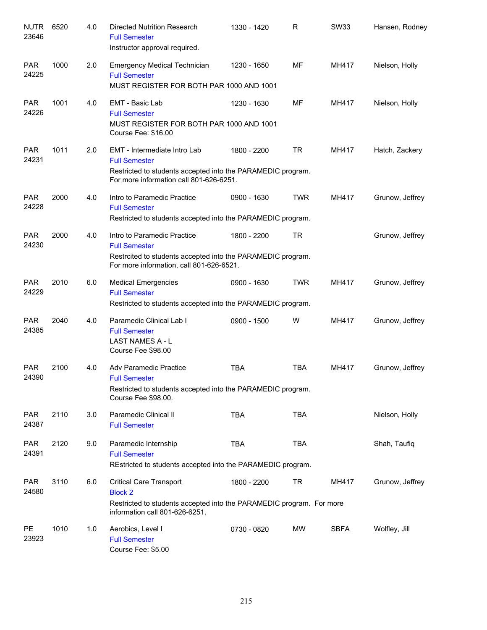| <b>NUTR</b><br>23646 | 6520 | 4.0 | <b>Directed Nutrition Research</b><br><b>Full Semester</b><br>Instructor approval required.                                                                    | 1330 - 1420 | R          | <b>SW33</b> | Hansen, Rodney  |
|----------------------|------|-----|----------------------------------------------------------------------------------------------------------------------------------------------------------------|-------------|------------|-------------|-----------------|
| <b>PAR</b><br>24225  | 1000 | 2.0 | <b>Emergency Medical Technician</b><br><b>Full Semester</b><br>MUST REGISTER FOR BOTH PAR 1000 AND 1001                                                        | 1230 - 1650 | <b>MF</b>  | MH417       | Nielson, Holly  |
| <b>PAR</b><br>24226  | 1001 | 4.0 | EMT - Basic Lab<br><b>Full Semester</b><br>MUST REGISTER FOR BOTH PAR 1000 AND 1001<br>Course Fee: \$16.00                                                     | 1230 - 1630 | MF         | MH417       | Nielson, Holly  |
| <b>PAR</b><br>24231  | 1011 | 2.0 | EMT - Intermediate Intro Lab<br><b>Full Semester</b><br>Restricted to students accepted into the PARAMEDIC program.<br>For more information call 801-626-6251. | 1800 - 2200 | <b>TR</b>  | MH417       | Hatch, Zackery  |
| <b>PAR</b><br>24228  | 2000 | 4.0 | Intro to Paramedic Practice<br><b>Full Semester</b><br>Restricted to students accepted into the PARAMEDIC program.                                             | 0900 - 1630 | <b>TWR</b> | MH417       | Grunow, Jeffrey |
| <b>PAR</b><br>24230  | 2000 | 4.0 | Intro to Paramedic Practice<br><b>Full Semester</b><br>Restrcited to students accepted into the PARAMEDIC program.<br>For more information, call 801-626-6521. | 1800 - 2200 | <b>TR</b>  |             | Grunow, Jeffrey |
| <b>PAR</b><br>24229  | 2010 | 6.0 | <b>Medical Emergencies</b><br><b>Full Semester</b><br>Restricted to students accepted into the PARAMEDIC program.                                              | 0900 - 1630 | <b>TWR</b> | MH417       | Grunow, Jeffrey |
| <b>PAR</b><br>24385  | 2040 | 4.0 | Paramedic Clinical Lab I<br><b>Full Semester</b><br>LAST NAMES A - L<br>Course Fee \$98.00                                                                     | 0900 - 1500 | W          | MH417       | Grunow, Jeffrey |
| <b>PAR</b><br>24390  | 2100 | 4.0 | Adv Paramedic Practice<br><b>Full Semester</b><br>Restricted to students accepted into the PARAMEDIC program.<br>Course Fee \$98.00.                           | <b>TBA</b>  | <b>TBA</b> | MH417       | Grunow, Jeffrey |
| <b>PAR</b><br>24387  | 2110 | 3.0 | Paramedic Clinical II<br><b>Full Semester</b>                                                                                                                  | <b>TBA</b>  | <b>TBA</b> |             | Nielson, Holly  |
| <b>PAR</b><br>24391  | 2120 | 9.0 | Paramedic Internship<br><b>Full Semester</b><br>REstricted to students accepted into the PARAMEDIC program.                                                    | <b>TBA</b>  | <b>TBA</b> |             | Shah, Taufiq    |
| <b>PAR</b><br>24580  | 3110 | 6.0 | <b>Critical Care Transport</b><br><b>Block 2</b><br>Restricted to students accepted into the PARAMEDIC program. For more<br>information call 801-626-6251.     | 1800 - 2200 | TR         | MH417       | Grunow, Jeffrey |
| <b>PE</b><br>23923   | 1010 | 1.0 | Aerobics, Level I<br><b>Full Semester</b><br>Course Fee: \$5.00                                                                                                | 0730 - 0820 | MW         | <b>SBFA</b> | Wolfley, Jill   |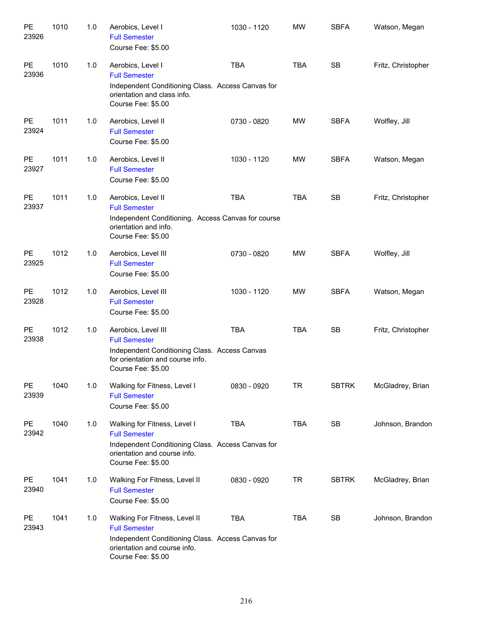| PE<br>23926 | 1010 | 1.0 | Aerobics, Level I<br><b>Full Semester</b><br>Course Fee: \$5.00                                                                                                  | 1030 - 1120 | <b>MW</b>  | <b>SBFA</b>  | Watson, Megan      |
|-------------|------|-----|------------------------------------------------------------------------------------------------------------------------------------------------------------------|-------------|------------|--------------|--------------------|
| PE<br>23936 | 1010 | 1.0 | Aerobics, Level I<br><b>Full Semester</b><br>Independent Conditioning Class. Access Canvas for<br>orientation and class info.<br>Course Fee: \$5.00              | <b>TBA</b>  | <b>TBA</b> | <b>SB</b>    | Fritz, Christopher |
| PE<br>23924 | 1011 | 1.0 | Aerobics, Level II<br><b>Full Semester</b><br>Course Fee: \$5.00                                                                                                 | 0730 - 0820 | <b>MW</b>  | <b>SBFA</b>  | Wolfley, Jill      |
| PE<br>23927 | 1011 | 1.0 | Aerobics, Level II<br><b>Full Semester</b><br>Course Fee: \$5.00                                                                                                 | 1030 - 1120 | <b>MW</b>  | <b>SBFA</b>  | Watson, Megan      |
| PE<br>23937 | 1011 | 1.0 | Aerobics, Level II<br><b>Full Semester</b><br>Independent Conditioning. Access Canvas for course<br>orientation and info.<br>Course Fee: \$5.00                  | <b>TBA</b>  | <b>TBA</b> | <b>SB</b>    | Fritz, Christopher |
| PE<br>23925 | 1012 | 1.0 | Aerobics, Level III<br><b>Full Semester</b><br>Course Fee: \$5.00                                                                                                | 0730 - 0820 | <b>MW</b>  | <b>SBFA</b>  | Wolfley, Jill      |
| PE<br>23928 | 1012 | 1.0 | Aerobics, Level III<br><b>Full Semester</b><br>Course Fee: \$5.00                                                                                                | 1030 - 1120 | <b>MW</b>  | <b>SBFA</b>  | Watson, Megan      |
| PE<br>23938 | 1012 | 1.0 | Aerobics, Level III<br><b>Full Semester</b><br>Independent Conditioning Class. Access Canvas<br>for orientation and course info.<br>Course Fee: \$5.00           | <b>TBA</b>  | <b>TBA</b> | <b>SB</b>    | Fritz, Christopher |
| PE<br>23939 | 1040 | 1.0 | Walking for Fitness, Level I<br><b>Full Semester</b><br>Course Fee: \$5.00                                                                                       | 0830 - 0920 | <b>TR</b>  | <b>SBTRK</b> | McGladrey, Brian   |
| PE<br>23942 | 1040 | 1.0 | Walking for Fitness, Level I<br><b>Full Semester</b><br>Independent Conditioning Class. Access Canvas for<br>orientation and course info.<br>Course Fee: \$5.00  | <b>TBA</b>  | <b>TBA</b> | SB           | Johnson, Brandon   |
| PE<br>23940 | 1041 | 1.0 | Walking For Fitness, Level II<br><b>Full Semester</b><br>Course Fee: \$5.00                                                                                      | 0830 - 0920 | <b>TR</b>  | <b>SBTRK</b> | McGladrey, Brian   |
| PE<br>23943 | 1041 | 1.0 | Walking For Fitness, Level II<br><b>Full Semester</b><br>Independent Conditioning Class. Access Canvas for<br>orientation and course info.<br>Course Fee: \$5.00 | <b>TBA</b>  | <b>TBA</b> | SB           | Johnson, Brandon   |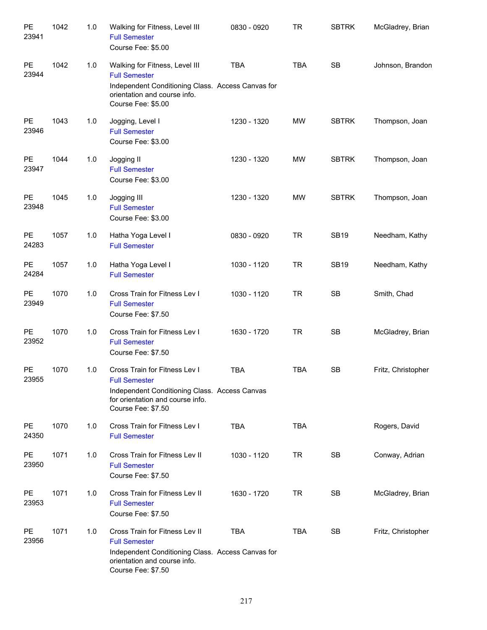| PE<br>23941        | 1042 | 1.0 | Walking for Fitness, Level III<br><b>Full Semester</b><br>Course Fee: \$5.00                                                                                      | 0830 - 0920 | <b>TR</b>  | <b>SBTRK</b> | McGladrey, Brian   |
|--------------------|------|-----|-------------------------------------------------------------------------------------------------------------------------------------------------------------------|-------------|------------|--------------|--------------------|
| PE<br>23944        | 1042 | 1.0 | Walking for Fitness, Level III<br><b>Full Semester</b><br>Independent Conditioning Class. Access Canvas for<br>orientation and course info.<br>Course Fee: \$5.00 | <b>TBA</b>  | <b>TBA</b> | <b>SB</b>    | Johnson, Brandon   |
| PE<br>23946        | 1043 | 1.0 | Jogging, Level I<br><b>Full Semester</b><br>Course Fee: \$3.00                                                                                                    | 1230 - 1320 | <b>MW</b>  | <b>SBTRK</b> | Thompson, Joan     |
| PE<br>23947        | 1044 | 1.0 | Jogging II<br><b>Full Semester</b><br>Course Fee: \$3.00                                                                                                          | 1230 - 1320 | <b>MW</b>  | <b>SBTRK</b> | Thompson, Joan     |
| <b>PE</b><br>23948 | 1045 | 1.0 | Jogging III<br><b>Full Semester</b><br>Course Fee: \$3.00                                                                                                         | 1230 - 1320 | <b>MW</b>  | <b>SBTRK</b> | Thompson, Joan     |
| PE<br>24283        | 1057 | 1.0 | Hatha Yoga Level I<br><b>Full Semester</b>                                                                                                                        | 0830 - 0920 | <b>TR</b>  | <b>SB19</b>  | Needham, Kathy     |
| <b>PE</b><br>24284 | 1057 | 1.0 | Hatha Yoga Level I<br><b>Full Semester</b>                                                                                                                        | 1030 - 1120 | <b>TR</b>  | <b>SB19</b>  | Needham, Kathy     |
| <b>PE</b><br>23949 | 1070 | 1.0 | Cross Train for Fitness Lev I<br><b>Full Semester</b><br>Course Fee: \$7.50                                                                                       | 1030 - 1120 | <b>TR</b>  | SB           | Smith, Chad        |
| <b>PE</b><br>23952 | 1070 | 1.0 | Cross Train for Fitness Lev I<br><b>Full Semester</b><br>Course Fee: \$7.50                                                                                       | 1630 - 1720 | <b>TR</b>  | SB           | McGladrey, Brian   |
| PE<br>23955        | 1070 | 1.0 | Cross Train for Fitness Lev I<br><b>Full Semester</b><br>Independent Conditioning Class. Access Canvas<br>for orientation and course info.<br>Course Fee: \$7.50  | <b>TBA</b>  | <b>TBA</b> | SB           | Fritz, Christopher |
| <b>PE</b><br>24350 | 1070 | 1.0 | Cross Train for Fitness Lev I<br><b>Full Semester</b>                                                                                                             | <b>TBA</b>  | <b>TBA</b> |              | Rogers, David      |
| <b>PE</b><br>23950 | 1071 | 1.0 | Cross Train for Fitness Lev II<br><b>Full Semester</b><br>Course Fee: \$7.50                                                                                      | 1030 - 1120 | <b>TR</b>  | SB           | Conway, Adrian     |
| <b>PE</b><br>23953 | 1071 | 1.0 | Cross Train for Fitness Lev II<br><b>Full Semester</b><br>Course Fee: \$7.50                                                                                      | 1630 - 1720 | <b>TR</b>  | SB           | McGladrey, Brian   |
| <b>PE</b><br>23956 | 1071 | 1.0 | Cross Train for Fitness Lev II<br><b>Full Semester</b><br>Independent Conditioning Class. Access Canvas for<br>orientation and course info.<br>Course Fee: \$7.50 | <b>TBA</b>  | <b>TBA</b> | SB           | Fritz, Christopher |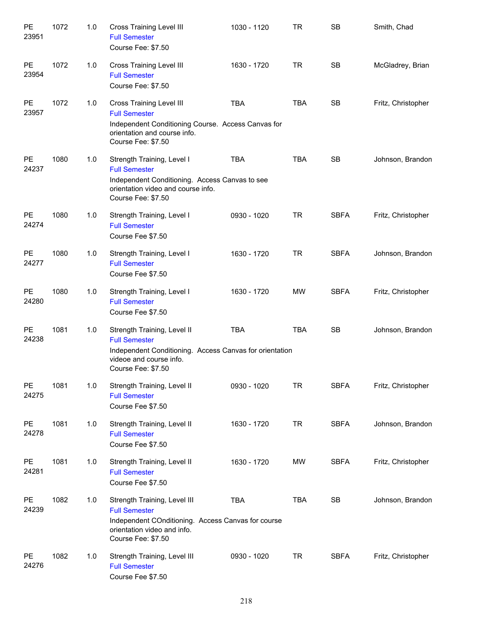| PE<br>23951 | 1072 | 1.0 | <b>Cross Training Level III</b><br><b>Full Semester</b><br>Course Fee: \$7.50                                                                                       | 1030 - 1120 | TR         | <b>SB</b>   | Smith, Chad        |
|-------------|------|-----|---------------------------------------------------------------------------------------------------------------------------------------------------------------------|-------------|------------|-------------|--------------------|
| PE<br>23954 | 1072 | 1.0 | <b>Cross Training Level III</b><br><b>Full Semester</b><br>Course Fee: \$7.50                                                                                       | 1630 - 1720 | <b>TR</b>  | <b>SB</b>   | McGladrey, Brian   |
| PE<br>23957 | 1072 | 1.0 | <b>Cross Training Level III</b><br><b>Full Semester</b><br>Independent Conditioning Course. Access Canvas for<br>orientation and course info.<br>Course Fee: \$7.50 | <b>TBA</b>  | <b>TBA</b> | <b>SB</b>   | Fritz, Christopher |
| PE<br>24237 | 1080 | 1.0 | Strength Training, Level I<br><b>Full Semester</b><br>Independent Conditioning. Access Canvas to see<br>orientation video and course info.<br>Course Fee: \$7.50    | <b>TBA</b>  | <b>TBA</b> | <b>SB</b>   | Johnson, Brandon   |
| PE<br>24274 | 1080 | 1.0 | Strength Training, Level I<br><b>Full Semester</b><br>Course Fee \$7.50                                                                                             | 0930 - 1020 | <b>TR</b>  | <b>SBFA</b> | Fritz, Christopher |
| PE<br>24277 | 1080 | 1.0 | Strength Training, Level I<br><b>Full Semester</b><br>Course Fee \$7.50                                                                                             | 1630 - 1720 | <b>TR</b>  | <b>SBFA</b> | Johnson, Brandon   |
| PE<br>24280 | 1080 | 1.0 | Strength Training, Level I<br><b>Full Semester</b><br>Course Fee \$7.50                                                                                             | 1630 - 1720 | <b>MW</b>  | <b>SBFA</b> | Fritz, Christopher |
| PE<br>24238 | 1081 | 1.0 | Strength Training, Level II<br><b>Full Semester</b><br>Independent Conditioning. Access Canvas for orientation<br>videoe and course info.<br>Course Fee: \$7.50     | <b>TBA</b>  | <b>TBA</b> | <b>SB</b>   | Johnson, Brandon   |
| PE<br>24275 | 1081 | 1.0 | Strength Training, Level II<br><b>Full Semester</b><br>Course Fee \$7.50                                                                                            | 0930 - 1020 | <b>TR</b>  | <b>SBFA</b> | Fritz, Christopher |
| PE<br>24278 | 1081 | 1.0 | Strength Training, Level II<br><b>Full Semester</b><br>Course Fee \$7.50                                                                                            | 1630 - 1720 | <b>TR</b>  | <b>SBFA</b> | Johnson, Brandon   |
| PE<br>24281 | 1081 | 1.0 | Strength Training, Level II<br><b>Full Semester</b><br>Course Fee \$7.50                                                                                            | 1630 - 1720 | MW         | <b>SBFA</b> | Fritz, Christopher |
| PE<br>24239 | 1082 | 1.0 | Strength Training, Level III<br><b>Full Semester</b><br>Independent COnditioning. Access Canvas for course<br>orientation video and info.<br>Course Fee: \$7.50     | <b>TBA</b>  | <b>TBA</b> | SB          | Johnson, Brandon   |
| PE<br>24276 | 1082 | 1.0 | Strength Training, Level III<br><b>Full Semester</b><br>Course Fee \$7.50                                                                                           | 0930 - 1020 | TR         | <b>SBFA</b> | Fritz, Christopher |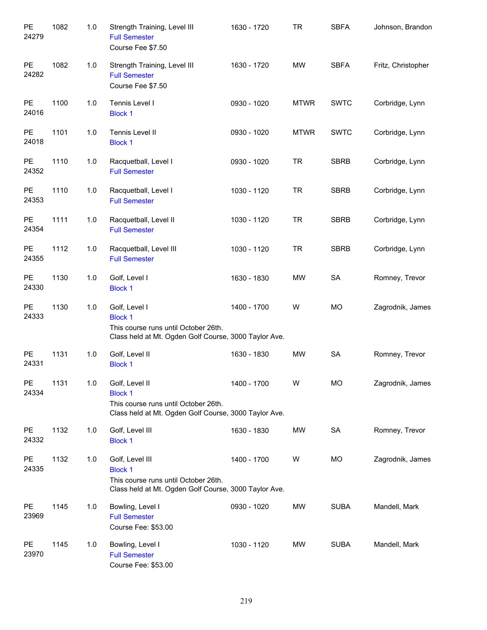| PE<br>24279            | 1082 | 1.0   | Strength Training, Level III<br><b>Full Semester</b><br>Course Fee \$7.50                                                          | 1630 - 1720 | <b>TR</b>   | <b>SBFA</b> | Johnson, Brandon   |
|------------------------|------|-------|------------------------------------------------------------------------------------------------------------------------------------|-------------|-------------|-------------|--------------------|
| PE<br>24282            | 1082 | 1.0   | Strength Training, Level III<br><b>Full Semester</b><br>Course Fee \$7.50                                                          | 1630 - 1720 | <b>MW</b>   | <b>SBFA</b> | Fritz, Christopher |
| PE<br>24016            | 1100 | 1.0   | Tennis Level I<br><b>Block 1</b>                                                                                                   | 0930 - 1020 | <b>MTWR</b> | <b>SWTC</b> | Corbridge, Lynn    |
| PE<br>24018            | 1101 | 1.0   | Tennis Level II<br><b>Block 1</b>                                                                                                  | 0930 - 1020 | <b>MTWR</b> | <b>SWTC</b> | Corbridge, Lynn    |
| PE<br>24352            | 1110 | 1.0   | Racquetball, Level I<br><b>Full Semester</b>                                                                                       | 0930 - 1020 | <b>TR</b>   | <b>SBRB</b> | Corbridge, Lynn    |
| PE<br>24353            | 1110 | 1.0   | Racquetball, Level I<br><b>Full Semester</b>                                                                                       | 1030 - 1120 | <b>TR</b>   | <b>SBRB</b> | Corbridge, Lynn    |
| PE<br>24354            | 1111 | 1.0   | Racquetball, Level II<br><b>Full Semester</b>                                                                                      | 1030 - 1120 | <b>TR</b>   | <b>SBRB</b> | Corbridge, Lynn    |
| PE<br>24355            | 1112 | 1.0   | Racquetball, Level III<br><b>Full Semester</b>                                                                                     | 1030 - 1120 | <b>TR</b>   | <b>SBRB</b> | Corbridge, Lynn    |
| PE<br>24330            | 1130 | 1.0   | Golf, Level I<br><b>Block 1</b>                                                                                                    | 1630 - 1830 | <b>MW</b>   | SA          | Romney, Trevor     |
| PE<br>24333            | 1130 | 1.0   | Golf, Level I<br><b>Block 1</b><br>This course runs until October 26th.<br>Class held at Mt. Ogden Golf Course, 3000 Taylor Ave.   | 1400 - 1700 | W           | <b>MO</b>   | Zagrodnik, James   |
| PE<br>24331            | 1131 | $1.0$ | Golf, Level II<br><b>Block 1</b>                                                                                                   | 1630 - 1830 | <b>MW</b>   | SA          | Romney, Trevor     |
| PE<br>24334            | 1131 | $1.0$ | Golf, Level II<br><b>Block 1</b><br>This course runs until October 26th.<br>Class held at Mt. Ogden Golf Course, 3000 Taylor Ave.  | 1400 - 1700 | W           | <b>MO</b>   | Zagrodnik, James   |
| $\mathsf{PE}$<br>24332 | 1132 | 1.0   | Golf, Level III<br><b>Block 1</b>                                                                                                  | 1630 - 1830 | MW          | SA          | Romney, Trevor     |
| PE<br>24335            | 1132 | 1.0   | Golf, Level III<br><b>Block 1</b><br>This course runs until October 26th.<br>Class held at Mt. Ogden Golf Course, 3000 Taylor Ave. | 1400 - 1700 | W           | MO          | Zagrodnik, James   |
| $\mathsf{PE}$<br>23969 | 1145 | 1.0   | Bowling, Level I<br><b>Full Semester</b><br>Course Fee: \$53.00                                                                    | 0930 - 1020 | MW          | <b>SUBA</b> | Mandell, Mark      |
| PE<br>23970            | 1145 | 1.0   | Bowling, Level I<br><b>Full Semester</b><br>Course Fee: \$53.00                                                                    | 1030 - 1120 | MW          | <b>SUBA</b> | Mandell, Mark      |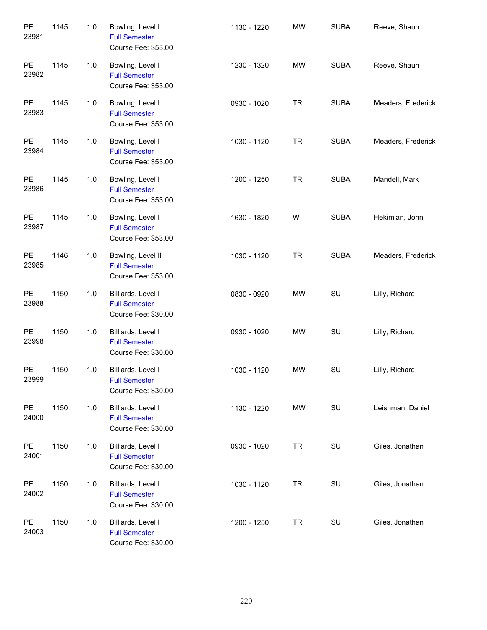| PE<br>23981        | 1145 | 1.0   | Bowling, Level I<br><b>Full Semester</b><br>Course Fee: \$53.00   | 1130 - 1220 | <b>MW</b> | <b>SUBA</b> | Reeve, Shaun       |
|--------------------|------|-------|-------------------------------------------------------------------|-------------|-----------|-------------|--------------------|
| PE<br>23982        | 1145 | 1.0   | Bowling, Level I<br><b>Full Semester</b><br>Course Fee: \$53.00   | 1230 - 1320 | <b>MW</b> | <b>SUBA</b> | Reeve, Shaun       |
| PE<br>23983        | 1145 | 1.0   | Bowling, Level I<br><b>Full Semester</b><br>Course Fee: \$53.00   | 0930 - 1020 | <b>TR</b> | <b>SUBA</b> | Meaders, Frederick |
| PE<br>23984        | 1145 | 1.0   | Bowling, Level I<br><b>Full Semester</b><br>Course Fee: \$53.00   | 1030 - 1120 | <b>TR</b> | <b>SUBA</b> | Meaders, Frederick |
| PE<br>23986        | 1145 | 1.0   | Bowling, Level I<br><b>Full Semester</b><br>Course Fee: \$53.00   | 1200 - 1250 | <b>TR</b> | <b>SUBA</b> | Mandell, Mark      |
| PE<br>23987        | 1145 | 1.0   | Bowling, Level I<br><b>Full Semester</b><br>Course Fee: \$53.00   | 1630 - 1820 | W         | <b>SUBA</b> | Hekimian, John     |
| PE<br>23985        | 1146 | $1.0$ | Bowling, Level II<br><b>Full Semester</b><br>Course Fee: \$53.00  | 1030 - 1120 | <b>TR</b> | <b>SUBA</b> | Meaders, Frederick |
| PE<br>23988        | 1150 | $1.0$ | Billiards, Level I<br><b>Full Semester</b><br>Course Fee: \$30.00 | 0830 - 0920 | MW        | SU          | Lilly, Richard     |
| PE<br>23998        | 1150 | $1.0$ | Billiards, Level I<br><b>Full Semester</b><br>Course Fee: \$30.00 | 0930 - 1020 | MW        | SU          | Lilly, Richard     |
| <b>PE</b><br>23999 | 1150 | 1.0   | Billiards, Level I<br><b>Full Semester</b><br>Course Fee: \$30.00 | 1030 - 1120 | <b>MW</b> | SU          | Lilly, Richard     |
| PE<br>24000        | 1150 | 1.0   | Billiards, Level I<br><b>Full Semester</b><br>Course Fee: \$30.00 | 1130 - 1220 | <b>MW</b> | SU          | Leishman, Daniel   |
| PE<br>24001        | 1150 | 1.0   | Billiards, Level I<br><b>Full Semester</b><br>Course Fee: \$30.00 | 0930 - 1020 | <b>TR</b> | SU          | Giles, Jonathan    |
| PE<br>24002        | 1150 | 1.0   | Billiards, Level I<br><b>Full Semester</b><br>Course Fee: \$30.00 | 1030 - 1120 | <b>TR</b> | SU          | Giles, Jonathan    |
| PE<br>24003        | 1150 | 1.0   | Billiards, Level I<br><b>Full Semester</b><br>Course Fee: \$30.00 | 1200 - 1250 | <b>TR</b> | SU          | Giles, Jonathan    |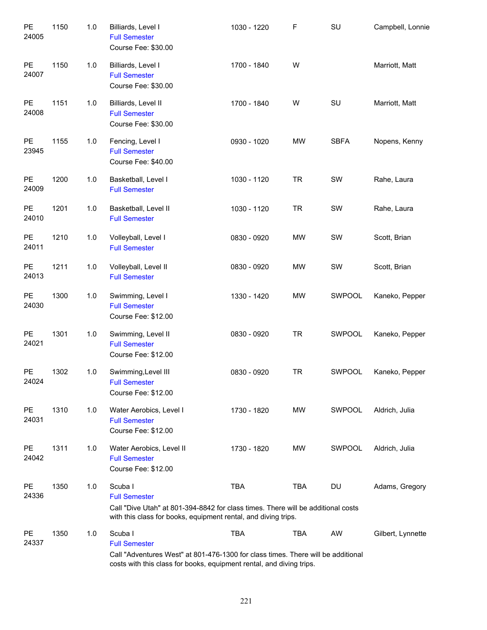| PE<br>24005        | 1150 | 1.0 | Billiards, Level I<br><b>Full Semester</b><br>Course Fee: \$30.00                                                                                                                           | 1030 - 1220 | F          | SU          | Campbell, Lonnie  |
|--------------------|------|-----|---------------------------------------------------------------------------------------------------------------------------------------------------------------------------------------------|-------------|------------|-------------|-------------------|
| PE<br>24007        | 1150 | 1.0 | Billiards, Level I<br><b>Full Semester</b><br>Course Fee: \$30.00                                                                                                                           | 1700 - 1840 | W          |             | Marriott, Matt    |
| PE<br>24008        | 1151 | 1.0 | Billiards, Level II<br><b>Full Semester</b><br>Course Fee: \$30.00                                                                                                                          | 1700 - 1840 | W          | SU          | Marriott, Matt    |
| PE<br>23945        | 1155 | 1.0 | Fencing, Level I<br><b>Full Semester</b><br>Course Fee: \$40.00                                                                                                                             | 0930 - 1020 | MW         | <b>SBFA</b> | Nopens, Kenny     |
| PE<br>24009        | 1200 | 1.0 | Basketball, Level I<br><b>Full Semester</b>                                                                                                                                                 | 1030 - 1120 | <b>TR</b>  | SW          | Rahe, Laura       |
| PE<br>24010        | 1201 | 1.0 | Basketball, Level II<br><b>Full Semester</b>                                                                                                                                                | 1030 - 1120 | <b>TR</b>  | SW          | Rahe, Laura       |
| PE<br>24011        | 1210 | 1.0 | Volleyball, Level I<br><b>Full Semester</b>                                                                                                                                                 | 0830 - 0920 | <b>MW</b>  | SW          | Scott, Brian      |
| PE<br>24013        | 1211 | 1.0 | Volleyball, Level II<br><b>Full Semester</b>                                                                                                                                                | 0830 - 0920 | <b>MW</b>  | SW          | Scott, Brian      |
| PE<br>24030        | 1300 | 1.0 | Swimming, Level I<br><b>Full Semester</b><br>Course Fee: \$12.00                                                                                                                            | 1330 - 1420 | <b>MW</b>  | SWPOOL      | Kaneko, Pepper    |
| PE<br>24021        | 1301 | 1.0 | Swimming, Level II<br><b>Full Semester</b><br>Course Fee: \$12.00                                                                                                                           | 0830 - 0920 | <b>TR</b>  | SWPOOL      | Kaneko, Pepper    |
| <b>PE</b><br>24024 | 1302 | 1.0 | Swimming, Level III<br><b>Full Semester</b><br>Course Fee: \$12.00                                                                                                                          | 0830 - 0920 | <b>TR</b>  | SWPOOL      | Kaneko, Pepper    |
| <b>PE</b><br>24031 | 1310 | 1.0 | Water Aerobics, Level I<br><b>Full Semester</b><br>Course Fee: \$12.00                                                                                                                      | 1730 - 1820 | MW         | SWPOOL      | Aldrich, Julia    |
| PE<br>24042        | 1311 | 1.0 | Water Aerobics, Level II<br><b>Full Semester</b><br>Course Fee: \$12.00                                                                                                                     | 1730 - 1820 | MW         | SWPOOL      | Aldrich, Julia    |
| <b>PE</b><br>24336 | 1350 | 1.0 | Scuba I<br><b>Full Semester</b><br>Call "Dive Utah" at 801-394-8842 for class times. There will be additional costs<br>with this class for books, equipment rental, and diving trips.       | <b>TBA</b>  | TBA        | DU          | Adams, Gregory    |
| PE<br>24337        | 1350 | 1.0 | Scuba I<br><b>Full Semester</b><br>Call "Adventures West" at 801-476-1300 for class times. There will be additional<br>costs with this class for books, equipment rental, and diving trips. | <b>TBA</b>  | <b>TBA</b> | AW          | Gilbert, Lynnette |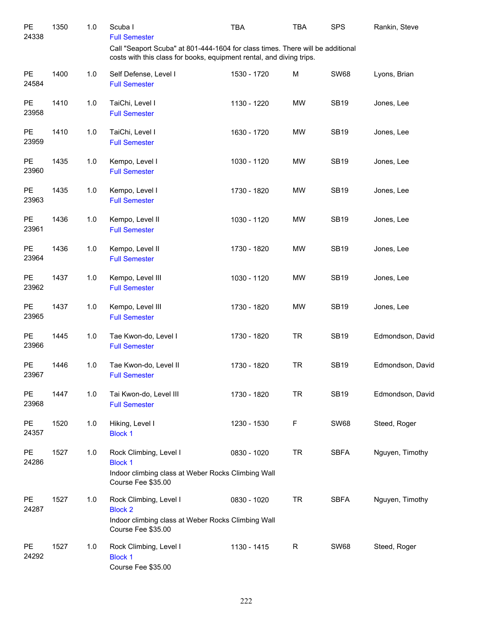| PE<br>24338        | 1350 | 1.0 | Scuba I<br><b>Full Semester</b>                                                                                                                        | <b>TBA</b>  | TBA       | <b>SPS</b>  | Rankin, Steve    |
|--------------------|------|-----|--------------------------------------------------------------------------------------------------------------------------------------------------------|-------------|-----------|-------------|------------------|
|                    |      |     | Call "Seaport Scuba" at 801-444-1604 for class times. There will be additional<br>costs with this class for books, equipment rental, and diving trips. |             |           |             |                  |
| <b>PE</b><br>24584 | 1400 | 1.0 | Self Defense, Level I<br><b>Full Semester</b>                                                                                                          | 1530 - 1720 | М         | <b>SW68</b> | Lyons, Brian     |
| <b>PE</b><br>23958 | 1410 | 1.0 | TaiChi, Level I<br><b>Full Semester</b>                                                                                                                | 1130 - 1220 | MW        | <b>SB19</b> | Jones, Lee       |
| PE<br>23959        | 1410 | 1.0 | TaiChi, Level I<br><b>Full Semester</b>                                                                                                                | 1630 - 1720 | MW        | <b>SB19</b> | Jones, Lee       |
| <b>PE</b><br>23960 | 1435 | 1.0 | Kempo, Level I<br><b>Full Semester</b>                                                                                                                 | 1030 - 1120 | MW        | <b>SB19</b> | Jones, Lee       |
| <b>PE</b><br>23963 | 1435 | 1.0 | Kempo, Level I<br><b>Full Semester</b>                                                                                                                 | 1730 - 1820 | MW        | <b>SB19</b> | Jones, Lee       |
| PE<br>23961        | 1436 | 1.0 | Kempo, Level II<br><b>Full Semester</b>                                                                                                                | 1030 - 1120 | MW        | <b>SB19</b> | Jones, Lee       |
| <b>PE</b><br>23964 | 1436 | 1.0 | Kempo, Level II<br><b>Full Semester</b>                                                                                                                | 1730 - 1820 | MW        | <b>SB19</b> | Jones, Lee       |
| PE<br>23962        | 1437 | 1.0 | Kempo, Level III<br><b>Full Semester</b>                                                                                                               | 1030 - 1120 | MW        | <b>SB19</b> | Jones, Lee       |
| PE<br>23965        | 1437 | 1.0 | Kempo, Level III<br><b>Full Semester</b>                                                                                                               | 1730 - 1820 | MW        | <b>SB19</b> | Jones, Lee       |
| <b>PE</b><br>23966 | 1445 | 1.0 | Tae Kwon-do, Level I<br><b>Full Semester</b>                                                                                                           | 1730 - 1820 | <b>TR</b> | <b>SB19</b> | Edmondson, David |
| PE<br>23967        | 1446 | 1.0 | Tae Kwon-do, Level II<br><b>Full Semester</b>                                                                                                          | 1730 - 1820 | <b>TR</b> | <b>SB19</b> | Edmondson, David |
| PE<br>23968        | 1447 | 1.0 | Tai Kwon-do, Level III<br><b>Full Semester</b>                                                                                                         | 1730 - 1820 | <b>TR</b> | <b>SB19</b> | Edmondson, David |
| PE<br>24357        | 1520 | 1.0 | Hiking, Level I<br><b>Block 1</b>                                                                                                                      | 1230 - 1530 | F         | <b>SW68</b> | Steed, Roger     |
| PE<br>24286        | 1527 | 1.0 | Rock Climbing, Level I<br><b>Block 1</b><br>Indoor climbing class at Weber Rocks Climbing Wall<br>Course Fee \$35.00                                   | 0830 - 1020 | <b>TR</b> | <b>SBFA</b> | Nguyen, Timothy  |
| PE<br>24287        | 1527 | 1.0 | Rock Climbing, Level I<br><b>Block 2</b><br>Indoor climbing class at Weber Rocks Climbing Wall<br>Course Fee \$35.00                                   | 0830 - 1020 | <b>TR</b> | <b>SBFA</b> | Nguyen, Timothy  |
| PE<br>24292        | 1527 | 1.0 | Rock Climbing, Level I<br><b>Block 1</b><br>Course Fee \$35.00                                                                                         | 1130 - 1415 | R         | <b>SW68</b> | Steed, Roger     |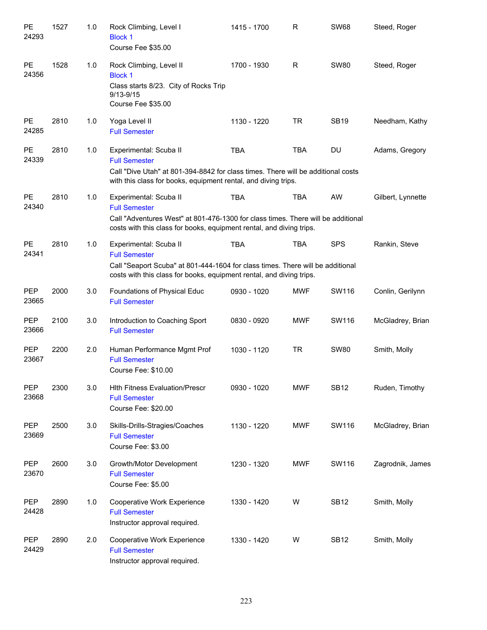| PE<br>24293         | 1527 | 1.0 | Rock Climbing, Level I<br><b>Block 1</b><br>Course Fee \$35.00                                                                                                                                             | 1415 - 1700 | $\mathsf R$ | <b>SW68</b> | Steed, Roger      |
|---------------------|------|-----|------------------------------------------------------------------------------------------------------------------------------------------------------------------------------------------------------------|-------------|-------------|-------------|-------------------|
| PE<br>24356         | 1528 | 1.0 | Rock Climbing, Level II<br><b>Block 1</b><br>Class starts 8/23. City of Rocks Trip<br>$9/13 - 9/15$<br>Course Fee \$35.00                                                                                  | 1700 - 1930 | $\mathsf R$ | <b>SW80</b> | Steed, Roger      |
| <b>PE</b><br>24285  | 2810 | 1.0 | Yoga Level II<br><b>Full Semester</b>                                                                                                                                                                      | 1130 - 1220 | <b>TR</b>   | <b>SB19</b> | Needham, Kathy    |
| PE<br>24339         | 2810 | 1.0 | Experimental: Scuba II<br><b>Full Semester</b><br>Call "Dive Utah" at 801-394-8842 for class times. There will be additional costs<br>with this class for books, equipment rental, and diving trips.       | <b>TBA</b>  | <b>TBA</b>  | <b>DU</b>   | Adams, Gregory    |
| <b>PE</b><br>24340  | 2810 | 1.0 | Experimental: Scuba II<br><b>Full Semester</b><br>Call "Adventures West" at 801-476-1300 for class times. There will be additional<br>costs with this class for books, equipment rental, and diving trips. | <b>TBA</b>  | <b>TBA</b>  | AW          | Gilbert, Lynnette |
| <b>PE</b><br>24341  | 2810 | 1.0 | Experimental: Scuba II<br><b>Full Semester</b><br>Call "Seaport Scuba" at 801-444-1604 for class times. There will be additional<br>costs with this class for books, equipment rental, and diving trips.   | <b>TBA</b>  | <b>TBA</b>  | <b>SPS</b>  | Rankin, Steve     |
| PEP<br>23665        | 2000 | 3.0 | Foundations of Physical Educ<br><b>Full Semester</b>                                                                                                                                                       | 0930 - 1020 | <b>MWF</b>  | SW116       | Conlin, Gerilynn  |
| <b>PEP</b><br>23666 | 2100 | 3.0 | Introduction to Coaching Sport<br><b>Full Semester</b>                                                                                                                                                     | 0830 - 0920 | <b>MWF</b>  | SW116       | McGladrey, Brian  |
| <b>PEP</b><br>23667 | 2200 | 2.0 | Human Performance Mgmt Prof<br><b>Full Semester</b><br>Course Fee: \$10.00                                                                                                                                 | 1030 - 1120 | <b>TR</b>   | <b>SW80</b> | Smith, Molly      |
| <b>PEP</b><br>23668 | 2300 | 3.0 | <b>Hith Fitness Evaluation/Prescr</b><br><b>Full Semester</b><br>Course Fee: \$20.00                                                                                                                       | 0930 - 1020 | <b>MWF</b>  | <b>SB12</b> | Ruden, Timothy    |
| <b>PEP</b><br>23669 | 2500 | 3.0 | Skills-Drills-Stragies/Coaches<br><b>Full Semester</b><br>Course Fee: \$3.00                                                                                                                               | 1130 - 1220 | <b>MWF</b>  | SW116       | McGladrey, Brian  |
| <b>PEP</b><br>23670 | 2600 | 3.0 | Growth/Motor Development<br><b>Full Semester</b><br>Course Fee: \$5.00                                                                                                                                     | 1230 - 1320 | <b>MWF</b>  | SW116       | Zagrodnik, James  |
| PEP<br>24428        | 2890 | 1.0 | Cooperative Work Experience<br><b>Full Semester</b><br>Instructor approval required.                                                                                                                       | 1330 - 1420 | W           | <b>SB12</b> | Smith, Molly      |
| <b>PEP</b><br>24429 | 2890 | 2.0 | Cooperative Work Experience<br><b>Full Semester</b><br>Instructor approval required.                                                                                                                       | 1330 - 1420 | W           | <b>SB12</b> | Smith, Molly      |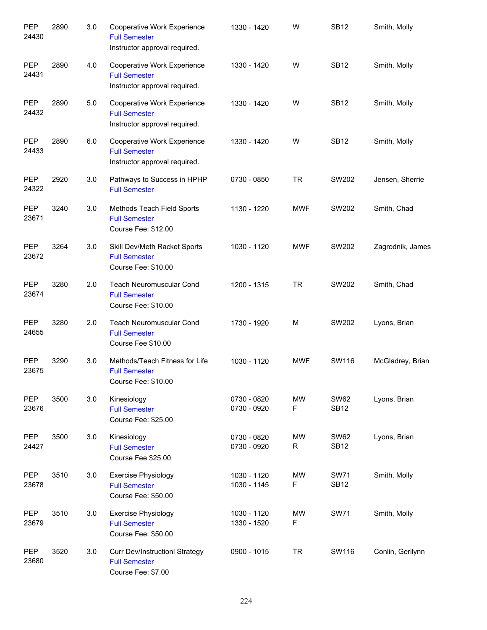| PEP<br>24430        | 2890 | 3.0 | Cooperative Work Experience<br><b>Full Semester</b><br>Instructor approval required. | 1330 - 1420                | W          | <b>SB12</b>                | Smith, Molly     |
|---------------------|------|-----|--------------------------------------------------------------------------------------|----------------------------|------------|----------------------------|------------------|
| <b>PEP</b><br>24431 | 2890 | 4.0 | Cooperative Work Experience<br><b>Full Semester</b><br>Instructor approval required. | 1330 - 1420                | W          | <b>SB12</b>                | Smith, Molly     |
| <b>PEP</b><br>24432 | 2890 | 5.0 | Cooperative Work Experience<br><b>Full Semester</b><br>Instructor approval required. | 1330 - 1420                | W          | <b>SB12</b>                | Smith, Molly     |
| PEP<br>24433        | 2890 | 6.0 | Cooperative Work Experience<br><b>Full Semester</b><br>Instructor approval required. | 1330 - 1420                | W          | <b>SB12</b>                | Smith, Molly     |
| PEP<br>24322        | 2920 | 3.0 | Pathways to Success in HPHP<br><b>Full Semester</b>                                  | 0730 - 0850                | <b>TR</b>  | SW202                      | Jensen, Sherrie  |
| PEP<br>23671        | 3240 | 3.0 | Methods Teach Field Sports<br><b>Full Semester</b><br>Course Fee: \$12.00            | 1130 - 1220                | <b>MWF</b> | SW202                      | Smith, Chad      |
| PEP<br>23672        | 3264 | 3.0 | Skill Dev/Meth Racket Sports<br><b>Full Semester</b><br>Course Fee: \$10.00          | 1030 - 1120                | <b>MWF</b> | SW202                      | Zagrodnik, James |
| PEP<br>23674        | 3280 | 2.0 | Teach Neuromuscular Cond<br><b>Full Semester</b><br>Course Fee: \$10.00              | 1200 - 1315                | <b>TR</b>  | SW202                      | Smith, Chad      |
| PEP<br>24655        | 3280 | 2.0 | Teach Neuromuscular Cond<br><b>Full Semester</b><br>Course Fee \$10.00               | 1730 - 1920                | M          | SW202                      | Lyons, Brian     |
| <b>PEP</b><br>23675 | 3290 | 3.0 | Methods/Teach Fitness for Life<br><b>Full Semester</b><br>Course Fee: \$10.00        | 1030 - 1120                | <b>MWF</b> | SW116                      | McGladrey, Brian |
| PEP<br>23676        | 3500 | 3.0 | Kinesiology<br><b>Full Semester</b><br>Course Fee: \$25.00                           | 0730 - 0820<br>0730 - 0920 | MW<br>F    | <b>SW62</b><br><b>SB12</b> | Lyons, Brian     |
| PEP<br>24427        | 3500 | 3.0 | Kinesiology<br><b>Full Semester</b><br>Course Fee \$25.00                            | 0730 - 0820<br>0730 - 0920 | MW<br>R    | <b>SW62</b><br><b>SB12</b> | Lyons, Brian     |
| PEP<br>23678        | 3510 | 3.0 | <b>Exercise Physiology</b><br><b>Full Semester</b><br>Course Fee: \$50.00            | 1030 - 1120<br>1030 - 1145 | MW<br>F    | <b>SW71</b><br><b>SB12</b> | Smith, Molly     |
| PEP<br>23679        | 3510 | 3.0 | <b>Exercise Physiology</b><br><b>Full Semester</b><br>Course Fee: \$50.00            | 1030 - 1120<br>1330 - 1520 | MW<br>F    | <b>SW71</b>                | Smith, Molly     |
| PEP<br>23680        | 3520 | 3.0 | <b>Curr Dev/InstructionI Strategy</b><br><b>Full Semester</b><br>Course Fee: \$7.00  | 0900 - 1015                | <b>TR</b>  | SW116                      | Conlin, Gerilynn |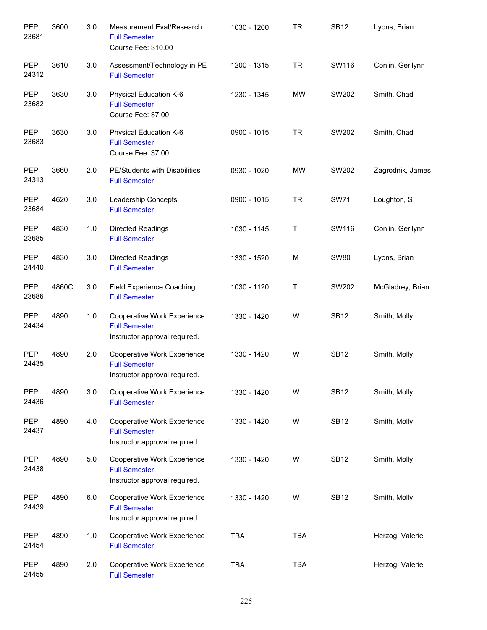| PEP<br>23681        | 3600  | 3.0 | Measurement Eval/Research<br><b>Full Semester</b><br>Course Fee: \$10.00             | 1030 - 1200 | <b>TR</b>  | <b>SB12</b> | Lyons, Brian     |
|---------------------|-------|-----|--------------------------------------------------------------------------------------|-------------|------------|-------------|------------------|
| PEP<br>24312        | 3610  | 3.0 | Assessment/Technology in PE<br><b>Full Semester</b>                                  | 1200 - 1315 | <b>TR</b>  | SW116       | Conlin, Gerilynn |
| PEP<br>23682        | 3630  | 3.0 | Physical Education K-6<br><b>Full Semester</b><br>Course Fee: \$7.00                 | 1230 - 1345 | <b>MW</b>  | SW202       | Smith, Chad      |
| PEP<br>23683        | 3630  | 3.0 | Physical Education K-6<br><b>Full Semester</b><br>Course Fee: \$7.00                 | 0900 - 1015 | <b>TR</b>  | SW202       | Smith, Chad      |
| PEP<br>24313        | 3660  | 2.0 | PE/Students with Disabilities<br><b>Full Semester</b>                                | 0930 - 1020 | <b>MW</b>  | SW202       | Zagrodnik, James |
| <b>PEP</b><br>23684 | 4620  | 3.0 | Leadership Concepts<br><b>Full Semester</b>                                          | 0900 - 1015 | <b>TR</b>  | <b>SW71</b> | Loughton, S      |
| <b>PEP</b><br>23685 | 4830  | 1.0 | <b>Directed Readings</b><br><b>Full Semester</b>                                     | 1030 - 1145 | Τ          | SW116       | Conlin, Gerilynn |
| <b>PEP</b><br>24440 | 4830  | 3.0 | <b>Directed Readings</b><br><b>Full Semester</b>                                     | 1330 - 1520 | М          | <b>SW80</b> | Lyons, Brian     |
| <b>PEP</b><br>23686 | 4860C | 3.0 | Field Experience Coaching<br><b>Full Semester</b>                                    | 1030 - 1120 | Τ          | SW202       | McGladrey, Brian |
| <b>PEP</b><br>24434 | 4890  | 1.0 | Cooperative Work Experience<br><b>Full Semester</b><br>Instructor approval required. | 1330 - 1420 | W          | <b>SB12</b> | Smith, Molly     |
| <b>PEP</b><br>24435 | 4890  | 2.0 | Cooperative Work Experience<br><b>Full Semester</b><br>Instructor approval required. | 1330 - 1420 | W          | <b>SB12</b> | Smith, Molly     |
| <b>PEP</b><br>24436 | 4890  | 3.0 | Cooperative Work Experience<br><b>Full Semester</b>                                  | 1330 - 1420 | W          | <b>SB12</b> | Smith, Molly     |
| <b>PEP</b><br>24437 | 4890  | 4.0 | Cooperative Work Experience<br><b>Full Semester</b><br>Instructor approval required. | 1330 - 1420 | W          | <b>SB12</b> | Smith, Molly     |
| <b>PEP</b><br>24438 | 4890  | 5.0 | Cooperative Work Experience<br><b>Full Semester</b><br>Instructor approval required. | 1330 - 1420 | W          | <b>SB12</b> | Smith, Molly     |
| <b>PEP</b><br>24439 | 4890  | 6.0 | Cooperative Work Experience<br><b>Full Semester</b><br>Instructor approval required. | 1330 - 1420 | W          | <b>SB12</b> | Smith, Molly     |
| <b>PEP</b><br>24454 | 4890  | 1.0 | Cooperative Work Experience<br><b>Full Semester</b>                                  | <b>TBA</b>  | <b>TBA</b> |             | Herzog, Valerie  |
| <b>PEP</b><br>24455 | 4890  | 2.0 | Cooperative Work Experience<br><b>Full Semester</b>                                  | <b>TBA</b>  | <b>TBA</b> |             | Herzog, Valerie  |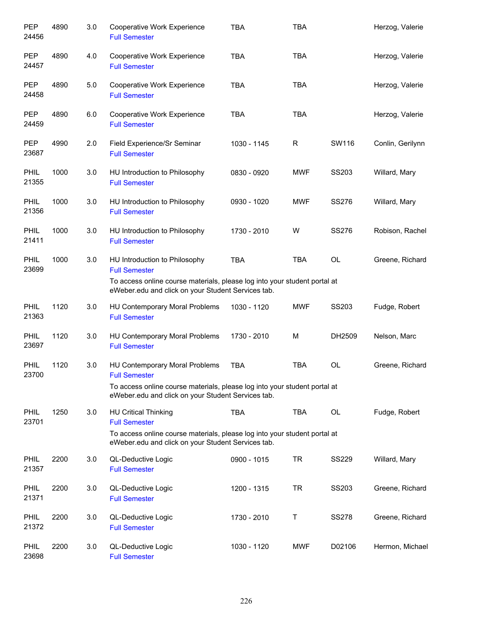| <b>PEP</b><br>24456  | 4890 | 3.0 | Cooperative Work Experience<br><b>Full Semester</b>                                                                             | <b>TBA</b>  | <b>TBA</b> |              | Herzog, Valerie  |
|----------------------|------|-----|---------------------------------------------------------------------------------------------------------------------------------|-------------|------------|--------------|------------------|
| <b>PEP</b><br>24457  | 4890 | 4.0 | Cooperative Work Experience<br><b>Full Semester</b>                                                                             | <b>TBA</b>  | <b>TBA</b> |              | Herzog, Valerie  |
| <b>PEP</b><br>24458  | 4890 | 5.0 | Cooperative Work Experience<br><b>Full Semester</b>                                                                             | <b>TBA</b>  | <b>TBA</b> |              | Herzog, Valerie  |
| <b>PEP</b><br>24459  | 4890 | 6.0 | Cooperative Work Experience<br><b>Full Semester</b>                                                                             | <b>TBA</b>  | <b>TBA</b> |              | Herzog, Valerie  |
| <b>PEP</b><br>23687  | 4990 | 2.0 | Field Experience/Sr Seminar<br><b>Full Semester</b>                                                                             | 1030 - 1145 | R          | SW116        | Conlin, Gerilynn |
| <b>PHIL</b><br>21355 | 1000 | 3.0 | HU Introduction to Philosophy<br><b>Full Semester</b>                                                                           | 0830 - 0920 | <b>MWF</b> | SS203        | Willard, Mary    |
| PHIL<br>21356        | 1000 | 3.0 | HU Introduction to Philosophy<br><b>Full Semester</b>                                                                           | 0930 - 1020 | <b>MWF</b> | <b>SS276</b> | Willard, Mary    |
| PHIL<br>21411        | 1000 | 3.0 | HU Introduction to Philosophy<br><b>Full Semester</b>                                                                           | 1730 - 2010 | W          | <b>SS276</b> | Robison, Rachel  |
| PHIL<br>23699        | 1000 | 3.0 | HU Introduction to Philosophy<br><b>Full Semester</b>                                                                           | <b>TBA</b>  | <b>TBA</b> | <b>OL</b>    | Greene, Richard  |
|                      |      |     | To access online course materials, please log into your student portal at<br>eWeber.edu and click on your Student Services tab. |             |            |              |                  |
| PHIL<br>21363        | 1120 | 3.0 | HU Contemporary Moral Problems<br><b>Full Semester</b>                                                                          | 1030 - 1120 | <b>MWF</b> | SS203        | Fudge, Robert    |
| PHIL<br>23697        | 1120 | 3.0 | HU Contemporary Moral Problems<br><b>Full Semester</b>                                                                          | 1730 - 2010 | M          | DH2509       | Nelson, Marc     |
| PHIL<br>23700        | 1120 | 3.0 | HU Contemporary Moral Problems<br><b>Full Semester</b>                                                                          | <b>TBA</b>  | <b>TBA</b> | OL           | Greene, Richard  |
|                      |      |     | To access online course materials, please log into your student portal at<br>eWeber.edu and click on your Student Services tab. |             |            |              |                  |
| <b>PHIL</b><br>23701 | 1250 | 3.0 | <b>HU Critical Thinking</b><br><b>Full Semester</b>                                                                             | <b>TBA</b>  | <b>TBA</b> | <b>OL</b>    | Fudge, Robert    |
|                      |      |     | To access online course materials, please log into your student portal at<br>eWeber.edu and click on your Student Services tab. |             |            |              |                  |
| PHIL<br>21357        | 2200 | 3.0 | QL-Deductive Logic<br><b>Full Semester</b>                                                                                      | 0900 - 1015 | <b>TR</b>  | <b>SS229</b> | Willard, Mary    |
| PHIL<br>21371        | 2200 | 3.0 | QL-Deductive Logic<br><b>Full Semester</b>                                                                                      | 1200 - 1315 | <b>TR</b>  | SS203        | Greene, Richard  |
| PHIL<br>21372        | 2200 | 3.0 | QL-Deductive Logic<br><b>Full Semester</b>                                                                                      | 1730 - 2010 | T          | <b>SS278</b> | Greene, Richard  |
| PHIL<br>23698        | 2200 | 3.0 | QL-Deductive Logic<br><b>Full Semester</b>                                                                                      | 1030 - 1120 | <b>MWF</b> | D02106       | Hermon, Michael  |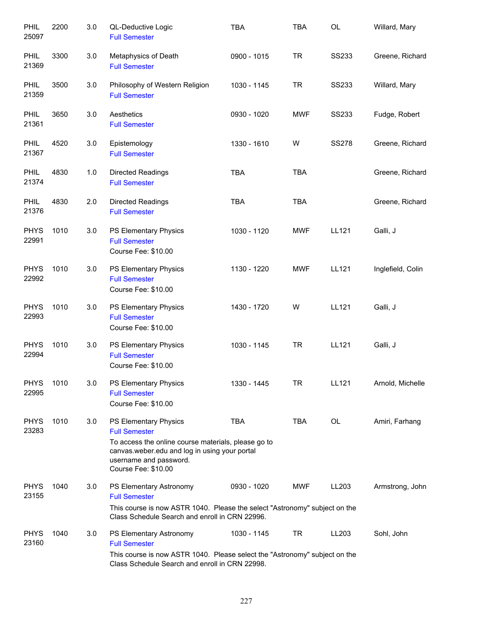| PHIL<br>25097        | 2200 | 3.0 | QL-Deductive Logic<br><b>Full Semester</b>                                                                                                                                                             | <b>TBA</b>  | <b>TBA</b> | OL           | Willard, Mary     |
|----------------------|------|-----|--------------------------------------------------------------------------------------------------------------------------------------------------------------------------------------------------------|-------------|------------|--------------|-------------------|
| PHIL<br>21369        | 3300 | 3.0 | Metaphysics of Death<br><b>Full Semester</b>                                                                                                                                                           | 0900 - 1015 | <b>TR</b>  | <b>SS233</b> | Greene, Richard   |
| PHIL<br>21359        | 3500 | 3.0 | Philosophy of Western Religion<br><b>Full Semester</b>                                                                                                                                                 | 1030 - 1145 | <b>TR</b>  | <b>SS233</b> | Willard, Mary     |
| <b>PHIL</b><br>21361 | 3650 | 3.0 | Aesthetics<br><b>Full Semester</b>                                                                                                                                                                     | 0930 - 1020 | <b>MWF</b> | <b>SS233</b> | Fudge, Robert     |
| <b>PHIL</b><br>21367 | 4520 | 3.0 | Epistemology<br><b>Full Semester</b>                                                                                                                                                                   | 1330 - 1610 | W          | <b>SS278</b> | Greene, Richard   |
| <b>PHIL</b><br>21374 | 4830 | 1.0 | Directed Readings<br><b>Full Semester</b>                                                                                                                                                              | <b>TBA</b>  | <b>TBA</b> |              | Greene, Richard   |
| <b>PHIL</b><br>21376 | 4830 | 2.0 | Directed Readings<br><b>Full Semester</b>                                                                                                                                                              | <b>TBA</b>  | <b>TBA</b> |              | Greene, Richard   |
| <b>PHYS</b><br>22991 | 1010 | 3.0 | PS Elementary Physics<br><b>Full Semester</b><br>Course Fee: \$10.00                                                                                                                                   | 1030 - 1120 | <b>MWF</b> | LL121        | Galli, J          |
| <b>PHYS</b><br>22992 | 1010 | 3.0 | PS Elementary Physics<br><b>Full Semester</b><br>Course Fee: \$10.00                                                                                                                                   | 1130 - 1220 | <b>MWF</b> | LL121        | Inglefield, Colin |
| <b>PHYS</b><br>22993 | 1010 | 3.0 | PS Elementary Physics<br><b>Full Semester</b><br>Course Fee: \$10.00                                                                                                                                   | 1430 - 1720 | W          | LL121        | Galli, J          |
| <b>PHYS</b><br>22994 | 1010 | 3.0 | PS Elementary Physics<br><b>Full Semester</b><br>Course Fee: \$10.00                                                                                                                                   | 1030 - 1145 | <b>TR</b>  | LL121        | Galli, J          |
| <b>PHYS</b><br>22995 | 1010 | 3.0 | PS Elementary Physics<br><b>Full Semester</b><br>Course Fee: \$10.00                                                                                                                                   | 1330 - 1445 | TR         | LL121        | Arnold, Michelle  |
| <b>PHYS</b><br>23283 | 1010 | 3.0 | PS Elementary Physics<br><b>Full Semester</b><br>To access the online course materials, please go to<br>canvas.weber.edu and log in using your portal<br>username and password.<br>Course Fee: \$10.00 | <b>TBA</b>  | <b>TBA</b> | OL           | Amiri, Farhang    |
| <b>PHYS</b><br>23155 | 1040 | 3.0 | PS Elementary Astronomy<br><b>Full Semester</b><br>This course is now ASTR 1040. Please the select "Astronomy" subject on the<br>Class Schedule Search and enroll in CRN 22996.                        | 0930 - 1020 | <b>MWF</b> | LL203        | Armstrong, John   |
| <b>PHYS</b><br>23160 | 1040 | 3.0 | PS Elementary Astronomy<br><b>Full Semester</b><br>This course is now ASTR 1040. Please select the "Astronomy" subject on the<br>Class Schedule Search and enroll in CRN 22998.                        | 1030 - 1145 | TR         | LL203        | Sohl, John        |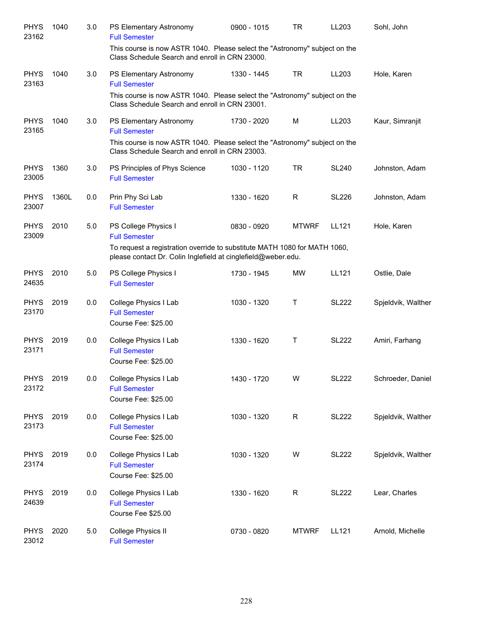| <b>PHYS</b><br>23162 | 1040  | 3.0 | PS Elementary Astronomy<br><b>Full Semester</b>                                                                                                                                 | 0900 - 1015 | <b>TR</b>    | LL203        | Sohl, John         |
|----------------------|-------|-----|---------------------------------------------------------------------------------------------------------------------------------------------------------------------------------|-------------|--------------|--------------|--------------------|
|                      |       |     | This course is now ASTR 1040. Please select the "Astronomy" subject on the<br>Class Schedule Search and enroll in CRN 23000.                                                    |             |              |              |                    |
| <b>PHYS</b><br>23163 | 1040  | 3.0 | PS Elementary Astronomy<br><b>Full Semester</b>                                                                                                                                 | 1330 - 1445 | <b>TR</b>    | LL203        | Hole, Karen        |
|                      |       |     | This course is now ASTR 1040. Please select the "Astronomy" subject on the<br>Class Schedule Search and enroll in CRN 23001.                                                    |             |              |              |                    |
| <b>PHYS</b><br>23165 | 1040  | 3.0 | PS Elementary Astronomy<br><b>Full Semester</b><br>This course is now ASTR 1040. Please select the "Astronomy" subject on the<br>Class Schedule Search and enroll in CRN 23003. | 1730 - 2020 | М            | LL203        | Kaur, Simranjit    |
| <b>PHYS</b><br>23005 | 1360  | 3.0 | PS Principles of Phys Science<br><b>Full Semester</b>                                                                                                                           | 1030 - 1120 | <b>TR</b>    | <b>SL240</b> | Johnston, Adam     |
| <b>PHYS</b><br>23007 | 1360L | 0.0 | Prin Phy Sci Lab<br><b>Full Semester</b>                                                                                                                                        | 1330 - 1620 | R            | <b>SL226</b> | Johnston, Adam     |
| <b>PHYS</b><br>23009 | 2010  | 5.0 | PS College Physics I<br><b>Full Semester</b>                                                                                                                                    | 0830 - 0920 | <b>MTWRF</b> | LL121        | Hole, Karen        |
|                      |       |     | To request a registration override to substitute MATH 1080 for MATH 1060,<br>please contact Dr. Colin Inglefield at cinglefield@weber.edu.                                      |             |              |              |                    |
| <b>PHYS</b><br>24635 | 2010  | 5.0 | PS College Physics I<br><b>Full Semester</b>                                                                                                                                    | 1730 - 1945 | MW           | LL121        | Ostlie, Dale       |
| <b>PHYS</b><br>23170 | 2019  | 0.0 | College Physics I Lab<br><b>Full Semester</b><br>Course Fee: \$25.00                                                                                                            | 1030 - 1320 | Τ            | <b>SL222</b> | Spjeldvik, Walther |
| <b>PHYS</b><br>23171 | 2019  | 0.0 | College Physics I Lab<br><b>Full Semester</b><br>Course Fee: \$25.00                                                                                                            | 1330 - 1620 | Τ            | <b>SL222</b> | Amiri, Farhang     |
| <b>PHYS</b><br>23172 | 2019  | 0.0 | College Physics I Lab<br><b>Full Semester</b><br>Course Fee: \$25.00                                                                                                            | 1430 - 1720 | W            | <b>SL222</b> | Schroeder, Daniel  |
| <b>PHYS</b><br>23173 | 2019  | 0.0 | College Physics I Lab<br><b>Full Semester</b><br>Course Fee: \$25.00                                                                                                            | 1030 - 1320 | R            | <b>SL222</b> | Spjeldvik, Walther |
| <b>PHYS</b><br>23174 | 2019  | 0.0 | College Physics I Lab<br><b>Full Semester</b><br>Course Fee: \$25.00                                                                                                            | 1030 - 1320 | W            | <b>SL222</b> | Spjeldvik, Walther |
| <b>PHYS</b><br>24639 | 2019  | 0.0 | College Physics I Lab<br><b>Full Semester</b><br>Course Fee \$25.00                                                                                                             | 1330 - 1620 | R            | <b>SL222</b> | Lear, Charles      |
| <b>PHYS</b><br>23012 | 2020  | 5.0 | College Physics II<br><b>Full Semester</b>                                                                                                                                      | 0730 - 0820 | <b>MTWRF</b> | LL121        | Arnold, Michelle   |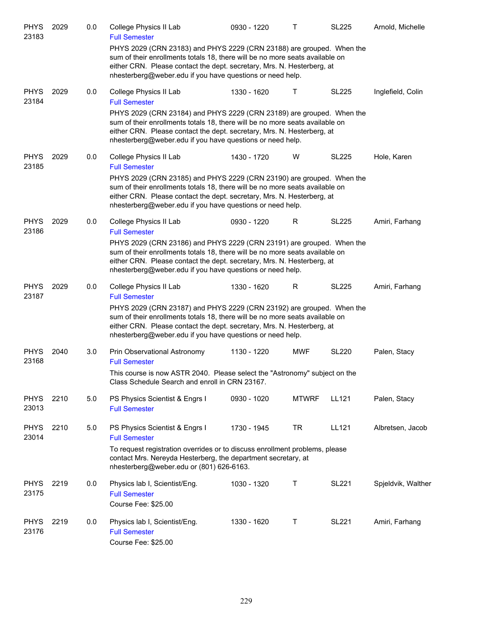| <b>PHYS</b><br>23183 | 2029 | 0.0 | College Physics II Lab<br><b>Full Semester</b>                                                                                                                                                                                                                                               | 0930 - 1220 | т            | <b>SL225</b> | Arnold, Michelle   |
|----------------------|------|-----|----------------------------------------------------------------------------------------------------------------------------------------------------------------------------------------------------------------------------------------------------------------------------------------------|-------------|--------------|--------------|--------------------|
|                      |      |     | PHYS 2029 (CRN 23183) and PHYS 2229 (CRN 23188) are grouped. When the<br>sum of their enrollments totals 18, there will be no more seats available on<br>either CRN. Please contact the dept. secretary, Mrs. N. Hesterberg, at<br>nhesterberg@weber.edu if you have questions or need help. |             |              |              |                    |
| <b>PHYS</b><br>23184 | 2029 | 0.0 | College Physics II Lab<br><b>Full Semester</b>                                                                                                                                                                                                                                               | 1330 - 1620 | Т            | <b>SL225</b> | Inglefield, Colin  |
|                      |      |     | PHYS 2029 (CRN 23184) and PHYS 2229 (CRN 23189) are grouped. When the<br>sum of their enrollments totals 18, there will be no more seats available on<br>either CRN. Please contact the dept. secretary, Mrs. N. Hesterberg, at<br>nhesterberg@weber.edu if you have questions or need help. |             |              |              |                    |
| <b>PHYS</b><br>23185 | 2029 | 0.0 | College Physics II Lab<br><b>Full Semester</b>                                                                                                                                                                                                                                               | 1430 - 1720 | W            | <b>SL225</b> | Hole, Karen        |
|                      |      |     | PHYS 2029 (CRN 23185) and PHYS 2229 (CRN 23190) are grouped. When the<br>sum of their enrollments totals 18, there will be no more seats available on<br>either CRN. Please contact the dept. secretary, Mrs. N. Hesterberg, at<br>nhesterberg@weber.edu if you have questions or need help. |             |              |              |                    |
| <b>PHYS</b><br>23186 | 2029 | 0.0 | College Physics II Lab<br><b>Full Semester</b>                                                                                                                                                                                                                                               | 0930 - 1220 | R            | <b>SL225</b> | Amiri, Farhang     |
|                      |      |     | PHYS 2029 (CRN 23186) and PHYS 2229 (CRN 23191) are grouped. When the<br>sum of their enrollments totals 18, there will be no more seats available on<br>either CRN. Please contact the dept. secretary, Mrs. N. Hesterberg, at<br>nhesterberg@weber.edu if you have questions or need help. |             |              |              |                    |
| <b>PHYS</b><br>23187 | 2029 | 0.0 | College Physics II Lab<br><b>Full Semester</b>                                                                                                                                                                                                                                               | 1330 - 1620 | R            | <b>SL225</b> | Amiri, Farhang     |
|                      |      |     | PHYS 2029 (CRN 23187) and PHYS 2229 (CRN 23192) are grouped. When the<br>sum of their enrollments totals 18, there will be no more seats available on<br>either CRN. Please contact the dept. secretary, Mrs. N. Hesterberg, at<br>nhesterberg@weber.edu if you have questions or need help. |             |              |              |                    |
| <b>PHYS</b><br>23168 | 2040 | 3.0 | Prin Observational Astronomy<br><b>Full Semester</b>                                                                                                                                                                                                                                         | 1130 - 1220 | <b>MWF</b>   | <b>SL220</b> | Palen, Stacy       |
|                      |      |     | This course is now ASTR 2040. Please select the "Astronomy" subject on the<br>Class Schedule Search and enroll in CRN 23167.                                                                                                                                                                 |             |              |              |                    |
| <b>PHYS</b><br>23013 | 2210 | 5.0 | PS Physics Scientist & Engrs I<br><b>Full Semester</b>                                                                                                                                                                                                                                       | 0930 - 1020 | <b>MTWRF</b> | LL121        | Palen, Stacy       |
| <b>PHYS</b><br>23014 | 2210 | 5.0 | PS Physics Scientist & Engrs I<br><b>Full Semester</b>                                                                                                                                                                                                                                       | 1730 - 1945 | <b>TR</b>    | LL121        | Albretsen, Jacob   |
|                      |      |     | To request registration overrides or to discuss enrollment problems, please<br>contact Mrs. Nereyda Hesterberg, the department secretary, at<br>nhesterberg@weber.edu or (801) 626-6163.                                                                                                     |             |              |              |                    |
| <b>PHYS</b><br>23175 | 2219 | 0.0 | Physics lab I, Scientist/Eng.<br><b>Full Semester</b><br>Course Fee: \$25.00                                                                                                                                                                                                                 | 1030 - 1320 | Т            | <b>SL221</b> | Spjeldvik, Walther |
| <b>PHYS</b><br>23176 | 2219 | 0.0 | Physics lab I, Scientist/Eng.<br><b>Full Semester</b><br>Course Fee: \$25.00                                                                                                                                                                                                                 | 1330 - 1620 | Т            | <b>SL221</b> | Amiri, Farhang     |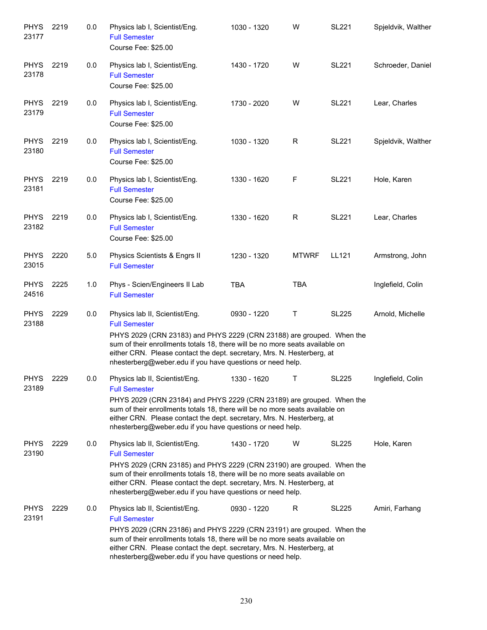| <b>PHYS</b><br>23177 | 2219 | 0.0 | Physics lab I, Scientist/Eng.<br><b>Full Semester</b><br>Course Fee: \$25.00                                                                                                                                                                                                                                                                           | 1030 - 1320 | W            | <b>SL221</b> | Spjeldvik, Walther |
|----------------------|------|-----|--------------------------------------------------------------------------------------------------------------------------------------------------------------------------------------------------------------------------------------------------------------------------------------------------------------------------------------------------------|-------------|--------------|--------------|--------------------|
| <b>PHYS</b><br>23178 | 2219 | 0.0 | Physics lab I, Scientist/Eng.<br><b>Full Semester</b><br>Course Fee: \$25.00                                                                                                                                                                                                                                                                           | 1430 - 1720 | W            | <b>SL221</b> | Schroeder, Daniel  |
| <b>PHYS</b><br>23179 | 2219 | 0.0 | Physics lab I, Scientist/Eng.<br><b>Full Semester</b><br>Course Fee: \$25.00                                                                                                                                                                                                                                                                           | 1730 - 2020 | W            | <b>SL221</b> | Lear, Charles      |
| <b>PHYS</b><br>23180 | 2219 | 0.0 | Physics lab I, Scientist/Eng.<br><b>Full Semester</b><br>Course Fee: \$25.00                                                                                                                                                                                                                                                                           | 1030 - 1320 | R            | <b>SL221</b> | Spjeldvik, Walther |
| <b>PHYS</b><br>23181 | 2219 | 0.0 | Physics lab I, Scientist/Eng.<br><b>Full Semester</b><br>Course Fee: \$25.00                                                                                                                                                                                                                                                                           | 1330 - 1620 | F            | <b>SL221</b> | Hole, Karen        |
| <b>PHYS</b><br>23182 | 2219 | 0.0 | Physics lab I, Scientist/Eng.<br><b>Full Semester</b><br>Course Fee: \$25.00                                                                                                                                                                                                                                                                           | 1330 - 1620 | R            | <b>SL221</b> | Lear, Charles      |
| <b>PHYS</b><br>23015 | 2220 | 5.0 | Physics Scientists & Engrs II<br><b>Full Semester</b>                                                                                                                                                                                                                                                                                                  | 1230 - 1320 | <b>MTWRF</b> | LL121        | Armstrong, John    |
| <b>PHYS</b><br>24516 | 2225 | 1.0 | Phys - Scien/Engineers II Lab<br><b>Full Semester</b>                                                                                                                                                                                                                                                                                                  | <b>TBA</b>  | <b>TBA</b>   |              | Inglefield, Colin  |
| <b>PHYS</b><br>23188 | 2229 | 0.0 | Physics lab II, Scientist/Eng.<br><b>Full Semester</b><br>PHYS 2029 (CRN 23183) and PHYS 2229 (CRN 23188) are grouped. When the<br>sum of their enrollments totals 18, there will be no more seats available on<br>either CRN. Please contact the dept. secretary, Mrs. N. Hesterberg, at<br>nhesterberg@weber.edu if you have questions or need help. | 0930 - 1220 | Τ            | <b>SL225</b> | Arnold, Michelle   |
| <b>PHYS</b><br>23189 | 2229 | 0.0 | Physics lab II, Scientist/Eng.<br><b>Full Semester</b><br>PHYS 2029 (CRN 23184) and PHYS 2229 (CRN 23189) are grouped. When the<br>sum of their enrollments totals 18, there will be no more seats available on<br>either CRN. Please contact the dept. secretary, Mrs. N. Hesterberg, at<br>nhesterberg@weber.edu if you have questions or need help. | 1330 - 1620 | $\top$       | <b>SL225</b> | Inglefield, Colin  |
| <b>PHYS</b><br>23190 | 2229 | 0.0 | Physics lab II, Scientist/Eng.<br><b>Full Semester</b><br>PHYS 2029 (CRN 23185) and PHYS 2229 (CRN 23190) are grouped. When the<br>sum of their enrollments totals 18, there will be no more seats available on<br>either CRN. Please contact the dept. secretary, Mrs. N. Hesterberg, at<br>nhesterberg@weber.edu if you have questions or need help. | 1430 - 1720 | W            | <b>SL225</b> | Hole, Karen        |
| <b>PHYS</b><br>23191 | 2229 | 0.0 | Physics lab II, Scientist/Eng.<br><b>Full Semester</b><br>PHYS 2029 (CRN 23186) and PHYS 2229 (CRN 23191) are grouped. When the<br>sum of their enrollments totals 18, there will be no more seats available on<br>either CRN. Please contact the dept. secretary, Mrs. N. Hesterberg, at<br>nhesterberg@weber.edu if you have questions or need help. | 0930 - 1220 | R            | <b>SL225</b> | Amiri, Farhang     |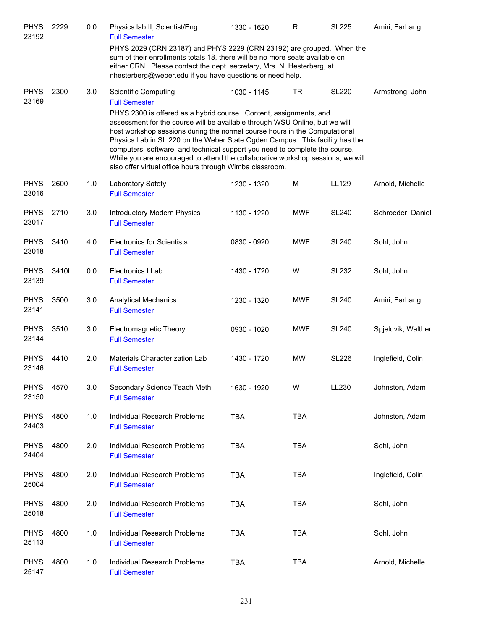| <b>PHYS</b><br>23192 | 2229  | 0.0 | Physics lab II, Scientist/Eng.<br><b>Full Semester</b>                                                                                                                                                                                                                                                                                                                                                                                                                                                                                        | 1330 - 1620 | R          | <b>SL225</b> | Amiri, Farhang     |
|----------------------|-------|-----|-----------------------------------------------------------------------------------------------------------------------------------------------------------------------------------------------------------------------------------------------------------------------------------------------------------------------------------------------------------------------------------------------------------------------------------------------------------------------------------------------------------------------------------------------|-------------|------------|--------------|--------------------|
|                      |       |     | PHYS 2029 (CRN 23187) and PHYS 2229 (CRN 23192) are grouped. When the<br>sum of their enrollments totals 18, there will be no more seats available on<br>either CRN. Please contact the dept. secretary, Mrs. N. Hesterberg, at<br>nhesterberg@weber.edu if you have questions or need help.                                                                                                                                                                                                                                                  |             |            |              |                    |
| <b>PHYS</b><br>23169 | 2300  | 3.0 | <b>Scientific Computing</b><br><b>Full Semester</b>                                                                                                                                                                                                                                                                                                                                                                                                                                                                                           | 1030 - 1145 | <b>TR</b>  | <b>SL220</b> | Armstrong, John    |
|                      |       |     | PHYS 2300 is offered as a hybrid course. Content, assignments, and<br>assessment for the course will be available through WSU Online, but we will<br>host workshop sessions during the normal course hours in the Computational<br>Physics Lab in SL 220 on the Weber State Ogden Campus. This facility has the<br>computers, software, and technical support you need to complete the course.<br>While you are encouraged to attend the collaborative workshop sessions, we will<br>also offer virtual office hours through Wimba classroom. |             |            |              |                    |
| <b>PHYS</b><br>23016 | 2600  | 1.0 | Laboratory Safety<br><b>Full Semester</b>                                                                                                                                                                                                                                                                                                                                                                                                                                                                                                     | 1230 - 1320 | M          | LL129        | Arnold, Michelle   |
| <b>PHYS</b><br>23017 | 2710  | 3.0 | Introductory Modern Physics<br><b>Full Semester</b>                                                                                                                                                                                                                                                                                                                                                                                                                                                                                           | 1130 - 1220 | <b>MWF</b> | <b>SL240</b> | Schroeder, Daniel  |
| <b>PHYS</b><br>23018 | 3410  | 4.0 | <b>Electronics for Scientists</b><br><b>Full Semester</b>                                                                                                                                                                                                                                                                                                                                                                                                                                                                                     | 0830 - 0920 | <b>MWF</b> | <b>SL240</b> | Sohl, John         |
| <b>PHYS</b><br>23139 | 3410L | 0.0 | Electronics I Lab<br><b>Full Semester</b>                                                                                                                                                                                                                                                                                                                                                                                                                                                                                                     | 1430 - 1720 | W          | <b>SL232</b> | Sohl, John         |
| <b>PHYS</b><br>23141 | 3500  | 3.0 | <b>Analytical Mechanics</b><br><b>Full Semester</b>                                                                                                                                                                                                                                                                                                                                                                                                                                                                                           | 1230 - 1320 | MWF        | <b>SL240</b> | Amiri, Farhang     |
| <b>PHYS</b><br>23144 | 3510  | 3.0 | Electromagnetic Theory<br><b>Full Semester</b>                                                                                                                                                                                                                                                                                                                                                                                                                                                                                                | 0930 - 1020 | <b>MWF</b> | <b>SL240</b> | Spjeldvik, Walther |
| <b>PHYS</b><br>23146 | 4410  | 2.0 | Materials Characterization Lab<br><b>Full Semester</b>                                                                                                                                                                                                                                                                                                                                                                                                                                                                                        | 1430 - 1720 | MW         | <b>SL226</b> | Inglefield, Colin  |
| <b>PHYS</b><br>23150 | 4570  | 3.0 | Secondary Science Teach Meth<br><b>Full Semester</b>                                                                                                                                                                                                                                                                                                                                                                                                                                                                                          | 1630 - 1920 | W          | LL230        | Johnston, Adam     |
| <b>PHYS</b><br>24403 | 4800  | 1.0 | Individual Research Problems<br><b>Full Semester</b>                                                                                                                                                                                                                                                                                                                                                                                                                                                                                          | <b>TBA</b>  | <b>TBA</b> |              | Johnston, Adam     |
| <b>PHYS</b><br>24404 | 4800  | 2.0 | Individual Research Problems<br><b>Full Semester</b>                                                                                                                                                                                                                                                                                                                                                                                                                                                                                          | <b>TBA</b>  | <b>TBA</b> |              | Sohl, John         |
| <b>PHYS</b><br>25004 | 4800  | 2.0 | Individual Research Problems<br><b>Full Semester</b>                                                                                                                                                                                                                                                                                                                                                                                                                                                                                          | <b>TBA</b>  | <b>TBA</b> |              | Inglefield, Colin  |
| <b>PHYS</b><br>25018 | 4800  | 2.0 | Individual Research Problems<br><b>Full Semester</b>                                                                                                                                                                                                                                                                                                                                                                                                                                                                                          | <b>TBA</b>  | TBA        |              | Sohl, John         |
| <b>PHYS</b><br>25113 | 4800  | 1.0 | Individual Research Problems<br><b>Full Semester</b>                                                                                                                                                                                                                                                                                                                                                                                                                                                                                          | <b>TBA</b>  | <b>TBA</b> |              | Sohl, John         |
| <b>PHYS</b><br>25147 | 4800  | 1.0 | Individual Research Problems<br><b>Full Semester</b>                                                                                                                                                                                                                                                                                                                                                                                                                                                                                          | TBA         | <b>TBA</b> |              | Arnold, Michelle   |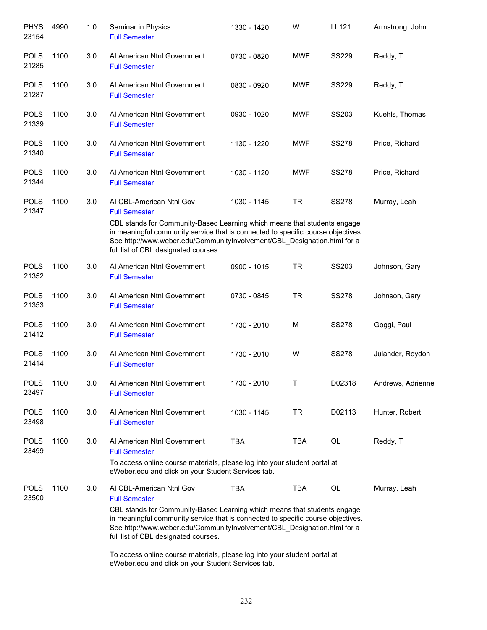| <b>PHYS</b><br>23154 | 4990 | 1.0 | Seminar in Physics<br><b>Full Semester</b>                                                                                                                                                                                                                                                                                           | 1330 - 1420 | W          | LL121        | Armstrong, John   |
|----------------------|------|-----|--------------------------------------------------------------------------------------------------------------------------------------------------------------------------------------------------------------------------------------------------------------------------------------------------------------------------------------|-------------|------------|--------------|-------------------|
| <b>POLS</b><br>21285 | 1100 | 3.0 | Al American Ntnl Government<br><b>Full Semester</b>                                                                                                                                                                                                                                                                                  | 0730 - 0820 | <b>MWF</b> | <b>SS229</b> | Reddy, T          |
| <b>POLS</b><br>21287 | 1100 | 3.0 | Al American Ntnl Government<br><b>Full Semester</b>                                                                                                                                                                                                                                                                                  | 0830 - 0920 | <b>MWF</b> | <b>SS229</b> | Reddy, T          |
| <b>POLS</b><br>21339 | 1100 | 3.0 | Al American Ntnl Government<br><b>Full Semester</b>                                                                                                                                                                                                                                                                                  | 0930 - 1020 | <b>MWF</b> | SS203        | Kuehls, Thomas    |
| <b>POLS</b><br>21340 | 1100 | 3.0 | Al American Ntnl Government<br><b>Full Semester</b>                                                                                                                                                                                                                                                                                  | 1130 - 1220 | <b>MWF</b> | <b>SS278</b> | Price, Richard    |
| <b>POLS</b><br>21344 | 1100 | 3.0 | Al American Ntnl Government<br><b>Full Semester</b>                                                                                                                                                                                                                                                                                  | 1030 - 1120 | <b>MWF</b> | <b>SS278</b> | Price, Richard    |
| <b>POLS</b>          | 1100 | 3.0 | AI CBL-American Ntnl Gov                                                                                                                                                                                                                                                                                                             | 1030 - 1145 | <b>TR</b>  | <b>SS278</b> | Murray, Leah      |
| 21347                |      |     | <b>Full Semester</b><br>CBL stands for Community-Based Learning which means that students engage<br>in meaningful community service that is connected to specific course objectives.<br>See http://www.weber.edu/CommunityInvolvement/CBL_Designation.html for a<br>full list of CBL designated courses.                             |             |            |              |                   |
| <b>POLS</b><br>21352 | 1100 | 3.0 | Al American Ntnl Government<br><b>Full Semester</b>                                                                                                                                                                                                                                                                                  | 0900 - 1015 | <b>TR</b>  | SS203        | Johnson, Gary     |
| <b>POLS</b><br>21353 | 1100 | 3.0 | Al American Ntnl Government<br><b>Full Semester</b>                                                                                                                                                                                                                                                                                  | 0730 - 0845 | <b>TR</b>  | <b>SS278</b> | Johnson, Gary     |
| <b>POLS</b><br>21412 | 1100 | 3.0 | Al American Ntnl Government<br><b>Full Semester</b>                                                                                                                                                                                                                                                                                  | 1730 - 2010 | M          | <b>SS278</b> | Goggi, Paul       |
| <b>POLS</b><br>21414 | 1100 | 3.0 | Al American Ntnl Government<br><b>Full Semester</b>                                                                                                                                                                                                                                                                                  | 1730 - 2010 | W          | <b>SS278</b> | Julander, Roydon  |
| <b>POLS</b><br>23497 | 1100 | 3.0 | Al American Ntnl Government<br><b>Full Semester</b>                                                                                                                                                                                                                                                                                  | 1730 - 2010 | т          | D02318       | Andrews, Adrienne |
| <b>POLS</b><br>23498 | 1100 | 3.0 | Al American Ntnl Government<br><b>Full Semester</b>                                                                                                                                                                                                                                                                                  | 1030 - 1145 | <b>TR</b>  | D02113       | Hunter, Robert    |
| <b>POLS</b><br>23499 | 1100 | 3.0 | Al American Ntnl Government<br><b>Full Semester</b>                                                                                                                                                                                                                                                                                  | <b>TBA</b>  | <b>TBA</b> | OL           | Reddy, T          |
|                      |      |     | To access online course materials, please log into your student portal at<br>eWeber.edu and click on your Student Services tab.                                                                                                                                                                                                      |             |            |              |                   |
| <b>POLS</b><br>23500 | 1100 | 3.0 | AI CBL-American Ntnl Gov<br><b>Full Semester</b><br>CBL stands for Community-Based Learning which means that students engage<br>in meaningful community service that is connected to specific course objectives.<br>See http://www.weber.edu/CommunityInvolvement/CBL_Designation.html for a<br>full list of CBL designated courses. | <b>TBA</b>  | <b>TBA</b> | OL           | Murray, Leah      |
|                      |      |     | To access online course materials, please log into your student portal at                                                                                                                                                                                                                                                            |             |            |              |                   |

eWeber.edu and click on your Student Services tab.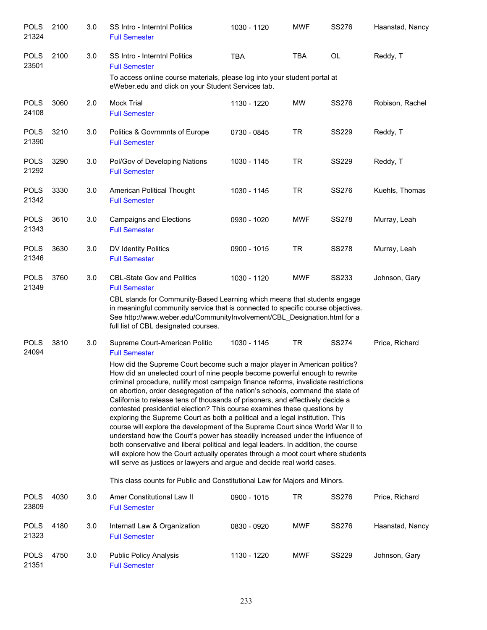| <b>POLS</b><br>21324 | 2100 | 3.0 | <b>SS Intro - Interntnl Politics</b><br><b>Full Semester</b>                                                                                                                                                                                                                                                                                                                                                                                                                                                                                                                                                                                                          | 1030 - 1120 | <b>MWF</b> | <b>SS276</b> | Haanstad, Nancy |
|----------------------|------|-----|-----------------------------------------------------------------------------------------------------------------------------------------------------------------------------------------------------------------------------------------------------------------------------------------------------------------------------------------------------------------------------------------------------------------------------------------------------------------------------------------------------------------------------------------------------------------------------------------------------------------------------------------------------------------------|-------------|------------|--------------|-----------------|
| <b>POLS</b><br>23501 | 2100 | 3.0 | <b>SS Intro - Interntnl Politics</b><br><b>Full Semester</b>                                                                                                                                                                                                                                                                                                                                                                                                                                                                                                                                                                                                          | <b>TBA</b>  | <b>TBA</b> | <b>OL</b>    | Reddy, T        |
|                      |      |     | To access online course materials, please log into your student portal at<br>eWeber.edu and click on your Student Services tab.                                                                                                                                                                                                                                                                                                                                                                                                                                                                                                                                       |             |            |              |                 |
| <b>POLS</b><br>24108 | 3060 | 2.0 | <b>Mock Trial</b><br><b>Full Semester</b>                                                                                                                                                                                                                                                                                                                                                                                                                                                                                                                                                                                                                             | 1130 - 1220 | <b>MW</b>  | <b>SS276</b> | Robison, Rachel |
| <b>POLS</b><br>21390 | 3210 | 3.0 | Politics & Govrnmnts of Europe<br><b>Full Semester</b>                                                                                                                                                                                                                                                                                                                                                                                                                                                                                                                                                                                                                | 0730 - 0845 | <b>TR</b>  | <b>SS229</b> | Reddy, T        |
| <b>POLS</b><br>21292 | 3290 | 3.0 | Pol/Gov of Developing Nations<br><b>Full Semester</b>                                                                                                                                                                                                                                                                                                                                                                                                                                                                                                                                                                                                                 | 1030 - 1145 | <b>TR</b>  | <b>SS229</b> | Reddy, T        |
| <b>POLS</b><br>21342 | 3330 | 3.0 | American Political Thought<br><b>Full Semester</b>                                                                                                                                                                                                                                                                                                                                                                                                                                                                                                                                                                                                                    | 1030 - 1145 | <b>TR</b>  | <b>SS276</b> | Kuehls, Thomas  |
| <b>POLS</b><br>21343 | 3610 | 3.0 | <b>Campaigns and Elections</b><br><b>Full Semester</b>                                                                                                                                                                                                                                                                                                                                                                                                                                                                                                                                                                                                                | 0930 - 1020 | <b>MWF</b> | <b>SS278</b> | Murray, Leah    |
| <b>POLS</b><br>21346 | 3630 | 3.0 | DV Identity Politics<br><b>Full Semester</b>                                                                                                                                                                                                                                                                                                                                                                                                                                                                                                                                                                                                                          | 0900 - 1015 | <b>TR</b>  | <b>SS278</b> | Murray, Leah    |
| <b>POLS</b><br>21349 | 3760 | 3.0 | <b>CBL-State Gov and Politics</b><br><b>Full Semester</b><br>CBL stands for Community-Based Learning which means that students engage<br>in meaningful community service that is connected to specific course objectives.<br>See http://www.weber.edu/CommunityInvolvement/CBL_Designation.html for a<br>full list of CBL designated courses.                                                                                                                                                                                                                                                                                                                         | 1030 - 1120 | <b>MWF</b> | <b>SS233</b> | Johnson, Gary   |
| <b>POLS</b><br>24094 | 3810 | 3.0 | Supreme Court-American Politic<br><b>Full Semester</b><br>How did the Supreme Court become such a major player in American politics?<br>How did an unelected court of nine people become powerful enough to rewrite<br>criminal procedure, nullify most campaign finance reforms, invalidate restrictions<br>on abortion, order desegregation of the nation's schools, command the state of                                                                                                                                                                                                                                                                           | 1030 - 1145 | <b>TR</b>  | <b>SS274</b> | Price, Richard  |
|                      |      |     | California to release tens of thousands of prisoners, and effectively decide a<br>contested presidential election? This course examines these questions by<br>exploring the Supreme Court as both a political and a legal institution. This<br>course will explore the development of the Supreme Court since World War II to<br>understand how the Court's power has steadily increased under the influence of<br>both conservative and liberal political and legal leaders. In addition, the course<br>will explore how the Court actually operates through a moot court where students<br>will serve as justices or lawyers and argue and decide real world cases. |             |            |              |                 |
|                      |      |     | This class counts for Public and Constitutional Law for Majors and Minors.                                                                                                                                                                                                                                                                                                                                                                                                                                                                                                                                                                                            |             |            |              |                 |
| <b>POLS</b><br>23809 | 4030 | 3.0 | Amer Constitutional Law II<br><b>Full Semester</b>                                                                                                                                                                                                                                                                                                                                                                                                                                                                                                                                                                                                                    | 0900 - 1015 | <b>TR</b>  | <b>SS276</b> | Price, Richard  |
| <b>POLS</b><br>21323 | 4180 | 3.0 | Internatl Law & Organization<br><b>Full Semester</b>                                                                                                                                                                                                                                                                                                                                                                                                                                                                                                                                                                                                                  | 0830 - 0920 | <b>MWF</b> | <b>SS276</b> | Haanstad, Nancy |
| <b>POLS</b><br>21351 | 4750 | 3.0 | <b>Public Policy Analysis</b><br><b>Full Semester</b>                                                                                                                                                                                                                                                                                                                                                                                                                                                                                                                                                                                                                 | 1130 - 1220 | <b>MWF</b> | <b>SS229</b> | Johnson, Gary   |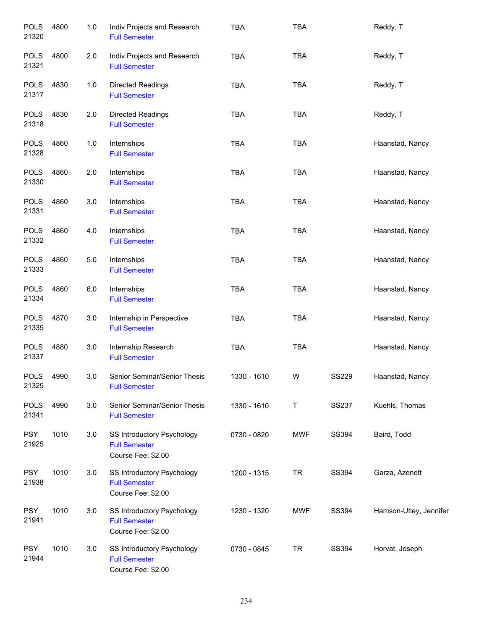| <b>POLS</b><br>21320 | 4800 | 1.0   | Indiv Projects and Research<br><b>Full Semester</b>                      | <b>TBA</b>  | <b>TBA</b> |              | Reddy, T               |
|----------------------|------|-------|--------------------------------------------------------------------------|-------------|------------|--------------|------------------------|
| <b>POLS</b><br>21321 | 4800 | 2.0   | Indiv Projects and Research<br><b>Full Semester</b>                      | <b>TBA</b>  | <b>TBA</b> |              | Reddy, T               |
| <b>POLS</b><br>21317 | 4830 | 1.0   | Directed Readings<br><b>Full Semester</b>                                | <b>TBA</b>  | <b>TBA</b> |              | Reddy, T               |
| <b>POLS</b><br>21318 | 4830 | 2.0   | Directed Readings<br><b>Full Semester</b>                                | <b>TBA</b>  | <b>TBA</b> |              | Reddy, T               |
| <b>POLS</b><br>21328 | 4860 | 1.0   | Internships<br><b>Full Semester</b>                                      | <b>TBA</b>  | <b>TBA</b> |              | Haanstad, Nancy        |
| <b>POLS</b><br>21330 | 4860 | 2.0   | Internships<br><b>Full Semester</b>                                      | <b>TBA</b>  | <b>TBA</b> |              | Haanstad, Nancy        |
| <b>POLS</b><br>21331 | 4860 | 3.0   | Internships<br><b>Full Semester</b>                                      | <b>TBA</b>  | <b>TBA</b> |              | Haanstad, Nancy        |
| <b>POLS</b><br>21332 | 4860 | 4.0   | Internships<br><b>Full Semester</b>                                      | <b>TBA</b>  | <b>TBA</b> |              | Haanstad, Nancy        |
| <b>POLS</b><br>21333 | 4860 | $5.0$ | Internships<br><b>Full Semester</b>                                      | <b>TBA</b>  | <b>TBA</b> |              | Haanstad, Nancy        |
| <b>POLS</b><br>21334 | 4860 | 6.0   | Internships<br><b>Full Semester</b>                                      | <b>TBA</b>  | <b>TBA</b> |              | Haanstad, Nancy        |
| <b>POLS</b><br>21335 | 4870 | 3.0   | Internship in Perspective<br><b>Full Semester</b>                        | <b>TBA</b>  | <b>TBA</b> |              | Haanstad, Nancy        |
| <b>POLS</b><br>21337 | 4880 | 3.0   | Internship Research<br><b>Full Semester</b>                              | <b>TBA</b>  | <b>TBA</b> |              | Haanstad, Nancy        |
| <b>POLS</b><br>21325 | 4990 | 3.0   | Senior Seminar/Senior Thesis<br><b>Full Semester</b>                     | 1330 - 1610 | W          | <b>SS229</b> | Haanstad, Nancy        |
| <b>POLS</b><br>21341 | 4990 | 3.0   | Senior Seminar/Senior Thesis<br><b>Full Semester</b>                     | 1330 - 1610 | T          | <b>SS237</b> | Kuehls, Thomas         |
| <b>PSY</b><br>21925  | 1010 | 3.0   | SS Introductory Psychology<br><b>Full Semester</b><br>Course Fee: \$2.00 | 0730 - 0820 | <b>MWF</b> | SS394        | Baird, Todd            |
| <b>PSY</b><br>21938  | 1010 | 3.0   | SS Introductory Psychology<br><b>Full Semester</b><br>Course Fee: \$2.00 | 1200 - 1315 | <b>TR</b>  | SS394        | Garza, Azenett         |
| <b>PSY</b><br>21941  | 1010 | 3.0   | SS Introductory Psychology<br><b>Full Semester</b><br>Course Fee: \$2.00 | 1230 - 1320 | <b>MWF</b> | SS394        | Hamson-Utley, Jennifer |
| <b>PSY</b><br>21944  | 1010 | 3.0   | SS Introductory Psychology<br><b>Full Semester</b><br>Course Fee: \$2.00 | 0730 - 0845 | <b>TR</b>  | SS394        | Horvat, Joseph         |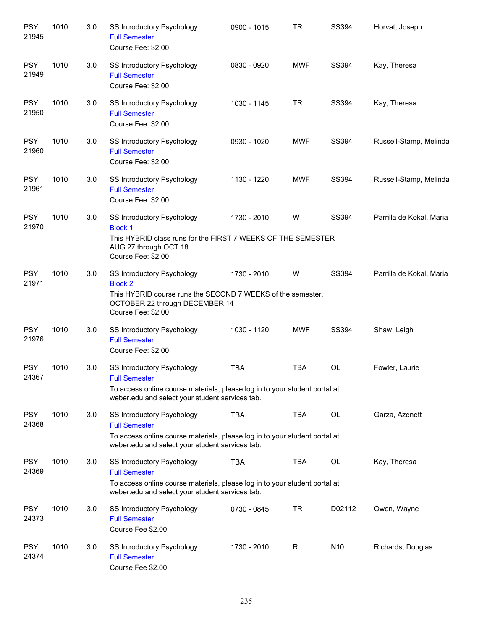| <b>PSY</b><br>21945 | 1010 | 3.0 | SS Introductory Psychology<br><b>Full Semester</b><br>Course Fee: \$2.00                                                                                                                   | 0900 - 1015 | <b>TR</b>   | SS394        | Horvat, Joseph           |
|---------------------|------|-----|--------------------------------------------------------------------------------------------------------------------------------------------------------------------------------------------|-------------|-------------|--------------|--------------------------|
| <b>PSY</b><br>21949 | 1010 | 3.0 | SS Introductory Psychology<br><b>Full Semester</b><br>Course Fee: \$2.00                                                                                                                   | 0830 - 0920 | <b>MWF</b>  | <b>SS394</b> | Kay, Theresa             |
| <b>PSY</b><br>21950 | 1010 | 3.0 | SS Introductory Psychology<br><b>Full Semester</b><br>Course Fee: \$2.00                                                                                                                   | 1030 - 1145 | <b>TR</b>   | SS394        | Kay, Theresa             |
| <b>PSY</b><br>21960 | 1010 | 3.0 | <b>SS Introductory Psychology</b><br><b>Full Semester</b><br>Course Fee: \$2.00                                                                                                            | 0930 - 1020 | <b>MWF</b>  | SS394        | Russell-Stamp, Melinda   |
| <b>PSY</b><br>21961 | 1010 | 3.0 | SS Introductory Psychology<br><b>Full Semester</b><br>Course Fee: \$2.00                                                                                                                   | 1130 - 1220 | <b>MWF</b>  | <b>SS394</b> | Russell-Stamp, Melinda   |
| <b>PSY</b><br>21970 | 1010 | 3.0 | SS Introductory Psychology<br><b>Block 1</b><br>This HYBRID class runs for the FIRST 7 WEEKS OF THE SEMESTER<br>AUG 27 through OCT 18<br>Course Fee: \$2.00                                | 1730 - 2010 | W           | SS394        | Parrilla de Kokal, Maria |
| <b>PSY</b><br>21971 | 1010 | 3.0 | SS Introductory Psychology<br><b>Block 2</b><br>This HYBRID course runs the SECOND 7 WEEKS of the semester,<br>OCTOBER 22 through DECEMBER 14<br>Course Fee: \$2.00                        | 1730 - 2010 | W           | SS394        | Parrilla de Kokal, Maria |
| <b>PSY</b><br>21976 | 1010 | 3.0 | SS Introductory Psychology<br><b>Full Semester</b><br>Course Fee: \$2.00                                                                                                                   | 1030 - 1120 | <b>MWF</b>  | SS394        | Shaw, Leigh              |
| <b>PSY</b><br>24367 | 1010 | 3.0 | <b>SS Introductory Psychology</b><br><b>Full Semester</b><br>To access online course materials, please log in to your student portal at<br>weber.edu and select your student services tab. | <b>TBA</b>  | <b>TBA</b>  | <b>OL</b>    | Fowler, Laurie           |
| <b>PSY</b><br>24368 | 1010 | 3.0 | SS Introductory Psychology<br><b>Full Semester</b><br>To access online course materials, please log in to your student portal at<br>weber.edu and select your student services tab.        | <b>TBA</b>  | <b>TBA</b>  | OL           | Garza, Azenett           |
| <b>PSY</b><br>24369 | 1010 | 3.0 | SS Introductory Psychology<br><b>Full Semester</b><br>To access online course materials, please log in to your student portal at<br>weber.edu and select your student services tab.        | <b>TBA</b>  | <b>TBA</b>  | OL           | Kay, Theresa             |
| <b>PSY</b><br>24373 | 1010 | 3.0 | SS Introductory Psychology<br><b>Full Semester</b><br>Course Fee \$2.00                                                                                                                    | 0730 - 0845 | <b>TR</b>   | D02112       | Owen, Wayne              |
| <b>PSY</b><br>24374 | 1010 | 3.0 | <b>SS Introductory Psychology</b><br><b>Full Semester</b><br>Course Fee \$2.00                                                                                                             | 1730 - 2010 | $\mathsf R$ | N10          | Richards, Douglas        |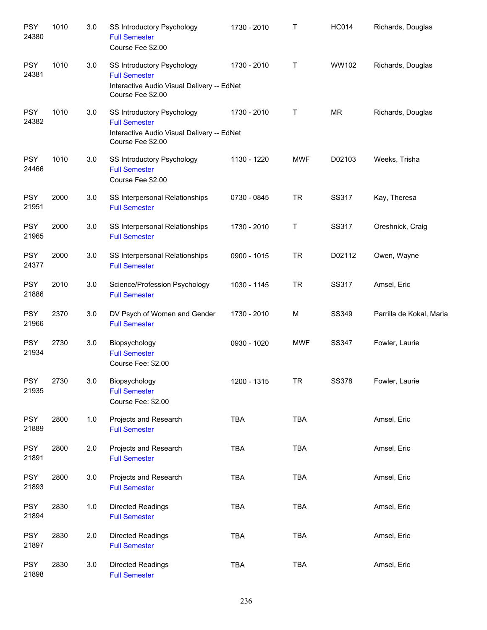| <b>PSY</b><br>24380 | 1010 | 3.0     | <b>SS Introductory Psychology</b><br><b>Full Semester</b><br>Course Fee \$2.00                                        | 1730 - 2010 | $\mathsf{T}$ | <b>HC014</b> | Richards, Douglas        |
|---------------------|------|---------|-----------------------------------------------------------------------------------------------------------------------|-------------|--------------|--------------|--------------------------|
| <b>PSY</b><br>24381 | 1010 | 3.0     | SS Introductory Psychology<br><b>Full Semester</b><br>Interactive Audio Visual Delivery -- EdNet<br>Course Fee \$2.00 | 1730 - 2010 | Τ            | WW102        | Richards, Douglas        |
| <b>PSY</b><br>24382 | 1010 | 3.0     | SS Introductory Psychology<br><b>Full Semester</b><br>Interactive Audio Visual Delivery -- EdNet<br>Course Fee \$2.00 | 1730 - 2010 | Τ            | <b>MR</b>    | Richards, Douglas        |
| <b>PSY</b><br>24466 | 1010 | 3.0     | SS Introductory Psychology<br><b>Full Semester</b><br>Course Fee \$2.00                                               | 1130 - 1220 | <b>MWF</b>   | D02103       | Weeks, Trisha            |
| <b>PSY</b><br>21951 | 2000 | 3.0     | SS Interpersonal Relationships<br><b>Full Semester</b>                                                                | 0730 - 0845 | <b>TR</b>    | SS317        | Kay, Theresa             |
| <b>PSY</b><br>21965 | 2000 | 3.0     | SS Interpersonal Relationships<br><b>Full Semester</b>                                                                | 1730 - 2010 | T            | SS317        | Oreshnick, Craig         |
| <b>PSY</b><br>24377 | 2000 | 3.0     | SS Interpersonal Relationships<br><b>Full Semester</b>                                                                | 0900 - 1015 | <b>TR</b>    | D02112       | Owen, Wayne              |
| <b>PSY</b><br>21886 | 2010 | 3.0     | Science/Profession Psychology<br><b>Full Semester</b>                                                                 | 1030 - 1145 | <b>TR</b>    | SS317        | Amsel, Eric              |
| <b>PSY</b><br>21966 | 2370 | 3.0     | DV Psych of Women and Gender<br><b>Full Semester</b>                                                                  | 1730 - 2010 | M            | SS349        | Parrilla de Kokal, Maria |
| <b>PSY</b><br>21934 | 2730 | 3.0     | Biopsychology<br><b>Full Semester</b><br>Course Fee: \$2.00                                                           | 0930 - 1020 | MWF          | <b>SS347</b> | Fowler, Laurie           |
| <b>PSY</b><br>21935 | 2730 | $3.0\,$ | Biopsychology<br><b>Full Semester</b><br>Course Fee: \$2.00                                                           | 1200 - 1315 | TR           | <b>SS378</b> | Fowler, Laurie           |
| <b>PSY</b><br>21889 | 2800 | 1.0     | Projects and Research<br><b>Full Semester</b>                                                                         | <b>TBA</b>  | TBA          |              | Amsel, Eric              |
| <b>PSY</b><br>21891 | 2800 | 2.0     | Projects and Research<br><b>Full Semester</b>                                                                         | <b>TBA</b>  | <b>TBA</b>   |              | Amsel, Eric              |
| <b>PSY</b><br>21893 | 2800 | 3.0     | Projects and Research<br><b>Full Semester</b>                                                                         | <b>TBA</b>  | TBA          |              | Amsel, Eric              |
| <b>PSY</b><br>21894 | 2830 | 1.0     | Directed Readings<br><b>Full Semester</b>                                                                             | <b>TBA</b>  | <b>TBA</b>   |              | Amsel, Eric              |
| <b>PSY</b><br>21897 | 2830 | 2.0     | Directed Readings<br><b>Full Semester</b>                                                                             | <b>TBA</b>  | <b>TBA</b>   |              | Amsel, Eric              |
| <b>PSY</b><br>21898 | 2830 | 3.0     | <b>Directed Readings</b><br><b>Full Semester</b>                                                                      | <b>TBA</b>  | TBA          |              | Amsel, Eric              |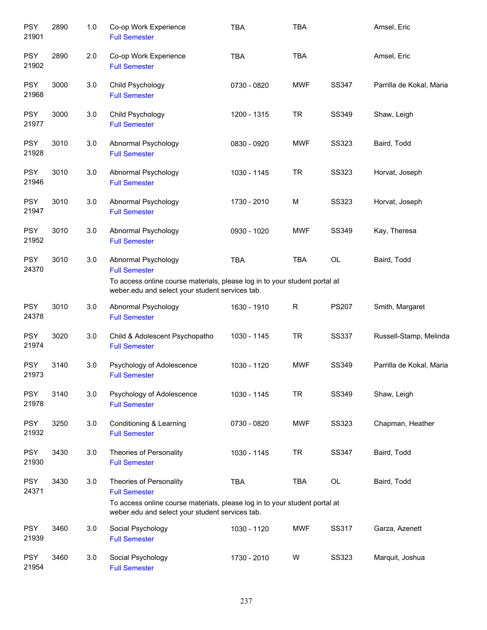| <b>PSY</b><br>21901 | 2890 | 1.0 | Co-op Work Experience<br><b>Full Semester</b>                                                                                                                                    | <b>TBA</b>  | <b>TBA</b> |              | Amsel, Eric              |
|---------------------|------|-----|----------------------------------------------------------------------------------------------------------------------------------------------------------------------------------|-------------|------------|--------------|--------------------------|
| <b>PSY</b><br>21902 | 2890 | 2.0 | Co-op Work Experience<br><b>Full Semester</b>                                                                                                                                    | <b>TBA</b>  | <b>TBA</b> |              | Amsel, Eric              |
| <b>PSY</b><br>21968 | 3000 | 3.0 | Child Psychology<br><b>Full Semester</b>                                                                                                                                         | 0730 - 0820 | <b>MWF</b> | SS347        | Parrilla de Kokal, Maria |
| <b>PSY</b><br>21977 | 3000 | 3.0 | Child Psychology<br><b>Full Semester</b>                                                                                                                                         | 1200 - 1315 | <b>TR</b>  | SS349        | Shaw, Leigh              |
| <b>PSY</b><br>21928 | 3010 | 3.0 | Abnormal Psychology<br><b>Full Semester</b>                                                                                                                                      | 0830 - 0920 | <b>MWF</b> | <b>SS323</b> | Baird, Todd              |
| <b>PSY</b><br>21946 | 3010 | 3.0 | Abnormal Psychology<br><b>Full Semester</b>                                                                                                                                      | 1030 - 1145 | <b>TR</b>  | <b>SS323</b> | Horvat, Joseph           |
| <b>PSY</b><br>21947 | 3010 | 3.0 | Abnormal Psychology<br><b>Full Semester</b>                                                                                                                                      | 1730 - 2010 | M          | <b>SS323</b> | Horvat, Joseph           |
| <b>PSY</b><br>21952 | 3010 | 3.0 | Abnormal Psychology<br><b>Full Semester</b>                                                                                                                                      | 0930 - 1020 | <b>MWF</b> | SS349        | Kay, Theresa             |
| <b>PSY</b><br>24370 | 3010 | 3.0 | Abnormal Psychology<br><b>Full Semester</b><br>To access online course materials, please log in to your student portal at<br>weber.edu and select your student services tab.     | <b>TBA</b>  | <b>TBA</b> | OL           | Baird, Todd              |
| <b>PSY</b><br>24378 | 3010 | 3.0 | Abnormal Psychology<br><b>Full Semester</b>                                                                                                                                      | 1630 - 1910 | R          | <b>PS207</b> | Smith, Margaret          |
| <b>PSY</b><br>21974 | 3020 | 3.0 | Child & Adolescent Psychopatho<br><b>Full Semester</b>                                                                                                                           | 1030 - 1145 | <b>TR</b>  | <b>SS337</b> | Russell-Stamp, Melinda   |
| <b>PSY</b><br>21973 | 3140 | 3.0 | Psychology of Adolescence<br><b>Full Semester</b>                                                                                                                                | 1030 - 1120 | <b>MWF</b> | SS349        | Parrilla de Kokal, Maria |
| <b>PSY</b><br>21978 | 3140 | 3.0 | Psychology of Adolescence<br><b>Full Semester</b>                                                                                                                                | 1030 - 1145 | <b>TR</b>  | SS349        | Shaw, Leigh              |
| <b>PSY</b><br>21932 | 3250 | 3.0 | Conditioning & Learning<br><b>Full Semester</b>                                                                                                                                  | 0730 - 0820 | <b>MWF</b> | SS323        | Chapman, Heather         |
| <b>PSY</b><br>21930 | 3430 | 3.0 | Theories of Personality<br><b>Full Semester</b>                                                                                                                                  | 1030 - 1145 | <b>TR</b>  | <b>SS347</b> | Baird, Todd              |
| <b>PSY</b><br>24371 | 3430 | 3.0 | Theories of Personality<br><b>Full Semester</b><br>To access online course materials, please log in to your student portal at<br>weber.edu and select your student services tab. | <b>TBA</b>  | <b>TBA</b> | OL           | Baird, Todd              |
| <b>PSY</b><br>21939 | 3460 | 3.0 | Social Psychology<br><b>Full Semester</b>                                                                                                                                        | 1030 - 1120 | <b>MWF</b> | SS317        | Garza, Azenett           |
| <b>PSY</b><br>21954 | 3460 | 3.0 | Social Psychology<br><b>Full Semester</b>                                                                                                                                        | 1730 - 2010 | W          | SS323        | Marquit, Joshua          |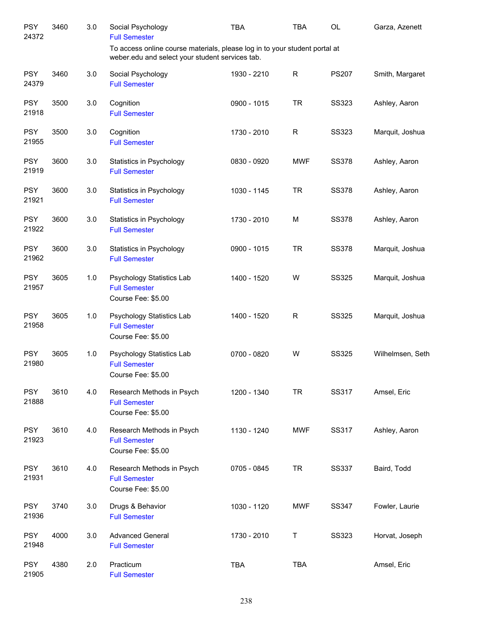| <b>PSY</b><br>24372 | 3460 | 3.0 | Social Psychology<br><b>Full Semester</b>                                                                                     | <b>TBA</b>  | TBA        | OL           | Garza, Azenett   |
|---------------------|------|-----|-------------------------------------------------------------------------------------------------------------------------------|-------------|------------|--------------|------------------|
|                     |      |     | To access online course materials, please log in to your student portal at<br>weber.edu and select your student services tab. |             |            |              |                  |
| <b>PSY</b><br>24379 | 3460 | 3.0 | Social Psychology<br><b>Full Semester</b>                                                                                     | 1930 - 2210 | R          | <b>PS207</b> | Smith, Margaret  |
| <b>PSY</b><br>21918 | 3500 | 3.0 | Cognition<br><b>Full Semester</b>                                                                                             | 0900 - 1015 | <b>TR</b>  | <b>SS323</b> | Ashley, Aaron    |
| <b>PSY</b><br>21955 | 3500 | 3.0 | Cognition<br><b>Full Semester</b>                                                                                             | 1730 - 2010 | R          | <b>SS323</b> | Marquit, Joshua  |
| <b>PSY</b><br>21919 | 3600 | 3.0 | Statistics in Psychology<br><b>Full Semester</b>                                                                              | 0830 - 0920 | <b>MWF</b> | <b>SS378</b> | Ashley, Aaron    |
| <b>PSY</b><br>21921 | 3600 | 3.0 | Statistics in Psychology<br><b>Full Semester</b>                                                                              | 1030 - 1145 | <b>TR</b>  | <b>SS378</b> | Ashley, Aaron    |
| <b>PSY</b><br>21922 | 3600 | 3.0 | Statistics in Psychology<br><b>Full Semester</b>                                                                              | 1730 - 2010 | M          | <b>SS378</b> | Ashley, Aaron    |
| <b>PSY</b><br>21962 | 3600 | 3.0 | Statistics in Psychology<br><b>Full Semester</b>                                                                              | 0900 - 1015 | <b>TR</b>  | <b>SS378</b> | Marquit, Joshua  |
| <b>PSY</b><br>21957 | 3605 | 1.0 | Psychology Statistics Lab<br><b>Full Semester</b><br>Course Fee: \$5.00                                                       | 1400 - 1520 | W          | <b>SS325</b> | Marquit, Joshua  |
| <b>PSY</b><br>21958 | 3605 | 1.0 | Psychology Statistics Lab<br><b>Full Semester</b><br>Course Fee: \$5.00                                                       | 1400 - 1520 | R          | <b>SS325</b> | Marquit, Joshua  |
| <b>PSY</b><br>21980 | 3605 | 1.0 | Psychology Statistics Lab<br><b>Full Semester</b><br>Course Fee: \$5.00                                                       | 0700 - 0820 | W          | <b>SS325</b> | Wilhelmsen, Seth |
| <b>PSY</b><br>21888 | 3610 | 4.0 | Research Methods in Psych<br><b>Full Semester</b><br>Course Fee: \$5.00                                                       | 1200 - 1340 | <b>TR</b>  | SS317        | Amsel, Eric      |
| <b>PSY</b><br>21923 | 3610 | 4.0 | Research Methods in Psych<br><b>Full Semester</b><br>Course Fee: \$5.00                                                       | 1130 - 1240 | <b>MWF</b> | SS317        | Ashley, Aaron    |
| <b>PSY</b><br>21931 | 3610 | 4.0 | Research Methods in Psych<br><b>Full Semester</b><br>Course Fee: \$5.00                                                       | 0705 - 0845 | <b>TR</b>  | <b>SS337</b> | Baird, Todd      |
| <b>PSY</b><br>21936 | 3740 | 3.0 | Drugs & Behavior<br><b>Full Semester</b>                                                                                      | 1030 - 1120 | <b>MWF</b> | <b>SS347</b> | Fowler, Laurie   |
| <b>PSY</b><br>21948 | 4000 | 3.0 | <b>Advanced General</b><br><b>Full Semester</b>                                                                               | 1730 - 2010 | Τ          | <b>SS323</b> | Horvat, Joseph   |
| <b>PSY</b><br>21905 | 4380 | 2.0 | Practicum<br><b>Full Semester</b>                                                                                             | <b>TBA</b>  | <b>TBA</b> |              | Amsel, Eric      |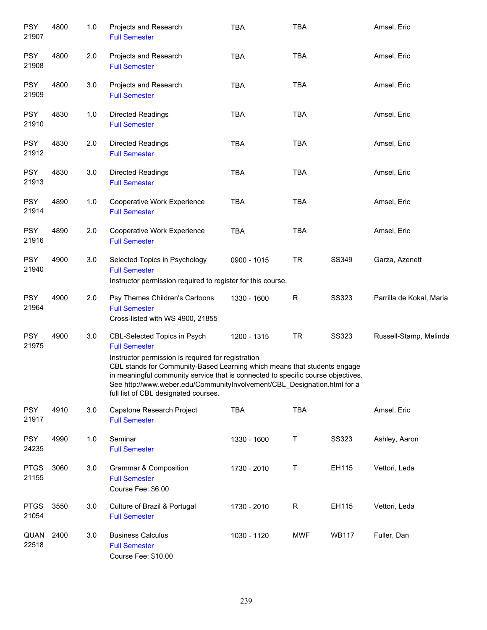| <b>PSY</b><br>21907  | 4800 | 1.0 | Projects and Research<br><b>Full Semester</b>                                                                                                                                                                                                                                                                                          | <b>TBA</b>  | <b>TBA</b>  |              | Amsel, Eric              |
|----------------------|------|-----|----------------------------------------------------------------------------------------------------------------------------------------------------------------------------------------------------------------------------------------------------------------------------------------------------------------------------------------|-------------|-------------|--------------|--------------------------|
| <b>PSY</b><br>21908  | 4800 | 2.0 | Projects and Research<br><b>Full Semester</b>                                                                                                                                                                                                                                                                                          | <b>TBA</b>  | <b>TBA</b>  |              | Amsel, Eric              |
| <b>PSY</b><br>21909  | 4800 | 3.0 | Projects and Research<br><b>Full Semester</b>                                                                                                                                                                                                                                                                                          | <b>TBA</b>  | <b>TBA</b>  |              | Amsel, Eric              |
| <b>PSY</b><br>21910  | 4830 | 1.0 | <b>Directed Readings</b><br><b>Full Semester</b>                                                                                                                                                                                                                                                                                       | <b>TBA</b>  | <b>TBA</b>  |              | Amsel, Eric              |
| <b>PSY</b><br>21912  | 4830 | 2.0 | <b>Directed Readings</b><br><b>Full Semester</b>                                                                                                                                                                                                                                                                                       | <b>TBA</b>  | <b>TBA</b>  |              | Amsel, Eric              |
| <b>PSY</b><br>21913  | 4830 | 3.0 | <b>Directed Readings</b><br><b>Full Semester</b>                                                                                                                                                                                                                                                                                       | <b>TBA</b>  | <b>TBA</b>  |              | Amsel, Eric              |
| <b>PSY</b><br>21914  | 4890 | 1.0 | Cooperative Work Experience<br><b>Full Semester</b>                                                                                                                                                                                                                                                                                    | <b>TBA</b>  | <b>TBA</b>  |              | Amsel, Eric              |
| <b>PSY</b><br>21916  | 4890 | 2.0 | Cooperative Work Experience<br><b>Full Semester</b>                                                                                                                                                                                                                                                                                    | <b>TBA</b>  | <b>TBA</b>  |              | Amsel, Eric              |
| <b>PSY</b><br>21940  | 4900 | 3.0 | Selected Topics in Psychology<br><b>Full Semester</b><br>Instructor permission required to register for this course.                                                                                                                                                                                                                   | 0900 - 1015 | <b>TR</b>   | SS349        | Garza, Azenett           |
| <b>PSY</b><br>21964  | 4900 | 2.0 | Psy Themes Children's Cartoons<br><b>Full Semester</b><br>Cross-listed with WS 4900, 21855                                                                                                                                                                                                                                             | 1330 - 1600 | $\mathsf R$ | <b>SS323</b> | Parrilla de Kokal, Maria |
| <b>PSY</b><br>21975  | 4900 | 3.0 | CBL-Selected Topics in Psych<br><b>Full Semester</b>                                                                                                                                                                                                                                                                                   | 1200 - 1315 | <b>TR</b>   | <b>SS323</b> | Russell-Stamp, Melinda   |
|                      |      |     | Instructor permission is required for registration<br>CBL stands for Community-Based Learning which means that students engage<br>in meaningful community service that is connected to specific course objectives.<br>See http://www.weber.edu/CommunityInvolvement/CBL_Designation.html for a<br>full list of CBL designated courses. |             |             |              |                          |
| <b>PSY</b><br>21917  | 4910 | 3.0 | Capstone Research Project<br><b>Full Semester</b>                                                                                                                                                                                                                                                                                      | <b>TBA</b>  | <b>TBA</b>  |              | Amsel, Eric              |
| <b>PSY</b><br>24235  | 4990 | 1.0 | Seminar<br><b>Full Semester</b>                                                                                                                                                                                                                                                                                                        | 1330 - 1600 | Τ           | <b>SS323</b> | Ashley, Aaron            |
| <b>PTGS</b><br>21155 | 3060 | 3.0 | <b>Grammar &amp; Composition</b><br><b>Full Semester</b><br>Course Fee: \$6.00                                                                                                                                                                                                                                                         | 1730 - 2010 | Τ           | EH115        | Vettori, Leda            |
| <b>PTGS</b><br>21054 | 3550 | 3.0 | Culture of Brazil & Portugal<br><b>Full Semester</b>                                                                                                                                                                                                                                                                                   | 1730 - 2010 | R           | EH115        | Vettori, Leda            |
| QUAN<br>22518        | 2400 | 3.0 | <b>Business Calculus</b><br><b>Full Semester</b><br>Course Fee: \$10.00                                                                                                                                                                                                                                                                | 1030 - 1120 | <b>MWF</b>  | <b>WB117</b> | Fuller, Dan              |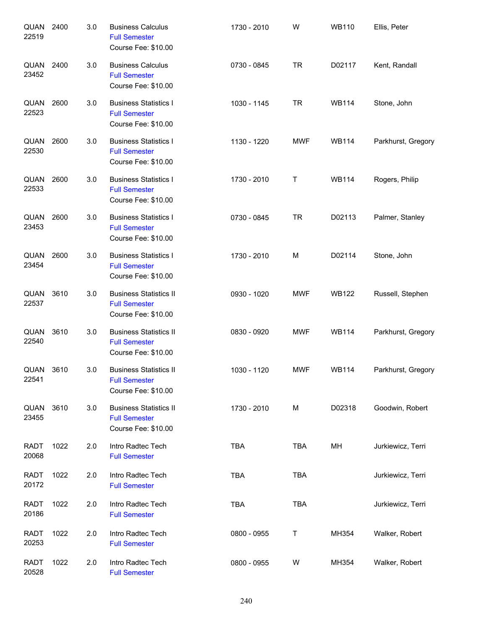| QUAN<br>22519        | 2400 | 3.0 | <b>Business Calculus</b><br><b>Full Semester</b><br>Course Fee: \$10.00      | 1730 - 2010 | W          | <b>WB110</b> | Ellis, Peter       |
|----------------------|------|-----|------------------------------------------------------------------------------|-------------|------------|--------------|--------------------|
| QUAN<br>23452        | 2400 | 3.0 | <b>Business Calculus</b><br><b>Full Semester</b><br>Course Fee: \$10.00      | 0730 - 0845 | <b>TR</b>  | D02117       | Kent, Randall      |
| QUAN<br>22523        | 2600 | 3.0 | <b>Business Statistics I</b><br><b>Full Semester</b><br>Course Fee: \$10.00  | 1030 - 1145 | <b>TR</b>  | <b>WB114</b> | Stone, John        |
| QUAN<br>22530        | 2600 | 3.0 | <b>Business Statistics I</b><br><b>Full Semester</b><br>Course Fee: \$10.00  | 1130 - 1220 | <b>MWF</b> | <b>WB114</b> | Parkhurst, Gregory |
| QUAN<br>22533        | 2600 | 3.0 | <b>Business Statistics I</b><br><b>Full Semester</b><br>Course Fee: \$10.00  | 1730 - 2010 | Τ          | <b>WB114</b> | Rogers, Philip     |
| QUAN<br>23453        | 2600 | 3.0 | <b>Business Statistics I</b><br><b>Full Semester</b><br>Course Fee: \$10.00  | 0730 - 0845 | <b>TR</b>  | D02113       | Palmer, Stanley    |
| QUAN<br>23454        | 2600 | 3.0 | <b>Business Statistics I</b><br><b>Full Semester</b><br>Course Fee: \$10.00  | 1730 - 2010 | M          | D02114       | Stone, John        |
| QUAN<br>22537        | 3610 | 3.0 | <b>Business Statistics II</b><br><b>Full Semester</b><br>Course Fee: \$10.00 | 0930 - 1020 | <b>MWF</b> | <b>WB122</b> | Russell, Stephen   |
| QUAN<br>22540        | 3610 | 3.0 | <b>Business Statistics II</b><br><b>Full Semester</b><br>Course Fee: \$10.00 | 0830 - 0920 | <b>MWF</b> | <b>WB114</b> | Parkhurst, Gregory |
| QUAN<br>22541        | 3610 | 3.0 | <b>Business Statistics II</b><br><b>Full Semester</b><br>Course Fee: \$10.00 | 1030 - 1120 | <b>MWF</b> | <b>WB114</b> | Parkhurst, Gregory |
| QUAN<br>23455        | 3610 | 3.0 | <b>Business Statistics II</b><br><b>Full Semester</b><br>Course Fee: \$10.00 | 1730 - 2010 | M          | D02318       | Goodwin, Robert    |
| <b>RADT</b><br>20068 | 1022 | 2.0 | Intro Radtec Tech<br><b>Full Semester</b>                                    | <b>TBA</b>  | <b>TBA</b> | MН           | Jurkiewicz, Terri  |
| <b>RADT</b><br>20172 | 1022 | 2.0 | Intro Radtec Tech<br><b>Full Semester</b>                                    | <b>TBA</b>  | <b>TBA</b> |              | Jurkiewicz, Terri  |
| <b>RADT</b><br>20186 | 1022 | 2.0 | Intro Radtec Tech<br><b>Full Semester</b>                                    | <b>TBA</b>  | <b>TBA</b> |              | Jurkiewicz, Terri  |
| <b>RADT</b><br>20253 | 1022 | 2.0 | Intro Radtec Tech<br><b>Full Semester</b>                                    | 0800 - 0955 | Τ          | MH354        | Walker, Robert     |
| <b>RADT</b><br>20528 | 1022 | 2.0 | Intro Radtec Tech<br><b>Full Semester</b>                                    | 0800 - 0955 | W          | MH354        | Walker, Robert     |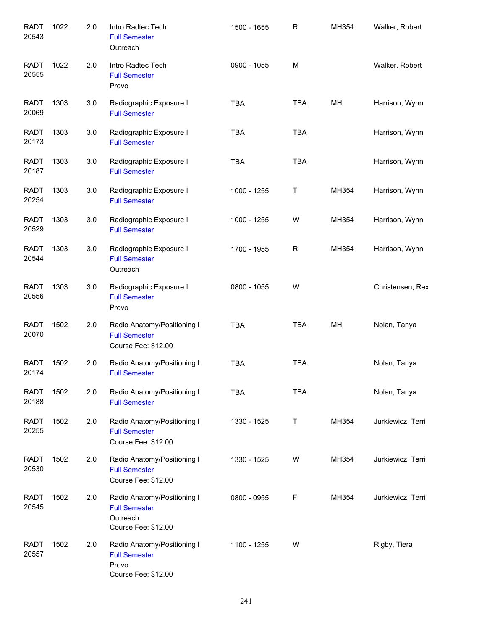| <b>RADT</b><br>20543 | 1022 | 2.0 | Intro Radtec Tech<br><b>Full Semester</b><br>Outreach                                  | 1500 - 1655 | $\mathsf{R}$ | MH354 | Walker, Robert    |
|----------------------|------|-----|----------------------------------------------------------------------------------------|-------------|--------------|-------|-------------------|
| <b>RADT</b><br>20555 | 1022 | 2.0 | Intro Radtec Tech<br><b>Full Semester</b><br>Provo                                     | 0900 - 1055 | M            |       | Walker, Robert    |
| <b>RADT</b><br>20069 | 1303 | 3.0 | Radiographic Exposure I<br><b>Full Semester</b>                                        | <b>TBA</b>  | <b>TBA</b>   | MH    | Harrison, Wynn    |
| RADT<br>20173        | 1303 | 3.0 | Radiographic Exposure I<br><b>Full Semester</b>                                        | <b>TBA</b>  | <b>TBA</b>   |       | Harrison, Wynn    |
| RADT<br>20187        | 1303 | 3.0 | Radiographic Exposure I<br><b>Full Semester</b>                                        | <b>TBA</b>  | <b>TBA</b>   |       | Harrison, Wynn    |
| <b>RADT</b><br>20254 | 1303 | 3.0 | Radiographic Exposure I<br><b>Full Semester</b>                                        | 1000 - 1255 | T            | MH354 | Harrison, Wynn    |
| <b>RADT</b><br>20529 | 1303 | 3.0 | Radiographic Exposure I<br><b>Full Semester</b>                                        | 1000 - 1255 | W            | MH354 | Harrison, Wynn    |
| <b>RADT</b><br>20544 | 1303 | 3.0 | Radiographic Exposure I<br><b>Full Semester</b><br>Outreach                            | 1700 - 1955 | R            | MH354 | Harrison, Wynn    |
| <b>RADT</b><br>20556 | 1303 | 3.0 | Radiographic Exposure I<br><b>Full Semester</b><br>Provo                               | 0800 - 1055 | W            |       | Christensen, Rex  |
| <b>RADT</b><br>20070 | 1502 | 2.0 | Radio Anatomy/Positioning I<br><b>Full Semester</b><br>Course Fee: \$12.00             | <b>TBA</b>  | <b>TBA</b>   | MH    | Nolan, Tanya      |
| <b>RADT</b><br>20174 | 1502 | 2.0 | Radio Anatomy/Positioning I<br><b>Full Semester</b>                                    | <b>TBA</b>  | <b>TBA</b>   |       | Nolan, Tanya      |
| <b>RADT</b><br>20188 | 1502 | 2.0 | Radio Anatomy/Positioning I<br><b>Full Semester</b>                                    | <b>TBA</b>  | <b>TBA</b>   |       | Nolan, Tanya      |
| <b>RADT</b><br>20255 | 1502 | 2.0 | Radio Anatomy/Positioning I<br><b>Full Semester</b><br>Course Fee: \$12.00             | 1330 - 1525 | Τ            | MH354 | Jurkiewicz, Terri |
| <b>RADT</b><br>20530 | 1502 | 2.0 | Radio Anatomy/Positioning I<br><b>Full Semester</b><br>Course Fee: \$12.00             | 1330 - 1525 | W            | MH354 | Jurkiewicz, Terri |
| <b>RADT</b><br>20545 | 1502 | 2.0 | Radio Anatomy/Positioning I<br><b>Full Semester</b><br>Outreach<br>Course Fee: \$12.00 | 0800 - 0955 | F            | MH354 | Jurkiewicz, Terri |
| <b>RADT</b><br>20557 | 1502 | 2.0 | Radio Anatomy/Positioning I<br><b>Full Semester</b><br>Provo<br>Course Fee: \$12.00    | 1100 - 1255 | W            |       | Rigby, Tiera      |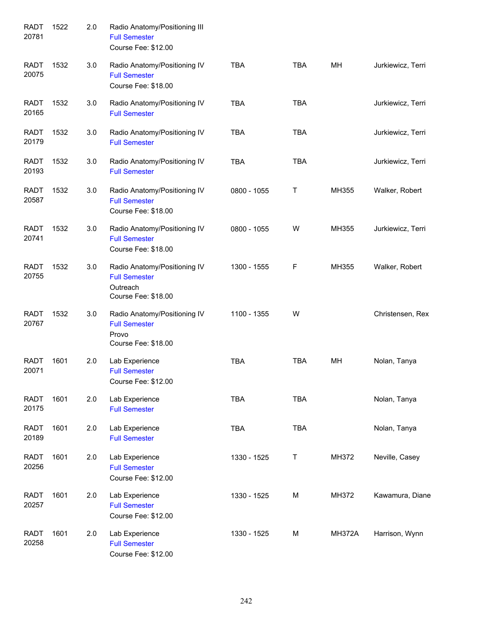| <b>RADT</b><br>20781 | 1522 | 2.0 | Radio Anatomy/Positioning III<br><b>Full Semester</b><br>Course Fee: \$12.00            |             |            |               |                   |
|----------------------|------|-----|-----------------------------------------------------------------------------------------|-------------|------------|---------------|-------------------|
| <b>RADT</b><br>20075 | 1532 | 3.0 | Radio Anatomy/Positioning IV<br><b>Full Semester</b><br>Course Fee: \$18.00             | <b>TBA</b>  | <b>TBA</b> | MH            | Jurkiewicz, Terri |
| <b>RADT</b><br>20165 | 1532 | 3.0 | Radio Anatomy/Positioning IV<br><b>Full Semester</b>                                    | <b>TBA</b>  | <b>TBA</b> |               | Jurkiewicz, Terri |
| <b>RADT</b><br>20179 | 1532 | 3.0 | Radio Anatomy/Positioning IV<br><b>Full Semester</b>                                    | <b>TBA</b>  | <b>TBA</b> |               | Jurkiewicz, Terri |
| <b>RADT</b><br>20193 | 1532 | 3.0 | Radio Anatomy/Positioning IV<br><b>Full Semester</b>                                    | <b>TBA</b>  | <b>TBA</b> |               | Jurkiewicz, Terri |
| <b>RADT</b><br>20587 | 1532 | 3.0 | Radio Anatomy/Positioning IV<br><b>Full Semester</b><br>Course Fee: \$18.00             | 0800 - 1055 | Τ          | MH355         | Walker, Robert    |
| <b>RADT</b><br>20741 | 1532 | 3.0 | Radio Anatomy/Positioning IV<br><b>Full Semester</b><br>Course Fee: \$18.00             | 0800 - 1055 | W          | MH355         | Jurkiewicz, Terri |
| <b>RADT</b><br>20755 | 1532 | 3.0 | Radio Anatomy/Positioning IV<br><b>Full Semester</b><br>Outreach<br>Course Fee: \$18.00 | 1300 - 1555 | F          | MH355         | Walker, Robert    |
| <b>RADT</b><br>20767 | 1532 | 3.0 | Radio Anatomy/Positioning IV<br><b>Full Semester</b><br>Provo<br>Course Fee: \$18.00    | 1100 - 1355 | W          |               | Christensen, Rex  |
| <b>RADT</b><br>20071 | 1601 | 2.0 | Lab Experience<br><b>Full Semester</b><br>Course Fee: \$12.00                           | <b>TBA</b>  | <b>TBA</b> | MH            | Nolan, Tanya      |
| <b>RADT</b><br>20175 | 1601 | 2.0 | Lab Experience<br><b>Full Semester</b>                                                  | <b>TBA</b>  | <b>TBA</b> |               | Nolan, Tanya      |
| <b>RADT</b><br>20189 | 1601 | 2.0 | Lab Experience<br><b>Full Semester</b>                                                  | <b>TBA</b>  | TBA        |               | Nolan, Tanya      |
| <b>RADT</b><br>20256 | 1601 | 2.0 | Lab Experience<br><b>Full Semester</b><br>Course Fee: \$12.00                           | 1330 - 1525 | T          | MH372         | Neville, Casey    |
| <b>RADT</b><br>20257 | 1601 | 2.0 | Lab Experience<br><b>Full Semester</b><br>Course Fee: \$12.00                           | 1330 - 1525 | M          | MH372         | Kawamura, Diane   |
| <b>RADT</b><br>20258 | 1601 | 2.0 | Lab Experience<br><b>Full Semester</b><br>Course Fee: \$12.00                           | 1330 - 1525 | М          | <b>MH372A</b> | Harrison, Wynn    |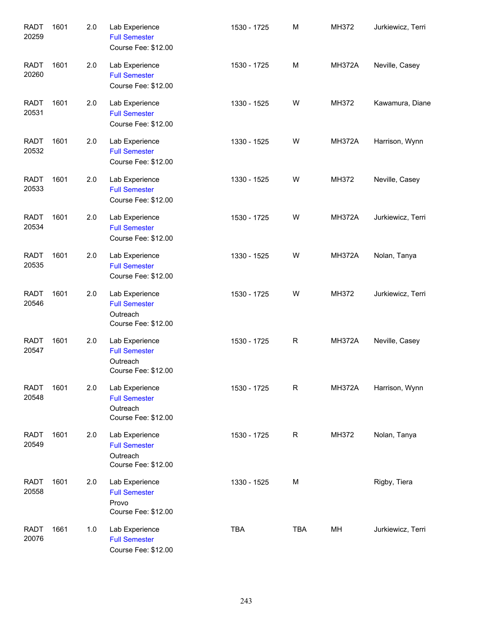| <b>RADT</b><br>20259 | 1601 | 2.0 | Lab Experience<br><b>Full Semester</b><br>Course Fee: \$12.00             | 1530 - 1725 | M           | MH372         | Jurkiewicz, Terri |
|----------------------|------|-----|---------------------------------------------------------------------------|-------------|-------------|---------------|-------------------|
| <b>RADT</b><br>20260 | 1601 | 2.0 | Lab Experience<br><b>Full Semester</b><br>Course Fee: \$12.00             | 1530 - 1725 | M           | <b>MH372A</b> | Neville, Casey    |
| <b>RADT</b><br>20531 | 1601 | 2.0 | Lab Experience<br><b>Full Semester</b><br>Course Fee: \$12.00             | 1330 - 1525 | W           | MH372         | Kawamura, Diane   |
| <b>RADT</b><br>20532 | 1601 | 2.0 | Lab Experience<br><b>Full Semester</b><br>Course Fee: \$12.00             | 1330 - 1525 | W           | <b>MH372A</b> | Harrison, Wynn    |
| <b>RADT</b><br>20533 | 1601 | 2.0 | Lab Experience<br><b>Full Semester</b><br>Course Fee: \$12.00             | 1330 - 1525 | W           | MH372         | Neville, Casey    |
| <b>RADT</b><br>20534 | 1601 | 2.0 | Lab Experience<br><b>Full Semester</b><br>Course Fee: \$12.00             | 1530 - 1725 | W           | <b>MH372A</b> | Jurkiewicz, Terri |
| <b>RADT</b><br>20535 | 1601 | 2.0 | Lab Experience<br><b>Full Semester</b><br>Course Fee: \$12.00             | 1330 - 1525 | W           | <b>MH372A</b> | Nolan, Tanya      |
| <b>RADT</b><br>20546 | 1601 | 2.0 | Lab Experience<br><b>Full Semester</b><br>Outreach<br>Course Fee: \$12.00 | 1530 - 1725 | W           | MH372         | Jurkiewicz, Terri |
| <b>RADT</b><br>20547 | 1601 | 2.0 | Lab Experience<br><b>Full Semester</b><br>Outreach<br>Course Fee: \$12.00 | 1530 - 1725 | $\mathsf R$ | <b>MH372A</b> | Neville, Casey    |
| <b>RADT</b><br>20548 | 1601 | 2.0 | Lab Experience<br><b>Full Semester</b><br>Outreach<br>Course Fee: \$12.00 | 1530 - 1725 | $\mathsf R$ | <b>MH372A</b> | Harrison, Wynn    |
| <b>RADT</b><br>20549 | 1601 | 2.0 | Lab Experience<br><b>Full Semester</b><br>Outreach<br>Course Fee: \$12.00 | 1530 - 1725 | R           | MH372         | Nolan, Tanya      |
| <b>RADT</b><br>20558 | 1601 | 2.0 | Lab Experience<br><b>Full Semester</b><br>Provo<br>Course Fee: \$12.00    | 1330 - 1525 | М           |               | Rigby, Tiera      |
| <b>RADT</b><br>20076 | 1661 | 1.0 | Lab Experience<br><b>Full Semester</b><br>Course Fee: \$12.00             | <b>TBA</b>  | <b>TBA</b>  | MH            | Jurkiewicz, Terri |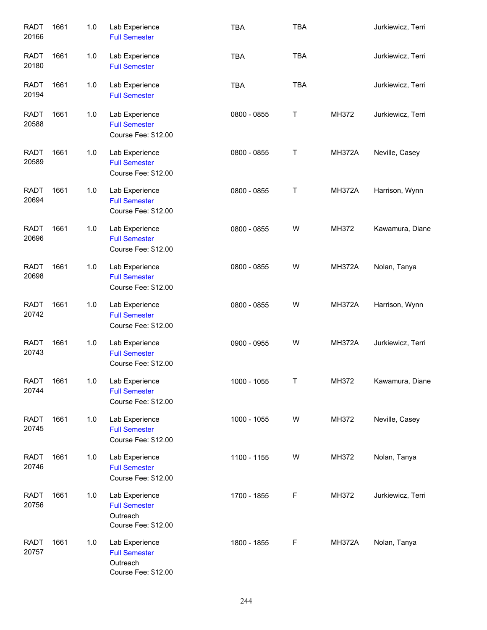| <b>RADT</b><br>20166 | 1661 | 1.0 | Lab Experience<br><b>Full Semester</b>                                    | <b>TBA</b>  | <b>TBA</b> |               | Jurkiewicz, Terri |
|----------------------|------|-----|---------------------------------------------------------------------------|-------------|------------|---------------|-------------------|
| <b>RADT</b><br>20180 | 1661 | 1.0 | Lab Experience<br><b>Full Semester</b>                                    | <b>TBA</b>  | <b>TBA</b> |               | Jurkiewicz, Terri |
| <b>RADT</b><br>20194 | 1661 | 1.0 | Lab Experience<br><b>Full Semester</b>                                    | <b>TBA</b>  | <b>TBA</b> |               | Jurkiewicz, Terri |
| <b>RADT</b><br>20588 | 1661 | 1.0 | Lab Experience<br><b>Full Semester</b><br>Course Fee: \$12.00             | 0800 - 0855 | T          | MH372         | Jurkiewicz, Terri |
| <b>RADT</b><br>20589 | 1661 | 1.0 | Lab Experience<br><b>Full Semester</b><br>Course Fee: \$12.00             | 0800 - 0855 | T          | <b>MH372A</b> | Neville, Casey    |
| <b>RADT</b><br>20694 | 1661 | 1.0 | Lab Experience<br><b>Full Semester</b><br>Course Fee: \$12.00             | 0800 - 0855 | Τ          | <b>MH372A</b> | Harrison, Wynn    |
| <b>RADT</b><br>20696 | 1661 | 1.0 | Lab Experience<br><b>Full Semester</b><br>Course Fee: \$12.00             | 0800 - 0855 | W          | MH372         | Kawamura, Diane   |
| <b>RADT</b><br>20698 | 1661 | 1.0 | Lab Experience<br><b>Full Semester</b><br>Course Fee: \$12.00             | 0800 - 0855 | W          | <b>MH372A</b> | Nolan, Tanya      |
| <b>RADT</b><br>20742 | 1661 | 1.0 | Lab Experience<br><b>Full Semester</b><br>Course Fee: \$12.00             | 0800 - 0855 | W          | <b>MH372A</b> | Harrison, Wynn    |
| <b>RADT</b><br>20743 | 1661 | 1.0 | Lab Experience<br><b>Full Semester</b><br>Course Fee: \$12.00             | 0900 - 0955 | W          | <b>MH372A</b> | Jurkiewicz, Terri |
| <b>RADT</b><br>20744 | 1661 | 1.0 | Lab Experience<br><b>Full Semester</b><br>Course Fee: \$12.00             | 1000 - 1055 | Τ          | MH372         | Kawamura, Diane   |
| <b>RADT</b><br>20745 | 1661 | 1.0 | Lab Experience<br><b>Full Semester</b><br>Course Fee: \$12.00             | 1000 - 1055 | W          | MH372         | Neville, Casey    |
| <b>RADT</b><br>20746 | 1661 | 1.0 | Lab Experience<br><b>Full Semester</b><br>Course Fee: \$12.00             | 1100 - 1155 | W          | MH372         | Nolan, Tanya      |
| <b>RADT</b><br>20756 | 1661 | 1.0 | Lab Experience<br><b>Full Semester</b><br>Outreach<br>Course Fee: \$12.00 | 1700 - 1855 | F          | MH372         | Jurkiewicz, Terri |
| <b>RADT</b><br>20757 | 1661 | 1.0 | Lab Experience<br><b>Full Semester</b><br>Outreach<br>Course Fee: \$12.00 | 1800 - 1855 | F          | <b>MH372A</b> | Nolan, Tanya      |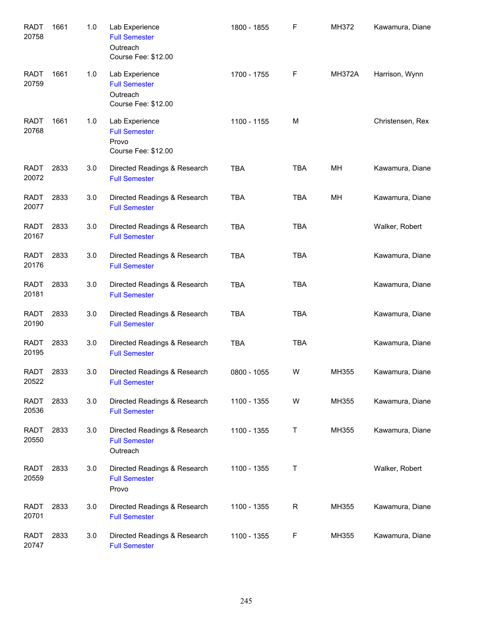| <b>RADT</b><br>20758 | 1661 | 1.0 | Lab Experience<br><b>Full Semester</b><br>Outreach<br>Course Fee: \$12.00 | 1800 - 1855 | $\mathsf F$ | MH372         | Kawamura, Diane  |
|----------------------|------|-----|---------------------------------------------------------------------------|-------------|-------------|---------------|------------------|
| <b>RADT</b><br>20759 | 1661 | 1.0 | Lab Experience<br><b>Full Semester</b><br>Outreach<br>Course Fee: \$12.00 | 1700 - 1755 | F           | <b>MH372A</b> | Harrison, Wynn   |
| <b>RADT</b><br>20768 | 1661 | 1.0 | Lab Experience<br><b>Full Semester</b><br>Provo<br>Course Fee: \$12.00    | 1100 - 1155 | M           |               | Christensen, Rex |
| <b>RADT</b><br>20072 | 2833 | 3.0 | Directed Readings & Research<br><b>Full Semester</b>                      | <b>TBA</b>  | <b>TBA</b>  | MН            | Kawamura, Diane  |
| <b>RADT</b><br>20077 | 2833 | 3.0 | Directed Readings & Research<br><b>Full Semester</b>                      | <b>TBA</b>  | <b>TBA</b>  | MН            | Kawamura, Diane  |
| <b>RADT</b><br>20167 | 2833 | 3.0 | Directed Readings & Research<br><b>Full Semester</b>                      | <b>TBA</b>  | <b>TBA</b>  |               | Walker, Robert   |
| <b>RADT</b><br>20176 | 2833 | 3.0 | Directed Readings & Research<br><b>Full Semester</b>                      | <b>TBA</b>  | <b>TBA</b>  |               | Kawamura, Diane  |
| <b>RADT</b><br>20181 | 2833 | 3.0 | Directed Readings & Research<br><b>Full Semester</b>                      | <b>TBA</b>  | <b>TBA</b>  |               | Kawamura, Diane  |
| <b>RADT</b><br>20190 | 2833 | 3.0 | Directed Readings & Research<br><b>Full Semester</b>                      | <b>TBA</b>  | <b>TBA</b>  |               | Kawamura, Diane  |
| <b>RADT</b><br>20195 | 2833 | 3.0 | Directed Readings & Research<br><b>Full Semester</b>                      | <b>TBA</b>  | <b>TBA</b>  |               | Kawamura, Diane  |
| RADT<br>20522        | 2833 | 3.0 | Directed Readings & Research<br><b>Full Semester</b>                      | 0800 - 1055 | W           | MH355         | Kawamura, Diane  |
| <b>RADT</b><br>20536 | 2833 | 3.0 | Directed Readings & Research<br><b>Full Semester</b>                      | 1100 - 1355 | W           | MH355         | Kawamura, Diane  |
| <b>RADT</b><br>20550 | 2833 | 3.0 | Directed Readings & Research<br><b>Full Semester</b><br>Outreach          | 1100 - 1355 | T           | MH355         | Kawamura, Diane  |
| <b>RADT</b><br>20559 | 2833 | 3.0 | Directed Readings & Research<br><b>Full Semester</b><br>Provo             | 1100 - 1355 | Τ           |               | Walker, Robert   |
| <b>RADT</b><br>20701 | 2833 | 3.0 | Directed Readings & Research<br><b>Full Semester</b>                      | 1100 - 1355 | R           | MH355         | Kawamura, Diane  |
| <b>RADT</b><br>20747 | 2833 | 3.0 | Directed Readings & Research<br><b>Full Semester</b>                      | 1100 - 1355 | F           | MH355         | Kawamura, Diane  |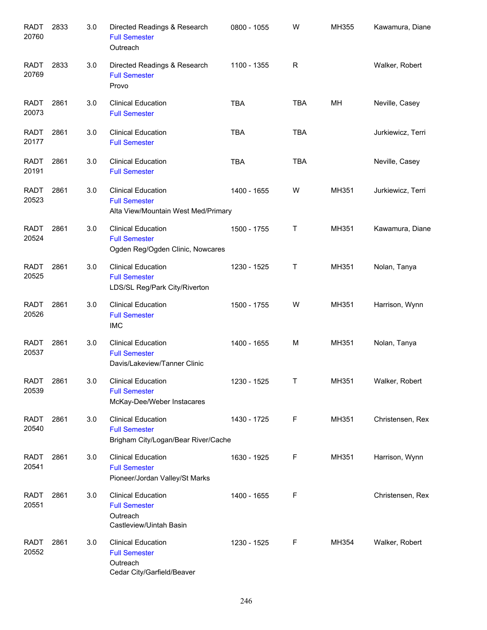| <b>RADT</b><br>20760 | 2833 | 3.0 | Directed Readings & Research<br><b>Full Semester</b><br>Outreach                            | 0800 - 1055 | W          | MH355 | Kawamura, Diane   |
|----------------------|------|-----|---------------------------------------------------------------------------------------------|-------------|------------|-------|-------------------|
| <b>RADT</b><br>20769 | 2833 | 3.0 | Directed Readings & Research<br><b>Full Semester</b><br>Provo                               | 1100 - 1355 | R          |       | Walker, Robert    |
| <b>RADT</b><br>20073 | 2861 | 3.0 | <b>Clinical Education</b><br><b>Full Semester</b>                                           | <b>TBA</b>  | <b>TBA</b> | MН    | Neville, Casey    |
| <b>RADT</b><br>20177 | 2861 | 3.0 | <b>Clinical Education</b><br><b>Full Semester</b>                                           | <b>TBA</b>  | <b>TBA</b> |       | Jurkiewicz, Terri |
| <b>RADT</b><br>20191 | 2861 | 3.0 | <b>Clinical Education</b><br><b>Full Semester</b>                                           | <b>TBA</b>  | <b>TBA</b> |       | Neville, Casey    |
| <b>RADT</b><br>20523 | 2861 | 3.0 | <b>Clinical Education</b><br><b>Full Semester</b><br>Alta View/Mountain West Med/Primary    | 1400 - 1655 | W          | MH351 | Jurkiewicz, Terri |
| <b>RADT</b><br>20524 | 2861 | 3.0 | <b>Clinical Education</b><br><b>Full Semester</b><br>Ogden Reg/Ogden Clinic, Nowcares       | 1500 - 1755 | Τ          | MH351 | Kawamura, Diane   |
| <b>RADT</b><br>20525 | 2861 | 3.0 | <b>Clinical Education</b><br><b>Full Semester</b><br>LDS/SL Reg/Park City/Riverton          | 1230 - 1525 | Τ          | MH351 | Nolan, Tanya      |
| <b>RADT</b><br>20526 | 2861 | 3.0 | <b>Clinical Education</b><br><b>Full Semester</b><br><b>IMC</b>                             | 1500 - 1755 | W          | MH351 | Harrison, Wynn    |
| <b>RADT</b><br>20537 | 2861 | 3.0 | <b>Clinical Education</b><br><b>Full Semester</b><br>Davis/Lakeview/Tanner Clinic           | 1400 - 1655 | М          | MH351 | Nolan, Tanya      |
| <b>RADT</b><br>20539 | 2861 | 3.0 | <b>Clinical Education</b><br><b>Full Semester</b><br>McKay-Dee/Weber Instacares             | 1230 - 1525 | Τ          | MH351 | Walker, Robert    |
| <b>RADT</b><br>20540 | 2861 | 3.0 | <b>Clinical Education</b><br><b>Full Semester</b><br>Brigham City/Logan/Bear River/Cache    | 1430 - 1725 | F          | MH351 | Christensen, Rex  |
| <b>RADT</b><br>20541 | 2861 | 3.0 | <b>Clinical Education</b><br><b>Full Semester</b><br>Pioneer/Jordan Valley/St Marks         | 1630 - 1925 | F          | MH351 | Harrison, Wynn    |
| <b>RADT</b><br>20551 | 2861 | 3.0 | <b>Clinical Education</b><br><b>Full Semester</b><br>Outreach<br>Castleview/Uintah Basin    | 1400 - 1655 | F          |       | Christensen, Rex  |
| <b>RADT</b><br>20552 | 2861 | 3.0 | <b>Clinical Education</b><br><b>Full Semester</b><br>Outreach<br>Cedar City/Garfield/Beaver | 1230 - 1525 | F          | MH354 | Walker, Robert    |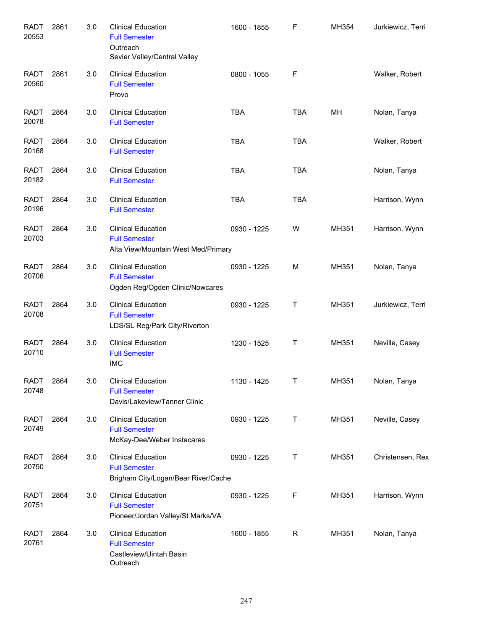| <b>RADT</b><br>20553 | 2861 | $3.0\,$ | <b>Clinical Education</b><br><b>Full Semester</b><br>Outreach<br>Sevier Valley/Central Valley | 1600 - 1855 | F          | MH354 | Jurkiewicz, Terri |
|----------------------|------|---------|-----------------------------------------------------------------------------------------------|-------------|------------|-------|-------------------|
| <b>RADT</b><br>20560 | 2861 | 3.0     | <b>Clinical Education</b><br><b>Full Semester</b><br>Provo                                    | 0800 - 1055 | F          |       | Walker, Robert    |
| <b>RADT</b><br>20078 | 2864 | 3.0     | <b>Clinical Education</b><br><b>Full Semester</b>                                             | <b>TBA</b>  | <b>TBA</b> | MH    | Nolan, Tanya      |
| <b>RADT</b><br>20168 | 2864 | 3.0     | <b>Clinical Education</b><br><b>Full Semester</b>                                             | <b>TBA</b>  | <b>TBA</b> |       | Walker, Robert    |
| RADT<br>20182        | 2864 | 3.0     | <b>Clinical Education</b><br><b>Full Semester</b>                                             | <b>TBA</b>  | <b>TBA</b> |       | Nolan, Tanya      |
| <b>RADT</b><br>20196 | 2864 | 3.0     | <b>Clinical Education</b><br><b>Full Semester</b>                                             | <b>TBA</b>  | <b>TBA</b> |       | Harrison, Wynn    |
| <b>RADT</b><br>20703 | 2864 | 3.0     | <b>Clinical Education</b><br><b>Full Semester</b><br>Alta View/Mountain West Med/Primary      | 0930 - 1225 | W          | MH351 | Harrison, Wynn    |
| <b>RADT</b><br>20706 | 2864 | 3.0     | <b>Clinical Education</b><br><b>Full Semester</b><br>Ogden Reg/Ogden Clinic/Nowcares          | 0930 - 1225 | M          | MH351 | Nolan, Tanya      |
| <b>RADT</b><br>20708 | 2864 | 3.0     | <b>Clinical Education</b><br><b>Full Semester</b><br>LDS/SL Reg/Park City/Riverton            | 0930 - 1225 | Т          | MH351 | Jurkiewicz, Terri |
| <b>RADT</b><br>20710 | 2864 | 3.0     | <b>Clinical Education</b><br><b>Full Semester</b><br><b>IMC</b>                               | 1230 - 1525 | Τ          | MH351 | Neville, Casey    |
| <b>RADT</b><br>20748 | 2864 | 3.0     | <b>Clinical Education</b><br><b>Full Semester</b><br>Davis/Lakeview/Tanner Clinic             | 1130 - 1425 | Τ          | MH351 | Nolan, Tanya      |
| <b>RADT</b><br>20749 | 2864 | 3.0     | <b>Clinical Education</b><br><b>Full Semester</b><br>McKay-Dee/Weber Instacares               | 0930 - 1225 | Т          | MH351 | Neville, Casey    |
| <b>RADT</b><br>20750 | 2864 | 3.0     | <b>Clinical Education</b><br><b>Full Semester</b><br>Brigham City/Logan/Bear River/Cache      | 0930 - 1225 | Т          | MH351 | Christensen, Rex  |
| <b>RADT</b><br>20751 | 2864 | 3.0     | <b>Clinical Education</b><br><b>Full Semester</b><br>Pioneer/Jordan Valley/St Marks/VA        | 0930 - 1225 | F          | MH351 | Harrison, Wynn    |
| <b>RADT</b><br>20761 | 2864 | 3.0     | <b>Clinical Education</b><br><b>Full Semester</b><br>Castleview/Uintah Basin<br>Outreach      | 1600 - 1855 | R          | MH351 | Nolan, Tanya      |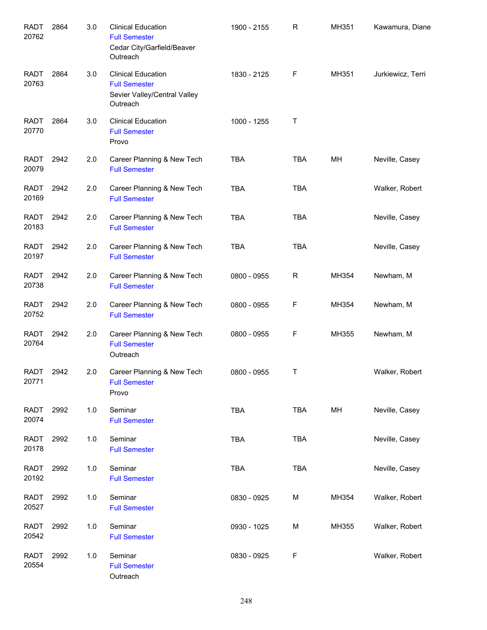| <b>RADT</b><br>20762 | 2864 | 3.0 | <b>Clinical Education</b><br><b>Full Semester</b><br>Cedar City/Garfield/Beaver<br>Outreach   | 1900 - 2155 | R           | MH351 | Kawamura, Diane   |
|----------------------|------|-----|-----------------------------------------------------------------------------------------------|-------------|-------------|-------|-------------------|
| <b>RADT</b><br>20763 | 2864 | 3.0 | <b>Clinical Education</b><br><b>Full Semester</b><br>Sevier Valley/Central Valley<br>Outreach | 1830 - 2125 | F           | MH351 | Jurkiewicz, Terri |
| <b>RADT</b><br>20770 | 2864 | 3.0 | <b>Clinical Education</b><br><b>Full Semester</b><br>Provo                                    | 1000 - 1255 | $\mathsf T$ |       |                   |
| <b>RADT</b><br>20079 | 2942 | 2.0 | Career Planning & New Tech<br><b>Full Semester</b>                                            | <b>TBA</b>  | <b>TBA</b>  | MН    | Neville, Casey    |
| <b>RADT</b><br>20169 | 2942 | 2.0 | Career Planning & New Tech<br><b>Full Semester</b>                                            | <b>TBA</b>  | <b>TBA</b>  |       | Walker, Robert    |
| <b>RADT</b><br>20183 | 2942 | 2.0 | Career Planning & New Tech<br><b>Full Semester</b>                                            | <b>TBA</b>  | <b>TBA</b>  |       | Neville, Casey    |
| <b>RADT</b><br>20197 | 2942 | 2.0 | Career Planning & New Tech<br><b>Full Semester</b>                                            | <b>TBA</b>  | <b>TBA</b>  |       | Neville, Casey    |
| <b>RADT</b><br>20738 | 2942 | 2.0 | Career Planning & New Tech<br><b>Full Semester</b>                                            | 0800 - 0955 | R           | MH354 | Newham, M         |
| RADT<br>20752        | 2942 | 2.0 | Career Planning & New Tech<br><b>Full Semester</b>                                            | 0800 - 0955 | F           | MH354 | Newham, M         |
| <b>RADT</b><br>20764 | 2942 | 2.0 | Career Planning & New Tech<br><b>Full Semester</b><br>Outreach                                | 0800 - 0955 | F           | MH355 | Newham, M         |
| <b>RADT</b><br>20771 | 2942 | 2.0 | Career Planning & New Tech<br><b>Full Semester</b><br>Provo                                   | 0800 - 0955 | $\top$      |       | Walker, Robert    |
| <b>RADT</b><br>20074 | 2992 | 1.0 | Seminar<br><b>Full Semester</b>                                                               | <b>TBA</b>  | <b>TBA</b>  | MH    | Neville, Casey    |
| <b>RADT</b><br>20178 | 2992 | 1.0 | Seminar<br><b>Full Semester</b>                                                               | <b>TBA</b>  | <b>TBA</b>  |       | Neville, Casey    |
| <b>RADT</b><br>20192 | 2992 | 1.0 | Seminar<br><b>Full Semester</b>                                                               | <b>TBA</b>  | <b>TBA</b>  |       | Neville, Casey    |
| <b>RADT</b><br>20527 | 2992 | 1.0 | Seminar<br><b>Full Semester</b>                                                               | 0830 - 0925 | М           | MH354 | Walker, Robert    |
| <b>RADT</b><br>20542 | 2992 | 1.0 | Seminar<br><b>Full Semester</b>                                                               | 0930 - 1025 | М           | MH355 | Walker, Robert    |
| <b>RADT</b><br>20554 | 2992 | 1.0 | Seminar<br><b>Full Semester</b><br>Outreach                                                   | 0830 - 0925 | F           |       | Walker, Robert    |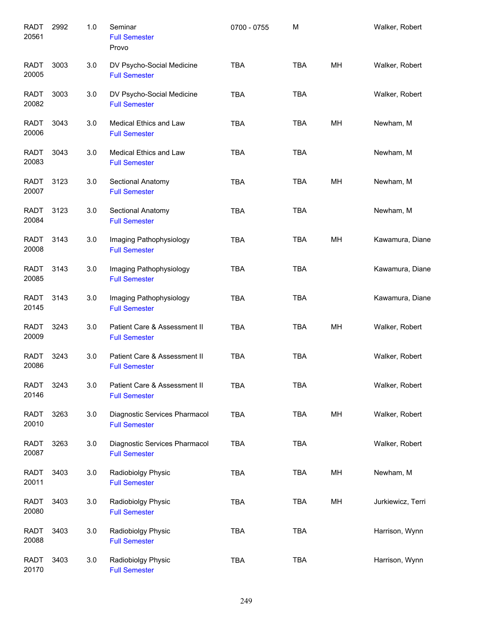| <b>RADT</b><br>20561 | 2992 | 1.0 | Seminar<br><b>Full Semester</b><br>Provo              | 0700 - 0755 | M          |    | Walker, Robert    |
|----------------------|------|-----|-------------------------------------------------------|-------------|------------|----|-------------------|
| <b>RADT</b><br>20005 | 3003 | 3.0 | DV Psycho-Social Medicine<br><b>Full Semester</b>     | <b>TBA</b>  | <b>TBA</b> | MH | Walker, Robert    |
| RADT<br>20082        | 3003 | 3.0 | DV Psycho-Social Medicine<br><b>Full Semester</b>     | <b>TBA</b>  | <b>TBA</b> |    | Walker, Robert    |
| <b>RADT</b><br>20006 | 3043 | 3.0 | Medical Ethics and Law<br><b>Full Semester</b>        | <b>TBA</b>  | <b>TBA</b> | MH | Newham, M         |
| <b>RADT</b><br>20083 | 3043 | 3.0 | Medical Ethics and Law<br><b>Full Semester</b>        | <b>TBA</b>  | <b>TBA</b> |    | Newham, M         |
| <b>RADT</b><br>20007 | 3123 | 3.0 | Sectional Anatomy<br><b>Full Semester</b>             | <b>TBA</b>  | <b>TBA</b> | MН | Newham, M         |
| <b>RADT</b><br>20084 | 3123 | 3.0 | Sectional Anatomy<br><b>Full Semester</b>             | <b>TBA</b>  | <b>TBA</b> |    | Newham, M         |
| <b>RADT</b><br>20008 | 3143 | 3.0 | Imaging Pathophysiology<br><b>Full Semester</b>       | <b>TBA</b>  | <b>TBA</b> | MH | Kawamura, Diane   |
| <b>RADT</b><br>20085 | 3143 | 3.0 | Imaging Pathophysiology<br><b>Full Semester</b>       | <b>TBA</b>  | <b>TBA</b> |    | Kawamura, Diane   |
| <b>RADT</b><br>20145 | 3143 | 3.0 | Imaging Pathophysiology<br><b>Full Semester</b>       | <b>TBA</b>  | <b>TBA</b> |    | Kawamura, Diane   |
| <b>RADT</b><br>20009 | 3243 | 3.0 | Patient Care & Assessment II<br><b>Full Semester</b>  | <b>TBA</b>  | <b>TBA</b> | MН | Walker, Robert    |
| <b>RADT</b><br>20086 | 3243 | 3.0 | Patient Care & Assessment II<br><b>Full Semester</b>  | <b>TBA</b>  | <b>TBA</b> |    | Walker, Robert    |
| <b>RADT</b><br>20146 | 3243 | 3.0 | Patient Care & Assessment II<br><b>Full Semester</b>  | <b>TBA</b>  | <b>TBA</b> |    | Walker, Robert    |
| <b>RADT</b><br>20010 | 3263 | 3.0 | Diagnostic Services Pharmacol<br><b>Full Semester</b> | <b>TBA</b>  | <b>TBA</b> | MH | Walker, Robert    |
| <b>RADT</b><br>20087 | 3263 | 3.0 | Diagnostic Services Pharmacol<br><b>Full Semester</b> | <b>TBA</b>  | <b>TBA</b> |    | Walker, Robert    |
| <b>RADT</b><br>20011 | 3403 | 3.0 | Radiobiolgy Physic<br><b>Full Semester</b>            | TBA         | <b>TBA</b> | MH | Newham, M         |
| <b>RADT</b><br>20080 | 3403 | 3.0 | Radiobiolgy Physic<br><b>Full Semester</b>            | TBA         | <b>TBA</b> | MH | Jurkiewicz, Terri |
| <b>RADT</b><br>20088 | 3403 | 3.0 | Radiobiolgy Physic<br><b>Full Semester</b>            | <b>TBA</b>  | <b>TBA</b> |    | Harrison, Wynn    |
| <b>RADT</b><br>20170 | 3403 | 3.0 | Radiobiolgy Physic<br><b>Full Semester</b>            | <b>TBA</b>  | <b>TBA</b> |    | Harrison, Wynn    |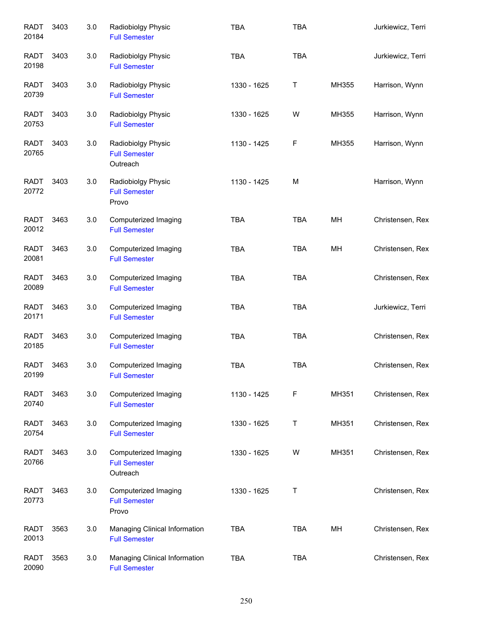| <b>RADT</b><br>20184 | 3403 | 3.0 | Radiobiolgy Physic<br><b>Full Semester</b>               | <b>TBA</b>  | <b>TBA</b> |       | Jurkiewicz, Terri |
|----------------------|------|-----|----------------------------------------------------------|-------------|------------|-------|-------------------|
| <b>RADT</b><br>20198 | 3403 | 3.0 | Radiobiolgy Physic<br><b>Full Semester</b>               | <b>TBA</b>  | <b>TBA</b> |       | Jurkiewicz, Terri |
| RADT<br>20739        | 3403 | 3.0 | Radiobiolgy Physic<br><b>Full Semester</b>               | 1330 - 1625 | Τ          | MH355 | Harrison, Wynn    |
| <b>RADT</b><br>20753 | 3403 | 3.0 | Radiobiolgy Physic<br><b>Full Semester</b>               | 1330 - 1625 | W          | MH355 | Harrison, Wynn    |
| <b>RADT</b><br>20765 | 3403 | 3.0 | Radiobiolgy Physic<br><b>Full Semester</b><br>Outreach   | 1130 - 1425 | F          | MH355 | Harrison, Wynn    |
| <b>RADT</b><br>20772 | 3403 | 3.0 | Radiobiolgy Physic<br><b>Full Semester</b><br>Provo      | 1130 - 1425 | M          |       | Harrison, Wynn    |
| <b>RADT</b><br>20012 | 3463 | 3.0 | Computerized Imaging<br><b>Full Semester</b>             | <b>TBA</b>  | <b>TBA</b> | MH    | Christensen, Rex  |
| <b>RADT</b><br>20081 | 3463 | 3.0 | Computerized Imaging<br><b>Full Semester</b>             | <b>TBA</b>  | <b>TBA</b> | MH    | Christensen, Rex  |
| <b>RADT</b><br>20089 | 3463 | 3.0 | Computerized Imaging<br><b>Full Semester</b>             | <b>TBA</b>  | <b>TBA</b> |       | Christensen, Rex  |
| <b>RADT</b><br>20171 | 3463 | 3.0 | Computerized Imaging<br><b>Full Semester</b>             | <b>TBA</b>  | <b>TBA</b> |       | Jurkiewicz, Terri |
| <b>RADT</b><br>20185 | 3463 | 3.0 | Computerized Imaging<br><b>Full Semester</b>             | <b>TBA</b>  | <b>TBA</b> |       | Christensen, Rex  |
| <b>RADT</b><br>20199 | 3463 | 3.0 | Computerized Imaging<br><b>Full Semester</b>             | <b>TBA</b>  | <b>TBA</b> |       | Christensen, Rex  |
| RADT<br>20740        | 3463 | 3.0 | Computerized Imaging<br><b>Full Semester</b>             | 1130 - 1425 | F          | MH351 | Christensen, Rex  |
| RADT<br>20754        | 3463 | 3.0 | Computerized Imaging<br><b>Full Semester</b>             | 1330 - 1625 | Τ          | MH351 | Christensen, Rex  |
| RADT<br>20766        | 3463 | 3.0 | Computerized Imaging<br><b>Full Semester</b><br>Outreach | 1330 - 1625 | W          | MH351 | Christensen, Rex  |
| RADT<br>20773        | 3463 | 3.0 | Computerized Imaging<br><b>Full Semester</b><br>Provo    | 1330 - 1625 | Τ          |       | Christensen, Rex  |
| RADT<br>20013        | 3563 | 3.0 | Managing Clinical Information<br><b>Full Semester</b>    | <b>TBA</b>  | <b>TBA</b> | MH    | Christensen, Rex  |
| <b>RADT</b><br>20090 | 3563 | 3.0 | Managing Clinical Information<br><b>Full Semester</b>    | <b>TBA</b>  | <b>TBA</b> |       | Christensen, Rex  |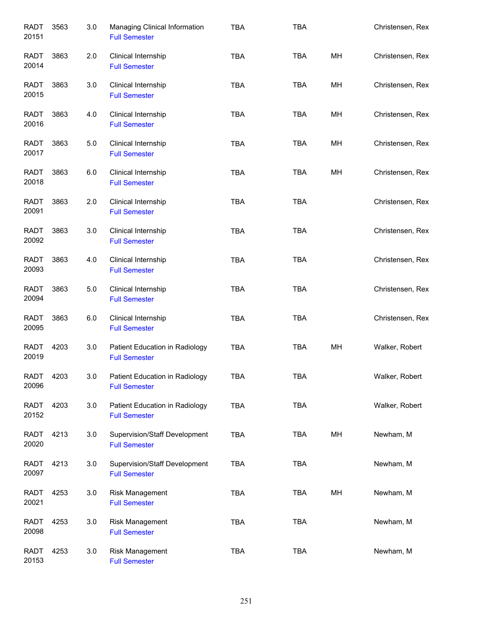| <b>RADT</b><br>20151 | 3563 | 3.0 | Managing Clinical Information<br><b>Full Semester</b>  | <b>TBA</b> | <b>TBA</b> |    | Christensen, Rex |
|----------------------|------|-----|--------------------------------------------------------|------------|------------|----|------------------|
| <b>RADT</b><br>20014 | 3863 | 2.0 | Clinical Internship<br><b>Full Semester</b>            | <b>TBA</b> | <b>TBA</b> | MH | Christensen, Rex |
| RADT<br>20015        | 3863 | 3.0 | Clinical Internship<br><b>Full Semester</b>            | <b>TBA</b> | <b>TBA</b> | MH | Christensen, Rex |
| RADT<br>20016        | 3863 | 4.0 | Clinical Internship<br><b>Full Semester</b>            | <b>TBA</b> | <b>TBA</b> | MH | Christensen, Rex |
| RADT<br>20017        | 3863 | 5.0 | Clinical Internship<br><b>Full Semester</b>            | <b>TBA</b> | TBA        | MH | Christensen, Rex |
| RADT<br>20018        | 3863 | 6.0 | Clinical Internship<br><b>Full Semester</b>            | <b>TBA</b> | <b>TBA</b> | MH | Christensen, Rex |
| <b>RADT</b><br>20091 | 3863 | 2.0 | Clinical Internship<br><b>Full Semester</b>            | <b>TBA</b> | <b>TBA</b> |    | Christensen, Rex |
| RADT<br>20092        | 3863 | 3.0 | Clinical Internship<br><b>Full Semester</b>            | <b>TBA</b> | <b>TBA</b> |    | Christensen, Rex |
| <b>RADT</b><br>20093 | 3863 | 4.0 | Clinical Internship<br><b>Full Semester</b>            | <b>TBA</b> | <b>TBA</b> |    | Christensen, Rex |
| <b>RADT</b><br>20094 | 3863 | 5.0 | Clinical Internship<br><b>Full Semester</b>            | <b>TBA</b> | <b>TBA</b> |    | Christensen, Rex |
| <b>RADT</b><br>20095 | 3863 | 6.0 | Clinical Internship<br><b>Full Semester</b>            | <b>TBA</b> | <b>TBA</b> |    | Christensen, Rex |
| <b>RADT</b><br>20019 | 4203 | 3.0 | Patient Education in Radiology<br><b>Full Semester</b> | <b>TBA</b> | <b>TBA</b> | MH | Walker, Robert   |
| RADT<br>20096        | 4203 | 3.0 | Patient Education in Radiology<br><b>Full Semester</b> | TBA        | TBA        |    | Walker, Robert   |
| <b>RADT</b><br>20152 | 4203 | 3.0 | Patient Education in Radiology<br><b>Full Semester</b> | <b>TBA</b> | TBA        |    | Walker, Robert   |
| <b>RADT</b><br>20020 | 4213 | 3.0 | Supervision/Staff Development<br><b>Full Semester</b>  | <b>TBA</b> | <b>TBA</b> | MH | Newham, M        |
| <b>RADT</b><br>20097 | 4213 | 3.0 | Supervision/Staff Development<br><b>Full Semester</b>  | <b>TBA</b> | <b>TBA</b> |    | Newham, M        |
| <b>RADT</b><br>20021 | 4253 | 3.0 | Risk Management<br><b>Full Semester</b>                | TBA        | <b>TBA</b> | MH | Newham, M        |
| <b>RADT</b><br>20098 | 4253 | 3.0 | Risk Management<br><b>Full Semester</b>                | <b>TBA</b> | <b>TBA</b> |    | Newham, M        |
| <b>RADT</b><br>20153 | 4253 | 3.0 | Risk Management<br><b>Full Semester</b>                | <b>TBA</b> | <b>TBA</b> |    | Newham, M        |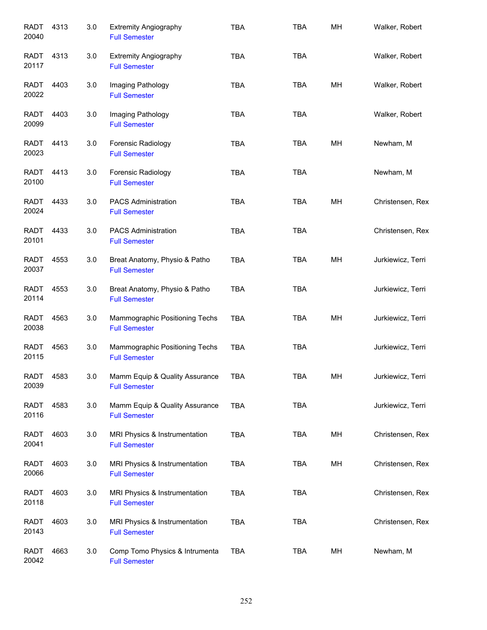| <b>RADT</b><br>20040 | 4313 | 3.0 | <b>Extremity Angiography</b><br><b>Full Semester</b>   | <b>TBA</b> | <b>TBA</b> | MH | Walker, Robert    |
|----------------------|------|-----|--------------------------------------------------------|------------|------------|----|-------------------|
| RADT<br>20117        | 4313 | 3.0 | <b>Extremity Angiography</b><br><b>Full Semester</b>   | <b>TBA</b> | <b>TBA</b> |    | Walker, Robert    |
| RADT<br>20022        | 4403 | 3.0 | Imaging Pathology<br><b>Full Semester</b>              | <b>TBA</b> | <b>TBA</b> | MН | Walker, Robert    |
| <b>RADT</b><br>20099 | 4403 | 3.0 | Imaging Pathology<br><b>Full Semester</b>              | <b>TBA</b> | <b>TBA</b> |    | Walker, Robert    |
| <b>RADT</b><br>20023 | 4413 | 3.0 | Forensic Radiology<br><b>Full Semester</b>             | <b>TBA</b> | <b>TBA</b> | MН | Newham, M         |
| <b>RADT</b><br>20100 | 4413 | 3.0 | Forensic Radiology<br><b>Full Semester</b>             | <b>TBA</b> | <b>TBA</b> |    | Newham, M         |
| RADT<br>20024        | 4433 | 3.0 | PACS Administration<br><b>Full Semester</b>            | <b>TBA</b> | <b>TBA</b> | MН | Christensen, Rex  |
| <b>RADT</b><br>20101 | 4433 | 3.0 | <b>PACS Administration</b><br><b>Full Semester</b>     | <b>TBA</b> | <b>TBA</b> |    | Christensen, Rex  |
| <b>RADT</b><br>20037 | 4553 | 3.0 | Breat Anatomy, Physio & Patho<br><b>Full Semester</b>  | <b>TBA</b> | <b>TBA</b> | MH | Jurkiewicz, Terri |
| <b>RADT</b><br>20114 | 4553 | 3.0 | Breat Anatomy, Physio & Patho<br><b>Full Semester</b>  | <b>TBA</b> | <b>TBA</b> |    | Jurkiewicz, Terri |
| <b>RADT</b><br>20038 | 4563 | 3.0 | Mammographic Positioning Techs<br><b>Full Semester</b> | <b>TBA</b> | <b>TBA</b> | MH | Jurkiewicz, Terri |
| <b>RADT</b><br>20115 | 4563 | 3.0 | Mammographic Positioning Techs<br><b>Full Semester</b> | <b>TBA</b> | <b>TBA</b> |    | Jurkiewicz, Terri |
| RADT<br>20039        | 4583 | 3.0 | Mamm Equip & Quality Assurance<br><b>Full Semester</b> | TBA        | <b>TBA</b> | MН | Jurkiewicz, Terri |
| <b>RADT</b><br>20116 | 4583 | 3.0 | Mamm Equip & Quality Assurance<br><b>Full Semester</b> | <b>TBA</b> | <b>TBA</b> |    | Jurkiewicz, Terri |
| <b>RADT</b><br>20041 | 4603 | 3.0 | MRI Physics & Instrumentation<br><b>Full Semester</b>  | <b>TBA</b> | <b>TBA</b> | MH | Christensen, Rex  |
| <b>RADT</b><br>20066 | 4603 | 3.0 | MRI Physics & Instrumentation<br><b>Full Semester</b>  | <b>TBA</b> | <b>TBA</b> | MH | Christensen, Rex  |
| RADT<br>20118        | 4603 | 3.0 | MRI Physics & Instrumentation<br><b>Full Semester</b>  | <b>TBA</b> | <b>TBA</b> |    | Christensen, Rex  |
| RADT<br>20143        | 4603 | 3.0 | MRI Physics & Instrumentation<br><b>Full Semester</b>  | <b>TBA</b> | <b>TBA</b> |    | Christensen, Rex  |
| <b>RADT</b><br>20042 | 4663 | 3.0 | Comp Tomo Physics & Intrumenta<br><b>Full Semester</b> | <b>TBA</b> | TBA        | MH | Newham, M         |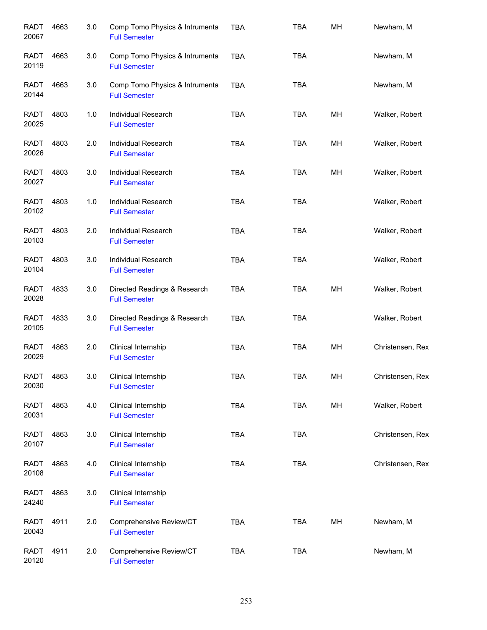| <b>RADT</b><br>20067 | 4663 | 3.0 | Comp Tomo Physics & Intrumenta<br><b>Full Semester</b> | <b>TBA</b> | <b>TBA</b> | MH | Newham, M        |
|----------------------|------|-----|--------------------------------------------------------|------------|------------|----|------------------|
| <b>RADT</b><br>20119 | 4663 | 3.0 | Comp Tomo Physics & Intrumenta<br><b>Full Semester</b> | <b>TBA</b> | <b>TBA</b> |    | Newham, M        |
| <b>RADT</b><br>20144 | 4663 | 3.0 | Comp Tomo Physics & Intrumenta<br><b>Full Semester</b> | <b>TBA</b> | <b>TBA</b> |    | Newham, M        |
| RADT<br>20025        | 4803 | 1.0 | Individual Research<br><b>Full Semester</b>            | <b>TBA</b> | <b>TBA</b> | MH | Walker, Robert   |
| RADT<br>20026        | 4803 | 2.0 | Individual Research<br><b>Full Semester</b>            | <b>TBA</b> | TBA        | MH | Walker, Robert   |
| RADT<br>20027        | 4803 | 3.0 | Individual Research<br><b>Full Semester</b>            | <b>TBA</b> | <b>TBA</b> | MH | Walker, Robert   |
| <b>RADT</b><br>20102 | 4803 | 1.0 | Individual Research<br><b>Full Semester</b>            | <b>TBA</b> | <b>TBA</b> |    | Walker, Robert   |
| <b>RADT</b><br>20103 | 4803 | 2.0 | Individual Research<br><b>Full Semester</b>            | <b>TBA</b> | <b>TBA</b> |    | Walker, Robert   |
| <b>RADT</b><br>20104 | 4803 | 3.0 | Individual Research<br><b>Full Semester</b>            | <b>TBA</b> | <b>TBA</b> |    | Walker, Robert   |
| <b>RADT</b><br>20028 | 4833 | 3.0 | Directed Readings & Research<br><b>Full Semester</b>   | <b>TBA</b> | <b>TBA</b> | MH | Walker, Robert   |
| <b>RADT</b><br>20105 | 4833 | 3.0 | Directed Readings & Research<br><b>Full Semester</b>   | <b>TBA</b> | <b>TBA</b> |    | Walker, Robert   |
| <b>RADT</b><br>20029 | 4863 | 2.0 | Clinical Internship<br><b>Full Semester</b>            | <b>TBA</b> | <b>TBA</b> | MH | Christensen, Rex |
| RADT<br>20030        | 4863 | 3.0 | Clinical Internship<br><b>Full Semester</b>            | <b>TBA</b> | <b>TBA</b> | MН | Christensen, Rex |
| <b>RADT</b><br>20031 | 4863 | 4.0 | Clinical Internship<br><b>Full Semester</b>            | <b>TBA</b> | <b>TBA</b> | MH | Walker, Robert   |
| <b>RADT</b><br>20107 | 4863 | 3.0 | Clinical Internship<br><b>Full Semester</b>            | <b>TBA</b> | <b>TBA</b> |    | Christensen, Rex |
| <b>RADT</b><br>20108 | 4863 | 4.0 | Clinical Internship<br><b>Full Semester</b>            | <b>TBA</b> | TBA        |    | Christensen, Rex |
| <b>RADT</b><br>24240 | 4863 | 3.0 | Clinical Internship<br><b>Full Semester</b>            |            |            |    |                  |
| <b>RADT</b><br>20043 | 4911 | 2.0 | Comprehensive Review/CT<br><b>Full Semester</b>        | <b>TBA</b> | <b>TBA</b> | MH | Newham, M        |
| <b>RADT</b><br>20120 | 4911 | 2.0 | Comprehensive Review/CT<br><b>Full Semester</b>        | <b>TBA</b> | <b>TBA</b> |    | Newham, M        |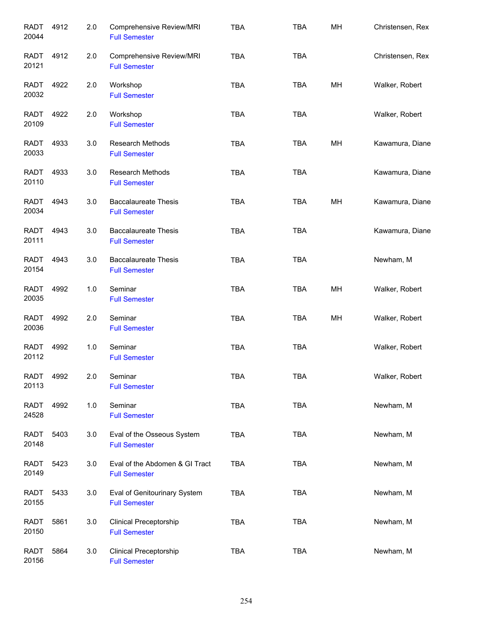| <b>RADT</b><br>20044 | 4912 | 2.0 | Comprehensive Review/MRI<br><b>Full Semester</b>       | <b>TBA</b> | <b>TBA</b> | MH | Christensen, Rex |
|----------------------|------|-----|--------------------------------------------------------|------------|------------|----|------------------|
| RADT<br>20121        | 4912 | 2.0 | Comprehensive Review/MRI<br><b>Full Semester</b>       | <b>TBA</b> | <b>TBA</b> |    | Christensen, Rex |
| RADT<br>20032        | 4922 | 2.0 | Workshop<br><b>Full Semester</b>                       | <b>TBA</b> | <b>TBA</b> | MH | Walker, Robert   |
| <b>RADT</b><br>20109 | 4922 | 2.0 | Workshop<br><b>Full Semester</b>                       | <b>TBA</b> | TBA        |    | Walker, Robert   |
| RADT<br>20033        | 4933 | 3.0 | Research Methods<br><b>Full Semester</b>               | <b>TBA</b> | TBA        | MH | Kawamura, Diane  |
| <b>RADT</b><br>20110 | 4933 | 3.0 | <b>Research Methods</b><br><b>Full Semester</b>        | <b>TBA</b> | <b>TBA</b> |    | Kawamura, Diane  |
| <b>RADT</b><br>20034 | 4943 | 3.0 | <b>Baccalaureate Thesis</b><br><b>Full Semester</b>    | <b>TBA</b> | <b>TBA</b> | MH | Kawamura, Diane  |
| <b>RADT</b><br>20111 | 4943 | 3.0 | <b>Baccalaureate Thesis</b><br><b>Full Semester</b>    | <b>TBA</b> | <b>TBA</b> |    | Kawamura, Diane  |
| <b>RADT</b><br>20154 | 4943 | 3.0 | <b>Baccalaureate Thesis</b><br><b>Full Semester</b>    | <b>TBA</b> | <b>TBA</b> |    | Newham, M        |
| <b>RADT</b><br>20035 | 4992 | 1.0 | Seminar<br><b>Full Semester</b>                        | <b>TBA</b> | <b>TBA</b> | MH | Walker, Robert   |
| <b>RADT</b><br>20036 | 4992 | 2.0 | Seminar<br><b>Full Semester</b>                        | <b>TBA</b> | <b>TBA</b> | MH | Walker, Robert   |
| <b>RADT</b><br>20112 | 4992 | 1.0 | Seminar<br><b>Full Semester</b>                        | <b>TBA</b> | <b>TBA</b> |    | Walker, Robert   |
| RADT<br>20113        | 4992 | 2.0 | Seminar<br><b>Full Semester</b>                        | TBA        | TBA        |    | Walker, Robert   |
| <b>RADT</b><br>24528 | 4992 | 1.0 | Seminar<br><b>Full Semester</b>                        | <b>TBA</b> | <b>TBA</b> |    | Newham, M        |
| <b>RADT</b><br>20148 | 5403 | 3.0 | Eval of the Osseous System<br><b>Full Semester</b>     | <b>TBA</b> | <b>TBA</b> |    | Newham, M        |
| <b>RADT</b><br>20149 | 5423 | 3.0 | Eval of the Abdomen & GI Tract<br><b>Full Semester</b> | <b>TBA</b> | <b>TBA</b> |    | Newham, M        |
| <b>RADT</b><br>20155 | 5433 | 3.0 | Eval of Genitourinary System<br><b>Full Semester</b>   | <b>TBA</b> | <b>TBA</b> |    | Newham, M        |
| <b>RADT</b><br>20150 | 5861 | 3.0 | Clinical Preceptorship<br><b>Full Semester</b>         | <b>TBA</b> | <b>TBA</b> |    | Newham, M        |
| <b>RADT</b><br>20156 | 5864 | 3.0 | <b>Clinical Preceptorship</b><br><b>Full Semester</b>  | <b>TBA</b> | <b>TBA</b> |    | Newham, M        |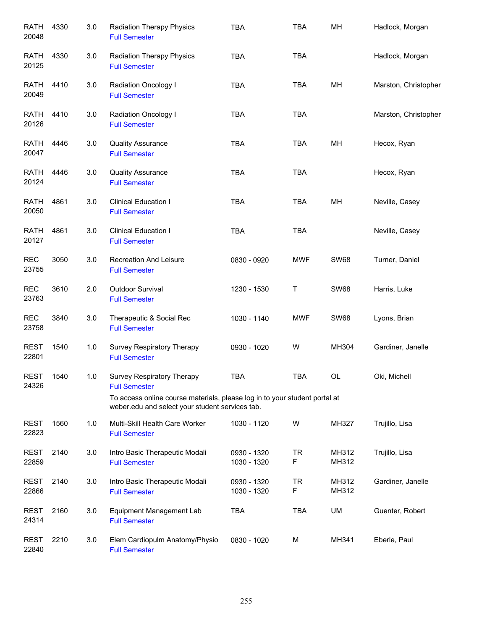| <b>RATH</b><br>20048 | 4330 | 3.0 | <b>Radiation Therapy Physics</b><br><b>Full Semester</b>                                                                      | <b>TBA</b>                 | <b>TBA</b>     | MH             | Hadlock, Morgan      |
|----------------------|------|-----|-------------------------------------------------------------------------------------------------------------------------------|----------------------------|----------------|----------------|----------------------|
| RATH<br>20125        | 4330 | 3.0 | <b>Radiation Therapy Physics</b><br><b>Full Semester</b>                                                                      | <b>TBA</b>                 | <b>TBA</b>     |                | Hadlock, Morgan      |
| RATH<br>20049        | 4410 | 3.0 | Radiation Oncology I<br><b>Full Semester</b>                                                                                  | <b>TBA</b>                 | <b>TBA</b>     | MH             | Marston, Christopher |
| RATH<br>20126        | 4410 | 3.0 | Radiation Oncology I<br><b>Full Semester</b>                                                                                  | <b>TBA</b>                 | <b>TBA</b>     |                | Marston, Christopher |
| RATH<br>20047        | 4446 | 3.0 | <b>Quality Assurance</b><br><b>Full Semester</b>                                                                              | <b>TBA</b>                 | <b>TBA</b>     | MH             | Hecox, Ryan          |
| RATH<br>20124        | 4446 | 3.0 | <b>Quality Assurance</b><br><b>Full Semester</b>                                                                              | <b>TBA</b>                 | <b>TBA</b>     |                | Hecox, Ryan          |
| <b>RATH</b><br>20050 | 4861 | 3.0 | <b>Clinical Education I</b><br><b>Full Semester</b>                                                                           | <b>TBA</b>                 | <b>TBA</b>     | MH             | Neville, Casey       |
| <b>RATH</b><br>20127 | 4861 | 3.0 | <b>Clinical Education I</b><br><b>Full Semester</b>                                                                           | <b>TBA</b>                 | <b>TBA</b>     |                | Neville, Casey       |
| <b>REC</b><br>23755  | 3050 | 3.0 | <b>Recreation And Leisure</b><br><b>Full Semester</b>                                                                         | 0830 - 0920                | <b>MWF</b>     | <b>SW68</b>    | Turner, Daniel       |
| <b>REC</b><br>23763  | 3610 | 2.0 | Outdoor Survival<br><b>Full Semester</b>                                                                                      | 1230 - 1530                | Τ              | <b>SW68</b>    | Harris, Luke         |
| <b>REC</b><br>23758  | 3840 | 3.0 | Therapeutic & Social Rec<br><b>Full Semester</b>                                                                              | 1030 - 1140                | <b>MWF</b>     | <b>SW68</b>    | Lyons, Brian         |
| <b>REST</b><br>22801 | 1540 | 1.0 | Survey Respiratory Therapy<br><b>Full Semester</b>                                                                            | 0930 - 1020                | W              | MH304          | Gardiner, Janelle    |
| <b>REST</b><br>24326 | 1540 | 1.0 | Survey Respiratory Therapy<br><b>Full Semester</b>                                                                            | TBA                        | <b>TBA</b>     | OL             | Oki, Michell         |
|                      |      |     | To access online course materials, please log in to your student portal at<br>weber.edu and select your student services tab. |                            |                |                |                      |
| REST<br>22823        | 1560 | 1.0 | Multi-Skill Health Care Worker<br><b>Full Semester</b>                                                                        | 1030 - 1120                | W              | MH327          | Trujillo, Lisa       |
| REST<br>22859        | 2140 | 3.0 | Intro Basic Therapeutic Modali<br><b>Full Semester</b>                                                                        | 0930 - 1320<br>1030 - 1320 | <b>TR</b><br>F | MH312<br>MH312 | Trujillo, Lisa       |
| REST<br>22866        | 2140 | 3.0 | Intro Basic Therapeutic Modali<br><b>Full Semester</b>                                                                        | 0930 - 1320<br>1030 - 1320 | <b>TR</b><br>F | MH312<br>MH312 | Gardiner, Janelle    |
| REST<br>24314        | 2160 | 3.0 | <b>Equipment Management Lab</b><br><b>Full Semester</b>                                                                       | <b>TBA</b>                 | <b>TBA</b>     | UM             | Guenter, Robert      |
| REST<br>22840        | 2210 | 3.0 | Elem Cardiopulm Anatomy/Physio<br><b>Full Semester</b>                                                                        | 0830 - 1020                | M              | MH341          | Eberle, Paul         |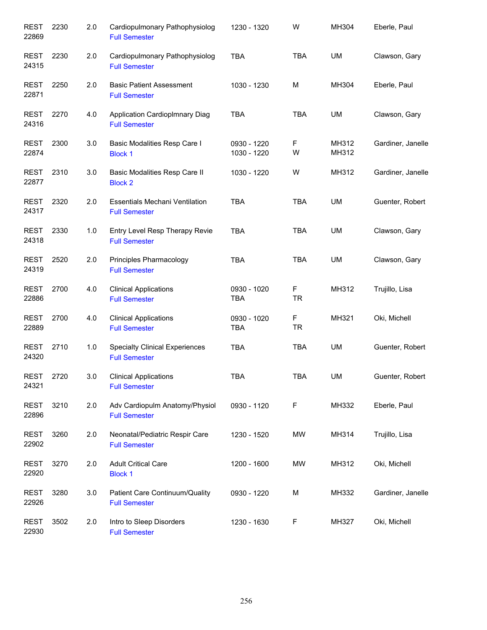| <b>REST</b><br>22869 | 2230 | 2.0 | Cardiopulmonary Pathophysiolog<br><b>Full Semester</b>        | 1230 - 1320                | W              | MH304          | Eberle, Paul      |
|----------------------|------|-----|---------------------------------------------------------------|----------------------------|----------------|----------------|-------------------|
| <b>REST</b><br>24315 | 2230 | 2.0 | Cardiopulmonary Pathophysiolog<br><b>Full Semester</b>        | <b>TBA</b>                 | <b>TBA</b>     | UM             | Clawson, Gary     |
| <b>REST</b><br>22871 | 2250 | 2.0 | <b>Basic Patient Assessment</b><br><b>Full Semester</b>       | 1030 - 1230                | M              | MH304          | Eberle, Paul      |
| <b>REST</b><br>24316 | 2270 | 4.0 | <b>Application Cardioplmnary Diag</b><br><b>Full Semester</b> | <b>TBA</b>                 | <b>TBA</b>     | UM             | Clawson, Gary     |
| REST<br>22874        | 2300 | 3.0 | Basic Modalities Resp Care I<br><b>Block 1</b>                | 0930 - 1220<br>1030 - 1220 | F<br>W         | MH312<br>MH312 | Gardiner, Janelle |
| <b>REST</b><br>22877 | 2310 | 3.0 | Basic Modalities Resp Care II<br><b>Block 2</b>               | 1030 - 1220                | W              | MH312          | Gardiner, Janelle |
| REST<br>24317        | 2320 | 2.0 | <b>Essentials Mechani Ventilation</b><br><b>Full Semester</b> | <b>TBA</b>                 | <b>TBA</b>     | <b>UM</b>      | Guenter, Robert   |
| <b>REST</b><br>24318 | 2330 | 1.0 | Entry Level Resp Therapy Revie<br><b>Full Semester</b>        | <b>TBA</b>                 | <b>TBA</b>     | UM             | Clawson, Gary     |
| <b>REST</b><br>24319 | 2520 | 2.0 | Principles Pharmacology<br><b>Full Semester</b>               | <b>TBA</b>                 | TBA            | UM             | Clawson, Gary     |
| <b>REST</b><br>22886 | 2700 | 4.0 | <b>Clinical Applications</b><br><b>Full Semester</b>          | 0930 - 1020<br>TBA         | F<br><b>TR</b> | MH312          | Trujillo, Lisa    |
| <b>REST</b><br>22889 | 2700 | 4.0 | <b>Clinical Applications</b><br><b>Full Semester</b>          | 0930 - 1020<br><b>TBA</b>  | F<br><b>TR</b> | MH321          | Oki, Michell      |
| <b>REST</b><br>24320 | 2710 | 1.0 | <b>Specialty Clinical Experiences</b><br><b>Full Semester</b> | <b>TBA</b>                 | <b>TBA</b>     | <b>UM</b>      | Guenter, Robert   |
| <b>REST</b><br>24321 | 2720 | 3.0 | <b>Clinical Applications</b><br><b>Full Semester</b>          | <b>TBA</b>                 | TBA            | UM             | Guenter, Robert   |
| <b>REST</b><br>22896 | 3210 | 2.0 | Adv Cardiopulm Anatomy/Physiol<br><b>Full Semester</b>        | 0930 - 1120                | F              | MH332          | Eberle, Paul      |
| <b>REST</b><br>22902 | 3260 | 2.0 | Neonatal/Pediatric Respir Care<br><b>Full Semester</b>        | 1230 - 1520                | MW             | MH314          | Trujillo, Lisa    |
| REST<br>22920        | 3270 | 2.0 | <b>Adult Critical Care</b><br><b>Block 1</b>                  | 1200 - 1600                | MW             | MH312          | Oki, Michell      |
| REST<br>22926        | 3280 | 3.0 | Patient Care Continuum/Quality<br><b>Full Semester</b>        | 0930 - 1220                | M              | MH332          | Gardiner, Janelle |
| <b>REST</b><br>22930 | 3502 | 2.0 | Intro to Sleep Disorders<br><b>Full Semester</b>              | 1230 - 1630                | F              | MH327          | Oki, Michell      |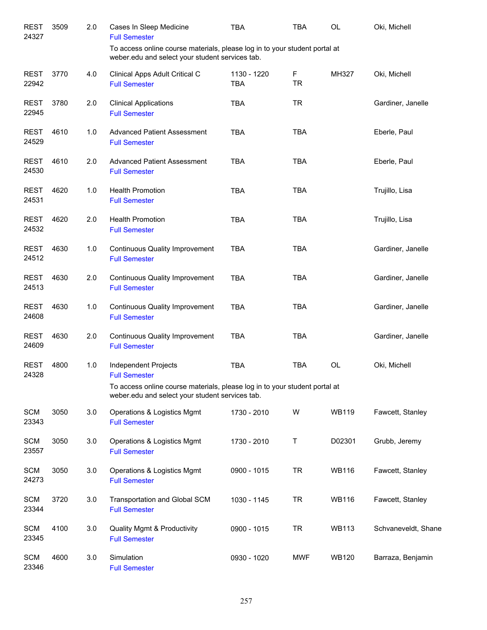| <b>REST</b><br>24327 | 3509 | 2.0 | Cases In Sleep Medicine<br><b>Full Semester</b>                                                                               | <b>TBA</b>                | <b>TBA</b>               | <b>OL</b>    | Oki, Michell        |
|----------------------|------|-----|-------------------------------------------------------------------------------------------------------------------------------|---------------------------|--------------------------|--------------|---------------------|
|                      |      |     | To access online course materials, please log in to your student portal at<br>weber.edu and select your student services tab. |                           |                          |              |                     |
| <b>REST</b><br>22942 | 3770 | 4.0 | Clinical Apps Adult Critical C<br><b>Full Semester</b>                                                                        | 1130 - 1220<br><b>TBA</b> | $\mathsf F$<br><b>TR</b> | MH327        | Oki, Michell        |
| <b>REST</b><br>22945 | 3780 | 2.0 | <b>Clinical Applications</b><br><b>Full Semester</b>                                                                          | <b>TBA</b>                | <b>TR</b>                |              | Gardiner, Janelle   |
| <b>REST</b><br>24529 | 4610 | 1.0 | <b>Advanced Patient Assessment</b><br><b>Full Semester</b>                                                                    | <b>TBA</b>                | <b>TBA</b>               |              | Eberle, Paul        |
| <b>REST</b><br>24530 | 4610 | 2.0 | <b>Advanced Patient Assessment</b><br><b>Full Semester</b>                                                                    | <b>TBA</b>                | <b>TBA</b>               |              | Eberle, Paul        |
| <b>REST</b><br>24531 | 4620 | 1.0 | <b>Health Promotion</b><br><b>Full Semester</b>                                                                               | <b>TBA</b>                | <b>TBA</b>               |              | Trujillo, Lisa      |
| <b>REST</b><br>24532 | 4620 | 2.0 | <b>Health Promotion</b><br><b>Full Semester</b>                                                                               | <b>TBA</b>                | <b>TBA</b>               |              | Trujillo, Lisa      |
| <b>REST</b><br>24512 | 4630 | 1.0 | <b>Continuous Quality Improvement</b><br><b>Full Semester</b>                                                                 | <b>TBA</b>                | <b>TBA</b>               |              | Gardiner, Janelle   |
| <b>REST</b><br>24513 | 4630 | 2.0 | <b>Continuous Quality Improvement</b><br><b>Full Semester</b>                                                                 | <b>TBA</b>                | <b>TBA</b>               |              | Gardiner, Janelle   |
| <b>REST</b><br>24608 | 4630 | 1.0 | <b>Continuous Quality Improvement</b><br><b>Full Semester</b>                                                                 | <b>TBA</b>                | <b>TBA</b>               |              | Gardiner, Janelle   |
| <b>REST</b><br>24609 | 4630 | 2.0 | <b>Continuous Quality Improvement</b><br><b>Full Semester</b>                                                                 | <b>TBA</b>                | <b>TBA</b>               |              | Gardiner, Janelle   |
| <b>REST</b><br>24328 | 4800 | 1.0 | Independent Projects<br><b>Full Semester</b>                                                                                  | <b>TBA</b>                | <b>TBA</b>               | OL           | Oki, Michell        |
|                      |      |     | To access online course materials, please log in to your student portal at<br>weber.edu and select your student services tab. |                           |                          |              |                     |
| <b>SCM</b><br>23343  | 3050 | 3.0 | Operations & Logistics Mgmt<br><b>Full Semester</b>                                                                           | 1730 - 2010               | W                        | <b>WB119</b> | Fawcett, Stanley    |
| <b>SCM</b><br>23557  | 3050 | 3.0 | Operations & Logistics Mgmt<br><b>Full Semester</b>                                                                           | 1730 - 2010               | T                        | D02301       | Grubb, Jeremy       |
| <b>SCM</b><br>24273  | 3050 | 3.0 | Operations & Logistics Mgmt<br><b>Full Semester</b>                                                                           | 0900 - 1015               | <b>TR</b>                | <b>WB116</b> | Fawcett, Stanley    |
| <b>SCM</b><br>23344  | 3720 | 3.0 | Transportation and Global SCM<br><b>Full Semester</b>                                                                         | 1030 - 1145               | <b>TR</b>                | <b>WB116</b> | Fawcett, Stanley    |
| <b>SCM</b><br>23345  | 4100 | 3.0 | <b>Quality Mgmt &amp; Productivity</b><br><b>Full Semester</b>                                                                | 0900 - 1015               | <b>TR</b>                | <b>WB113</b> | Schvaneveldt, Shane |
| <b>SCM</b><br>23346  | 4600 | 3.0 | Simulation<br><b>Full Semester</b>                                                                                            | 0930 - 1020               | <b>MWF</b>               | <b>WB120</b> | Barraza, Benjamin   |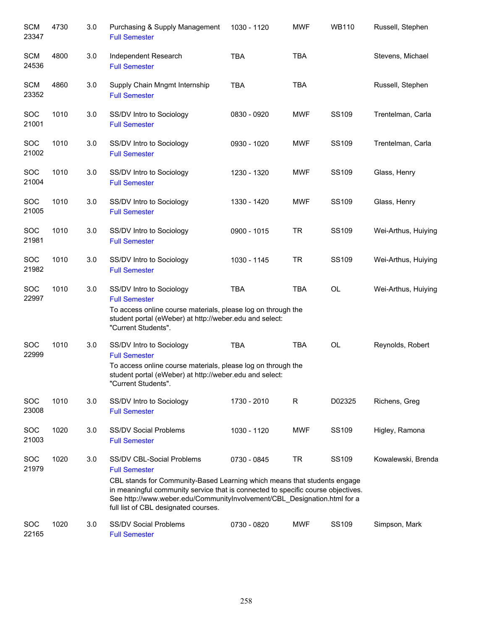| <b>SCM</b><br>23347 | 4730 | 3.0 | Purchasing & Supply Management<br><b>Full Semester</b>                                                                                                                                                                                                                                                                                | 1030 - 1120 | <b>MWF</b> | <b>WB110</b> | Russell, Stephen    |
|---------------------|------|-----|---------------------------------------------------------------------------------------------------------------------------------------------------------------------------------------------------------------------------------------------------------------------------------------------------------------------------------------|-------------|------------|--------------|---------------------|
| <b>SCM</b><br>24536 | 4800 | 3.0 | Independent Research<br><b>Full Semester</b>                                                                                                                                                                                                                                                                                          | <b>TBA</b>  | <b>TBA</b> |              | Stevens, Michael    |
| <b>SCM</b><br>23352 | 4860 | 3.0 | Supply Chain Mngmt Internship<br><b>Full Semester</b>                                                                                                                                                                                                                                                                                 | <b>TBA</b>  | <b>TBA</b> |              | Russell, Stephen    |
| <b>SOC</b><br>21001 | 1010 | 3.0 | SS/DV Intro to Sociology<br><b>Full Semester</b>                                                                                                                                                                                                                                                                                      | 0830 - 0920 | <b>MWF</b> | <b>SS109</b> | Trentelman, Carla   |
| <b>SOC</b><br>21002 | 1010 | 3.0 | SS/DV Intro to Sociology<br><b>Full Semester</b>                                                                                                                                                                                                                                                                                      | 0930 - 1020 | <b>MWF</b> | SS109        | Trentelman, Carla   |
| <b>SOC</b><br>21004 | 1010 | 3.0 | SS/DV Intro to Sociology<br><b>Full Semester</b>                                                                                                                                                                                                                                                                                      | 1230 - 1320 | <b>MWF</b> | SS109        | Glass, Henry        |
| SOC<br>21005        | 1010 | 3.0 | SS/DV Intro to Sociology<br><b>Full Semester</b>                                                                                                                                                                                                                                                                                      | 1330 - 1420 | <b>MWF</b> | SS109        | Glass, Henry        |
| SOC<br>21981        | 1010 | 3.0 | SS/DV Intro to Sociology<br><b>Full Semester</b>                                                                                                                                                                                                                                                                                      | 0900 - 1015 | <b>TR</b>  | SS109        | Wei-Arthus, Huiying |
| SOC<br>21982        | 1010 | 3.0 | SS/DV Intro to Sociology<br><b>Full Semester</b>                                                                                                                                                                                                                                                                                      | 1030 - 1145 | <b>TR</b>  | <b>SS109</b> | Wei-Arthus, Huiying |
| SOC<br>22997        | 1010 | 3.0 | SS/DV Intro to Sociology<br><b>Full Semester</b><br>To access online course materials, please log on through the<br>student portal (eWeber) at http://weber.edu and select:<br>"Current Students".                                                                                                                                    | <b>TBA</b>  | <b>TBA</b> | OL           | Wei-Arthus, Huiying |
| <b>SOC</b><br>22999 | 1010 | 3.0 | SS/DV Intro to Sociology<br><b>Full Semester</b><br>To access online course materials, please log on through the<br>student portal (eWeber) at http://weber.edu and select:<br>"Current Students".                                                                                                                                    | <b>TBA</b>  | <b>TBA</b> | OL           | Reynolds, Robert    |
| SOC<br>23008        | 1010 | 3.0 | SS/DV Intro to Sociology<br><b>Full Semester</b>                                                                                                                                                                                                                                                                                      | 1730 - 2010 | R          | D02325       | Richens, Greg       |
| SOC<br>21003        | 1020 | 3.0 | <b>SS/DV Social Problems</b><br><b>Full Semester</b>                                                                                                                                                                                                                                                                                  | 1030 - 1120 | <b>MWF</b> | SS109        | Higley, Ramona      |
| <b>SOC</b><br>21979 | 1020 | 3.0 | SS/DV CBL-Social Problems<br><b>Full Semester</b><br>CBL stands for Community-Based Learning which means that students engage<br>in meaningful community service that is connected to specific course objectives.<br>See http://www.weber.edu/CommunityInvolvement/CBL_Designation.html for a<br>full list of CBL designated courses. | 0730 - 0845 | <b>TR</b>  | SS109        | Kowalewski, Brenda  |
| <b>SOC</b><br>22165 | 1020 | 3.0 | <b>SS/DV Social Problems</b><br><b>Full Semester</b>                                                                                                                                                                                                                                                                                  | 0730 - 0820 | <b>MWF</b> | <b>SS109</b> | Simpson, Mark       |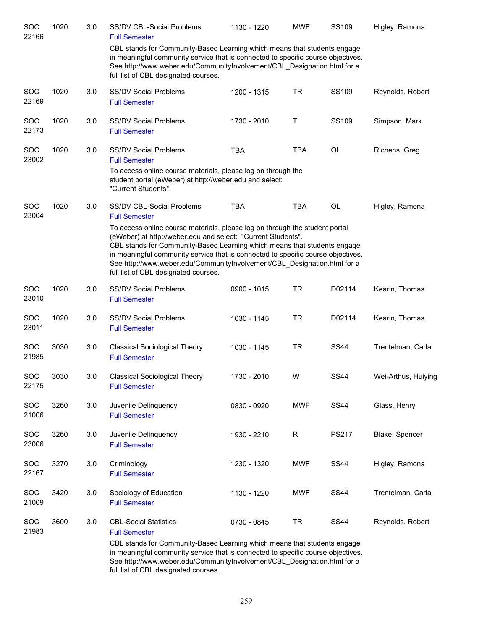| SOC<br>22166        | 1020 | 3.0 | SS/DV CBL-Social Problems<br><b>Full Semester</b>                                                                                                                                                                                                                                                                                                                                                                               | 1130 - 1220 | <b>MWF</b>   | SS109        | Higley, Ramona      |
|---------------------|------|-----|---------------------------------------------------------------------------------------------------------------------------------------------------------------------------------------------------------------------------------------------------------------------------------------------------------------------------------------------------------------------------------------------------------------------------------|-------------|--------------|--------------|---------------------|
|                     |      |     | CBL stands for Community-Based Learning which means that students engage<br>in meaningful community service that is connected to specific course objectives.<br>See http://www.weber.edu/CommunityInvolvement/CBL Designation.html for a<br>full list of CBL designated courses.                                                                                                                                                |             |              |              |                     |
| SOC<br>22169        | 1020 | 3.0 | <b>SS/DV Social Problems</b><br><b>Full Semester</b>                                                                                                                                                                                                                                                                                                                                                                            | 1200 - 1315 | <b>TR</b>    | SS109        | Reynolds, Robert    |
| SOC<br>22173        | 1020 | 3.0 | <b>SS/DV Social Problems</b><br><b>Full Semester</b>                                                                                                                                                                                                                                                                                                                                                                            | 1730 - 2010 | Τ            | SS109        | Simpson, Mark       |
| SOC<br>23002        | 1020 | 3.0 | <b>SS/DV Social Problems</b><br><b>Full Semester</b>                                                                                                                                                                                                                                                                                                                                                                            | <b>TBA</b>  | <b>TBA</b>   | <b>OL</b>    | Richens, Greg       |
|                     |      |     | To access online course materials, please log on through the<br>student portal (eWeber) at http://weber.edu and select:<br>"Current Students".                                                                                                                                                                                                                                                                                  |             |              |              |                     |
| SOC<br>23004        | 1020 | 3.0 | SS/DV CBL-Social Problems<br><b>Full Semester</b>                                                                                                                                                                                                                                                                                                                                                                               | <b>TBA</b>  | <b>TBA</b>   | OL           | Higley, Ramona      |
|                     |      |     | To access online course materials, please log on through the student portal<br>(eWeber) at http://weber.edu and select: "Current Students".<br>CBL stands for Community-Based Learning which means that students engage<br>in meaningful community service that is connected to specific course objectives.<br>See http://www.weber.edu/CommunityInvolvement/CBL_Designation.html for a<br>full list of CBL designated courses. |             |              |              |                     |
| <b>SOC</b><br>23010 | 1020 | 3.0 | <b>SS/DV Social Problems</b><br><b>Full Semester</b>                                                                                                                                                                                                                                                                                                                                                                            | 0900 - 1015 | <b>TR</b>    | D02114       | Kearin, Thomas      |
| SOC<br>23011        | 1020 | 3.0 | <b>SS/DV Social Problems</b><br><b>Full Semester</b>                                                                                                                                                                                                                                                                                                                                                                            | 1030 - 1145 | <b>TR</b>    | D02114       | Kearin, Thomas      |
| SOC<br>21985        | 3030 | 3.0 | <b>Classical Sociological Theory</b><br><b>Full Semester</b>                                                                                                                                                                                                                                                                                                                                                                    | 1030 - 1145 | <b>TR</b>    | <b>SS44</b>  | Trentelman, Carla   |
| SOC<br>22175        | 3030 | 3.0 | <b>Classical Sociological Theory</b><br><b>Full Semester</b>                                                                                                                                                                                                                                                                                                                                                                    | 1730 - 2010 | W            | <b>SS44</b>  | Wei-Arthus, Huiying |
| SOC<br>21006        | 3260 | 3.0 | Juvenile Delinquency<br><b>Full Semester</b>                                                                                                                                                                                                                                                                                                                                                                                    | 0830 - 0920 | <b>MWF</b>   | <b>SS44</b>  | Glass, Henry        |
| SOC<br>23006        | 3260 | 3.0 | Juvenile Delinquency<br><b>Full Semester</b>                                                                                                                                                                                                                                                                                                                                                                                    | 1930 - 2210 | $\mathsf{R}$ | <b>PS217</b> | Blake, Spencer      |
| <b>SOC</b><br>22167 | 3270 | 3.0 | Criminology<br><b>Full Semester</b>                                                                                                                                                                                                                                                                                                                                                                                             | 1230 - 1320 | <b>MWF</b>   | <b>SS44</b>  | Higley, Ramona      |
| SOC<br>21009        | 3420 | 3.0 | Sociology of Education<br><b>Full Semester</b>                                                                                                                                                                                                                                                                                                                                                                                  | 1130 - 1220 | <b>MWF</b>   | <b>SS44</b>  | Trentelman, Carla   |
| SOC<br>21983        | 3600 | 3.0 | <b>CBL-Social Statistics</b><br><b>Full Semester</b><br>CBL stands for Community-Based Learning which means that students engage                                                                                                                                                                                                                                                                                                | 0730 - 0845 | <b>TR</b>    | <b>SS44</b>  | Reynolds, Robert    |
|                     |      |     | in meaningful community service that is connected to specific course objectives.<br>See http://www.weber.edu/CommunityInvolvement/CBL_Designation.html for a                                                                                                                                                                                                                                                                    |             |              |              |                     |

full list of CBL designated courses.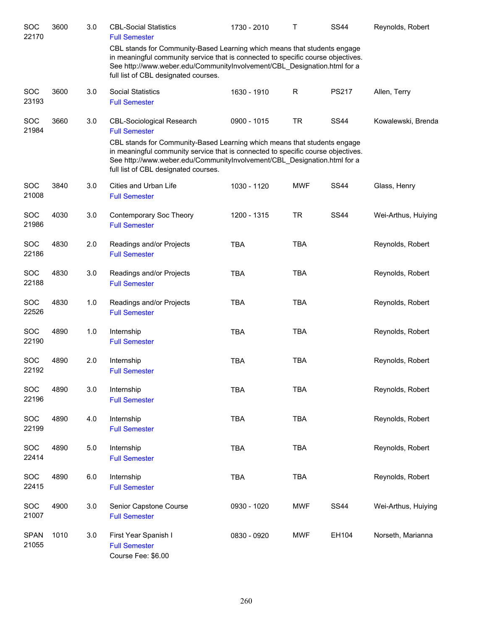| SOC<br>22170         | 3600 | 3.0   | <b>CBL-Social Statistics</b><br><b>Full Semester</b>                                                                                                                                                                                                                                                                                         | 1730 - 2010   | $\mathsf{T}$ | <b>SS44</b> | Reynolds, Robert    |
|----------------------|------|-------|----------------------------------------------------------------------------------------------------------------------------------------------------------------------------------------------------------------------------------------------------------------------------------------------------------------------------------------------|---------------|--------------|-------------|---------------------|
|                      |      |       | CBL stands for Community-Based Learning which means that students engage<br>in meaningful community service that is connected to specific course objectives.<br>See http://www.weber.edu/CommunityInvolvement/CBL_Designation.html for a<br>full list of CBL designated courses.                                                             |               |              |             |                     |
| SOC<br>23193         | 3600 | 3.0   | <b>Social Statistics</b><br><b>Full Semester</b>                                                                                                                                                                                                                                                                                             | 1630 - 1910   | $\mathsf R$  | PS217       | Allen, Terry        |
| SOC<br>21984         | 3660 | 3.0   | <b>CBL-Sociological Research</b><br><b>Full Semester</b><br>CBL stands for Community-Based Learning which means that students engage<br>in meaningful community service that is connected to specific course objectives.<br>See http://www.weber.edu/CommunityInvolvement/CBL_Designation.html for a<br>full list of CBL designated courses. | $0900 - 1015$ | <b>TR</b>    | <b>SS44</b> | Kowalewski, Brenda  |
| SOC<br>21008         | 3840 | 3.0   | Cities and Urban Life<br><b>Full Semester</b>                                                                                                                                                                                                                                                                                                | 1030 - 1120   | <b>MWF</b>   | <b>SS44</b> | Glass, Henry        |
| SOC<br>21986         | 4030 | 3.0   | Contemporary Soc Theory<br><b>Full Semester</b>                                                                                                                                                                                                                                                                                              | 1200 - 1315   | <b>TR</b>    | <b>SS44</b> | Wei-Arthus, Huiying |
| SOC<br>22186         | 4830 | 2.0   | Readings and/or Projects<br><b>Full Semester</b>                                                                                                                                                                                                                                                                                             | <b>TBA</b>    | <b>TBA</b>   |             | Reynolds, Robert    |
| SOC<br>22188         | 4830 | 3.0   | Readings and/or Projects<br><b>Full Semester</b>                                                                                                                                                                                                                                                                                             | <b>TBA</b>    | <b>TBA</b>   |             | Reynolds, Robert    |
| SOC<br>22526         | 4830 | 1.0   | Readings and/or Projects<br><b>Full Semester</b>                                                                                                                                                                                                                                                                                             | <b>TBA</b>    | <b>TBA</b>   |             | Reynolds, Robert    |
| <b>SOC</b><br>22190  | 4890 | 1.0   | Internship<br><b>Full Semester</b>                                                                                                                                                                                                                                                                                                           | <b>TBA</b>    | <b>TBA</b>   |             | Reynolds, Robert    |
| <b>SOC</b><br>22192  | 4890 | 2.0   | Internship<br><b>Full Semester</b>                                                                                                                                                                                                                                                                                                           | <b>TBA</b>    | <b>TBA</b>   |             | Reynolds, Robert    |
| SOC<br>22196         | 4890 | 3.0   | Internship<br><b>Full Semester</b>                                                                                                                                                                                                                                                                                                           | <b>TBA</b>    | <b>TBA</b>   |             | Reynolds, Robert    |
| <b>SOC</b><br>22199  | 4890 | 4.0   | Internship<br><b>Full Semester</b>                                                                                                                                                                                                                                                                                                           | <b>TBA</b>    | <b>TBA</b>   |             | Reynolds, Robert    |
| SOC<br>22414         | 4890 | $5.0$ | Internship<br><b>Full Semester</b>                                                                                                                                                                                                                                                                                                           | <b>TBA</b>    | <b>TBA</b>   |             | Reynolds, Robert    |
| <b>SOC</b><br>22415  | 4890 | 6.0   | Internship<br><b>Full Semester</b>                                                                                                                                                                                                                                                                                                           | <b>TBA</b>    | <b>TBA</b>   |             | Reynolds, Robert    |
| SOC<br>21007         | 4900 | 3.0   | Senior Capstone Course<br><b>Full Semester</b>                                                                                                                                                                                                                                                                                               | 0930 - 1020   | <b>MWF</b>   | <b>SS44</b> | Wei-Arthus, Huiying |
| <b>SPAN</b><br>21055 | 1010 | 3.0   | First Year Spanish I<br><b>Full Semester</b><br>Course Fee: \$6.00                                                                                                                                                                                                                                                                           | 0830 - 0920   | <b>MWF</b>   | EH104       | Norseth, Marianna   |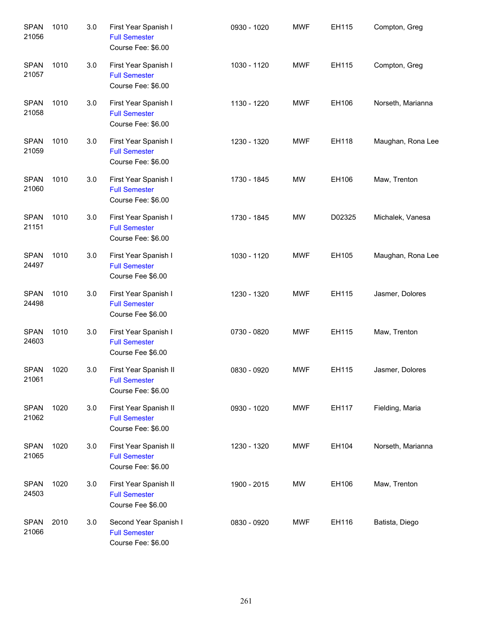| <b>SPAN</b><br>21056 | 1010 | 3.0 | First Year Spanish I<br><b>Full Semester</b><br>Course Fee: \$6.00  | 0930 - 1020 | <b>MWF</b> | EH115  | Compton, Greg     |
|----------------------|------|-----|---------------------------------------------------------------------|-------------|------------|--------|-------------------|
| <b>SPAN</b><br>21057 | 1010 | 3.0 | First Year Spanish I<br><b>Full Semester</b><br>Course Fee: \$6.00  | 1030 - 1120 | <b>MWF</b> | EH115  | Compton, Greg     |
| <b>SPAN</b><br>21058 | 1010 | 3.0 | First Year Spanish I<br><b>Full Semester</b><br>Course Fee: \$6.00  | 1130 - 1220 | <b>MWF</b> | EH106  | Norseth, Marianna |
| <b>SPAN</b><br>21059 | 1010 | 3.0 | First Year Spanish I<br><b>Full Semester</b><br>Course Fee: \$6.00  | 1230 - 1320 | <b>MWF</b> | EH118  | Maughan, Rona Lee |
| <b>SPAN</b><br>21060 | 1010 | 3.0 | First Year Spanish I<br><b>Full Semester</b><br>Course Fee: \$6.00  | 1730 - 1845 | <b>MW</b>  | EH106  | Maw, Trenton      |
| <b>SPAN</b><br>21151 | 1010 | 3.0 | First Year Spanish I<br><b>Full Semester</b><br>Course Fee: \$6.00  | 1730 - 1845 | <b>MW</b>  | D02325 | Michalek, Vanesa  |
| <b>SPAN</b><br>24497 | 1010 | 3.0 | First Year Spanish I<br><b>Full Semester</b><br>Course Fee \$6.00   | 1030 - 1120 | <b>MWF</b> | EH105  | Maughan, Rona Lee |
| <b>SPAN</b><br>24498 | 1010 | 3.0 | First Year Spanish I<br><b>Full Semester</b><br>Course Fee \$6.00   | 1230 - 1320 | <b>MWF</b> | EH115  | Jasmer, Dolores   |
| <b>SPAN</b><br>24603 | 1010 | 3.0 | First Year Spanish I<br><b>Full Semester</b><br>Course Fee \$6.00   | 0730 - 0820 | <b>MWF</b> | EH115  | Maw, Trenton      |
| <b>SPAN</b><br>21061 | 1020 | 3.0 | First Year Spanish II<br><b>Full Semester</b><br>Course Fee: \$6.00 | 0830 - 0920 | <b>MWF</b> | EH115  | Jasmer, Dolores   |
| <b>SPAN</b><br>21062 | 1020 | 3.0 | First Year Spanish II<br><b>Full Semester</b><br>Course Fee: \$6.00 | 0930 - 1020 | <b>MWF</b> | EH117  | Fielding, Maria   |
| <b>SPAN</b><br>21065 | 1020 | 3.0 | First Year Spanish II<br><b>Full Semester</b><br>Course Fee: \$6.00 | 1230 - 1320 | <b>MWF</b> | EH104  | Norseth, Marianna |
| <b>SPAN</b><br>24503 | 1020 | 3.0 | First Year Spanish II<br><b>Full Semester</b><br>Course Fee \$6.00  | 1900 - 2015 | <b>MW</b>  | EH106  | Maw, Trenton      |
| <b>SPAN</b><br>21066 | 2010 | 3.0 | Second Year Spanish I<br><b>Full Semester</b><br>Course Fee: \$6.00 | 0830 - 0920 | <b>MWF</b> | EH116  | Batista, Diego    |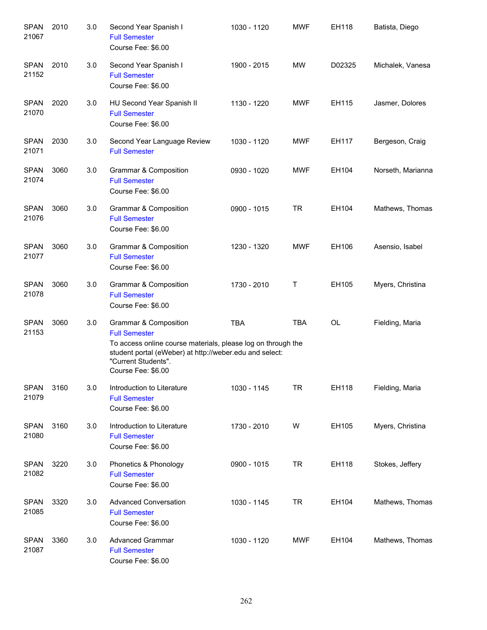| <b>SPAN</b><br>21067 | 2010 | 3.0 | Second Year Spanish I<br><b>Full Semester</b><br>Course Fee: \$6.00                                                                                                                                                   | 1030 - 1120 | <b>MWF</b> | EH118  | Batista, Diego    |
|----------------------|------|-----|-----------------------------------------------------------------------------------------------------------------------------------------------------------------------------------------------------------------------|-------------|------------|--------|-------------------|
| <b>SPAN</b><br>21152 | 2010 | 3.0 | Second Year Spanish I<br><b>Full Semester</b><br>Course Fee: \$6.00                                                                                                                                                   | 1900 - 2015 | MW         | D02325 | Michalek, Vanesa  |
| <b>SPAN</b><br>21070 | 2020 | 3.0 | HU Second Year Spanish II<br><b>Full Semester</b><br>Course Fee: \$6.00                                                                                                                                               | 1130 - 1220 | <b>MWF</b> | EH115  | Jasmer, Dolores   |
| <b>SPAN</b><br>21071 | 2030 | 3.0 | Second Year Language Review<br><b>Full Semester</b>                                                                                                                                                                   | 1030 - 1120 | <b>MWF</b> | EH117  | Bergeson, Craig   |
| <b>SPAN</b><br>21074 | 3060 | 3.0 | Grammar & Composition<br><b>Full Semester</b><br>Course Fee: \$6.00                                                                                                                                                   | 0930 - 1020 | <b>MWF</b> | EH104  | Norseth, Marianna |
| <b>SPAN</b><br>21076 | 3060 | 3.0 | <b>Grammar &amp; Composition</b><br><b>Full Semester</b><br>Course Fee: \$6.00                                                                                                                                        | 0900 - 1015 | <b>TR</b>  | EH104  | Mathews, Thomas   |
| <b>SPAN</b><br>21077 | 3060 | 3.0 | <b>Grammar &amp; Composition</b><br><b>Full Semester</b><br>Course Fee: \$6.00                                                                                                                                        | 1230 - 1320 | <b>MWF</b> | EH106  | Asensio, Isabel   |
| <b>SPAN</b><br>21078 | 3060 | 3.0 | Grammar & Composition<br><b>Full Semester</b><br>Course Fee: \$6.00                                                                                                                                                   | 1730 - 2010 | Τ          | EH105  | Myers, Christina  |
| <b>SPAN</b><br>21153 | 3060 | 3.0 | Grammar & Composition<br><b>Full Semester</b><br>To access online course materials, please log on through the<br>student portal (eWeber) at http://weber.edu and select:<br>"Current Students".<br>Course Fee: \$6.00 | <b>TBA</b>  | <b>TBA</b> | OL     | Fielding, Maria   |
| <b>SPAN</b><br>21079 | 3160 | 3.0 | Introduction to Literature<br><b>Full Semester</b><br>Course Fee: \$6.00                                                                                                                                              | 1030 - 1145 | <b>TR</b>  | EH118  | Fielding, Maria   |
| <b>SPAN</b><br>21080 | 3160 | 3.0 | Introduction to Literature<br><b>Full Semester</b><br>Course Fee: \$6.00                                                                                                                                              | 1730 - 2010 | W          | EH105  | Myers, Christina  |
| <b>SPAN</b><br>21082 | 3220 | 3.0 | Phonetics & Phonology<br><b>Full Semester</b><br>Course Fee: \$6.00                                                                                                                                                   | 0900 - 1015 | <b>TR</b>  | EH118  | Stokes, Jeffery   |
| <b>SPAN</b><br>21085 | 3320 | 3.0 | <b>Advanced Conversation</b><br><b>Full Semester</b><br>Course Fee: \$6.00                                                                                                                                            | 1030 - 1145 | <b>TR</b>  | EH104  | Mathews, Thomas   |
| <b>SPAN</b><br>21087 | 3360 | 3.0 | <b>Advanced Grammar</b><br><b>Full Semester</b><br>Course Fee: \$6.00                                                                                                                                                 | 1030 - 1120 | <b>MWF</b> | EH104  | Mathews, Thomas   |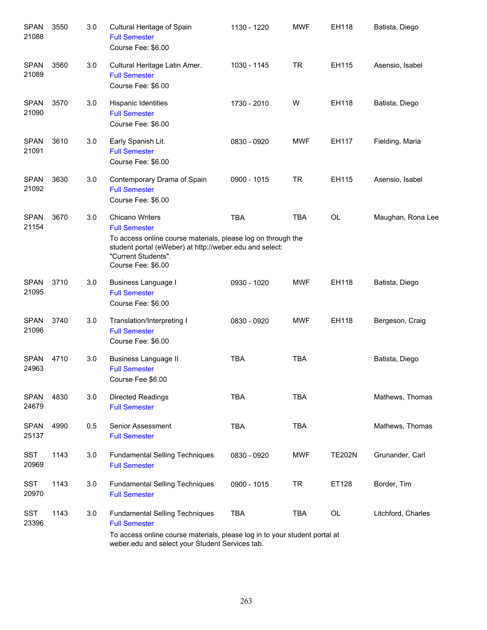| <b>SPAN</b><br>21088 | 3550 | 3.0 | Cultural Heritage of Spain<br><b>Full Semester</b><br>Course Fee: \$6.00                                                                                                                                               | 1130 - 1220 | <b>MWF</b> | EH118         | Batista, Diego     |
|----------------------|------|-----|------------------------------------------------------------------------------------------------------------------------------------------------------------------------------------------------------------------------|-------------|------------|---------------|--------------------|
| <b>SPAN</b><br>21089 | 3560 | 3.0 | Cultural Heritage Latin Amer.<br><b>Full Semester</b><br>Course Fee: \$6.00                                                                                                                                            | 1030 - 1145 | TR         | EH115         | Asensio, Isabel    |
| <b>SPAN</b><br>21090 | 3570 | 3.0 | Hispanic Identities<br><b>Full Semester</b><br>Course Fee: \$6.00                                                                                                                                                      | 1730 - 2010 | W          | EH118         | Batista, Diego     |
| <b>SPAN</b><br>21091 | 3610 | 3.0 | Early Spanish Lit.<br><b>Full Semester</b><br>Course Fee: \$6.00                                                                                                                                                       | 0830 - 0920 | <b>MWF</b> | EH117         | Fielding, Maria    |
| <b>SPAN</b><br>21092 | 3630 | 3.0 | Contemporary Drama of Spain<br><b>Full Semester</b><br>Course Fee: \$6.00                                                                                                                                              | 0900 - 1015 | TR         | EH115         | Asensio, Isabel    |
| <b>SPAN</b><br>21154 | 3670 | 3.0 | <b>Chicano Writers</b><br><b>Full Semester</b><br>To access online course materials, please log on through the<br>student portal (eWeber) at http://weber.edu and select:<br>"Current Students".<br>Course Fee: \$6.00 | <b>TBA</b>  | <b>TBA</b> | <b>OL</b>     | Maughan, Rona Lee  |
| <b>SPAN</b><br>21095 | 3710 | 3.0 | <b>Business Language I</b><br><b>Full Semester</b><br>Course Fee: \$6.00                                                                                                                                               | 0930 - 1020 | <b>MWF</b> | EH118         | Batista, Diego     |
| <b>SPAN</b><br>21096 | 3740 | 3.0 | Translation/Interpreting I<br><b>Full Semester</b><br>Course Fee: \$6.00                                                                                                                                               | 0830 - 0920 | <b>MWF</b> | EH118         | Bergeson, Craig    |
| <b>SPAN</b><br>24963 | 4710 | 3.0 | <b>Business Language II</b><br><b>Full Semester</b><br>Course Fee \$6.00                                                                                                                                               | <b>TBA</b>  | <b>TBA</b> |               | Batista, Diego     |
| <b>SPAN</b><br>24679 | 4830 | 3.0 | <b>Directed Readings</b><br><b>Full Semester</b>                                                                                                                                                                       | <b>TBA</b>  | <b>TBA</b> |               | Mathews, Thomas    |
| <b>SPAN</b><br>25137 | 4990 | 0.5 | Senior Assessment<br><b>Full Semester</b>                                                                                                                                                                              | <b>TBA</b>  | <b>TBA</b> |               | Mathews, Thomas    |
| <b>SST</b><br>20969  | 1143 | 3.0 | <b>Fundamental Selling Techniques</b><br><b>Full Semester</b>                                                                                                                                                          | 0830 - 0920 | <b>MWF</b> | <b>TE202N</b> | Grunander, Carl    |
| SST<br>20970         | 1143 | 3.0 | <b>Fundamental Selling Techniques</b><br><b>Full Semester</b>                                                                                                                                                          | 0900 - 1015 | <b>TR</b>  | ET128         | Border, Tim        |
| <b>SST</b><br>23396  | 1143 | 3.0 | <b>Fundamental Selling Techniques</b><br><b>Full Semester</b><br>To access online course materials, please log in to your student portal at<br>weber.edu and select your Student Services tab.                         | <b>TBA</b>  | <b>TBA</b> | OL            | Litchford, Charles |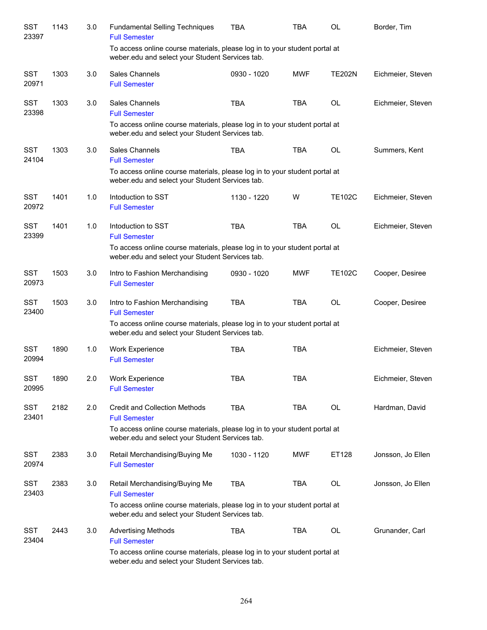| SST<br>23397        | 1143 | 3.0 | <b>Fundamental Selling Techniques</b><br><b>Full Semester</b>                                                                 | TBA         | TBA        | <b>OL</b>     | Border, Tim       |
|---------------------|------|-----|-------------------------------------------------------------------------------------------------------------------------------|-------------|------------|---------------|-------------------|
|                     |      |     | To access online course materials, please log in to your student portal at<br>weber.edu and select your Student Services tab. |             |            |               |                   |
| <b>SST</b><br>20971 | 1303 | 3.0 | Sales Channels<br><b>Full Semester</b>                                                                                        | 0930 - 1020 | <b>MWF</b> | <b>TE202N</b> | Eichmeier, Steven |
| <b>SST</b><br>23398 | 1303 | 3.0 | Sales Channels<br><b>Full Semester</b>                                                                                        | <b>TBA</b>  | <b>TBA</b> | <b>OL</b>     | Eichmeier, Steven |
|                     |      |     | To access online course materials, please log in to your student portal at<br>weber.edu and select your Student Services tab. |             |            |               |                   |
| <b>SST</b><br>24104 | 1303 | 3.0 | Sales Channels<br><b>Full Semester</b>                                                                                        | <b>TBA</b>  | <b>TBA</b> | <b>OL</b>     | Summers, Kent     |
|                     |      |     | To access online course materials, please log in to your student portal at<br>weber.edu and select your Student Services tab. |             |            |               |                   |
| <b>SST</b><br>20972 | 1401 | 1.0 | Intoduction to SST<br><b>Full Semester</b>                                                                                    | 1130 - 1220 | W          | <b>TE102C</b> | Eichmeier, Steven |
| <b>SST</b><br>23399 | 1401 | 1.0 | Intoduction to SST<br><b>Full Semester</b>                                                                                    | <b>TBA</b>  | <b>TBA</b> | <b>OL</b>     | Eichmeier, Steven |
|                     |      |     | To access online course materials, please log in to your student portal at<br>weber.edu and select your Student Services tab. |             |            |               |                   |
| <b>SST</b><br>20973 | 1503 | 3.0 | Intro to Fashion Merchandising<br><b>Full Semester</b>                                                                        | 0930 - 1020 | <b>MWF</b> | <b>TE102C</b> | Cooper, Desiree   |
| <b>SST</b><br>23400 | 1503 | 3.0 | Intro to Fashion Merchandising<br><b>Full Semester</b>                                                                        | <b>TBA</b>  | <b>TBA</b> | <b>OL</b>     | Cooper, Desiree   |
|                     |      |     | To access online course materials, please log in to your student portal at<br>weber.edu and select your Student Services tab. |             |            |               |                   |
| <b>SST</b><br>20994 | 1890 | 1.0 | <b>Work Experience</b><br><b>Full Semester</b>                                                                                | <b>TBA</b>  | <b>TBA</b> |               | Eichmeier, Steven |
| <b>SST</b><br>20995 | 1890 | 2.0 | <b>Work Experience</b><br><b>Full Semester</b>                                                                                | TBA         | <b>TBA</b> |               | Eichmeier, Steven |
| SST<br>23401        | 2182 | 2.0 | <b>Credit and Collection Methods</b><br><b>Full Semester</b>                                                                  | <b>TBA</b>  | TBA        | OL            | Hardman, David    |
|                     |      |     | To access online course materials, please log in to your student portal at<br>weber.edu and select your Student Services tab. |             |            |               |                   |
| <b>SST</b><br>20974 | 2383 | 3.0 | Retail Merchandising/Buying Me<br><b>Full Semester</b>                                                                        | 1030 - 1120 | <b>MWF</b> | ET128         | Jonsson, Jo Ellen |
| <b>SST</b><br>23403 | 2383 | 3.0 | Retail Merchandising/Buying Me<br><b>Full Semester</b>                                                                        | <b>TBA</b>  | TBA        | OL            | Jonsson, Jo Ellen |
|                     |      |     | To access online course materials, please log in to your student portal at<br>weber.edu and select your Student Services tab. |             |            |               |                   |
| <b>SST</b><br>23404 | 2443 | 3.0 | <b>Advertising Methods</b><br><b>Full Semester</b>                                                                            | <b>TBA</b>  | TBA        | OL            | Grunander, Carl   |
|                     |      |     | To access online course materials, please log in to your student portal at<br>weber.edu and select your Student Services tab. |             |            |               |                   |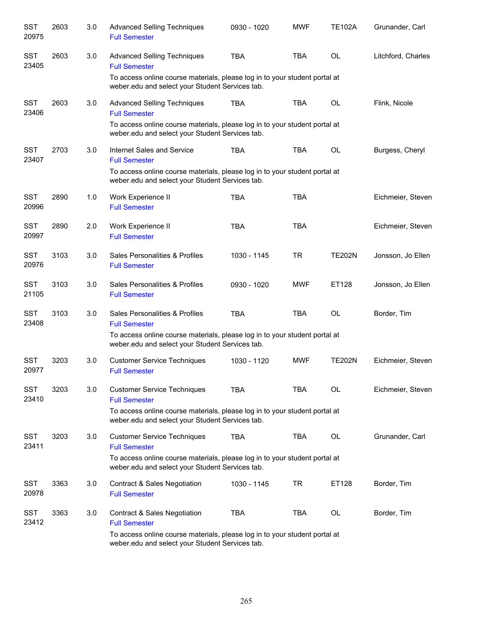| <b>SST</b><br>20975 | 2603 | 3.0 | <b>Advanced Selling Techniques</b><br><b>Full Semester</b>                                                                    | 0930 - 1020 | <b>MWF</b> | <b>TE102A</b> | Grunander, Carl    |
|---------------------|------|-----|-------------------------------------------------------------------------------------------------------------------------------|-------------|------------|---------------|--------------------|
| <b>SST</b><br>23405 | 2603 | 3.0 | <b>Advanced Selling Techniques</b><br><b>Full Semester</b>                                                                    | <b>TBA</b>  | <b>TBA</b> | <b>OL</b>     | Litchford, Charles |
|                     |      |     | To access online course materials, please log in to your student portal at<br>weber.edu and select your Student Services tab. |             |            |               |                    |
| <b>SST</b><br>23406 | 2603 | 3.0 | <b>Advanced Selling Techniques</b><br><b>Full Semester</b>                                                                    | <b>TBA</b>  | <b>TBA</b> | <b>OL</b>     | Flink, Nicole      |
|                     |      |     | To access online course materials, please log in to your student portal at<br>weber.edu and select your Student Services tab. |             |            |               |                    |
| <b>SST</b><br>23407 | 2703 | 3.0 | Internet Sales and Service<br><b>Full Semester</b>                                                                            | <b>TBA</b>  | <b>TBA</b> | <b>OL</b>     | Burgess, Cheryl    |
|                     |      |     | To access online course materials, please log in to your student portal at<br>weber.edu and select your Student Services tab. |             |            |               |                    |
| <b>SST</b><br>20996 | 2890 | 1.0 | Work Experience II<br><b>Full Semester</b>                                                                                    | <b>TBA</b>  | <b>TBA</b> |               | Eichmeier, Steven  |
| <b>SST</b><br>20997 | 2890 | 2.0 | Work Experience II<br><b>Full Semester</b>                                                                                    | <b>TBA</b>  | <b>TBA</b> |               | Eichmeier, Steven  |
| <b>SST</b><br>20976 | 3103 | 3.0 | Sales Personalities & Profiles<br><b>Full Semester</b>                                                                        | 1030 - 1145 | <b>TR</b>  | <b>TE202N</b> | Jonsson, Jo Ellen  |
| <b>SST</b><br>21105 | 3103 | 3.0 | Sales Personalities & Profiles<br><b>Full Semester</b>                                                                        | 0930 - 1020 | <b>MWF</b> | ET128         | Jonsson, Jo Ellen  |
| <b>SST</b><br>23408 | 3103 | 3.0 | Sales Personalities & Profiles<br><b>Full Semester</b>                                                                        | <b>TBA</b>  | <b>TBA</b> | <b>OL</b>     | Border, Tim        |
|                     |      |     | To access online course materials, please log in to your student portal at<br>weber.edu and select your Student Services tab. |             |            |               |                    |
| <b>SST</b><br>20977 | 3203 | 3.0 | <b>Customer Service Techniques</b><br><b>Full Semester</b>                                                                    | 1030 - 1120 | <b>MWF</b> | <b>TE202N</b> | Eichmeier, Steven  |
| <b>SST</b><br>23410 | 3203 | 3.0 | <b>Customer Service Techniques</b><br><b>Full Semester</b>                                                                    | <b>TBA</b>  | <b>TBA</b> | OL            | Eichmeier, Steven  |
|                     |      |     | To access online course materials, please log in to your student portal at<br>weber.edu and select your Student Services tab. |             |            |               |                    |
| <b>SST</b><br>23411 | 3203 | 3.0 | <b>Customer Service Techniques</b><br><b>Full Semester</b>                                                                    | <b>TBA</b>  | TBA        | OL            | Grunander, Carl    |
|                     |      |     | To access online course materials, please log in to your student portal at<br>weber.edu and select your Student Services tab. |             |            |               |                    |
| <b>SST</b><br>20978 | 3363 | 3.0 | <b>Contract &amp; Sales Negotiation</b><br><b>Full Semester</b>                                                               | 1030 - 1145 | <b>TR</b>  | ET128         | Border, Tim        |
| SST<br>23412        | 3363 | 3.0 | Contract & Sales Negotiation<br><b>Full Semester</b>                                                                          | <b>TBA</b>  | <b>TBA</b> | OL            | Border, Tim        |
|                     |      |     | To access online course materials, please log in to your student portal at<br>weber.edu and select your Student Services tab. |             |            |               |                    |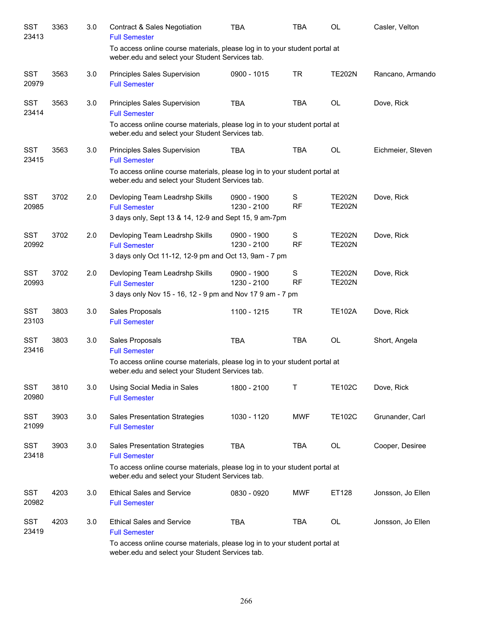| <b>SST</b><br>23413 | 3363 | 3.0 | <b>Contract &amp; Sales Negotiation</b><br><b>Full Semester</b>                                                               | <b>TBA</b>                 | <b>TBA</b>                 | <b>OL</b>                      | Casler, Velton    |
|---------------------|------|-----|-------------------------------------------------------------------------------------------------------------------------------|----------------------------|----------------------------|--------------------------------|-------------------|
|                     |      |     | To access online course materials, please log in to your student portal at<br>weber.edu and select your Student Services tab. |                            |                            |                                |                   |
| <b>SST</b><br>20979 | 3563 | 3.0 | Principles Sales Supervision<br><b>Full Semester</b>                                                                          | 0900 - 1015                | <b>TR</b>                  | <b>TE202N</b>                  | Rancano, Armando  |
| <b>SST</b><br>23414 | 3563 | 3.0 | Principles Sales Supervision<br><b>Full Semester</b>                                                                          | <b>TBA</b>                 | <b>TBA</b>                 | OL                             | Dove, Rick        |
|                     |      |     | To access online course materials, please log in to your student portal at<br>weber.edu and select your Student Services tab. |                            |                            |                                |                   |
| <b>SST</b><br>23415 | 3563 | 3.0 | Principles Sales Supervision<br><b>Full Semester</b>                                                                          | <b>TBA</b>                 | <b>TBA</b>                 | OL                             | Eichmeier, Steven |
|                     |      |     | To access online course materials, please log in to your student portal at<br>weber.edu and select your Student Services tab. |                            |                            |                                |                   |
| <b>SST</b><br>20985 | 3702 | 2.0 | Devloping Team Leadrshp Skills<br><b>Full Semester</b>                                                                        | 0900 - 1900<br>1230 - 2100 | S<br><b>RF</b>             | <b>TE202N</b><br><b>TE202N</b> | Dove, Rick        |
|                     |      |     | 3 days only, Sept 13 & 14, 12-9 and Sept 15, 9 am-7pm                                                                         |                            |                            |                                |                   |
| <b>SST</b><br>20992 | 3702 | 2.0 | Devloping Team Leadrshp Skills<br><b>Full Semester</b>                                                                        | 0900 - 1900<br>1230 - 2100 | ${\mathsf S}$<br><b>RF</b> | <b>TE202N</b><br><b>TE202N</b> | Dove, Rick        |
|                     |      |     | 3 days only Oct 11-12, 12-9 pm and Oct 13, 9am - 7 pm                                                                         |                            |                            |                                |                   |
| <b>SST</b><br>20993 | 3702 | 2.0 | Devloping Team Leadrshp Skills<br><b>Full Semester</b>                                                                        | 0900 - 1900<br>1230 - 2100 | $\mathbf S$<br><b>RF</b>   | <b>TE202N</b><br><b>TE202N</b> | Dove, Rick        |
|                     |      |     | 3 days only Nov 15 - 16, 12 - 9 pm and Nov 17 9 am - 7 pm                                                                     |                            |                            |                                |                   |
| <b>SST</b><br>23103 | 3803 | 3.0 | Sales Proposals<br><b>Full Semester</b>                                                                                       | 1100 - 1215                | <b>TR</b>                  | <b>TE102A</b>                  | Dove, Rick        |
| <b>SST</b><br>23416 | 3803 | 3.0 | Sales Proposals<br><b>Full Semester</b>                                                                                       | <b>TBA</b>                 | <b>TBA</b>                 | OL                             | Short, Angela     |
|                     |      |     | To access online course materials, please log in to your student portal at<br>weber.edu and select your Student Services tab. |                            |                            |                                |                   |
| <b>SST</b><br>20980 | 3810 | 3.0 | Using Social Media in Sales<br><b>Full Semester</b>                                                                           | 1800 - 2100                | Τ                          | <b>TE102C</b>                  | Dove, Rick        |
| <b>SST</b><br>21099 | 3903 | 3.0 | <b>Sales Presentation Strategies</b><br><b>Full Semester</b>                                                                  | 1030 - 1120                | <b>MWF</b>                 | <b>TE102C</b>                  | Grunander, Carl   |
| <b>SST</b><br>23418 | 3903 | 3.0 | <b>Sales Presentation Strategies</b><br><b>Full Semester</b>                                                                  | <b>TBA</b>                 | TBA                        | OL                             | Cooper, Desiree   |
|                     |      |     | To access online course materials, please log in to your student portal at<br>weber.edu and select your Student Services tab. |                            |                            |                                |                   |
| <b>SST</b><br>20982 | 4203 | 3.0 | <b>Ethical Sales and Service</b><br><b>Full Semester</b>                                                                      | 0830 - 0920                | <b>MWF</b>                 | ET128                          | Jonsson, Jo Ellen |
| <b>SST</b><br>23419 | 4203 | 3.0 | <b>Ethical Sales and Service</b><br><b>Full Semester</b>                                                                      | <b>TBA</b>                 | TBA                        | OL                             | Jonsson, Jo Ellen |
|                     |      |     | To access online course materials, please log in to your student portal at                                                    |                            |                            |                                |                   |

weber.edu and select your Student Services tab.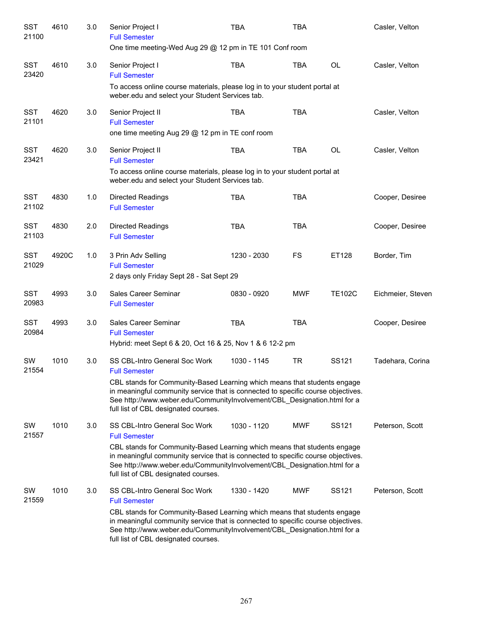| <b>SST</b><br>21100 | 4610  | 3.0 | Senior Project I<br><b>Full Semester</b><br>One time meeting-Wed Aug 29 @ 12 pm in TE 101 Conf room                                                                                                                                                                              | <b>TBA</b>  | <b>TBA</b> |                   | Casler, Velton    |
|---------------------|-------|-----|----------------------------------------------------------------------------------------------------------------------------------------------------------------------------------------------------------------------------------------------------------------------------------|-------------|------------|-------------------|-------------------|
| <b>SST</b><br>23420 | 4610  | 3.0 | Senior Project I<br><b>Full Semester</b>                                                                                                                                                                                                                                         | <b>TBA</b>  | <b>TBA</b> | <b>OL</b>         | Casler, Velton    |
|                     |       |     | To access online course materials, please log in to your student portal at<br>weber.edu and select your Student Services tab.                                                                                                                                                    |             |            |                   |                   |
| <b>SST</b><br>21101 | 4620  | 3.0 | Senior Project II<br><b>Full Semester</b><br>one time meeting Aug 29 @ 12 pm in TE conf room                                                                                                                                                                                     | <b>TBA</b>  | <b>TBA</b> |                   | Casler, Velton    |
| <b>SST</b><br>23421 | 4620  | 3.0 | Senior Project II<br><b>Full Semester</b>                                                                                                                                                                                                                                        | <b>TBA</b>  | <b>TBA</b> | <b>OL</b>         | Casler, Velton    |
|                     |       |     | To access online course materials, please log in to your student portal at<br>weber.edu and select your Student Services tab.                                                                                                                                                    |             |            |                   |                   |
| <b>SST</b><br>21102 | 4830  | 1.0 | <b>Directed Readings</b><br><b>Full Semester</b>                                                                                                                                                                                                                                 | <b>TBA</b>  | <b>TBA</b> |                   | Cooper, Desiree   |
| <b>SST</b><br>21103 | 4830  | 2.0 | <b>Directed Readings</b><br><b>Full Semester</b>                                                                                                                                                                                                                                 | <b>TBA</b>  | <b>TBA</b> |                   | Cooper, Desiree   |
| <b>SST</b><br>21029 | 4920C | 1.0 | 3 Prin Adv Selling<br><b>Full Semester</b><br>2 days only Friday Sept 28 - Sat Sept 29                                                                                                                                                                                           | 1230 - 2030 | FS         | ET128             | Border, Tim       |
| <b>SST</b><br>20983 | 4993  | 3.0 | Sales Career Seminar<br><b>Full Semester</b>                                                                                                                                                                                                                                     | 0830 - 0920 | <b>MWF</b> | <b>TE102C</b>     | Eichmeier, Steven |
| <b>SST</b><br>20984 | 4993  | 3.0 | Sales Career Seminar<br><b>Full Semester</b><br>Hybrid: meet Sept 6 & 20, Oct 16 & 25, Nov 1 & 6 12-2 pm                                                                                                                                                                         | <b>TBA</b>  | <b>TBA</b> |                   | Cooper, Desiree   |
| <b>SW</b><br>21554  | 1010  | 3.0 | <b>SS CBL-Intro General Soc Work</b><br><b>Full Semester</b>                                                                                                                                                                                                                     | 1030 - 1145 | <b>TR</b>  | SS <sub>121</sub> | Tadehara, Corina  |
|                     |       |     | CBL stands for Community-Based Learning which means that students engage<br>in meaningful community service that is connected to specific course objectives.<br>See http://www.weber.edu/CommunityInvolvement/CBL_Designation.html for a<br>full list of CBL designated courses. |             |            |                   |                   |
| SW<br>21557         | 1010  | 3.0 | SS CBL-Intro General Soc Work<br><b>Full Semester</b>                                                                                                                                                                                                                            | 1030 - 1120 | <b>MWF</b> | SS121             | Peterson, Scott   |
|                     |       |     | CBL stands for Community-Based Learning which means that students engage<br>in meaningful community service that is connected to specific course objectives.<br>See http://www.weber.edu/CommunityInvolvement/CBL Designation.html for a<br>full list of CBL designated courses. |             |            |                   |                   |
| SW<br>21559         | 1010  | 3.0 | SS CBL-Intro General Soc Work<br><b>Full Semester</b>                                                                                                                                                                                                                            | 1330 - 1420 | <b>MWF</b> | SS121             | Peterson, Scott   |
|                     |       |     | CBL stands for Community-Based Learning which means that students engage<br>in meaningful community service that is connected to specific course objectives.<br>See http://www.weber.edu/CommunityInvolvement/CBL_Designation.html for a<br>full list of CBL designated courses. |             |            |                   |                   |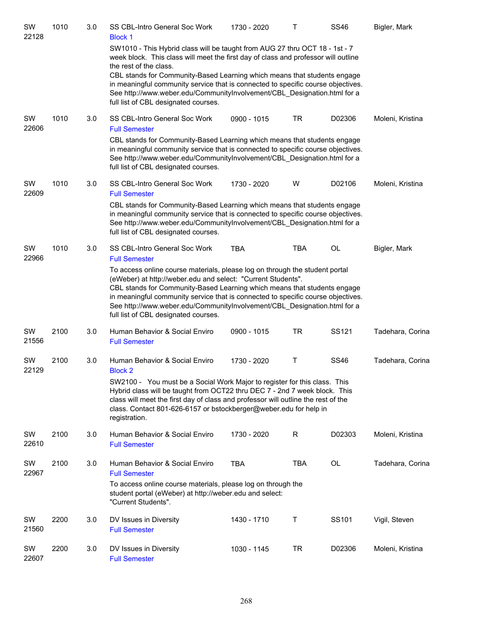| SW<br>22128 | 1010 | 3.0 | SS CBL-Intro General Soc Work<br><b>Block 1</b>                                                                                                                                                                                                                                                                                                                                                                                                                                          | 1730 - 2020 | Т          | <b>SS46</b> | Bigler, Mark     |
|-------------|------|-----|------------------------------------------------------------------------------------------------------------------------------------------------------------------------------------------------------------------------------------------------------------------------------------------------------------------------------------------------------------------------------------------------------------------------------------------------------------------------------------------|-------------|------------|-------------|------------------|
|             |      |     | SW1010 - This Hybrid class will be taught from AUG 27 thru OCT 18 - 1st - 7<br>week block. This class will meet the first day of class and professor will outline<br>the rest of the class.<br>CBL stands for Community-Based Learning which means that students engage<br>in meaningful community service that is connected to specific course objectives.<br>See http://www.weber.edu/CommunityInvolvement/CBL_Designation.html for a<br>full list of CBL designated courses.          |             |            |             |                  |
| SW<br>22606 | 1010 | 3.0 | SS CBL-Intro General Soc Work<br><b>Full Semester</b><br>CBL stands for Community-Based Learning which means that students engage<br>in meaningful community service that is connected to specific course objectives.<br>See http://www.weber.edu/CommunityInvolvement/CBL_Designation.html for a<br>full list of CBL designated courses.                                                                                                                                                | 0900 - 1015 | <b>TR</b>  | D02306      | Moleni, Kristina |
| SW<br>22609 | 1010 | 3.0 | <b>SS CBL-Intro General Soc Work</b><br><b>Full Semester</b><br>CBL stands for Community-Based Learning which means that students engage<br>in meaningful community service that is connected to specific course objectives.<br>See http://www.weber.edu/CommunityInvolvement/CBL_Designation.html for a<br>full list of CBL designated courses.                                                                                                                                         | 1730 - 2020 | W          | D02106      | Moleni, Kristina |
| SW<br>22966 | 1010 | 3.0 | SS CBL-Intro General Soc Work<br><b>Full Semester</b><br>To access online course materials, please log on through the student portal<br>(eWeber) at http://weber.edu and select: "Current Students".<br>CBL stands for Community-Based Learning which means that students engage<br>in meaningful community service that is connected to specific course objectives.<br>See http://www.weber.edu/CommunityInvolvement/CBL_Designation.html for a<br>full list of CBL designated courses. | <b>TBA</b>  | <b>TBA</b> | OL          | Bigler, Mark     |
| SW<br>21556 | 2100 | 3.0 | Human Behavior & Social Enviro<br><b>Full Semester</b>                                                                                                                                                                                                                                                                                                                                                                                                                                   | 0900 - 1015 | <b>TR</b>  | SS121       | Tadehara, Corina |
| SW<br>22129 | 2100 | 3.0 | Human Behavior & Social Enviro<br><b>Block 2</b><br>SW2100 - You must be a Social Work Major to register for this class. This<br>Hybrid class will be taught from OCT22 thru DEC 7 - 2nd 7 week block. This<br>class will meet the first day of class and professor will outline the rest of the<br>class. Contact 801-626-6157 or bstockberger@weber.edu for help in<br>registration.                                                                                                   | 1730 - 2020 | Т          | <b>SS46</b> | Tadehara, Corina |
| SW<br>22610 | 2100 | 3.0 | Human Behavior & Social Enviro<br><b>Full Semester</b>                                                                                                                                                                                                                                                                                                                                                                                                                                   | 1730 - 2020 | R          | D02303      | Moleni, Kristina |
| SW<br>22967 | 2100 | 3.0 | Human Behavior & Social Enviro<br><b>Full Semester</b><br>To access online course materials, please log on through the<br>student portal (eWeber) at http://weber.edu and select:<br>"Current Students".                                                                                                                                                                                                                                                                                 | <b>TBA</b>  | TBA        | OL          | Tadehara, Corina |
| SW<br>21560 | 2200 | 3.0 | DV Issues in Diversity<br><b>Full Semester</b>                                                                                                                                                                                                                                                                                                                                                                                                                                           | 1430 - 1710 | Τ          | SS101       | Vigil, Steven    |
| SW<br>22607 | 2200 | 3.0 | DV Issues in Diversity<br><b>Full Semester</b>                                                                                                                                                                                                                                                                                                                                                                                                                                           | 1030 - 1145 | <b>TR</b>  | D02306      | Moleni, Kristina |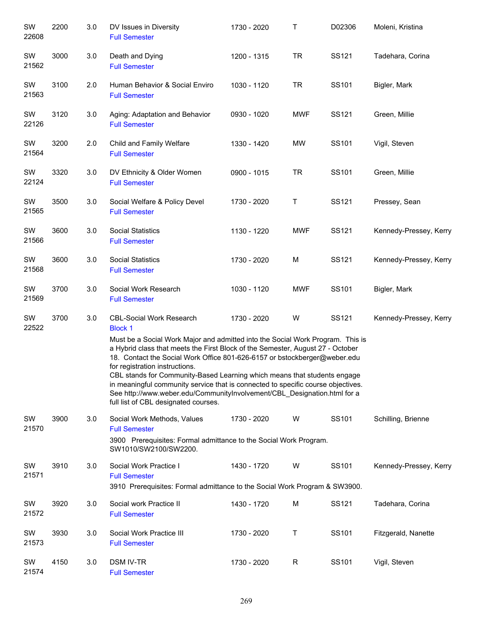| SW<br>22608 | 2200 | 3.0 | DV Issues in Diversity<br><b>Full Semester</b>                                                                                                                                                                                                                                                                                                                                                                                                                                                                                                                                                                           | 1730 - 2020            | Т            | D02306 | Moleni, Kristina       |
|-------------|------|-----|--------------------------------------------------------------------------------------------------------------------------------------------------------------------------------------------------------------------------------------------------------------------------------------------------------------------------------------------------------------------------------------------------------------------------------------------------------------------------------------------------------------------------------------------------------------------------------------------------------------------------|------------------------|--------------|--------|------------------------|
| SW<br>21562 | 3000 | 3.0 | Death and Dying<br><b>Full Semester</b>                                                                                                                                                                                                                                                                                                                                                                                                                                                                                                                                                                                  | 1200 - 1315            | <b>TR</b>    | SS121  | Tadehara, Corina       |
| SW<br>21563 | 3100 | 2.0 | Human Behavior & Social Enviro<br><b>Full Semester</b>                                                                                                                                                                                                                                                                                                                                                                                                                                                                                                                                                                   | 1030 - 1120            | <b>TR</b>    | SS101  | Bigler, Mark           |
| SW<br>22126 | 3120 | 3.0 | Aging: Adaptation and Behavior<br><b>Full Semester</b>                                                                                                                                                                                                                                                                                                                                                                                                                                                                                                                                                                   | 0930 - 1020            | <b>MWF</b>   | SS121  | Green, Millie          |
| SW<br>21564 | 3200 | 2.0 | Child and Family Welfare<br><b>Full Semester</b>                                                                                                                                                                                                                                                                                                                                                                                                                                                                                                                                                                         | 1330 - 1420            | MW           | SS101  | Vigil, Steven          |
| SW<br>22124 | 3320 | 3.0 | DV Ethnicity & Older Women<br><b>Full Semester</b>                                                                                                                                                                                                                                                                                                                                                                                                                                                                                                                                                                       | 0900 - 1015            | <b>TR</b>    | SS101  | Green, Millie          |
| SW<br>21565 | 3500 | 3.0 | Social Welfare & Policy Devel<br><b>Full Semester</b>                                                                                                                                                                                                                                                                                                                                                                                                                                                                                                                                                                    | 1730 - 2020            | $\sf T$      | SS121  | Pressey, Sean          |
| SW<br>21566 | 3600 | 3.0 | <b>Social Statistics</b><br><b>Full Semester</b>                                                                                                                                                                                                                                                                                                                                                                                                                                                                                                                                                                         | 1130 - 1220            | <b>MWF</b>   | SS121  | Kennedy-Pressey, Kerry |
| SW<br>21568 | 3600 | 3.0 | <b>Social Statistics</b><br><b>Full Semester</b>                                                                                                                                                                                                                                                                                                                                                                                                                                                                                                                                                                         | 1730 - 2020            | M            | SS121  | Kennedy-Pressey, Kerry |
| SW<br>21569 | 3700 | 3.0 | Social Work Research<br><b>Full Semester</b>                                                                                                                                                                                                                                                                                                                                                                                                                                                                                                                                                                             | 1030 - 1120            | <b>MWF</b>   | SS101  | Bigler, Mark           |
| SW<br>22522 | 3700 | 3.0 | <b>CBL-Social Work Research</b><br><b>Block 1</b><br>Must be a Social Work Major and admitted into the Social Work Program. This is<br>a Hybrid class that meets the First Block of the Semester, August 27 - October<br>18. Contact the Social Work Office 801-626-6157 or bstockberger@weber.edu<br>for registration instructions.<br>CBL stands for Community-Based Learning which means that students engage<br>in meaningful community service that is connected to specific course objectives.<br>See http://www.weber.edu/CommunityInvolvement/CBL_Designation.html for a<br>full list of CBL designated courses. | Kennedy-Pressey, Kerry |              |        |                        |
| SW<br>21570 | 3900 | 3.0 | Social Work Methods, Values<br><b>Full Semester</b><br>3900 Prerequisites: Formal admittance to the Social Work Program.<br>SW1010/SW2100/SW2200.                                                                                                                                                                                                                                                                                                                                                                                                                                                                        | 1730 - 2020            | W            | SS101  | Schilling, Brienne     |
| SW<br>21571 | 3910 | 3.0 | Social Work Practice I<br><b>Full Semester</b><br>3910 Prerequisites: Formal admittance to the Social Work Program & SW3900.                                                                                                                                                                                                                                                                                                                                                                                                                                                                                             | 1430 - 1720            | W            | SS101  | Kennedy-Pressey, Kerry |
| SW<br>21572 | 3920 | 3.0 | Social work Practice II<br><b>Full Semester</b>                                                                                                                                                                                                                                                                                                                                                                                                                                                                                                                                                                          | 1430 - 1720            | M            | SS121  | Tadehara, Corina       |
| SW<br>21573 | 3930 | 3.0 | Social Work Practice III<br><b>Full Semester</b>                                                                                                                                                                                                                                                                                                                                                                                                                                                                                                                                                                         | 1730 - 2020            | Τ            | SS101  | Fitzgerald, Nanette    |
| SW<br>21574 | 4150 | 3.0 | <b>DSM IV-TR</b><br><b>Full Semester</b>                                                                                                                                                                                                                                                                                                                                                                                                                                                                                                                                                                                 | 1730 - 2020            | $\mathsf{R}$ | SS101  | Vigil, Steven          |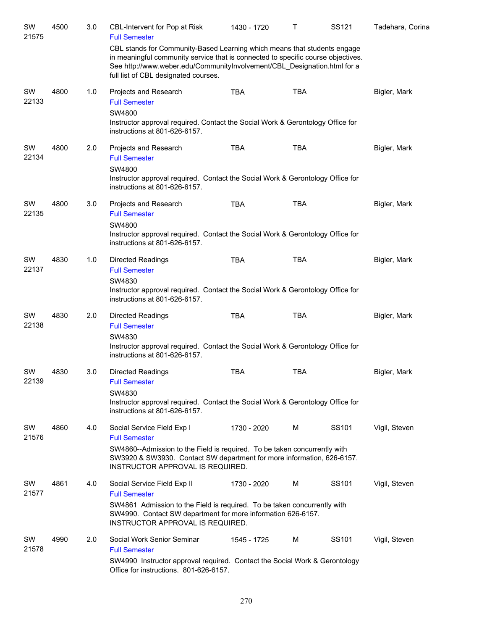| SW<br>21575 | 4500 | 3.0 | CBL-Intervent for Pop at Risk<br><b>Full Semester</b>                                                                                                                                                                                                                            | 1430 - 1720 | т          | SS121 | Tadehara, Corina |
|-------------|------|-----|----------------------------------------------------------------------------------------------------------------------------------------------------------------------------------------------------------------------------------------------------------------------------------|-------------|------------|-------|------------------|
|             |      |     | CBL stands for Community-Based Learning which means that students engage<br>in meaningful community service that is connected to specific course objectives.<br>See http://www.weber.edu/CommunityInvolvement/CBL Designation.html for a<br>full list of CBL designated courses. |             |            |       |                  |
| SW<br>22133 | 4800 | 1.0 | Projects and Research<br><b>Full Semester</b><br>SW4800<br>Instructor approval required. Contact the Social Work & Gerontology Office for<br>instructions at 801-626-6157.                                                                                                       | <b>TBA</b>  | <b>TBA</b> |       | Bigler, Mark     |
| SW<br>22134 | 4800 | 2.0 | Projects and Research<br><b>Full Semester</b><br>SW4800<br>Instructor approval required. Contact the Social Work & Gerontology Office for<br>instructions at 801-626-6157.                                                                                                       | <b>TBA</b>  | <b>TBA</b> |       | Bigler, Mark     |
| SW<br>22135 | 4800 | 3.0 | Projects and Research<br><b>Full Semester</b><br>SW4800<br>Instructor approval required. Contact the Social Work & Gerontology Office for<br>instructions at 801-626-6157.                                                                                                       | <b>TBA</b>  | <b>TBA</b> |       | Bigler, Mark     |
| SW<br>22137 | 4830 | 1.0 | Directed Readings<br><b>Full Semester</b><br>SW4830<br>Instructor approval required. Contact the Social Work & Gerontology Office for<br>instructions at 801-626-6157.                                                                                                           | <b>TBA</b>  | <b>TBA</b> |       | Bigler, Mark     |
| SW<br>22138 | 4830 | 2.0 | <b>Directed Readings</b><br><b>Full Semester</b><br>SW4830<br>Instructor approval required. Contact the Social Work & Gerontology Office for<br>instructions at 801-626-6157.                                                                                                    | <b>TBA</b>  | <b>TBA</b> |       | Bigler, Mark     |
| SW<br>22139 | 4830 | 3.0 | <b>Directed Readings</b><br><b>Full Semester</b><br>SW4830<br>Instructor approval required. Contact the Social Work & Gerontology Office for<br>instructions at 801-626-6157.                                                                                                    | <b>TBA</b>  | <b>TBA</b> |       | Bigler, Mark     |
| SW<br>21576 | 4860 | 4.0 | Social Service Field Exp I<br><b>Full Semester</b><br>SW4860--Admission to the Field is required. To be taken concurrently with<br>SW3920 & SW3930. Contact SW department for more information, 626-6157.<br>INSTRUCTOR APPROVAL IS REQUIRED.                                    | 1730 - 2020 | M          | SS101 | Vigil, Steven    |
| SW<br>21577 | 4861 | 4.0 | Social Service Field Exp II<br><b>Full Semester</b><br>SW4861 Admission to the Field is required. To be taken concurrently with<br>SW4990. Contact SW department for more information 626-6157.<br>INSTRUCTOR APPROVAL IS REQUIRED.                                              | 1730 - 2020 | M          | SS101 | Vigil, Steven    |
| SW<br>21578 | 4990 | 2.0 | Social Work Senior Seminar<br><b>Full Semester</b><br>SW4990 Instructor approval required. Contact the Social Work & Gerontology<br>Office for instructions. 801-626-6157.                                                                                                       | 1545 - 1725 | M          | SS101 | Vigil, Steven    |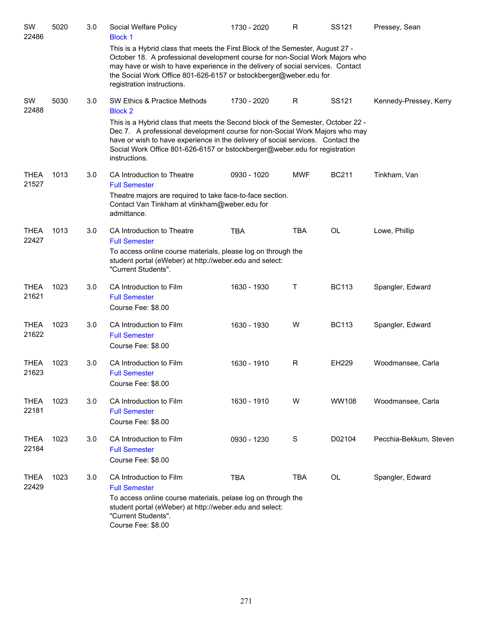| SW<br>22486          | 5020 | 3.0 | Social Welfare Policy<br><b>Block 1</b>                                                                                                                                                                                                                                                                                                                                                             | 1730 - 2020 | R             | SS <sub>121</sub> | Pressey, Sean          |
|----------------------|------|-----|-----------------------------------------------------------------------------------------------------------------------------------------------------------------------------------------------------------------------------------------------------------------------------------------------------------------------------------------------------------------------------------------------------|-------------|---------------|-------------------|------------------------|
|                      |      |     | This is a Hybrid class that meets the First Block of the Semester, August 27 -<br>October 18. A professional development course for non-Social Work Majors who<br>may have or wish to have experience in the delivery of social services. Contact<br>the Social Work Office 801-626-6157 or bstockberger@weber.edu for<br>registration instructions.                                                |             |               |                   |                        |
| SW<br>22488          | 5030 | 3.0 | SW Ethics & Practice Methods<br><b>Block 2</b><br>This is a Hybrid class that meets the Second block of the Semester, October 22 -<br>Dec 7. A professional development course for non-Social Work Majors who may<br>have or wish to have experience in the delivery of social services. Contact the<br>Social Work Office 801-626-6157 or bstockberger@weber.edu for registration<br>instructions. | 1730 - 2020 | R             | SS <sub>121</sub> | Kennedy-Pressey, Kerry |
| <b>THEA</b><br>21527 | 1013 | 3.0 | CA Introduction to Theatre<br><b>Full Semester</b><br>Theatre majors are required to take face-to-face section.<br>Contact Van Tinkham at vtinkham@weber.edu for<br>admittance.                                                                                                                                                                                                                     | 0930 - 1020 | <b>MWF</b>    | <b>BC211</b>      | Tinkham, Van           |
| <b>THEA</b><br>22427 | 1013 | 3.0 | CA Introduction to Theatre<br><b>Full Semester</b><br>To access online course materials, please log on through the<br>student portal (eWeber) at http://weber.edu and select:<br>"Current Students".                                                                                                                                                                                                | <b>TBA</b>  | <b>TBA</b>    | OL                | Lowe, Phillip          |
| <b>THEA</b><br>21621 | 1023 | 3.0 | CA Introduction to Film<br><b>Full Semester</b><br>Course Fee: \$8.00                                                                                                                                                                                                                                                                                                                               | 1630 - 1930 | т             | <b>BC113</b>      | Spangler, Edward       |
| <b>THEA</b><br>21622 | 1023 | 3.0 | CA Introduction to Film<br><b>Full Semester</b><br>Course Fee: \$8.00                                                                                                                                                                                                                                                                                                                               | 1630 - 1930 | W             | <b>BC113</b>      | Spangler, Edward       |
| THEA<br>21623        | 1023 | 3.0 | CA Introduction to Film<br><b>Full Semester</b><br>Course Fee: \$8.00                                                                                                                                                                                                                                                                                                                               | 1630 - 1910 | R             | EH229             | Woodmansee, Carla      |
| <b>THEA</b><br>22181 | 1023 | 3.0 | CA Introduction to Film<br><b>Full Semester</b><br>Course Fee: \$8.00                                                                                                                                                                                                                                                                                                                               | 1630 - 1910 | W             | WW108             | Woodmansee, Carla      |
| <b>THEA</b><br>22184 | 1023 | 3.0 | CA Introduction to Film<br><b>Full Semester</b><br>Course Fee: \$8.00                                                                                                                                                                                                                                                                                                                               | 0930 - 1230 | ${\mathsf S}$ | D02104            | Pecchia-Bekkum, Steven |
| <b>THEA</b><br>22429 | 1023 | 3.0 | CA Introduction to Film<br><b>Full Semester</b><br>To access online course materials, pelase log on through the<br>student portal (eWeber) at http://weber.edu and select:<br>"Current Students".<br>Course Fee: \$8.00                                                                                                                                                                             | <b>TBA</b>  | <b>TBA</b>    | OL                | Spangler, Edward       |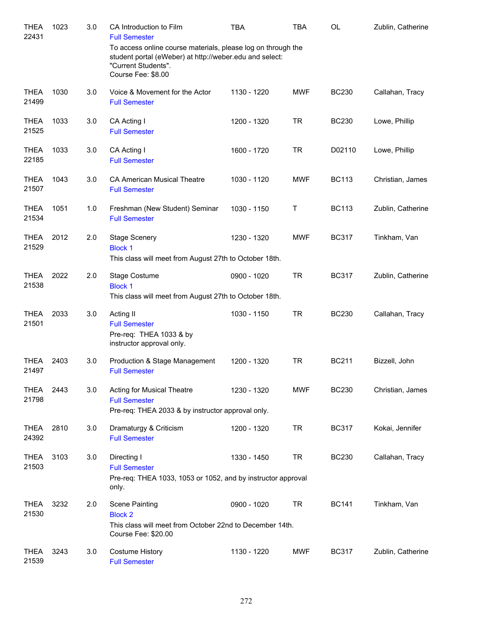| <b>THEA</b><br>22431 | 1023 | 3.0 | CA Introduction to Film<br><b>Full Semester</b>                                                                                                                      | TBA         | TBA        | <b>OL</b>    | Zublin, Catherine |
|----------------------|------|-----|----------------------------------------------------------------------------------------------------------------------------------------------------------------------|-------------|------------|--------------|-------------------|
|                      |      |     | To access online course materials, please log on through the<br>student portal (eWeber) at http://weber.edu and select:<br>"Current Students".<br>Course Fee: \$8.00 |             |            |              |                   |
| <b>THEA</b><br>21499 | 1030 | 3.0 | Voice & Movement for the Actor<br><b>Full Semester</b>                                                                                                               | 1130 - 1220 | <b>MWF</b> | <b>BC230</b> | Callahan, Tracy   |
| <b>THEA</b><br>21525 | 1033 | 3.0 | CA Acting I<br><b>Full Semester</b>                                                                                                                                  | 1200 - 1320 | <b>TR</b>  | <b>BC230</b> | Lowe, Phillip     |
| <b>THEA</b><br>22185 | 1033 | 3.0 | CA Acting I<br><b>Full Semester</b>                                                                                                                                  | 1600 - 1720 | <b>TR</b>  | D02110       | Lowe, Phillip     |
| <b>THEA</b><br>21507 | 1043 | 3.0 | <b>CA American Musical Theatre</b><br><b>Full Semester</b>                                                                                                           | 1030 - 1120 | <b>MWF</b> | <b>BC113</b> | Christian, James  |
| <b>THEA</b><br>21534 | 1051 | 1.0 | Freshman (New Student) Seminar<br><b>Full Semester</b>                                                                                                               | 1030 - 1150 | T          | <b>BC113</b> | Zublin, Catherine |
| <b>THEA</b><br>21529 | 2012 | 2.0 | <b>Stage Scenery</b><br><b>Block 1</b><br>This class will meet from August 27th to October 18th.                                                                     | 1230 - 1320 | <b>MWF</b> | <b>BC317</b> | Tinkham, Van      |
| <b>THEA</b><br>21538 | 2022 | 2.0 | Stage Costume<br><b>Block 1</b><br>This class will meet from August 27th to October 18th.                                                                            | 0900 - 1020 | <b>TR</b>  | <b>BC317</b> | Zublin, Catherine |
| <b>THEA</b><br>21501 | 2033 | 3.0 | Acting II<br><b>Full Semester</b><br>Pre-req: THEA 1033 & by<br>instructor approval only.                                                                            | 1030 - 1150 | <b>TR</b>  | <b>BC230</b> | Callahan, Tracy   |
| <b>THEA</b><br>21497 | 2403 | 3.0 | Production & Stage Management<br><b>Full Semester</b>                                                                                                                | 1200 - 1320 | <b>TR</b>  | <b>BC211</b> | Bizzell, John     |
| <b>THEA</b><br>21798 | 2443 | 3.0 | <b>Acting for Musical Theatre</b><br><b>Full Semester</b><br>Pre-req: THEA 2033 & by instructor approval only.                                                       | 1230 - 1320 | <b>MWF</b> | <b>BC230</b> | Christian, James  |
| <b>THEA</b><br>24392 | 2810 | 3.0 | Dramaturgy & Criticism<br><b>Full Semester</b>                                                                                                                       | 1200 - 1320 | <b>TR</b>  | <b>BC317</b> | Kokai, Jennifer   |
| <b>THEA</b><br>21503 | 3103 | 3.0 | Directing I<br><b>Full Semester</b><br>Pre-req: THEA 1033, 1053 or 1052, and by instructor approval<br>only.                                                         | 1330 - 1450 | TR         | <b>BC230</b> | Callahan, Tracy   |
| <b>THEA</b><br>21530 | 3232 | 2.0 | <b>Scene Painting</b><br><b>Block 2</b><br>This class will meet from October 22nd to December 14th.<br>Course Fee: \$20.00                                           | 0900 - 1020 | <b>TR</b>  | <b>BC141</b> | Tinkham, Van      |
| <b>THEA</b><br>21539 | 3243 | 3.0 | <b>Costume History</b><br><b>Full Semester</b>                                                                                                                       | 1130 - 1220 | MWF        | <b>BC317</b> | Zublin, Catherine |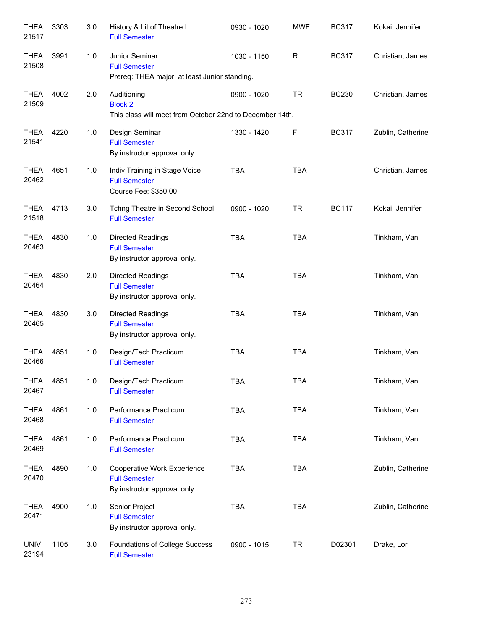| <b>THEA</b><br>21517 | 3303 | 3.0 | History & Lit of Theatre I<br><b>Full Semester</b>                                        | 0930 - 1020 | <b>MWF</b>  | <b>BC317</b> | Kokai, Jennifer   |
|----------------------|------|-----|-------------------------------------------------------------------------------------------|-------------|-------------|--------------|-------------------|
| <b>THEA</b><br>21508 | 3991 | 1.0 | Junior Seminar<br><b>Full Semester</b><br>Prereq: THEA major, at least Junior standing.   | 1030 - 1150 | $\mathsf R$ | <b>BC317</b> | Christian, James  |
| <b>THEA</b><br>21509 | 4002 | 2.0 | Auditioning<br><b>Block 2</b><br>This class will meet from October 22nd to December 14th. | 0900 - 1020 | <b>TR</b>   | <b>BC230</b> | Christian, James  |
| <b>THEA</b><br>21541 | 4220 | 1.0 | Design Seminar<br><b>Full Semester</b><br>By instructor approval only.                    | 1330 - 1420 | F           | <b>BC317</b> | Zublin, Catherine |
| <b>THEA</b><br>20462 | 4651 | 1.0 | Indiv Training in Stage Voice<br><b>Full Semester</b><br>Course Fee: \$350.00             | <b>TBA</b>  | <b>TBA</b>  |              | Christian, James  |
| <b>THEA</b><br>21518 | 4713 | 3.0 | Tchng Theatre in Second School<br><b>Full Semester</b>                                    | 0900 - 1020 | <b>TR</b>   | <b>BC117</b> | Kokai, Jennifer   |
| <b>THEA</b><br>20463 | 4830 | 1.0 | <b>Directed Readings</b><br><b>Full Semester</b><br>By instructor approval only.          | <b>TBA</b>  | <b>TBA</b>  |              | Tinkham, Van      |
| <b>THEA</b><br>20464 | 4830 | 2.0 | Directed Readings<br><b>Full Semester</b><br>By instructor approval only.                 | <b>TBA</b>  | <b>TBA</b>  |              | Tinkham, Van      |
| <b>THEA</b><br>20465 | 4830 | 3.0 | Directed Readings<br><b>Full Semester</b><br>By instructor approval only.                 | <b>TBA</b>  | <b>TBA</b>  |              | Tinkham, Van      |
| <b>THEA</b><br>20466 | 4851 | 1.0 | Design/Tech Practicum<br><b>Full Semester</b>                                             | <b>TBA</b>  | <b>TBA</b>  |              | Tinkham, Van      |
| THEA<br>20467        | 4851 | 1.0 | Design/Tech Practicum<br><b>Full Semester</b>                                             | TBA         | TBA         |              | Tinkham, Van      |
| <b>THEA</b><br>20468 | 4861 | 1.0 | Performance Practicum<br><b>Full Semester</b>                                             | <b>TBA</b>  | <b>TBA</b>  |              | Tinkham, Van      |
| <b>THEA</b><br>20469 | 4861 | 1.0 | Performance Practicum<br><b>Full Semester</b>                                             | <b>TBA</b>  | <b>TBA</b>  |              | Tinkham, Van      |
| <b>THEA</b><br>20470 | 4890 | 1.0 | Cooperative Work Experience<br><b>Full Semester</b><br>By instructor approval only.       | <b>TBA</b>  | <b>TBA</b>  |              | Zublin, Catherine |
| <b>THEA</b><br>20471 | 4900 | 1.0 | Senior Project<br><b>Full Semester</b><br>By instructor approval only.                    | <b>TBA</b>  | <b>TBA</b>  |              | Zublin, Catherine |
| <b>UNIV</b><br>23194 | 1105 | 3.0 | Foundations of College Success<br><b>Full Semester</b>                                    | 0900 - 1015 | <b>TR</b>   | D02301       | Drake, Lori       |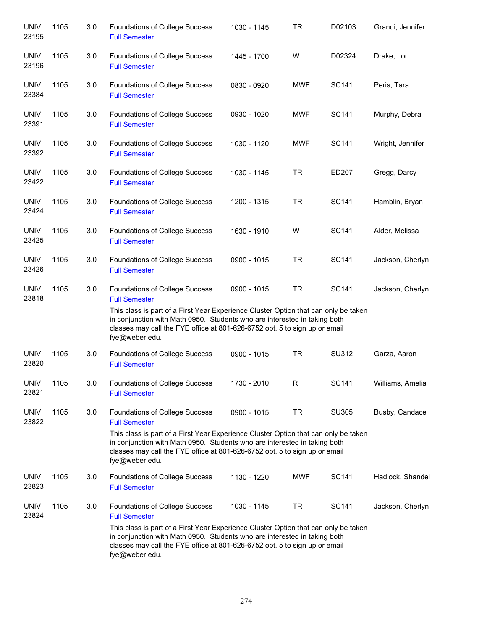| <b>UNIV</b><br>23195 | 1105 | 3.0 | Foundations of College Success<br><b>Full Semester</b>                                                                                                                                                                                                                                                                     | 1030 - 1145 | <b>TR</b>   | D02103       | Grandi, Jennifer |
|----------------------|------|-----|----------------------------------------------------------------------------------------------------------------------------------------------------------------------------------------------------------------------------------------------------------------------------------------------------------------------------|-------------|-------------|--------------|------------------|
| <b>UNIV</b><br>23196 | 1105 | 3.0 | Foundations of College Success<br><b>Full Semester</b>                                                                                                                                                                                                                                                                     | 1445 - 1700 | W           | D02324       | Drake, Lori      |
| <b>UNIV</b><br>23384 | 1105 | 3.0 | Foundations of College Success<br><b>Full Semester</b>                                                                                                                                                                                                                                                                     | 0830 - 0920 | <b>MWF</b>  | SC141        | Peris, Tara      |
| <b>UNIV</b><br>23391 | 1105 | 3.0 | Foundations of College Success<br><b>Full Semester</b>                                                                                                                                                                                                                                                                     | 0930 - 1020 | <b>MWF</b>  | SC141        | Murphy, Debra    |
| <b>UNIV</b><br>23392 | 1105 | 3.0 | Foundations of College Success<br><b>Full Semester</b>                                                                                                                                                                                                                                                                     | 1030 - 1120 | <b>MWF</b>  | SC141        | Wright, Jennifer |
| <b>UNIV</b><br>23422 | 1105 | 3.0 | Foundations of College Success<br><b>Full Semester</b>                                                                                                                                                                                                                                                                     | 1030 - 1145 | <b>TR</b>   | ED207        | Gregg, Darcy     |
| <b>UNIV</b><br>23424 | 1105 | 3.0 | Foundations of College Success<br><b>Full Semester</b>                                                                                                                                                                                                                                                                     | 1200 - 1315 | <b>TR</b>   | <b>SC141</b> | Hamblin, Bryan   |
| <b>UNIV</b><br>23425 | 1105 | 3.0 | Foundations of College Success<br><b>Full Semester</b>                                                                                                                                                                                                                                                                     | 1630 - 1910 | W           | <b>SC141</b> | Alder, Melissa   |
| <b>UNIV</b><br>23426 | 1105 | 3.0 | Foundations of College Success<br><b>Full Semester</b>                                                                                                                                                                                                                                                                     | 0900 - 1015 | <b>TR</b>   | <b>SC141</b> | Jackson, Cherlyn |
| <b>UNIV</b><br>23818 | 1105 | 3.0 | Foundations of College Success<br><b>Full Semester</b><br>This class is part of a First Year Experience Cluster Option that can only be taken<br>in conjunction with Math 0950. Students who are interested in taking both<br>classes may call the FYE office at 801-626-6752 opt. 5 to sign up or email<br>fye@weber.edu. | 0900 - 1015 | <b>TR</b>   | SC141        | Jackson, Cherlyn |
| <b>UNIV</b><br>23820 | 1105 | 3.0 | Foundations of College Success<br><b>Full Semester</b>                                                                                                                                                                                                                                                                     | 0900 - 1015 | <b>TR</b>   | SU312        | Garza, Aaron     |
| <b>UNIV</b><br>23821 | 1105 | 3.0 | Foundations of College Success<br><b>Full Semester</b>                                                                                                                                                                                                                                                                     | 1730 - 2010 | $\mathsf R$ | <b>SC141</b> | Williams, Amelia |
| <b>UNIV</b><br>23822 | 1105 | 3.0 | Foundations of College Success<br><b>Full Semester</b><br>This class is part of a First Year Experience Cluster Option that can only be taken<br>in conjunction with Math 0950. Students who are interested in taking both<br>classes may call the FYE office at 801-626-6752 opt. 5 to sign up or email<br>fye@weber.edu. | 0900 - 1015 | <b>TR</b>   | <b>SU305</b> | Busby, Candace   |
| <b>UNIV</b><br>23823 | 1105 | 3.0 | Foundations of College Success<br><b>Full Semester</b>                                                                                                                                                                                                                                                                     | 1130 - 1220 | <b>MWF</b>  | SC141        | Hadlock, Shandel |
| <b>UNIV</b><br>23824 | 1105 | 3.0 | Foundations of College Success<br><b>Full Semester</b><br>This class is part of a First Year Experience Cluster Option that can only be taken<br>in conjunction with Math 0950. Students who are interested in taking both<br>classes may call the FYE office at 801-626-6752 opt. 5 to sign up or email<br>fye@weber.edu. | 1030 - 1145 | <b>TR</b>   | <b>SC141</b> | Jackson, Cherlyn |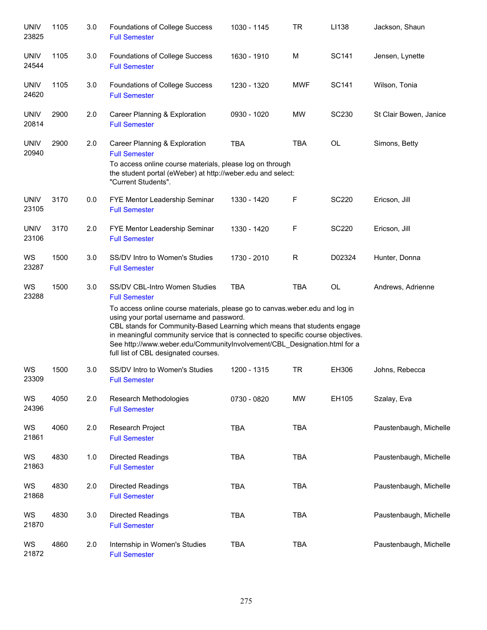| <b>UNIV</b><br>23825 | 1105 | 3.0 | Foundations of College Success<br><b>Full Semester</b>                                                                                                                                                                                                                                                                                                                                                                                                               | 1030 - 1145 | <b>TR</b>  | LI138        | Jackson, Shaun         |
|----------------------|------|-----|----------------------------------------------------------------------------------------------------------------------------------------------------------------------------------------------------------------------------------------------------------------------------------------------------------------------------------------------------------------------------------------------------------------------------------------------------------------------|-------------|------------|--------------|------------------------|
| <b>UNIV</b><br>24544 | 1105 | 3.0 | <b>Foundations of College Success</b><br><b>Full Semester</b>                                                                                                                                                                                                                                                                                                                                                                                                        | 1630 - 1910 | M          | SC141        | Jensen, Lynette        |
| <b>UNIV</b><br>24620 | 1105 | 3.0 | <b>Foundations of College Success</b><br><b>Full Semester</b>                                                                                                                                                                                                                                                                                                                                                                                                        | 1230 - 1320 | <b>MWF</b> | SC141        | Wilson, Tonia          |
| <b>UNIV</b><br>20814 | 2900 | 2.0 | Career Planning & Exploration<br><b>Full Semester</b>                                                                                                                                                                                                                                                                                                                                                                                                                | 0930 - 1020 | MW         | <b>SC230</b> | St Clair Bowen, Janice |
| <b>UNIV</b><br>20940 | 2900 | 2.0 | Career Planning & Exploration<br><b>Full Semester</b><br>To access online course materials, please log on through<br>the student portal (eWeber) at http://weber.edu and select:<br>"Current Students".                                                                                                                                                                                                                                                              | <b>TBA</b>  | <b>TBA</b> | OL           | Simons, Betty          |
| <b>UNIV</b><br>23105 | 3170 | 0.0 | FYE Mentor Leadership Seminar<br><b>Full Semester</b>                                                                                                                                                                                                                                                                                                                                                                                                                | 1330 - 1420 | F          | <b>SC220</b> | Ericson, Jill          |
| <b>UNIV</b><br>23106 | 3170 | 2.0 | FYE Mentor Leadership Seminar<br><b>Full Semester</b>                                                                                                                                                                                                                                                                                                                                                                                                                | 1330 - 1420 | F          | <b>SC220</b> | Ericson, Jill          |
| WS<br>23287          | 1500 | 3.0 | SS/DV Intro to Women's Studies<br><b>Full Semester</b>                                                                                                                                                                                                                                                                                                                                                                                                               | 1730 - 2010 | R          | D02324       | Hunter, Donna          |
| WS<br>23288          | 1500 | 3.0 | SS/DV CBL-Intro Women Studies<br><b>Full Semester</b><br>To access online course materials, please go to canvas weber edu and log in<br>using your portal username and password.<br>CBL stands for Community-Based Learning which means that students engage<br>in meaningful community service that is connected to specific course objectives.<br>See http://www.weber.edu/CommunityInvolvement/CBL_Designation.html for a<br>full list of CBL designated courses. | <b>TBA</b>  | <b>TBA</b> | OL           | Andrews, Adrienne      |
| WS<br>23309          | 1500 | 3.0 | SS/DV Intro to Women's Studies<br><b>Full Semester</b>                                                                                                                                                                                                                                                                                                                                                                                                               | 1200 - 1315 | <b>TR</b>  | EH306        | Johns, Rebecca         |
| WS<br>24396          | 4050 | 2.0 | Research Methodologies<br><b>Full Semester</b>                                                                                                                                                                                                                                                                                                                                                                                                                       | 0730 - 0820 | <b>MW</b>  | EH105        | Szalay, Eva            |
| WS<br>21861          | 4060 | 2.0 | Research Project<br><b>Full Semester</b>                                                                                                                                                                                                                                                                                                                                                                                                                             | <b>TBA</b>  | <b>TBA</b> |              | Paustenbaugh, Michelle |
| WS<br>21863          | 4830 | 1.0 | <b>Directed Readings</b><br><b>Full Semester</b>                                                                                                                                                                                                                                                                                                                                                                                                                     | <b>TBA</b>  | <b>TBA</b> |              | Paustenbaugh, Michelle |
| WS<br>21868          | 4830 | 2.0 | <b>Directed Readings</b><br><b>Full Semester</b>                                                                                                                                                                                                                                                                                                                                                                                                                     | TBA         | <b>TBA</b> |              | Paustenbaugh, Michelle |
| WS<br>21870          | 4830 | 3.0 | <b>Directed Readings</b><br><b>Full Semester</b>                                                                                                                                                                                                                                                                                                                                                                                                                     | <b>TBA</b>  | <b>TBA</b> |              | Paustenbaugh, Michelle |
| WS<br>21872          | 4860 | 2.0 | Internship in Women's Studies<br><b>Full Semester</b>                                                                                                                                                                                                                                                                                                                                                                                                                | <b>TBA</b>  | <b>TBA</b> |              | Paustenbaugh, Michelle |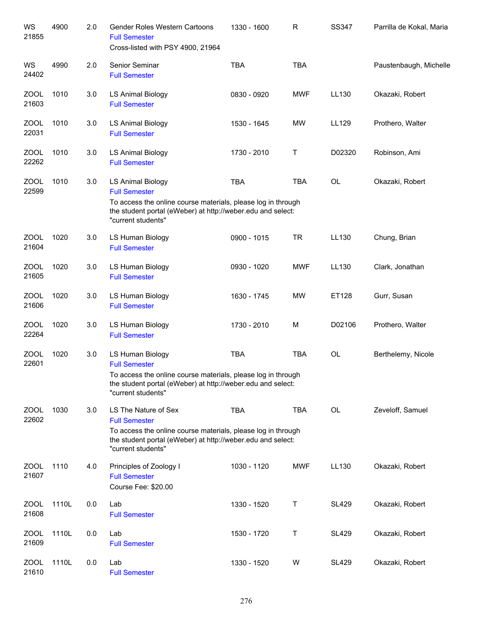| WS<br>21855          | 4900  | 2.0 | <b>Gender Roles Western Cartoons</b><br><b>Full Semester</b><br>Cross-listed with PSY 4900, 21964                                                                                                 | 1330 - 1600 | R          | <b>SS347</b> | Parrilla de Kokal, Maria |
|----------------------|-------|-----|---------------------------------------------------------------------------------------------------------------------------------------------------------------------------------------------------|-------------|------------|--------------|--------------------------|
| WS<br>24402          | 4990  | 2.0 | Senior Seminar<br><b>Full Semester</b>                                                                                                                                                            | <b>TBA</b>  | <b>TBA</b> |              | Paustenbaugh, Michelle   |
| <b>ZOOL</b><br>21603 | 1010  | 3.0 | <b>LS Animal Biology</b><br><b>Full Semester</b>                                                                                                                                                  | 0830 - 0920 | <b>MWF</b> | LL130        | Okazaki, Robert          |
| <b>ZOOL</b><br>22031 | 1010  | 3.0 | <b>LS Animal Biology</b><br><b>Full Semester</b>                                                                                                                                                  | 1530 - 1645 | <b>MW</b>  | LL129        | Prothero, Walter         |
| <b>ZOOL</b><br>22262 | 1010  | 3.0 | <b>LS Animal Biology</b><br><b>Full Semester</b>                                                                                                                                                  | 1730 - 2010 | Τ          | D02320       | Robinson, Ami            |
| <b>ZOOL</b><br>22599 | 1010  | 3.0 | LS Animal Biology<br><b>Full Semester</b><br>To access the online course materials, please log in through<br>the student portal (eWeber) at http://weber.edu and select:<br>"current students"    | <b>TBA</b>  | <b>TBA</b> | <b>OL</b>    | Okazaki, Robert          |
| <b>ZOOL</b><br>21604 | 1020  | 3.0 | LS Human Biology<br><b>Full Semester</b>                                                                                                                                                          | 0900 - 1015 | <b>TR</b>  | LL130        | Chung, Brian             |
| <b>ZOOL</b><br>21605 | 1020  | 3.0 | LS Human Biology<br><b>Full Semester</b>                                                                                                                                                          | 0930 - 1020 | <b>MWF</b> | LL130        | Clark, Jonathan          |
| <b>ZOOL</b><br>21606 | 1020  | 3.0 | LS Human Biology<br><b>Full Semester</b>                                                                                                                                                          | 1630 - 1745 | <b>MW</b>  | ET128        | Gurr, Susan              |
| <b>ZOOL</b><br>22264 | 1020  | 3.0 | LS Human Biology<br><b>Full Semester</b>                                                                                                                                                          | 1730 - 2010 | M          | D02106       | Prothero, Walter         |
| <b>ZOOL</b><br>22601 | 1020  | 3.0 | LS Human Biology<br><b>Full Semester</b><br>To access the online course materials, please log in through<br>the student portal (eWeber) at http://weber.edu and select:<br>"current students"     | <b>TBA</b>  | <b>TBA</b> | OL           | Berthelemy, Nicole       |
| <b>ZOOL</b><br>22602 | 1030  | 3.0 | LS The Nature of Sex<br><b>Full Semester</b><br>To access the online course materials, please log in through<br>the student portal (eWeber) at http://weber.edu and select:<br>"current students" | <b>TBA</b>  | <b>TBA</b> | OL           | Zeveloff, Samuel         |
| <b>ZOOL</b><br>21607 | 1110  | 4.0 | Principles of Zoology I<br><b>Full Semester</b><br>Course Fee: \$20.00                                                                                                                            | 1030 - 1120 | <b>MWF</b> | LL130        | Okazaki, Robert          |
| <b>ZOOL</b><br>21608 | 1110L | 0.0 | Lab<br><b>Full Semester</b>                                                                                                                                                                       | 1330 - 1520 | $\top$     | <b>SL429</b> | Okazaki, Robert          |
| <b>ZOOL</b><br>21609 | 1110L | 0.0 | Lab<br><b>Full Semester</b>                                                                                                                                                                       | 1530 - 1720 | $\sf T$    | <b>SL429</b> | Okazaki, Robert          |
| <b>ZOOL</b><br>21610 | 1110L | 0.0 | Lab<br><b>Full Semester</b>                                                                                                                                                                       | 1330 - 1520 | W          | <b>SL429</b> | Okazaki, Robert          |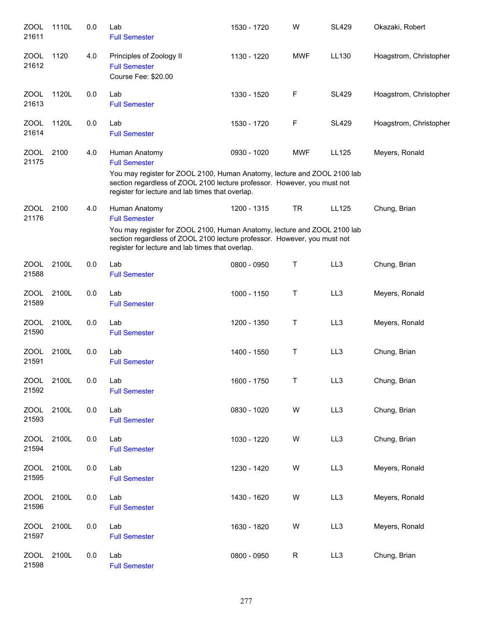| ZOOL<br>21611        | 1110L | 0.0 | Lab<br><b>Full Semester</b>                                                                                                                                                                                                                       | 1530 - 1720 | W          | <b>SL429</b>    | Okazaki, Robert        |
|----------------------|-------|-----|---------------------------------------------------------------------------------------------------------------------------------------------------------------------------------------------------------------------------------------------------|-------------|------------|-----------------|------------------------|
| <b>ZOOL</b><br>21612 | 1120  | 4.0 | Principles of Zoology II<br><b>Full Semester</b><br>Course Fee: \$20.00                                                                                                                                                                           | 1130 - 1220 | <b>MWF</b> | LL130           | Hoagstrom, Christopher |
| <b>ZOOL</b><br>21613 | 1120L | 0.0 | Lab<br><b>Full Semester</b>                                                                                                                                                                                                                       | 1330 - 1520 | F          | <b>SL429</b>    | Hoagstrom, Christopher |
| <b>ZOOL</b><br>21614 | 1120L | 0.0 | Lab<br><b>Full Semester</b>                                                                                                                                                                                                                       | 1530 - 1720 | F          | <b>SL429</b>    | Hoagstrom, Christopher |
| <b>ZOOL</b><br>21175 | 2100  | 4.0 | Human Anatomy<br><b>Full Semester</b><br>You may register for ZOOL 2100, Human Anatomy, lecture and ZOOL 2100 lab<br>section regardless of ZOOL 2100 lecture professor. However, you must not<br>register for lecture and lab times that overlap. | 0930 - 1020 | <b>MWF</b> | LL125           | Meyers, Ronald         |
| <b>ZOOL</b><br>21176 | 2100  | 4.0 | Human Anatomy<br><b>Full Semester</b><br>You may register for ZOOL 2100, Human Anatomy, lecture and ZOOL 2100 lab<br>section regardless of ZOOL 2100 lecture professor. However, you must not<br>register for lecture and lab times that overlap. | 1200 - 1315 | <b>TR</b>  | LL125           | Chung, Brian           |
| ZOOL<br>21588        | 2100L | 0.0 | Lab<br><b>Full Semester</b>                                                                                                                                                                                                                       | 0800 - 0950 | Т          | LL <sub>3</sub> | Chung, Brian           |
| <b>ZOOL</b><br>21589 | 2100L | 0.0 | Lab<br><b>Full Semester</b>                                                                                                                                                                                                                       | 1000 - 1150 | Т          | LL3             | Meyers, Ronald         |
| ZOOL<br>21590        | 2100L | 0.0 | Lab<br><b>Full Semester</b>                                                                                                                                                                                                                       | 1200 - 1350 | Τ          | LL3             | Meyers, Ronald         |
| <b>ZOOL</b><br>21591 | 2100L | 0.0 | Lab<br><b>Full Semester</b>                                                                                                                                                                                                                       | 1400 - 1550 | Τ          | LL3             | Chung, Brian           |
| <b>ZOOL</b><br>21592 | 2100L | 0.0 | Lab<br><b>Full Semester</b>                                                                                                                                                                                                                       | 1600 - 1750 | Т          | LL3             | Chung, Brian           |
| <b>ZOOL</b><br>21593 | 2100L | 0.0 | Lab<br><b>Full Semester</b>                                                                                                                                                                                                                       | 0830 - 1020 | W          | LL3             | Chung, Brian           |
| <b>ZOOL</b><br>21594 | 2100L | 0.0 | Lab<br><b>Full Semester</b>                                                                                                                                                                                                                       | 1030 - 1220 | W          | LL3             | Chung, Brian           |
| <b>ZOOL</b><br>21595 | 2100L | 0.0 | Lab<br><b>Full Semester</b>                                                                                                                                                                                                                       | 1230 - 1420 | W          | LL3             | Meyers, Ronald         |
| <b>ZOOL</b><br>21596 | 2100L | 0.0 | Lab<br><b>Full Semester</b>                                                                                                                                                                                                                       | 1430 - 1620 | W          | LL3             | Meyers, Ronald         |
| <b>ZOOL</b><br>21597 | 2100L | 0.0 | Lab<br><b>Full Semester</b>                                                                                                                                                                                                                       | 1630 - 1820 | W          | LL3             | Meyers, Ronald         |
| <b>ZOOL</b><br>21598 | 2100L | 0.0 | Lab<br><b>Full Semester</b>                                                                                                                                                                                                                       | 0800 - 0950 | ${\sf R}$  | LL3             | Chung, Brian           |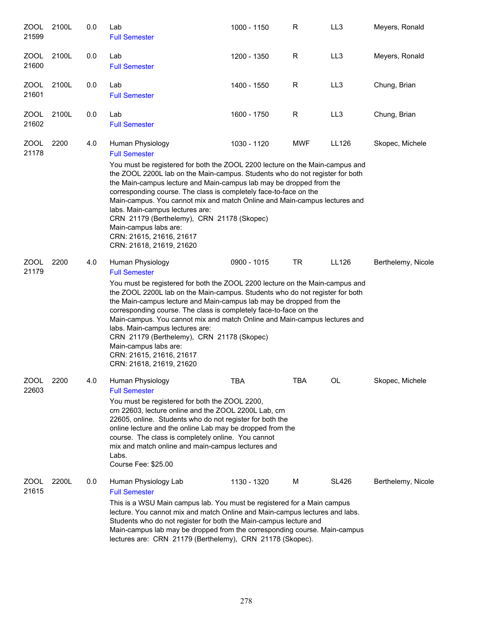| ZOOL<br>21599        | 2100L | 0.0 | Lab<br><b>Full Semester</b>                                                                                                                                                                                                                                                                                                                                                                                                                                                                                                                             | 1000 - 1150 | R          | LL3          | Meyers, Ronald     |
|----------------------|-------|-----|---------------------------------------------------------------------------------------------------------------------------------------------------------------------------------------------------------------------------------------------------------------------------------------------------------------------------------------------------------------------------------------------------------------------------------------------------------------------------------------------------------------------------------------------------------|-------------|------------|--------------|--------------------|
| ZOOL<br>21600        | 2100L | 0.0 | Lab<br><b>Full Semester</b>                                                                                                                                                                                                                                                                                                                                                                                                                                                                                                                             | 1200 - 1350 | R          | LL3          | Meyers, Ronald     |
| ZOOL<br>21601        | 2100L | 0.0 | Lab<br><b>Full Semester</b>                                                                                                                                                                                                                                                                                                                                                                                                                                                                                                                             | 1400 - 1550 | R          | LL3          | Chung, Brian       |
| ZOOL<br>21602        | 2100L | 0.0 | Lab<br><b>Full Semester</b>                                                                                                                                                                                                                                                                                                                                                                                                                                                                                                                             | 1600 - 1750 | R          | LL3          | Chung, Brian       |
| ZOOL<br>21178        | 2200  | 4.0 | Human Physiology<br><b>Full Semester</b>                                                                                                                                                                                                                                                                                                                                                                                                                                                                                                                | 1030 - 1120 | <b>MWF</b> | LL126        | Skopec, Michele    |
|                      |       |     | You must be registered for both the ZOOL 2200 lecture on the Main-campus and<br>the ZOOL 2200L lab on the Main-campus. Students who do not register for both<br>the Main-campus lecture and Main-campus lab may be dropped from the<br>corresponding course. The class is completely face-to-face on the<br>Main-campus. You cannot mix and match Online and Main-campus lectures and<br>labs. Main-campus lectures are:<br>CRN 21179 (Berthelemy), CRN 21178 (Skopec)<br>Main-campus labs are:<br>CRN: 21615, 21616, 21617<br>CRN: 21618, 21619, 21620 |             |            |              |                    |
| <b>ZOOL</b><br>21179 | 2200  | 4.0 | Human Physiology<br><b>Full Semester</b>                                                                                                                                                                                                                                                                                                                                                                                                                                                                                                                | 0900 - 1015 | <b>TR</b>  | LL126        | Berthelemy, Nicole |
|                      |       |     | You must be registered for both the ZOOL 2200 lecture on the Main-campus and<br>the ZOOL 2200L lab on the Main-campus. Students who do not register for both<br>the Main-campus lecture and Main-campus lab may be dropped from the<br>corresponding course. The class is completely face-to-face on the<br>Main-campus. You cannot mix and match Online and Main-campus lectures and<br>labs. Main-campus lectures are:<br>CRN 21179 (Berthelemy), CRN 21178 (Skopec)<br>Main-campus labs are:<br>CRN: 21615, 21616, 21617<br>CRN: 21618, 21619, 21620 |             |            |              |                    |
| ZOOL<br>22603        | 2200  | 4.0 | Human Physiology<br><b>Full Semester</b><br>You must be registered for both the ZOOL 2200,<br>crn 22603, lecture online and the ZOOL 2200L Lab, crn<br>22605, online. Students who do not register for both the<br>online lecture and the online Lab may be dropped from the<br>course. The class is completely online. You cannot<br>mix and match online and main-campus lectures and<br>Labs.<br>Course Fee: \$25.00                                                                                                                                 | TBA         | TBA        | <b>OL</b>    | Skopec, Michele    |
| ZOOL<br>21615        | 2200L | 0.0 | Human Physiology Lab<br><b>Full Semester</b><br>This is a WSU Main campus lab. You must be registered for a Main campus<br>lecture. You cannot mix and match Online and Main-campus lectures and labs.<br>Students who do not register for both the Main-campus lecture and<br>Main-campus lab may be dropped from the corresponding course. Main-campus<br>lectures are: CRN 21179 (Berthelemy), CRN 21178 (Skopec).                                                                                                                                   | 1130 - 1320 | М          | <b>SL426</b> | Berthelemy, Nicole |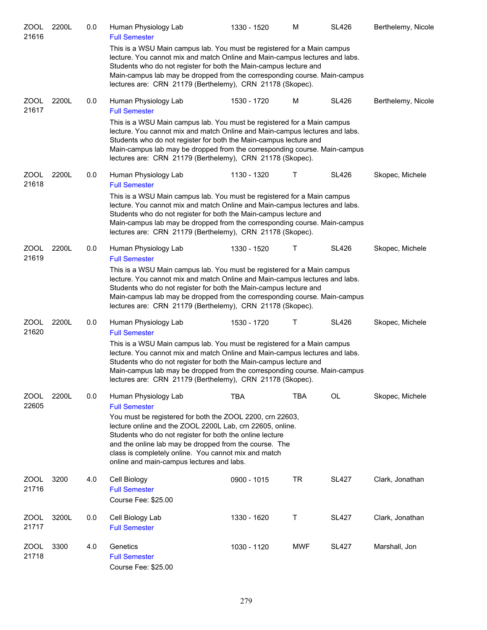| ZOOL<br>21616        | 2200L | 0.0 | Human Physiology Lab<br><b>Full Semester</b>                                                                                                                                                                                                                                                                                                                          | 1330 - 1520 | M          | <b>SL426</b> | Berthelemy, Nicole |
|----------------------|-------|-----|-----------------------------------------------------------------------------------------------------------------------------------------------------------------------------------------------------------------------------------------------------------------------------------------------------------------------------------------------------------------------|-------------|------------|--------------|--------------------|
|                      |       |     | This is a WSU Main campus lab. You must be registered for a Main campus<br>lecture. You cannot mix and match Online and Main-campus lectures and labs.<br>Students who do not register for both the Main-campus lecture and<br>Main-campus lab may be dropped from the corresponding course. Main-campus<br>lectures are: CRN 21179 (Berthelemy), CRN 21178 (Skopec). |             |            |              |                    |
| <b>ZOOL</b><br>21617 | 2200L | 0.0 | Human Physiology Lab<br><b>Full Semester</b>                                                                                                                                                                                                                                                                                                                          | 1530 - 1720 | M          | <b>SL426</b> | Berthelemy, Nicole |
|                      |       |     | This is a WSU Main campus lab. You must be registered for a Main campus<br>lecture. You cannot mix and match Online and Main-campus lectures and labs.<br>Students who do not register for both the Main-campus lecture and<br>Main-campus lab may be dropped from the corresponding course. Main-campus<br>lectures are: CRN 21179 (Berthelemy), CRN 21178 (Skopec). |             |            |              |                    |
| <b>ZOOL</b><br>21618 | 2200L | 0.0 | Human Physiology Lab<br><b>Full Semester</b>                                                                                                                                                                                                                                                                                                                          | 1130 - 1320 | Τ          | <b>SL426</b> | Skopec, Michele    |
|                      |       |     | This is a WSU Main campus lab. You must be registered for a Main campus<br>lecture. You cannot mix and match Online and Main-campus lectures and labs.<br>Students who do not register for both the Main-campus lecture and<br>Main-campus lab may be dropped from the corresponding course. Main-campus<br>lectures are: CRN 21179 (Berthelemy), CRN 21178 (Skopec). |             |            |              |                    |
| <b>ZOOL</b><br>21619 | 2200L | 0.0 | Human Physiology Lab<br><b>Full Semester</b>                                                                                                                                                                                                                                                                                                                          | 1330 - 1520 | Τ          | <b>SL426</b> | Skopec, Michele    |
|                      |       |     | This is a WSU Main campus lab. You must be registered for a Main campus<br>lecture. You cannot mix and match Online and Main-campus lectures and labs.<br>Students who do not register for both the Main-campus lecture and<br>Main-campus lab may be dropped from the corresponding course. Main-campus<br>lectures are: CRN 21179 (Berthelemy), CRN 21178 (Skopec). |             |            |              |                    |
| <b>ZOOL</b><br>21620 | 2200L | 0.0 | Human Physiology Lab<br><b>Full Semester</b>                                                                                                                                                                                                                                                                                                                          | 1530 - 1720 | Τ          | <b>SL426</b> | Skopec, Michele    |
|                      |       |     | This is a WSU Main campus lab. You must be registered for a Main campus<br>lecture. You cannot mix and match Online and Main-campus lectures and labs.<br>Students who do not register for both the Main-campus lecture and<br>Main-campus lab may be dropped from the corresponding course. Main-campus<br>lectures are: CRN 21179 (Berthelemy), CRN 21178 (Skopec). |             |            |              |                    |
| <b>ZOOL</b><br>22605 | 2200L | 0.0 | Human Physiology Lab<br><b>Full Semester</b>                                                                                                                                                                                                                                                                                                                          | <b>TBA</b>  | <b>TBA</b> | OL           | Skopec, Michele    |
|                      |       |     | You must be registered for both the ZOOL 2200, crn 22603,<br>lecture online and the ZOOL 2200L Lab, crn 22605, online.<br>Students who do not register for both the online lecture<br>and the online lab may be dropped from the course. The<br>class is completely online. You cannot mix and match<br>online and main-campus lectures and labs.                     |             |            |              |                    |
| ZOOL<br>21716        | 3200  | 4.0 | Cell Biology<br><b>Full Semester</b><br>Course Fee: \$25.00                                                                                                                                                                                                                                                                                                           | 0900 - 1015 | <b>TR</b>  | <b>SL427</b> | Clark, Jonathan    |
| ZOOL<br>21717        | 3200L | 0.0 | Cell Biology Lab<br><b>Full Semester</b>                                                                                                                                                                                                                                                                                                                              | 1330 - 1620 | Τ          | <b>SL427</b> | Clark, Jonathan    |
| ZOOL<br>21718        | 3300  | 4.0 | Genetics<br><b>Full Semester</b><br>Course Fee: \$25.00                                                                                                                                                                                                                                                                                                               | 1030 - 1120 | <b>MWF</b> | <b>SL427</b> | Marshall, Jon      |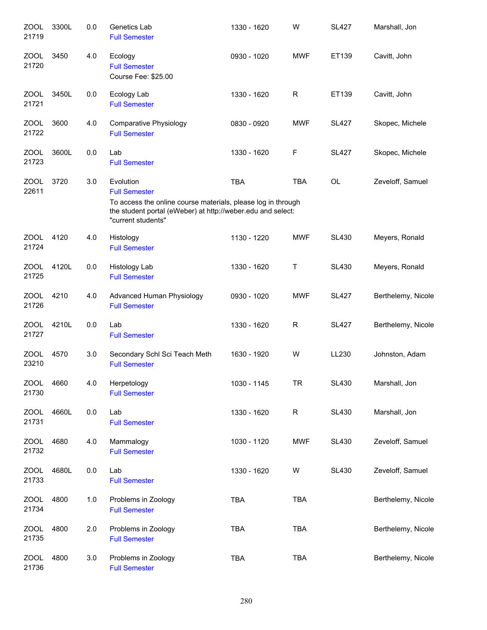| <b>ZOOL</b><br>21719 | 3300L | 0.0 | Genetics Lab<br><b>Full Semester</b>                                                                                                                                                   | 1330 - 1620 | W          | <b>SL427</b> | Marshall, Jon      |
|----------------------|-------|-----|----------------------------------------------------------------------------------------------------------------------------------------------------------------------------------------|-------------|------------|--------------|--------------------|
| ZOOL<br>21720        | 3450  | 4.0 | Ecology<br><b>Full Semester</b><br>Course Fee: \$25.00                                                                                                                                 | 0930 - 1020 | <b>MWF</b> | ET139        | Cavitt, John       |
| <b>ZOOL</b><br>21721 | 3450L | 0.0 | Ecology Lab<br><b>Full Semester</b>                                                                                                                                                    | 1330 - 1620 | R          | ET139        | Cavitt, John       |
| <b>ZOOL</b><br>21722 | 3600  | 4.0 | Comparative Physiology<br><b>Full Semester</b>                                                                                                                                         | 0830 - 0920 | <b>MWF</b> | <b>SL427</b> | Skopec, Michele    |
| ZOOL<br>21723        | 3600L | 0.0 | Lab<br><b>Full Semester</b>                                                                                                                                                            | 1330 - 1620 | F          | <b>SL427</b> | Skopec, Michele    |
| ZOOL<br>22611        | 3720  | 3.0 | Evolution<br><b>Full Semester</b><br>To access the online course materials, please log in through<br>the student portal (eWeber) at http://weber.edu and select:<br>"current students" | <b>TBA</b>  | <b>TBA</b> | OL           | Zeveloff, Samuel   |
| ZOOL<br>21724        | 4120  | 4.0 | Histology<br><b>Full Semester</b>                                                                                                                                                      | 1130 - 1220 | <b>MWF</b> | <b>SL430</b> | Meyers, Ronald     |
| <b>ZOOL</b><br>21725 | 4120L | 0.0 | Histology Lab<br><b>Full Semester</b>                                                                                                                                                  | 1330 - 1620 | Τ          | <b>SL430</b> | Meyers, Ronald     |
| ZOOL<br>21726        | 4210  | 4.0 | Advanced Human Physiology<br><b>Full Semester</b>                                                                                                                                      | 0930 - 1020 | <b>MWF</b> | <b>SL427</b> | Berthelemy, Nicole |
| ZOOL<br>21727        | 4210L | 0.0 | Lab<br><b>Full Semester</b>                                                                                                                                                            | 1330 - 1620 | R          | <b>SL427</b> | Berthelemy, Nicole |
| <b>ZOOL</b><br>23210 | 4570  | 3.0 | Secondary Schl Sci Teach Meth<br><b>Full Semester</b>                                                                                                                                  | 1630 - 1920 | W          | LL230        | Johnston, Adam     |
| <b>ZOOL</b><br>21730 | 4660  | 4.0 | Herpetology<br><b>Full Semester</b>                                                                                                                                                    | 1030 - 1145 | <b>TR</b>  | <b>SL430</b> | Marshall, Jon      |
| <b>ZOOL</b><br>21731 | 4660L | 0.0 | Lab<br><b>Full Semester</b>                                                                                                                                                            | 1330 - 1620 | R          | <b>SL430</b> | Marshall, Jon      |
| <b>ZOOL</b><br>21732 | 4680  | 4.0 | Mammalogy<br><b>Full Semester</b>                                                                                                                                                      | 1030 - 1120 | MWF        | <b>SL430</b> | Zeveloff, Samuel   |
| ZOOL<br>21733        | 4680L | 0.0 | Lab<br><b>Full Semester</b>                                                                                                                                                            | 1330 - 1620 | W          | <b>SL430</b> | Zeveloff, Samuel   |
| <b>ZOOL</b><br>21734 | 4800  | 1.0 | Problems in Zoology<br><b>Full Semester</b>                                                                                                                                            | <b>TBA</b>  | <b>TBA</b> |              | Berthelemy, Nicole |
| ZOOL<br>21735        | 4800  | 2.0 | Problems in Zoology<br><b>Full Semester</b>                                                                                                                                            | <b>TBA</b>  | <b>TBA</b> |              | Berthelemy, Nicole |
| <b>ZOOL</b><br>21736 | 4800  | 3.0 | Problems in Zoology<br><b>Full Semester</b>                                                                                                                                            | <b>TBA</b>  | <b>TBA</b> |              | Berthelemy, Nicole |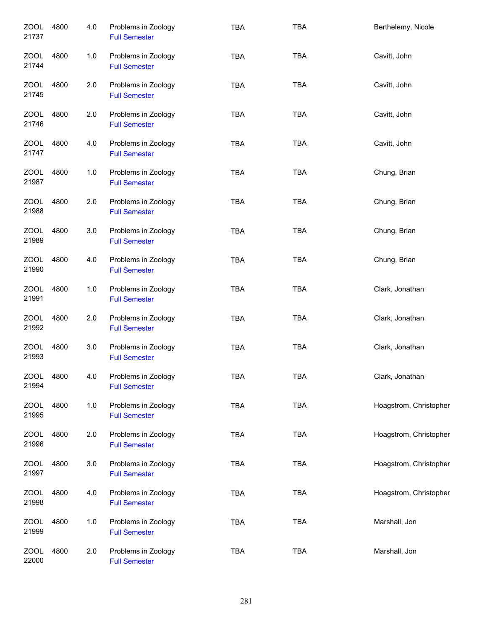| <b>ZOOL</b><br>21737 | 4800 | 4.0   | Problems in Zoology<br><b>Full Semester</b> | <b>TBA</b> | <b>TBA</b> | Berthelemy, Nicole     |
|----------------------|------|-------|---------------------------------------------|------------|------------|------------------------|
| ZOOL<br>21744        | 4800 | $1.0$ | Problems in Zoology<br><b>Full Semester</b> | <b>TBA</b> | <b>TBA</b> | Cavitt, John           |
| ZOOL<br>21745        | 4800 | 2.0   | Problems in Zoology<br><b>Full Semester</b> | <b>TBA</b> | <b>TBA</b> | Cavitt, John           |
| ZOOL<br>21746        | 4800 | 2.0   | Problems in Zoology<br><b>Full Semester</b> | <b>TBA</b> | <b>TBA</b> | Cavitt, John           |
| ZOOL<br>21747        | 4800 | 4.0   | Problems in Zoology<br><b>Full Semester</b> | <b>TBA</b> | <b>TBA</b> | Cavitt, John           |
| <b>ZOOL</b><br>21987 | 4800 | 1.0   | Problems in Zoology<br><b>Full Semester</b> | <b>TBA</b> | <b>TBA</b> | Chung, Brian           |
| <b>ZOOL</b><br>21988 | 4800 | 2.0   | Problems in Zoology<br><b>Full Semester</b> | <b>TBA</b> | <b>TBA</b> | Chung, Brian           |
| <b>ZOOL</b><br>21989 | 4800 | 3.0   | Problems in Zoology<br><b>Full Semester</b> | <b>TBA</b> | <b>TBA</b> | Chung, Brian           |
| <b>ZOOL</b><br>21990 | 4800 | 4.0   | Problems in Zoology<br><b>Full Semester</b> | <b>TBA</b> | <b>TBA</b> | Chung, Brian           |
| <b>ZOOL</b><br>21991 | 4800 | 1.0   | Problems in Zoology<br><b>Full Semester</b> | <b>TBA</b> | <b>TBA</b> | Clark, Jonathan        |
| <b>ZOOL</b><br>21992 | 4800 | 2.0   | Problems in Zoology<br><b>Full Semester</b> | <b>TBA</b> | <b>TBA</b> | Clark, Jonathan        |
| <b>ZOOL</b><br>21993 | 4800 | 3.0   | Problems in Zoology<br><b>Full Semester</b> | <b>TBA</b> | <b>TBA</b> | Clark, Jonathan        |
| <b>ZOOL</b><br>21994 | 4800 | 4.0   | Problems in Zoology<br><b>Full Semester</b> | <b>TBA</b> | <b>TBA</b> | Clark, Jonathan        |
| <b>ZOOL</b><br>21995 | 4800 | 1.0   | Problems in Zoology<br><b>Full Semester</b> | <b>TBA</b> | <b>TBA</b> | Hoagstrom, Christopher |
| <b>ZOOL</b><br>21996 | 4800 | 2.0   | Problems in Zoology<br><b>Full Semester</b> | <b>TBA</b> | <b>TBA</b> | Hoagstrom, Christopher |
| <b>ZOOL</b><br>21997 | 4800 | 3.0   | Problems in Zoology<br><b>Full Semester</b> | TBA        | <b>TBA</b> | Hoagstrom, Christopher |
| <b>ZOOL</b><br>21998 | 4800 | 4.0   | Problems in Zoology<br><b>Full Semester</b> | <b>TBA</b> | <b>TBA</b> | Hoagstrom, Christopher |
| <b>ZOOL</b><br>21999 | 4800 | 1.0   | Problems in Zoology<br><b>Full Semester</b> | <b>TBA</b> | <b>TBA</b> | Marshall, Jon          |
| <b>ZOOL</b><br>22000 | 4800 | 2.0   | Problems in Zoology<br><b>Full Semester</b> | <b>TBA</b> | <b>TBA</b> | Marshall, Jon          |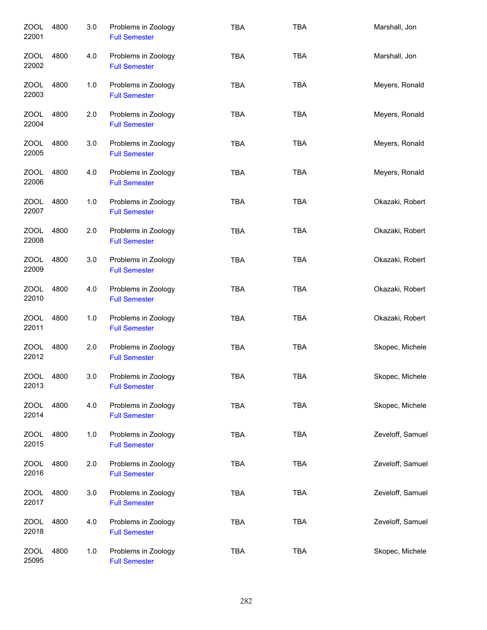| ZOOL<br>22001        | 4800 | 3.0 | Problems in Zoology<br><b>Full Semester</b> | <b>TBA</b> | <b>TBA</b> | Marshall, Jon    |
|----------------------|------|-----|---------------------------------------------|------------|------------|------------------|
| <b>ZOOL</b><br>22002 | 4800 | 4.0 | Problems in Zoology<br><b>Full Semester</b> | <b>TBA</b> | <b>TBA</b> | Marshall, Jon    |
| ZOOL<br>22003        | 4800 | 1.0 | Problems in Zoology<br><b>Full Semester</b> | <b>TBA</b> | <b>TBA</b> | Meyers, Ronald   |
| ZOOL<br>22004        | 4800 | 2.0 | Problems in Zoology<br><b>Full Semester</b> | <b>TBA</b> | <b>TBA</b> | Meyers, Ronald   |
| ZOOL<br>22005        | 4800 | 3.0 | Problems in Zoology<br><b>Full Semester</b> | <b>TBA</b> | <b>TBA</b> | Meyers, Ronald   |
| <b>ZOOL</b><br>22006 | 4800 | 4.0 | Problems in Zoology<br><b>Full Semester</b> | <b>TBA</b> | <b>TBA</b> | Meyers, Ronald   |
| ZOOL<br>22007        | 4800 | 1.0 | Problems in Zoology<br><b>Full Semester</b> | <b>TBA</b> | <b>TBA</b> | Okazaki, Robert  |
| <b>ZOOL</b><br>22008 | 4800 | 2.0 | Problems in Zoology<br><b>Full Semester</b> | <b>TBA</b> | <b>TBA</b> | Okazaki, Robert  |
| <b>ZOOL</b><br>22009 | 4800 | 3.0 | Problems in Zoology<br><b>Full Semester</b> | <b>TBA</b> | <b>TBA</b> | Okazaki, Robert  |
| <b>ZOOL</b><br>22010 | 4800 | 4.0 | Problems in Zoology<br><b>Full Semester</b> | <b>TBA</b> | <b>TBA</b> | Okazaki, Robert  |
| <b>ZOOL</b><br>22011 | 4800 | 1.0 | Problems in Zoology<br><b>Full Semester</b> | <b>TBA</b> | <b>TBA</b> | Okazaki, Robert  |
| <b>ZOOL</b><br>22012 | 4800 | 2.0 | Problems in Zoology<br><b>Full Semester</b> | <b>TBA</b> | <b>TBA</b> | Skopec, Michele  |
| <b>ZOOL</b><br>22013 | 4800 | 3.0 | Problems in Zoology<br><b>Full Semester</b> | TBA        | <b>TBA</b> | Skopec, Michele  |
| <b>ZOOL</b><br>22014 | 4800 | 4.0 | Problems in Zoology<br><b>Full Semester</b> | <b>TBA</b> | <b>TBA</b> | Skopec, Michele  |
| ZOOL<br>22015        | 4800 | 1.0 | Problems in Zoology<br><b>Full Semester</b> | <b>TBA</b> | <b>TBA</b> | Zeveloff, Samuel |
| <b>ZOOL</b><br>22016 | 4800 | 2.0 | Problems in Zoology<br><b>Full Semester</b> | <b>TBA</b> | <b>TBA</b> | Zeveloff, Samuel |
| <b>ZOOL</b><br>22017 | 4800 | 3.0 | Problems in Zoology<br><b>Full Semester</b> | <b>TBA</b> | <b>TBA</b> | Zeveloff, Samuel |
| <b>ZOOL</b><br>22018 | 4800 | 4.0 | Problems in Zoology<br><b>Full Semester</b> | <b>TBA</b> | <b>TBA</b> | Zeveloff, Samuel |
| <b>ZOOL</b><br>25095 | 4800 | 1.0 | Problems in Zoology<br><b>Full Semester</b> | <b>TBA</b> | <b>TBA</b> | Skopec, Michele  |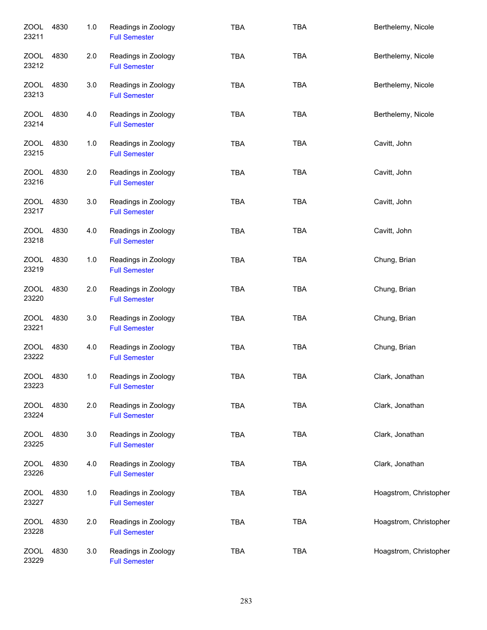| <b>ZOOL</b><br>23211 | 4830 | 1.0 | Readings in Zoology<br><b>Full Semester</b> | <b>TBA</b> | <b>TBA</b> | Berthelemy, Nicole     |
|----------------------|------|-----|---------------------------------------------|------------|------------|------------------------|
| ZOOL<br>23212        | 4830 | 2.0 | Readings in Zoology<br><b>Full Semester</b> | TBA        | <b>TBA</b> | Berthelemy, Nicole     |
| ZOOL<br>23213        | 4830 | 3.0 | Readings in Zoology<br><b>Full Semester</b> | <b>TBA</b> | <b>TBA</b> | Berthelemy, Nicole     |
| ZOOL<br>23214        | 4830 | 4.0 | Readings in Zoology<br><b>Full Semester</b> | <b>TBA</b> | <b>TBA</b> | Berthelemy, Nicole     |
| ZOOL<br>23215        | 4830 | 1.0 | Readings in Zoology<br><b>Full Semester</b> | <b>TBA</b> | <b>TBA</b> | Cavitt, John           |
| ZOOL<br>23216        | 4830 | 2.0 | Readings in Zoology<br><b>Full Semester</b> | TBA        | <b>TBA</b> | Cavitt, John           |
| ZOOL<br>23217        | 4830 | 3.0 | Readings in Zoology<br><b>Full Semester</b> | <b>TBA</b> | <b>TBA</b> | Cavitt, John           |
| ZOOL<br>23218        | 4830 | 4.0 | Readings in Zoology<br><b>Full Semester</b> | <b>TBA</b> | <b>TBA</b> | Cavitt, John           |
| <b>ZOOL</b><br>23219 | 4830 | 1.0 | Readings in Zoology<br><b>Full Semester</b> | <b>TBA</b> | <b>TBA</b> | Chung, Brian           |
| <b>ZOOL</b><br>23220 | 4830 | 2.0 | Readings in Zoology<br><b>Full Semester</b> | <b>TBA</b> | <b>TBA</b> | Chung, Brian           |
| <b>ZOOL</b><br>23221 | 4830 | 3.0 | Readings in Zoology<br><b>Full Semester</b> | <b>TBA</b> | <b>TBA</b> | Chung, Brian           |
| ZOOL<br>23222        | 4830 | 4.0 | Readings in Zoology<br><b>Full Semester</b> | <b>TBA</b> | <b>TBA</b> | Chung, Brian           |
| <b>ZOOL</b><br>23223 | 4830 | 1.0 | Readings in Zoology<br><b>Full Semester</b> | <b>TBA</b> | <b>TBA</b> | Clark, Jonathan        |
| ZOOL<br>23224        | 4830 | 2.0 | Readings in Zoology<br><b>Full Semester</b> | <b>TBA</b> | <b>TBA</b> | Clark, Jonathan        |
| ZOOL<br>23225        | 4830 | 3.0 | Readings in Zoology<br><b>Full Semester</b> | <b>TBA</b> | <b>TBA</b> | Clark, Jonathan        |
| <b>ZOOL</b><br>23226 | 4830 | 4.0 | Readings in Zoology<br><b>Full Semester</b> | TBA        | <b>TBA</b> | Clark, Jonathan        |
| ZOOL<br>23227        | 4830 | 1.0 | Readings in Zoology<br><b>Full Semester</b> | <b>TBA</b> | <b>TBA</b> | Hoagstrom, Christopher |
| <b>ZOOL</b><br>23228 | 4830 | 2.0 | Readings in Zoology<br><b>Full Semester</b> | <b>TBA</b> | <b>TBA</b> | Hoagstrom, Christopher |
| <b>ZOOL</b><br>23229 | 4830 | 3.0 | Readings in Zoology<br><b>Full Semester</b> | <b>TBA</b> | <b>TBA</b> | Hoagstrom, Christopher |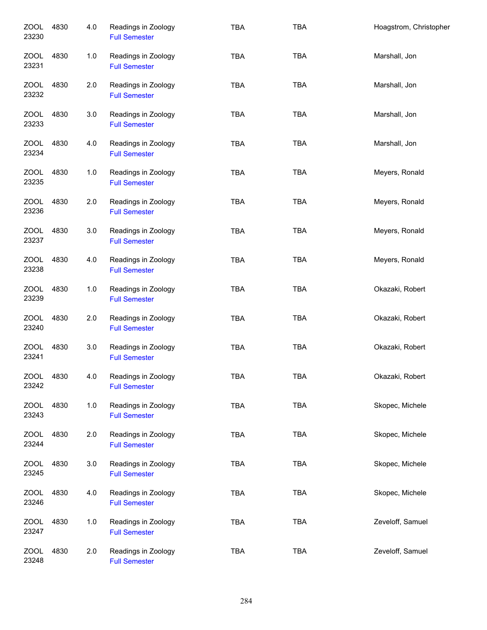| <b>ZOOL</b><br>23230 | 4830 | 4.0 | Readings in Zoology<br><b>Full Semester</b> | <b>TBA</b> | <b>TBA</b> | Hoagstrom, Christopher |
|----------------------|------|-----|---------------------------------------------|------------|------------|------------------------|
| <b>ZOOL</b><br>23231 | 4830 | 1.0 | Readings in Zoology<br><b>Full Semester</b> | <b>TBA</b> | <b>TBA</b> | Marshall, Jon          |
| ZOOL<br>23232        | 4830 | 2.0 | Readings in Zoology<br><b>Full Semester</b> | <b>TBA</b> | <b>TBA</b> | Marshall, Jon          |
| ZOOL<br>23233        | 4830 | 3.0 | Readings in Zoology<br><b>Full Semester</b> | <b>TBA</b> | <b>TBA</b> | Marshall, Jon          |
| ZOOL<br>23234        | 4830 | 4.0 | Readings in Zoology<br><b>Full Semester</b> | <b>TBA</b> | <b>TBA</b> | Marshall, Jon          |
| ZOOL<br>23235        | 4830 | 1.0 | Readings in Zoology<br><b>Full Semester</b> | <b>TBA</b> | <b>TBA</b> | Meyers, Ronald         |
| <b>ZOOL</b><br>23236 | 4830 | 2.0 | Readings in Zoology<br><b>Full Semester</b> | TBA        | <b>TBA</b> | Meyers, Ronald         |
| ZOOL<br>23237        | 4830 | 3.0 | Readings in Zoology<br><b>Full Semester</b> | TBA        | <b>TBA</b> | Meyers, Ronald         |
| <b>ZOOL</b><br>23238 | 4830 | 4.0 | Readings in Zoology<br><b>Full Semester</b> | <b>TBA</b> | <b>TBA</b> | Meyers, Ronald         |
| <b>ZOOL</b><br>23239 | 4830 | 1.0 | Readings in Zoology<br><b>Full Semester</b> | TBA        | <b>TBA</b> | Okazaki, Robert        |
| <b>ZOOL</b><br>23240 | 4830 | 2.0 | Readings in Zoology<br><b>Full Semester</b> | <b>TBA</b> | <b>TBA</b> | Okazaki, Robert        |
| <b>ZOOL</b><br>23241 | 4830 | 3.0 | Readings in Zoology<br><b>Full Semester</b> | <b>TBA</b> | <b>TBA</b> | Okazaki, Robert        |
| <b>ZOOL</b><br>23242 | 4830 | 4.0 | Readings in Zoology<br><b>Full Semester</b> | <b>TBA</b> | <b>TBA</b> | Okazaki, Robert        |
| ZOOL<br>23243        | 4830 | 1.0 | Readings in Zoology<br><b>Full Semester</b> | TBA        | <b>TBA</b> | Skopec, Michele        |
| ZOOL<br>23244        | 4830 | 2.0 | Readings in Zoology<br><b>Full Semester</b> | TBA        | <b>TBA</b> | Skopec, Michele        |
| <b>ZOOL</b><br>23245 | 4830 | 3.0 | Readings in Zoology<br><b>Full Semester</b> | <b>TBA</b> | <b>TBA</b> | Skopec, Michele        |
| <b>ZOOL</b><br>23246 | 4830 | 4.0 | Readings in Zoology<br><b>Full Semester</b> | TBA        | <b>TBA</b> | Skopec, Michele        |
| ZOOL<br>23247        | 4830 | 1.0 | Readings in Zoology<br><b>Full Semester</b> | <b>TBA</b> | <b>TBA</b> | Zeveloff, Samuel       |
| <b>ZOOL</b><br>23248 | 4830 | 2.0 | Readings in Zoology<br><b>Full Semester</b> | <b>TBA</b> | <b>TBA</b> | Zeveloff, Samuel       |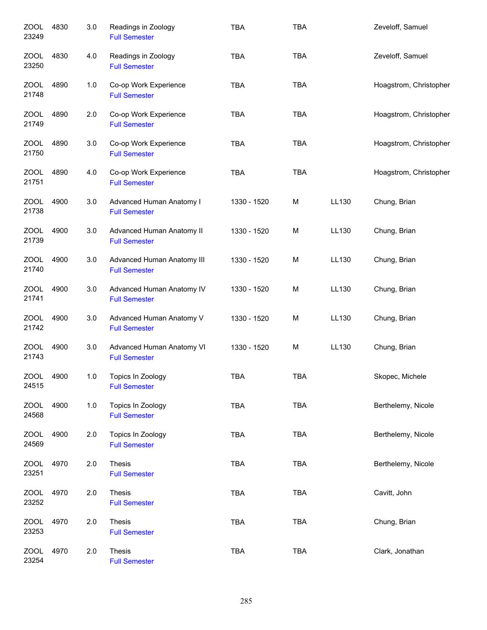| <b>ZOOL</b><br>23249 | 4830 | 3.0 | Readings in Zoology<br><b>Full Semester</b>        | <b>TBA</b>  | <b>TBA</b> |       | Zeveloff, Samuel       |
|----------------------|------|-----|----------------------------------------------------|-------------|------------|-------|------------------------|
| <b>ZOOL</b><br>23250 | 4830 | 4.0 | Readings in Zoology<br><b>Full Semester</b>        | <b>TBA</b>  | <b>TBA</b> |       | Zeveloff, Samuel       |
| ZOOL<br>21748        | 4890 | 1.0 | Co-op Work Experience<br><b>Full Semester</b>      | <b>TBA</b>  | <b>TBA</b> |       | Hoagstrom, Christopher |
| ZOOL<br>21749        | 4890 | 2.0 | Co-op Work Experience<br><b>Full Semester</b>      | <b>TBA</b>  | <b>TBA</b> |       | Hoagstrom, Christopher |
| ZOOL<br>21750        | 4890 | 3.0 | Co-op Work Experience<br><b>Full Semester</b>      | <b>TBA</b>  | <b>TBA</b> |       | Hoagstrom, Christopher |
| ZOOL<br>21751        | 4890 | 4.0 | Co-op Work Experience<br><b>Full Semester</b>      | <b>TBA</b>  | <b>TBA</b> |       | Hoagstrom, Christopher |
| <b>ZOOL</b><br>21738 | 4900 | 3.0 | Advanced Human Anatomy I<br><b>Full Semester</b>   | 1330 - 1520 | M          | LL130 | Chung, Brian           |
| <b>ZOOL</b><br>21739 | 4900 | 3.0 | Advanced Human Anatomy II<br><b>Full Semester</b>  | 1330 - 1520 | M          | LL130 | Chung, Brian           |
| <b>ZOOL</b><br>21740 | 4900 | 3.0 | Advanced Human Anatomy III<br><b>Full Semester</b> | 1330 - 1520 | M          | LL130 | Chung, Brian           |
| <b>ZOOL</b><br>21741 | 4900 | 3.0 | Advanced Human Anatomy IV<br><b>Full Semester</b>  | 1330 - 1520 | M          | LL130 | Chung, Brian           |
| <b>ZOOL</b><br>21742 | 4900 | 3.0 | Advanced Human Anatomy V<br><b>Full Semester</b>   | 1330 - 1520 | M          | LL130 | Chung, Brian           |
| <b>ZOOL</b><br>21743 | 4900 | 3.0 | Advanced Human Anatomy VI<br><b>Full Semester</b>  | 1330 - 1520 | M          | LL130 | Chung, Brian           |
| <b>ZOOL</b><br>24515 | 4900 | 1.0 | Topics In Zoology<br><b>Full Semester</b>          | <b>TBA</b>  | <b>TBA</b> |       | Skopec, Michele        |
| ZOOL<br>24568        | 4900 | 1.0 | Topics In Zoology<br><b>Full Semester</b>          | <b>TBA</b>  | <b>TBA</b> |       | Berthelemy, Nicole     |
| ZOOL<br>24569        | 4900 | 2.0 | Topics In Zoology<br><b>Full Semester</b>          | <b>TBA</b>  | <b>TBA</b> |       | Berthelemy, Nicole     |
| ZOOL<br>23251        | 4970 | 2.0 | Thesis<br><b>Full Semester</b>                     | <b>TBA</b>  | <b>TBA</b> |       | Berthelemy, Nicole     |
| <b>ZOOL</b><br>23252 | 4970 | 2.0 | Thesis<br><b>Full Semester</b>                     | <b>TBA</b>  | <b>TBA</b> |       | Cavitt, John           |
| ZOOL<br>23253        | 4970 | 2.0 | Thesis<br><b>Full Semester</b>                     | <b>TBA</b>  | <b>TBA</b> |       | Chung, Brian           |
| <b>ZOOL</b><br>23254 | 4970 | 2.0 | Thesis<br><b>Full Semester</b>                     | <b>TBA</b>  | TBA        |       | Clark, Jonathan        |